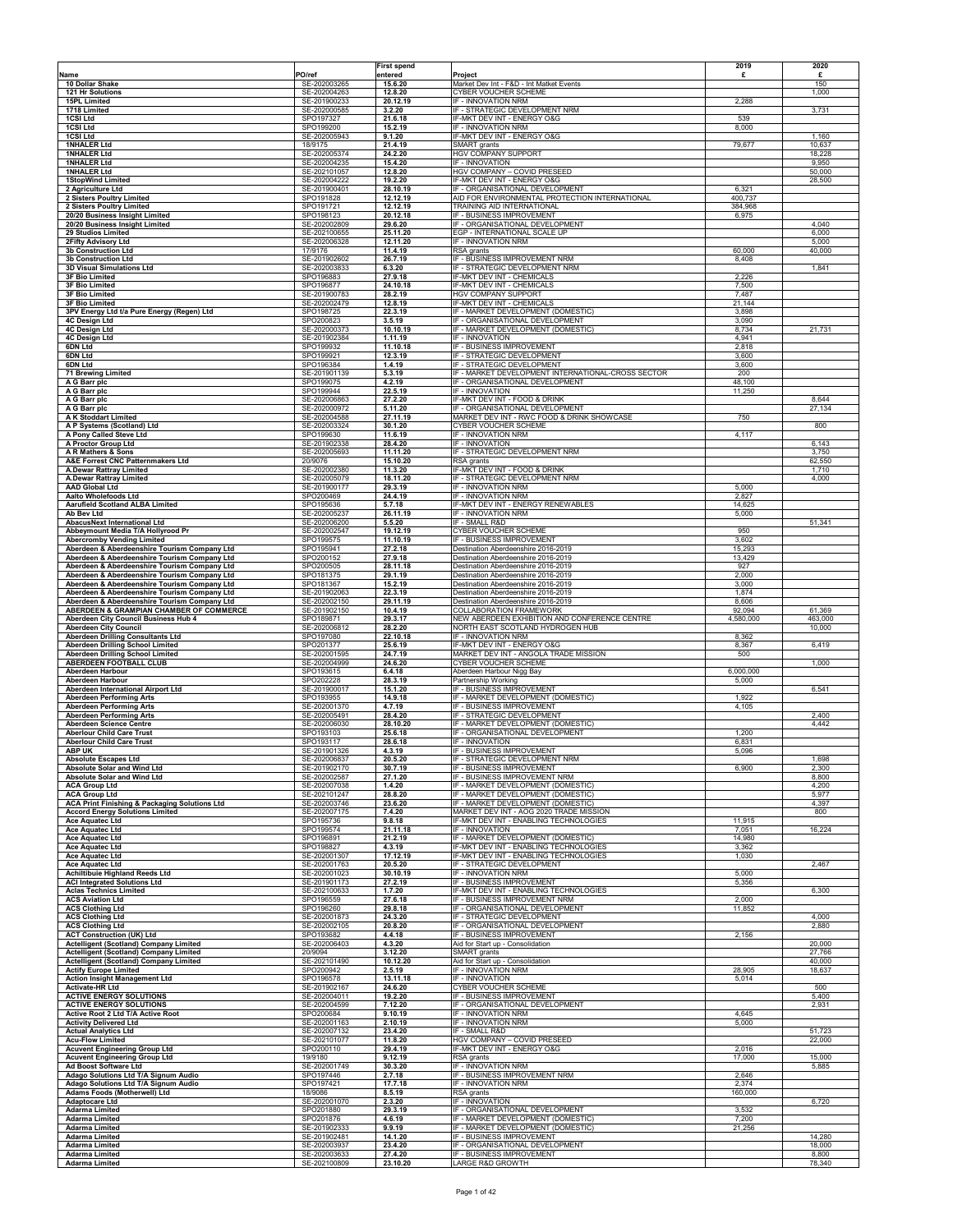|                                                                                              |                                              | <b>First spend</b>             |                                                                                       | 2019               | 2020                      |
|----------------------------------------------------------------------------------------------|----------------------------------------------|--------------------------------|---------------------------------------------------------------------------------------|--------------------|---------------------------|
| Name                                                                                         | PO/ref                                       | entered                        | Project                                                                               | £                  | £                         |
| 10 Dollar Shake<br>121 Hr Solutions                                                          | SE-202003265<br>SE-202004263                 | 15.6.20<br>12.8.20             | Market Dev Int - F&D - Int Matket Events<br>CYBER VOUCHER SCHEME                      |                    | 150<br>1,000              |
| <b>15PL Limited</b>                                                                          | SE-201900233                                 | 20.12.19                       | IF - INNOVATION NRM                                                                   | 2,288              |                           |
| 1718 Limited                                                                                 | SE-202000585                                 | 3.2.20                         | IF - STRATEGIC DEVELOPMENT NRM                                                        |                    | 3,731                     |
| 1CSI Ltd                                                                                     | SPO197327                                    | 21.6.18                        | IF-MKT DEV INT - ENERGY O&G                                                           | 539                |                           |
| 1CSI Ltd<br>1CSI Ltd                                                                         | SPO199200<br>SE-202005943                    | 15.2.19<br>9.1.20              | IF - INNOVATION NRM<br>IF-MKT DEV INT - ENERGY O&G                                    | 8,000              | 1,160                     |
| <b>1NHALER Ltd</b>                                                                           | 18/9175                                      | 21.4.19                        | SMART grants                                                                          | 79,677             | 10,637                    |
| <b>1NHALER Ltd</b>                                                                           | SE-202005374                                 | 24.2.20                        | <b>HGV COMPANY SUPPORT</b>                                                            |                    | 18,228                    |
| <b>1NHALER Ltd</b><br><b>1NHALER Ltd</b>                                                     | SE-202004235<br>SE-202101057                 | 15.4.20<br>12.8.20             | IF - INNOVATION<br><b>HGV COMPANY - COVID PRESEED</b>                                 |                    | 9,950<br>50,000           |
| <b>1StopWind Limited</b>                                                                     | SE-202004222                                 | 19.2.20                        | IF-MKT DEV INT - ENERGY O&G                                                           |                    | 28,500                    |
| 2 Agriculture Ltd                                                                            | SE-201900401                                 | 28.10.19                       | IF - ORGANISATIONAL DEVELOPMENT                                                       | 6,321              |                           |
| 2 Sisters Poultry Limited<br>2 Sisters Poultry Limited                                       | SPO191828<br>SPO191721                       | 12.12.19<br>12.12.19           | AID FOR ENVIRONMENTAL PROTECTION INTERNATIONAL<br>TRAINING AID INTERNATIONAL          | 400,737<br>384,968 |                           |
| 20/20 Business Insight Limited                                                               | SPO198123                                    | 20.12.18                       | IF - BUSINESS IMPROVEMENT                                                             | 6,975              |                           |
| 20/20 Business Insight Limited                                                               | SE-202002809                                 | 29.6.20                        | IF - ORGANISATIONAL DEVELOPMENT                                                       |                    | 4,040                     |
| 29 Studios Limited<br>2Fifty Advisory Ltd                                                    | SE-202100655<br>SE-202006328                 | 25.11.20<br>12.11.20           | EGP - INTERNATIONAL SCALE UP<br>IF - INNOVATION NRM                                   |                    | 6,000<br>5,000            |
| <b>3b Construction Ltd</b>                                                                   | 17/9176                                      | 11.4.19                        | RSA grants                                                                            | 60,000             | 40,000                    |
| 3b Construction Ltd                                                                          | SE-201902602                                 | 26.7.19                        | IF - BUSINESS IMPROVEMENT NRM                                                         | 8,408              |                           |
| 3D Visual Simulations Ltd<br><b>3F Bio Limited</b>                                           | SE-202003833<br>SPO196883                    | 6.3.20<br>27.9.18              | IF - STRATEGIC DEVELOPMENT NRM<br>IF-MKT DEV INT - CHEMICALS                          | 2,226              | 1,841                     |
| <b>3F Bio Limited</b>                                                                        | SPO196877                                    | 24.10.18                       | IF-MKT DEV INT - CHEMICALS                                                            | 7,500              |                           |
| 3F Bio Limited                                                                               | SE-201900783                                 | 28.2.19                        | <b>HGV COMPANY SUPPORT</b>                                                            | 7,487              |                           |
| 3F Bio Limited<br>3PV Energy Ltd t/a Pure Energy (Regen) Ltd                                 | SE-202002479<br>SPO198725                    | 12.8.19<br>22.3.19             | IF-MKT DEV INT - CHEMICALS<br>IF - MARKET DEVELOPMENT (DOMESTIC)                      | 21,144<br>3,898    |                           |
| <b>4C Design Ltd</b>                                                                         | SPO200823                                    | 3.5.19                         | IF - ORGANISATIONAL DEVELOPMENT                                                       | 3,090              |                           |
| <b>4C Design Ltd</b>                                                                         | SE-202000373                                 | 10.10.19                       | IF - MARKET DEVELOPMENT (DOMESTIC)                                                    | 8,734              | 21,731                    |
| <b>4C Design Ltd</b><br>6DN Ltd                                                              | SE-201902384<br>SPO199932                    | 1.11.19<br>11.10.18            | IF - INNOVATION<br>IF - BUSINESS IMPROVEMENT                                          | 4.941<br>2,818     |                           |
| 6DN Ltd                                                                                      | SPO199921                                    | 12.3.19                        | IF - STRATEGIC DEVELOPMENT                                                            | 3,600              |                           |
| 6DN Ltd                                                                                      | SPO196384                                    | 1.4.19                         | IF - STRATEGIC DEVELOPMENT                                                            | 3,600              |                           |
| <b>71 Brewing Limited</b><br>A G Barr plc                                                    | SE-201901139<br>SPO199075                    | 5.3.19<br>4.2.19               | IF - MARKET DEVELOPMENT INTERNATIONAL-CROSS SECTOR<br>IF - ORGANISATIONAL DEVELOPMENT | 200<br>48,100      |                           |
| A G Barr plc                                                                                 | SPO199944                                    | 22.5.19                        | IF - INNOVATION                                                                       | 11,250             |                           |
| A G Barr plc                                                                                 | SE-202006863                                 | 27.2.20                        | IF-MKT DEV INT - FOOD & DRINK                                                         |                    | 8,644                     |
| A G Barr plc<br>A K Stoddart Limited                                                         | SE-202000972<br>SE-202004588                 | 5.11.20<br>27.11.19            | IF - ORGANISATIONAL DEVELOPMENT<br>MARKET DEV INT - RWC FOOD & DRINK SHOWCASE         | 750                | 27,134                    |
| A P Systems (Scotland) Ltd                                                                   | SE-202003324                                 | 30.1.20                        | CYBER VOUCHER SCHEME                                                                  |                    | 800                       |
| A Pony Called Steve Ltd                                                                      | SPO199630                                    | 11.6.19                        | IF - INNOVATION NRM                                                                   | 4,117              |                           |
| A Proctor Group Ltd<br>A R Mathers & Sons                                                    | SE-201902338<br>SE-202005693                 | 28.4.20<br>11.11.20            | IF - INNOVATION<br>IF - STRATEGIC DEVELOPMENT NRM                                     |                    | 6,143<br>3,750            |
| A&E Forrest CNC Patternmakers Ltd                                                            | 20/9076                                      | 15.10.20                       | RSA grants                                                                            |                    | 62,550                    |
| A.Dewar Rattray Limited                                                                      | SE-202002380                                 | 11.3.20                        | IF-MKT DEV INT - FOOD & DRINK                                                         |                    | 1,710                     |
| A.Dewar Rattray Limited<br><b>AAD Global Ltd</b>                                             | SE-202005079<br>SE-201900177                 | 18.11.20<br>29.3.19            | IF - STRATEGIC DEVELOPMENT NRM<br>IF - INNOVATION NRM                                 | 5,000              | 4,000                     |
| <b>Aalto Wholefoods Ltd</b>                                                                  | SPO200469                                    | 24.4.19                        | IF - INNOVATION NRM                                                                   | 2,827              |                           |
| <b>Aarufield Scotland ALBA Limited</b>                                                       | SPO195636                                    | 5.7.18                         | IF-MKT DEV INT - ENERGY RENEWABLES                                                    | 14,625             |                           |
| Ab Bev Ltd<br><b>AbacusNext International Ltd</b>                                            | SE-202005237<br>SE-202006200                 | 26.11.19<br>5.5.20             | IF - INNOVATION NRM<br>IF - SMALL R&D                                                 | 5,000              | 51,341                    |
| Abbeymount Media T/A Hollyrood Pr                                                            | SE-202002547                                 | 19.12.19                       | CYBER VOUCHER SCHEME                                                                  | 950                |                           |
| <b>Abercromby Vending Limited</b>                                                            | SPO199575                                    | 11.10.19                       | IF - BUSINESS IMPROVEMENT                                                             | 3,602              |                           |
| Aberdeen & Aberdeenshire Tourism Company Ltd<br>Aberdeen & Aberdeenshire Tourism Company Ltd | SPO195941<br>SPO200152                       | 27.2.18<br>27.9.18             | Destination Aberdeenshire 2016-2019<br>Destination Aberdeenshire 2016-2019            | 15,293<br>13,429   |                           |
| Aberdeen & Aberdeenshire Tourism Company Ltd                                                 | SPO200505                                    | 28.11.18                       | Destination Aberdeenshire 2016-2019                                                   | 927                |                           |
| Aberdeen & Aberdeenshire Tourism Company Ltd<br>Aberdeen & Aberdeenshire Tourism Company Ltd | SPO181375<br>SPO181367                       | 29.1.19<br>15.2.19             | Destination Aberdeenshire 2016-2019<br>Destination Aberdeenshire 2016-2019            | 2,000<br>3,000     |                           |
| Aberdeen & Aberdeenshire Tourism Company Ltd                                                 | SE-201902063                                 | 22.3.19                        | Destination Aberdeenshire 2016-2019                                                   | 1,874              |                           |
| Aberdeen & Aberdeenshire Tourism Company Ltd                                                 | SE-202002150                                 | 29.11.19                       | Destination Aberdeenshire 2016-2019                                                   | 8,606              |                           |
|                                                                                              |                                              |                                |                                                                                       |                    |                           |
| ABERDEEN & GRAMPIAN CHAMBER OF COMMERCE                                                      | SE-201902150                                 | 10.4.19                        | COLLABORATION FRAMEWORK                                                               | 92,094             | 61,369                    |
| Aberdeen City Council Business Hub 4<br><b>Aberdeen City Council</b>                         | SPO189871<br>SE-202006812                    | 29.3.17<br>28.2.20             | NEW ABERDEEN EXHIBITION AND CONFERENCE CENTRE<br>NORTH EAST SCOTLAND HYDROGEN HUB     | 4,580,000          | 463,000<br>10,000         |
| <b>Aberdeen Drilling Consultants Ltd</b>                                                     | SPO197080                                    | 22.10.18                       | IF - INNOVATION NRM                                                                   | 8,362              |                           |
| Aberdeen Drilling School Limited                                                             | SPO201377                                    | 25.6.19                        | F-MKT DEV INT - ENERGY O&G                                                            | 8,367              | 6,419                     |
| Aberdeen Drilling School Limited<br>ABERDEEN FOOTBALL CLUB                                   | SE-202001595<br>SE-202004999                 | 24.7.19<br>24.6.20             | MARKET DEV INT - ANGOLA TRADE MISSION<br>CYBER VOUCHER SCHEME                         | 500                | 1,000                     |
| Aberdeen Harbour                                                                             | SPO193615                                    | 6.4.18                         | Aberdeen Harbour Nigg Bay                                                             | 6,000,000          |                           |
| Aberdeen Harbour<br>Aberdeen International Airport Ltd                                       | SPO202228<br>SE-201900017                    | 28.3.19<br>15.1.20             | Partnership Working<br>IF - BUSINESS IMPROVEMENT                                      | 5,000              | 6,541                     |
| <b>Aberdeen Performing Arts</b>                                                              | SPO193955                                    | 14.9.18                        | IF - MARKET DEVELOPMENT (DOMESTIC)                                                    | 1,922              |                           |
| <b>Aberdeen Performing Arts</b>                                                              | SE-202001370                                 | 4.7.19                         | <b>IF - BUSINESS IMPROVEMENT</b>                                                      | 4,105              |                           |
| <b>Aberdeen Performing Arts</b><br><b>Aberdeen Science Centre</b>                            | SE-202005491<br>SE-202006030                 | 28.4.20<br>28.10.20            | <b>IF - STRATEGIC DEVELOPMENT</b><br>IF - MARKET DEVELOPMENT (DOMESTIC)               |                    | 2,400<br>4,442            |
| <b>Aberlour Child Care Trust</b>                                                             | SPO193103                                    | 25.6.18                        | IF - ORGANISATIONAL DEVELOPMENT                                                       | 1,200              |                           |
| <b>Aberlour Child Care Trust</b>                                                             | SPO193117                                    | 28.6.18                        | IF - INNOVATION                                                                       | 6,831              |                           |
| ABP UK<br><b>Absolute Escapes Ltd</b>                                                        | SE-201901326<br>SE-202006837                 | 4.3.19<br>20.5.20              | IF - BUSINESS IMPROVEMENT<br>IF - STRATEGIC DEVELOPMENT NRM                           | 5,096              | 1,698                     |
| Absolute Solar and Wind Ltd                                                                  | SE-201902170                                 | 30.7.19                        | IF - BUSINESS IMPROVEMENT                                                             | 6,900              | 2,300                     |
| Absolute Solar and Wind Ltd<br><b>ACA Group Ltd</b>                                          | SE-202002587<br>SE-202007038                 | 27.1.20                        | IF - BUSINESS IMPROVEMENT NRM<br>IF - MARKET DEVELOPMENT (DOMESTIC)                   |                    | 8,800                     |
| <b>ACA Group Ltd</b>                                                                         | SE-202101247                                 | 1.4.20<br>28.8.20              | IF - MARKET DEVELOPMENT (DOMESTIC)                                                    |                    | 4,200<br>5,977            |
| ACA Print Finishing & Packaging Solutions Ltd                                                | SE-202003746                                 | 23.6.20                        | IF - MARKET DEVELOPMENT (DOMESTIC)                                                    |                    | 4,397                     |
| <b>Accord Energy Solutions Limited</b><br>Ace Aquatec Ltd                                    | SE-202007175<br>SPO195736                    | 7.4.20<br>9.8.18               | MARKET DEV INT - AOG 2020 TRADE MISSION<br>IF-MKT DEV INT - ENABLING TECHNOLOGIES     | 11,915             | 800                       |
| Ace Aquatec Ltd                                                                              | SPO199574                                    | 21.11.18                       | IF - INNOVATION                                                                       | 7,051              | 16,224                    |
| Ace Aquatec Ltd                                                                              | SPO196891                                    | 21.2.19                        | IF - MARKET DEVELOPMENT (DOMESTIC)                                                    | 14,980             |                           |
| Ace Aquatec Ltd<br><b>Ace Aquatec Ltd</b>                                                    | SPO198827<br>SE-202001307                    | 4.3.19<br>17.12.19             | IF-MKT DEV INT - ENABLING TECHNOLOGIES<br>IF-MKT DEV INT - ENABLING TECHNOLOGIES      | 3,362<br>1,030     |                           |
| Ace Aquatec Ltd                                                                              | SE-202001763                                 | 20.5.20                        | IF - STRATEGIC DEVELOPMENT                                                            |                    | 2,467                     |
| <b>Achiltibuie Highland Reeds Ltd</b>                                                        | SE-202001023                                 | 30.10.19                       | IF - INNOVATION NRM                                                                   | 5,000              |                           |
| <b>ACI Integrated Solutions Ltd</b><br><b>Aclas Technics Limited</b>                         | SE-201901173<br>SE-202100633                 | 27.2.19<br>1.7.20              | IF - BUSINESS IMPROVEMENT<br>IF-MKT DEV INT - ENABLING TECHNOLOGIES                   | 5,356              | 6,300                     |
| <b>ACS Aviation Ltd</b>                                                                      | SPO196559                                    | 27.6.18                        | IF - BUSINESS IMPROVEMENT NRM                                                         | 2,000              |                           |
| <b>ACS Clothing Ltd</b>                                                                      | SPO196260                                    | 29.8.18                        | IF - ORGANISATIONAL DEVELOPMENT<br>IF - STRATEGIC DEVELOPMENT                         | 11,852             | 4,000                     |
| <b>ACS Clothing Ltd</b><br><b>ACS Clothing Ltd</b>                                           | SE-202001873<br>SE-202002105                 | 24.3.20<br>20.8.20             | IF - ORGANISATIONAL DEVELOPMENT                                                       |                    | 2,880                     |
| <b>ACT Construction (UK) Ltd</b>                                                             | SPO193682                                    | 4.4.18                         | IF - BUSINESS IMPROVEMENT                                                             | 2,156              |                           |
| <b>Actelligent (Scotland) Company Limited</b><br>Actelligent (Scotland) Company Limited      | SE-202006403<br>20/9094                      | 4.3.20<br>3.12.20              | Aid for Start up - Consolidation<br>SMART grants                                      |                    | 20,000<br>27,766          |
| <b>Actelligent (Scotland) Company Limited</b>                                                | SE-202101490                                 | 10.12.20                       | Aid for Start up - Consolidation                                                      |                    | 40,000                    |
| <b>Actify Europe Limited</b>                                                                 | SPO200942                                    | 2.5.19                         | IF - INNOVATION NRM                                                                   | 28,905             | 18,637                    |
| <b>Action Insight Management Ltd</b><br><b>Activate-HR Ltd</b>                               | SPO196578<br>SE-201902167                    | 13.11.18<br>24.6.20            | IF - INNOVATION<br>CYBER VOUCHER SCHEME                                               | 5,014              | 500                       |
| <b>ACTIVE ENERGY SOLUTIONS</b>                                                               | SE-202004011                                 | 19.2.20                        | IF - BUSINESS IMPROVEMENT                                                             |                    | 5,400                     |
| <b>ACTIVE ENERGY SOLUTIONS</b>                                                               | SE-202004599                                 | 7.12.20                        | IF - ORGANISATIONAL DEVELOPMENT                                                       |                    | 2,931                     |
| Active Root 2 Ltd T/A Active Root<br><b>Activity Delivered Ltd</b>                           | SPO200684<br>SE-202001163                    | 9.10.19<br>2.10.19             | IF - INNOVATION NRM<br>IF - INNOVATION NRM                                            | 4,645<br>5,000     |                           |
| <b>Actual Analytics Ltd</b>                                                                  | SE-202007132                                 | 23.4.20                        | IF - SMALL R&D                                                                        |                    | 51,723                    |
| <b>Acu-Flow Limited</b>                                                                      | SE-202101077                                 | 11.8.20                        | HGV COMPANY - COVID PRESEED                                                           |                    | 22,000                    |
| <b>Acuvent Engineering Group Ltd</b><br><b>Acuvent Engineering Group Ltd</b>                 | SPO200110<br>19/9180                         | 29.4.19<br>9.12.19             | IF-MKT DEV INT - ENERGY O&G<br>RSA grants                                             | 2,016<br>17,000    | 15,000                    |
| Ad Boost Software Ltd                                                                        | SE-202001749                                 | 30.3.20                        | IF - INNOVATION NRM                                                                   |                    | 5,885                     |
| Adago Solutions Ltd T/A Signum Audio<br>Adago Solutions Ltd T/A Signum Audio                 | SPO197446<br>SPO197421                       | 2.7.18<br>17.7.18              | IF - BUSINESS IMPROVEMENT NRM<br>IF - INNOVATION NRM                                  | 2,646<br>2,374     |                           |
| Adams Foods (Motherwell) Ltd                                                                 | 18/9086                                      | 8.5.19                         | RSA grants                                                                            | 160,000            |                           |
| <b>Adaptocare Ltd</b>                                                                        | SE-202001070                                 | 2.3.20                         | IF - INNOVATION                                                                       |                    | 6,720                     |
| <b>Adarma Limited</b><br><b>Adarma Limited</b>                                               | SPO201880<br>SPO201876                       | 29.3.19<br>4.6.19              | IF - ORGANISATIONAL DEVELOPMENT<br>IF - MARKET DEVELOPMENT (DOMESTIC)                 | 3,532<br>7,200     |                           |
| <b>Adarma Limited</b>                                                                        | SE-201902333                                 | 9.9.19                         | IF - MARKET DEVELOPMENT (DOMESTIC)                                                    | 21,256             |                           |
| <b>Adarma Limited</b>                                                                        | SE-201902481                                 | 14.1.20                        | IF - BUSINESS IMPROVEMENT                                                             |                    | 14,280                    |
| <b>Adarma Limited</b><br><b>Adarma Limited</b><br><b>Adarma Limited</b>                      | SE-202003937<br>SE-202003633<br>SE-202100809 | 23.4.20<br>27.4.20<br>23.10.20 | IF - ORGANISATIONAL DEVELOPMENT<br>IF - BUSINESS IMPROVEMENT<br>LARGE R&D GROWTH      |                    | 18,000<br>8,800<br>78,340 |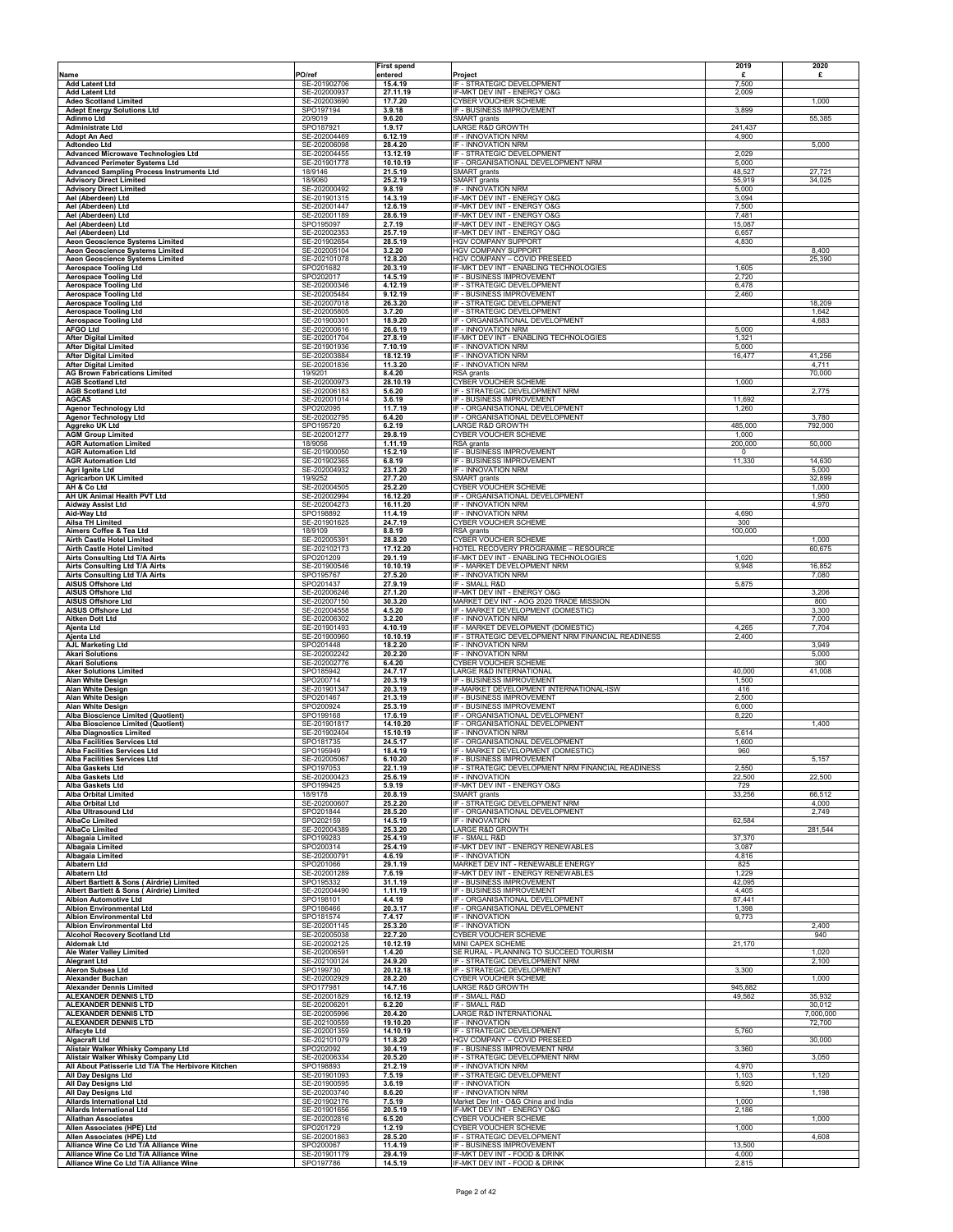|                                                                                                                            |                                        | <b>First spend</b>            |                                                                                             | 2019                     | 2020             |
|----------------------------------------------------------------------------------------------------------------------------|----------------------------------------|-------------------------------|---------------------------------------------------------------------------------------------|--------------------------|------------------|
| Name                                                                                                                       | PO/ref                                 | entered                       | Project                                                                                     | £                        | £                |
| <b>Add Latent Ltd</b><br><b>Add Latent Ltd</b>                                                                             | SE-201902706<br>SE-202000937           | 15.4.19<br>27.11.19           | IF - STRATEGIC DEVELOPMENT<br>IF-MKT DEV INT - ENERGY O&G                                   | 7,500<br>2,009           |                  |
| <b>Adeo Scotland Limited</b>                                                                                               | SE-202003690                           | 17.7.20                       | <b>CYBER VOUCHER SCHEME</b>                                                                 |                          | 1,000            |
| <b>Adept Energy Solutions Ltd</b><br><b>Adinmo Ltd</b>                                                                     | SPO197194<br>20/9019                   | 3.9.18<br>9.6.20              | <b>IF - BUSINESS IMPROVEMENT</b><br>SMART grants                                            | 3,899                    | 55,385           |
| <b>Administrate Ltd</b>                                                                                                    | SPO187921                              | 1.9.17                        | LARGE R&D GROWTH                                                                            | 241,437                  |                  |
| <b>Adopt An Aed</b><br><b>Adtondeo Ltd</b>                                                                                 | SE-202004469<br>SE-202006098           | 6.12.19<br>28.4.20            | IF - INNOVATION NRM<br>IF - INNOVATION NRM                                                  | 4,900                    | 5,000            |
| <b>Advanced Microwave Technologies Ltd</b>                                                                                 | SE-202004455                           | 13.12.19                      | IF - STRATEGIC DEVELOPMENT                                                                  | 2,029                    |                  |
| <b>Advanced Perimeter Systems Ltd</b>                                                                                      | SE-201901778                           | 10.10.19                      | IF - ORGANISATIONAL DEVELOPMENT NRM                                                         | 5,000                    |                  |
| <b>Advanced Sampling Process Instruments Ltd</b><br><b>Advisory Direct Limited</b>                                         | 18/9146<br>18/9060                     | 21.5.19<br>25.2.19            | SMART grants<br>SMART grants                                                                | 48,527<br>55,919         | 27,721<br>34,025 |
| <b>Advisory Direct Limited</b>                                                                                             | SE-202000492                           | 9.8.19                        | IF - INNOVATION NRM                                                                         | 5,000                    |                  |
| Ael (Aberdeen) Ltd<br>Ael (Aberdeen) Ltd                                                                                   | SE-201901315<br>SE-202001447           | 14.3.19<br>12.6.19            | IF-MKT DEV INT - ENERGY O&G<br>IF-MKT DEV INT - ENERGY O&G                                  | 3,094<br>7,500           |                  |
| Ael (Aberdeen) Ltd                                                                                                         | SE-202001189                           | 28.6.19                       | IF-MKT DEV INT - ENERGY O&G                                                                 | 7,481                    |                  |
| Ael (Aberdeen) Ltd<br>Ael (Aberdeen) Ltd                                                                                   | SPO195097                              | 2.7.19                        | F-MKT DEV INT - ENERGY O&G<br>IF-MKT DEV INT - ENERGY O&G                                   | 15,087                   |                  |
| Aeon Geoscience Systems Limited                                                                                            | SE-202002353<br>SE-201902654           | 25.7.19<br>28.5.19            | HGV COMPANY SUPPORT                                                                         | 6,657<br>4,830           |                  |
| Aeon Geoscience Systems Limited                                                                                            | SE-202005104                           | 3.2.20                        | HGV COMPANY SUPPORT                                                                         |                          | 8,400            |
| <b>Aeon Geoscience Systems Limited</b><br><b>Aerospace Tooling Ltd</b>                                                     | SE-202101078<br>SPO201682              | 12.8.20<br>20.3.19            | HGV COMPANY - COVID PRESEED<br>IF-MKT DEV INT - ENABLING TECHNOLOGIES                       | 1,605                    | 25,390           |
| <b>Aerospace Tooling Ltd</b>                                                                                               | SPO202017                              | 14.5.19                       | IF - BUSINESS IMPROVEMENT                                                                   | 2,720                    |                  |
| <b>Aerospace Tooling Ltd</b><br><b>Aerospace Tooling Ltd</b>                                                               | SE-202000346<br>SE-202005484           | 4.12.19<br>9.12.19            | IF - STRATEGIC DEVELOPMENT<br>IF - BUSINESS IMPROVEMENT                                     | 6,478<br>2,460           |                  |
| <b>Aerospace Tooling Ltd</b>                                                                                               | SE-202007018                           | 26.3.20                       | IF - STRATEGIC DEVELOPMENT                                                                  |                          | 18,209           |
| <b>Aerospace Tooling Ltd</b><br><b>Aerospace Tooling Ltd</b>                                                               | SE-202005805<br>SE-201900301           | 3.7.20<br>18.9.20             | IF - STRATEGIC DEVELOPMENT<br>IF - ORGANISATIONAL DEVELOPMENT                               |                          | 1,642<br>4,683   |
| <b>AFGO Ltd</b>                                                                                                            | SE-202000616                           | 26.6.19                       | IF - INNOVATION NRM                                                                         | 5,000                    |                  |
| <b>After Digital Limited</b>                                                                                               | SE-202001704                           | 27.8.19                       | IF-MKT DEV INT - ENABLING TECHNOLOGIES                                                      | 1,321                    |                  |
| <b>After Digital Limited</b><br><b>After Digital Limited</b>                                                               | SE-201901936<br>SE-202003884           | 7.10.19<br>18.12.19           | IF - INNOVATION NRM<br>IF - INNOVATION NRM                                                  | 5,000<br>16,477          | 41,256           |
| <b>After Digital Limited</b>                                                                                               | SE-202001836                           | 11.3.20                       | IF - INNOVATION NRM                                                                         |                          | 4,711            |
| <b>AG Brown Fabrications Limited</b><br><b>AGB Scotland Ltd</b>                                                            | 19/9201<br>SE-202000973                | 8.4.20<br>28.10.19            | <b>RSA</b> grants<br>CYBER VOUCHER SCHEME                                                   | 1,000                    | 70,000           |
| <b>AGB Scotland Ltd</b>                                                                                                    | SE-202006183                           | 5.6.20                        | IF - STRATEGIC DEVELOPMENT NRM                                                              |                          | 2,775            |
| <b>AGCAS</b>                                                                                                               | SE-202001014<br>SPO202095              | 3.6.19<br>11.7.19             | IF - BUSINESS IMPROVEMENT<br>IF - ORGANISATIONAL DEVELOPMENT                                | 11,692                   |                  |
| <b>Agenor Technology Ltd</b><br><b>Agenor Technology Ltd</b>                                                               | SE-202002795                           | 6.4.20                        | IF - ORGANISATIONAL DEVELOPMENT                                                             | 1,260                    | 3,780            |
| Aggreko UK Ltd                                                                                                             | SPO195720                              | 6.2.19                        | <b>LARGE R&amp;D GROWTH</b>                                                                 | 485,000                  | 792,000          |
| <b>AGM Group Limited</b><br><b>AGR Automation Limited</b>                                                                  | SE-202001277<br>18/9056                | 29.8.19<br>1.11.19            | CYBER VOUCHER SCHEME<br>RSA grants                                                          | 1,000<br>200,000         | 50,000           |
| <b>AGR Automation Ltd</b>                                                                                                  | SE-201900050                           | 15.2.19                       | IF - BUSINESS IMPROVEMENT                                                                   | 0                        |                  |
| <b>AGR Automation Ltd</b><br>Agri Ignite Ltd                                                                               | SE-201902365<br>SE-202004932           | 6.8.19<br>23.1.20             | IF - BUSINESS IMPROVEMENT<br>IF - INNOVATION NRM                                            | 11,330                   | 14,630<br>5,000  |
| <b>Agricarbon UK Limited</b>                                                                                               | 19/9252                                | 27.7.20                       | <b>SMART</b> grants                                                                         |                          | 32,899           |
| AH & Co Ltd<br>AH UK Animal Health PVT Ltd                                                                                 | SE-202004505<br>SE-202002994           | 25.2.20<br>16.12.20           | CYBER VOUCHER SCHEME<br>IF - ORGANISATIONAL DEVELOPMENT                                     |                          | 1,000<br>1,950   |
| Aidway Assist Ltd                                                                                                          | SE-202004273                           | 16.11.20                      | IF - INNOVATION NRM                                                                         |                          | 4,970            |
| Aid-Way Ltd                                                                                                                | SPO198892                              | 11.4.19                       | IF - INNOVATION NRM                                                                         | 4,690                    |                  |
| <b>Ailsa TH Limited</b><br>Aimers Coffee & Tea Ltd                                                                         | SE-201901625<br>18/9109                | 24.7.19<br>8.8.19             | CYBER VOUCHER SCHEME<br>RSA grants                                                          | 300<br>100,000           |                  |
| <b>Airth Castle Hotel Limited</b>                                                                                          | SE-202005391                           | 28.8.20                       | CYBER VOUCHER SCHEME                                                                        |                          | 1,000            |
| <b>Airth Castle Hotel Limited</b><br>Airts Consulting Ltd T/A Airts                                                        | SE-202102173<br>SPO201209              | 17.12.20<br>29.1.19           | HOTEL RECOVERY PROGRAMME - RESOURCE<br>IF-MKT DEV INT - ENABLING TECHNOLOGIES               | 1,020                    | 60,675           |
| Airts Consulting Ltd T/A Airts                                                                                             | SE-201900546                           | 10.10.19                      | IF - MARKET DEVELOPMENT NRM                                                                 | 9,948                    | 16,852           |
| Airts Consulting Ltd T/A Airts<br><b>AISUS Offshore Ltd</b>                                                                | SPO195767<br>SPO201437                 | 27.5.20<br>27.9.19            | IF - INNOVATION NRM<br>IF - SMALL R&D                                                       | 5,875                    | 7,080            |
| AISUS Offshore Ltd                                                                                                         | SE-202006246                           | 27.1.20                       | IF-MKT DEV INT - ENERGY O&G                                                                 |                          | 3,206            |
| AISUS Offshore Ltd                                                                                                         | SE-202007150                           | 30.3.20                       | MARKET DEV INT - AOG 2020 TRADE MISSION<br>IF - MARKET DEVELOPMENT (DOMESTIC)               |                          | 800              |
| AISUS Offshore Ltd<br>Aitken Dott Ltd                                                                                      | SE-202004558<br>SE-202006302           | 4.5.20<br>3.2.20              | IF - INNOVATION NRM                                                                         |                          | 3,300<br>7,000   |
| Ajenta Ltd                                                                                                                 | SE-201901493                           | 4.10.19                       | IF - MARKET DEVELOPMENT (DOMESTIC)                                                          | 4,265                    | 7,704            |
| Ajenta Ltd<br><b>AJL Marketing Ltd</b>                                                                                     | SE-201900960<br>SPO201448              | 10.10.19<br>18.2.20           | IF - STRATEGIC DEVELOPMENT NRM FINANCIAL READINESS<br>IF - INNOVATION NRM                   | 2,400                    | 3,949            |
| <b>Akari Solutions</b>                                                                                                     | SE-202002242                           | 20.2.20                       | IF - INNOVATION NRM                                                                         |                          | 5,000            |
| <b>Akari Solutions</b><br><b>Aker Solutions Limited</b>                                                                    | SE-202002776<br>SPO185942              | 6.4.20<br>24.7.17             | CYBER VOUCHER SCHEME<br><b>LARGE R&amp;D INTERNATIONAL</b>                                  | 40,000                   | 300<br>41,008    |
| <b>Alan White Design</b>                                                                                                   | SPO200714                              | 20.3.19                       | IF - BUSINESS IMPROVEMENT                                                                   | 1,500                    |                  |
| <b>Alan White Design</b><br><b>Alan White Design</b>                                                                       | SE-201901347<br>SPO201467              | 20.3.19<br>21.3.19            | IF-MARKET DEVELOPMENT INTERNATIONAL-ISW<br>IF - BUSINESS IMPROVEMENT                        | 416<br>2,500             |                  |
| <b>Alan White Design</b>                                                                                                   | SPO200924                              | 25.3.19                       | IF - BUSINESS IMPROVEMENT                                                                   | 6,000                    |                  |
| Alba Bioscience Limited (Quotient)                                                                                         | SPO199168<br>SE-201901817              | 17.6.19<br>14.10.20           | IF - ORGANISATIONAL DEVELOPMENT<br>IF - ORGANISATIONAL DEVELOPMENT                          | 8,220                    | 1,400            |
| Alba Bioscience Limited (Quotient)<br><b>Alba Diagnostics Limited</b>                                                      | SE-201902404                           | 15.10.19                      | IF - INNOVATION NRM                                                                         | 5,614                    |                  |
| Alba Facilities Services Ltd                                                                                               | SPO181735                              | 24.5.17                       | IF - ORGANISATIONAL DEVELOPMENT                                                             | 1,600                    |                  |
| Alba Facilities Services Ltd<br>Alba Facilities Services Ltd                                                               | SPO195949<br>SE-202005067              | 18.4.19<br>6.10.20            | IF - MARKET DEVELOPMENT (DOMESTIC)<br>IF - BUSINESS IMPROVEMENT                             | 960                      | 5,157            |
| Alba Gaskets Ltd                                                                                                           | SPO197053                              | 22.1.19                       | IF - STRATEGIC DEVELOPMENT NRM FINANCIAL READINESS                                          | 2,550                    |                  |
| Alba Gaskets Ltd<br>Alba Gaskets Ltd                                                                                       | SE-202000423<br>SPO199425              | 25.6.19<br>5.9.19             | IF - INNOVATION<br>IF-MKT DEV INT - ENERGY O&G                                              | 22,500<br>729            | 22,500           |
| Alba Orbital Limited                                                                                                       | 18/9178                                | 20.8.19                       | SMART grants                                                                                | 33,256                   | 66,512           |
| Alba Orbital Ltd<br>Alba Ultrasound Ltd                                                                                    | SE-202000607<br>SPO201844              | 25.2.20<br>28.5.20            | IF - STRATEGIC DEVELOPMENT NRM<br>IF - ORGANISATIONAL DEVELOPMENT                           |                          | 4,000<br>2,749   |
| <b>AlbaCo Limited</b>                                                                                                      | SPO202159                              | 14.5.19                       | IF - INNOVATION                                                                             | 62,584                   |                  |
| <b>AlbaCo Limited</b><br><b>Albagaia Limited</b>                                                                           | SE-202004389<br>SPO199283              | 25.3.20<br>25.4.19            | LARGE R&D GROWTH<br>IF - SMALL R&D                                                          | 37,370                   | 281,544          |
| Albagaia Limited                                                                                                           | SPO200314                              | 25.4.19                       | IF-MKT DEV INT - ENERGY RENEWABLES                                                          | 3,087                    |                  |
| Albagaia Limited<br>Albatern Ltd                                                                                           | SE-202000791<br>SPO201066              | 4.6.19<br>29.1.19             | IF - INNOVATION<br>MARKET DEV INT - RENEWABLE ENERGY                                        | 4,816<br>825             |                  |
| <b>Albatern Ltd</b>                                                                                                        | SE-202001289                           | 7.6.19                        | IF-MKT DEV INT - ENERGY RENEWABLES                                                          | 1,229                    |                  |
| Albert Bartlett & Sons (Airdrie) Limited<br>Albert Bartlett & Sons (Airdrie) Limited                                       | SPO195332<br>SE-202004490              | 31.1.19<br>1.11.19            | IF - BUSINESS IMPROVEMENT<br>IF - BUSINESS IMPROVEMENT                                      | 42,095<br>4,405          |                  |
| <b>Albion Automotive Ltd</b>                                                                                               | SPO198101                              | 4.4.19                        | IF - ORGANISATIONAL DEVELOPMENT                                                             | 87,441                   |                  |
| <b>Albion Environmental Ltd</b>                                                                                            | SPO186466                              | 20.3.17                       | IF - ORGANISATIONAL DEVELOPMENT                                                             | 1,398                    |                  |
| <b>Albion Environmental Ltd</b><br>Albion Environmental Ltd                                                                | SPO181574<br>SE-202001145              | 7.4.17<br>25.3.20             | IF - INNOVATION<br>IF - INNOVATION                                                          | 9,773                    | 2,400            |
| <b>Alcohol Recovery Scotland Ltd</b>                                                                                       | SE-202005038                           | 22.7.20                       | <b>CYBER VOUCHER SCHEME</b>                                                                 |                          | 940              |
| <b>Aldomak Ltd</b><br>Ale Water Valley Limited                                                                             | SE-202002125<br>SE-202006591           | 10.12.19<br>1.4.20            | MINI CAPEX SCHEME<br>SE RURAL - PLANNING TO SUCCEED TOURISM                                 | 21,170                   | 1,020            |
| <b>Alegrant Ltd</b>                                                                                                        | SE-202100124                           | 24.9.20                       | IF - STRATEGIC DEVELOPMENT NRM                                                              |                          | 2,100            |
| Aleron Subsea Ltd<br><b>Alexander Buchan</b>                                                                               | SPO199730<br>SE-202002929              | 20.12.18<br>28.2.20           | IF - STRATEGIC DEVELOPMENT<br>CYBER VOUCHER SCHEME                                          | 3,300                    | 1,000            |
| <b>Alexander Dennis Limited</b>                                                                                            | SPO177981                              | 14.7.16                       | LARGE R&D GROWTH                                                                            | 945,882                  |                  |
| ALEXANDER DENNIS LTD<br><b>ALEXANDER DENNIS LTD</b>                                                                        | SE-202001829<br>SE-202006201           | 16.12.19<br>6.2.20            | IF - SMALL R&D<br>IF - SMALL R&D                                                            | 49,562                   | 35,932<br>30,012 |
| <b>ALEXANDER DENNIS LTD</b>                                                                                                | SE-202005996                           | 20.4.20                       | LARGE R&D INTERNATIONAL                                                                     |                          | 7,000,000        |
| <b>ALEXANDER DENNIS LTD</b>                                                                                                | SE-202100559                           | 19.10.20                      | IF - INNOVATION                                                                             |                          | 72,700           |
| Alfacyte Ltd<br><b>Algacraft Ltd</b>                                                                                       | SE-202001359<br>SE-202101079           | 14.10.19<br>11.8.20           | IF - STRATEGIC DEVELOPMENT<br>HGV COMPANY - COVID PRESEED                                   | 5,760                    | 30,000           |
| Alistair Walker Whisky Company Ltd                                                                                         | SPO202092                              | 30.4.19                       | IF - BUSINESS IMPROVEMENT NRM                                                               | 3,360                    |                  |
| Alistair Walker Whisky Company Ltd<br>All About Patisserie Ltd T/A The Herbivore Kitchen                                   | SE-202006334<br>SPO198893              | 20.5.20<br>21.2.19            | IF - STRATEGIC DEVELOPMENT NRM<br>IF - INNOVATION NRM                                       | 4,970                    | 3,050            |
| All Day Designs Ltd                                                                                                        | SE-201901093                           | 7.5.19                        | IF - STRATEGIC DEVELOPMENT                                                                  | 1,103                    | 1,120            |
| All Day Designs Ltd<br>All Day Designs Ltd                                                                                 | SE-201900595                           | 3.6.19<br>8.6.20              | IF - INNOVATION<br>IF - INNOVATION NRM                                                      | 5,920                    | 1,198            |
| <b>Allards International Ltd</b>                                                                                           |                                        |                               |                                                                                             |                          |                  |
|                                                                                                                            | SE-202003740<br>SE-201902176           | 7.5.19                        | Market Dev Int - O&G China and India                                                        | 1,000                    |                  |
| Allards International Ltd                                                                                                  | SE-201901656                           | 20.5.19                       | IF-MKT DEV INT - ENERGY O&G                                                                 | 2,186                    |                  |
| <b>Allathan Associates</b><br>Allen Associates (HPE) Ltd                                                                   | SE-202002816<br>SPO201729              | 6.5.20<br>1.2.19              | CYBER VOUCHER SCHEME<br><b>CYBER VOUCHER SCHEME</b>                                         | 1,000                    | 1,000            |
| Allen Associates (HPE) Ltd                                                                                                 | SE-202001863                           | 28.5.20                       | IF - STRATEGIC DEVELOPMENT                                                                  |                          | 4,608            |
| Alliance Wine Co Ltd T/A Alliance Wine<br>Alliance Wine Co Ltd T/A Alliance Wine<br>Alliance Wine Co Ltd T/A Alliance Wine | SPO200067<br>SE-201901179<br>SPO197786 | 11.4.19<br>29.4.19<br>14.5.19 | IF - BUSINESS IMPROVEMENT<br>IF-MKT DEV INT - FOOD & DRINK<br>IF-MKT DEV INT - FOOD & DRINK | 13,500<br>4,000<br>2,815 |                  |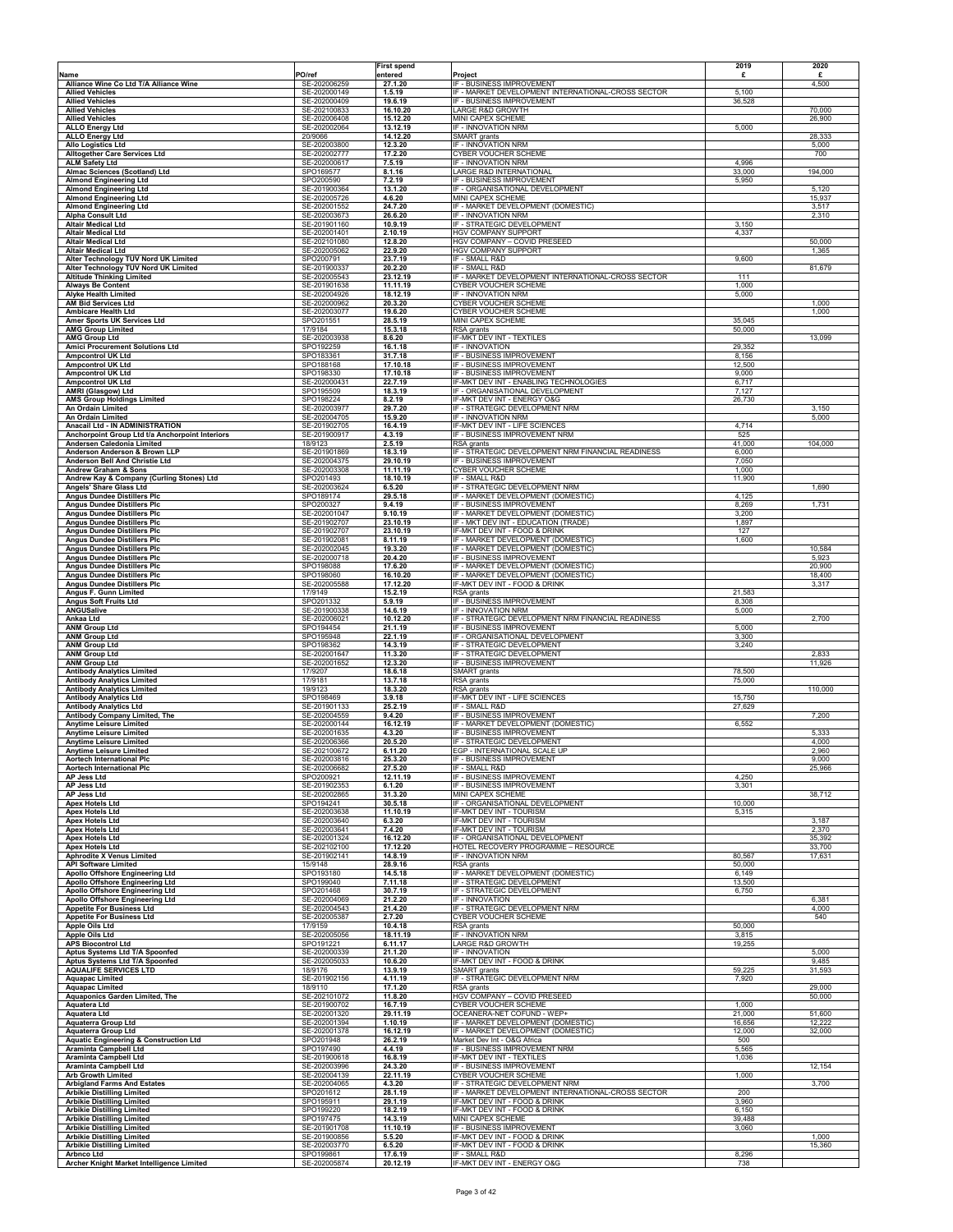|                                                                               |                              | <b>First spend</b>   |                                                                           | 2019             | 2020             |
|-------------------------------------------------------------------------------|------------------------------|----------------------|---------------------------------------------------------------------------|------------------|------------------|
| Name                                                                          | PO/ref                       | entered              | Project                                                                   | £                | £                |
| Alliance Wine Co Ltd T/A Alliance Wine                                        | SE-202006259                 | 27.1.20              | IF - BUSINESS IMPROVEMENT                                                 |                  | 4,500            |
| <b>Allied Vehicles</b>                                                        | SE-202000149                 | 1.5.19               | IF - MARKET DEVELOPMENT INTERNATIONAL-CROSS SECTOR                        | 5,100            |                  |
| <b>Allied Vehicles</b><br><b>Allied Vehicles</b>                              | SE-202000409<br>SE-202100833 | 19.6.19<br>16.10.20  | IF - BUSINESS IMPROVEMENT<br>LARGE R&D GROWTH                             | 36,528           | 70,000           |
| <b>Allied Vehicles</b>                                                        | SE-202006408                 | 15.12.20             | MINI CAPEX SCHEME                                                         |                  | 26,900           |
| <b>ALLO Energy Ltd</b>                                                        | SE-202002064                 | 13.12.19             | IF - INNOVATION NRM                                                       | 5,000            |                  |
| <b>ALLO Energy Ltd</b>                                                        | 20/9066                      | 14.12.20             | SMART grants                                                              |                  | 28,333           |
| <b>Allo Logistics Ltd</b>                                                     | SE-202003800<br>SE-202002777 | 12.3.20              | IF - INNOVATION NRM                                                       |                  | 5,000<br>700     |
| <b>Alltogether Care Services Ltd</b><br><b>ALM Safety Ltd</b>                 | SE-202000617                 | 17.2.20<br>7.5.19    | CYBER VOUCHER SCHEME<br>IF - INNOVATION NRM                               | 4,996            |                  |
| Almac Sciences (Scotland) Ltd                                                 | SPO169577                    | 8.1.16               | LARGE R&D INTERNATIONAL                                                   | 33,000           | 194,000          |
| <b>Almond Engineering Ltd</b>                                                 | SPO200590                    | 7.2.19               | IF - BUSINESS IMPROVEMENT                                                 | 5,950            |                  |
| <b>Almond Engineering Ltd</b>                                                 | SE-201900364                 | 13.1.20              | IF - ORGANISATIONAL DEVELOPMENT                                           |                  | 5,120            |
| <b>Almond Engineering Ltd</b><br><b>Almond Engineering Ltd</b>                | SE-202005726<br>SE-202001552 | 4.6.20<br>24.7.20    | MINI CAPEX SCHEME<br>IF - MARKET DEVELOPMENT (DOMESTIC)                   |                  | 15,937<br>3,517  |
| <b>Alpha Consult Ltd</b>                                                      | SE-202003673                 | 26.6.20              | IF - INNOVATION NRM                                                       |                  | 2,310            |
| <b>Altair Medical Ltd</b>                                                     | SE-201901160                 | 10.9.19              | IF - STRATEGIC DEVELOPMENT                                                | 3,150            |                  |
| <b>Altair Medical Ltd</b>                                                     | SE-202001401                 | 2.10.19              | HGV COMPANY SUPPORT                                                       | 4,337            |                  |
| <b>Altair Medical Ltd</b><br><b>Altair Medical Ltd</b>                        | SE-202101080<br>SE-202005062 | 12.8.20<br>22.9.20   | HGV COMPANY - COVID PRESEED<br><b>HGV COMPANY SUPPORT</b>                 |                  | 50,000<br>1,365  |
| Alter Technology TUV Nord UK Limited                                          | SPO200791                    | 23.7.19              | IF - SMALL R&D                                                            | 9,600            |                  |
| Alter Technology TUV Nord UK Limited                                          | SE-201900337                 | 20.2.20              | IF - SMALL R&D                                                            |                  | 81,679           |
| <b>Altitude Thinking Limited</b>                                              | SE-202005543                 | 23.12.19             | IF - MARKET DEVELOPMENT INTERNATIONAL-CROSS SECTOR                        | 111              |                  |
| <b>Always Be Content</b>                                                      | SE-201901638                 | 11.11.19             | CYBER VOUCHER SCHEME                                                      | 1,000            |                  |
| <b>Alyke Health Limited</b><br><b>AM Bid Services Ltd</b>                     | SE-202004926<br>SE-202000962 | 18.12.19<br>20.3.20  | IF - INNOVATION NRM<br><b>CYBER VOUCHER SCHEME</b>                        | 5,000            | 1,000            |
| Ambicare Health Ltd                                                           | SE-202003077                 | 19.6.20              | CYBER VOUCHER SCHEME                                                      |                  | 1,000            |
| Amer Sports UK Services Ltd                                                   | SPO201551                    | 28.5.19              | MINI CAPEX SCHEME                                                         | 35,045           |                  |
| <b>AMG Group Limited</b>                                                      | 17/9184                      | 15.3.18              | RSA grants                                                                | 50,000           |                  |
| <b>AMG Group Ltd</b><br><b>Amici Procurement Solutions Ltd</b>                | SE-202003938<br>SPO192259    | 8.6.20<br>16.1.18    | IF-MKT DEV INT - TEXTILES<br>IF - INNOVATION                              | 29,352           | 13,099           |
| <b>Ampcontrol UK Ltd</b>                                                      | SPO183361                    | 31.7.18              | IF - BUSINESS IMPROVEMENT                                                 | 8,156            |                  |
| <b>Ampcontrol UK Ltd</b>                                                      | SPO188168                    | 17.10.18             | IF - BUSINESS IMPROVEMENT                                                 | 12,500           |                  |
| Ampcontrol UK Ltd                                                             | SPO198330                    | 17.10.18             | IF - BUSINESS IMPROVEMENT                                                 | 9,000            |                  |
| <b>Ampcontrol UK Ltd</b>                                                      | SE-202000431<br>SPO195509    | 22.7.19<br>18.3.19   | IF-MKT DEV INT - ENABLING TECHNOLOGIES<br>IF - ORGANISATIONAL DEVELOPMENT | 6,717<br>7,127   |                  |
| AMRI (Glasgow) Ltd<br><b>AMS Group Holdings Limited</b>                       | SPO198224                    | 8.2.19               | IF-MKT DEV INT - ENERGY O&G                                               | 26,730           |                  |
| An Ordain Limited                                                             | SE-202003977                 | 29.7.20              | IF - STRATEGIC DEVELOPMENT NRM                                            |                  | 3,150            |
| An Ordain Limited                                                             | SE-202004705                 | 15.9.20              | IF - INNOVATION NRM                                                       |                  | 5,000            |
| Anacail Ltd - IN ADMINISTRATION                                               | SE-201902705                 | 16.4.19              | IF-MKT DEV INT - LIFE SCIENCES                                            | 4,714            |                  |
| Anchorpoint Group Ltd t/a Anchorpoint Interiors<br>Andersen Caledonia Limited | SE-201900917<br>18/9123      | 4.3.19<br>2.5.19     | IF - BUSINESS IMPROVEMENT NRM<br>RSA grants                               | 525<br>41,000    | 104,000          |
| Anderson Anderson & Brown LLP                                                 | SE-201901869                 | 18.3.19              | IF - STRATEGIC DEVELOPMENT NRM FINANCIAL READINESS                        | 6,000            |                  |
| Anderson Bell And Christie Ltd                                                | SE-202004375                 | 29.10.19             | IF - BUSINESS IMPROVEMENT                                                 | 7,050            |                  |
| Andrew Graham & Sons                                                          | SE-202003308                 | 11.11.19             | <b>CYBER VOUCHER SCHEME</b>                                               | 1,000            |                  |
| Andrew Kay & Company (Curling Stones) Ltd<br>Angels' Share Glass Ltd          | SPO201493                    | 18.10.19             | IF - SMALL R&D<br>IF - STRATEGIC DEVELOPMENT NRM                          | 11,900           | 1,690            |
| <b>Angus Dundee Distillers Plc</b>                                            | SE-202003624<br>SPO189174    | 6.5.20<br>29.5.18    | IF - MARKET DEVELOPMENT (DOMESTIC)                                        | 4,125            |                  |
| <b>Angus Dundee Distillers Plc</b>                                            | SPO200327                    | 9.4.19               | IF - BUSINESS IMPROVEMENT                                                 | 8,269            | 1,731            |
| <b>Angus Dundee Distillers Plc</b>                                            | SE-202001047                 | 9.10.19              | IF - MARKET DEVELOPMENT (DOMESTIC)                                        | 3,200            |                  |
| <b>Angus Dundee Distillers Plc</b><br><b>Angus Dundee Distillers Plc</b>      | SE-201902707<br>SE-201902707 | 23.10.19<br>23.10.19 | IF - MKT DEV INT - EDUCATION (TRADE)<br>IF-MKT DEV INT - FOOD & DRINK     | 1,897<br>127     |                  |
| <b>Angus Dundee Distillers Plc</b>                                            | SE-201902081                 | 8.11.19              | IF - MARKET DEVELOPMENT (DOMESTIC)                                        | 1,600            |                  |
| <b>Angus Dundee Distillers Plc</b>                                            | SE-202002045                 | 19.3.20              | IF - MARKET DEVELOPMENT (DOMESTIC)                                        |                  | 10,584           |
| <b>Angus Dundee Distillers Plc</b>                                            | SE-202000718                 | 20.4.20              | IF - BUSINESS IMPROVEMENT                                                 |                  | 5,923            |
| <b>Angus Dundee Distillers Plc</b><br><b>Angus Dundee Distillers Plc</b>      | SPO198088<br>SPO198060       | 17.6.20<br>16.10.20  | IF - MARKET DEVELOPMENT (DOMESTIC)<br>IF - MARKET DEVELOPMENT (DOMESTIC)  |                  | 20,900<br>18,400 |
| <b>Angus Dundee Distillers Plc</b>                                            | SE-202005588                 | 17.12.20             | IF-MKT DEV INT - FOOD & DRINK                                             |                  | 3,317            |
| Angus F. Gunn Limited                                                         | 17/9149                      | 15.2.19              | RSA grants                                                                | 21,583           |                  |
| <b>Angus Soft Fruits Ltd</b><br>ANGUSalive                                    | SPO201332<br>SE-201900338    | 5.9.19<br>14.6.19    | IF - BUSINESS IMPROVEMENT<br>IF - INNOVATION NRM                          | 8,308<br>5,000   |                  |
| Ankaa Ltd                                                                     | SE-202006021                 | 10.12.20             | IF - STRATEGIC DEVELOPMENT NRM FINANCIAL READINESS                        |                  | 2,700            |
| <b>ANM Group Ltd</b>                                                          | SPO194454                    | 21.1.19              | IF - BUSINESS IMPROVEMENT                                                 | 5,000            |                  |
| <b>ANM Group Ltd</b>                                                          | SPO195948                    | 22.1.19              | IF - ORGANISATIONAL DEVELOPMENT                                           | 3,300            |                  |
| <b>ANM Group Ltd</b><br><b>ANM Group Ltd</b>                                  | SPO198362<br>SE-202001647    | 14.3.19<br>11.3.20   | IF - STRATEGIC DEVELOPMENT<br>IF - STRATEGIC DEVELOPMENT                  | 3,240            | 2,833            |
| <b>ANM Group Ltd</b>                                                          | SE-202001652                 | 12.3.20              | IF - BUSINESS IMPROVEMENT                                                 |                  | 11,926           |
| <b>Antibody Analytics Limited</b>                                             | 17/9207                      | 18.6.18              | SMART grants                                                              | 78,500           |                  |
| <b>Antibody Analytics Limited</b><br><b>Antibody Analytics Limited</b>        | 17/9181                      | 13.7.18              | RSA grants                                                                | 75,000           | 110,000          |
| <b>Antibody Analytics Ltd</b>                                                 | 19/9123<br>SPO198469         | 18.3.20<br>3.9.18    | RSA grants<br>IF-MKT DEV INT - LIFE SCIENCES                              | 15,750           |                  |
| <b>Antibody Analytics Ltd</b>                                                 | SE-201901133                 | 25.2.19              | IF - SMALL R&D                                                            | 27,629           |                  |
| <b>Antibody Company Limited, The</b>                                          | SE-202004559                 | 9.4.20               | IF - BUSINESS IMPROVEMENT                                                 |                  | 7,200            |
| <b>Anytime Leisure Limited</b>                                                | SE-202000144                 | 16.12.19             | IF - MARKET DEVELOPMENT (DOMESTIC)                                        | 6,552            | 5,333            |
| <b>Anytime Leisure Limited</b><br><b>Anytime Leisure Limited</b>              | SE-202001635<br>SE-202006366 | 4.3.20<br>20.5.20    | IF - BUSINESS IMPROVEMENT<br>IF - STRATEGIC DEVELOPMENT                   |                  | 4,000            |
| <b>Anytime Leisure Limited</b>                                                | SE-202100672                 | 6.11.20              | EGP - INTERNATIONAL SCALE UP                                              |                  | 2,960            |
| <b>Aortech International Plc</b>                                              | SE-202003816                 | 25.3.20              | IF - BUSINESS IMPROVEMENT                                                 |                  | 9,000            |
| <b>Aortech International Plc</b>                                              | SE-202006682                 | 27.5.20              | IF - SMALL R&D<br>IF - BUSINESS IMPROVEMENT                               |                  | 25,966           |
| AP Jess Ltd<br><b>AP Jess Ltd</b>                                             | SPO200921<br>SE-201902353    | 12.11.19<br>6.1.20   | IF - BUSINESS IMPROVEMENT                                                 | 4,250<br>3,301   |                  |
| <b>AP Jess Ltd</b>                                                            | SE-202002865                 | 31.3.20              | <b>MINI CAPEX SCHEME</b>                                                  |                  | 38,712           |
| <b>Apex Hotels Ltd</b>                                                        | SPO194241                    | 30.5.18              | IF - ORGANISATIONAL DEVELOPMENT                                           | 10,000           |                  |
| <b>Apex Hotels Ltd</b>                                                        | SE-202003638                 | 11.10.19             | IF-MKT DEV INT - TOURISM                                                  | 5,315            |                  |
| <b>Apex Hotels Ltd</b><br><b>Apex Hotels Ltd</b>                              | SE-202003640<br>SE-202003641 | 6.3.20<br>7.4.20     | IF-MKT DEV INT - TOURISM<br>IF-MKT DEV INT - TOURISM                      |                  | 3,187<br>2,370   |
| <b>Apex Hotels Ltd</b>                                                        | SE-202001324                 | 16.12.20             | IF - ORGANISATIONAL DEVELOPMENT                                           |                  | 35,392           |
| <b>Apex Hotels Ltd</b>                                                        | SE-202102100                 | 17.12.20             | HOTEL RECOVERY PROGRAMME - RESOURCE                                       |                  | 33,700           |
| <b>Aphrodite X Venus Limited</b><br><b>API Software Limited</b>               | SE-201902141<br>15/9148      | 14.8.19<br>28.9.16   | IF - INNOVATION NRM<br>RSA grants                                         | 80,567<br>50,000 | 17,631           |
| Apollo Offshore Engineering Ltd                                               | SPO193180                    | 14.5.18              | IF - MARKET DEVELOPMENT (DOMESTIC)                                        | 6,149            |                  |
| Apollo Offshore Engineering Ltd                                               | SPO199040                    | 7.11.18              | IF - STRATEGIC DEVELOPMENT                                                | 13,500           |                  |
| Apollo Offshore Engineering Ltd                                               | SPO201468<br>SE-202004069    | 30.7.19              | IF - STRATEGIC DEVELOPMENT                                                | 6,750            |                  |
| Apollo Offshore Engineering Ltd<br><b>Appetite For Business Ltd</b>           | SE-202004543                 | 21.2.20<br>21.4.20   | IF - INNOVATION<br>IF - STRATEGIC DEVELOPMENT NRM                         |                  | 6,381<br>4,000   |
| <b>Appetite For Business Ltd</b>                                              | SE-202005387                 | 2.7.20               | <b>CYBER VOUCHER SCHEME</b>                                               |                  | 540              |
| <b>Apple Oils Ltd</b>                                                         | 17/9159                      | 10.4.18              | RSA grants                                                                | 50,000           |                  |
| <b>Apple Oils Ltd</b><br><b>APS Biocontrol Ltd</b>                            | SE-202005056<br>SPO191221    | 18.11.19<br>6.11.17  | IF - INNOVATION NRM<br><b>LARGE R&amp;D GROWTH</b>                        | 3,815<br>19,255  |                  |
| Aptus Systems Ltd T/A Spoonfed                                                | SE-202000339                 | 21.1.20              | IF - INNOVATION                                                           |                  | 5,000            |
| Aptus Systems Ltd T/A Spoonfed                                                | SE-202005033                 | 10.6.20              | IF-MKT DEV INT - FOOD & DRINK                                             |                  | 9,485            |
| <b>AQUALIFE SERVICES LTD</b>                                                  | 18/9176<br>SE-201902156      | 13.9.19              | SMART grants<br>IF - STRATEGIC DEVELOPMENT NRM                            | 59,225<br>7,920  | 31,593           |
| <b>Aquapac Limited</b><br><b>Aquapac Limited</b>                              | 18/9110                      | 4.11.19<br>17.1.20   | RSA grants                                                                |                  | 29,000           |
| Aquaponics Garden Limited, The                                                | SE-202101072                 | 11.8.20              | HGV COMPANY - COVID PRESEED                                               |                  | 50,000           |
| <b>Aquatera Ltd</b>                                                           | SE-201900702                 | 16.7.19              | CYBER VOUCHER SCHEME                                                      | 1,000            |                  |
| <b>Aquatera Ltd</b><br><b>Aquaterra Group Ltd</b>                             | SE-202001320<br>SE-202001394 | 29.11.19<br>1.10.19  | OCEANERA-NET COFUND - WEP+<br>IF - MARKET DEVELOPMENT (DOMESTIC)          | 21,000<br>16,656 | 51,600<br>12,222 |
| Aquaterra Group Ltd                                                           | SE-202001378                 | 16.12.19             | IF - MARKET DEVELOPMENT (DOMESTIC)                                        | 12,000           | 32,000           |
| <b>Aquatic Engineering &amp; Construction Ltd</b>                             | SPO201948                    | 26.2.19              | Market Dev Int - O&G Africa                                               | 500              |                  |
| <b>Araminta Campbell Ltd</b>                                                  | SPO197490                    | 4.4.19               | IF - BUSINESS IMPROVEMENT NRM                                             | 5,565            |                  |
| <b>Araminta Campbell Ltd</b>                                                  | SE-201900618                 | 16.8.19              | IF-MKT DEV INT - TEXTILES                                                 | 1,036            | 12,154           |
| Araminta Campbell Ltd<br>Arb Growth Limited                                   | SE-202003996<br>SE-202004139 | 24.3.20<br>22.11.19  | IF - BUSINESS IMPROVEMENT<br>CYBER VOUCHER SCHEME                         | 1,000            |                  |
| <b>Arbigland Farms And Estates</b>                                            | SE-202004065                 | 4.3.20               | IF - STRATEGIC DEVELOPMENT NRM                                            |                  | 3,700            |
| <b>Arbikie Distilling Limited</b>                                             | SPO201612                    | 28.1.19              | IF - MARKET DEVELOPMENT INTERNATIONAL-CROSS SECTOR                        | 200              |                  |
| <b>Arbikie Distilling Limited</b><br><b>Arbikie Distilling Limited</b>        | SPO195911<br>SPO199220       | 29.1.19<br>18.2.19   | IF-MKT DEV INT - FOOD & DRINK<br>IF-MKT DEV INT - FOOD & DRINK            | 3,960<br>6,150   |                  |
| <b>Arbikie Distilling Limited</b>                                             | SPO197475                    | 14.3.19              | MINI CAPEX SCHEME                                                         | 39,488           |                  |
| <b>Arbikie Distilling Limited</b>                                             | SE-201901708                 | 11.10.19             | IF - BUSINESS IMPROVEMENT                                                 | 3,060            |                  |
| <b>Arbikie Distilling Limited</b>                                             | SE-201900856                 | 5.5.20               | IF-MKT DEV INT - FOOD & DRINK                                             |                  | 1,000            |
| <b>Arbikie Distilling Limited</b><br><b>Arbnco Ltd</b>                        | SE-202003770<br>SPO199861    | 6.5.20<br>17.6.19    | IF-MKT DEV INT - FOOD & DRINK<br>IF - SMALL R&D                           | 8,296            | 15,360           |
| Archer Knight Market Intelligence Limited                                     | SE-202005874                 | 20.12.19             | IF-MKT DEV INT - ENERGY O&G                                               | 738              |                  |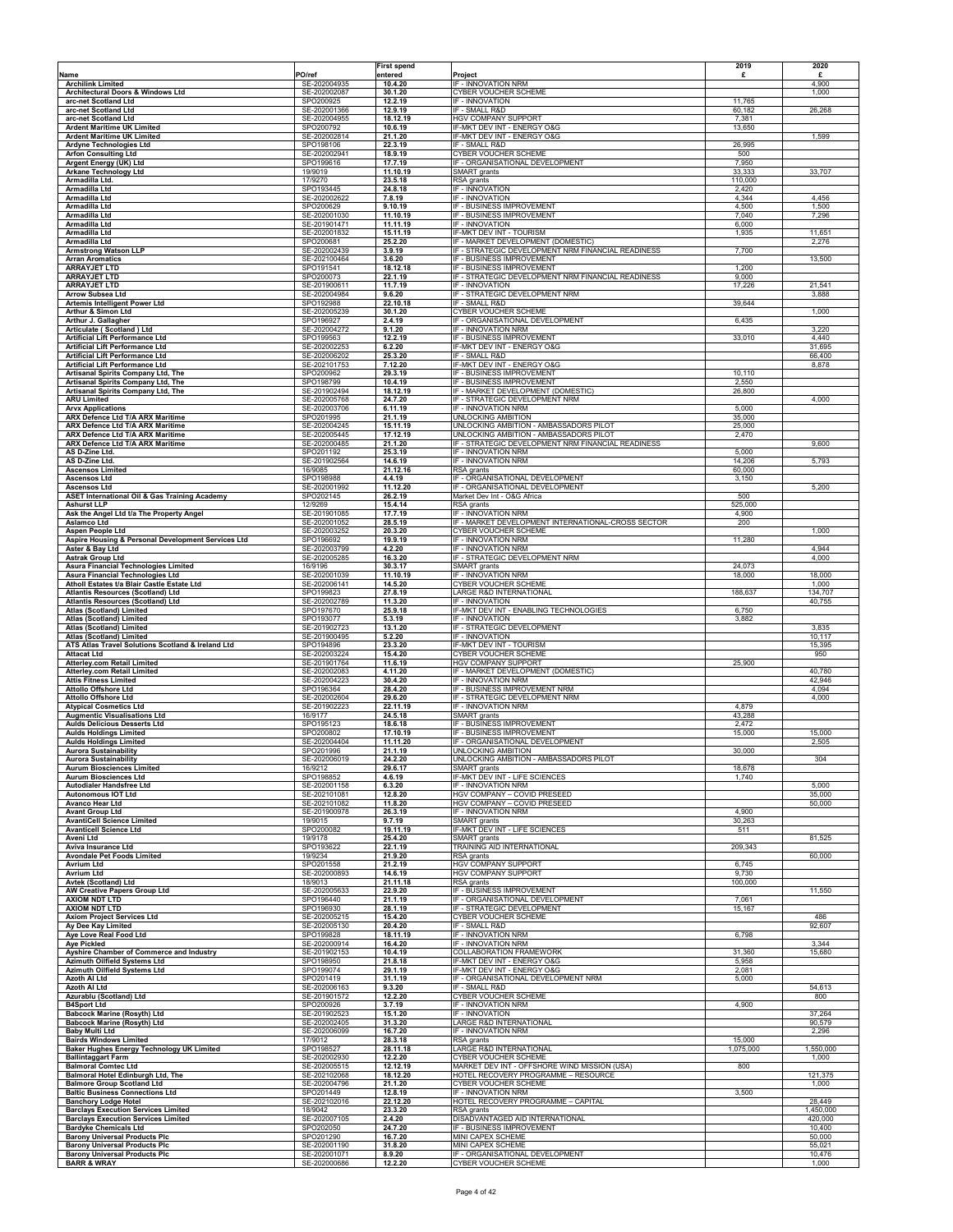|                                                                                      |                              | <b>First spend</b>   |                                                                                     | 2019                | 2020                |
|--------------------------------------------------------------------------------------|------------------------------|----------------------|-------------------------------------------------------------------------------------|---------------------|---------------------|
| Name                                                                                 | PO/ref                       | entered              | Project                                                                             | £                   | £                   |
| <b>Archilink Limited</b><br>Architectural Doors & Windows Ltd                        | SE-202004935<br>SE-202002087 | 10.4.20<br>30.1.20   | IF - INNOVATION NRM<br>CYBER VOUCHER SCHEME                                         |                     | 4,900<br>1,000      |
| arc-net Scotland Ltd                                                                 | SPO200925                    | 12.2.19              | IF - INNOVATION                                                                     | 11,765              |                     |
| arc-net Scotland Ltd                                                                 | SE-202001366                 | 12.9.19              | IF - SMALL R&D                                                                      | 60,182              | 26,268              |
| arc-net Scotland Ltd<br><b>Ardent Maritime UK Limited</b>                            | SE-202004955<br>SPO200792    | 18.12.19<br>10.6.19  | <b>HGV COMPANY SUPPORT</b><br>IF-MKT DEV INT - ENERGY O&G                           | 7,381<br>13,650     |                     |
| <b>Ardent Maritime UK Limited</b>                                                    | SE-202002814                 | 21.1.20              | IF-MKT DEV INT - ENERGY O&G                                                         |                     | 1,599               |
| Ardyne Technologies Ltd<br><b>Arfon Consulting Ltd</b>                               | SPO198106<br>SE-202002941    | 22.3.19<br>18.9.19   | IF - SMALL R&D<br>CYBER VOUCHER SCHEME                                              | 26,995<br>500       |                     |
| Argent Energy (UK) Ltd                                                               | SPO199616                    | 17.7.19              | IF - ORGANISATIONAL DEVELOPMENT                                                     | 7,950               |                     |
| <b>Arkane Technology Ltd</b>                                                         | 19/9019                      | 11.10.19             | SMART grants                                                                        | 33,333              | 33,707              |
| Armadilla Ltd.<br>Armadilla Ltd                                                      | 17/9270<br>SPO193445         | 23.5.18<br>24.8.18   | RSA grants<br>IF - INNOVATION                                                       | 110,000<br>2,420    |                     |
| Armadilla Ltd                                                                        | SE-202002622                 | 7.8.19               | IF - INNOVATION                                                                     | 4,344               | 4,456               |
| Armadilla Ltd                                                                        | SPO200629                    | 9.10.19              | IF - BUSINESS IMPROVEMENT                                                           | 4,500               | 1,500               |
| Armadilla Ltd<br>Armadilla Ltd                                                       | SE-202001030<br>SE-201901471 | 11.10.19             | IF - BUSINESS IMPROVEMENT<br>IF - INNOVATION                                        | 7,040               | 7,296               |
| Armadilla Ltd                                                                        | SE-202001832                 | 11.11.19<br>15.11.19 | IF-MKT DEV INT - TOURISM                                                            | 6,000<br>1,935      | 11,651              |
| Armadilla Ltd                                                                        | SPO200681                    | 25.2.20              | IF - MARKET DEVELOPMENT (DOMESTIC)                                                  |                     | 2,276               |
| <b>Armstrong Watson LLP</b><br><b>Arran Aromatics</b>                                | SE-202002439<br>SE-202100464 | 3.9.19<br>3.6.20     | IF - STRATEGIC DEVELOPMENT NRM FINANCIAL READINESS<br>IF - BUSINESS IMPROVEMENT     | 7,700               | 13,500              |
| <b>ARRAYJET LTD</b>                                                                  | SPO191541                    | 18.12.18             | IF - BUSINESS IMPROVEMENT                                                           | 1,200               |                     |
| <b>ARRAYJET LTD</b>                                                                  | SPO200073                    | 22.1.19              | IF - STRATEGIC DEVELOPMENT NRM FINANCIAL READINESS                                  | 9,000               |                     |
| <b>ARRAYJET LTD</b><br><b>Arrow Subsea Ltd</b>                                       | SE-201900611<br>SE-202004984 | 11.7.19<br>9.6.20    | IF - INNOVATION<br>IF - STRATEGIC DEVELOPMENT NRM                                   | 17,226              | 21,541<br>3,888     |
| Artemis Intelligent Power Ltd                                                        | SPO192988                    | 22.10.18             | IF - SMALL R&D                                                                      | 39,644              |                     |
| Arthur & Simon Ltd                                                                   | SE-202005239                 | 30.1.20              | <b>CYBER VOUCHER SCHEME</b>                                                         |                     | 1,000               |
| Arthur J. Gallagher<br>Articulate (Scotland) Ltd                                     | SPO196927<br>SE-202004272    | 2.4.19<br>9.1.20     | IF - ORGANISATIONAL DEVELOPMENT<br>IF - INNOVATION NRM                              | 6,435               | 3,220               |
| Artificial Lift Performance Ltd                                                      | SPO199563                    | 12.2.19              | IF - BUSINESS IMPROVEMENT                                                           | 33,010              | 4,440               |
| Artificial Lift Performance Ltd                                                      | SE-202002253                 | 6.2.20               | IF-MKT DEV INT - ENERGY O&G                                                         |                     | 31,695              |
| Artificial Lift Performance Ltd<br>Artificial Lift Performance Ltd                   | SE-202006202<br>SE-202101753 | 25.3.20<br>7.12.20   | IF - SMALL R&D<br>IF-MKT DEV INT - ENERGY O&G                                       |                     | 66,400<br>8,878     |
| Artisanal Spirits Company Ltd, The                                                   | SPO200962                    | 29.3.19              | IF - BUSINESS IMPROVEMENT                                                           | 10,110              |                     |
| Artisanal Spirits Company Ltd, The                                                   | SPO198799                    | 10.4.19              | IF - BUSINESS IMPROVEMENT                                                           | 2,550               |                     |
| Artisanal Spirits Company Ltd, The<br><b>ARU Limited</b>                             | SE-201902494<br>SE-202005768 | 18.12.19<br>24.7.20  | IF - MARKET DEVELOPMENT (DOMESTIC)<br>IF - STRATEGIC DEVELOPMENT NRM                | 26,800              | 4,000               |
| <b>Arvx Applications</b>                                                             | SE-202003706                 | 6.11.19              | IF - INNOVATION NRM                                                                 | 5,000               |                     |
| ARX Defence Ltd T/A ARX Maritime                                                     | SPO201995                    | 21.1.19              | UNLOCKING AMBITION                                                                  | 35,000              |                     |
| ARX Defence Ltd T/A ARX Maritime<br>ARX Defence Ltd T/A ARX Maritime                 | SE-202004245<br>SE-202005445 | 15.11.19<br>17.12.19 | UNLOCKING AMBITION - AMBASSADORS PILOT<br>UNLOCKING AMBITION - AMBASSADORS PILOT    | 25,000<br>2,470     |                     |
| ARX Defence Ltd T/A ARX Maritime                                                     | SE-202000485                 | 21.1.20              | IF - STRATEGIC DEVELOPMENT NRM FINANCIAL READINESS                                  |                     | 9,600               |
| AS D-Zine Ltd.                                                                       | SPO201192                    | 25.3.19              | IF - INNOVATION NRM                                                                 | 5,000               |                     |
| AS D-Zine Ltd.<br><b>Ascensos Limited</b>                                            | SE-201902564<br>16/9085      | 14.6.19<br>21.12.16  | IF - INNOVATION NRM<br>RSA grants                                                   | 14,206<br>60,000    | 5,793               |
| <b>Ascensos Ltd</b>                                                                  | SPO198988                    | 4.4.19               | IF - ORGANISATIONAL DEVELOPMENT                                                     | 3,150               |                     |
| <b>Ascensos Ltd</b>                                                                  | SE-202001992                 | 11.12.20             | IF - ORGANISATIONAL DEVELOPMENT                                                     |                     | 5,200               |
| ASET International Oil & Gas Training Academy<br><b>Ashurst LLP</b>                  | SPO202145<br>12/9269         | 26.2.19<br>15.4.14   | Market Dev Int - O&G Africa<br>RSA grants                                           | 500<br>525,000      |                     |
| Ask the Angel Ltd t/a The Property Angel                                             | SE-201901085                 | 17.7.19              | IF - INNOVATION NRM                                                                 | 4,900               |                     |
| <b>Aslamco Ltd</b><br><b>Aspen People Ltd</b>                                        | SE-202001052<br>SE-202003252 | 28.5.19<br>20.3.20   | IF - MARKET DEVELOPMENT INTERNATIONAL-CROSS SECTOR<br>CYBER VOUCHER SCHEME          | 200                 | 1,000               |
| Aspire Housing & Personal Development Services Ltd                                   | SPO196692                    | 19.9.19              | IF - INNOVATION NRM                                                                 | 11,280              |                     |
| Aster & Bay Ltd                                                                      | SE-202003799                 | 4.2.20               | IF - INNOVATION NRM                                                                 |                     | 4,944               |
| <b>Astrak Group Ltd</b><br>Asura Financial Technologies Limited                      | SE-202005285<br>16/9196      | 16.3.20<br>30.3.17   | IF - STRATEGIC DEVELOPMENT NRM<br>SMART grants                                      | 24,073              | 4,000               |
| Asura Financial Technologies Ltd                                                     | SE-202001039                 | 11.10.19             | IF - INNOVATION NRM                                                                 | 18,000              | 18,000              |
| Atholl Estates t/a Blair Castle Estate Ltd                                           | SE-202006141                 | 14.5.20              | <b>CYBER VOUCHER SCHEME</b>                                                         |                     | 1,000               |
| <b>Atlantis Resources (Scotland) Ltd</b><br><b>Atlantis Resources (Scotland) Ltd</b> | SPO199823<br>SE-202002789    | 27.8.19<br>11.3.20   | LARGE R&D INTERNATIONAL<br>IF - INNOVATION                                          | 188,637             | 134,707<br>40,755   |
| Atlas (Scotland) Limited                                                             | SPO197670                    | 25.9.18              | IF-MKT DEV INT - ENABLING TECHNOLOGIES                                              | 6,750               |                     |
| Atlas (Scotland) Limited                                                             | SPO193077                    | 5.3.19               | IF - INNOVATION                                                                     | 3,882               |                     |
| Atlas (Scotland) Limited<br>Atlas (Scotland) Limited                                 | SE-201902723<br>SE-201900495 | 13.1.20<br>5.2.20    | IF - STRATEGIC DEVELOPMENT<br>IF - INNOVATION                                       |                     | 3,835<br>10,117     |
| ATS Atlas Travel Solutions Scotland & Ireland Ltd                                    | SPO194896                    | 23.3.20              | IF-MKT DEV INT - TOURISM                                                            |                     | 15,395              |
| <b>Attacat Ltd</b><br><b>Atterley.com Retail Limited</b>                             | SE-202003224<br>SE-201901764 | 15.4.20<br>11.6.19   | CYBER VOUCHER SCHEME<br><b>HGV COMPANY SUPPORT</b>                                  | 25,900              | 950                 |
| <b>Atterley.com Retail Limited</b>                                                   | SE-202002083                 | 4.11.20              | IF - MARKET DEVELOPMENT (DOMESTIC)                                                  |                     | 40,780              |
| <b>Attis Fitness Limited</b>                                                         | SE-202004223                 | 30.4.20              | IF - INNOVATION NRM<br>IF - BUSINESS IMPROVEMENT NRM                                |                     | 42,946              |
| <b>Attollo Offshore Ltd</b><br><b>Attollo Offshore Ltd</b>                           | SPO196364<br>SE-202002604    | 28.4.20<br>29.6.20   | IF - STRATEGIC DEVELOPMENT NRM                                                      |                     | 4,094<br>4,000      |
| <b>Atypical Cosmetics Ltd</b>                                                        | SE-201902223                 | 22.11.19             | IF - INNOVATION NRM                                                                 | 4,879               |                     |
| <b>Augmentic Visualisations Ltd</b><br><b>Aulds Delicious Desserts Ltd</b>           | 16/9177                      | 24.5.18              | SMART grants<br>IF - BUSINESS IMPROVEMENT                                           | 43,288              |                     |
| <b>Aulds Holdings Limited</b>                                                        | SPO195123<br>SPO200802       | 18.6.18<br>17.10.19  | IF - BUSINESS IMPROVEMENT                                                           | 2,472<br>15,000     | 15,000              |
| <b>Aulds Holdings Limited</b>                                                        | SE-202004404                 | 11.11.20             | IF - ORGANISATIONAL DEVELOPMENT                                                     |                     | 2,505               |
| <b>Aurora Sustainability</b>                                                         | SPO201996                    | 21.1.19              | <b>UNLOCKING AMBITION</b>                                                           | 30,000              | 304                 |
| <b>Aurora Sustainability</b><br><b>Aurum Biosciences Limited</b>                     | SE-202006019<br>16/9212      | 24.2.20<br>29.6.17   | UNLOCKING AMBITION - AMBASSADORS PILOT<br>SMART grants                              | 18,678              |                     |
| <b>Aurum Biosciences Ltd</b>                                                         | SPO198852                    | 4.6.19               | IF-MKT DEV INT - LIFE SCIENCES                                                      | 1,740               |                     |
| Autodialer Handsfree Ltd<br><b>Autonomous IOT Ltd</b>                                | SE-202001158<br>SE-202101081 | 6.3.20<br>12.8.20    | IF - INNOVATION NRM<br>HGV COMPANY - COVID PRESEED                                  |                     | 5,000<br>35,000     |
| <b>Avanco Hear Ltd</b>                                                               | SE-202101082                 | 11.8.20              | HGV COMPANY - COVID PRESEED                                                         |                     | 50,000              |
| <b>Avant Group Ltd</b><br><b>AvantiCell Science Limited</b>                          | SE-201900978                 | 26.3.19              | IF - INNOVATION NRM<br>SMART grants                                                 | 4,900               |                     |
| <b>Avanticell Science Ltd</b>                                                        | 19/9015<br>SPO200082         | 9.7.19<br>19.11.19   | IF-MKT DEV INT - LIFE SCIENCES                                                      | 30,263<br>511       |                     |
| Aveni Ltd                                                                            | 19/9178                      | 25.4.20              | SMART grants                                                                        |                     | 81,525              |
| <b>Aviva Insurance Ltd</b><br><b>Avondale Pet Foods Limited</b>                      | SPO193622<br>19/9234         | 22.1.19<br>21.9.20   | TRAINING AID INTERNATIONAL<br>RSA grants                                            | 209,343             | 60,000              |
| <b>Avrium Ltd</b>                                                                    | SPO201558                    | 21.2.19              | <b>HGV COMPANY SUPPORT</b>                                                          | 6,745               |                     |
| <b>Avrium Ltd</b><br><b>Avtek (Scotland) Ltd</b>                                     | SE-202000893                 | 14.6.19              | HGV COMPANY SUPPORT                                                                 | 9,730               |                     |
| AW Creative Papers Group Ltd                                                         | 18/9013<br>SE-202005633      | 21.11.18<br>22.9.20  | RSA grants<br>IF - BUSINESS IMPROVEMENT                                             | 100,000             | 11,550              |
| <b>AXIOM NDT LTD</b>                                                                 | SPO196440                    | 21.1.19              | IF - ORGANISATIONAL DEVELOPMENT                                                     | 7,061               |                     |
| <b>AXIOM NDT LTD</b><br><b>Axiom Project Services Ltd</b>                            | SPO196930<br>SE-202005215    | 28.1.19<br>15.4.20   | IF - STRATEGIC DEVELOPMENT<br><b>CYBER VOUCHER SCHEME</b>                           | 15,167              | 486                 |
| Ay Dee Kay Limited                                                                   | SE-202005130                 | 20.4.20              | IF - SMALL R&D                                                                      |                     | 92,607              |
| Aye Love Real Food Ltd                                                               | SPO199828                    | 18.11.19             | IF - INNOVATION NRM                                                                 | 6,798               |                     |
| <b>Aye Pickled</b><br>Ayshire Chamber of Commerce and Industry                       | SE-202000914<br>SE-201902153 | 16.4.20<br>10.4.19   | IF - INNOVATION NRM<br><b>COLLABORATION FRAMEWORK</b>                               | 31,360              | 3,344<br>15,680     |
| Azimuth Oilfield Systems Ltd                                                         | SPO198950                    | 21.8.18              | IF-MKT DEV INT - ENERGY O&G                                                         | 5,958               |                     |
| Azimuth Oilfield Systems Ltd<br><b>Azoth AI Ltd</b>                                  | SPO199074<br>SPO201419       | 29.1.19<br>31.1.19   | IF-MKT DEV INT - ENERGY O&G<br>IF - ORGANISATIONAL DEVELOPMENT NRM                  | 2,081<br>5,000      |                     |
| <b>Azoth AI Ltd</b>                                                                  | SE-202006163                 | 9.3.20               | IF - SMALL R&D                                                                      |                     | 54,613              |
| Azurablu (Scotland) Ltd                                                              | SE-201901572                 | 12.2.20              | CYBER VOUCHER SCHEME                                                                |                     | 800                 |
| <b>B4Sport Ltd</b><br><b>Babcock Marine (Rosyth) Ltd</b>                             | SPO200926<br>SE-201902523    | 3.7.19<br>15.1.20    | IF - INNOVATION NRM<br>IF - INNOVATION                                              | 4,900               | 37,264              |
| <b>Babcock Marine (Rosyth) Ltd</b>                                                   | SE-202002405                 | 31.3.20              | <b>LARGE R&amp;D INTERNATIONAL</b>                                                  |                     | 90,579              |
| <b>Baby Multi Ltd</b>                                                                | SE-202006099                 | 16.7.20              | IF - INNOVATION NRM                                                                 |                     | 2,296               |
| <b>Bairds Windows Limited</b><br><b>Baker Hughes Energy Technology UK Limited</b>    | 17/9012<br>SPO198527         | 28.3.18<br>28.11.18  | RSA grants<br>LARGE R&D INTERNATIONAL                                               | 15,000<br>1,075,000 | 1,550,000           |
| <b>Ballintaggart Farm</b>                                                            | SE-202002930                 | 12.2.20              | CYBER VOUCHER SCHEME                                                                |                     | 1,000               |
| <b>Balmoral Comtec Ltd</b><br>Balmoral Hotel Edinburgh Ltd, The                      | SE-202005515                 | 12.12.19             | MARKET DEV INT - OFFSHORE WIND MISSION (USA)<br>HOTEL RECOVERY PROGRAMME - RESOURCE | 800                 |                     |
| <b>Balmore Group Scotland Ltd</b>                                                    | SE-202102068<br>SE-202004796 | 18.12.20<br>21.1.20  | CYBER VOUCHER SCHEME                                                                |                     | 121,375<br>1,000    |
| <b>Baltic Business Connections Ltd</b>                                               | SPO201449                    | 12.8.19              | IF - INNOVATION NRM                                                                 | 3,500               |                     |
| <b>Banchory Lodge Hotel</b><br><b>Barclays Execution Services Limited</b>            | SE-202102016<br>18/9042      | 22.12.20<br>23.3.20  | HOTEL RECOVERY PROGRAMME - CAPITAL<br>RSA grants                                    |                     | 28,449<br>1,450,000 |
| <b>Barclays Execution Services Limited</b>                                           | SE-202007105                 | 2.4.20               | DISADVANTAGED AID INTERNATIONAL                                                     |                     | 420,000             |
| <b>Bardyke Chemicals Ltd</b>                                                         | SPO202050                    | 24.7.20              | IF - BUSINESS IMPROVEMENT                                                           |                     | 10,400              |
| <b>Barony Universal Products Plc</b><br><b>Barony Universal Products Plc</b>         | SPO201290<br>SE-202001190    | 16.7.20<br>31.8.20   | MINI CAPEX SCHEME<br>MINI CAPEX SCHEME                                              |                     | 50,000<br>55,021    |
| <b>Barony Universal Products Plc</b>                                                 | SE-202001071                 | 8.9.20               | IF - ORGANISATIONAL DEVELOPMENT                                                     |                     | 10,476              |
| <b>BARR &amp; WRAY</b>                                                               | SE-202000686                 | 12.2.20              | <b>CYBER VOUCHER SCHEME</b>                                                         |                     | 1,000               |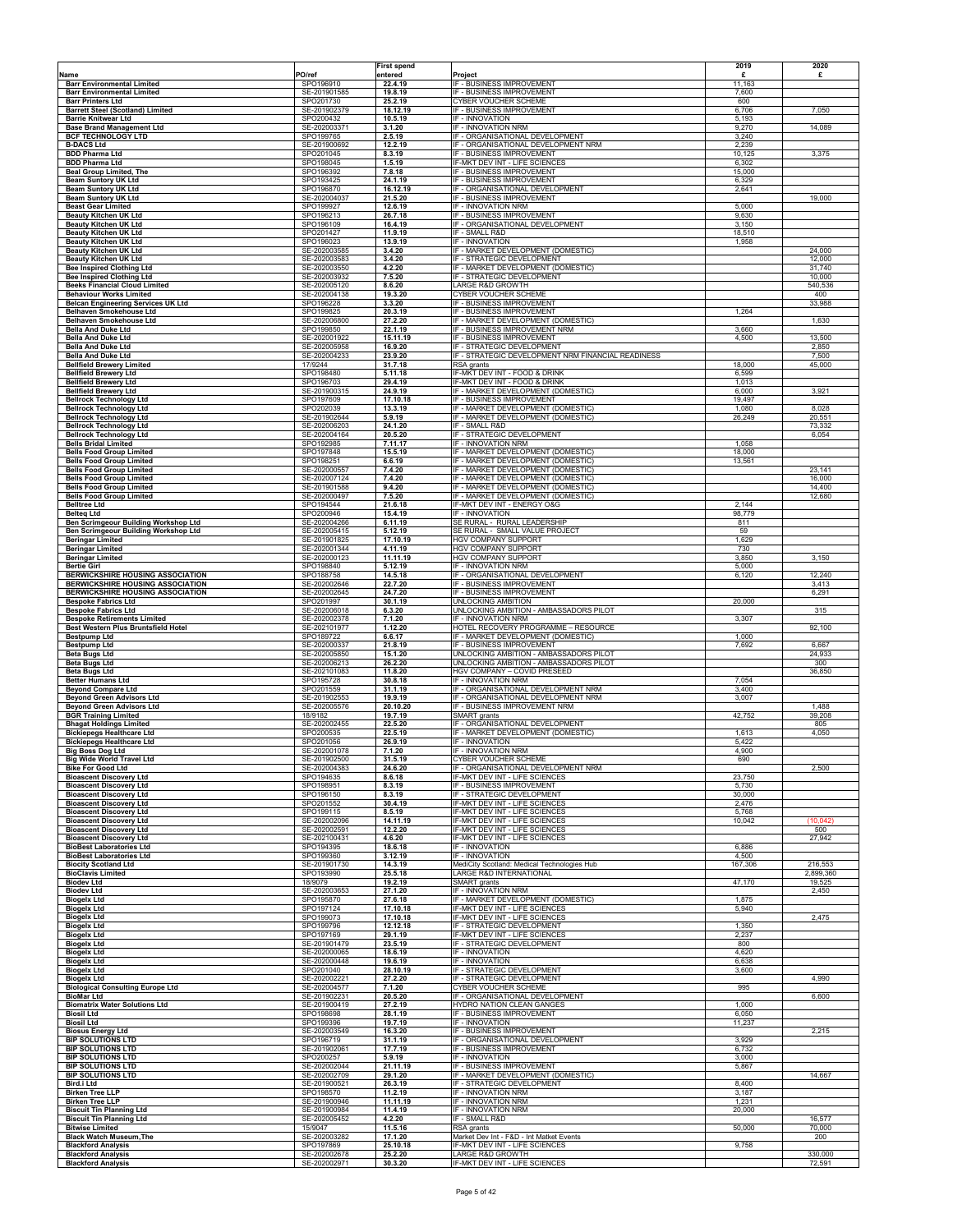|                                                                                    |                              | First spend         |                                                                                  | 2019            | 2020                |
|------------------------------------------------------------------------------------|------------------------------|---------------------|----------------------------------------------------------------------------------|-----------------|---------------------|
| Name                                                                               | PO/ref                       | entered             | Project<br>IF - BUSINESS IMPROVEMENT                                             | £               | £                   |
| <b>Barr Environmental Limited</b><br><b>Barr Environmental Limited</b>             | SPO196910<br>SE-201901585    | 22.4.19<br>19.8.19  | IF - BUSINESS IMPROVEMENT                                                        | 11,163<br>7,600 |                     |
| <b>Barr Printers Ltd</b>                                                           | SPO201730                    | 25.2.19             | <b>CYBER VOUCHER SCHEME</b>                                                      | 600             |                     |
| <b>Barrett Steel (Scotland) Limited</b><br><b>Barrie Knitwear Ltd</b>              | SE-201902379<br>SPO200432    | 18.12.19<br>10.5.19 | IF - BUSINESS IMPROVEMENT<br>IF - INNOVATION                                     | 6,706<br>5,193  | 7,050               |
| <b>Base Brand Management Ltd</b>                                                   | SE-202003371                 | 3.1.20              | IF - INNOVATION NRM                                                              | 9,270           | 14,089              |
| <b>BCF TECHNOLOGY LTD</b><br><b>B-DACS Ltd</b>                                     | SPO199765<br>SE-201900692    | 2.5.19<br>12.2.19   | IF - ORGANISATIONAL DEVELOPMENT<br>IF - ORGANISATIONAL DEVELOPMENT NRM           | 3,240<br>2,239  |                     |
| <b>BDD Pharma Ltd</b>                                                              | SPO201045                    | 8.3.19              | IF - BUSINESS IMPROVEMENT                                                        | 10,125          | 3,375               |
| <b>BDD Pharma Ltd</b>                                                              | SPO198045<br>SPO196392       | 1.5.19              | IF-MKT DEV INT - LIFE SCIENCES                                                   | 6,302           |                     |
| <b>Beal Group Limited, The</b><br><b>Beam Suntory UK Ltd</b>                       | SPO193425                    | 7.8.18<br>24.1.19   | IF - BUSINESS IMPROVEMENT<br>IF - BUSINESS IMPROVEMENT                           | 15,000<br>6,329 |                     |
| <b>Beam Suntory UK Ltd</b>                                                         | SPO196870                    | 16.12.19            | IF - ORGANISATIONAL DEVELOPMENT                                                  | 2,641           |                     |
| <b>Beam Suntory UK Ltd</b><br><b>Beast Gear Limited</b>                            | SE-202004037<br>SPO199927    | 21.5.20<br>12.6.19  | IF - BUSINESS IMPROVEMENT<br>IF - INNOVATION NRM                                 | 5,000           | 19,000              |
| <b>Beauty Kitchen UK Ltd</b>                                                       | SPO196213                    | 26.7.18             | IF - BUSINESS IMPROVEMENT                                                        | 9,630           |                     |
| <b>Beauty Kitchen UK Ltd</b><br><b>Beauty Kitchen UK Ltd</b>                       | SPO196109<br>SPO201427       | 16.4.19<br>11.9.19  | IF - ORGANISATIONAL DEVELOPMENT<br>IF - SMALL R&D                                | 3,150<br>18,510 |                     |
| <b>Beauty Kitchen UK Ltd</b>                                                       | SPO196023                    | 13.9.19             | IF - INNOVATION                                                                  | 1,958           |                     |
| <b>Beauty Kitchen UK Ltd</b>                                                       | SE-202003585                 | 3.4.20              | IF - MARKET DEVELOPMENT (DOMESTIC)<br>IF - STRATEGIC DEVELOPMENT                 |                 | 24,000<br>12,000    |
| <b>Beauty Kitchen UK Ltd</b><br><b>Bee Inspired Clothing Ltd</b>                   | SE-202003583<br>SE-202003550 | 3.4.20<br>4.2.20    | IF - MARKET DEVELOPMENT (DOMESTIC)                                               |                 | 31,740              |
| <b>Bee Inspired Clothing Ltd</b>                                                   | SE-202003932                 | 7.5.20              | IF - STRATEGIC DEVELOPMENT                                                       |                 | 10,000              |
| <b>Beeks Financial Cloud Limited</b><br><b>Behaviour Works Limited</b>             | SE-202005120<br>SE-202004138 | 8.6.20<br>19.3.20   | LARGE R&D GROWTH<br><b>CYBER VOUCHER SCHEME</b>                                  |                 | 540,536<br>400      |
| <b>Belcan Engineering Services UK Ltd</b>                                          | SPO196228                    | 3.3.20              | IF - BUSINESS IMPROVEMENT                                                        |                 | 33,988              |
| Belhaven Smokehouse Ltd<br>Belhaven Smokehouse Ltd                                 | SPO199825<br>SE-202006800    | 20.3.19<br>27.2.20  | IF - BUSINESS IMPROVEMENT<br>IF - MARKET DEVELOPMENT (DOMESTIC)                  | 1,264           | 1,630               |
| <b>Bella And Duke Ltd</b>                                                          | SPO199850                    | 22.1.19             | IF - BUSINESS IMPROVEMENT NRM                                                    | 3,660           |                     |
| <b>Bella And Duke Ltd</b>                                                          | SE-202001922                 | 15.11.19            | IF - BUSINESS IMPROVEMENT                                                        | 4,500           | 13,500              |
| <b>Bella And Duke Ltd</b><br><b>Bella And Duke Ltd</b>                             | SE-202005958<br>SE-202004233 | 16.9.20<br>23.9.20  | IF - STRATEGIC DEVELOPMENT<br>IF - STRATEGIC DEVELOPMENT NRM FINANCIAL READINESS |                 | 2,850<br>7,500      |
| <b>Bellfield Brewery Limited</b>                                                   | 17/9244                      | 31.7.18             | <b>RSA</b> grants                                                                | 18,000          | 45,000              |
| <b>Bellfield Brewery Ltd</b><br><b>Bellfield Brewery Ltd</b>                       | SPO198480<br>SPO196703       | 5.11.18<br>29.4.19  | IF-MKT DEV INT - FOOD & DRINK<br>IF-MKT DEV INT - FOOD & DRINK                   | 6,599<br>1,013  |                     |
| <b>Bellfield Brewery Ltd</b>                                                       | SE-201900315                 | 24.9.19             | IF - MARKET DEVELOPMENT (DOMESTIC)                                               | 6,000           | 3,921               |
| <b>Bellrock Technology Ltd</b><br><b>Bellrock Technology Ltd</b>                   | SPO197609<br>SPO202039       | 17.10.18<br>13.3.19 | IF - BUSINESS IMPROVEMENT<br>IF - MARKET DEVELOPMENT (DOMESTIC)                  | 19,497<br>1,080 | 8,028               |
| <b>Bellrock Technology Ltd</b>                                                     | SE-201902644                 | 5.9.19              | IF - MARKET DEVELOPMENT (DOMESTIC)                                               | 26,249          | 20,551              |
| <b>Bellrock Technology Ltd</b>                                                     | SE-202006203                 | 24.1.20             | IF - SMALL R&D                                                                   |                 | 73,332              |
| <b>Bellrock Technology Ltd</b><br><b>Bells Bridal Limited</b>                      | SE-202004164<br>SPO192985    | 20.5.20<br>7.11.17  | IF - STRATEGIC DEVELOPMENT<br>IF - INNOVATION NRM                                | 1,058           | 6,054               |
| <b>Bells Food Group Limited</b>                                                    | SPO197848                    | 15.5.19             | IF - MARKET DEVELOPMENT (DOMESTIC)                                               | 18,000          |                     |
| <b>Bells Food Group Limited</b><br><b>Bells Food Group Limited</b>                 | SPO198251<br>SE-202000557    | 6.6.19<br>7.4.20    | IF - MARKET DEVELOPMENT (DOMESTIC)<br>IF - MARKET DEVELOPMENT (DOMESTIC)         | 13,561          | 23,141              |
| <b>Bells Food Group Limited</b>                                                    | SE-202007124                 | 7.4.20              | IF - MARKET DEVELOPMENT (DOMESTIC)                                               |                 | 16,000              |
| <b>Bells Food Group Limited</b><br><b>Bells Food Group Limited</b>                 | SE-201901588<br>SE-202000497 | 9.4.20<br>7.5.20    | IF - MARKET DEVELOPMENT (DOMESTIC)<br>IF - MARKET DEVELOPMENT (DOMESTIC)         |                 | 14,400<br>12,680    |
| <b>Belltree Ltd</b>                                                                | SPO194544                    | 21.6.18             | IF-MKT DEV INT - ENERGY O&G                                                      | 2,144           |                     |
| <b>Belteq Ltd</b>                                                                  | SPO200946                    | 15.4.19             | IF - INNOVATION                                                                  | 98,779          |                     |
| Ben Scrimgeour Building Workshop Ltd<br>Ben Scrimgeour Building Workshop Ltd       | SE-202004266<br>SE-202005415 | 6.11.19<br>5.12.19  | SE RURAL - RURAL LEADERSHIP<br>SE RURAL - SMALL VALUE PROJECT                    | 811<br>59       |                     |
| <b>Beringar Limited</b>                                                            | SE-201901825                 | 17.10.19            | <b>HGV COMPANY SUPPORT</b>                                                       | 1,629           |                     |
| <b>Beringar Limited</b><br><b>Beringar Limited</b>                                 | SE-202001344<br>SE-202000123 | 4.11.19<br>11.11.19 | <b>HGV COMPANY SUPPORT</b><br><b>HGV COMPANY SUPPORT</b>                         | 730<br>3,850    | 3,150               |
| <b>Bertie Girl</b>                                                                 | SPO198840                    | 5.12.19             | IF - INNOVATION NRM                                                              | 5,000           |                     |
| <b>BERWICKSHIRE HOUSING ASSOCIATION</b><br><b>BERWICKSHIRE HOUSING ASSOCIATION</b> | SPO188758<br>SE-202002646    | 14.5.18<br>22.7.20  | IF - ORGANISATIONAL DEVELOPMENT<br>IF - BUSINESS IMPROVEMENT                     | 6,120           | 12,240<br>3,413     |
| BERWICKSHIRE HOUSING ASSOCIATION                                                   | SE-202002645                 | 24.7.20             | IF - BUSINESS IMPROVEMENT                                                        |                 | 6,291               |
| <b>Bespoke Fabrics Ltd</b>                                                         | SPO201997                    | 30.1.19             | UNLOCKING AMBITION                                                               | 20,000          |                     |
| <b>Bespoke Fabrics Ltd</b><br><b>Bespoke Retirements Limited</b>                   | SE-202006018<br>SE-202002378 | 6.3.20<br>7.1.20    | UNLOCKING AMBITION - AMBASSADORS PILOT<br>IF - INNOVATION NRM                    | 3,307           | 315                 |
| Best Western Plus Bruntsfield Hotel                                                | SE-202101977                 | 1.12.20             | HOTEL RECOVERY PROGRAMME - RESOURCE                                              |                 | 92,100              |
| <b>Bestpump Ltd</b><br><b>Bestpump Ltd</b>                                         | SPO189722<br>SE-202000337    | 6.6.17<br>21.8.19   | IF - MARKET DEVELOPMENT (DOMESTIC)<br>IF - BUSINESS IMPROVEMENT                  | 1,000<br>7,692  | 6,667               |
| <b>Beta Bugs Ltd</b>                                                               | SE-202005850                 | 15.1.20             | UNLOCKING AMBITION - AMBASSADORS PILOT                                           |                 | 24,933              |
| <b>Beta Bugs Ltd</b>                                                               | SE-202006213                 | 26.2.20             | UNLOCKING AMBITION - AMBASSADORS PILOT                                           |                 | 300                 |
| <b>Beta Bugs Ltd</b><br><b>Better Humans Ltd</b>                                   | SE-202101083<br>SPO195728    | 11.8.20<br>30.8.18  | HGV COMPANY - COVID PRESEED<br>IF - INNOVATION NRM                               | 7,054           | 36,850              |
| <b>Beyond Compare Ltd</b>                                                          | SPO201559                    | 31.1.19             | IF - ORGANISATIONAL DEVELOPMENT NRM                                              | 3,400           |                     |
| <b>Beyond Green Advisors Ltd</b><br><b>Beyond Green Advisors Ltd</b>               | SE-201902553<br>SE-202005576 | 19.9.19<br>20.10.20 | IF - ORGANISATIONAL DEVELOPMENT NRM<br>IF - BUSINESS IMPROVEMENT NRM             | 3,007           | 1,488               |
| <b>BGR Training Limited</b>                                                        | 18/9182                      | 19.7.19             | SMART grants                                                                     | 42,752          | 39,208              |
| <b>Bhagat Holdings Limited</b><br><b>Bickiepegs Healthcare Ltd</b>                 | SE-202002455<br>SPO200535    | 22.5.20<br>22.5.19  | IF - ORGANISATIONAL DEVELOPMENT<br>IF - MARKET DEVELOPMENT (DOMESTIC)            | 1,613           | 805<br>4,050        |
| <b>Bickiepegs Healthcare Ltd</b>                                                   | SPO201056                    | 26.9.19             | IF - INNOVATION                                                                  | 5,422           |                     |
| <b>Big Boss Dog Ltd</b>                                                            | SE-202001078                 | 7.1.20              | IF - INNOVATION NRM                                                              | 4,900           |                     |
| <b>Big Wide World Travel Ltd</b><br><b>Bike For Good Ltd</b>                       | SE-201902500<br>SE-202004383 | 31.5.19<br>24.6.20  | CYBER VOUCHER SCHEME<br>IF - ORGANISATIONAL DEVELOPMENT NRM                      | 690             | 2,500               |
| <b>Bioascent Discovery Ltd</b>                                                     | SPO194635                    | 8.6.18              | IF-MKT DEV INT - LIFE SCIENCES                                                   | 23,750          |                     |
| <b>Bioascent Discovery Ltd</b><br><b>Bioascent Discovery Ltd</b>                   | SPO198951<br>SPO196150       | 8.3.19<br>8.3.19    | IF - BUSINESS IMPROVEMENT<br>IF - STRATEGIC DEVELOPMENT                          | 5,730<br>30,000 |                     |
| <b>Bioascent Discovery Ltd</b>                                                     | SPO201552                    | 30.4.19             | IF-MKT DEV INT - LIFE SCIENCES                                                   | 2,476           |                     |
| <b>Bioascent Discovery Ltd</b><br><b>Bioascent Discovery Ltd</b>                   | SPO199115<br>SE-202002096    | 8.5.19<br>14.11.19  | IF-MKT DEV INT - LIFE SCIENCES<br>IF-MKT DEV INT - LIFE SCIENCES                 | 5,768<br>10,042 | (10, 042)           |
| <b>Bioascent Discovery Ltd</b>                                                     | SE-202002591                 | 12.2.20             | IF-MKT DEV INT - LIFE SCIENCES                                                   |                 | 500                 |
| <b>Bioascent Discovery Ltd</b><br><b>BioBest Laboratories Ltd</b>                  | SE-202100431<br>SPO194395    | 4.6.20<br>18.6.18   | IF-MKT DEV INT - LIFE SCIENCES<br>IF - INNOVATION                                | 6,886           | 27,942              |
| <b>BioBest Laboratories Ltd</b>                                                    | SPO199360                    | 3.12.19             | IF - INNOVATION                                                                  | 4,500           |                     |
| <b>Biocity Scotland Ltd</b>                                                        | SE-201901730<br>SPO193990    | 14.3.19             | MediCity Scotland: Medical Technologies Hub<br>LARGE R&D INTERNATIONAL           | 167,306         | 216,553             |
| <b>BioClavis Limited</b><br><b>Biodev Ltd</b>                                      | 18/9079                      | 25.5.18<br>19.2.19  | <b>SMART</b> grants                                                              | 47,170          | 2,899,360<br>19,525 |
| <b>Biodev Ltd</b>                                                                  | SE-202003653                 | 27.1.20             | IF - INNOVATION NRM                                                              |                 | 2,450               |
| <b>Biogelx Ltd</b><br><b>Biogelx Ltd</b>                                           | SPO195870<br>SPO197124       | 27.6.18<br>17.10.18 | IF - MARKET DEVELOPMENT (DOMESTIC)<br>IF-MKT DEV INT - LIFE SCIENCES             | 1,875<br>5,940  |                     |
| <b>Biogelx Ltd</b>                                                                 | SPO199073                    | 17.10.18            | IF-MKT DEV INT - LIFE SCIENCES                                                   |                 | 2,475               |
| <b>Biogelx Ltd</b><br><b>Biogelx Ltd</b>                                           | SPO199796<br>SPO197169       | 12.12.18<br>29.1.19 | IF - STRATEGIC DEVELOPMENT<br>IF-MKT DEV INT - LIFE SCIENCES                     | 1,350<br>2,237  |                     |
| <b>Biogelx Ltd</b>                                                                 | SE-201901479                 | 23.5.19             | IF - STRATEGIC DEVELOPMENT                                                       | 800             |                     |
| <b>Biogelx Ltd</b>                                                                 | SE-202000065<br>SE-202000448 | 18.6.19             | IF - INNOVATION<br>IF - INNOVATION                                               | 4,620           |                     |
| <b>Biogelx Ltd</b><br><b>Biogelx Ltd</b>                                           | SPO201040                    | 19.6.19<br>28.10.19 | IF - STRATEGIC DEVELOPMENT                                                       | 6,638<br>3,600  |                     |
| <b>Biogelx Ltd</b>                                                                 | SE-202002221                 | 27.2.20             | IF - STRATEGIC DEVELOPMENT                                                       |                 | 4,990               |
| <b>Biological Consulting Europe Ltd</b><br><b>BioMar Ltd</b>                       | SE-202004577<br>SE-201902231 | 7.1.20<br>20.5.20   | <b>CYBER VOUCHER SCHEME</b><br>IF - ORGANISATIONAL DEVELOPMENT                   | 995             | 6,600               |
| <b>Biomatrix Water Solutions Ltd</b>                                               | SE-201900419                 | 27.2.19             | <b>HYDRO NATION CLEAN GANGES</b>                                                 | 1,000           |                     |
| <b>Biosil Ltd</b><br><b>Biosil Ltd</b>                                             | SPO198698<br>SPO199396       | 28.1.19<br>19.7.19  | IF - BUSINESS IMPROVEMENT<br>IF - INNOVATION                                     | 6,050<br>11,237 |                     |
| <b>Biosus Energy Ltd</b>                                                           | SE-202003549                 | 16.3.20             | IF - BUSINESS IMPROVEMENT                                                        |                 | 2,215               |
| <b>BIP SOLUTIONS LTD</b>                                                           | SPO196719                    | 31.1.19             | IF - ORGANISATIONAL DEVELOPMENT                                                  | 3,929           |                     |
| <b>BIP SOLUTIONS LTD</b><br><b>BIP SOLUTIONS LTD</b>                               | SE-201902061<br>SPO200257    | 17.7.19<br>5.9.19   | IF - BUSINESS IMPROVEMENT<br>IF - INNOVATION                                     | 6,732<br>3,000  |                     |
| <b>BIP SOLUTIONS LTD</b>                                                           | SE-202002044                 | 21.11.19            | IF - BUSINESS IMPROVEMENT                                                        | 5,867           |                     |
| <b>BIP SOLUTIONS LTD</b><br>Bird.i Ltd                                             | SE-202002709<br>SE-201900521 | 29.1.20<br>26.3.19  | IF - MARKET DEVELOPMENT (DOMESTIC)<br>IF - STRATEGIC DEVELOPMENT                 | 8,400           | 14,667              |
| <b>Birken Tree LLP</b>                                                             | SPO198570                    | 11.2.19             | IF - INNOVATION NRM                                                              | 3,187           |                     |
| <b>Birken Tree LLP</b>                                                             | SE-201900946                 | 11.11.19            | IF - INNOVATION NRM                                                              | 1,231           |                     |
| <b>Biscuit Tin Planning Ltd</b><br><b>Biscuit Tin Planning Ltd</b>                 | SE-201900984<br>SE-202005452 | 11.4.19<br>4.2.20   | IF - INNOVATION NRM<br>IF - SMALL R&D                                            | 20,000          | 16,577              |
| <b>Bitwise Limited</b>                                                             | 15/9047                      | 11.5.16             | RSA grants                                                                       | 50,000          | 70,000              |
| <b>Black Watch Museum, The</b><br><b>Blackford Analysis</b>                        | SE-202003282<br>SPO197869    | 17.1.20<br>25.10.18 | Market Dev Int - F&D - Int Matket Events<br>IF-MKT DEV INT - LIFE SCIENCES       | 9,758           | 200                 |
| <b>Blackford Analysis</b>                                                          | SE-202002678                 | 25.2.20             | LARGE R&D GROWTH                                                                 |                 | 330,000             |
| <b>Blackford Analysis</b>                                                          | SE-202002971                 | 30.3.20             | IF-MKT DEV INT - LIFE SCIENCES                                                   |                 | 72,591              |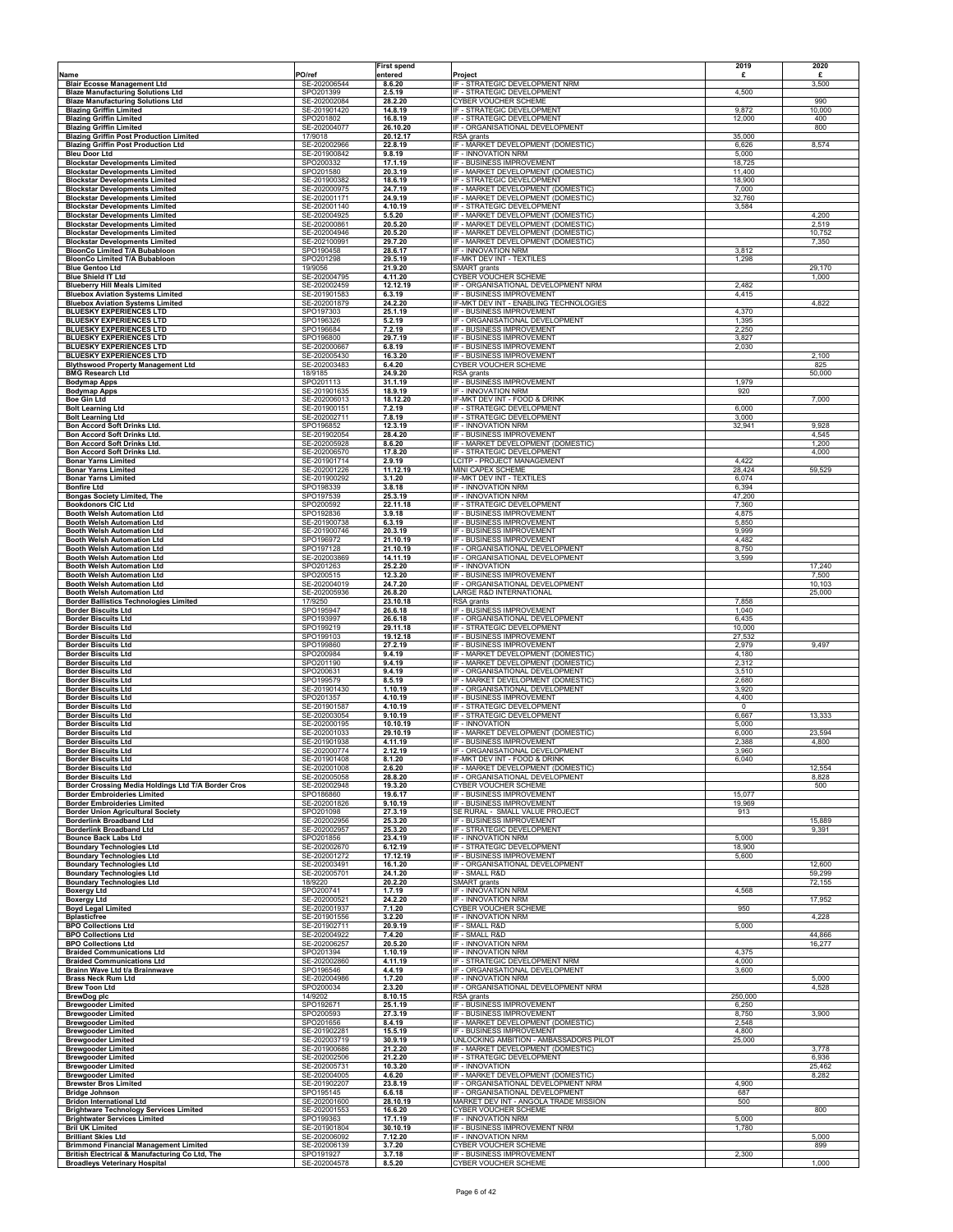|                                                                                                |                              | <b>First spend</b>   |                                                                              | 2019                  | 2020             |
|------------------------------------------------------------------------------------------------|------------------------------|----------------------|------------------------------------------------------------------------------|-----------------------|------------------|
| Name                                                                                           | PO/ref                       | entered              | Project                                                                      | £                     | £                |
| <b>Blair Ecosse Management Ltd</b>                                                             | SE-202006544<br>SPO201399    | 8.6.20               | IF - STRATEGIC DEVELOPMENT NRM<br>IF - STRATEGIC DEVELOPMENT                 | 4,500                 | 3,500            |
| <b>Blaze Manufacturing Solutions Ltd</b><br><b>Blaze Manufacturing Solutions Ltd</b>           | SE-202002084                 | 2.5.19<br>28.2.20    | <b>CYBER VOUCHER SCHEME</b>                                                  |                       | 990              |
| <b>Blazing Griffin Limited</b>                                                                 | SE-201901420                 | 14.8.19              | IF - STRATEGIC DEVELOPMENT                                                   | 9,872                 | 10,000           |
| <b>Blazing Griffin Limited</b>                                                                 | SPO201802                    | 16.8.19              | IF - STRATEGIC DEVELOPMENT                                                   | 12,000                | 400              |
| <b>Blazing Griffin Limited</b><br><b>Blazing Griffin Post Production Limited</b>               | SE-202004077<br>17/9018      | 26.10.20<br>20.12.17 | IF - ORGANISATIONAL DEVELOPMENT<br><b>RSA</b> grants                         | 35,000                | 800              |
| <b>Blazing Griffin Post Production Ltd</b>                                                     | SE-202002966                 | 22.8.19              | IF - MARKET DEVELOPMENT (DOMESTIC)                                           | 6,626                 | 8,574            |
| <b>Bleu Door Ltd</b>                                                                           | SE-201900842                 | 9.8.19               | IF - INNOVATION NRM                                                          | 5,000                 |                  |
| <b>Blockstar Developments Limited</b><br><b>Blockstar Developments Limited</b>                 | SPO200332<br>SPO201580       | 17.1.19<br>20.3.19   | IF - BUSINESS IMPROVEMENT<br>IF - MARKET DEVELOPMENT (DOMESTIC)              | 18,725<br>11,400      |                  |
| <b>Blockstar Developments Limited</b>                                                          | SE-201900382                 | 18.6.19              | IF - STRATEGIC DEVELOPMENT                                                   | 18,900                |                  |
| <b>Blockstar Developments Limited</b>                                                          | SE-202000975                 | 24.7.19              | IF - MARKET DEVELOPMENT (DOMESTIC)                                           | 7,000                 |                  |
| <b>Blockstar Developments Limited</b><br><b>Blockstar Developments Limited</b>                 | SE-202001171<br>SE-202001140 | 24.9.19<br>4.10.19   | IF - MARKET DEVELOPMENT (DOMESTIC)<br>IF - STRATEGIC DEVELOPMENT             | 32,760<br>3,584       |                  |
| <b>Blockstar Developments Limited</b>                                                          | SE-202004925                 | 5.5.20               | IF - MARKET DEVELOPMENT (DOMESTIC)                                           |                       | 4,200            |
| <b>Blockstar Developments Limited</b>                                                          | SE-202000861                 | 20.5.20              | IF - MARKET DEVELOPMENT (DOMESTIC)                                           |                       | 2,519            |
| <b>Blockstar Developments Limited</b><br><b>Blockstar Developments Limited</b>                 | SE-202004946<br>SE-202100991 | 20.5.20<br>29.7.20   | IF - MARKET DEVELOPMENT (DOMESTIC)<br>IF - MARKET DEVELOPMENT (DOMESTIC)     |                       | 10,752<br>7,350  |
| <b>BloonCo Limited T/A Bubabloon</b>                                                           | SPO190458                    | 28.6.17              | IF - INNOVATION NRM                                                          | 3,812                 |                  |
| BloonCo Limited T/A Bubabloon                                                                  | SPO201298                    | 29.5.19              | IF-MKT DEV INT - TEXTILES                                                    | 1,298                 |                  |
| <b>Blue Gentoo Ltd</b><br><b>Blue Shield IT Ltd</b>                                            | 19/9056<br>SE-202004795      | 21.9.20<br>4.11.20   | SMART grants<br>CYBER VOUCHER SCHEME                                         |                       | 29,170<br>1,000  |
| <b>Blueberry Hill Meals Limited</b>                                                            | SE-202002459                 | 12.12.19             | IF - ORGANISATIONAL DEVELOPMENT NRM                                          | 2,482                 |                  |
| <b>Bluebox Aviation Systems Limited</b>                                                        | SE-201901583                 | 6.3.19               | IF - BUSINESS IMPROVEMENT                                                    | 4,415                 |                  |
| <b>Bluebox Aviation Systems Limited</b>                                                        | SE-202001879<br>SPO197303    | 24.2.20<br>25.1.19   | IF-MKT DEV INT - ENABLING TECHNOLOGIES                                       | 4,370                 | 4,822            |
| <b>BLUESKY EXPERIENCES LTD</b><br><b>BLUESKY EXPERIENCES LTD</b>                               | SPO196326                    | 5.2.19               | IF - BUSINESS IMPROVEMENT<br>IF - ORGANISATIONAL DEVELOPMENT                 | 1,395                 |                  |
| <b>BLUESKY EXPERIENCES LTD</b>                                                                 | SPO196684                    | 7.2.19               | IF - BUSINESS IMPROVEMENT                                                    | 2,250                 |                  |
| <b>BLUESKY EXPERIENCES LTD</b>                                                                 | SPO196800                    | 29.7.19              | IF - BUSINESS IMPROVEMENT                                                    | 3,827                 |                  |
| <b>BLUESKY EXPERIENCES LTD</b><br><b>BLUESKY EXPERIENCES LTD</b>                               | SE-202000667<br>SE-202005430 | 6.8.19<br>16.3.20    | IF - BUSINESS IMPROVEMENT<br>IF - BUSINESS IMPROVEMENT                       | 2,030                 | 2,100            |
| <b>Blythswood Property Management Ltd</b>                                                      | SE-202003483                 | 6.4.20               | CYBER VOUCHER SCHEME                                                         |                       | 825              |
| <b>BMG Research Ltd</b>                                                                        | 18/9185                      | 24.9.20              | RSA grants                                                                   |                       | 50,000           |
| <b>Bodymap Apps</b><br><b>Bodymap Apps</b>                                                     | SPO201113<br>SE-201901635    | 31.1.19<br>18.9.19   | IF - BUSINESS IMPROVEMENT<br>IF - INNOVATION NRM                             | 1,979<br>920          |                  |
| <b>Boe Gin Ltd</b>                                                                             | SE-202006013                 | 18.12.20             | IF-MKT DEV INT - FOOD & DRINK                                                |                       | 7,000            |
| <b>Bolt Learning Ltd</b>                                                                       | SE-201900151                 | 7.2.19               | IF - STRATEGIC DEVELOPMENT<br>IF - STRATEGIC DEVELOPMENT                     | 6,000                 |                  |
| <b>Bolt Learning Ltd</b><br><b>Bon Accord Soft Drinks Ltd.</b>                                 | SE-202002711<br>SPO196852    | 7.8.19<br>12.3.19    | IF - INNOVATION NRM                                                          | 3,000<br>32,941       | 9,928            |
| Bon Accord Soft Drinks Ltd.                                                                    | SE-201902054                 | 28.4.20              | IF - BUSINESS IMPROVEMENT                                                    |                       | 4,545            |
| Bon Accord Soft Drinks Ltd.                                                                    | SE-202005928                 | 8.6.20               | IF - MARKET DEVELOPMENT (DOMESTIC)                                           |                       | 1,200            |
| Bon Accord Soft Drinks Ltd.<br><b>Bonar Yarns Limited</b>                                      | SE-202006570<br>SE-201901714 | 17.8.20<br>2.9.19    | IF - STRATEGIC DEVELOPMENT<br><b>LCITP - PROJECT MANAGEMENT</b>              | 4,422                 | 4,000            |
| <b>Bonar Yarns Limited</b>                                                                     | SE-202001226                 | 11.12.19             | MINI CAPEX SCHEME                                                            | 28,424                | 59,529           |
| <b>Bonar Yarns Limited</b>                                                                     | SE-201900292                 | 3.1.20               | IF-MKT DEV INT - TEXTILES                                                    | 6,074                 |                  |
| <b>Bonfire Ltd</b><br>Bongas Society Limited, The                                              | SPO198339<br>SPO197539       | 3.8.18<br>25.3.19    | IF - INNOVATION NRM<br>IF - INNOVATION NRM                                   | 6,394<br>47,200       |                  |
| <b>Bookdonors CIC Ltd</b>                                                                      | SPO200592                    | 22.11.18             | IF - STRATEGIC DEVELOPMENT                                                   | 7,360                 |                  |
| Booth Welsh Automation Ltd                                                                     | SPO192836                    | 3.9.18               | IF - BUSINESS IMPROVEMENT                                                    | 4,875                 |                  |
| <b>Booth Welsh Automation Ltd</b><br><b>Booth Welsh Automation Ltd</b>                         | SE-201900738<br>SE-201900746 | 6.3.19<br>20.3.19    | IF - BUSINESS IMPROVEMENT<br>IF - BUSINESS IMPROVEMENT                       | 5,850<br>9,999        |                  |
| <b>Booth Welsh Automation Ltd</b>                                                              | SPO196972                    | 21.10.19             | IF - BUSINESS IMPROVEMENT                                                    | 4,482                 |                  |
| <b>Booth Welsh Automation Ltd</b>                                                              | SPO197128                    | 21.10.19             | IF - ORGANISATIONAL DEVELOPMENT                                              | 8,750                 |                  |
| Booth Welsh Automation Ltd<br><b>Booth Welsh Automation Ltd</b>                                | SE-202003869<br>SPO201263    | 14.11.19<br>25.2.20  | IF - ORGANISATIONAL DEVELOPMENT<br>IF - INNOVATION                           | 3,599                 | 17,240           |
| <b>Booth Welsh Automation Ltd</b>                                                              | SPO200515                    | 12.3.20              | IF - BUSINESS IMPROVEMENT                                                    |                       | 7,500            |
| Booth Welsh Automation Ltd                                                                     | SE-202004019                 | 24.7.20              | IF - ORGANISATIONAL DEVELOPMENT                                              |                       | 10,103           |
| <b>Booth Welsh Automation Ltd</b><br><b>Border Ballistics Technologies Limited</b>             | SE-202005936<br>17/9250      | 26.8.20<br>23.10.18  | LARGE R&D INTERNATIONAL<br>RSA grants                                        | 7,858                 | 25,000           |
| <b>Border Biscuits Ltd</b>                                                                     | SPO195947                    | 26.6.18              | IF - BUSINESS IMPROVEMENT                                                    | 1,040                 |                  |
| <b>Border Biscuits Ltd</b>                                                                     | SPO193997                    | 26.6.18              | IF - ORGANISATIONAL DEVELOPMENT                                              | 6,435                 |                  |
| <b>Border Biscuits Ltd</b><br><b>Border Biscuits Ltd</b>                                       | SPO199219<br>SPO199103       | 29.11.18<br>19.12.18 | IF - STRATEGIC DEVELOPMENT<br>IF - BUSINESS IMPROVEMENT                      | 10,000<br>27,532      |                  |
| <b>Border Biscuits Ltd</b>                                                                     | SPO199860                    | 27.2.19              | IF - BUSINESS IMPROVEMENT                                                    | 2,979                 | 9,497            |
| <b>Border Biscuits Ltd</b>                                                                     | SPO200984                    | 9.4.19               | IF - MARKET DEVELOPMENT (DOMESTIC)                                           | 4,180                 |                  |
| <b>Border Biscuits Ltd</b>                                                                     | SPO201190<br>SPO200631       | 9.4.19               | IF - MARKET DEVELOPMENT (DOMESTIC)<br>IF - ORGANISATIONAL DEVELOPMENT        | 2,312                 |                  |
| <b>Border Biscuits Ltd</b><br><b>Border Biscuits Ltd</b>                                       | SPO199579                    | 9.4.19<br>8.5.19     | IF - MARKET DEVELOPMENT (DOMESTIC)                                           | 3,510<br>2,680        |                  |
| <b>Border Biscuits Ltd</b>                                                                     | SE-201901430                 | 1.10.19              | IF - ORGANISATIONAL DEVELOPMENT                                              | 3,920                 |                  |
| <b>Border Biscuits Ltd</b><br><b>Border Biscuits Ltd</b>                                       | SPO201357<br>SE-201901587    | 4.10.19<br>4.10.19   | IF - BUSINESS IMPROVEMENT<br>IF - STRATEGIC DEVELOPMENT                      | 4,400<br>$\mathbf{0}$ |                  |
| <b>Border Biscuits Ltd</b>                                                                     | SE-202003054                 | 9.10.19              | IF - STRATEGIC DEVELOPMENT                                                   | 6,667                 | 13,333           |
| <b>Border Biscuits Ltd</b>                                                                     | SE-202000195                 | 10.10.19             | IF - INNOVATION                                                              | 5,000                 |                  |
| <b>Border Biscuits Ltd</b><br><b>Border Biscuits Ltd</b>                                       | SE-202001033<br>SE-201901938 | 29.10.19<br>4.11.19  | IF - MARKET DEVELOPMENT (DOMESTIC)<br>IF - BUSINESS IMPROVEMENT              | 6,000<br>2,388        | 23,594<br>4,800  |
| <b>Border Biscuits Ltd</b>                                                                     | SE-202000774                 | 2.12.19              | IF - ORGANISATIONAL DEVELOPMENT                                              | 3,960                 |                  |
| <b>Border Biscuits Ltd</b>                                                                     | SE-201901408                 | 8.1.20               | <b>IF-MKT DEV INT - FOOD &amp; DRINK</b>                                     | 6,040                 |                  |
| <b>Border Biscuits Ltd</b><br><b>Border Biscuits Ltd</b>                                       | SE-202001008<br>SE-202005058 | 2.6.20<br>28.8.20    | IF - MARKET DEVELOPMENT (DOMESTIC)<br>IF - ORGANISATIONAL DEVELOPMENT        |                       | 12,554<br>8,828  |
| Border Crossing Media Holdings Ltd T/A Border Cros                                             | SE-202002948                 | 19.3.20              | CYBER VOUCHER SCHEME                                                         |                       | 500              |
| <b>Border Embroideries Limited</b>                                                             | SPO186860                    | 19.6.17              | IF - BUSINESS IMPROVEMENT                                                    | 15,077                |                  |
| <b>Border Embroideries Limited</b><br><b>Border Union Agricultural Society</b>                 | SE-202001826<br>SPO201098    | 9.10.19<br>27.3.19   | IF - BUSINESS IMPROVEMENT<br>SE RURAL - SMALL VALUE PROJECT                  | 19,969<br>913         |                  |
| <b>Borderlink Broadband Ltd</b>                                                                | SE-202002956                 | 25.3.20              | IF - BUSINESS IMPROVEMENT                                                    |                       | 15,889           |
| <b>Borderlink Broadband Ltd</b><br><b>Bounce Back Labs Ltd</b>                                 | SE-202002957<br>SPO201856    | 25.3.20              | IF - STRATEGIC DEVELOPMENT<br>IF - INNOVATION NRM                            |                       | 9,391            |
| <b>Boundary Technologies Ltd</b>                                                               | SE-202002670                 | 23.4.19<br>6.12.19   | IF - STRATEGIC DEVELOPMENT                                                   | 5,000<br>18,900       |                  |
| <b>Boundary Technologies Ltd</b>                                                               | SE-202001272                 | 17.12.19             | IF - BUSINESS IMPROVEMENT                                                    | 5,600                 |                  |
| <b>Boundary Technologies Ltd</b>                                                               | SE-202003491<br>SE-202005701 | 16.1.20<br>24.1.20   | IF - ORGANISATIONAL DEVELOPMENT<br>IF - SMALL R&D                            |                       | 12,600<br>59,299 |
| <b>Boundary Technologies Ltd</b><br><b>Boundary Technologies Ltd</b>                           | 18/9220                      | 20.2.20              | SMART grants                                                                 |                       | 72,155           |
| <b>Boxergy Ltd</b>                                                                             | SPO200741                    | 1.7.19               | IF - INNOVATION NRM                                                          | 4,568                 |                  |
| <b>Boxergy Ltd</b><br><b>Boyd Legal Limited</b>                                                | SE-202000521<br>SE-202001937 | 24.2.20<br>7.1.20    | IF - INNOVATION NRM<br>CYBER VOUCHER SCHEME                                  | 950                   | 17,952           |
| <b>Bplasticfree</b>                                                                            | SE-201901556                 | 3.2.20               | IF - INNOVATION NRM                                                          |                       | 4,228            |
| <b>BPO Collections Ltd</b>                                                                     | SE-201902711                 | 20.9.19              | IF - SMALL R&D                                                               | 5,000                 |                  |
| <b>BPO Collections Ltd</b><br><b>BPO Collections Ltd</b>                                       | SE-202004922<br>SE-202006257 | 7.4.20<br>20.5.20    | IF - SMALL R&D<br>IF - INNOVATION NRM                                        |                       | 44,866<br>16,277 |
| <b>Braided Communications Ltd</b>                                                              | SPO201394                    | 1.10.19              | IF - INNOVATION NRM                                                          | 4,375                 |                  |
| <b>Braided Communications Ltd</b>                                                              | SE-202002860                 | 4.11.19              | IF - STRATEGIC DEVELOPMENT NRM                                               | 4,000                 |                  |
| Brainn Wave Ltd t/a Brainnwave<br><b>Brass Neck Rum Ltd</b>                                    | SPO196546<br>SE-202004986    | 4.4.19<br>1.7.20     | IF - ORGANISATIONAL DEVELOPMENT<br>IF - INNOVATION NRM                       | 3,600                 | 5,000            |
| <b>Brew Toon Ltd</b>                                                                           | SPO200034                    | 2.3.20               | IF - ORGANISATIONAL DEVELOPMENT NRM                                          |                       | 4,528            |
| <b>BrewDog plc</b>                                                                             | 14/9202                      | 8.10.15              | RSA grants                                                                   | 250,000               |                  |
| <b>Brewgooder Limited</b><br><b>Brewgooder Limited</b>                                         | SPO192671<br>SPO200593       | 25.1.19<br>27.3.19   | IF - BUSINESS IMPROVEMENT<br>IF - BUSINESS IMPROVEMENT                       | 6,250<br>8,750        | 3,900            |
| <b>Brewgooder Limited</b>                                                                      | SPO201656                    | 8.4.19               | IF - MARKET DEVELOPMENT (DOMESTIC)                                           | 2,548                 |                  |
| <b>Brewgooder Limited</b>                                                                      | SE-201902281                 | 15.5.19              | IF - BUSINESS IMPROVEMENT                                                    | 4,800                 |                  |
| <b>Brewgooder Limited</b><br><b>Brewgooder Limited</b>                                         | SE-202003719<br>SE-201900686 | 30.9.19<br>21.2.20   | UNLOCKING AMBITION - AMBASSADORS PILOT<br>IF - MARKET DEVELOPMENT (DOMESTIC) | 25,000                | 3,778            |
| <b>Brewgooder Limited</b>                                                                      | SE-202002506                 | 21.2.20              | IF - STRATEGIC DEVELOPMENT                                                   |                       | 6,936            |
| <b>Brewgooder Limited</b>                                                                      | SE-202005731                 | 10.3.20              | IF - INNOVATION                                                              |                       | 25,462           |
| <b>Brewgooder Limited</b><br><b>Brewster Bros Limited</b>                                      | SE-202004005<br>SE-201902207 | 4.6.20<br>23.8.19    | IF - MARKET DEVELOPMENT (DOMESTIC)<br>IF - ORGANISATIONAL DEVELOPMENT NRM    | 4,900                 | 8,282            |
| <b>Bridge Johnson</b>                                                                          | SPO195145                    | 6.6.18               | IF - ORGANISATIONAL DEVELOPMENT                                              | 687                   |                  |
| <b>Bridon International Ltd</b>                                                                | SE-202001600                 | 28.10.19             | MARKET DEV INT - ANGOLA TRADE MISSION                                        | 500                   |                  |
| <b>Brightware Technology Services Limited</b><br><b>Brightwater Services Limited</b>           | SE-202001553<br>SPO199363    | 16.6.20<br>17.1.19   | CYBER VOUCHER SCHEME<br>IF - INNOVATION NRM                                  | 5,000                 | 800              |
| <b>Bril UK Limited</b>                                                                         | SE-201901804                 | 30.10.19             | IF - BUSINESS IMPROVEMENT NRM                                                | 1,780                 |                  |
| <b>Brilliant Skies Ltd</b>                                                                     | SE-202006092                 | 7.12.20              | IF - INNOVATION NRM                                                          |                       | 5,000            |
| <b>Brimmond Financial Management Limited</b><br>British Electrical & Manufacturing Co Ltd, The | SE-202006139<br>SPO191927    | 3.7.20<br>3.7.18     | <b>CYBER VOUCHER SCHEME</b><br>IF - BUSINESS IMPROVEMENT                     | 2,300                 | 899              |
| <b>Broadleys Veterinary Hospital</b>                                                           | SE-202004578                 | 8.5.20               | CYBER VOUCHER SCHEME                                                         |                       | 1,000            |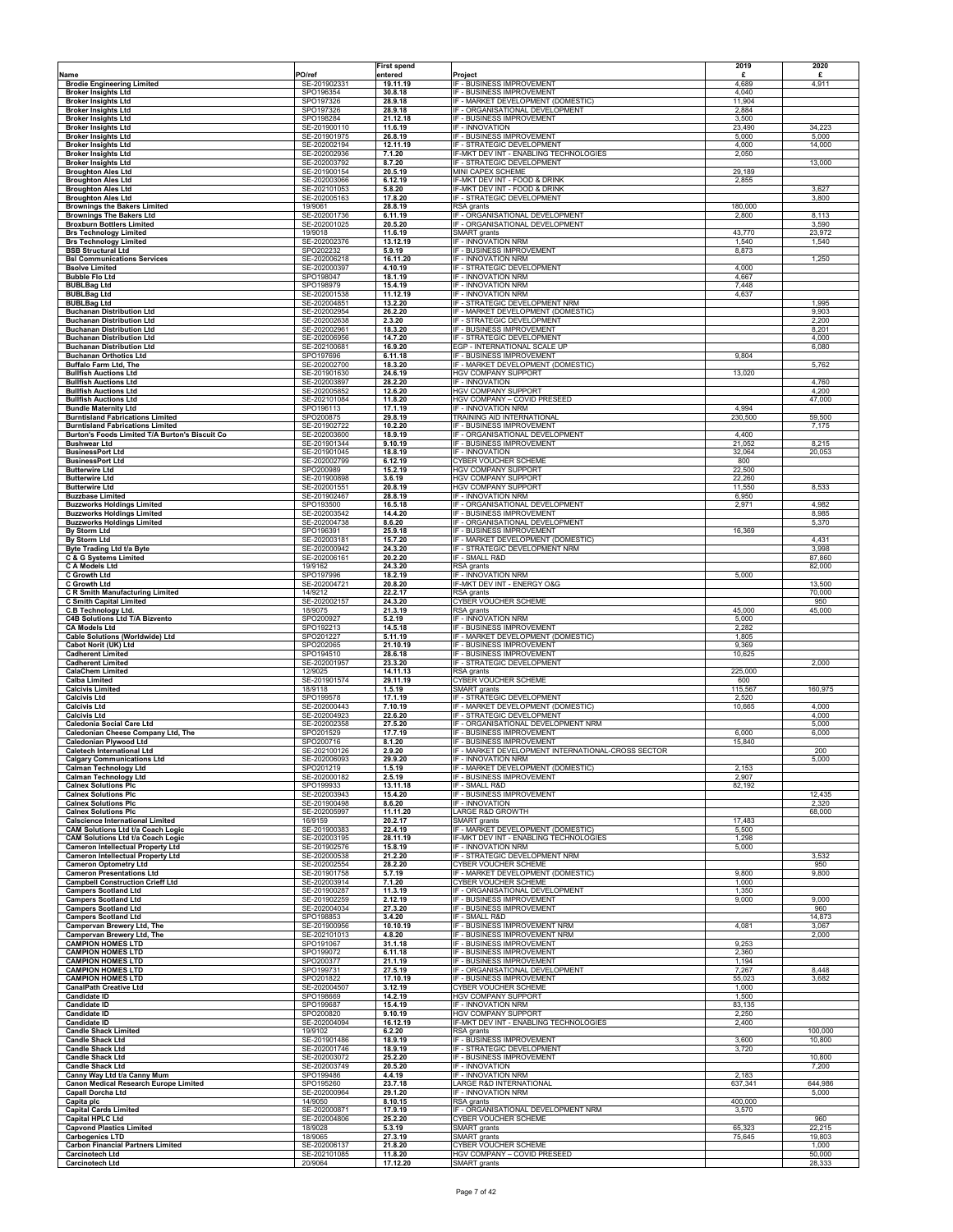|                                                                                           |                              | <b>First spend</b>  |                                                                                 | 2019             | 2020             |
|-------------------------------------------------------------------------------------------|------------------------------|---------------------|---------------------------------------------------------------------------------|------------------|------------------|
| Name                                                                                      | PO/ref                       | entered             | Project                                                                         | £                | £                |
| <b>Brodie Engineering Limited</b><br><b>Broker Insights Ltd</b>                           | SE-201902331<br>SPO196354    | 19.11.19<br>30.8.18 | IF - BUSINESS IMPROVEMENT<br>IF - BUSINESS IMPROVEMENT                          | 4,689<br>4,040   | 4,911            |
| <b>Broker Insights Ltd</b>                                                                | SPO197326                    | 28.9.18             | IF - MARKET DEVELOPMENT (DOMESTIC)                                              | 11,904           |                  |
| <b>Broker Insights Ltd</b><br><b>Broker Insights Ltd</b>                                  | SPO197326<br>SPO198284       | 28.9.18<br>21.12.18 | IF - ORGANISATIONAL DEVELOPMENT<br>IF - BUSINESS IMPROVEMENT                    | 2,884<br>3,500   |                  |
| <b>Broker Insights Ltd</b>                                                                | SE-201900110                 | 11.6.19             | IF - INNOVATION                                                                 | 23,490           | 34,223           |
| <b>Broker Insights Ltd</b>                                                                | SE-201901975                 | 26.8.19             | IF - BUSINESS IMPROVEMENT                                                       | 5,000            | 5,000            |
| <b>Broker Insights Ltd</b><br><b>Broker Insights Ltd</b>                                  | SE-202002194<br>SE-202002936 | 12.11.19<br>7.1.20  | IF - STRATEGIC DEVELOPMENT<br>IF-MKT DEV INT - ENABLING TECHNOLOGIES            | 4,000<br>2,050   | 14,000           |
| <b>Broker Insights Ltd</b>                                                                | SE-202003792                 | 8.7.20              | IF - STRATEGIC DEVELOPMENT                                                      |                  | 13,000           |
| <b>Broughton Ales Ltd</b>                                                                 | SE-201900154<br>SE-202003066 | 20.5.19<br>6.12.19  | MINI CAPEX SCHEME<br>IF-MKT DEV INT - FOOD & DRINK                              | 29,189<br>2,855  |                  |
| <b>Broughton Ales Ltd</b><br><b>Broughton Ales Ltd</b>                                    | SE-202101053                 | 5.8.20              | IF-MKT DEV INT - FOOD & DRINK                                                   |                  | 3,627            |
| <b>Broughton Ales Ltd</b>                                                                 | SE-202005163                 | 17.8.20             | IF - STRATEGIC DEVELOPMENT                                                      |                  | 3,800            |
| <b>Brownings the Bakers Limited</b><br><b>Brownings The Bakers Ltd</b>                    | 19/9061<br>SE-202001736      | 28.8.19<br>6.11.19  | RSA grants<br>IF - ORGANISATIONAL DEVELOPMENT                                   | 180,000<br>2,800 | 8,113            |
| <b>Broxburn Bottlers Limited</b>                                                          | SE-202001025                 | 20.5.20             | IF - ORGANISATIONAL DEVELOPMENT                                                 |                  | 3,590            |
| <b>Brs Technology Limited</b>                                                             | 19/9018<br>SE-202002376      | 11.6.19             | SMART grants<br>IF - INNOVATION NRM                                             | 43,770           | 23,972           |
| <b>Brs Technology Limited</b><br><b>BSB Structural Ltd</b>                                | SPO202232                    | 13.12.19<br>5.9.19  | IF - BUSINESS IMPROVEMENT                                                       | 1,540<br>8,873   | 1,540            |
| <b>BsI Communications Services</b>                                                        | SE-202006218                 | 16.11.20            | IF - INNOVATION NRM                                                             |                  | 1,250            |
| <b>Bsolve Limited</b><br><b>Bubble Flo Ltd</b>                                            | SE-202000397<br>SPO198047    | 4.10.19<br>18.1.19  | IF - STRATEGIC DEVELOPMENT<br>IF - INNOVATION NRM                               | 4,000<br>4,667   |                  |
| <b>BUBLBag Ltd</b>                                                                        | SPO198979                    | 15.4.19             | IF - INNOVATION NRM                                                             | 7,448            |                  |
| <b>BUBLBag Ltd</b>                                                                        | SE-202001538                 | 11.12.19            | IF - INNOVATION NRM                                                             | 4,637            |                  |
| <b>BUBLBag Ltd</b><br><b>Buchanan Distribution Ltd</b>                                    | SE-202004851<br>SE-202002954 | 13.2.20<br>26.2.20  | IF - STRATEGIC DEVELOPMENT NRM<br>IF - MARKET DEVELOPMENT (DOMESTIC)            |                  | 1,995<br>9,903   |
| <b>Buchanan Distribution Ltd</b>                                                          | SE-202002638                 | 2.3.20              | IF - STRATEGIC DEVELOPMENT                                                      |                  | 2,200            |
| <b>Buchanan Distribution Ltd</b><br><b>Buchanan Distribution Ltd</b>                      | SE-202002961<br>SE-202006956 | 18.3.20<br>14.7.20  | IF - BUSINESS IMPROVEMENT<br>IF - STRATEGIC DEVELOPMENT                         |                  | 8,201<br>4,000   |
| <b>Buchanan Distribution Ltd</b>                                                          | SE-202100681                 | 16.9.20             | EGP - INTERNATIONAL SCALE UP                                                    |                  | 6,080            |
| <b>Buchanan Orthotics Ltd</b>                                                             | SPO197696                    | 6.11.18             | IF - BUSINESS IMPROVEMENT                                                       | 9,804            |                  |
| Buffalo Farm Ltd, The<br><b>Bullfish Auctions Ltd</b>                                     | SE-202002700<br>SE-201901630 | 18.3.20<br>24.6.19  | IF - MARKET DEVELOPMENT (DOMESTIC)<br>HGV COMPANY SUPPORT                       | 13,020           | 5,762            |
| <b>Bullfish Auctions Ltd</b>                                                              | SE-202003897                 | 28.2.20             | IF - INNOVATION                                                                 |                  | 4,760            |
| <b>Bullfish Auctions Ltd</b><br><b>Bullfish Auctions Ltd</b>                              | SE-202005852<br>SE-202101084 | 12.6.20<br>11.8.20  | HGV COMPANY SUPPORT<br>HGV COMPANY - COVID PRESEED                              |                  | 4,200<br>47,000  |
| <b>Bundle Maternity Ltd</b>                                                               | SPO196113                    | 17.1.19             | IF - INNOVATION NRM                                                             | 4,994            |                  |
| <b>Burntisland Fabrications Limited</b>                                                   | SPO200875                    | 29.8.19             | TRAINING AID INTERNATIONAL                                                      | 230,500          | 59,500           |
| <b>Burntisland Fabrications Limited</b><br>Burton's Foods Limited T/A Burton's Biscuit Co | SE-201902722<br>SE-202003600 | 10.2.20<br>18.9.19  | IF - BUSINESS IMPROVEMENT<br>IF - ORGANISATIONAL DEVELOPMENT                    | 4,400            | 7,175            |
| <b>Bushwear Ltd</b>                                                                       | SE-201901344                 | 9.10.19             | IF - BUSINESS IMPROVEMENT                                                       | 21,052           | 8,215            |
| <b>BusinessPort Ltd</b>                                                                   | SE-201901045                 | 18.8.19             | IF - INNOVATION                                                                 | 32,064           | 20,053           |
| <b>BusinessPort Ltd</b><br><b>Butterwire Ltd</b>                                          | SE-202002799<br>SPO200989    | 6.12.19<br>15.2.19  | CYBER VOUCHER SCHEME<br><b>HGV COMPANY SUPPORT</b>                              | 800<br>22,500    |                  |
| <b>Butterwire Ltd</b>                                                                     | SE-201900898                 | 3.6.19              | <b>HGV COMPANY SUPPORT</b>                                                      | 22,260           |                  |
| <b>Butterwire Ltd</b><br><b>Buzzbase Limited</b>                                          | SE-202001551<br>SE-201902467 | 20.8.19<br>28.8.19  | HGV COMPANY SUPPORT<br>IF - INNOVATION NRM                                      | 11,550<br>6,950  | 8,533            |
| <b>Buzzworks Holdings Limited</b>                                                         | SPO193500                    | 16.5.18             | IF - ORGANISATIONAL DEVELOPMENT                                                 | 2,971            | 4,982            |
| <b>Buzzworks Holdings Limited</b>                                                         | SE-202003542                 | 14.4.20             | IF - BUSINESS IMPROVEMENT                                                       |                  | 8,985            |
| <b>Buzzworks Holdings Limited</b><br>By Storm Ltd                                         | SE-202004738<br>SPO196391    | 8.6.20<br>25.9.18   | IF - ORGANISATIONAL DEVELOPMENT<br>IF - BUSINESS IMPROVEMENT                    | 16,369           | 5,370            |
| By Storm Ltd                                                                              | SE-202003181                 | 15.7.20             | IF - MARKET DEVELOPMENT (DOMESTIC)                                              |                  | 4,431            |
| Byte Trading Ltd t/a Byte<br>C & G Systems Limited                                        | SE-202000942<br>SE-202006161 | 24.3.20<br>20.2.20  | IF - STRATEGIC DEVELOPMENT NRM<br>IF - SMALL R&D                                |                  | 3,998<br>87,860  |
| C A Models Ltd                                                                            | 19/9162                      | 24.3.20             | RSA grants                                                                      |                  | 82,000           |
| C Growth Ltd                                                                              | SPO197996                    | 18.2.19             | IF - INNOVATION NRM                                                             | 5,000            |                  |
| C Growth Ltd<br><b>C R Smith Manufacturing Limited</b>                                    | SE-202004721<br>14/9212      | 20.8.20<br>22.2.17  | IF-MKT DEV INT - ENERGY O&G<br>RSA grants                                       |                  | 13,500<br>70,000 |
| <b>C Smith Capital Limited</b>                                                            | SE-202002157                 | 24.3.20             | CYBER VOUCHER SCHEME                                                            |                  | 950              |
| <b>C.B Technology Ltd.</b>                                                                | 18/9075                      | 21.3.19             | RSA grants                                                                      | 45,000           | 45,000           |
| <b>C4B Solutions Ltd T/A Bizvento</b><br><b>CA Models Ltd</b>                             | SPO200927<br>SPO192213       | 5.2.19<br>14.5.18   | IF - INNOVATION NRM<br>IF - BUSINESS IMPROVEMENT                                | 5,000<br>2,282   |                  |
| <b>Cable Solutions (Worldwide) Ltd</b>                                                    | SPO201227                    | 5.11.19             | IF - MARKET DEVELOPMENT (DOMESTIC)                                              | 1,805            |                  |
| Cabot Norit (UK) Ltd<br><b>Cadherent Limited</b>                                          | SPO202065<br>SPO194510       | 21.10.19<br>28.6.18 | IF - BUSINESS IMPROVEMENT                                                       | 9,369<br>10,625  |                  |
| <b>Cadherent Limited</b>                                                                  | SE-202001957                 | 23.3.20             | IF - BUSINESS IMPROVEMENT<br>IF - STRATEGIC DEVELOPMENT                         |                  | 2,000            |
| <b>CalaChem Limited</b>                                                                   | 12/9025                      | 14.11.13            | RSA grants                                                                      | 225,000          |                  |
| <b>Calba Limited</b><br><b>Calcivis Limited</b>                                           | SE-201901574<br>18/9118      | 29.11.19<br>1.5.19  | CYBER VOUCHER SCHEME<br>SMART grants                                            | 600<br>115,567   | 160,975          |
| <b>Calcivis Ltd</b>                                                                       | SPO199578                    | 17.1.19             | IF - STRATEGIC DEVELOPMENT                                                      | 2,520            |                  |
| <b>Calcivis Ltd</b>                                                                       | SE-202000443                 | 7.10.19             | IF - MARKET DEVELOPMENT (DOMESTIC)<br>IF - STRATEGIC DEVELOPMENT                | 10,665           | 4,000            |
| <b>Calcivis Ltd</b><br>Caledonia Social Care Ltd                                          | SE-202004923<br>SE-202002358 | 22.6.20<br>27.5.20  | IF - ORGANISATIONAL DEVELOPMENT NRM                                             |                  | 4,000<br>5,000   |
| Caledonian Cheese Company Ltd, The                                                        | SPO201529                    | 17.7.19             | IF - BUSINESS IMPROVEMENT                                                       | 6,000            | 6,000            |
| Caledonian Plywood Ltd<br><b>Caletech International Ltd</b>                               | SPO200716<br>SE-202100126    | 8.1.20<br>2.9.20    | IF - BUSINESS IMPROVEMENT<br>IF - MARKET DEVELOPMENT INTERNATIONAL-CROSS SECTOR | 15,840           | 200              |
| <b>Calgary Communications Ltd</b>                                                         | SE-202006093                 | 29.9.20             | IF - INNOVATION NRM                                                             |                  | 5,000            |
| <b>Calman Technology Ltd</b>                                                              | SPO201219                    | 1.5.19              | IF - MARKET DEVELOPMENT (DOMESTIC)                                              | 2,153            |                  |
| <b>Calman Technology Ltd</b><br><b>Calnex Solutions Plc</b>                               | SE-202000182<br>SPO199933    | 2.5.19<br>13.11.18  | IF - BUSINESS IMPROVEMENT<br>IF - SMALL R&D                                     | 2,907<br>82,192  |                  |
| <b>Calnex Solutions Plc</b>                                                               | SE-202003943                 | 15.4.20             | IF - BUSINESS IMPROVEMENT                                                       |                  | 12,435           |
| <b>Calnex Solutions Plc</b><br><b>Calnex Solutions Plc</b>                                | SE-201900498<br>SE-202005997 | 8.6.20<br>11.11.20  | IF - INNOVATION<br>LARGE R&D GROWTH                                             |                  | 2,320<br>68,000  |
| <b>Calscience International Limited</b>                                                   | 16/9159                      | 20.2.17             | SMART grants                                                                    | 17,483           |                  |
| CAM Solutions Ltd t/a Coach Logic                                                         | SE-201900383                 | 22.4.19             | IF - MARKET DEVELOPMENT (DOMESTIC)                                              | 5,500            |                  |
| <b>CAM Solutions Ltd t/a Coach Logic</b><br><b>Cameron Intellectual Property Ltd</b>      | SE-202003195<br>SE-201902576 | 28.11.19<br>15.8.19 | IF-MKT DEV INT - ENABLING TECHNOLOGIES<br>IF - INNOVATION NRM                   | 1,298<br>5,000   |                  |
| <b>Cameron Intellectual Property Ltd</b>                                                  | SE-202000538                 | 21.2.20             | IF - STRATEGIC DEVELOPMENT NRM                                                  |                  | 3,532            |
| <b>Cameron Optometry Ltd</b><br><b>Cameron Presentations Ltd</b>                          | SE-202002554<br>SE-201901758 | 28.2.20<br>5.7.19   | CYBER VOUCHER SCHEME<br>IF - MARKET DEVELOPMENT (DOMESTIC)                      | 9,800            | 950<br>9,800     |
| <b>Campbell Construction Crieff Ltd</b>                                                   | SE-202003914                 | 7.1.20              | <b>CYBER VOUCHER SCHEME</b>                                                     | 1,000            |                  |
| <b>Campers Scotland Ltd</b>                                                               | SE-201900287                 | 11.3.19             | IF - ORGANISATIONAL DEVELOPMENT                                                 | 1,350            |                  |
| <b>Campers Scotland Ltd</b><br><b>Campers Scotland Ltd</b>                                | SE-201902259<br>SE-202004034 | 2.12.19<br>27.3.20  | IF - BUSINESS IMPROVEMENT<br>IF - BUSINESS IMPROVEMENT                          | 9,000            | 9,000<br>960     |
| <b>Campers Scotland Ltd</b>                                                               | SPO198853                    | 3.4.20              | IF - SMALL R&D                                                                  |                  | 14,873           |
| Campervan Brewery Ltd, The                                                                | SE-201900956<br>SE-202101013 | 10.10.19            | IF - BUSINESS IMPROVEMENT NRM<br>IF - BUSINESS IMPROVEMENT NRM                  | 4,081            | 3,067            |
| Campervan Brewery Ltd, The<br><b>CAMPION HOMES LTD</b>                                    | SPO191067                    | 4.8.20<br>31.1.18   | IF - BUSINESS IMPROVEMENT                                                       | 9,253            | 2,000            |
| <b>CAMPION HOMES LTD</b>                                                                  | SPO199072                    | 6.11.18             | IF - BUSINESS IMPROVEMENT                                                       | 2,360            |                  |
| <b>CAMPION HOMES LTD</b><br><b>CAMPION HOMES LTD</b>                                      | SPO200377<br>SPO199731       | 21.1.19<br>27.5.19  | IF - BUSINESS IMPROVEMENT<br>IF - ORGANISATIONAL DEVELOPMENT                    | 1,194<br>7,267   | 8,448            |
| <b>CAMPION HOMES LTD</b>                                                                  | SPO201822                    | 17.10.19            | IF - BUSINESS IMPROVEMENT                                                       | 55,023           | 3,682            |
| <b>CanalPath Creative Ltd</b>                                                             | SE-202004507                 | 3.12.19             | <b>CYBER VOUCHER SCHEME</b>                                                     | 1,000            |                  |
| <b>Candidate ID</b><br><b>Candidate ID</b>                                                | SPO198669<br>SPO199687       | 14.2.19<br>15.4.19  | <b>HGV COMPANY SUPPORT</b><br>IF - INNOVATION NRM                               | 1,500<br>83,135  |                  |
| <b>Candidate ID</b>                                                                       | SPO200820                    | 9.10.19             | HGV COMPANY SUPPORT                                                             | 2,250            |                  |
| <b>Candidate ID</b><br><b>Candle Shack Limited</b>                                        | SE-202004094<br>19/9102      | 16.12.19<br>6.2.20  | IF-MKT DEV INT - ENABLING TECHNOLOGIES<br>RSA grants                            | 2,400            | 100,000          |
| <b>Candle Shack Ltd</b>                                                                   | SE-201901486                 | 18.9.19             | IF - BUSINESS IMPROVEMENT                                                       | 3,600            | 10,800           |
| <b>Candle Shack Ltd</b>                                                                   | SE-202001746                 | 18.9.19             | IF - STRATEGIC DEVELOPMENT                                                      | 3,720            |                  |
| <b>Candle Shack Ltd</b><br><b>Candle Shack Ltd</b>                                        | SE-202003072<br>SE-202003749 | 25.2.20<br>20.5.20  | IF - BUSINESS IMPROVEMENT<br>IF - INNOVATION                                    |                  | 10,800<br>7,200  |
| Canny Way Ltd t/a Canny Mum                                                               | SPO199486                    | 4.4.19              | IF - INNOVATION NRM                                                             | 2,183            |                  |
| Canon Medical Research Europe Limited                                                     | SPO195260                    | 23.7.18             | LARGE R&D INTERNATIONAL                                                         | 637,341          | 644,986          |
| <b>Capall Dorcha Ltd</b><br>Capita plc                                                    | SE-202000964<br>14/9050      | 29.1.20<br>8.10.15  | IF - INNOVATION NRM<br>RSA grants                                               | 400,000          | 5,000            |
| <b>Capital Cards Limited</b>                                                              | SE-202000871                 | 17.9.19             | IF - ORGANISATIONAL DEVELOPMENT NRM                                             | 3,570            |                  |
| <b>Capital HPLC Ltd</b><br><b>Capvond Plastics Limited</b>                                | SE-202004806<br>18/9028      | 25.2.20<br>5.3.19   | CYBER VOUCHER SCHEME<br><b>SMART</b> grants                                     | 65,323           | 960<br>22,215    |
| <b>Carbogenics LTD</b>                                                                    | 18/9065                      | 27.3.19             | SMART grants                                                                    | 75,645           | 19,803           |
| <b>Carbon Financial Partners Limited</b>                                                  | SE-202006137                 | 21.8.20             | CYBER VOUCHER SCHEME                                                            |                  | 1,000            |
| <b>Carcinotech Ltd</b>                                                                    | SE-202101085                 | 11.8.20             | HGV COMPANY - COVID PRESEED                                                     |                  | 50,000           |
| <b>Carcinotech Ltd</b>                                                                    | 20/9064                      | 17.12.20            | <b>SMART</b> grants                                                             |                  | 28,333           |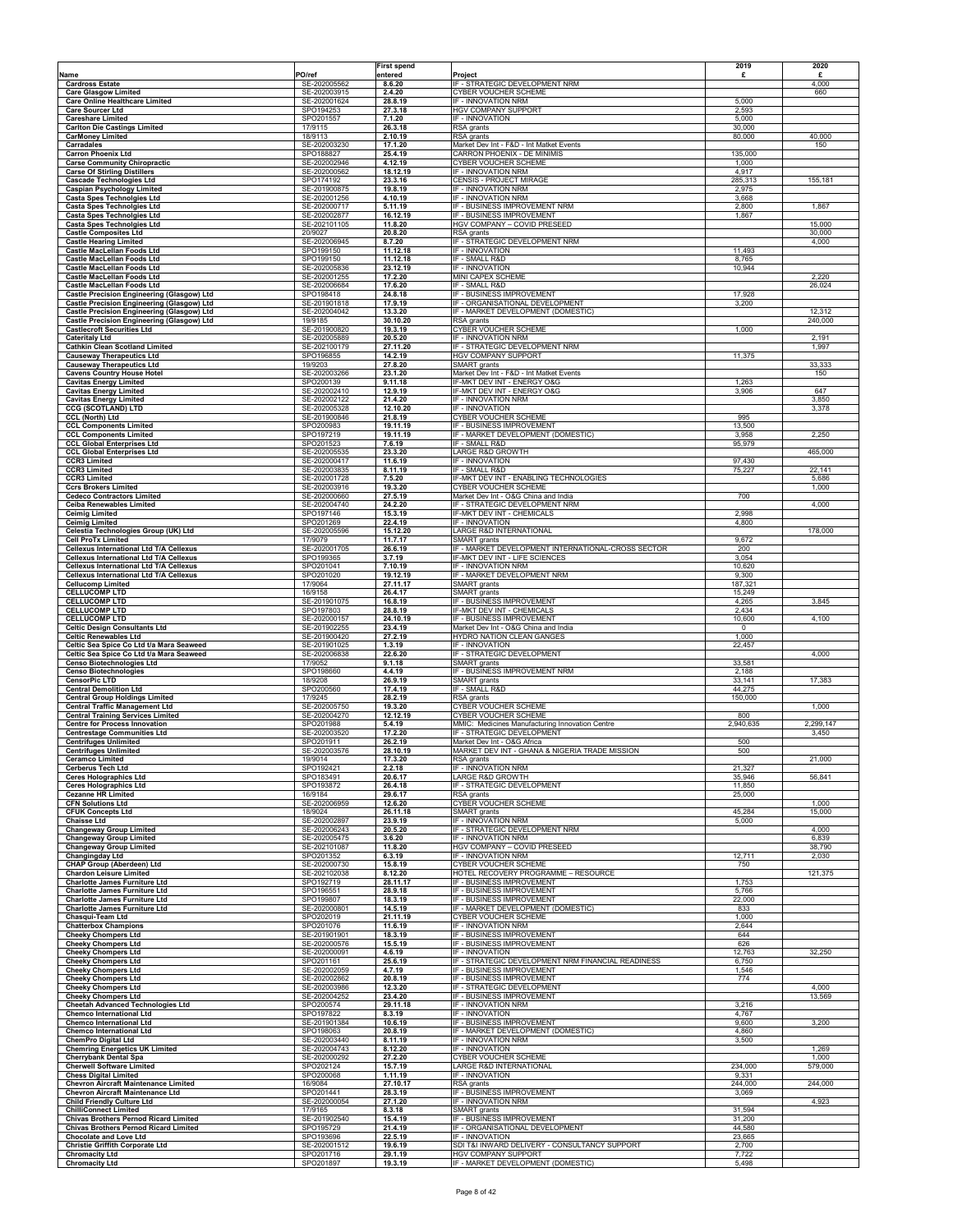|                                                                                          |                              | <b>First spend</b>   |                                                                                      | 2019             | 2020            |
|------------------------------------------------------------------------------------------|------------------------------|----------------------|--------------------------------------------------------------------------------------|------------------|-----------------|
| Name                                                                                     | PO/ref                       | entered              | Project                                                                              | £                | £               |
| <b>Cardross Estate</b><br><b>Care Glasgow Limited</b>                                    | SE-202005562<br>SE-202003915 | 8.6.20<br>2.4.20     | IF - STRATEGIC DEVELOPMENT NRM<br>CYBER VOUCHER SCHEME                               |                  | 4,000<br>660    |
| <b>Care Online Healthcare Limited</b>                                                    | SE-202001624                 | 28.8.19              | IF - INNOVATION NRM                                                                  | 5,000            |                 |
| <b>Care Sourcer Ltd</b><br><b>Careshare Limited</b>                                      | SPO194253<br>SPO201557       | 27.3.18<br>7.1.20    | <b>HGV COMPANY SUPPORT</b><br>IF - INNOVATION                                        | 2,593<br>5,000   |                 |
| <b>Carlton Die Castings Limited</b>                                                      | 17/9115                      | 26.3.18              | RSA grants                                                                           | 30,000           |                 |
| <b>CarMoney Limited</b><br><b>Carradales</b>                                             | 18/9113<br>SE-202003230      | 2.10.19<br>17.1.20   | RSA grants<br>Market Dev Int - F&D - Int Matket Events                               | 80,000           | 40,000<br>150   |
| <b>Carron Phoenix Ltd</b>                                                                | SPO188827                    | 25.4.19              | CARRON PHOENIX - DE MINIMIS                                                          | 135,000          |                 |
| <b>Carse Community Chiropractic</b><br><b>Carse Of Stirling Distillers</b>               | SE-202002946<br>SE-202000562 | 4.12.19<br>18.12.19  | CYBER VOUCHER SCHEME<br>IF - INNOVATION NRM                                          | 1,000<br>4,917   |                 |
| <b>Cascade Technologies Ltd</b>                                                          | SPO174192                    | 23.3.16              | CENSIS - PROJECT MIRAGE                                                              | 285,313          | 155,181         |
| <b>Caspian Psychology Limited</b><br><b>Casta Spes Technolgies Ltd</b>                   | SE-201900875<br>SE-202001256 | 19.8.19<br>4.10.19   | IF - INNOVATION NRM<br>IF - INNOVATION NRM                                           | 2,975<br>3,668   |                 |
| Casta Spes Technolgies Ltd                                                               | SE-202000717                 | 5.11.19              | IF - BUSINESS IMPROVEMENT NRM                                                        | 2,800            | 1,867           |
| <b>Casta Spes Technolgies Ltd</b><br><b>Casta Spes Technolgies Ltd</b>                   | SE-202002877<br>SE-202101105 | 16.12.19<br>11.8.20  | IF - BUSINESS IMPROVEMENT<br>HGV COMPANY - COVID PRESEED                             | 1,867            | 15,000          |
| <b>Castle Composites Ltd</b>                                                             | 20/9027                      | 20.8.20              | RSA grants                                                                           |                  | 30,000          |
| <b>Castle Hearing Limited</b>                                                            | SE-202006945                 | 8.7.20               | IF - STRATEGIC DEVELOPMENT NRM                                                       |                  | 4,000           |
| Castle MacLellan Foods Ltd<br>Castle MacLellan Foods Ltd                                 | SPO199150<br>SPO199150       | 11.12.18<br>11.12.18 | IF - INNOVATION<br>IF - SMALL R&D                                                    | 11,493<br>8,765  |                 |
| Castle MacLellan Foods Ltd                                                               | SE-202005836                 | 23.12.19             | IF - INNOVATION                                                                      | 10,944           |                 |
| Castle MacLellan Foods Ltd<br>Castle MacLellan Foods Ltd                                 | SE-202001255<br>SE-202006684 | 17.2.20<br>17.6.20   | MINI CAPEX SCHEME<br>IF - SMALL R&D                                                  |                  | 2,220<br>26,024 |
| Castle Precision Engineering (Glasgow) Ltd                                               | SPO198418                    | 24.8.18              | IF - BUSINESS IMPROVEMENT                                                            | 17,928           |                 |
| Castle Precision Engineering (Glasgow) Ltd<br>Castle Precision Engineering (Glasgow) Ltd | SE-201901818<br>SE-202004042 | 17.9.19<br>13.3.20   | IF - ORGANISATIONAL DEVELOPMENT<br>IF - MARKET DEVELOPMENT (DOMESTIC)                | 3,200            | 12,312          |
| Castle Precision Engineering (Glasgow) Ltd                                               | 19/9185                      | 30.10.20             | RSA grants                                                                           |                  | 240,000         |
| <b>Castlecroft Securities Ltd</b><br><b>Cateritaly Ltd</b>                               | SE-201900820<br>SE-202005889 | 19.3.19<br>20.5.20   | <b>CYBER VOUCHER SCHEME</b><br>IF - INNOVATION NRM                                   | 1,000            | 2,191           |
| <b>Cathkin Clean Scotland Limited</b>                                                    | SE-202100179                 | 27.11.20             | IF - STRATEGIC DEVELOPMENT NRM                                                       |                  | 1,997           |
| <b>Causeway Therapeutics Ltd</b><br><b>Causeway Therapeutics Ltd</b>                     | SPO196855<br>19/9203         | 14.2.19<br>27.8.20   | HGV COMPANY SUPPORT<br><b>SMART</b> grants                                           | 11,375           | 33,333          |
| <b>Cavens Country House Hotel</b>                                                        | SE-202003266                 | 23.1.20              | Market Dev Int - F&D - Int Matket Events                                             |                  | 150             |
| <b>Cavitas Energy Limited</b><br><b>Cavitas Energy Limited</b>                           | SPO200139<br>SE-202002410    | 9.11.18<br>12.9.19   | IF-MKT DEV INT - ENERGY O&G<br>IF-MKT DEV INT - ENERGY O&G                           | 1,263<br>3,906   | 647             |
| <b>Cavitas Energy Limited</b>                                                            | SE-202002122                 | 21.4.20              | IF - INNOVATION NRM                                                                  |                  | 3,850           |
| <b>CCG (SCOTLAND) LTD</b><br><b>CCL (North) Ltd</b>                                      | SE-202005328<br>SE-201900846 | 12.10.20<br>21.8.19  | IF - INNOVATION<br>CYBER VOUCHER SCHEME                                              | 995              | 3,378           |
| <b>CCL Components Limited</b>                                                            | SPO200983                    | 19.11.19             | IF - BUSINESS IMPROVEMENT                                                            | 13,500           |                 |
| <b>CCL Components Limited</b><br><b>CCL Global Enterprises Ltd</b>                       | SPO197219<br>SPO201523       | 19.11.19<br>7.6.19   | IF - MARKET DEVELOPMENT (DOMESTIC)<br>IF - SMALL R&D                                 | 3,958<br>95,979  | 2,250           |
| <b>CCL Global Enterprises Ltd</b>                                                        | SE-202005535                 | 23.3.20              | LARGE R&D GROWTH                                                                     |                  | 465,000         |
| <b>CCR3 Limited</b>                                                                      | SE-202000417                 | 11.6.19              | IF - INNOVATION                                                                      | 97,430           |                 |
| <b>CCR3 Limited</b><br><b>CCR3 Limited</b>                                               | SE-202003835<br>SE-202001728 | 8.11.19<br>7.5.20    | IF - SMALL R&D<br>IF-MKT DEV INT - ENABLING TECHNOLOGIES                             | 75,227           | 22,141<br>5,686 |
| <b>Ccrs Brokers Limited</b>                                                              | SE-202003916                 | 19.3.20              | CYBER VOUCHER SCHEME                                                                 |                  | 1,000           |
| <b>Cedeco Contractors Limited</b><br><b>Ceiba Renewables Limited</b>                     | SE-202000660<br>SE-202004740 | 27.5.19<br>24.2.20   | Market Dev Int - O&G China and India<br>IF - STRATEGIC DEVELOPMENT NRM               | 700              | 4,000           |
| <b>Ceimig Limited</b>                                                                    | SPO197146                    | 15.3.19              | IF-MKT DEV INT - CHEMICALS                                                           | 2,998            |                 |
| <b>Ceimig Limited</b><br>Celestia Technologies Group (UK) Ltd                            | SPO201269<br>SE-202005596    | 22.4.19<br>15.12.20  | IF - INNOVATION<br>LARGE R&D INTERNATIONAL                                           | 4,800            | 178,000         |
| <b>Cell ProTx Limited</b>                                                                | 17/9079                      | 11.7.17              | SMART grants                                                                         | 9,672            |                 |
| Cellexus International Ltd T/A Cellexus<br>Cellexus International Ltd T/A Cellexus       | SE-202001705<br>SPO199365    | 26.6.19<br>3.7.19    | IF - MARKET DEVELOPMENT INTERNATIONAL-CROSS SECTOR<br>IF-MKT DEV INT - LIFE SCIENCES | 200<br>3,054     |                 |
| Cellexus International Ltd T/A Cellexus                                                  | SPO201041                    | 7.10.19              | IF - INNOVATION NRM                                                                  | 10,620           |                 |
| <b>Cellexus International Ltd T/A Cellexus</b><br><b>Cellucomp Limited</b>               | SPO201020<br>17/9064         | 19.12.19<br>27.11.17 | IF - MARKET DEVELOPMENT NRM<br><b>SMART</b> grants                                   | 9,300<br>187,321 |                 |
| <b>CELLUCOMP LTD</b>                                                                     | 16/9158                      | 26.4.17              | SMART grants                                                                         | 15,249           |                 |
| <b>CELLUCOMP LTD</b><br><b>CELLUCOMP LTD</b>                                             | SE-201901075<br>SPO197803    | 16.8.19<br>28.8.19   | IF - BUSINESS IMPROVEMENT<br>IF-MKT DEV INT - CHEMICALS                              | 4,265<br>2,434   | 3,845           |
| <b>CELLUCOMP LTD</b>                                                                     | SE-202000157                 | 24.10.19             | IF - BUSINESS IMPROVEMENT                                                            | 10,600           | 4,100           |
| <b>Celtic Design Consultants Ltd</b><br><b>Celtic Renewables Ltd</b>                     | SE-201902255<br>SE-201900420 | 23.4.19<br>27.2.19   | Market Dev Int - O&G China and India<br>HYDRO NATION CLEAN GANGES                    | 0<br>1,000       |                 |
| Celtic Sea Spice Co Ltd t/a Mara Seaweed                                                 | SE-201901025                 | 1.3.19               | IF - INNOVATION                                                                      | 22,457           |                 |
| Celtic Sea Spice Co Ltd t/a Mara Seaweed<br><b>Censo Biotechnologies Ltd</b>             | SE-202006838<br>17/9052      | 22.6.20<br>9.1.18    | IF - STRATEGIC DEVELOPMENT<br><b>SMART</b> grants                                    | 33,581           | 4,000           |
| <b>Censo Biotechnologies</b>                                                             | SPO198660                    | 4.4.19               | IF - BUSINESS IMPROVEMENT NRM                                                        | 2,188            |                 |
| <b>CensorPic LTD</b><br><b>Central Demolition Ltd</b>                                    | 18/9208<br>SPO200560         | 26.9.19<br>17.4.19   | SMART grants<br>IF - SMALL R&D                                                       | 33,141<br>44,275 | 17,383          |
| <b>Central Group Holdings Limited</b>                                                    | 17/9245                      | 28.2.19              | RSA grants                                                                           | 150,000          |                 |
| <b>Central Traffic Management Ltd</b><br><b>Central Training Services Limited</b>        | SE-202005750<br>SE-202004270 | 19.3.20<br>12.12.19  | <b>CYBER VOUCHER SCHEME</b><br>CYBER VOUCHER SCHEME                                  | 800              | 1,000           |
| <b>Centre for Process Innovation</b>                                                     | SPO201988                    | 5.4.19               | MMIC: Medicines Manufacturing Innovation Centre                                      | 2,940,635        | 2,299,147       |
| <b>Centrestage Communities Ltd</b><br><b>Centrifuges Unlimited</b>                       | SE-202003520<br>SPO201911    | 17.2.20<br>26.2.19   | IF - STRATEGIC DEVELOPMENT<br>Market Dev Int - O&G Africa                            | 500              | 3,450           |
| <b>Centrifuges Unlimited</b>                                                             | SE-202003576                 | 28.10.19             | MARKET DEV INT - GHANA & NIGERIA TRADE MISSION                                       | 500              |                 |
| <b>Ceramco Limited</b><br><b>Cerberus Tech Ltd</b>                                       | 19/9014<br>SPO192421         | 17.3.20<br>2.2.18    | RSA grants<br>IF - INNOVATION NRM                                                    | 21,327           | 21,000          |
| <b>Ceres Holographics Ltd</b>                                                            | SPO183491                    | 20.6.17              | LARGE R&D GROWTH                                                                     | 35,946           | 56,841          |
| <b>Ceres Holographics Ltd</b><br><b>Cezanne HR Limited</b>                               | SPO193872<br>16/9184         | 26.4.18<br>29.6.17   | IF - STRATEGIC DEVELOPMENT<br>RSA grants                                             | 11,850<br>25,000 |                 |
| <b>CFN Solutions Ltd</b>                                                                 | SE-202006959                 | 12.6.20              | CYBER VOUCHER SCHEME                                                                 |                  | 1,000           |
| <b>CFUK Concepts Ltd</b><br><b>Chaisse Ltd</b>                                           | 18/9024<br>SE-202002897      | 26.11.18<br>23.9.19  | SMART grants<br>IF - INNOVATION NRM                                                  | 45,284<br>5,000  | 15,000          |
| <b>Changeway Group Limited</b>                                                           | SE-202006243                 | 20.5.20              | IF - STRATEGIC DEVELOPMENT NRM                                                       |                  | 4,000           |
| <b>Changeway Group Limited</b><br><b>Changeway Group Limited</b>                         | SE-202005475<br>SE-202101087 | 3.6.20<br>11.8.20    | IF - INNOVATION NRM<br>HGV COMPANY - COVID PRESEED                                   |                  | 6,839<br>38,790 |
| <b>Changingday Ltd</b>                                                                   | SPO201352                    | 6.3.19               | IF - INNOVATION NRM                                                                  | 12,711           | 2,030           |
| <b>CHAP Group (Aberdeen) Ltd</b><br><b>Chardon Leisure Limited</b>                       | SE-202000730<br>SE-202102038 | 15.8.19<br>8.12.20   | <b>CYBER VOUCHER SCHEME</b><br>HOTEL RECOVERY PROGRAMME - RESOURCE                   | 750              | 121,375         |
| <b>Charlotte James Furniture Ltd</b>                                                     | SPO192719                    | 28.11.17             | IF - BUSINESS IMPROVEMENT                                                            | 1,753            |                 |
| <b>Charlotte James Furniture Ltd</b><br><b>Charlotte James Furniture Ltd</b>             | SPO196551<br>SPO199807       | 28.9.18<br>18.3.19   | IF - BUSINESS IMPROVEMENT<br>IF - BUSINESS IMPROVEMENT                               | 5,766<br>22,000  |                 |
| <b>Charlotte James Furniture Ltd</b>                                                     | SE-202000801                 | 14.5.19              | IF - MARKET DEVELOPMENT (DOMESTIC)                                                   | 833              |                 |
| Chasqui-Team Ltd<br><b>Chatterbox Champions</b>                                          | SPO202019<br>SPO201076       | 21.11.19<br>11.6.19  | <b>CYBER VOUCHER SCHEME</b><br>IF - INNOVATION NRM                                   | 1,000<br>2,644   |                 |
| <b>Cheeky Chompers Ltd</b>                                                               | SE-201901901                 | 18.3.19              | IF - BUSINESS IMPROVEMENT                                                            | 644              |                 |
| <b>Cheeky Chompers Ltd</b><br><b>Cheeky Chompers Ltd</b>                                 | SE-202000576<br>SE-202000091 | 15.5.19<br>4.6.19    | IF - BUSINESS IMPROVEMENT<br>IF - INNOVATION                                         | 626<br>12,763    | 32,250          |
| <b>Cheeky Chompers Ltd</b>                                                               | SPO201161                    | 25.6.19              | IF - STRATEGIC DEVELOPMENT NRM FINANCIAL READINESS                                   | 6,750            |                 |
| <b>Cheeky Chompers Ltd</b><br><b>Cheeky Chompers Ltd</b>                                 | SE-202002059<br>SE-202002862 | 4.7.19<br>20.8.19    | IF - BUSINESS IMPROVEMENT<br>IF - BUSINESS IMPROVEMENT                               | 1,546<br>774     |                 |
| <b>Cheeky Chompers Ltd</b>                                                               | SE-202003986                 | 12.3.20              | IF - STRATEGIC DEVELOPMENT                                                           |                  | 4,000           |
| <b>Cheeky Chompers Ltd</b><br><b>Cheetah Advanced Technologies Ltd</b>                   | SE-202004252<br>SPO200574    | 23.4.20<br>29.11.18  | IF - BUSINESS IMPROVEMENT<br>IF - INNOVATION NRM                                     | 3,216            | 13,569          |
| <b>Chemco International Ltd</b>                                                          | SPO197822                    | 8.3.19               | IF - INNOVATION                                                                      | 4,767            |                 |
| <b>Chemco International Ltd</b><br><b>Chemco International Ltd</b>                       | SE-201901384<br>SPO198063    | 10.6.19<br>20.8.19   | IF - BUSINESS IMPROVEMENT<br>IF - MARKET DEVELOPMENT (DOMESTIC)                      | 9,600<br>4,860   | 3,200           |
| <b>ChemPro Digital Ltd</b>                                                               | SE-202003440                 | 8.11.19              | IF - INNOVATION NRM                                                                  | 3,500            |                 |
| <b>Chemring Energetics UK Limited</b><br><b>Cherrybank Dental Spa</b>                    | SE-202004743<br>SE-202000292 | 8.12.20<br>27.2.20   | IF - INNOVATION<br>CYBER VOUCHER SCHEME                                              |                  | 1,269<br>1,000  |
| <b>Cherwell Software Limited</b>                                                         | SPO202124                    | 15.7.19              | LARGE R&D INTERNATIONAL                                                              | 234,000          | 579,000         |
| <b>Chess Digital Limited</b><br><b>Chevron Aircraft Maintenance Limited</b>              | SPO200068<br>16/9084         | 1.11.19<br>27.10.17  | IF - INNOVATION<br>RSA grants                                                        | 9,331<br>244,000 | 244,000         |
| Chevron Aircraft Maintenance Ltd                                                         | SPO201441                    | 28.3.19              | IF - BUSINESS IMPROVEMENT                                                            | 3,069            |                 |
| <b>Child Friendly Culture Ltd</b><br><b>ChilliConnect Limited</b>                        | SE-202000054<br>17/9165      | 27.1.20<br>8.3.18    | IF - INNOVATION NRM<br>SMART grants                                                  | 31,594           | 4,923           |
| <b>Chivas Brothers Pernod Ricard Limited</b>                                             | SE-201902540                 | 15.4.19              | IF - BUSINESS IMPROVEMENT                                                            | 31,200           |                 |
| <b>Chivas Brothers Pernod Ricard Limited</b><br><b>Chocolate and Love Ltd</b>            | SPO195729<br>SPO193696       | 21.4.19<br>22.5.19   | IF - ORGANISATIONAL DEVELOPMENT<br>IF - INNOVATION                                   | 44,580<br>23,665 |                 |
| <b>Christie Griffith Corporate Ltd</b>                                                   | SE-202001512                 | 19.6.19              | SDI T&I INWARD DELIVERY - CONSULTANCY SUPPORT                                        | 2,700            |                 |
| <b>Chromacity Ltd</b><br><b>Chromacity Ltd</b>                                           | SPO201716<br>SPO201897       | 29.1.19<br>19.3.19   | HGV COMPANY SUPPORT<br>IF - MARKET DEVELOPMENT (DOMESTIC)                            | 7,722<br>5,498   |                 |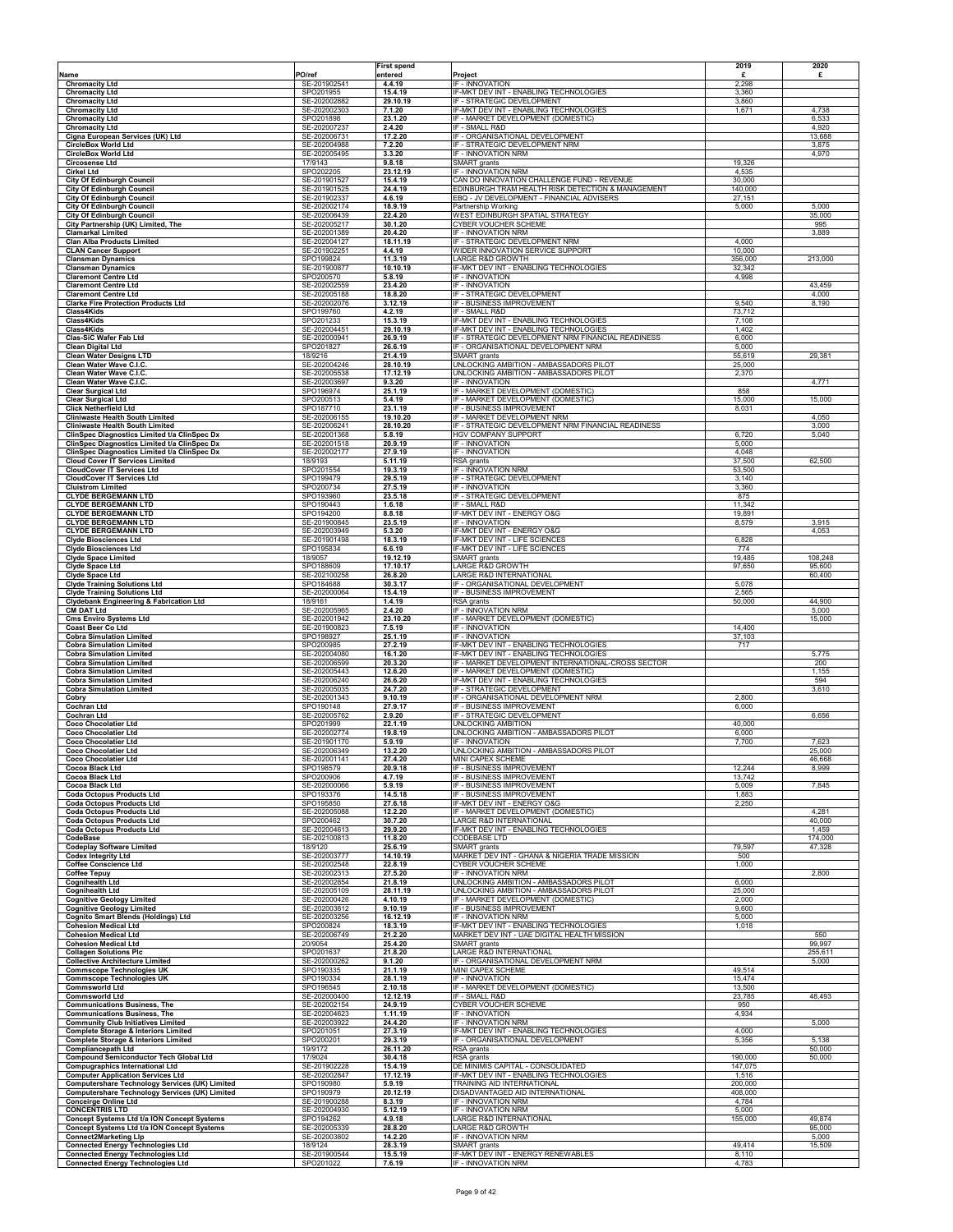|                                                                                              |                              | <b>First spend</b>  |                                                                                                 | 2019              | 2020             |
|----------------------------------------------------------------------------------------------|------------------------------|---------------------|-------------------------------------------------------------------------------------------------|-------------------|------------------|
| Name<br><b>Chromacity Ltd</b>                                                                | O/ref<br>SE-201902541        | entered<br>4.4.19   | Project<br>IF - INNOVATION                                                                      | £<br>2,298        | £                |
| <b>Chromacity Ltd</b>                                                                        | SPO201955                    | 15.4.19             | IF-MKT DEV INT - ENABLING TECHNOLOGIES                                                          | 3,360             |                  |
| <b>Chromacity Ltd</b><br><b>Chromacity Ltd</b>                                               | SE-202002882<br>SE-202002303 | 29.10.19<br>7.1.20  | IF - STRATEGIC DEVELOPMENT<br>IF-MKT DEV INT - ENABLING TECHNOLOGIES                            | 3,860<br>1,671    | 4,738            |
| <b>Chromacity Ltd</b>                                                                        | SPO201898                    | 23.1.20             | IF - MARKET DEVELOPMENT (DOMESTIC)                                                              |                   | 6,533            |
| <b>Chromacity Ltd</b><br>Cigna European Services (UK) Ltd                                    | SE-202007237<br>SE-202006731 | 2.4.20<br>17.2.20   | IF - SMALL R&D<br>IF - ORGANISATIONAL DEVELOPMENT                                               |                   | 4,920<br>13,688  |
| <b>CircleBox World Ltd</b>                                                                   | SE-202004988                 | 7.2.20              | IF - STRATEGIC DEVELOPMENT NRM<br>IF - INNOVATION NRM                                           |                   | 3,875            |
| <b>CircleBox World Ltd</b><br><b>Circosense Ltd</b>                                          | SE-202005495<br>17/9143      | 3.3.20<br>9.8.18    | SMART grants                                                                                    | 19,326            | 4,970            |
| <b>Cirkel Ltd</b>                                                                            | SPO202205                    | 23.12.19            | IF - INNOVATION NRM                                                                             | 4,535             |                  |
| <b>City Of Edinburgh Council</b><br><b>City Of Edinburgh Council</b>                         | SE-201901527<br>SE-201901525 | 15.4.19<br>24.4.19  | CAN DO INNOVATION CHALLENGE FUND - REVENUE<br>EDINBURGH TRAM HEALTH RISK DETECTION & MANAGEMENT | 30,000<br>140,000 |                  |
| <b>City Of Edinburgh Council</b><br><b>City Of Edinburgh Council</b>                         | SE-201902337<br>SE-202002174 | 4.6.19<br>18.9.19   | EBQ - JV DEVELOPMENT - FINANCIAL ADVISERS<br>Partnership Working                                | 27,151<br>5,000   | 5,000            |
| City Of Edinburgh Council                                                                    | SE-202006439                 | 22.4.20             | WEST EDINBURGH SPATIAL STRATEGY                                                                 |                   | 35,000           |
| City Partnership (UK) Limited, The<br><b>Clamarkal Limited</b>                               | SE-202005217<br>SE-202001389 | 30.1.20<br>20.4.20  | CYBER VOUCHER SCHEME<br>IF - INNOVATION NRM                                                     |                   | 995<br>3,889     |
| <b>Clan Alba Products Limited</b>                                                            | SE-202004127                 | 18.11.19            | IF - STRATEGIC DEVELOPMENT NRM                                                                  | 4,000             |                  |
| <b>CLAN Cancer Support</b><br><b>Clansman Dynamics</b>                                       | SE-20190225<br>SPO199824     | 4.4.19<br>11.3.19   | WIDER INNOVATION SERVICE SUPPORT<br>LARGE R&D GROWTH                                            | 10,000<br>356,000 | 213,000          |
| <b>Clansman Dynamics</b>                                                                     | SE-201900877                 | 10.10.19            | IF-MKT DEV INT - ENABLING TECHNOLOGIES                                                          | 32,342            |                  |
| <b>Claremont Centre Ltd</b><br><b>Claremont Centre Ltd</b>                                   | SPO200570<br>SE-202002559    | 5.8.19<br>23.4.20   | IF - INNOVATION<br>IF - INNOVATION                                                              | 4,998             | 43,459           |
| <b>Claremont Centre Ltd</b>                                                                  | SE-202005188                 | 18.8.20             | IF - STRATEGIC DEVELOPMENT                                                                      |                   | 4,000            |
| <b>Clarke Fire Protection Products Ltd</b><br>Class4Kids                                     | SE-202002076<br>SPO199760    | 3.12.19<br>4.2.19   | IF - BUSINESS IMPROVEMENT<br>IF - SMALL R&D                                                     | 9,540<br>73,712   | 8,190            |
| Class4Kids<br>Class4Kids                                                                     | SPO201233<br>SE-202004451    | 15.3.19<br>29.10.19 | IF-MKT DEV INT - ENABLING TECHNOLOGIES<br>IF-MKT DEV INT - ENABLING TECHNOLOGIES                | 7,108<br>1,402    |                  |
| Clas-SiC Wafer Fab Ltd                                                                       | SE-202000941                 | 26.9.19             | IF - STRATEGIC DEVELOPMENT NRM FINANCIAL READINESS                                              | 6,000             |                  |
| <b>Clean Digital Ltd</b><br><b>Clean Water Designs LTD</b>                                   | SPO201827<br>18/9216         | 26.6.19<br>21.4.19  | IF - ORGANISATIONAL DEVELOPMENT NRM<br>SMART grants                                             | 5,000<br>55,619   | 29,381           |
| Clean Water Wave C.I.C.                                                                      | SE-202004246                 | 28.10.19            | UNLOCKING AMBITION - AMBASSADORS PILOT                                                          | 25,000            |                  |
| Clean Water Wave C.I.C.<br>Clean Water Wave C.I.C.                                           | SE-202005538<br>SE-202003697 | 17.12.19<br>9.3.20  | UNLOCKING AMBITION - AMBASSADORS PILOT<br>IF - INNOVATION                                       | 2,370             | 4,771            |
| <b>Clear Surgical Ltd</b>                                                                    | SPO196974                    | 25.1.19             | IF - MARKET DEVELOPMENT (DOMESTIC)                                                              | 858               |                  |
| <b>Clear Surgical Ltd</b><br><b>Click Netherfield Ltd</b>                                    | SPO200513<br>SPO187710       | 5.4.19<br>23.1.19   | IF - MARKET DEVELOPMENT (DOMESTIC)<br>IF - BUSINESS IMPROVEMENT                                 | 15,000<br>8,031   | 15,000           |
| <b>Cliniwaste Health South Limited</b>                                                       | SE-202006155                 | 19.10.20            | IF - MARKET DEVELOPMENT NRM<br>IF - STRATEGIC DEVELOPMENT NRM FINANCIAL READINESS               |                   | 4,050            |
| <b>Cliniwaste Health South Limited</b><br>ClinSpec Diagnostics Limited t/a ClinSpec Dx       | SE-202006241<br>SE-202001368 | 28.10.20<br>5.8.19  | <b>HGV COMPANY SUPPORT</b>                                                                      | 6,720             | 3,000<br>5,040   |
| ClinSpec Diagnostics Limited t/a ClinSpec Dx<br>ClinSpec Diagnostics Limited t/a ClinSpec Dx | SE-202001518<br>SE-202002177 | 20.9.19<br>27.9.19  | IF - INNOVATION<br>IF - INNOVATION                                                              | 5,000<br>4,048    |                  |
| <b>Cloud Cover IT Services Limited</b>                                                       | 18/9193                      | 5.11.19             | RSA grants                                                                                      | 37,500            | 62,500           |
| <b>CloudCover IT Services Ltd</b><br><b>CloudCover IT Services Ltd</b>                       | SPO201554<br>SPO199479       | 19.3.19<br>29.5.19  | IF - INNOVATION NRM<br>IF - STRATEGIC DEVELOPMENT                                               | 53,500<br>3,140   |                  |
| <b>Cluistrom Limited</b>                                                                     | SPO200734                    | 27.5.19             | IF - INNOVATION                                                                                 | 3,360             |                  |
| <b>CLYDE BERGEMANN LTD</b><br><b>CLYDE BERGEMANN LTD</b>                                     | SPO193960<br>SPO190443       | 23.5.18<br>1.6.18   | IF - STRATEGIC DEVELOPMENT<br>IF - SMALL R&D                                                    | 875<br>11,342     |                  |
| <b>CLYDE BERGEMANN LTD</b>                                                                   | SPO194200                    | 8.8.18              | IF-MKT DEV INT - ENERGY O&G                                                                     | 19,891            |                  |
| <b>CLYDE BERGEMANN LTD</b><br><b>CLYDE BERGEMANN LTD</b>                                     | SE-201900845<br>SE-202003949 | 23.5.19<br>5.3.20   | IF - INNOVATION<br>IF-MKT DEV INT - ENERGY O&G                                                  | 8,579             | 3,915<br>4,053   |
| <b>Clyde Biosciences Ltd</b><br><b>Clyde Biosciences Ltd</b>                                 | SE-201901498<br>SPO195834    | 18.3.19<br>6.6.19   | IF-MKT DEV INT - LIFE SCIENCES<br>IF-MKT DEV INT - LIFE SCIENCES                                | 6,828<br>774      |                  |
| <b>Clyde Space Limited</b>                                                                   | 18/9057                      | 19.12.19            | SMART grants                                                                                    | 19,485            | 108,248          |
| Clyde Space Ltd<br>Clyde Space Ltd                                                           | SPO188609<br>SE-202100258    | 17.10.17<br>26.8.20 | <b>LARGE R&amp;D GROWTH</b><br><b>LARGE R&amp;D INTERNATIONAL</b>                               | 97,650            | 95,600<br>60,400 |
| <b>Clyde Training Solutions Ltd</b>                                                          | SPO184688                    | 30.3.17             | IF - ORGANISATIONAL DEVELOPMENT                                                                 | 5,078             |                  |
| <b>Clyde Training Solutions Ltd</b><br><b>Clydebank Engineering &amp; Fabrication Ltd</b>    | SE-202000064<br>18/9161      | 15.4.19<br>1.4.19   | IF - BUSINESS IMPROVEMENT<br>RSA grants                                                         | 2,565<br>50,000   | 44,900           |
| <b>CM DAT Ltd</b>                                                                            | SE-202005965                 | 2.4.20              | IF - INNOVATION NRM                                                                             |                   | 5,000            |
| <b>Cms Enviro Systems Ltd</b><br>Coast Beer Co Ltd                                           | SE-202001942<br>SE-201900823 | 23.10.20<br>7.5.19  | IF - MARKET DEVELOPMENT (DOMESTIC)<br>IF - INNOVATION                                           | 14,400            | 15,000           |
| <b>Cobra Simulation Limited</b>                                                              | SPO198927                    | 25.1.19             | IF - INNOVATION                                                                                 | 37,103            |                  |
| <b>Cobra Simulation Limited</b><br><b>Cobra Simulation Limited</b>                           | SPO200985<br>SE-202004080    | 27.2.19<br>16.1.20  | IF-MKT DEV INT - ENABLING TECHNOLOGIES<br>IF-MKT DEV INT - ENABLING TECHNOLOGIES                | 717               | 5,775            |
| <b>Cobra Simulation Limited</b><br><b>Cobra Simulation Limited</b>                           | SE-202006599                 | 20.3.20             | IF - MARKET DEVELOPMENT INTERNATIONAL-CROSS SECTOR<br>IF - MARKET DEVELOPMENT (DOMESTIC)        |                   | 200<br>1,155     |
| <b>Cobra Simulation Limited</b>                                                              | SE-202005443<br>SE-202006240 | 12.6.20<br>26.6.20  | IF-MKT DEV INT - ENABLING TECHNOLOGIES                                                          |                   | 594              |
| <b>Cobra Simulation Limited</b><br>Cobry                                                     | SE-202005035<br>SE-202001343 | 24.7.20<br>9.10.19  | IF - STRATEGIC DEVELOPMENT<br>IF - ORGANISATIONAL DEVELOPMENT NRM                               | 2,800             | 3,610            |
| <b>Cochran Ltd</b>                                                                           | SPO190148                    | 27.9.17             | IF - BUSINESS IMPROVEMENT                                                                       | 6,000             |                  |
| <b>Cochran Ltd</b><br><b>Coco Chocolatier Ltd</b>                                            | SE-202005762<br>SPO201999    | 2.9.20<br>22.1.19   | IF - STRATEGIC DEVELOPMENT<br><b>UNLOCKING AMBITION</b>                                         | 40,000            | 6,656            |
| <b>Coco Chocolatier Ltd</b>                                                                  | SE-202002774                 | 19.8.19             | UNLOCKING AMBITION - AMBASSADORS PILOT                                                          | 6,000             |                  |
| <b>Coco Chocolatier Ltd</b><br>Coco Chocolatier Ltd                                          | SE-201901170<br>SE-202006349 | 5.9.19<br>13.2.20   | IF - INNOVATION<br>UNLOCKING AMBITION - AMBASSADORS PILOT                                       | 7,700             | 7,623<br>25,000  |
| <b>Coco Chocolatier Ltd</b><br>Cocoa Black Ltd                                               | SE-202001141<br>SPO198579    | 27.4.20<br>20.9.18  | MINI CAPEX SCHEME<br>IF - BUSINESS IMPROVEMENT                                                  | 12,244            | 46,668<br>8,999  |
| Cocoa Black Ltd                                                                              | SPO200906                    | 4.7.19              | IF - BUSINESS IMPROVEMENT                                                                       | 13,742            |                  |
| Cocoa Black Ltd<br><b>Coda Octopus Products Ltd</b>                                          | SE-202000066<br>SPO193376    | 5.9.19<br>14.5.18   | IF - BUSINESS IMPROVEMENT<br>IF - BUSINESS IMPROVEMENT                                          | 5,009<br>1,883    | 7,845            |
| <b>Coda Octopus Products Ltd</b>                                                             | SPO195850                    | 27.6.18             | IF-MKT DEV INT - ENERGY O&G                                                                     | 2,250             |                  |
| <b>Coda Octopus Products Ltd</b><br><b>Coda Octopus Products Ltd</b>                         | SE-202005088<br>SPO200462    | 12.2.20<br>30.7.20  | IF - MARKET DEVELOPMENT (DOMESTIC)<br>LARGE R&D INTERNATIONAL                                   |                   | 4,281<br>40,000  |
| <b>Coda Octopus Products Ltd</b><br>CodeBase                                                 | SE-202004613<br>SE-202100813 | 29.9.20<br>11.8.20  | IF-MKT DEV INT - ENABLING TECHNOLOGIES<br><b>CODEBASE LTD</b>                                   |                   | 1,459<br>174,000 |
| <b>Codeplay Software Limited</b>                                                             | 18/9120                      | 25.6.19             | SMART grants                                                                                    | 79,597            | 47,328           |
| <b>Codex Integrity Ltd</b><br><b>Coffee Conscience Ltd</b>                                   | SE-202003777<br>SE-202002548 | 14.10.19<br>22.8.19 | MARKET DEV INT - GHANA & NIGERIA TRADE MISSION<br>CYBER VOUCHER SCHEME                          | 500<br>1,000      |                  |
| <b>Coffee Tepuy</b>                                                                          | SE-202002313                 | 27.5.20             | IF - INNOVATION NRM                                                                             |                   | 2,800            |
| <b>Cognihealth Ltd</b><br><b>Cognihealth Ltd</b>                                             | SE-202002854<br>SE-202005109 | 21.8.19<br>28.11.19 | UNLOCKING AMBITION - AMBASSADORS PILOT<br>UNLOCKING AMBITION - AMBASSADORS PILOT                | 6,000<br>25,000   |                  |
| <b>Cognitive Geology Limited</b><br><b>Cognitive Geology Limited</b>                         | SE-202000426<br>SE-202003812 | 4.10.19<br>9.10.19  | IF - MARKET DEVELOPMENT (DOMESTIC)<br>IF - BUSINESS IMPROVEMENT                                 | 2,000<br>9,600    |                  |
| <b>Cognito Smart Blends (Holdings) Ltd</b>                                                   | SE-202003256                 | 16.12.19            | IF - INNOVATION NRM                                                                             | 5,000             |                  |
| <b>Cohesion Medical Ltd</b><br><b>Cohesion Medical Ltd</b>                                   | SPO200824<br>SE-202006749    | 18.3.19<br>21.2.20  | IF-MKT DEV INT - ENABLING TECHNOLOGIES<br>MARKET DEV INT - UAE DIGITAL HEALTH MISSION           | 1,018             | 550              |
| <b>Cohesion Medical Ltd</b>                                                                  | 20/9054                      | 25.4.20             | SMART grants                                                                                    |                   | 99,997           |
| <b>Collagen Solutions Plc</b><br><b>Collective Architecture Limited</b>                      | SPO201637<br>SE-202000262    | 21.8.20<br>9.1.20   | LARGE R&D INTERNATIONAL<br>IF - ORGANISATIONAL DEVELOPMENT NRM                                  |                   | 255,611<br>5,000 |
| <b>Commscope Technologies UK</b><br><b>Commscope Technologies UK</b>                         | SPO190335<br>SPO190334       | 21.1.19<br>28.1.19  | MINI CAPEX SCHEME<br>IF - INNOVATION                                                            | 49,514<br>15,474  |                  |
| <b>Commsworld Ltd</b>                                                                        | SPO196545                    | 2.10.18             | IF - MARKET DEVELOPMENT (DOMESTIC)                                                              | 13,500            |                  |
| <b>Commsworld Ltd</b><br><b>Communications Business, The</b>                                 | SE-202000400<br>SE-202002154 | 12.12.19<br>24.9.19 | IF - SMALL R&D<br>CYBER VOUCHER SCHEME                                                          | 23,785<br>950     | 48,493           |
| <b>Communications Business, The</b>                                                          | SE-202004623                 | 1.11.19             | IF - INNOVATION                                                                                 | 4,934             |                  |
| <b>Community Club Initiatives Limited</b><br><b>Complete Storage &amp; Interiors Limited</b> | SE-202003922<br>SPO201051    | 24.4.20<br>27.3.19  | IF - INNOVATION NRM<br>IF-MKT DEV INT - ENABLING TECHNOLOGIES                                   | 4,000             | 5,000            |
| <b>Complete Storage &amp; Interiors Limited</b>                                              | SPO200201                    | 29.3.19             | IF - ORGANISATIONAL DEVELOPMENT                                                                 | 5,356             | 5,138            |
| <b>Compliancepath Ltd</b><br><b>Compound Semiconductor Tech Global Ltd</b>                   | 19/9172<br>17/9024           | 26.11.20<br>30.4.18 | RSA grants<br>RSA grants                                                                        | 190,000           | 50,000<br>50,000 |
| <b>Compugraphics International Ltd</b><br><b>Computer Application Services Ltd</b>           | SE-201902228<br>SE-202002847 | 15.4.19<br>17.12.19 | DE MINIMIS CAPITAL - CONSOLIDATED<br>IF-MKT DEV INT - ENABLING TECHNOLOGIES                     | 147,075<br>1,516  |                  |
| Computershare Technology Services (UK) Limited                                               | SPO190980                    | 5.9.19              | TRAINING AID INTERNATIONAL                                                                      | 200,000           |                  |
| Computershare Technology Services (UK) Limited<br><b>Conceirge Online Ltd</b>                | SPO190979<br>SE-201900288    | 20.12.19<br>8.3.19  | DISADVANTAGED AID INTERNATIONAL<br>IF - INNOVATION NRM                                          | 408,000<br>4,784  |                  |
| <b>CONCENTRIS LTD</b>                                                                        | SE-202004930                 | 5.12.19             | IF - INNOVATION NRM                                                                             | 5,000             |                  |
| Concept Systems Ltd t/a ION Concept Systems<br>Concept Systems Ltd t/a ION Concept Systems   | SPO194262<br>SE-202005339    | 4.9.18<br>28.8.20   | <b>LARGE R&amp;D INTERNATIONAL</b><br>LARGE R&D GROWTH                                          | 155,000           | 49,874<br>95,000 |
| <b>Connect2Marketing LIp</b><br><b>Connected Energy Technologies Ltd</b>                     | SE-202003802<br>18/9124      | 14.2.20<br>28.3.19  | IF - INNOVATION NRM<br>SMART grants                                                             | 49,414            | 5,000<br>15,509  |
| <b>Connected Energy Technologies Ltd</b>                                                     | SE-201900544                 | 15.5.19             | IF-MKT DEV INT - ENERGY RENEWABLES                                                              | 8,110             |                  |
| <b>Connected Energy Technologies Ltd</b>                                                     | SPO201022                    | 7.6.19              | IF - INNOVATION NRM                                                                             | 4,783             |                  |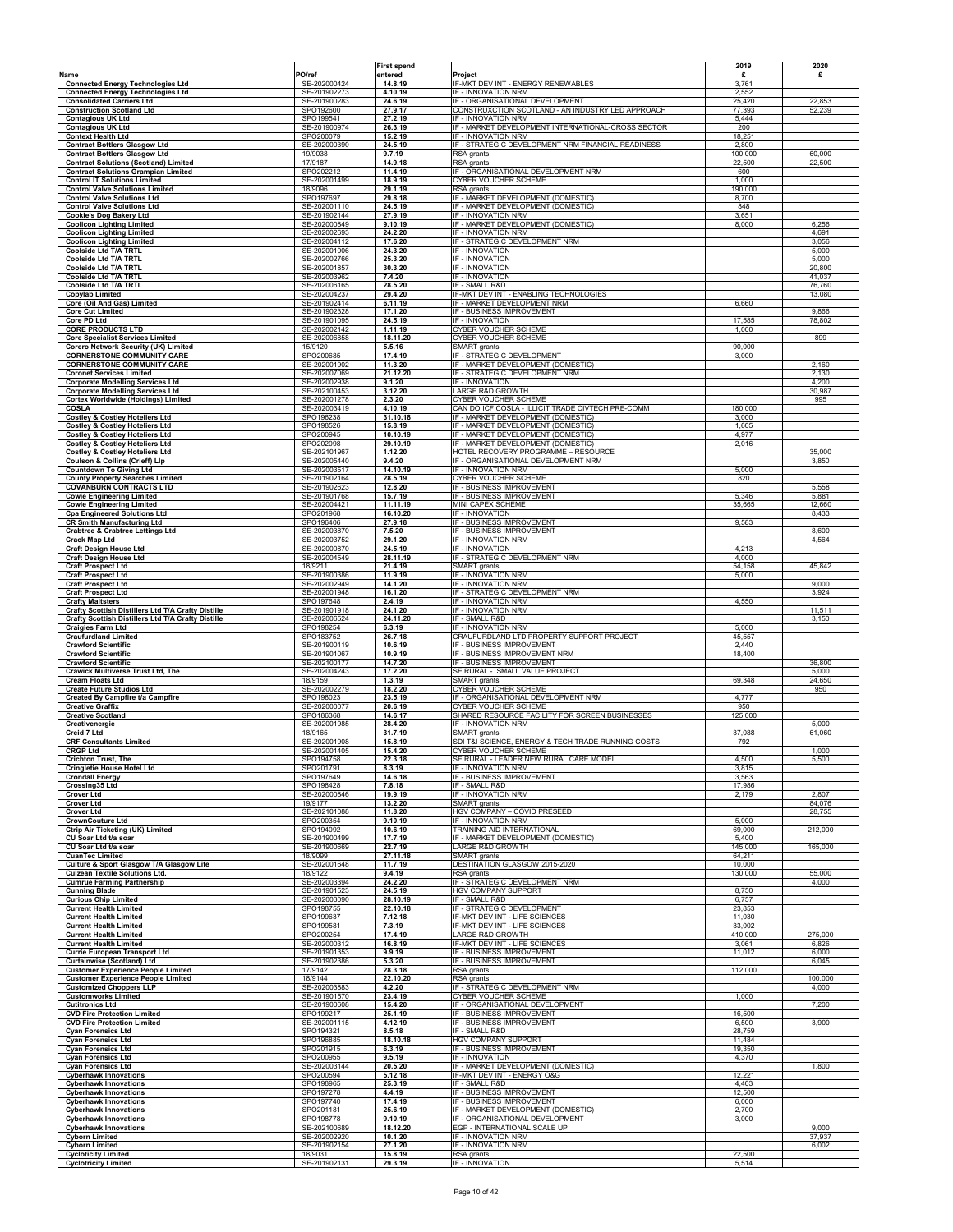|                                                                                          |                              | <b>First spend</b>   |                                                                                         | 2019              | 2020             |
|------------------------------------------------------------------------------------------|------------------------------|----------------------|-----------------------------------------------------------------------------------------|-------------------|------------------|
| Name<br><b>Connected Energy Technologies Ltd</b>                                         | PO/ref<br>SE-202000424       | entered<br>14.8.19   | Project<br>IF-MKT DEV INT - ENERGY RENEWABLES                                           | £<br>3,761        | £                |
| <b>Connected Energy Technologies Ltd</b>                                                 | SE-201902273                 | 4.10.19              | IF - INNOVATION NRM                                                                     | 2,552             |                  |
| <b>Consolidated Carriers Ltd</b><br><b>Construction Scotland Ltd</b>                     | SE-201900283<br>SPO192600    | 24.6.19<br>27.9.17   | IF - ORGANISATIONAL DEVELOPMENT<br>CONSTRUXCTION SCOTLAND - AN INDUSTRY LED APPROACH    | 25,420<br>77,393  | 22,853<br>52,239 |
| <b>Contagious UK Ltd</b>                                                                 | SPO199541                    | 27.2.19              | IF - INNOVATION NRM                                                                     | 5,444             |                  |
| <b>Contagious UK Ltd</b><br><b>Context Health Ltd</b>                                    | SE-201900974<br>SPO200079    | 26.3.19<br>15.2.19   | IF - MARKET DEVELOPMENT INTERNATIONAL-CROSS SECTOR<br>IF - INNOVATION NRM               | 200<br>18,251     |                  |
| <b>Contract Bottlers Glasgow Ltd</b>                                                     | SE-202000390                 | 24.5.19              | IF - STRATEGIC DEVELOPMENT NRM FINANCIAL READINESS                                      | 2,800             |                  |
| <b>Contract Bottlers Glasgow Ltd</b><br><b>Contract Solutions (Scotland) Limited</b>     | 19/9038<br>17/9187           | 9.7.19<br>14.9.18    | RSA grants<br>RSA grants                                                                | 100,000<br>22,500 | 60,000<br>22,500 |
| <b>Contract Solutions Grampian Limited</b>                                               | SPO202212                    | 11.4.19              | IF - ORGANISATIONAL DEVELOPMENT NRM                                                     | 600               |                  |
| <b>Control IT Solutions Limited</b><br><b>Control Valve Solutions Limited</b>            | SE-202001499<br>18/9096      | 18.9.19<br>29.1.19   | CYBER VOUCHER SCHEME<br>RSA grants                                                      | 1,000<br>190,000  |                  |
| <b>Control Valve Solutions Ltd</b>                                                       | SPO197697                    | 29.8.18              | IF - MARKET DEVELOPMENT (DOMESTIC)                                                      | 8,700             |                  |
| <b>Control Valve Solutions Ltd</b><br>Cookie's Dog Bakery Ltd                            | SE-202001110<br>SE-201902144 | 24.5.19<br>27.9.19   | IF - MARKET DEVELOPMENT (DOMESTIC)<br>IF - INNOVATION NRM                               | 848<br>3,651      |                  |
| <b>Coolicon Lighting Limited</b>                                                         | SE-202000849                 | 9.10.19              | IF - MARKET DEVELOPMENT (DOMESTIC)                                                      | 8,000             | 6,256            |
| <b>Coolicon Lighting Limited</b><br><b>Coolicon Lighting Limited</b>                     | SE-202002693<br>SE-202004112 | 24.2.20<br>17.6.20   | IF - INNOVATION NRM<br>IF - STRATEGIC DEVELOPMENT NRM                                   |                   | 4,691<br>3,056   |
| Coolside Ltd T/A TRTL<br>Coolside Ltd T/A TRTL                                           | SE-202001006<br>SE-202002766 | 24.3.20<br>25.3.20   | IF - INNOVATION<br>IF - INNOVATION                                                      |                   | 5,000<br>5,000   |
| Coolside Ltd T/A TRTL                                                                    | SE-202001857                 | 30.3.20              | IF - INNOVATION                                                                         |                   | 20,800           |
| Coolside Ltd T/A TRTL<br>Coolside Ltd T/A TRTL                                           | SE-202003962<br>SE-202006165 | 7.4.20<br>28.5.20    | IF - INNOVATION<br>IF - SMALL R&D                                                       |                   | 41,037<br>76,760 |
| <b>Copylab Limited</b>                                                                   | SE-202004237                 | 29.4.20              | IF-MKT DEV INT - ENABLING TECHNOLOGIES                                                  |                   | 13,080           |
| Core (Oil And Gas) Limited<br><b>Core Cut Limited</b>                                    | SE-201902414<br>SE-201902328 | 6.11.19<br>17.1.20   | IF - MARKET DEVELOPMENT NRM<br>IF - BUSINESS IMPROVEMENT                                | 6,660             | 9,866            |
| Core PD Ltd                                                                              | SE-201901095                 | 24.5.19              | IF - INNOVATION                                                                         | 17,585            | 78,802           |
| <b>CORE PRODUCTS LTD</b><br><b>Core Specialist Services Limited</b>                      | SE-202002142<br>SE-202006858 | 1.11.19<br>18.11.20  | CYBER VOUCHER SCHEME<br>CYBER VOUCHER SCHEME                                            | 1,000             | 899              |
| Corero Network Security (UK) Limited                                                     | 15/9120                      | 5.5.16               | SMART grants                                                                            | 90,000            |                  |
| <b>CORNERSTONE COMMUNITY CARE</b><br><b>CORNERSTONE COMMUNITY CARE</b>                   | SPO200685<br>SE-202001902    | 17.4.19<br>11.3.20   | IF - STRATEGIC DEVELOPMENT<br>IF - MARKET DEVELOPMENT (DOMESTIC)                        | 3,000             | 2,160            |
| <b>Coronet Services Limited</b>                                                          | SE-202007069                 | 21.12.20             | IF - STRATEGIC DEVELOPMENT NRM                                                          |                   | 2,130            |
| <b>Corporate Modelling Services Ltd</b><br><b>Corporate Modelling Services Ltd</b>       | SE-202002938<br>SE-202100453 | 9.1.20<br>3.12.20    | IF - INNOVATION<br>LARGE R&D GROWTH                                                     |                   | 4,200<br>30,987  |
| Cortex Worldwide (Holdings) Limited                                                      | SE-202001278                 | 2.3.20               | CYBER VOUCHER SCHEME                                                                    |                   | 995              |
| COSLA<br><b>Costley &amp; Costley Hoteliers Ltd</b>                                      | SE-202003419<br>SPO196238    | 4.10.19<br>31.10.18  | CAN DO ICF COSLA - ILLICIT TRADE CIVTECH PRE-COMM<br>IF - MARKET DEVELOPMENT (DOMESTIC) | 180,000<br>3,000  |                  |
| <b>Costley &amp; Costley Hoteliers Ltd</b>                                               | SPO198526<br>SPO200945       | 15.8.19<br>10.10.19  | IF - MARKET DEVELOPMENT (DOMESTIC)<br>IF - MARKET DEVELOPMENT (DOMESTIC)                | 1,605<br>4,977    |                  |
| <b>Costley &amp; Costley Hoteliers Ltd</b><br><b>Costley &amp; Costley Hoteliers Ltd</b> | SPO202098                    | 29.10.19             | IF - MARKET DEVELOPMENT (DOMESTIC)                                                      | 2,016             |                  |
| Costley & Costley Hoteliers Ltd<br>Coulson & Collins (Crieff) Llp                        | SE-202101967<br>SE-202005440 | 1.12.20<br>9.4.20    | HOTEL RECOVERY PROGRAMME - RESOURCE<br>IF - ORGANISATIONAL DEVELOPMENT NRM              |                   | 35,000<br>3,850  |
| <b>Countdown To Giving Ltd</b>                                                           | SE-202003517                 | 14.10.19             | IF - INNOVATION NRM                                                                     | 5,000             |                  |
| <b>County Property Searches Limited</b><br><b>COVANBURN CONTRACTS LTD</b>                | SE-201902164<br>SE-201902623 | 28.5.19<br>12.8.20   | CYBER VOUCHER SCHEME<br>IF - BUSINESS IMPROVEMENT                                       | 820               | 5,558            |
| <b>Cowie Engineering Limited</b>                                                         | SE-201901768                 | 15.7.19              | IF - BUSINESS IMPROVEMENT                                                               | 5,346             | 5,881            |
| <b>Cowie Engineering Limited</b><br><b>Cpa Engineered Solutions Ltd</b>                  | SE-202004421<br>SPO201968    | 11.11.19<br>16.10.20 | MINI CAPEX SCHEME<br>IF - INNOVATION                                                    | 35,665            | 12,660<br>8,433  |
| <b>CR Smith Manufacturing Ltd</b>                                                        | SPO196406                    | 27.9.18              | IF - BUSINESS IMPROVEMENT                                                               | 9,583             |                  |
| <b>Crabtree &amp; Crabtree Lettings Ltd</b><br><b>Crack Map Ltd</b>                      | SE-202003870<br>SE-202003752 | 7.5.20<br>29.1.20    | IF - BUSINESS IMPROVEMENT<br>IF - INNOVATION NRM                                        |                   | 8,600<br>4,564   |
| <b>Craft Design House Ltd</b>                                                            | SE-202000870<br>SE-202004549 | 24.5.19              | IF - INNOVATION<br>IF - STRATEGIC DEVELOPMENT NRM                                       | 4,213             |                  |
| <b>Craft Design House Ltd</b><br><b>Craft Prospect Ltd</b>                               | 18/9211                      | 28.11.19<br>21.4.19  | SMART grants                                                                            | 4,000<br>54,158   | 45,842           |
| <b>Craft Prospect Ltd</b><br><b>Craft Prospect Ltd</b>                                   | SE-201900386<br>SE-202002949 | 11.9.19<br>14.1.20   | IF - INNOVATION NRM<br>IF - INNOVATION NRM                                              | 5,000             | 9,000            |
| <b>Craft Prospect Ltd</b>                                                                | SE-202001948                 | 16.1.20              | IF - STRATEGIC DEVELOPMENT NRM                                                          |                   | 3,924            |
| <b>Crafty Maltsters</b><br>Crafty Scottish Distillers Ltd T/A Crafty Distille            | SPO197648<br>SE-201901918    | 2.4.19<br>24.1.20    | IF - INNOVATION NRM<br>IF - INNOVATION NRM                                              | 4,550             | 11,511           |
| Crafty Scottish Distillers Ltd T/A Crafty Distille                                       | SE-202006524                 | 24.11.20             | IF - SMALL R&D                                                                          |                   | 3,150            |
| <b>Craigies Farm Ltd</b><br><b>Craufurdland Limited</b>                                  | SPO198254<br>SPO183752       | 6.3.19<br>26.7.18    | IF - INNOVATION NRM<br>CRAUFURDLAND LTD PROPERTY SUPPORT PROJECT                        | 5,000<br>45,557   |                  |
| <b>Crawford Scientific</b>                                                               | SE-201900119                 | 10.6.19              | IF - BUSINESS IMPROVEMENT                                                               | 2,440             |                  |
| <b>Crawford Scientific</b><br><b>Crawford Scientific</b>                                 | SE-201901067<br>SE-202100177 | 10.9.19<br>14.7.20   | IF - BUSINESS IMPROVEMENT NRM<br>IF - BUSINESS IMPROVEMENT                              | 18,400            | 36,800           |
| <b>Crawick Multiverse Trust Ltd, The</b>                                                 | SE-202004243                 | 17.2.20              | SE RURAL - SMALL VALUE PROJECT                                                          |                   | 5,000            |
| <b>Cream Floats Ltd</b><br><b>Create Future Studios Ltd</b>                              | 18/9159<br>SE-202002279      | 1.3.19<br>18.2.20    | SMART grants<br><b>CYBER VOUCHER SCHEME</b>                                             | 69,348            | 24,650<br>950    |
| Created By Campfire t/a Campfire                                                         | SPO198023                    | 23.5.19              | IF - ORGANISATIONAL DEVELOPMENT NRM<br>CYBER VOUCHER SCHEME                             | 4,777<br>950      |                  |
| <b>Creative Graffix</b><br><b>Creative Scotland</b>                                      | SE-202000077<br>SPO186368    | 20.6.19<br>14.6.17   | SHARED RESOURCE FACILITY FOR SCREEN BUSINESSES                                          | 125,000           |                  |
| Creativenergie<br>Creid 7 Ltd                                                            | SE-202001985<br>18/9165      | 28.4.20<br>31.7.19   | IF - INNOVATION NRM<br>SMART grants                                                     | 37,088            | 5,000<br>61,060  |
| <b>CRF Consultants Limited</b>                                                           | SE-202001908                 | 15.8.19              | SDI T&I SCIENCE, ENERGY & TECH TRADE RUNNING COSTS                                      | 792               |                  |
| <b>CRGP Ltd</b><br>Crichton Trust, The                                                   | SE-202001405<br>SPO194758    | 15.4.20<br>22.3.18   | CYBER VOUCHER SCHEME<br>SE RURAL - LEADER NEW RURAL CARE MODEL                          | 4,500             | 1,000<br>5,500   |
| <b>Cringletie House Hotel Ltd</b>                                                        | SPO201791                    | 8.3.19               | IF - INNOVATION NRM                                                                     | 3,815             |                  |
| <b>Crondall Energy</b><br>Crossing35 Ltd                                                 | SPO197649<br>SPO198428       | 14.6.18<br>7.8.18    | IF - BUSINESS IMPROVEMENT<br>IF - SMALL R&D                                             | 3,563<br>17,986   |                  |
| <b>Crover Ltd</b>                                                                        | SE-202000846                 | 19.9.19              | IF - INNOVATION NRM                                                                     | 2,179             | 2,807            |
| <b>Crover Ltd</b><br><b>Crover Ltd</b>                                                   | 19/9177<br>SE-202101088      | 13.2.20<br>11.8.20   | SMART grants<br>HGV COMPANY - COVID PRESEED                                             |                   | 84,076<br>28,755 |
| <b>CrownCouture Ltd</b><br>Ctrip Air Ticketing (UK) Limited                              | SPO200354<br>SPO194092       | 9.10.19<br>10.6.19   | IF - INNOVATION NRM<br>TRAINING AID INTERNATIONAL                                       | 5,000<br>69,000   | 212,000          |
| CU Soar Ltd t/a soar                                                                     | SE-201900499                 | 17.7.19              | IF - MARKET DEVELOPMENT (DOMESTIC)                                                      | 5,400             |                  |
| CU Soar Ltd t/a soar<br><b>CuanTec Limited</b>                                           | SE-201900669<br>18/9099      | 22.7.19<br>27.11.18  | LARGE R&D GROWTH<br>SMART grants                                                        | 145,000<br>64,211 | 165,000          |
| Culture & Sport Glasgow T/A Glasgow Life                                                 | SE-202001648                 | 11.7.19              | DESTINATION GLASGOW 2015-2020                                                           | 10,000            |                  |
| <b>Culzean Textile Solutions Ltd.</b><br><b>Cumrue Farming Partnership</b>               | 18/9122<br>SE-202003394      | 9.4.19<br>24.2.20    | RSA grants<br>IF - STRATEGIC DEVELOPMENT NRM                                            | 130,000           | 55,000<br>4,000  |
| <b>Cunning Blade</b>                                                                     | SE-201901523                 | 24.5.19              | HGV COMPANY SUPPORT                                                                     | 8,750             |                  |
| <b>Curious Chip Limited</b><br><b>Current Health Limited</b>                             | SE-202003090<br>SPO198755    | 28.10.19<br>22.10.18 | IF - SMALL R&D<br>IF - STRATEGIC DEVELOPMENT                                            | 6,757<br>23,853   |                  |
| <b>Current Health Limited</b>                                                            | SPO199637<br>SPO199581       | 7.12.18              | IF-MKT DEV INT - LIFE SCIENCES                                                          | 11,030            |                  |
| <b>Current Health Limited</b><br><b>Current Health Limited</b>                           | SPO200254                    | 7.3.19<br>17.4.19    | IF-MKT DEV INT - LIFE SCIENCES<br>LARGE R&D GROWTH                                      | 33,002<br>410,000 | 275,000          |
| <b>Current Health Limited</b><br><b>Currie European Transport Ltd</b>                    | SE-202000312<br>SE-201901353 | 16.8.19<br>9.9.19    | IF-MKT DEV INT - LIFE SCIENCES<br>IF - BUSINESS IMPROVEMENT                             | 3,061<br>11,012   | 6,826<br>6,000   |
| Curtainwise (Scotland) Ltd                                                               | SE-201902386                 | 5.3.20               | IF - BUSINESS IMPROVEMENT                                                               |                   | 6,045            |
| <b>Customer Experience People Limited</b><br><b>Customer Experience People Limited</b>   | 17/9142<br>18/9144           | 28.3.18<br>22.10.20  | RSA grants<br>RSA grants                                                                | 112,000           | 100,000          |
| <b>Customized Choppers LLP</b>                                                           | SE-202003883                 | 4.2.20               | IF - STRATEGIC DEVELOPMENT NRM                                                          |                   | 4,000            |
| <b>Customworks Limited</b><br><b>Cutitronics Ltd</b>                                     | SE-201901570<br>SE-201900608 | 23.4.19<br>15.4.20   | CYBER VOUCHER SCHEME<br>IF - ORGANISATIONAL DEVELOPMENT                                 | 1,000             | 7,200            |
| <b>CVD Fire Protection Limited</b>                                                       | SPO199217                    | 25.1.19              | IF - BUSINESS IMPROVEMENT                                                               | 16,500            |                  |
| <b>CVD Fire Protection Limited</b><br><b>Cyan Forensics Ltd</b>                          | SE-202001115<br>SPO194321    | 4.12.19<br>8.5.18    | IF - BUSINESS IMPROVEMENT<br>IF - SMALL R&D                                             | 6,500<br>28,759   | 3,900            |
| <b>Cyan Forensics Ltd</b>                                                                | SPO196885                    | 18.10.18             | HGV COMPANY SUPPORT                                                                     | 11,484            |                  |
| <b>Cyan Forensics Ltd</b><br><b>Cyan Forensics Ltd</b>                                   | SPO201915<br>SPO200955       | 6.3.19<br>9.5.19     | IF - BUSINESS IMPROVEMENT<br>IF - INNOVATION                                            | 19,350<br>4,370   |                  |
| <b>Cyan Forensics Ltd</b>                                                                | SE-202003144                 | 20.5.20              | IF - MARKET DEVELOPMENT (DOMESTIC)                                                      |                   | 1,800            |
| <b>Cyberhawk Innovations</b><br><b>Cyberhawk Innovations</b>                             | SPO200594<br>SPO198965       | 5.12.18<br>25.3.19   | IF-MKT DEV INT - ENERGY O&G<br>IF - SMALL R&D                                           | 12,221<br>4,403   |                  |
| <b>Cyberhawk Innovations</b>                                                             | SPO197278<br>SPO197740       | 4.4.19               | IF - BUSINESS IMPROVEMENT                                                               | 12,500<br>6,000   |                  |
| <b>Cyberhawk Innovations</b><br><b>Cyberhawk Innovations</b>                             | SPO201181                    | 17.4.19<br>25.6.19   | IF - BUSINESS IMPROVEMENT<br>IF - MARKET DEVELOPMENT (DOMESTIC)                         | 2,700             |                  |
| <b>Cyberhawk Innovations</b><br><b>Cyberhawk Innovations</b>                             | SPO198778<br>SE-202100689    | 9.10.19<br>18.12.20  | IF - ORGANISATIONAL DEVELOPMENT<br>EGP - INTERNATIONAL SCALE UP                         | 3,000             | 9,000            |
| <b>Cyborn Limited</b>                                                                    | SE-202002920                 | 10.1.20              | IF - INNOVATION NRM                                                                     |                   | 37,937           |
| <b>Cyborn Limited</b><br><b>Cycloticity Limited</b>                                      | SE-201902154<br>18/9031      | 27.1.20<br>15.8.19   | IF - INNOVATION NRM<br>RSA grants                                                       | 22,500            | 6,002            |
| <b>Cyclotricity Limited</b>                                                              | SE-201902131                 | 29.3.19              | IF - INNOVATION                                                                         | 5,514             |                  |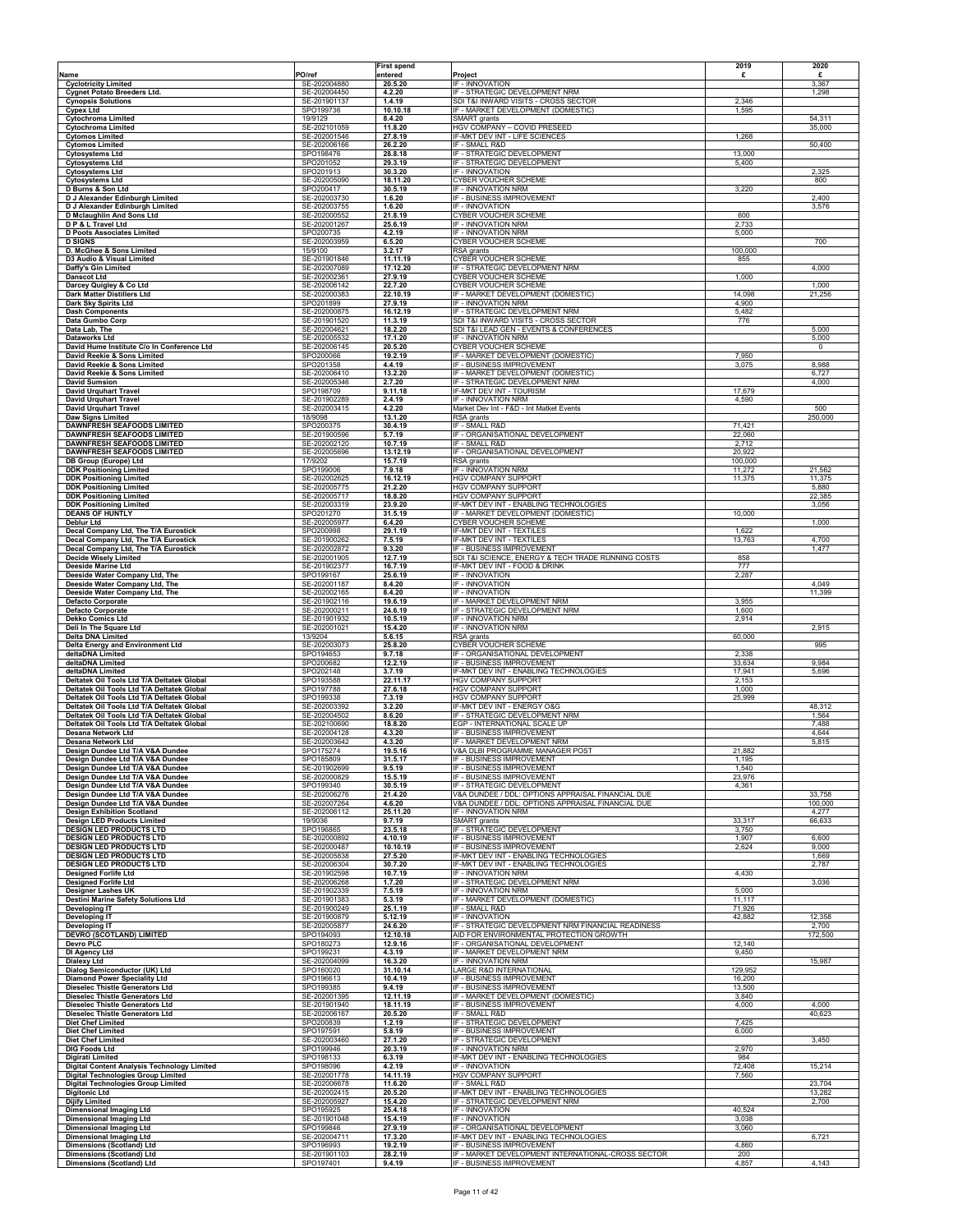|                                                                                                 |                              | <b>First spend</b>   |                                                                                 | 2019              | 2020             |
|-------------------------------------------------------------------------------------------------|------------------------------|----------------------|---------------------------------------------------------------------------------|-------------------|------------------|
| Name                                                                                            | PO/ref                       | entered              | Project                                                                         | £                 | £                |
| <b>Cyclotricity Limited</b><br><b>Cygnet Potato Breeders Ltd.</b>                               | SE-202004880<br>SE-202004450 | 20.5.20<br>4.2.20    | IF - INNOVATION<br>IF - STRATEGIC DEVELOPMENT NRM                               |                   | 3,367<br>1,298   |
| <b>Cynopsis Solutions</b>                                                                       | SE-201901137                 | 1.4.19               | SDI T&I INWARD VISITS - CROSS SECTOR                                            | 2,346             |                  |
| <b>Cypex Ltd</b>                                                                                | SPO199736                    | 10.10.18             | IF - MARKET DEVELOPMENT (DOMESTIC)                                              | 1,595             |                  |
| <b>Cytochroma Limited</b>                                                                       | 19/9129                      | 8.4.20               | SMART grants                                                                    |                   | 54,311           |
| Cytochroma Limited<br><b>Cytomos Limited</b>                                                    | SE-202101059<br>SE-202001546 | 11.8.20<br>27.8.19   | HGV COMPANY - COVID PRESEED<br>IF-MKT DEV INT - LIFE SCIENCES                   | 1,268             | 35,000           |
| <b>Cytomos Limited</b>                                                                          | SE-202006166                 | 26.2.20              | IF - SMALL R&D                                                                  |                   | 50,400           |
| <b>Cytosystems Ltd</b>                                                                          | SPO198476                    | 28.8.18              | IF - STRATEGIC DEVELOPMENT                                                      | 13,000            |                  |
| <b>Cytosystems Ltd</b><br><b>Cytosystems Ltd</b>                                                | SPO201052<br>SPO201913       | 29.3.19<br>30.3.20   | IF - STRATEGIC DEVELOPMENT<br>IF - INNOVATION                                   | 5,400             | 2,325            |
| <b>Cytosystems Ltd</b>                                                                          | SE-202005090                 | 18.11.20             | CYBER VOUCHER SCHEME                                                            |                   | 800              |
| D Burns & Son Ltd                                                                               | SPO200417                    | 30.5.19              | IF - INNOVATION NRM                                                             | 3,220             |                  |
| D J Alexander Edinburgh Limited<br>D J Alexander Edinburgh Limited                              | SE-202003730<br>SE-202003755 | 1.6.20<br>1.6.20     | IF - BUSINESS IMPROVEMENT<br>IF - INNOVATION                                    |                   | 2,400<br>3,576   |
| D Mclaughlin And Sons Ltd                                                                       | SE-202000552                 | 21.8.19              | CYBER VOUCHER SCHEME                                                            | 600               |                  |
| D P & L Travel Ltd                                                                              | SE-202001267                 | 25.6.19              | IF - INNOVATION NRM                                                             | 2,733             |                  |
| <b>D Poots Associates Limited</b><br><b>D SIGNS</b>                                             | SPO200735<br>SE-202003959    | 4.2.19<br>6.5.20     | IF - INNOVATION NRM<br>CYBER VOUCHER SCHEME                                     | 5,000             | 700              |
| D. McGhee & Sons Limited                                                                        | 15/9100                      | 3.2.17               | RSA grants                                                                      | 100,000           |                  |
| D3 Audio & Visual Limited<br>Daffy's Gin Limited                                                | SE-201901846<br>SE-202007089 | 11.11.19<br>17.12.20 | <b>CYBER VOUCHER SCHEME</b><br>IF - STRATEGIC DEVELOPMENT NRM                   | 855               | 4,000            |
| <b>Danscot Ltd</b>                                                                              | SE-202002361                 | 27.9.19              | CYBER VOUCHER SCHEME                                                            | 1,000             |                  |
| Darcey Quigley & Co Ltd                                                                         | SE-202006142                 | 22.7.20              | <b>CYBER VOUCHER SCHEME</b>                                                     |                   | 1,000            |
| Dark Matter Distillers Ltd                                                                      | SE-202000383<br>SPO201899    | 22.10.19<br>27.9.19  | IF - MARKET DEVELOPMENT (DOMESTIC)<br>IF - INNOVATION NRM                       | 14,098<br>4,900   | 21,256           |
| Dark Sky Spirits Ltd<br><b>Dash Components</b>                                                  | SE-202000875                 | 16.12.19             | IF - STRATEGIC DEVELOPMENT NRM                                                  | 5,482             |                  |
| Data Gumbo Corp                                                                                 | SE-201901520                 | 11.3.19              | SDI T&I INWARD VISITS - CROSS SECTOR                                            | 776               |                  |
| Data Lab, The<br><b>Dataworks Ltd</b>                                                           | SE-202004621<br>SE-202005532 | 18.2.20<br>17.1.20   | SDI T&I LEAD GEN - EVENTS & CONFERENCES<br>IF - INNOVATION NRM                  |                   | 5,000<br>5,000   |
| David Hume Institute C/o In Conference Ltd                                                      | SE-202006145                 | 20.5.20              | CYBER VOUCHER SCHEME                                                            |                   | 0                |
| David Reekie & Sons Limited                                                                     | SPO200066                    | 19.2.19              | IF - MARKET DEVELOPMENT (DOMESTIC)                                              | 7,950             |                  |
| David Reekie & Sons Limited<br>David Reekie & Sons Limited                                      | SPO201358<br>SE-202006410    | 4.4.19<br>13.2.20    | IF - BUSINESS IMPROVEMENT<br>IF - MARKET DEVELOPMENT (DOMESTIC)                 | 3,075             | 8,988<br>6,727   |
| <b>David Sumsion</b>                                                                            | SE-202005346                 | 2.7.20               | IF - STRATEGIC DEVELOPMENT NRM                                                  |                   | 4,000            |
| <b>David Urquhart Travel</b>                                                                    | SPO198709                    | 9.11.18              | IF-MKT DEV INT - TOURISM                                                        | 17,679            |                  |
| <b>David Urquhart Travel</b><br><b>David Urquhart Travel</b>                                    | SE-201902289<br>SE-202003415 | 2.4.19<br>4.2.20     | IF - INNOVATION NRM<br>Market Dev Int - F&D - Int Matket Events                 | 4,590             | 500              |
| Daw Signs Limited                                                                               | 18/9098                      | 13.1.20              | RSA grants                                                                      |                   | 250,000          |
| <b>DAWNFRESH SEAFOODS LIMITED</b>                                                               | SPO200375<br>SE-201900596    | 30.4.19<br>5.7.19    | IF - SMALL R&D<br>IF - ORGANISATIONAL DEVELOPMENT                               | 71,421<br>22,060  |                  |
| <b>DAWNFRESH SEAFOODS LIMITED</b><br><b>DAWNFRESH SEAFOODS LIMITED</b>                          | SE-202002120                 | 10.7.19              | IF - SMALL R&D                                                                  | 2,712             |                  |
| <b>DAWNFRESH SEAFOODS LIMITED</b>                                                               | SE-202005696                 | 13.12.19             | IF - ORGANISATIONAL DEVELOPMENT                                                 | 20,922            |                  |
| DB Group (Europe) Ltd<br><b>DDK Positioning Limited</b>                                         | 17/9202<br>SPO199006         | 15.7.19<br>7.9.18    | RSA grants<br>IF - INNOVATION NRM                                               | 100,000<br>11,272 | 21,562           |
| <b>DDK Positioning Limited</b>                                                                  | SE-202002625                 | 16.12.19             | <b>HGV COMPANY SUPPORT</b>                                                      | 11,375            | 11,375           |
| <b>DDK Positioning Limited</b>                                                                  | SE-202005775<br>SE-202005717 | 21.2.20              | HGV COMPANY SUPPORT                                                             |                   | 5,880            |
| <b>DDK Positioning Limited</b><br><b>DDK Positioning Limited</b>                                | SE-202003319                 | 18.8.20<br>23.9.20   | HGV COMPANY SUPPORT<br>IF-MKT DEV INT - ENABLING TECHNOLOGIES                   |                   | 22,385<br>3,056  |
| <b>DEANS OF HUNTLY</b>                                                                          | SPO201270                    | 31.5.19              | IF - MARKET DEVELOPMENT (DOMESTIC)                                              | 10,000            |                  |
| Deblur Ltd<br>Decal Company Ltd, The T/A Eurostick                                              | SE-202005977<br>SPO200998    | 6.4.20<br>29.1.19    | CYBER VOUCHER SCHEME<br>IF-MKT DEV INT - TEXTILES                               | 1,622             | 1,000            |
| Decal Company Ltd, The T/A Eurostick                                                            | SE-201900262                 | 7.5.19               | IF-MKT DEV INT - TEXTILES                                                       | 13,763            | 4,700            |
| Decal Company Ltd, The T/A Eurostick                                                            | SE-202002872                 | 9.3.20               | IF - BUSINESS IMPROVEMENT<br>SDI T&I SCIENCE, ENERGY & TECH TRADE RUNNING COSTS |                   | 1,477            |
| <b>Decide Wisely Limited</b><br><b>Deeside Marine Ltd</b>                                       | SE-202001905<br>SE-201902377 | 12.7.19<br>16.7.19   | IF-MKT DEV INT - FOOD & DRINK                                                   | 858<br>777        |                  |
| Deeside Water Company Ltd, The                                                                  | SPO199167                    | 25.6.19              | IF - INNOVATION                                                                 | 2,287             |                  |
| Deeside Water Company Ltd, The<br>Deeside Water Company Ltd, The                                | SE-202001187<br>SE-202002165 | 8.4.20<br>8.4.20     | IF - INNOVATION<br>IF - INNOVATION                                              |                   | 4,049<br>11,399  |
| <b>Defacto Corporate</b>                                                                        | SE-201902116                 | 19.6.19              | IF - MARKET DEVELOPMENT NRM                                                     | 3,955             |                  |
|                                                                                                 |                              |                      |                                                                                 |                   |                  |
| Defacto Corporate                                                                               | SE-202000211                 | 24.6.19              | IF - STRATEGIC DEVELOPMENT NRM                                                  | 1,600             |                  |
| Dekko Comics Ltd                                                                                | SE-201901932                 | 10.5.19              | IF - INNOVATION NRM                                                             | 2,914             |                  |
| Deli In The Square Ltd<br><b>Delta DNA Limited</b>                                              | SE-202001021<br>13/9204      | 15.4.20<br>5.6.15    | IF - INNOVATION NRM<br>RSA grants                                               | 60,000            | 2,915            |
| Delta Energy and Environment Ltd                                                                | SE-202003073                 | 25.8.20              | <b>CYBER VOUCHER SCHEME</b>                                                     |                   | 995              |
| deltaDNA Limited<br>deltaDNA Limited                                                            | SPO194653<br>SPO200682       | 9.7.18<br>12.2.19    | IF - ORGANISATIONAL DEVELOPMENT<br>IF - BUSINESS IMPROVEMENT                    | 2,338<br>33,634   | 9,984            |
| deltaDNA Limited                                                                                | SPO202148                    | 3.7.19               | IF-MKT DEV INT - ENABLING TECHNOLOGIES                                          | 17,941            | 5,696            |
| Deltatek Oil Tools Ltd T/A Deltatek Global<br>Deltatek Oil Tools Ltd T/A Deltatek Global        | SPO193588<br>SPO197788       | 22.11.17<br>27.6.18  | HGV COMPANY SUPPORT<br><b>HGV COMPANY SUPPORT</b>                               | 2,153<br>1,000    |                  |
| Deltatek Oil Tools Ltd T/A Deltatek Global                                                      | SPO199338                    | 7.3.19               | HGV COMPANY SUPPORT                                                             | 25,999            |                  |
| Deltatek Oil Tools Ltd T/A Deltatek Global                                                      | SE-202003392                 | 3.2.20               | IF-MKT DEV INT - ENERGY O&G                                                     |                   | 48,312           |
| Deltatek Oil Tools Ltd T/A Deltatek Global<br>Deltatek Oil Tools Ltd T/A Deltatek Global        | SE-202004502<br>SE-202100690 | 8.6.20<br>18.8.20    | IF - STRATEGIC DEVELOPMENT NRM<br>EGP - INTERNATIONAL SCALE UP                  |                   | 1,564<br>7,488   |
| Desana Network Ltd                                                                              | SE-202004128                 | 4.3.20               | IF - BUSINESS IMPROVEMENT                                                       |                   | 4,644            |
| Desana Network Ltd<br>Design Dundee Ltd T/A V&A Dundee                                          | SE-202003642<br>SPO175274    | 4.3.20<br>19.5.16    | IF - MARKET DEVELOPMENT NRM<br>V&A DLBI PROGRAMME MANAGER POST                  | 21,882            | 5,815            |
| Design Dundee Ltd T/A V&A Dundee                                                                | SPO185809                    | 31.5.17              | IF - BUSINESS IMPROVEMENT                                                       | 1,195             |                  |
| Design Dundee Ltd T/A V&A Dundee                                                                | SE-201902699                 | 9.5.19               | IF - BUSINESS IMPROVEMENT                                                       | 1,540             |                  |
| Design Dundee Ltd T/A V&A Dundee<br>Design Dundee Ltd T/A V&A Dundee                            | SE-202000829<br>SPO199340    | 15.5.19<br>30.5.19   | IF - BUSINESS IMPROVEMENT<br>IF - STRATEGIC DEVELOPMENT                         | 23,976<br>4,361   |                  |
| Design Dundee Ltd T/A V&A Dundee                                                                | SE-202006276                 | 21.4.20              | V&A DUNDEE / DDL: OPTIONS APPRAISAL FINANCIAL DUE                               |                   | 33,758           |
| Design Dundee Ltd T/A V&A Dundee<br><b>Design Exhibition Scotland</b>                           | SE-202007264<br>SE-202006112 | 4.6.20<br>25.11.20   | V&A DUNDEE / DDL: OPTIONS APPRAISAL FINANCIAL DUE<br>IF - INNOVATION NRM        |                   | 100,000<br>4,277 |
| <b>Design LED Products Limited</b>                                                              | 19/9036                      | 9.7.19               | SMART grants                                                                    | 33,317            | 66,633           |
| <b>DESIGN LED PRODUCTS LTD</b><br><b>DESIGN LED PRODUCTS LTD</b>                                | SPO196865<br>SE-202000892    | 23.5.18<br>4.10.19   | IF - STRATEGIC DEVELOPMENT<br>IF - BUSINESS IMPROVEMENT                         | 3,750<br>1,907    | 6,600            |
| <b>DESIGN LED PRODUCTS LTD</b>                                                                  | SE-202000487                 | 10.10.19             | IF - BUSINESS IMPROVEMENT                                                       | 2,624             | 9,000            |
| DESIGN LED PRODUCTS LTD                                                                         | SE-202005838                 | 27.5.20              | IF-MKT DEV INT - ENABLING TECHNOLOGIES                                          |                   | 1,669            |
| <b>DESIGN LED PRODUCTS LTD</b><br><b>Designed Forlife Ltd</b>                                   | SE-202006304<br>SE-201902598 | 30.7.20<br>10.7.19   | IF-MKT DEV INT - ENABLING TECHNOLOGIES<br>IF - INNOVATION NRM                   | 4,430             | 2,787            |
| <b>Designed Forlife Ltd</b>                                                                     | SE-202006268                 | 1.7.20               | IF - STRATEGIC DEVELOPMENT NRM                                                  |                   | 3,036            |
| Designer Lashes UK<br>Destini Marine Safety Solutions Ltd                                       | SE-201902339<br>SE-201901383 | 7.5.19<br>5.3.19     | IF - INNOVATION NRM<br>IF - MARKET DEVELOPMENT (DOMESTIC)                       | 5,000<br>11,117   |                  |
| <b>Developing IT</b>                                                                            | SE-201900249                 | 25.1.19              | IF - SMALL R&D                                                                  | 71,926            |                  |
| <b>Developing IT</b>                                                                            | SE-201900879<br>SE-202005877 | 5.12.19<br>24.6.20   | IF - INNOVATION<br>IF - STRATEGIC DEVELOPMENT NRM FINANCIAL READINESS           | 42,882            | 12,358<br>2,700  |
| Developing IT<br><b>DEVRO (SCOTLAND) LIMITED</b>                                                | SPO194093                    | 12.10.18             | AID FOR ENVIRONMENTAL PROTECTION GROWTH                                         |                   | 172,500          |
| <b>Devro PLC</b>                                                                                | SPO180273                    | 12.9.16              | IF - ORGANISATIONAL DEVELOPMENT                                                 | 12,140            |                  |
| <b>DI Agency Ltd</b><br><b>Dialexy Ltd</b>                                                      | SPO199231<br>SE-202004099    | 4.3.19<br>16.3.20    | IF - MARKET DEVELOPMENT NRM<br>IF - INNOVATION NRM                              | 9,450             | 15,987           |
| Dialog Semiconductor (UK) Ltd                                                                   | SPO160020                    | 31.10.14             | <b>LARGE R&amp;D INTERNATIONAL</b>                                              | 129,952           |                  |
| <b>Diamond Power Speciality Ltd</b><br><b>Dieselec Thistle Generators Ltd</b>                   | SPO196613<br>SPO199385       | 10.4.19<br>9.4.19    | IF - BUSINESS IMPROVEMENT<br>IF - BUSINESS IMPROVEMENT                          | 16,200<br>13,500  |                  |
| <b>Dieselec Thistle Generators Ltd</b>                                                          | SE-202001395                 | 12.11.19             | IF - MARKET DEVELOPMENT (DOMESTIC)                                              | 3,840             |                  |
| <b>Dieselec Thistle Generators Ltd</b><br><b>Dieselec Thistle Generators Ltd</b>                | SE-201901940<br>SE-202006167 | 18.11.19<br>20.5.20  | IF - BUSINESS IMPROVEMENT<br>IF - SMALL R&D                                     | 4,000             | 4,000<br>40,623  |
| <b>Diet Chef Limited</b>                                                                        | SPO200839                    | 1.2.19               | IF - STRATEGIC DEVELOPMENT                                                      | 7,425             |                  |
| <b>Diet Chef Limited</b>                                                                        | SPO197591                    | 5.8.19               | IF - BUSINESS IMPROVEMENT                                                       | 6,000             |                  |
| <b>Diet Chef Limited</b><br><b>DIG Foods Ltd</b>                                                | SE-202003460<br>SPO199946    | 27.1.20<br>20.3.19   | IF - STRATEGIC DEVELOPMENT<br>IF - INNOVATION NRM                               | 2,970             | 3,450            |
| Digirati Limited                                                                                | SPO198133                    | 6.3.19               | IF-MKT DEV INT - ENABLING TECHNOLOGIES                                          | 984               |                  |
| <b>Digital Content Analysis Technology Limited</b><br><b>Digital Technologies Group Limited</b> | SPO198096<br>SE-202001778    | 4.2.19<br>14.11.19   | IF - INNOVATION<br>HGV COMPANY SUPPORT                                          | 72,408<br>7,560   | 15,214           |
| <b>Digital Technologies Group Limited</b>                                                       | SE-202006678                 | 11.6.20              | IF - SMALL R&D                                                                  |                   | 23,704           |
| <b>Digitonic Ltd</b>                                                                            | SE-202002415                 | 20.5.20              | IF-MKT DEV INT - ENABLING TECHNOLOGIES                                          |                   | 13,282           |
| <b>Dijify Limited</b><br><b>Dimensional Imaging Ltd</b>                                         | SE-202005927<br>SPO195925    | 15.4.20<br>25.4.18   | IF - STRATEGIC DEVELOPMENT NRM<br>IF - INNOVATION                               | 40,524            | 2,700            |
| <b>Dimensional Imaging Ltd</b>                                                                  | SE-201901048                 | 15.4.19              | IF - INNOVATION                                                                 | 3,038             |                  |
| <b>Dimensional Imaging Ltd</b><br><b>Dimensional Imaging Ltd</b>                                | SPO199846<br>SE-202004711    | 27.9.19<br>17.3.20   | IF - ORGANISATIONAL DEVELOPMENT<br>IF-MKT DEV INT - ENABLING TECHNOLOGIES       | 3,060             | 6,721            |
| <b>Dimensions (Scotland) Ltd</b><br><b>Dimensions (Scotland) Ltd</b>                            | SPO196993<br>SE-201901103    | 19.2.19<br>28.2.19   | IF - BUSINESS IMPROVEMENT<br>IF - MARKET DEVELOPMENT INTERNATIONAL-CROSS SECTOR | 4,860<br>200      |                  |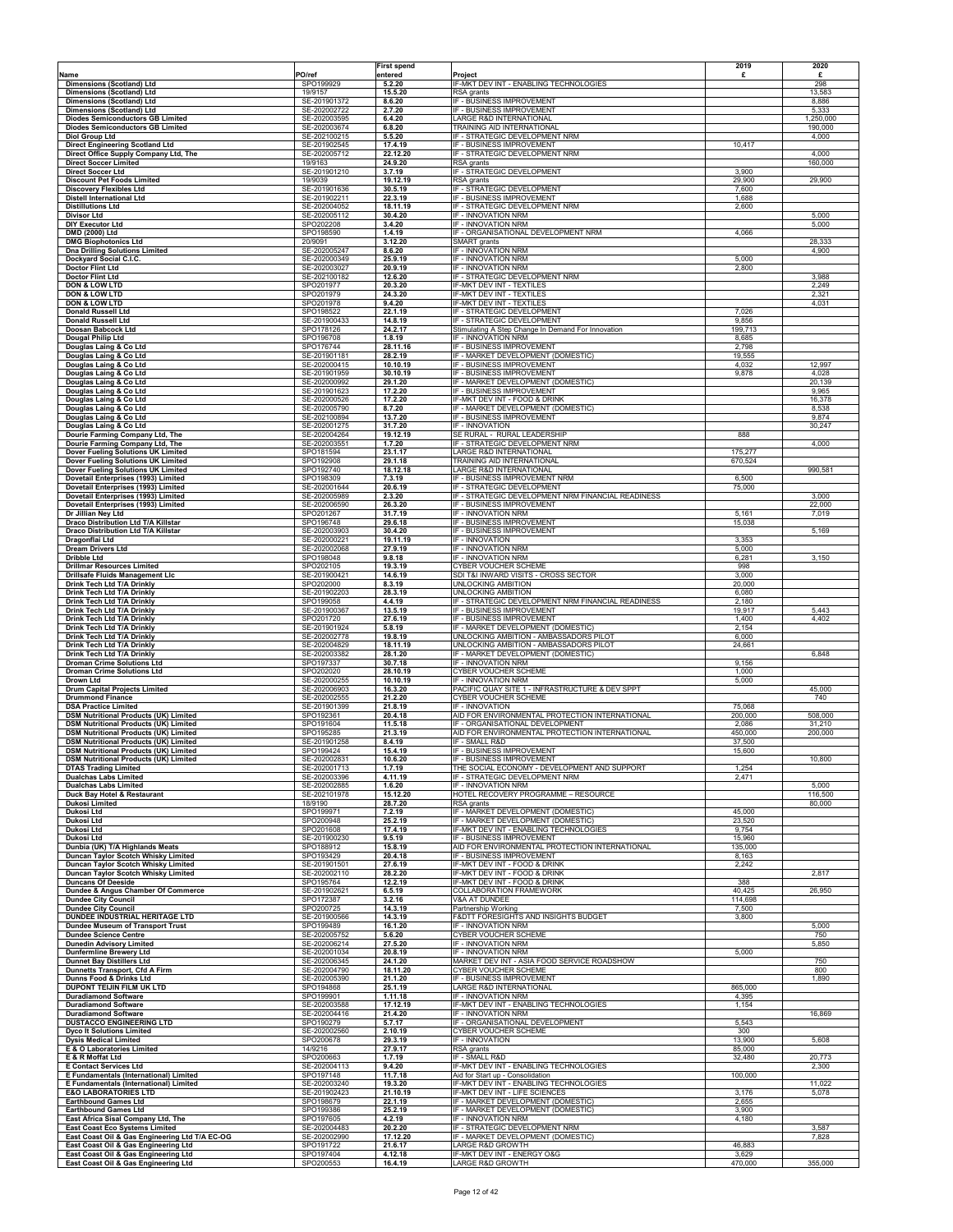|                                                                                              |                              | <b>First spend</b>   |                                                                                   | 2019               | 2020              |
|----------------------------------------------------------------------------------------------|------------------------------|----------------------|-----------------------------------------------------------------------------------|--------------------|-------------------|
| Name<br>Dimensions (Scotland) Ltd                                                            | PO/ref<br>SPO199929          | entered<br>5.2.20    | Project<br>IF-MKT DEV INT - ENABLING TECHNOLOGIES                                 | £                  | £<br>298          |
| Dimensions (Scotland) Ltd                                                                    | 19/9157                      | 15.5.20              | RSA grants                                                                        |                    | 13,583            |
| Dimensions (Scotland) Ltd<br>Dimensions (Scotland) Ltd                                       | SE-201901372<br>SE-202002722 | 8.6.20<br>2.7.20     | IF - BUSINESS IMPROVEMENT<br>IF - BUSINESS IMPROVEMENT                            |                    | 8,886<br>5,333    |
| <b>Diodes Semiconductors GB Limited</b>                                                      | SE-202003595                 | 6.4.20               | <b>LARGE R&amp;D INTERNATIONAL</b>                                                |                    | 1,250,000         |
| <b>Diodes Semiconductors GB Limited</b><br><b>Diol Group Ltd</b>                             | SE-202003674<br>SE-202100215 | 6.8.20<br>5.5.20     | TRAINING AID INTERNATIONAL<br>IF - STRATEGIC DEVELOPMENT NRM                      |                    | 190,000<br>4,000  |
| <b>Direct Engineering Scotland Ltd</b><br>Direct Office Supply Company Ltd, The              | SE-201902545<br>SE-202005712 | 17.4.19<br>22.12.20  | IF - BUSINESS IMPROVEMENT<br>IF - STRATEGIC DEVELOPMENT NRM                       | 10,417             | 4,000             |
| <b>Direct Soccer Limited</b>                                                                 | 19/9163                      | 24.9.20              | RSA grants                                                                        |                    | 160,000           |
| <b>Direct Soccer Ltd</b><br><b>Discount Pet Foods Limited</b>                                | SE-201901210<br>19/9039      | 3.7.19<br>19.12.19   | IF - STRATEGIC DEVELOPMENT<br>RSA grants                                          | 3,900<br>29,900    | 29,900            |
| <b>Discovery Flexibles Ltd</b>                                                               | SE-201901636                 | 30.5.19              | IF - STRATEGIC DEVELOPMENT                                                        | 7,600              |                   |
| <b>Distell International Ltd</b><br><b>Distillutions Ltd</b>                                 | SE-201902211<br>SE-202004052 | 22.3.19<br>18.11.19  | IF - BUSINESS IMPROVEMENT<br>IF - STRATEGIC DEVELOPMENT NRM                       | 1,688<br>2,600     |                   |
| <b>Divisor Ltd</b>                                                                           | SE-202005112                 | 30.4.20              | IF - INNOVATION NRM                                                               |                    | 5,000             |
| <b>DIY Executor Ltd</b><br><b>DMD (2000) Ltd</b>                                             | SPO202208<br>SPO198590       | 3.4.20<br>1.4.19     | IF - INNOVATION NRM<br>IF - ORGANISATIONAL DEVELOPMENT NRM                        | 4,066              | 5,000             |
| <b>DMG Biophotonics Ltd</b>                                                                  | 20/9091                      | 3.12.20              | SMART grants                                                                      |                    | 28,333            |
| <b>Dna Drilling Solutions Limited</b><br>Dockyard Social C.I.C.                              | SE-202005247<br>SE-202000349 | 8.6.20<br>25.9.19    | IF - INNOVATION NRM<br>IF - INNOVATION NRM                                        | 5,000              | 4,900             |
| <b>Doctor Flint Ltd</b>                                                                      | SE-202003027                 | 20.9.19              | IF - INNOVATION NRM                                                               | 2,800              |                   |
| <b>Doctor Flint Ltd</b><br><b>DON &amp; LOW LTD</b>                                          | SE-202100182<br>SPO201977    | 12.6.20<br>20.3.20   | <b>IF - STRATEGIC DEVELOPMENT NRM</b><br>IF-MKT DEV INT - TEXTILES                |                    | 3,988<br>2,249    |
| <b>DON &amp; LOW LTD</b>                                                                     | SPO201979                    | 24.3.20              | IF-MKT DEV INT - TEXTILES                                                         |                    | 2,321             |
| <b>DON &amp; LOW LTD</b><br><b>Donald Russell Ltd</b>                                        | SPO201978<br>SPO198522       | 9.4.20<br>22.1.19    | IF-MKT DEV INT - TEXTILES<br>IF - STRATEGIC DEVELOPMENT                           | 7,026              | 4,031             |
| <b>Donald Russell Ltd</b>                                                                    | SE-201900433                 | 14.8.19              | IF - STRATEGIC DEVELOPMENT                                                        | 9,856<br>199,713   |                   |
| Doosan Babcock Ltd<br><b>Dougal Philip Ltd</b>                                               | SPO178126<br>SPO196708       | 24.2.17<br>1.8.19    | Stimulating A Step Change In Demand For Innovation<br>IF - INNOVATION NRM         | 8,685              |                   |
| Douglas Laing & Co Ltd<br>Douglas Laing & Co Ltd                                             | SPO176744<br>SE-201901181    | 28.11.16<br>28.2.19  | IF - BUSINESS IMPROVEMENT<br>IF - MARKET DEVELOPMENT (DOMESTIC)                   | 2,798<br>19,555    |                   |
| Douglas Laing & Co Ltd                                                                       | SE-202000415                 | 10.10.19             | IF - BUSINESS IMPROVEMENT                                                         | 4,032              | 12,997            |
| Douglas Laing & Co Ltd<br>Douglas Laing & Co Ltd                                             | SE-201901959<br>SE-202000992 | 30.10.19<br>29.1.20  | IF - BUSINESS IMPROVEMENT<br>IF - MARKET DEVELOPMENT (DOMESTIC)                   | 9,878              | 4,028<br>20,139   |
| Douglas Laing & Co Ltd                                                                       | SE-201901623                 | 17.2.20              | IF - BUSINESS IMPROVEMENT                                                         |                    | 9,965             |
| Douglas Laing & Co Ltd<br>Douglas Laing & Co Ltd                                             | SE-202000526<br>SE-202005790 | 17.2.20<br>8.7.20    | IF-MKT DEV INT - FOOD & DRINK<br>IF - MARKET DEVELOPMENT (DOMESTIC)               |                    | 16,378<br>8,538   |
| Douglas Laing & Co Ltd                                                                       | SE-202100894                 | 13.7.20              | IF - BUSINESS IMPROVEMENT                                                         |                    | 9,874             |
| Douglas Laing & Co Ltd<br>Dourie Farming Company Ltd, The                                    | SE-202001275<br>SE-202004264 | 31.7.20<br>19.12.19  | IF - INNOVATION<br>SE RURAL - RURAL LEADERSHIP                                    | 888                | 30,247            |
| Dourie Farming Company Ltd, The                                                              | SE-202003551                 | 1.7.20               | IF - STRATEGIC DEVELOPMENT NRM                                                    |                    | 4,000             |
| Dover Fueling Solutions UK Limited<br>Dover Fueling Solutions UK Limited                     | SPO181594<br>SPO192908       | 23.1.17<br>29.1.18   | LARGE R&D INTERNATIONAL<br>TRAINING AID INTERNATIONAL                             | 175,277<br>670,524 |                   |
| Dover Fueling Solutions UK Limited                                                           | SPO192740<br>SPO198309       | 18.12.18             | <b>LARGE R&amp;D INTERNATIONAL</b>                                                |                    | 990,581           |
| Dovetail Enterprises (1993) Limited<br>Dovetail Enterprises (1993) Limited                   | SE-202001644                 | 7.3.19<br>20.6.19    | IF - BUSINESS IMPROVEMENT NRM<br>IF - STRATEGIC DEVELOPMENT                       | 6,500<br>75,000    |                   |
| Dovetail Enterprises (1993) Limited                                                          | SE-202005989<br>SE-202006590 | 2.3.20               | IF - STRATEGIC DEVELOPMENT NRM FINANCIAL READINESS<br>IF - BUSINESS IMPROVEMENT   |                    | 3,000<br>22,000   |
| Dovetail Enterprises (1993) Limited<br>Dr Jillian Ney Ltd                                    | SPO201267                    | 26.3.20<br>31.7.19   | IF - INNOVATION NRM                                                               | 5,161              | 7,019             |
| Draco Distribution Ltd T/A Killstar<br>Draco Distribution Ltd T/A Killstar                   | SPO196748<br>SE-202003903    | 29.6.18<br>30.4.20   | IF - BUSINESS IMPROVEMENT<br>IF - BUSINESS IMPROVEMENT                            | 15,038             | 5,169             |
| Dragonflai Ltd                                                                               | SE-202000221                 | 19.11.19             | IF - INNOVATION                                                                   | 3,353              |                   |
| <b>Dream Drivers Ltd</b><br><b>Dribble Ltd</b>                                               | SE-202002068<br>SPO198048    | 27.9.19<br>9.8.18    | IF - INNOVATION NRM<br>IF - INNOVATION NRM                                        | 5,000<br>6,281     | 3,150             |
| <b>Drillmar Resources Limited</b>                                                            | SPO202105                    | 19.3.19              | CYBER VOUCHER SCHEME                                                              | 998                |                   |
| Drillsafe Fluids Management Llc<br>Drink Tech Ltd T/A Drinkly                                | SE-201900421<br>SPO202000    | 14.6.19<br>8.3.19    | SDI T&I INWARD VISITS - CROSS SECTOR<br>UNLOCKING AMBITION                        | 3,000<br>20,000    |                   |
| Drink Tech Ltd T/A Drinkly                                                                   | SE-201902203                 | 28.3.19              | UNLOCKING AMBITION                                                                | 6,080              |                   |
| Drink Tech Ltd T/A Drinkly<br>Drink Tech Ltd T/A Drinkly                                     | SPO199058<br>SE-201900367    | 4.4.19<br>13.5.19    | IF - STRATEGIC DEVELOPMENT NRM FINANCIAL READINESS<br>IF - BUSINESS IMPROVEMENT   | 2,180<br>19,917    | 5,443             |
| Drink Tech Ltd T/A Drinkly                                                                   | SPO201720                    | 27.6.19              | IF - BUSINESS IMPROVEMENT                                                         | 1,400              | 4,402             |
| Drink Tech Ltd T/A Drinkly<br>Drink Tech Ltd T/A Drinkly                                     | SE-201901924<br>SE-202002778 | 5.8.19<br>19.8.19    | IF - MARKET DEVELOPMENT (DOMESTIC)<br>UNLOCKING AMBITION - AMBASSADORS PILOT      | 2,154<br>6,000     |                   |
| Drink Tech Ltd T/A Drinkly                                                                   | SE-202004829                 | 18.11.19             | UNLOCKING AMBITION - AMBASSADORS PILOT                                            | 24,661             |                   |
| Drink Tech Ltd T/A Drinkly<br><b>Droman Crime Solutions Ltd</b>                              | SE-202003382<br>SPO197337    | 28.1.20<br>30.7.18   | IF - MARKET DEVELOPMENT (DOMESTIC)<br>IF - INNOVATION NRM                         | 9,156              | 6,848             |
| <b>Droman Crime Solutions Ltd</b><br>Drown Ltd                                               | SPO202020<br>SE-202000255    | 28.10.19<br>10.10.19 | CYBER VOUCHER SCHEME<br>IF - INNOVATION NRM                                       | 1,000<br>5,000     |                   |
| <b>Drum Capital Projects Limited</b>                                                         | SE-202006903                 | 16.3.20              | PACIFIC QUAY SITE 1 - INFRASTRUCTURE & DEV SPPT                                   |                    | 45,000            |
| <b>Drummond Finance</b><br><b>DSA Practice Limited</b>                                       | SE-202002555<br>SE-201901399 | 21.2.20<br>21.8.19   | CYBER VOUCHER SCHEME<br>IF - INNOVATION                                           | 75,068             | 740               |
| <b>DSM Nutritional Products (UK) Limited</b>                                                 | SPO192361                    | 20.4.18              | AID FOR ENVIRONMENTAL PROTECTION INTERNATIONAL                                    | 200,000            | 508,000           |
| <b>DSM Nutritional Products (UK) Limited</b><br><b>DSM Nutritional Products (UK) Limited</b> | SPO191604<br>SPO195285       | 11.5.18<br>21.3.19   | IF - ORGANISATIONAL DEVELOPMENT<br>AID FOR ENVIRONMENTAL PROTECTION INTERNATIONAL | 2,086<br>450,000   | 31,210<br>200,000 |
| <b>DSM Nutritional Products (UK) Limited</b>                                                 | SE-201901258                 | 8.4.19               | IF - SMALL R&D<br>IF - BUSINESS IMPROVEMENT                                       | 37,500             |                   |
| <b>DSM Nutritional Products (UK) Limited</b><br><b>DSM Nutritional Products (UK) Limited</b> | SPO199424<br>SE-202002831    | 15.4.19<br>10.6.20   | IF - BUSINESS IMPROVEMENT                                                         | 15,600             | 10,800            |
| <b>DTAS Trading Limited</b><br><b>Dualchas Labs Limited</b>                                  | SE-202001713<br>SE-202003396 | 1.7.19<br>4.11.19    | THE SOCIAL ECONOMY - DEVELOPMENT AND SUPPORT<br>IF - STRATEGIC DEVELOPMENT NRM    | 1,254<br>2,471     |                   |
| <b>Dualchas Labs Limited</b>                                                                 | SE-202002885                 | 1.6.20               | IF - INNOVATION NRM                                                               |                    | 5,000             |
| Duck Bay Hotel & Restaurant<br><b>Dukosi Limited</b>                                         | SE-202101978<br>18/9190      | 15.12.20<br>28.7.20  | HOTEL RECOVERY PROGRAMME - RESOURCE<br>RSA grants                                 |                    | 116,500<br>80,000 |
| <b>Dukosi Ltd</b>                                                                            | SPO199971                    | 7.2.19               | IF - MARKET DEVELOPMENT (DOMESTIC)                                                | 45,000             |                   |
| Dukosi Ltd<br>Dukosi Ltd                                                                     | SPO200948<br>SPO201608       | 25.2.19<br>17.4.19   | IF - MARKET DEVELOPMENT (DOMESTIC)<br>IF-MKT DEV INT - ENABLING TECHNOLOGIES      | 23,520<br>9,754    |                   |
| Dukosi Ltd                                                                                   | SE-201900230                 | 9.5.19               | IF - BUSINESS IMPROVEMENT                                                         | 15,960             |                   |
| Dunbia (UK) T/A Highlands Meats<br>Duncan Taylor Scotch Whisky Limited                       | SPO188912<br>SPO193429       | 15.8.19<br>20.4.18   | AID FOR ENVIRONMENTAL PROTECTION INTERNATIONAL<br>IF - BUSINESS IMPROVEMENT       | 135,000<br>8,163   |                   |
| Duncan Taylor Scotch Whisky Limited                                                          | SE-201901501                 | 27.6.19              | IF-MKT DEV INT - FOOD & DRINK                                                     | 2,242              |                   |
| Duncan Taylor Scotch Whisky Limited<br><b>Duncans Of Deeside</b>                             | SE-202002110<br>SPO195764    | 28.2.20<br>12.2.19   | IF-MKT DEV INT - FOOD & DRINK<br>IF-MKT DEV INT - FOOD & DRINK                    | 388                | 2,817             |
| Dundee & Angus Chamber Of Commerce<br><b>Dundee City Council</b>                             | SE-201902621<br>SPO172387    | 6.5.19<br>3.2.16     | <b>COLLABORATION FRAMEWORK</b><br>V&A AT DUNDEE                                   | 40,425<br>114,698  | 26,950            |
| <b>Dundee City Council</b>                                                                   | SPO200725                    | 14.3.19              | Partnership Working                                                               | 7,500              |                   |
| <b>DUNDEE INDUSTRIAL HERITAGE LTD</b><br>Dundee Museum of Transport Trust                    | SE-201900566<br>SPO199489    | 14.3.19<br>16.1.20   | F&DTT FORESIGHTS AND INSIGHTS BUDGET<br>IF - INNOVATION NRM                       | 3,800              | 5,000             |
| <b>Dundee Science Centre</b>                                                                 | SE-202005752                 | 5.6.20               | <b>CYBER VOUCHER SCHEME</b>                                                       |                    | 750               |
| <b>Dunedin Advisory Limited</b><br><b>Dunfermline Brewery Ltd</b>                            | SE-202006214<br>SE-202001034 | 27.5.20<br>20.8.19   | IF - INNOVATION NRM<br>IF - INNOVATION NRM                                        | 5,000              | 5,850             |
| <b>Dunnet Bay Distillers Ltd</b>                                                             | SE-202006345                 | 24.1.20              | MARKET DEV INT - ASIA FOOD SERVICE ROADSHOW                                       |                    | 750               |
| Dunnetts Transport, Cfd A Firm<br>Dunns Food & Drinks Ltd                                    | SE-202004790<br>SE-202005390 | 18.11.20<br>21.1.20  | CYBER VOUCHER SCHEME<br>IF - BUSINESS IMPROVEMENT                                 |                    | 800<br>1,890      |
| DUPONT TEIJIN FILM UK LTD<br><b>Duradiamond Software</b>                                     | SPO194868<br>SPO199901       | 25.1.19<br>1.11.18   | LARGE R&D INTERNATIONAL<br>IF - INNOVATION NRM                                    | 865,000            |                   |
| <b>Duradiamond Software</b>                                                                  | SE-202003588                 | 17.12.19             | IF-MKT DEV INT - ENABLING TECHNOLOGIES                                            | 4,395<br>1,154     |                   |
| <b>Duradiamond Software</b><br><b>DUSTACCO ENGINEERING LTD</b>                               | SE-202004416<br>SPO190279    | 21.4.20<br>5.7.17    | IF - INNOVATION NRM<br>IF - ORGANISATIONAL DEVELOPMENT                            | 5,543              | 16,869            |
| <b>Dyco It Solutions Limited</b>                                                             | SE-202002560                 | 2.10.19              | CYBER VOUCHER SCHEME                                                              | 300                |                   |
| <b>Dysis Medical Limited</b><br>E & O Laboratories Limited                                   | SPO200678<br>14/9216         | 29.3.19<br>27.9.17   | IF - INNOVATION<br>RSA grants                                                     | 13,900<br>85,000   | 5,608             |
| E & R Moffat Ltd                                                                             | SPO200663                    | 1.7.19               | IF - SMALL R&D                                                                    | 32,480             | 20,773            |
| <b>E Contact Services Ltd</b><br>E Fundamentals (International) Limited                      | SE-202004113<br>SPO197148    | 9.4.20<br>11.7.18    | IF-MKT DEV INT - ENABLING TECHNOLOGIES<br>Aid for Start up - Consolidation        | 100,000            | 2,300             |
| E Fundamentals (International) Limited                                                       | SE-202003240                 | 19.3.20              | IF-MKT DEV INT - ENABLING TECHNOLOGIES                                            |                    | 11,022            |
| <b>E&amp;O LABORATORIES LTD</b><br><b>Earthbound Games Ltd</b>                               | SE-201902423<br>SPO198679    | 21.10.19<br>22.1.19  | IF-MKT DEV INT - LIFE SCIENCES<br>IF - MARKET DEVELOPMENT (DOMESTIC)              | 3,176<br>2,655     | 5,078             |
| <b>Earthbound Games Ltd</b><br>East Africa Sisal Company Ltd, The                            | SPO199386                    | 25.2.19              | IF - MARKET DEVELOPMENT (DOMESTIC)                                                | 3,900              |                   |
| East Coast Eco Systems Limited                                                               | SPO197605<br>SE-202004483    | 4.2.19<br>20.2.20    | IF - INNOVATION NRM<br>IF - STRATEGIC DEVELOPMENT NRM                             | 4,180              | 3,587             |
| East Coast Oil & Gas Engineering Ltd T/A EC-OG<br>East Coast Oil & Gas Engineering Ltd       | SE-202002990<br>SPO191722    | 17.12.20<br>21.6.17  | IF - MARKET DEVELOPMENT (DOMESTIC)<br>LARGE R&D GROWTH                            | 46,883             | 7,828             |
| East Coast Oil & Gas Engineering Ltd                                                         | SPO197404                    | 4.12.18              | IF-MKT DEV INT - ENERGY O&G                                                       | 3,629              |                   |
| East Coast Oil & Gas Engineering Ltd                                                         | SPO200553                    | 16.4.19              | LARGE R&D GROWTH                                                                  | 470,000            | 355,000           |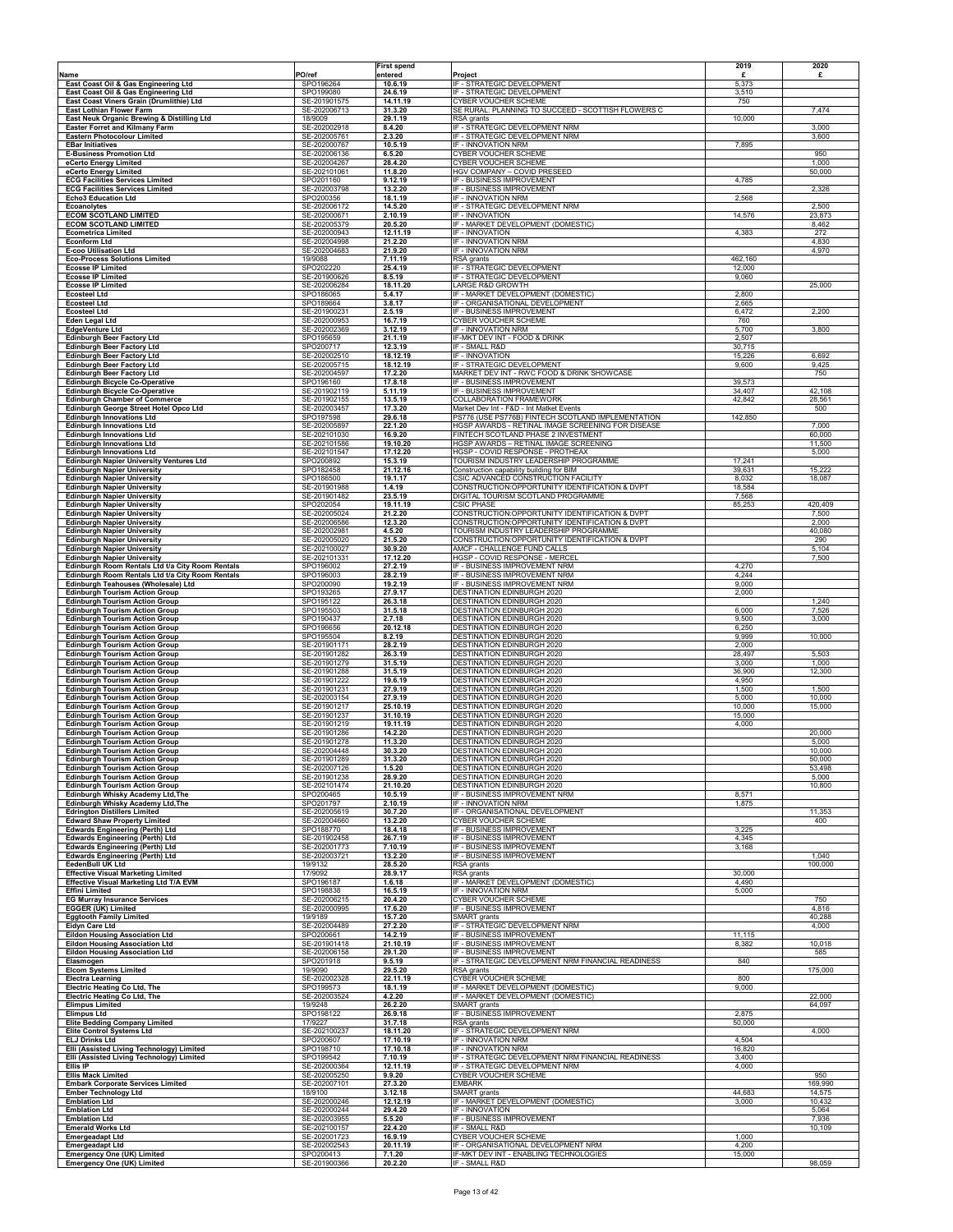|                                                                                        |                              | <b>First spend</b>   |                                                                                                         | 2019             | 2020             |
|----------------------------------------------------------------------------------------|------------------------------|----------------------|---------------------------------------------------------------------------------------------------------|------------------|------------------|
| Name<br>East Coast Oil & Gas Engineering Ltd                                           | PO/ref<br>SPO196264          | entered<br>10.6.19   | Project<br>IF - STRATEGIC DEVELOPMENT                                                                   | £<br>5,373       | £                |
| East Coast Oil & Gas Engineering Ltd                                                   | SPO199080                    | 24.6.19              | IF - STRATEGIC DEVELOPMENT                                                                              | 3,510            |                  |
| East Coast Viners Grain (Drumlithie) Ltd<br>East Lothian Flower Farm                   | SE-201901575<br>SE-202006713 | 14.11.19<br>31.3.20  | <b>CYBER VOUCHER SCHEME</b><br>SE RURAL: PLANNING TO SUCCEED - SCOTTISH FLOWERS C                       | 750              | 7,474            |
| East Neuk Organic Brewing & Distilling Ltd                                             | 18/9009                      | 29.1.19              | RSA grants                                                                                              | 10,000           |                  |
| <b>Easter Forret and Kilmany Farm</b><br><b>Eastern Photocolour Limited</b>            | SE-202002918<br>SE-202005761 | 8.4.20<br>2.3.20     | IF - STRATEGIC DEVELOPMENT NRM<br>IF - STRATEGIC DEVELOPMENT NRM                                        |                  | 3,000<br>3,600   |
| <b>EBar Initiatives</b>                                                                | SE-202000767<br>SE-202006136 | 10.5.19              | IF - INNOVATION NRM                                                                                     | 7,895            |                  |
| <b>E-Business Promotion Ltd</b><br>eCerto Energy Limited                               | SE-202004267                 | 6.5.20<br>28.4.20    | CYBER VOUCHER SCHEME<br>CYBER VOUCHER SCHEME                                                            |                  | 950<br>1,000     |
| eCerto Energy Limited                                                                  | SE-202101061<br>SPO201160    | 11.8.20<br>9.12.19   | HGV COMPANY - COVID PRESEED<br>IF - BUSINESS IMPROVEMENT                                                | 4,785            | 50,000           |
| <b>ECG Facilities Services Limited</b><br><b>ECG Facilities Services Limited</b>       | SE-202003798                 | 13.2.20              | IF - BUSINESS IMPROVEMENT                                                                               |                  | 2,326            |
| <b>Echo3 Education Ltd</b><br>Ecoanolytes                                              | SPO200356<br>SE-202006172    | 18.1.19<br>14.5.20   | IF - INNOVATION NRM<br>IF - STRATEGIC DEVELOPMENT NRM                                                   | 2,568            | 2,500            |
| <b>ECOM SCOTLAND LIMITED</b>                                                           | SE-202000671                 | 2.10.19              | IF - INNOVATION                                                                                         | 14,576           | 23,873           |
| <b>ECOM SCOTLAND LIMITED</b><br><b>Ecometrica Limited</b>                              | SE-202005379<br>SE-202000943 | 20.5.20<br>12.11.19  | IF - MARKET DEVELOPMENT (DOMESTIC)<br>IF - INNOVATION                                                   | 4,383            | 8,462<br>272     |
| <b>Econform Ltd</b>                                                                    | SE-202004998                 | 21.2.20              | IF - INNOVATION NRM<br>IF - INNOVATION NRM                                                              |                  | 4,830            |
| <b>E-coo Utilisation Ltd</b><br><b>Eco-Process Solutions Limited</b>                   | SE-202004683<br>19/9088      | 21.9.20<br>7.11.19   | RSA grants                                                                                              | 462,160          | 4,970            |
| <b>Ecosse IP Limited</b><br><b>Ecosse IP Limited</b>                                   | SPO202220<br>SE-201900626    | 25.4.19<br>8.5.19    | IF - STRATEGIC DEVELOPMENT<br>IF - STRATEGIC DEVELOPMENT                                                | 12,000<br>9,060  |                  |
| <b>Ecosse IP Limited</b>                                                               | SE-202006284                 | 18.11.20             | LARGE R&D GROWTH                                                                                        |                  | 25,000           |
| <b>Ecosteel Ltd</b><br><b>Ecosteel Ltd</b>                                             | SPO186065<br>SPO189664       | 5.4.17<br>3.8.17     | IF - MARKET DEVELOPMENT (DOMESTIC)<br>IF - ORGANISATIONAL DEVELOPMENT                                   | 2,800<br>2,665   |                  |
| <b>Ecosteel Ltd</b>                                                                    | SE-201900231                 | 2.5.19               | IF - BUSINESS IMPROVEMENT                                                                               | 6,472            | 2,200            |
| <b>Eden Legal Ltd</b><br><b>EdgeVenture Ltd</b>                                        | SE-202000953<br>SE-202002369 | 16.7.19<br>3.12.19   | CYBER VOUCHER SCHEME<br>IF - INNOVATION NRM                                                             | 760<br>5,700     | 3,800            |
| <b>Edinburgh Beer Factory Ltd</b>                                                      | SPO195659                    | 21.1.19              | IF-MKT DEV INT - FOOD & DRINK                                                                           | 2,507            |                  |
| <b>Edinburgh Beer Factory Ltd</b><br><b>Edinburgh Beer Factory Ltd</b>                 | SPO200717<br>SE-202002510    | 12.3.19<br>18.12.19  | IF - SMALL R&D<br>IF - INNOVATION                                                                       | 30,715<br>15,226 | 6,692            |
| <b>Edinburgh Beer Factory Ltd</b><br><b>Edinburgh Beer Factory Ltd</b>                 | SE-202005715<br>SE-202004597 | 18.12.19<br>17.2.20  | IF - STRATEGIC DEVELOPMENT<br>MARKET DEV INT - RWC FOOD & DRINK SHOWCASE                                | 9,600            | 9,425<br>750     |
| <b>Edinburgh Bicycle Co-Operative</b>                                                  | SPO196160                    | 17.8.18              | IF - BUSINESS IMPROVEMENT                                                                               | 39,573           |                  |
| <b>Edinburgh Bicycle Co-Operative</b><br><b>Edinburgh Chamber of Commerce</b>          | SE-201902119<br>SE-201902155 | 5.11.19<br>13.5.19   | IF - BUSINESS IMPROVEMENT<br><b>COLLABORATION FRAMEWORK</b>                                             | 34,407<br>42,842 | 42,108<br>28,561 |
| Edinburgh George Street Hotel Opco Ltd                                                 | SE-202003457                 | 17.3.20              | Market Dev Int - F&D - Int Matket Events                                                                |                  | 500              |
| <b>Edinburgh Innovations Ltd</b><br><b>Edinburgh Innovations Ltd</b>                   | SPO197598<br>SE-202005897    | 29.6.18<br>22.1.20   | PS776 (USE PS776B) FINTECH SCOTLAND IMPLEMENTATION<br>HGSP AWARDS - RETINAL IMAGE SCREENING FOR DISEASE | 142,850          | 7,000            |
| <b>Edinburgh Innovations Ltd</b>                                                       | SE-202101030                 | 16.9.20<br>19.10.20  | FINTECH SCOTLAND PHASE 2 INVESTMENT<br>HGSP AWARDS - RETINAL IMAGE SCREENING                            |                  | 60,000<br>11,500 |
| <b>Edinburgh Innovations Ltd</b><br><b>Edinburgh Innovations Ltd</b>                   | SE-202101586<br>SE-202101547 | 17.12.20             | HGSP - COVID RESPONSE - PROTHEAX                                                                        |                  | 5,000            |
| <b>Edinburgh Napier University Ventures Ltd</b><br><b>Edinburgh Napier University</b>  | SPO200892<br>SPO182458       | 15.3.19<br>21.12.16  | TOURISM INDUSTRY LEADERSHIP PROGRAMME<br>Construction capability building for BIM                       | 17,241<br>39,631 | 15,222           |
| <b>Edinburgh Napier University</b>                                                     | SPO186500                    | 19.1.17              | CSIC ADVANCED CONSTRUCTION FACILITY                                                                     | 8,032            | 18,087           |
| <b>Edinburgh Napier University</b><br><b>Edinburgh Napier University</b>               | SE-201901988<br>SE-201901482 | 1.4.19<br>23.5.19    | CONSTRUCTION:OPPORTUNITY IDENTIFICATION & DVPT<br>DIGITAL TOURISM SCOTLAND PROGRAMME                    | 18,584<br>7,568  |                  |
| <b>Edinburgh Napier University</b>                                                     | SPO202054                    | 19.11.19             | <b>CSIC PHASE</b>                                                                                       | 85,253           | 420,409          |
| <b>Edinburgh Napier University</b><br><b>Edinburgh Napier University</b>               | SE-202005024<br>SE-202006586 | 21.2.20<br>12.3.20   | CONSTRUCTION:OPPORTUNITY IDENTIFICATION & DVPT<br>CONSTRUCTION:OPPORTUNITY IDENTIFICATION & DVPT        |                  | 7,500<br>2,000   |
| <b>Edinburgh Napier University</b><br><b>Edinburgh Napier University</b>               | SE-202002981<br>SE-202005020 | 4.5.20<br>21.5.20    | TOURISM INDUSTRY LEADERSHIP PROGRAMME<br>CONSTRUCTION:OPPORTUNITY IDENTIFICATION & DVPT                 |                  | 40,080<br>290    |
| <b>Edinburgh Napier University</b>                                                     | SE-202100027                 | 30.9.20              | AMCF - CHALLENGE FUND CALLS                                                                             |                  | 5,104            |
| <b>Edinburgh Napier University</b><br>Edinburgh Room Rentals Ltd t/a City Room Rentals | SE-202101331<br>SPO196002    | 17.12.20<br>27.2.19  | HGSP - COVID RESPONSE - MERCEL<br>IF - BUSINESS IMPROVEMENT NRM                                         | 4,270            | 7,500            |
| Edinburgh Room Rentals Ltd t/a City Room Rentals                                       | SPO196003                    | 28.2.19              | IF - BUSINESS IMPROVEMENT NRM                                                                           | 4,244            |                  |
| Edinburgh Teahouses (Wholesale) Ltd<br><b>Edinburgh Tourism Action Group</b>           | SPO200090<br>SPO193265       | 19.2.19<br>27.9.17   | IF - BUSINESS IMPROVEMENT NRM<br><b>DESTINATION EDINBURGH 2020</b>                                      | 9,000<br>2,000   |                  |
| <b>Edinburgh Tourism Action Group</b>                                                  | SPO195122                    | 26.3.18              | DESTINATION EDINBURGH 2020                                                                              |                  | 1,240<br>7,526   |
| <b>Edinburgh Tourism Action Group</b><br><b>Edinburgh Tourism Action Group</b>         | SPO195503<br>SPO190437       | 31.5.18<br>2.7.18    | DESTINATION EDINBURGH 2020<br>DESTINATION EDINBURGH 2020                                                | 6,000<br>9,500   | 3,000            |
| <b>Edinburgh Tourism Action Group</b><br><b>Edinburgh Tourism Action Group</b>         | SPO196656<br>SPO195504       | 20.12.18<br>8.2.19   | <b>DESTINATION EDINBURGH 2020</b><br><b>DESTINATION EDINBURGH 2020</b>                                  | 6,250<br>9,999   | 10,000           |
| <b>Edinburgh Tourism Action Group</b>                                                  | SE-201901171                 | 28.2.19              | <b>DESTINATION EDINBURGH 2020</b>                                                                       | 2,000            |                  |
| <b>Edinburgh Tourism Action Group</b><br><b>Edinburgh Tourism Action Group</b>         | SE-201901282<br>SE-201901279 | 26.3.19<br>31.5.19   | <b>DESTINATION EDINBURGH 2020</b><br><b>DESTINATION EDINBURGH 2020</b>                                  | 28,497<br>3,000  | 5,503<br>1,000   |
| <b>Edinburgh Tourism Action Group</b>                                                  | SE-201901288                 | 31.5.19              | <b>DESTINATION EDINBURGH 2020</b>                                                                       | 36,900           | 12,300           |
| <b>Edinburgh Tourism Action Group</b><br><b>Edinburgh Tourism Action Group</b>         | SE-201901222<br>SE-201901231 | 19.6.19<br>27.9.19   | DESTINATION EDINBURGH 2020<br><b>DESTINATION EDINBURGH 2020</b>                                         | 4,950<br>1,500   | 1,500            |
| <b>Edinburgh Tourism Action Group</b>                                                  | SE-202003154                 | 27.9.19              | <b>DESTINATION EDINBURGH 2020</b><br><b>DESTINATION EDINBURGH 2020</b>                                  | 5,000            | 10,000           |
| <b>Edinburgh Tourism Action Group</b><br><b>Edinburgh Tourism Action Group</b>         | SE-201901217<br>SE-201901237 | 25.10.19<br>31.10.19 | <b>DESTINATION EDINBURGH 2020</b>                                                                       | 10,000<br>15,000 | 15,000           |
| <b>Edinburgh Tourism Action Group</b><br><b>Edinburgh Tourism Action Group</b>         | SE-201901219<br>SE-201901286 | 19.11.19<br>14.2.20  | <b>DESTINATION EDINBURGH 2020</b><br><b>DESTINATION EDINBURGH 2020</b>                                  | 4,000            | 20,000           |
| <b>Edinburgh Tourism Action Group</b>                                                  | SE-201901278                 | 11.3.20              | <b>DESTINATION EDINBURGH 2020</b>                                                                       |                  | 5,000            |
| <b>Edinburgh Tourism Action Group</b><br><b>Edinburgh Tourism Action Group</b>         | SE-202004448<br>SE-201901289 | 30.3.20<br>31.3.20   | <b>DESTINATION EDINBURGH 2020</b><br>DESTINATION EDINBURGH 2020                                         |                  | 10,000<br>50,000 |
| <b>Edinburgh Tourism Action Group</b>                                                  | SE-202007126                 | 1.5.20               | <b>DESTINATION EDINBURGH 2020</b>                                                                       |                  | 53,498           |
| <b>Edinburgh Tourism Action Group</b><br><b>Edinburgh Tourism Action Group</b>         | SE-201901238<br>SE-202101474 | 28.9.20<br>21.10.20  | <b>DESTINATION EDINBURGH 2020</b><br><b>DESTINATION EDINBURGH 2020</b>                                  |                  | 5,000<br>10,800  |
| Edinburgh Whisky Academy Ltd, The<br>Edinburgh Whisky Academy Ltd, The                 | SPO200465<br>SPO201797       | 10.5.19<br>2.10.19   | IF - BUSINESS IMPROVEMENT NRM<br>IF - INNOVATION NRM                                                    | 8,571<br>1,875   |                  |
| <b>Edrington Distillers Limited</b>                                                    | SE-202005619                 | 30.7.20              | IF - ORGANISATIONAL DEVELOPMENT                                                                         |                  | 11,353           |
| <b>Edward Shaw Property Limited</b><br><b>Edwards Engineering (Perth) Ltd</b>          | SE-202004660<br>SPO188770    | 13.2.20<br>18.4.18   | CYBER VOUCHER SCHEME<br>IF - BUSINESS IMPROVEMENT                                                       | 3,225            | 400              |
| <b>Edwards Engineering (Perth) Ltd</b>                                                 | SE-201902458                 | 26.7.19              | IF - BUSINESS IMPROVEMENT                                                                               | 4,345            |                  |
| <b>Edwards Engineering (Perth) Ltd</b><br><b>Edwards Engineering (Perth) Ltd</b>       | SE-202001773<br>SE-202003721 | 7.10.19<br>13.2.20   | IF - BUSINESS IMPROVEMENT<br>IF - BUSINESS IMPROVEMENT                                                  | 3,168            | 1,040            |
| EedenBull UK Ltd<br><b>Effective Visual Marketing Limited</b>                          | 19/9132<br>17/9092           | 28.5.20<br>28.9.17   | RSA grants<br>RSA grants                                                                                | 30,000           | 100,000          |
| Effective Visual Marketing Ltd T/A EVM                                                 | SPO196187                    | 1.6.18               | IF - MARKET DEVELOPMENT (DOMESTIC)                                                                      | 4,490            |                  |
| <b>Effini Limited</b><br><b>EG Murray Insurance Services</b>                           | SPO198838<br>SE-202006215    | 16.5.19<br>20.4.20   | IF - INNOVATION NRM<br>CYBER VOUCHER SCHEME                                                             | 5,000            | 750              |
| EGGER (UK) Limited<br><b>Eggtooth Family Limited</b>                                   | SE-202000995<br>19/9189      | 17.6.20<br>15.7.20   | IF - BUSINESS IMPROVEMENT                                                                               |                  | 4,816            |
| Eidyn Care Ltd                                                                         | SE-202004489                 | 27.2.20              | SMART grants<br>IF - STRATEGIC DEVELOPMENT NRM                                                          |                  | 40,288<br>4,000  |
| <b>Eildon Housing Association Ltd</b><br><b>Eildon Housing Association Ltd</b>         | SPO200661<br>SE-201901418    | 14.2.19<br>21.10.19  | IF - BUSINESS IMPROVEMENT<br>IF - BUSINESS IMPROVEMENT                                                  | 11,115<br>8,382  | 10,018           |
| <b>Eildon Housing Association Ltd</b>                                                  | SE-202006158                 | 29.1.20              | IF - BUSINESS IMPROVEMENT                                                                               |                  | 585              |
| Elasmogen<br><b>Elcom Systems Limited</b>                                              | SPO201918<br>19/9090         | 9.5.19<br>29.5.20    | IF - STRATEGIC DEVELOPMENT NRM FINANCIAL READINESS<br>RSA grants                                        | 840              | 175,000          |
| <b>Electra Learning</b><br>Electric Heating Co Ltd, The                                | SE-202002328<br>SPO199573    | 22.11.19<br>18.1.19  | <b>CYBER VOUCHER SCHEME</b><br>IF - MARKET DEVELOPMENT (DOMESTIC)                                       | 800<br>9,000     |                  |
| <b>Electric Heating Co Ltd, The</b>                                                    | SE-202003524                 | 4.2.20               | IF - MARKET DEVELOPMENT (DOMESTIC)                                                                      |                  | 22,000           |
| <b>Elimpus Limited</b><br><b>Elimpus Ltd</b>                                           | 19/9248<br>SPO198122         | 26.2.20<br>26.9.18   | SMART grants<br>IF - BUSINESS IMPROVEMENT                                                               | 2,875            | 64,097           |
| <b>Elite Bedding Company Limited</b>                                                   | 17/9227                      | 31.7.18              | RSA grants                                                                                              | 50,000           |                  |
| Elite Control Systems Ltd<br><b>ELJ Drinks Ltd</b>                                     | SE-202100237<br>SPO200607    | 18.11.20<br>17.10.19 | IF - STRATEGIC DEVELOPMENT NRM<br>IF - INNOVATION NRM                                                   | 4,504            | 4,000            |
| Elli (Assisted Living Technology) Limited                                              | SPO198710                    | 17.10.18             | IF - INNOVATION NRM<br>IF - STRATEGIC DEVELOPMENT NRM FINANCIAL READINESS                               | 16,820           |                  |
| Elli (Assisted Living Technology) Limited<br>Ellis IP                                  | SPO199542<br>SE-202000364    | 7.10.19<br>12.11.19  | IF - STRATEGIC DEVELOPMENT NRM                                                                          | 3,400<br>4,000   |                  |
| <b>Ellis Mack Limited</b><br><b>Embark Corporate Services Limited</b>                  | SE-202005250<br>SE-202007101 | 9.9.20<br>27.3.20    | CYBER VOUCHER SCHEME<br><b>EMBARK</b>                                                                   |                  | 950<br>169,990   |
| <b>Ember Technology Ltd</b>                                                            | 18/9100                      | 3.12.18              | <b>SMART</b> grants                                                                                     | 44,683           | 14,575           |
| <b>Emblation Ltd</b><br><b>Emblation Ltd</b>                                           | SE-202000246<br>SE-202000244 | 12.12.19<br>29.4.20  | IF - MARKET DEVELOPMENT (DOMESTIC)<br>IF - INNOVATION                                                   | 3,000            | 10,432<br>5,064  |
| <b>Emblation Ltd</b>                                                                   | SE-202003955                 | 5.5.20               | IF - BUSINESS IMPROVEMENT                                                                               |                  | 7,936            |
| <b>Emerald Works Ltd</b><br><b>Emergeadapt Ltd</b>                                     | SE-202100157<br>SE-202001723 | 22.4.20<br>16.9.19   | IF - SMALL R&D<br>CYBER VOUCHER SCHEME                                                                  | 1,000            | 10,109           |
| <b>Emergeadapt Ltd</b><br><b>Emergency One (UK) Limited</b>                            | SE-202002543<br>SPO200413    | 20.11.19<br>7.1.20   | IF - ORGANISATIONAL DEVELOPMENT NRM<br>IF-MKT DEV INT - ENABLING TECHNOLOGIES                           | 4,200<br>15,000  |                  |
| <b>Emergency One (UK) Limited</b>                                                      | SE-201900366                 | 20.2.20              | IF - SMALL R&D                                                                                          |                  | 98,059           |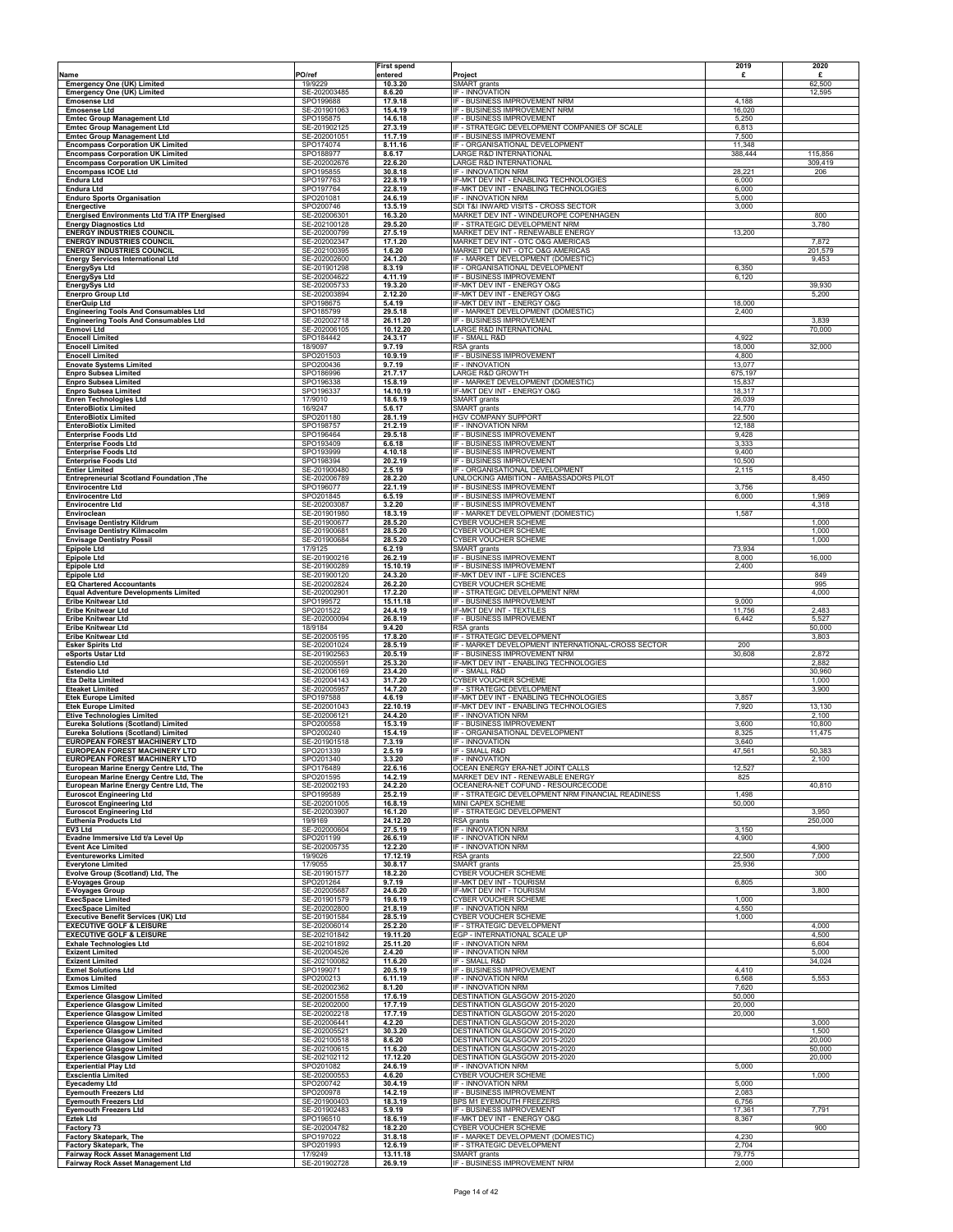|                                                                                   |                              | <b>First spend</b>  |                                                                                  | 2019             | 2020             |
|-----------------------------------------------------------------------------------|------------------------------|---------------------|----------------------------------------------------------------------------------|------------------|------------------|
| Name                                                                              | PO/ref                       | entered             | Project                                                                          | £                | £                |
| <b>Emergency One (UK) Limited</b><br><b>Emergency One (UK) Limited</b>            | 19/9229<br>SE-202003485      | 10.3.20<br>8.6.20   | SMART grants<br>IF - INNOVATION                                                  |                  | 62,500<br>12,595 |
| <b>Emosense Ltd</b>                                                               | SPO199688                    | 17.9.18             | IF - BUSINESS IMPROVEMENT NRM                                                    | 4,188            |                  |
| <b>Emosense Ltd</b><br><b>Emtec Group Management Ltd</b>                          | SE-201901063<br>SPO195875    | 15.4.19<br>14.6.18  | IF - BUSINESS IMPROVEMENT NRM<br>IF - BUSINESS IMPROVEMENT                       | 16,020<br>5,250  |                  |
| <b>Emtec Group Management Ltd</b>                                                 | SE-201902125                 | 27.3.19             | IF - STRATEGIC DEVELOPMENT COMPANIES OF SCALE                                    | 6,813            |                  |
| <b>Emtec Group Management Ltd</b><br><b>Encompass Corporation UK Limited</b>      | SE-202001051<br>SPO174074    | 11.7.19<br>8.11.16  | IF - BUSINESS IMPROVEMENT<br>IF - ORGANISATIONAL DEVELOPMENT                     | 7,500<br>11,348  |                  |
| <b>Encompass Corporation UK Limited</b>                                           | SPO188977                    | 8.6.17              | LARGE R&D INTERNATIONAL                                                          | 388,444          | 115,856          |
| <b>Encompass Corporation UK Limited</b><br><b>Encompass ICOE Ltd</b>              | SE-202002676<br>SPO195855    | 22.6.20<br>30.8.18  | LARGE R&D INTERNATIONAL<br>IF - INNOVATION NRM                                   | 28,221           | 309,419<br>206   |
| <b>Endura Ltd</b>                                                                 | SPO197763                    | 22.8.19             | IF-MKT DEV INT - ENABLING TECHNOLOGIES                                           | 6,000            |                  |
| <b>Endura Ltd</b><br><b>Enduro Sports Organisation</b>                            | SPO197764<br>SPO201081       | 22.8.19<br>24.6.19  | IF-MKT DEV INT - ENABLING TECHNOLOGIES<br>IF - INNOVATION NRM                    | 6,000<br>5,000   |                  |
| Energective                                                                       | SPO200746                    | 13.5.19             | SDI T&I INWARD VISITS - CROSS SECTOR                                             | 3,000            |                  |
| Energised Environments Ltd T/A ITP Energised<br><b>Energy Diagnostics Ltd</b>     | SE-202006301<br>SE-202100128 | 16.3.20<br>29.5.20  | MARKET DEV INT - WINDEUROPE COPENHAGEN<br>IF - STRATEGIC DEVELOPMENT NRM         |                  | 800<br>3,780     |
| <b>ENERGY INDUSTRIES COUNCIL</b>                                                  | SE-202000799                 | 27.5.19             | MARKET DEV INT - RENEWABLE ENERGY                                                | 13,200           |                  |
| <b>ENERGY INDUSTRIES COUNCIL</b><br><b>ENERGY INDUSTRIES COUNCIL</b>              | SE-202002347<br>SE-202100395 | 17.1.20<br>1.6.20   | MARKET DEV INT - OTC O&G AMERICAS<br>MARKET DEV INT - OTC O&G AMERICAS           |                  | 7,872<br>201,579 |
| <b>Energy Services International Ltd</b>                                          | SE-202002600                 | 24.1.20             | IF - MARKET DEVELOPMENT (DOMESTIC)                                               |                  | 9,453            |
| <b>EnergySys Ltd</b>                                                              | SE-201901298<br>SE-202004622 | 8.3.19<br>4.11.19   | IF - ORGANISATIONAL DEVELOPMENT<br>IF - BUSINESS IMPROVEMENT                     | 6,350<br>6,120   |                  |
| <b>EnergySys Ltd</b><br><b>EnergySys Ltd</b>                                      | SE-202005733                 | 19.3.20             | IF-MKT DEV INT - ENERGY O&G                                                      |                  | 39,930           |
| <b>Enerpro Group Ltd</b><br><b>EnerQuip Ltd</b>                                   | SE-202003894<br>SPO198675    | 2.12.20<br>5.4.19   | IF-MKT DEV INT - ENERGY O&G<br>IF-MKT DEV INT - ENERGY O&G                       | 18,000           | 5,200            |
| <b>Engineering Tools And Consumables Ltd</b>                                      | SPO185799                    | 29.5.18             | IF - MARKET DEVELOPMENT (DOMESTIC)                                               | 2,400            |                  |
| <b>Engineering Tools And Consumables Ltd</b>                                      | SE-202002718                 | 26.11.20            | IF - BUSINESS IMPROVEMENT                                                        |                  | 3,839            |
| Enmovi Ltd<br><b>Enocell Limited</b>                                              | SE-202006105<br>SPO184442    | 10.12.20<br>24.3.17 | <b>LARGE R&amp;D INTERNATIONAL</b><br>IF - SMALL R&D                             | 4,922            | 70,000           |
| <b>Enocell Limited</b>                                                            | 18/9097<br>SPO201503         | 9.7.19              | RSA grants<br>IF - BUSINESS IMPROVEMENT                                          | 18,000           | 32,000           |
| <b>Enocell Limited</b><br><b>Enovate Systems Limited</b>                          | SPO200436                    | 10.9.19<br>9.7.19   | IF - INNOVATION                                                                  | 4,800<br>13,077  |                  |
| <b>Enpro Subsea Limited</b>                                                       | SPO186996                    | 21.7.17             | <b>LARGE R&amp;D GROWTH</b>                                                      | 675,197          |                  |
| <b>Enpro Subsea Limited</b><br><b>Enpro Subsea Limited</b>                        | SPO196338<br>SPO196337       | 15.8.19<br>14.10.19 | IF - MARKET DEVELOPMENT (DOMESTIC)<br>IF-MKT DEV INT - ENERGY O&G                | 15,837<br>18,317 |                  |
| <b>Enren Technologies Ltd</b>                                                     | 17/9010                      | 18.6.19             | SMART grants                                                                     | 26,039           |                  |
| <b>EnteroBiotix Limited</b><br><b>EnteroBiotix Limited</b>                        | 16/9247<br>SPO201180         | 5.6.17<br>28.1.19   | SMART grants<br>HGV COMPANY SUPPORT                                              | 14,770<br>22,500 |                  |
| <b>EnteroBiotix Limited</b>                                                       | SPO198757                    | 21.2.19             | IF - INNOVATION NRM                                                              | 12,188           |                  |
| <b>Enterprise Foods Ltd</b><br><b>Enterprise Foods Ltd</b>                        | SPO196464<br>SPO193409       | 29.5.18<br>6.6.18   | IF - BUSINESS IMPROVEMENT<br>IF - BUSINESS IMPROVEMENT                           | 9,428<br>3,333   |                  |
| <b>Enterprise Foods Ltd</b>                                                       | SPO193999                    | 4.10.18             | IF - BUSINESS IMPROVEMENT                                                        | 9,400            |                  |
| <b>Enterprise Foods Ltd</b><br><b>Entier Limited</b>                              | SPO198394<br>SE-201900480    | 20.2.19<br>2.5.19   | IF - BUSINESS IMPROVEMENT<br>IF - ORGANISATIONAL DEVELOPMENT                     | 10,500<br>2,115  |                  |
| Entrepreneurial Scotland Foundation , The                                         | SE-202006789                 | 28.2.20             | UNLOCKING AMBITION - AMBASSADORS PILOT                                           |                  | 8,450            |
| <b>Envirocentre Ltd</b><br><b>Envirocentre Ltd</b>                                | SPO196077<br>SPO201845       | 22.1.19<br>6.5.19   | IF - BUSINESS IMPROVEMENT<br>IF - BUSINESS IMPROVEMENT                           | 3,756<br>6,000   | 1,969            |
| <b>Envirocentre Ltd</b>                                                           | SE-202003087                 | 3.2.20              | <b>F - BUSINESS IMPROVEMENT</b>                                                  |                  | 4,318            |
| Enviroclean<br><b>Envisage Dentistry Kildrum</b>                                  | SE-201901980<br>SE-201900677 | 18.3.19<br>28.5.20  | IF - MARKET DEVELOPMENT (DOMESTIC)<br>CYBER VOUCHER SCHEME                       | 1,587            | 1,000            |
| <b>Envisage Dentistry Kilmacolm</b>                                               | SE-201900681                 | 28.5.20             | CYBER VOUCHER SCHEME                                                             |                  | 1,000            |
| <b>Envisage Dentistry Possil</b><br><b>Epipole Ltd</b>                            | SE-201900684<br>17/9125      | 28.5.20<br>6.2.19   | CYBER VOUCHER SCHEME<br>SMART grants                                             | 73,934           | 1,000            |
| <b>Epipole Ltd</b>                                                                | SE-201900216                 | 26.2.19             | IF - BUSINESS IMPROVEMENT                                                        | 8,000            | 16,000           |
| <b>Epipole Ltd</b><br><b>Epipole Ltd</b>                                          | SE-201900289<br>SE-201900120 | 15.10.19<br>24.3.20 | IF - BUSINESS IMPROVEMENT<br>IF-MKT DEV INT - LIFE SCIENCES                      | 2,400            | 849              |
| <b>EQ Chartered Accountants</b>                                                   | SE-202002824                 | 26.2.20<br>17.2.20  | CYBER VOUCHER SCHEME                                                             |                  | 995              |
| <b>Equal Adventure Developments Limited</b><br>Eribe Knitwear Ltd                 | SE-202002901<br>SPO199572    | 15.11.18            | IF - STRATEGIC DEVELOPMENT NRM<br>IF - BUSINESS IMPROVEMENT                      | 9,000            | 4,000            |
| <b>Eribe Knitwear Ltd</b>                                                         | SPO201522                    | 24.4.19             | IF-MKT DEV INT - TEXTILES<br>IF - BUSINESS IMPROVEMENT                           | 11,756           | 2,483<br>5,527   |
| <b>Eribe Knitwear Ltd</b><br>Eribe Knitwear Ltd                                   | SE-202000094<br>18/9184      | 26.8.19<br>9.4.20   | RSA grants                                                                       | 6,442            | 50,000           |
| Eribe Knitwear Ltd                                                                | SE-202005195<br>SE-202001024 | 17.8.20             | IF - STRATEGIC DEVELOPMENT<br>IF - MARKET DEVELOPMENT INTERNATIONAL-CROSS SECTOR | 200              | 3,803            |
| <b>Esker Spirits Ltd</b><br>eSports Ustar Ltd                                     | SE-201902563                 | 28.5.19<br>20.5.19  | IF - BUSINESS IMPROVEMENT NRM                                                    | 30,608           | 2,872            |
| <b>Estendio Ltd</b><br><b>Estendio Ltd</b>                                        | SE-202005591<br>SE-202006169 | 25.3.20<br>23.4.20  | IF-MKT DEV INT - ENABLING TECHNOLOGIES<br>IF - SMALL R&D                         |                  | 2,882<br>30,960  |
| <b>Eta Delta Limited</b>                                                          | SE-202004143                 | 31.7.20             | <b>CYBER VOUCHER SCHEME</b>                                                      |                  | 1,000            |
| <b>Eteaket Limited</b><br><b>Etek Europe Limited</b>                              | SE-202005957<br>SPO197588    | 14.7.20<br>4.6.19   | IF - STRATEGIC DEVELOPMENT<br>IF-MKT DEV INT - ENABLING TECHNOLOGIES             | 3,857            | 3,900            |
| <b>Etek Europe Limited</b>                                                        | SE-202001043                 | 22.10.19            | IF-MKT DEV INT - ENABLING TECHNOLOGIES                                           | 7,920            | 13,130           |
| <b>Etive Technologies Limited</b><br>Eureka Solutions (Scotland) Limited          | SE-202006121<br>SPO200558    | 24.4.20<br>15.3.19  | IF - INNOVATION NRM<br>IF - BUSINESS IMPROVEMENT                                 | 3,600            | 2,100<br>10,800  |
| Eureka Solutions (Scotland) Limited                                               | SPO200240                    | 15.4.19             | IF - ORGANISATIONAL DEVELOPMENT                                                  | 8,325            | 11,475           |
| <b>EUROPEAN FOREST MACHINERY LTD</b><br><b>EUROPEAN FOREST MACHINERY LTD</b>      | SE-201901518<br>SPO201339    | 7.3.19<br>2.5.19    | IF - INNOVATION<br>IF - SMALL R&D                                                | 3.640<br>47,561  | 50,383           |
| EUROPEAN FOREST MACHINERY LTD                                                     | SPO201340                    | 3.3.20              | IF - INNOVATION                                                                  |                  | 2,100            |
| European Marine Energy Centre Ltd, The<br>European Marine Energy Centre Ltd, The  | SPO176489<br>SPO201595       | 22.6.16<br>14.2.19  | OCEAN ENERGY ERA-NET JOINT CALLS<br>MARKET DEV INT - RENEWABLE ENERGY            | 12,527<br>825    |                  |
| European Marine Energy Centre Ltd, The                                            | SE-202002193                 | 24.2.20             | OCEANERA-NET COFUND - RESOURCECODE                                               |                  | 40,810           |
| <b>Euroscot Engineering Ltd</b><br><b>Euroscot Engineering Ltd</b>                | SPO199589<br>SE-202001005    | 25.2.19<br>16.8.19  | IF - STRATEGIC DEVELOPMENT NRM FINANCIAL READINESS<br>MINI CAPEX SCHEME          | 1,498<br>50,000  |                  |
| <b>Euroscot Engineering Ltd</b>                                                   | SE-202003907                 | 16.1.20             | IF - STRATEGIC DEVELOPMENT                                                       |                  | 3,950            |
| <b>Euthenia Products Ltd</b><br>EV3 Ltd                                           | 19/9169<br>SE-202000604      | 24.12.20<br>27.5.19 | RSA grants<br>IF - INNOVATION NRM                                                | 3,150            | 250,000          |
| Evadne Immersive Ltd t/a Level Up                                                 | SPO201199                    | 26.6.19             | IF - INNOVATION NRM<br>IF - INNOVATION NRM                                       | 4,900            | 4,900            |
| <b>Event Ace Limited</b><br><b>Eventureworks Limited</b>                          | SE-202005735<br>19/9026      | 12.2.20<br>17.12.19 | RSA grants                                                                       | 22,500           | 7,000            |
| <b>Everytone Limited</b><br>Evolve Group (Scotland) Ltd, The                      | 17/9055<br>SE-201901577      | 30.8.17<br>18.2.20  | <b>SMART</b> grants<br>CYBER VOUCHER SCHEME                                      | 25,936           | 300              |
| <b>E-Voyages Group</b>                                                            | SPO201264                    | 9.7.19              | IF-MKT DEV INT - TOURISM                                                         | 6,805            |                  |
| <b>E-Voyages Group</b><br><b>ExecSpace Limited</b>                                | SE-202005687<br>SE-201901579 | 24.6.20<br>19.6.19  | IF-MKT DEV INT - TOURISM<br>CYBER VOUCHER SCHEME                                 | 1,000            | 3,800            |
| <b>ExecSpace Limited</b>                                                          | SE-202002800                 | 21.8.19             | IF - INNOVATION NRM                                                              | 4,550            |                  |
| <b>Executive Benefit Services (UK) Ltd</b><br><b>EXECUTIVE GOLF &amp; LEISURE</b> | SE-201901584<br>SE-202006014 | 28.5.19<br>25.2.20  | CYBER VOUCHER SCHEME<br>IF - STRATEGIC DEVELOPMENT                               | 1,000            | 4,000            |
| <b>EXECUTIVE GOLF &amp; LEISURE</b>                                               | SE-202101842                 | 19.11.20            | EGP - INTERNATIONAL SCALE UP                                                     |                  | 4,500            |
| <b>Exhale Technologies Ltd</b><br><b>Exizent Limited</b>                          | SE-202101892<br>SE-202004526 | 25.11.20<br>2.4.20  | IF - INNOVATION NRM<br>IF - INNOVATION NRM                                       |                  | 6,604<br>5,000   |
| <b>Exizent Limited</b>                                                            | SE-202100082                 | 11.6.20             | IF - SMALL R&D                                                                   |                  | 34,024           |
| <b>Exmel Solutions Ltd</b><br><b>Exmos Limited</b>                                | SPO199071<br>SPO200213       | 20.5.19<br>6.11.19  | IF - BUSINESS IMPROVEMENT<br>IF - INNOVATION NRM                                 | 4,410<br>6,568   | 5,553            |
| <b>Exmos Limited</b>                                                              | SE-202002362                 | 8.1.20              | IF - INNOVATION NRM                                                              | 7,620            |                  |
| <b>Experience Glasgow Limited</b><br><b>Experience Glasgow Limited</b>            | SE-202001558<br>SE-202002000 | 17.6.19<br>17.7.19  | DESTINATION GLASGOW 2015-2020<br>DESTINATION GLASGOW 2015-2020                   | 50,000<br>20,000 |                  |
| <b>Experience Glasgow Limited</b>                                                 | SE-202002218                 | 17.7.19             | DESTINATION GLASGOW 2015-2020                                                    | 20,000           |                  |
| <b>Experience Glasgow Limited</b><br><b>Experience Glasgow Limited</b>            | SE-202006441<br>SE-202005521 | 4.2.20<br>30.3.20   | DESTINATION GLASGOW 2015-2020<br>DESTINATION GLASGOW 2015-2020                   |                  | 3,000<br>1,500   |
| <b>Experience Glasgow Limited</b>                                                 | SE-202100518                 | 8.6.20              | DESTINATION GLASGOW 2015-2020                                                    |                  | 20,000           |
| <b>Experience Glasgow Limited</b><br><b>Experience Glasgow Limited</b>            | SE-202100615<br>SE-202102112 | 11.6.20<br>17.12.20 | DESTINATION GLASGOW 2015-2020<br>DESTINATION GLASGOW 2015-2020                   |                  | 50,000<br>20,000 |
| <b>Experiential Play Ltd</b>                                                      | SPO201082                    | 24.6.19             | IF - INNOVATION NRM                                                              | 5,000            |                  |
| <b>Exscientia Limited</b><br><b>Eyecademy Ltd</b>                                 | SE-202000553<br>SPO200742    | 4.6.20<br>30.4.19   | CYBER VOUCHER SCHEME<br>IF - INNOVATION NRM                                      | 5,000            | 1,000            |
| <b>Eyemouth Freezers Ltd</b>                                                      | SPO200978                    | 14.2.19             | IF - BUSINESS IMPROVEMENT                                                        | 2,083            |                  |
| <b>Eyemouth Freezers Ltd</b><br><b>Eyemouth Freezers Ltd</b>                      | SE-201900403<br>SE-201902483 | 18.3.19<br>5.9.19   | BPS M1 EYEMOUTH FREEZERS<br>IF - BUSINESS IMPROVEMENT                            | 6,756<br>17,361  | 7,791            |
| <b>Eztek Ltd</b>                                                                  | SPO196510                    | 18.6.19             | IF-MKT DEV INT - ENERGY O&G                                                      | 8,367            |                  |
| Factory 73<br>Factory Skatepark, The                                              | SE-202004782<br>SPO197022    | 18.2.20<br>31.8.18  | CYBER VOUCHER SCHEME<br>IF - MARKET DEVELOPMENT (DOMESTIC)                       | 4,230            | 900              |
| Factory Skatepark, The                                                            | SPO201993                    | 12.6.19             | IF - STRATEGIC DEVELOPMENT                                                       | 2,704            |                  |
| <b>Fairway Rock Asset Management Ltd</b><br>Fairway Rock Asset Management Ltd     | 17/9249<br>SE-201902728      | 13.11.18<br>26.9.19 | SMART grants<br>IF - BUSINESS IMPROVEMENT NRM                                    | 79,775<br>2,000  |                  |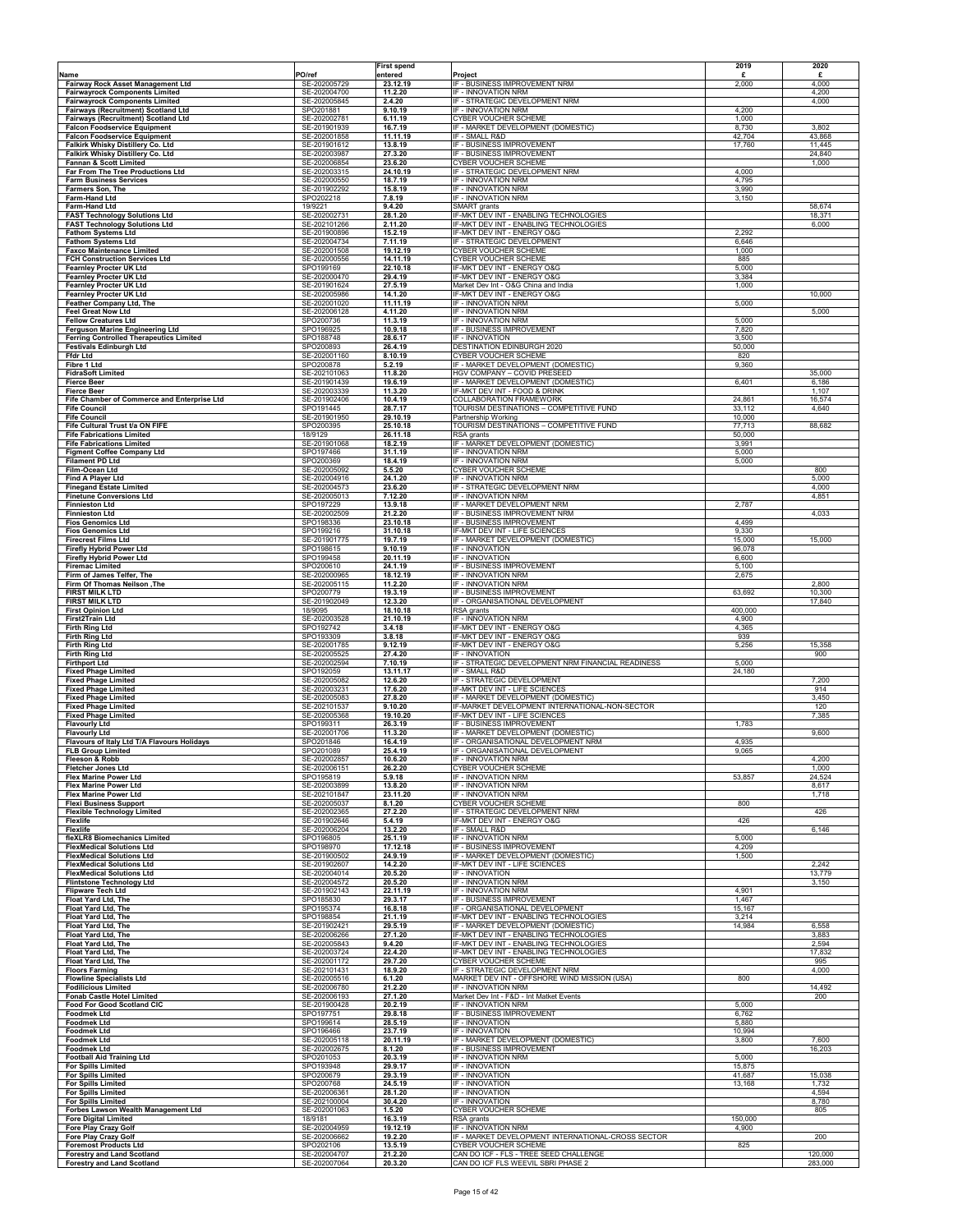|                                                                              |                              | <b>First spend</b>   |                                                                                 | 2019             | 2020             |
|------------------------------------------------------------------------------|------------------------------|----------------------|---------------------------------------------------------------------------------|------------------|------------------|
| Name<br>Fairway Rock Asset Management Ltd                                    | PO/ref<br>SE-202005729       | entered<br>23.12.19  | Project<br>IF - BUSINESS IMPROVEMENT NRM                                        | £<br>2,000       | £<br>4,000       |
| <b>Fairwayrock Components Limited</b>                                        | SE-202004700                 | 11.2.20              | IF - INNOVATION NRM                                                             |                  | 4,200            |
| <b>Fairwayrock Components Limited</b><br>Fairways (Recruitment) Scotland Ltd | SE-202005845<br>SPO201881    | 2.4.20<br>9.10.19    | IF - STRATEGIC DEVELOPMENT NRM<br>IF - INNOVATION NRM                           | 4,200            | 4,000            |
| Fairways (Recruitment) Scotland Ltd                                          | SE-202002781                 | 6.11.19              | CYBER VOUCHER SCHEME                                                            | 1.000            |                  |
| <b>Falcon Foodservice Equipment</b><br><b>Falcon Foodservice Equipment</b>   | SE-201901939<br>SE-202001858 | 16.7.19<br>11.11.19  | IF - MARKET DEVELOPMENT (DOMESTIC)<br>IF - SMALL R&D                            | 8,730<br>42,704  | 3,802<br>43,868  |
| Falkirk Whisky Distillery Co. Ltd                                            | SE-201901612                 | 13.8.19              | IF - BUSINESS IMPROVEMENT                                                       | 17,760           | 11,445           |
| Falkirk Whisky Distillery Co. Ltd<br>Fannan & Scott Limited                  | SE-202003987<br>SE-202006854 | 27.3.20<br>23.6.20   | IF - BUSINESS IMPROVEMENT<br>CYBER VOUCHER SCHEME                               |                  | 24,840<br>1,000  |
| Far From The Tree Productions Ltd                                            | SE-202003315                 | 24.10.19             | IF - STRATEGIC DEVELOPMENT NRM                                                  | 4,000            |                  |
| <b>Farm Business Services</b><br>Farmers Son, The                            | SE-202000550<br>SE-201902292 | 18.7.19<br>15.8.19   | IF - INNOVATION NRM<br>IF - INNOVATION NRM                                      | 4,795<br>3,990   |                  |
| Farm-Hand Ltd                                                                | SPO202218                    | 7.8.19               | IF - INNOVATION NRM                                                             | 3,150            |                  |
| Farm-Hand Ltd                                                                | 19/9221<br>SE-202002731      | 9.4.20<br>28.1.20    | SMART grants<br>F-MKT DEV INT - ENABLING TECHNOLOGIES                           |                  | 58,674<br>18,371 |
| <b>FAST Technology Solutions Ltd</b><br><b>FAST Technology Solutions Ltd</b> | SE-202101266                 | 2.11.20              | IF-MKT DEV INT - ENABLING TECHNOLOGIES                                          |                  | 6,000            |
| <b>Fathom Systems Ltd</b>                                                    | SE-201900896                 | 15.2.19              | IF-MKT DEV INT - ENERGY O&G                                                     | 2,292            |                  |
| <b>Fathom Systems Ltd</b><br><b>Faxco Maintenance Limited</b>                | SE-202004734<br>SE-202001508 | 7.11.19<br>19.12.19  | IF - STRATEGIC DEVELOPMENT<br><b>CYBER VOUCHER SCHEME</b>                       | 6,646<br>1,000   |                  |
| FCH Construction Services Ltd                                                | SE-202000556                 | 14.11.19             | <b>CYBER VOUCHER SCHEME</b>                                                     | 885              |                  |
| <b>Fearnley Procter UK Ltd</b><br>Fearnley Procter UK Ltd                    | SPO199169<br>SE-202000470    | 22.10.18<br>29.4.19  | IF-MKT DEV INT - ENERGY O&G<br>IF-MKT DEV INT - ENERGY O&G                      | 5,000<br>3,384   |                  |
| <b>Fearnley Procter UK Ltd</b>                                               | SE-201901624                 | 27.5.19              | Market Dev Int - O&G China and India                                            | 1,000            |                  |
| <b>Fearnley Procter UK Ltd</b><br>Feather Company Ltd, The                   | SE-202005986<br>SE-202001020 | 14.1.20<br>11.11.19  | IF-MKT DEV INT - ENERGY O&G<br>IF - INNOVATION NRM                              | 5,000            | 10,000           |
| <b>Feel Great Now Ltd</b>                                                    | SE-202006128                 | 4.11.20              | IF - INNOVATION NRM                                                             |                  | 5,000            |
| <b>Fellow Creatures Ltd</b><br><b>Ferguson Marine Engineering Ltd</b>        | SPO200736<br>SPO196925       | 11.3.19<br>10.9.18   | IF - INNOVATION NRM<br>IF - BUSINESS IMPROVEMENT                                | 5,000<br>7,820   |                  |
| <b>Ferring Controlled Therapeutics Limited</b>                               | SPO188748                    | 28.6.17              | IF - INNOVATION                                                                 | 3,500            |                  |
| <b>Festivals Edinburgh Ltd</b><br>Ffdr Ltd                                   | SPO200893<br>SE-202001160    | 26.4.19<br>8.10.19   | <b>DESTINATION EDINBURGH 2020</b><br>CYBER VOUCHER SCHEME                       | 50,000<br>820    |                  |
| Fibre 1 Ltd                                                                  | SPO200878                    | 5.2.19               | IF - MARKET DEVELOPMENT (DOMESTIC)                                              | 9,360            |                  |
| <b>FidraSoft Limited</b><br><b>Fierce Beer</b>                               | SE-202101063<br>SE-201901439 | 11.8.20<br>19.6.19   | HGV COMPANY - COVID PRESEED<br>IF - MARKET DEVELOPMENT (DOMESTIC)               | 6,401            | 35,000<br>6,186  |
| <b>Fierce Beer</b>                                                           | SE-202003339                 | 11.3.20              | IF-MKT DEV INT - FOOD & DRINK                                                   |                  | 1,107            |
| Fife Chamber of Commerce and Enterprise Ltd<br><b>Fife Council</b>           | SE-201902406<br>SPO191445    | 10.4.19<br>28.7.17   | COLLABORATION FRAMEWORK<br>TOURISM DESTINATIONS - COMPETITIVE FUND              | 24,861<br>33,112 | 16,574<br>4,640  |
| <b>Fife Council</b>                                                          | SE-201901950                 | 29.10.19             | Partnership Working                                                             | 10,000           |                  |
| Fife Cultural Trust t/a ON FIFE<br><b>Fife Fabrications Limited</b>          | SPO200395<br>18/9129         | 25.10.18<br>26.11.18 | TOURISM DESTINATIONS - COMPETITIVE FUND<br>RSA grants                           | 77,713<br>50,000 | 88,682           |
| <b>Fife Fabrications Limited</b>                                             | SE-201901068                 | 18.2.19              | IF - MARKET DEVELOPMENT (DOMESTIC)                                              | 3,991            |                  |
| <b>Figment Coffee Company Ltd</b>                                            | SPO197466<br>SPO200369       | 31.1.19              | IF - INNOVATION NRM<br>IF - INNOVATION NRM                                      | 5,000<br>5,000   |                  |
| <b>Filament PD Ltd</b><br>Film-Ocean Ltd                                     | SE-202005092                 | 18.4.19<br>5.5.20    | CYBER VOUCHER SCHEME                                                            |                  | 800              |
| Find A Player Ltd<br><b>Finegand Estate Limited</b>                          | SE-202004916<br>SE-202004573 | 24.1.20<br>23.6.20   | IF - INNOVATION NRM<br>IF - STRATEGIC DEVELOPMENT NRM                           |                  | 5,000<br>4,000   |
| <b>Finetune Conversions Ltd</b>                                              | SE-202005013                 | 7.12.20              | IF - INNOVATION NRM                                                             |                  | 4,851            |
| <b>Finnieston Ltd</b><br><b>Finnieston Ltd</b>                               | SPO197229<br>SE-202002509    | 13.9.18<br>21.2.20   | IF - MARKET DEVELOPMENT NRM<br>IF - BUSINESS IMPROVEMENT NRM                    | 2,787            | 4,033            |
| <b>Fios Genomics Ltd</b>                                                     | SPO198336                    | 23.10.18             | IF - BUSINESS IMPROVEMENT                                                       | 4,499            |                  |
| <b>Fios Genomics Ltd</b><br><b>Firecrest Films Ltd</b>                       | SPO199216<br>SE-201901775    | 31.10.18<br>19.7.19  | IF-MKT DEV INT - LIFE SCIENCES<br>IF - MARKET DEVELOPMENT (DOMESTIC)            | 9,330<br>15,000  | 15,000           |
| <b>Firefly Hybrid Power Ltd</b>                                              | SPO198615                    | 9.10.19              | IF - INNOVATION                                                                 | 96,078           |                  |
| Firefly Hybrid Power Ltd<br><b>Firemac Limited</b>                           | SPO199458<br>SPO200610       | 20.11.19<br>24.1.19  | IF - INNOVATION<br>IF - BUSINESS IMPROVEMENT                                    | 6,600<br>5,100   |                  |
| Firm of James Telfer, The                                                    | SE-202000965                 | 18.12.19             | IF - INNOVATION NRM                                                             | 2,675            |                  |
| Firm Of Thomas Neilson, The<br><b>FIRST MILK LTD</b>                         | SE-202005115<br>SPO200779    | 11.2.20<br>19.3.19   | IF - INNOVATION NRM<br>IF - BUSINESS IMPROVEMENT                                | 63,692           | 2,800<br>10,300  |
| <b>FIRST MILK LTD</b>                                                        | SE-201902049                 | 12.3.20              | IF - ORGANISATIONAL DEVELOPMENT                                                 |                  | 17,840           |
| <b>First Opinion Ltd</b>                                                     | 18/9095                      | 18.10.18             | RSA grants                                                                      | 400,000          |                  |
|                                                                              |                              |                      |                                                                                 |                  |                  |
| <b>First2Train Ltd</b><br><b>Firth Ring Ltd</b>                              | SE-202003528<br>SPO192742    | 21.10.19<br>3.4.18   | IF - INNOVATION NRM<br>IF-MKT DEV INT - ENERGY O&G                              | 4,900<br>4,365   |                  |
| <b>Firth Ring Ltd</b>                                                        | SPO193309                    | 3.8.18               | IF-MKT DEV INT - ENERGY O&G                                                     | 939              |                  |
| <b>Firth Ring Ltd</b><br><b>Firth Ring Ltd</b>                               | SE-202001785<br>SE-202005525 | 9.12.19<br>27.4.20   | IF-MKT DEV INT - ENERGY O&G<br>IF - INNOVATION                                  | 5,256            | 15,358<br>900    |
| <b>Firthport Ltd</b>                                                         | SE-202002594<br>SPO192059    | 7.10.19<br>13.11.17  | IF - STRATEGIC DEVELOPMENT NRM FINANCIAL READINESS<br>IF - SMALL R&D            | 5,000<br>24.180  |                  |
| <b>Fixed Phage Limited</b><br><b>Fixed Phage Limited</b>                     | SE-202005082                 | 12.6.20              | IF - STRATEGIC DEVELOPMENT                                                      |                  | 7,200            |
| <b>Fixed Phage Limited</b><br><b>Fixed Phage Limited</b>                     | SE-202003231<br>SE-202005083 | 17.6.20<br>27.8.20   | IF-MKT DEV INT - LIFE SCIENCES<br>IF - MARKET DEVELOPMENT (DOMESTIC)            |                  | 914<br>3,450     |
| <b>Fixed Phage Limited</b>                                                   | SE-202101537                 | 9.10.20              | IF-MARKET DEVELOPMENT INTERNATIONAL-NON-SECTOR                                  |                  | 120              |
| <b>Fixed Phage Limited</b><br><b>Flavourly Ltd</b>                           | SE-202005368<br>SPO199311    | 19.10.20<br>26.3.19  | IF-MKT DEV INT - LIFE SCIENCES<br>IF - BUSINESS IMPROVEMENT                     | 1,783            | 7,385            |
| <b>Flavourly Ltd</b>                                                         | SE-202001706                 | 11.3.20              | IF - MARKET DEVELOPMENT (DOMESTIC)                                              |                  | 9,600            |
| Flavours of Italy Ltd T/A Flavours Holidays<br><b>FLB Group Limited</b>      | SPO201846<br>SPO201089       | 16.4.19<br>25.4.19   | IF - ORGANISATIONAL DEVELOPMENT NRM<br>IF - ORGANISATIONAL DEVELOPMENT          | 4,935<br>9,065   |                  |
| Fleeson & Robb                                                               | SE-202002857                 | 10.6.20              | IF - INNOVATION NRM                                                             |                  | 4,200            |
| <b>Fletcher Jones Ltd</b><br>Flex Marine Power Ltd                           | SE-202006151<br>SPO195819    | 26.2.20<br>5.9.18    | CYBER VOUCHER SCHEME<br>IF - INNOVATION NRM                                     | 53,857           | 1,000<br>24,524  |
| <b>Flex Marine Power Ltd</b>                                                 | SE-202003899                 | 13.8.20              | IF - INNOVATION NRM                                                             |                  | 8,617            |
| <b>Flex Marine Power Ltd</b><br><b>Flexi Business Support</b>                | SE-202101847<br>SE-202005037 | 23.11.20<br>8.1.20   | IF - INNOVATION NRM<br>CYBER VOUCHER SCHEME                                     | 800              | 1,718            |
| <b>Flexible Technology Limited</b>                                           | SE-202002365                 | 27.2.20              | IF - STRATEGIC DEVELOPMENT NRM                                                  |                  | 426              |
| Flexlife<br>Flexlife                                                         | SE-201902646<br>SE-202006204 | 5.4.19<br>13.2.20    | IF-MKT DEV INT - ENERGY O&G<br>IF - SMALL R&D                                   | 426              | 6,146            |
| fleXLR8 Biomechanics Limited                                                 | SPO196805<br>SPO198970       | 25.1.19              | IF - INNOVATION NRM                                                             | 5,000            |                  |
| <b>FlexMedical Solutions Ltd</b><br><b>FlexMedical Solutions Ltd</b>         | SE-201900502                 | 17.12.18<br>24.9.19  | IF - BUSINESS IMPROVEMENT<br>IF - MARKET DEVELOPMENT (DOMESTIC)                 | 4,209<br>1,500   |                  |
| <b>FlexMedical Solutions Ltd</b><br><b>FlexMedical Solutions Ltd</b>         | SE-201902607<br>SE-202004014 | 14.2.20<br>20.5.20   | IF-MKT DEV INT - LIFE SCIENCES<br>IF - INNOVATION                               |                  | 2,242<br>13,779  |
| <b>Flintstone Technology Ltd</b>                                             | SE-202004572                 | 20.5.20              | IF - INNOVATION NRM                                                             |                  | 3,150            |
| <b>Flipware Tech Ltd</b><br>Float Yard Ltd, The                              | SE-201902143<br>SPO185830    | 22.11.19<br>29.3.17  | IF - INNOVATION NRM<br>IF - BUSINESS IMPROVEMENT                                | 4,901<br>1,467   |                  |
| Float Yard Ltd, The                                                          | SPO195374                    | 16.8.18              | IF - ORGANISATIONAL DEVELOPMENT                                                 | 15,167           |                  |
| Float Yard Ltd, The<br>Float Yard Ltd, The                                   | SPO198854<br>SE-201902421    | 21.1.19<br>29.5.19   | IF-MKT DEV INT - ENABLING TECHNOLOGIES<br>IF - MARKET DEVELOPMENT (DOMESTIC)    | 3,214<br>14,984  | 6,558            |
| Float Yard Ltd, The                                                          | SE-202006266                 | 27.1.20              | IF-MKT DEV INT - ENABLING TECHNOLOGIES                                          |                  | 3,883            |
| Float Yard Ltd, The<br>Float Yard Ltd, The                                   | SE-202005843<br>SE-202003724 | 9.4.20<br>22.4.20    | F-MKT DEV INT - ENABLING TECHNOLOGIES<br>IF-MKT DEV INT - ENABLING TECHNOLOGIES |                  | 2,594<br>17,832  |
| Float Yard Ltd, The                                                          | SE-202001172                 | 29.7.20              | CYBER VOUCHER SCHEME                                                            |                  | 995              |
| <b>Floors Farming</b><br><b>Flowline Specialists Ltd</b>                     | SE-202101431<br>SE-202005516 | 18.9.20<br>6.1.20    | IF - STRATEGIC DEVELOPMENT NRM<br>MARKET DEV INT - OFFSHORE WIND MISSION (USA)  | 800              | 4,000            |
| <b>Fodilicious Limited</b>                                                   | SE-202006780                 | 21.2.20              | IF - INNOVATION NRM                                                             |                  | 14,492           |
| <b>Fonab Castle Hotel Limited</b><br>Food For Good Scotland CIC              | SE-202006193<br>SE-201900428 | 27.1.20<br>20.2.19   | Market Dev Int - F&D - Int Matket Events<br>IF - INNOVATION NRM                 | 5,000            | 200              |
| <b>Foodmek Ltd</b>                                                           | SPO197751                    | 29.8.18              | IF - BUSINESS IMPROVEMENT                                                       | 6,762            |                  |
| <b>Foodmek Ltd</b><br><b>Foodmek Ltd</b>                                     | SPO199614<br>SPO196466       | 28.5.19<br>23.7.19   | IF - INNOVATION<br>IF - INNOVATION                                              | 5,880<br>10,994  |                  |
| <b>Foodmek Ltd</b>                                                           | SE-202005118                 | 20.11.19             | IF - MARKET DEVELOPMENT (DOMESTIC)                                              | 3,800            | 7,600            |
| <b>Foodmek Ltd</b><br><b>Football Aid Training Ltd</b>                       | SE-202002675<br>SPO201053    | 8.1.20<br>20.3.19    | IF - BUSINESS IMPROVEMENT<br>IF - INNOVATION NRM                                | 5,000            | 16,203           |
| <b>For Spills Limited</b>                                                    | SPO193948                    | 29.9.17              | IF - INNOVATION                                                                 | 15,875           |                  |
| <b>For Spills Limited</b><br><b>For Spills Limited</b>                       | SPO200679<br>SPO200768       | 29.3.19<br>24.5.19   | IF - INNOVATION<br>IF - INNOVATION                                              | 41,687<br>13,168 | 15,038<br>1,732  |
| <b>For Spills Limited</b>                                                    | SE-202006361                 | 28.1.20              | IF - INNOVATION                                                                 |                  | 4,594            |
| <b>For Spills Limited</b><br>Forbes Lawson Wealth Management Ltd             | SE-202100004<br>SE-202001063 | 30.4.20<br>1.5.20    | IF - INNOVATION<br>CYBER VOUCHER SCHEME                                         |                  | 8,780<br>805     |
| <b>Fore Digital Limited</b>                                                  | 18/9181                      | 16.3.19              | RSA grants                                                                      | 150,000          |                  |
| Fore Play Crazy Golf<br>Fore Play Crazy Golf                                 | SE-202004959<br>SE-202006662 | 19.12.19<br>19.2.20  | IF - INNOVATION NRM<br>IF - MARKET DEVELOPMENT INTERNATIONAL-CROSS SECTOR       | 4,900            | 200              |
| <b>Foremost Products Ltd</b><br><b>Forestry and Land Scotland</b>            | SPO202106<br>SE-202004707    | 13.5.19<br>21.2.20   | CYBER VOUCHER SCHEME<br>CAN DO ICF - FLS - TREE SEED CHALLENGE                  | 825              | 120,000          |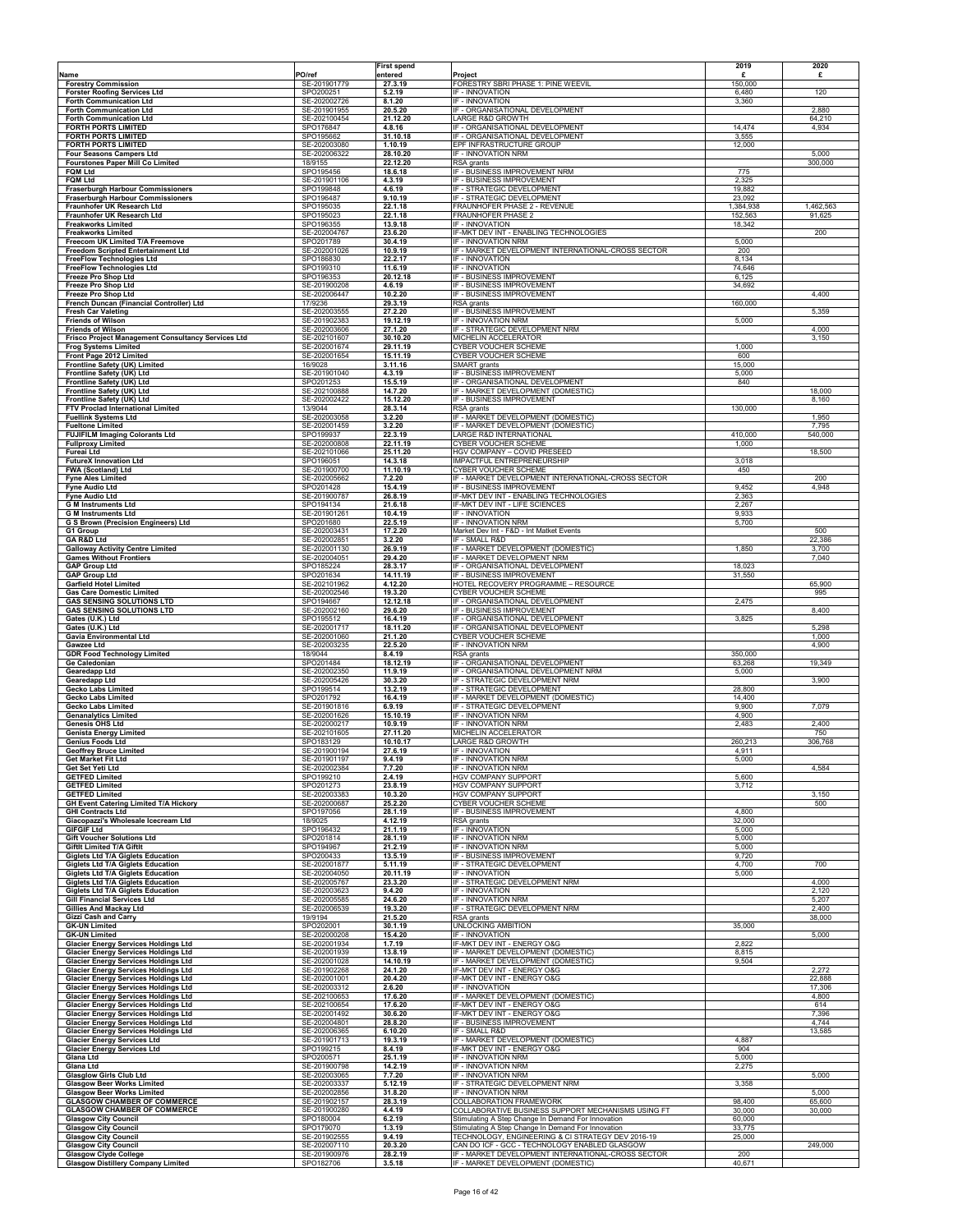|                                                                                                          |                                           | <b>First spend</b>           |                                                                                                                                           | 2019                | 2020             |
|----------------------------------------------------------------------------------------------------------|-------------------------------------------|------------------------------|-------------------------------------------------------------------------------------------------------------------------------------------|---------------------|------------------|
| Name<br><b>Forestry Commission</b>                                                                       | PO/ref<br>SE-201901779                    | entered<br>27.3.19           | Project<br>FORESTRY SBRI PHASE 1: PINE WEEVIL                                                                                             | £<br>150,000        | £                |
| <b>Forster Roofing Services Ltd</b>                                                                      | SPO200251                                 | 5.2.19                       | IF - INNOVATION                                                                                                                           | 6,480               | 120              |
| <b>Forth Communication Ltd</b><br><b>Forth Communication Ltd</b>                                         | SE-202002726<br>SE-201901955              | 8.1.20<br>20.5.20            | IF - INNOVATION<br>IF - ORGANISATIONAL DEVELOPMENT                                                                                        | 3,360               | 2,880            |
| <b>Forth Communication Ltd</b>                                                                           | SE-202100454                              | 21.12.20                     | LARGE R&D GROWTH                                                                                                                          |                     | 64,210           |
| <b>FORTH PORTS LIMITED</b><br><b>FORTH PORTS LIMITED</b>                                                 | SPO176847<br>SPO195662                    | 4.8.16<br>31.10.18           | IF - ORGANISATIONAL DEVELOPMENT<br>IF - ORGANISATIONAL DEVELOPMENT                                                                        | 14,474<br>3,555     | 4,934            |
| <b>FORTH PORTS LIMITED</b>                                                                               | SE-202003080                              | 1.10.19                      | EPF INFRASTRUCTURE GROUP                                                                                                                  | 12,000              |                  |
| Four Seasons Campers Ltd<br><b>Fourstones Paper Mill Co Limited</b>                                      | SE-202006322<br>18/9155                   | 28.10.20<br>22.12.20         | IF - INNOVATION NRM<br>RSA grants                                                                                                         |                     | 5,000<br>300,000 |
| <b>FQM Ltd</b>                                                                                           | SPO195456                                 | 18.6.18                      | IF - BUSINESS IMPROVEMENT NRM                                                                                                             | 775                 |                  |
| <b>FQM Ltd</b><br><b>Fraserburgh Harbour Commissioners</b>                                               | SE-201901106<br>SPO199848                 | 4.3.19<br>4.6.19             | IF - BUSINESS IMPROVEMENT<br>IF - STRATEGIC DEVELOPMENT                                                                                   | 2,325<br>19,882     |                  |
| <b>Fraserburgh Harbour Commissioners</b>                                                                 | SPO196487<br>SPO195035                    | 9.10.19<br>22.1.18           | IF - STRATEGIC DEVELOPMENT                                                                                                                | 23,092<br>1,384,938 | 1,462,563        |
| Fraunhofer UK Research Ltd<br>Fraunhofer UK Research Ltd                                                 | SPO195023                                 | 22.1.18                      | FRAUNHOFER PHASE 2 - REVENUE<br>FRAUNHOFER PHASE 2                                                                                        | 152,563             | 91,625           |
| <b>Freakworks Limited</b><br><b>Freakworks Limited</b>                                                   | SPO196355<br>SE-202004767                 | 13.9.18<br>23.6.20           | IF - INNOVATION<br>IF-MKT DEV INT - ENABLING TECHNOLOGIES                                                                                 | 18,342              | 200              |
| Freecom UK Limited T/A Freemove                                                                          | SPO201789                                 | 30.4.19                      | IF - INNOVATION NRM                                                                                                                       | 5,000               |                  |
| Freedom Scripted Entertainment Ltd<br><b>FreeFlow Technologies Ltd</b>                                   | SE-202001026<br>SPO186830                 | 10.9.19<br>22.2.17           | IF - MARKET DEVELOPMENT INTERNATIONAL-CROSS SECTOR<br>IF - INNOVATION                                                                     | 200<br>8,134        |                  |
| <b>FreeFlow Technologies Ltd</b>                                                                         | SPO199310                                 | 11.6.19                      | IF - INNOVATION                                                                                                                           | 74,646              |                  |
| Freeze Pro Shop Ltd<br>Freeze Pro Shop Ltd                                                               | SPO196353<br>SE-201900208                 | 20.12.18<br>4.6.19           | IF - BUSINESS IMPROVEMENT<br>IF - BUSINESS IMPROVEMENT                                                                                    | 6,125<br>34,692     |                  |
| Freeze Pro Shop Ltd                                                                                      | SE-202006447                              | 10.2.20                      | IF - BUSINESS IMPROVEMENT                                                                                                                 |                     | 4,400            |
| French Duncan (Financial Controller) Ltd<br><b>Fresh Car Valeting</b>                                    | 17/9236<br>SE-202003555                   | 29.3.19<br>27.2.20           | RSA grants<br>IF - BUSINESS IMPROVEMENT                                                                                                   | 160,000             | 5,359            |
| <b>Friends of Wilson</b>                                                                                 | SE-201902383                              | 19.12.19                     | IF - INNOVATION NRM                                                                                                                       | 5,000               |                  |
| <b>Friends of Wilson</b><br>Frisco Project Management Consultancy Services Ltd                           | SE-202003606<br>SE-202101607              | 27.1.20<br>30.10.20          | IF - STRATEGIC DEVELOPMENT NRM<br>MICHELIN ACCELERATOR                                                                                    |                     | 4,000<br>3,150   |
| <b>Frog Systems Limited</b><br>Front Page 2012 Limited                                                   | SE-202001674<br>SE-202001654              | 29.11.19<br>15.11.19         | CYBER VOUCHER SCHEME<br>CYBER VOUCHER SCHEME                                                                                              | 1,000<br>600        |                  |
| Frontline Safety (UK) Limited                                                                            | 16/9028                                   | 3.11.16                      | SMART grants                                                                                                                              | 15,000              |                  |
| Frontline Safety (UK) Ltd<br>Frontline Safety (UK) Ltd                                                   | SE-201901040<br>SPO201253                 | 4.3.19<br>15.5.19            | IF - BUSINESS IMPROVEMENT<br>IF - ORGANISATIONAL DEVELOPMENT                                                                              | 5,000<br>840        |                  |
| Frontline Safety (UK) Ltd                                                                                | SE-202100888                              | 14.7.20                      | IF - MARKET DEVELOPMENT (DOMESTIC)                                                                                                        |                     | 18,000           |
| Frontline Safety (UK) Ltd<br>FTV Proclad International Limited                                           | SE-202002422<br>13/9044                   | 15.12.20<br>28.3.14          | IF - BUSINESS IMPROVEMENT<br>RSA grants                                                                                                   | 130,000             | 8,160            |
| <b>Fuellink Systems Ltd</b>                                                                              | SE-202003058                              | 3.2.20                       | IF - MARKET DEVELOPMENT (DOMESTIC)                                                                                                        |                     | 1,950            |
| <b>Fueltone Limited</b><br><b>FUJIFILM Imaging Colorants Ltd</b>                                         | SE-202001459<br>SPO199937                 | 3.2.20<br>22.3.19            | IF - MARKET DEVELOPMENT (DOMESTIC)<br><b>ARGE R&amp;D INTERNATIONAL</b>                                                                   | 410,000             | 7,795<br>540,000 |
| <b>Fullproxy Limited</b>                                                                                 | SE-202000808                              | 22.11.19                     | CYBER VOUCHER SCHEME                                                                                                                      | 1,000               |                  |
| Fureai Ltd<br><b>FutureX Innovation Ltd</b>                                                              | SE-202101066<br>SPO196051                 | 25.11.20<br>14.3.18          | HGV COMPANY - COVID PRESEED<br>IMPACTFUL ENTREPRENEURSHIP                                                                                 | 3,018               | 18,500           |
| FWA (Scotland) Ltd                                                                                       | SE-201900700<br>SE-202005662              | 11.10.19                     | <b>CYBER VOUCHER SCHEME</b><br>IF - MARKET DEVELOPMENT INTERNATIONAL-CROSS SECTOR                                                         | 450                 | 200              |
| <b>Fyne Ales Limited</b><br><b>Fyne Audio Ltd</b>                                                        | SPO201428                                 | 7.2.20<br>15.4.19            | IF - BUSINESS IMPROVEMENT                                                                                                                 | 9,452               | 4,948            |
| Fyne Audio Ltd<br><b>G M Instruments Ltd</b>                                                             | SE-201900787<br>SPO194134                 | 26.8.19<br>21.6.18           | IF-MKT DEV INT - ENABLING TECHNOLOGIES<br>IF-MKT DEV INT - LIFE SCIENCES                                                                  | 2,363<br>2,267      |                  |
| <b>G M Instruments Ltd</b>                                                                               | SE-201901261                              | 10.4.19                      | IF - INNOVATION                                                                                                                           | 9,933               |                  |
| G S Brown (Precision Engineers) Ltd<br>G1 Group                                                          | SPO201680<br>SE-202003431                 | 22.5.19<br>17.2.20           | IF - INNOVATION NRM<br>Market Dev Int - F&D - Int Matket Events                                                                           | 5,700               | 500              |
| <b>GA R&amp;D Ltd</b>                                                                                    | SE-20200285                               | 3.2.20                       | IF - SMALL R&D                                                                                                                            |                     | 22,386           |
| <b>Galloway Activity Centre Limited</b><br><b>Games Without Frontiers</b>                                | SE-202001130<br>SE-202004051              | 26.9.19<br>29.4.20           | IF - MARKET DEVELOPMENT (DOMESTIC)<br>IF - MARKET DEVELOPMENT NRM                                                                         | 1,850               | 3,700<br>7,040   |
| <b>GAP Group Ltd</b>                                                                                     | SPO185224                                 | 28.3.17                      | IF - ORGANISATIONAL DEVELOPMENT                                                                                                           | 18,023              |                  |
| <b>GAP Group Ltd</b><br><b>Garfield Hotel Limited</b>                                                    | SPO201634<br>SE-202101962                 | 14.11.19<br>4.12.20          | IF - BUSINESS IMPROVEMENT<br>HOTEL RECOVERY PROGRAMME - RESOURCE                                                                          | 31,550              | 65,900           |
| <b>Gas Care Domestic Limited</b>                                                                         | SE-202002546                              | 19.3.20                      | CYBER VOUCHER SCHEME                                                                                                                      |                     | 995              |
| <b>GAS SENSING SOLUTIONS LTD</b><br><b>GAS SENSING SOLUTIONS LTD</b>                                     | SPO194667<br>SE-202002160                 | 12.12.18<br>29.6.20          | IF - ORGANISATIONAL DEVELOPMENT<br>IF - BUSINESS IMPROVEMENT                                                                              | 2,475               | 8,400            |
| Gates (U.K.) Ltd                                                                                         | SPO195512                                 | 16.4.19                      | IF - ORGANISATIONAL DEVELOPMENT                                                                                                           | 3,825               |                  |
|                                                                                                          |                                           |                              |                                                                                                                                           |                     |                  |
| Gates (U.K.) Ltd<br>Gavia Environmental Ltd                                                              | SE-202001717<br>SE-202001060              | 18.11.20<br>21.1.20          | IF - ORGANISATIONAL DEVELOPMENT<br>CYBER VOUCHER SCHEME                                                                                   |                     | 5,298<br>1,000   |
| Gawzee Ltd                                                                                               | SE-202003235                              | 22.5.20                      | IF - INNOVATION NRM                                                                                                                       |                     | 4,900            |
| <b>GDR Food Technology Limited</b><br>Ge Caledonian                                                      | 18/9044<br>SPO201484                      | 8.4.19<br>18.12.19           | RSA grants<br>IF - ORGANISATIONAL DEVELOPMENT                                                                                             | 350,000<br>63,268   | 19,349           |
| <b>Gearedapp Ltd</b>                                                                                     | SE-202002350                              | 11.9.19                      | IF - ORGANISATIONAL DEVELOPMENT NRM                                                                                                       | 5,000               |                  |
| <b>Gearedapp Ltd</b><br><b>Gecko Labs Limited</b>                                                        | SE-202005426<br>SPO199514                 | 30.3.20<br>13.2.19           | IF - STRATEGIC DEVELOPMENT NRM<br>IF - STRATEGIC DEVELOPMENT                                                                              | 28,800              | 3,900            |
| <b>Gecko Labs Limited</b>                                                                                | SPO201792                                 | 16.4.19                      | IF - MARKET DEVELOPMENT (DOMESTIC)                                                                                                        | 14,400              |                  |
| <b>Gecko Labs Limited</b><br><b>Genanalytics Limited</b>                                                 | SE-201901816<br>SE-202001626              | 6.9.19<br>15.10.19           | IF - STRATEGIC DEVELOPMENT<br>IF - INNOVATION NRM                                                                                         | 9,900<br>4,900      | 7,079            |
| <b>Genesis OHS Ltd</b>                                                                                   | SE-202000217                              | 10.9.19                      | IF - INNOVATION NRM                                                                                                                       | 2,483               | 2,400            |
| <b>Genista Energy Limited</b><br><b>Genius Foods Ltd</b>                                                 | SE-202101605<br>SPO183129                 | 27.11.20<br>10.10.17         | MICHELIN ACCELERATOR<br>LARGE R&D GROWTH                                                                                                  | 260,213             | 750<br>306,768   |
| <b>Geoffrey Bruce Limited</b><br><b>Get Market Fit Ltd</b>                                               | SE-201900194<br>SE-201901197              | 27.6.19<br>9.4.19            | IF - INNOVATION<br>IF - INNOVATION NRM                                                                                                    | 4,911<br>5,000      |                  |
| Get Set Yeti Ltd                                                                                         | SE-202002384                              | 7.7.20                       | IF - INNOVATION NRM                                                                                                                       |                     | 4,584            |
| <b>GETFED Limited</b><br><b>GETFED Limited</b>                                                           | SPO199210<br>SPO201273                    | 2.4.19<br>23.8.19            | HGV COMPANY SUPPORT<br><b>HGV COMPANY SUPPORT</b>                                                                                         | 5,600<br>3,712      |                  |
| <b>GETFED Limited</b>                                                                                    | SE-202003383                              | 10.3.20                      | <b>HGV COMPANY SUPPORT</b>                                                                                                                |                     | 3,150            |
| GH Event Catering Limited T/A Hickory<br><b>GHI Contracts Ltd</b>                                        | SE-202000687<br>SPO197056                 | 25.2.20<br>28.1.19           | <b>CYBER VOUCHER SCHEME</b><br>IF - BUSINESS IMPROVEMENT                                                                                  | 4,800               | 500              |
| Giacopazzi's Wholesale Icecream Ltd<br><b>GIFGIF Ltd</b>                                                 | 18/9025<br>SPO196432                      | 4.12.19<br>21.1.19           | RSA grants<br>IF - INNOVATION                                                                                                             | 32,000              |                  |
| <b>Gift Voucher Solutions Ltd</b>                                                                        | SPO201814                                 | 28.1.19                      | IF - INNOVATION NRM                                                                                                                       | 5,000<br>5,000      |                  |
| Giftlt Limited T/A Giftlt                                                                                | SPO194967<br>SPO200433                    | 21.2.19<br>13.5.19           | IF - INNOVATION NRM<br>IF - BUSINESS IMPROVEMENT                                                                                          | 5,000<br>9,720      |                  |
| Giglets Ltd T/A Giglets Education<br>Giglets Ltd T/A Giglets Education                                   | SE-202001877                              | 5.11.19                      | IF - STRATEGIC DEVELOPMENT                                                                                                                | 4,700               | 700              |
| Giglets Ltd T/A Giglets Education<br>Giglets Ltd T/A Giglets Education                                   | SE-202004050<br>SE-202005767              | 20.11.19<br>23.3.20          | IF - INNOVATION<br>IF - STRATEGIC DEVELOPMENT NRM                                                                                         | 5,000               | 4,000            |
| <b>Giglets Ltd T/A Giglets Education</b>                                                                 | SE-202003623                              | 9.4.20                       | IF - INNOVATION                                                                                                                           |                     | 2,120            |
| <b>Gill Financial Services Ltd</b><br><b>Gillies And Mackay Ltd</b>                                      | SE-202005585<br>SE-202006539              | 24.6.20<br>19.3.20           | IF - INNOVATION NRM<br>IF - STRATEGIC DEVELOPMENT NRM                                                                                     |                     | 5,207<br>2,400   |
| <b>Gizzi Cash and Carry</b>                                                                              | 19/9194                                   | 21.5.20                      | RSA grants                                                                                                                                |                     | 38,000           |
| <b>GK-UN Limited</b><br><b>GK-UN Limited</b>                                                             | SPO202001<br>SE-202000208                 | 30.1.19<br>15.4.20           | <b>UNLOCKING AMBITION</b><br>IF - INNOVATION                                                                                              | 35,000              | 5,000            |
| <b>Glacier Energy Services Holdings Ltd</b><br><b>Glacier Energy Services Holdings Ltd</b>               | SE-202001934<br>SE-202001939              | 1.7.19<br>13.8.19            | IF-MKT DEV INT - ENERGY O&G<br>IF - MARKET DEVELOPMENT (DOMESTIC)                                                                         | 2,822<br>8,815      |                  |
| <b>Glacier Energy Services Holdings Ltd</b>                                                              | SE-202001028                              | 14.10.19                     | IF - MARKET DEVELOPMENT (DOMESTIC)                                                                                                        | 9,504               |                  |
| <b>Glacier Energy Services Holdings Ltd</b><br><b>Glacier Energy Services Holdings Ltd</b>               | SE-201902268<br>SE-202001001              | 24.1.20<br>20.4.20           | IF-MKT DEV INT - ENERGY O&G<br>IF-MKT DEV INT - ENERGY O&G                                                                                |                     | 2,272<br>22,888  |
| <b>Glacier Energy Services Holdings Ltd</b>                                                              | SE-202003312                              | 2.6.20                       | IF - INNOVATION                                                                                                                           |                     | 17,306           |
| <b>Glacier Energy Services Holdings Ltd</b><br><b>Glacier Energy Services Holdings Ltd</b>               | SE-202100653<br>SE-202100654              | 17.6.20<br>17.6.20           | IF - MARKET DEVELOPMENT (DOMESTIC)<br>IF-MKT DEV INT - ENERGY O&G                                                                         |                     | 4,800<br>614     |
| <b>Glacier Energy Services Holdings Ltd</b>                                                              | SE-202001492                              | 30.6.20                      | IF-MKT DEV INT - ENERGY O&G                                                                                                               |                     | 7,396            |
| <b>Glacier Energy Services Holdings Ltd</b><br><b>Glacier Energy Services Holdings Ltd</b>               | SE-202004801<br>SE-202006365              | 28.8.20<br>6.10.20           | IF - BUSINESS IMPROVEMENT<br>IF - SMALL R&D                                                                                               |                     | 4,744<br>13,585  |
| <b>Glacier Energy Services Ltd</b>                                                                       | SE-201901713                              | 19.3.19                      | IF - MARKET DEVELOPMENT (DOMESTIC)                                                                                                        | 4,887               |                  |
| <b>Glacier Energy Services Ltd</b><br>Glana Ltd                                                          | SPO199215<br>SPO200571                    | 8.4.19<br>25.1.19            | IF-MKT DEV INT - ENERGY O&G<br>IF - INNOVATION NRM                                                                                        | 904<br>5,000        |                  |
| Glana Ltd                                                                                                | SE-201900798                              | 14.2.19                      | IF - INNOVATION NRM                                                                                                                       | 2,275               |                  |
| <b>Glasglow Girls Club Ltd</b><br><b>Glasgow Beer Works Limited</b>                                      | SE-202003065<br>SE-202003337              | 7.7.20<br>5.12.19            | IF - INNOVATION NRM<br>IF - STRATEGIC DEVELOPMENT NRM                                                                                     | 3,358               | 5,000            |
| <b>Glasgow Beer Works Limited</b>                                                                        | SE-202002856                              | 31.8.20                      | IF - INNOVATION NRM                                                                                                                       | 98,400              | 5,000            |
| <b>GLASGOW CHAMBER OF COMMERCE</b><br><b>GLASGOW CHAMBER OF COMMERCE</b>                                 | SE-201902157<br>SE-201900280              | 28.3.19<br>4.4.19            | COLLABORATION FRAMEWORK<br>COLLABORATIVE BUSINESS SUPPORT MECHANISMS USING FT                                                             | 30,000              | 65,600<br>30,000 |
| <b>Glasgow City Council</b><br><b>Glasgow City Council</b>                                               | SPO180004<br>SPO179070                    | 6.2.19<br>1.3.19             | Stimulating A Step Change In Demand For Innovation<br>Stimulating A Step Change In Demand For Innovation                                  | 60,000<br>33,775    |                  |
| <b>Glasgow City Council</b>                                                                              | SE-201902555                              | 9.4.19                       | TECHNOLOGY, ENGINEERING & CI STRATEGY DEV 2016-19                                                                                         | 25,000              |                  |
| <b>Glasgow City Council</b><br><b>Glasgow Clyde College</b><br><b>Glasgow Distillery Company Limited</b> | SE-202007110<br>SE-201900976<br>SPO182706 | 20.3.20<br>28.2.19<br>3.5.18 | CAN DO ICF - GCC - TECHNOLOGY ENABLED GLASGOW<br>IF - MARKET DEVELOPMENT INTERNATIONAL-CROSS SECTOR<br>IF - MARKET DEVELOPMENT (DOMESTIC) | 200<br>40,671       | 249,000          |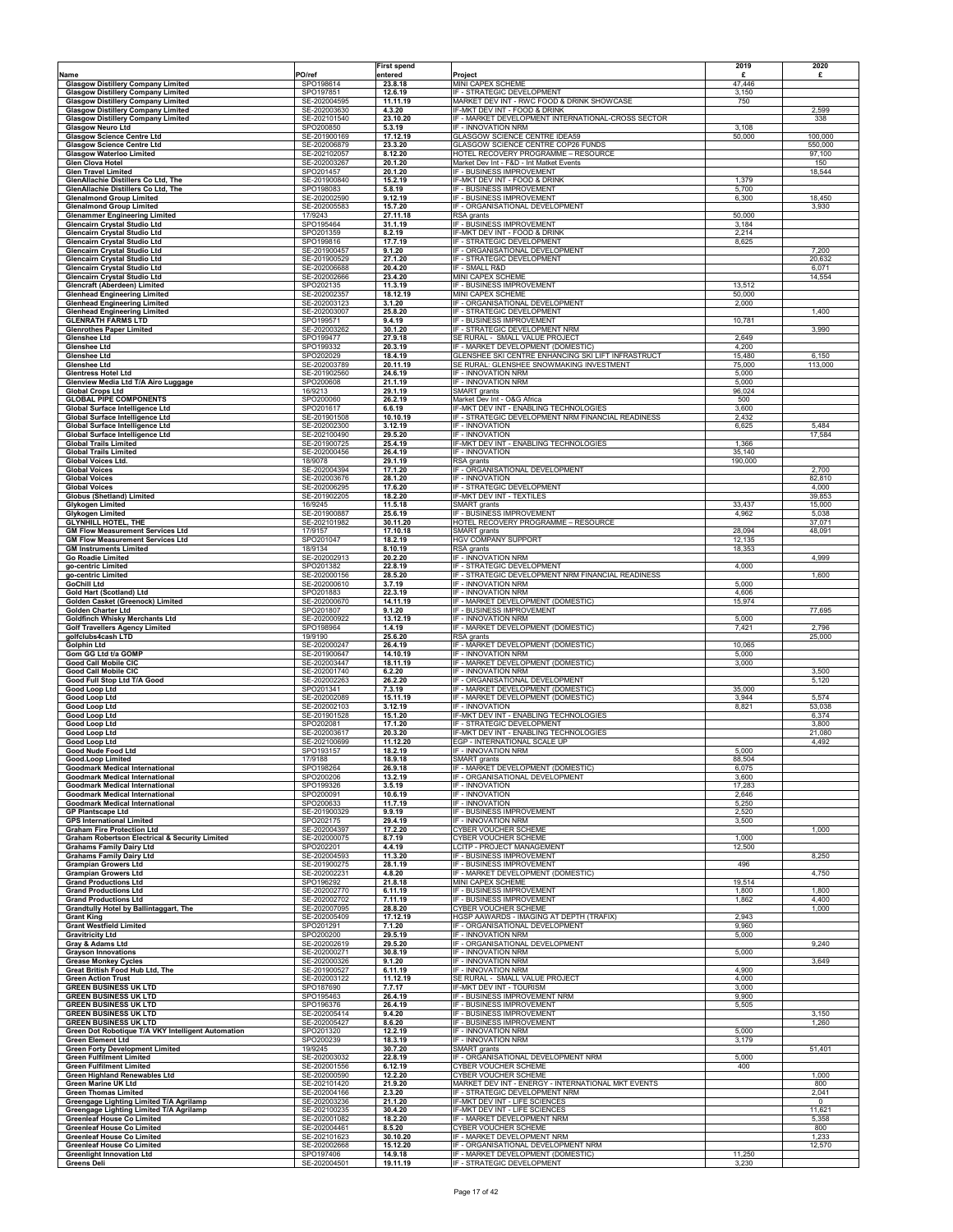|                                                                                              |                              | <b>First spend</b>   |                                                                                              | 2019             | 2020               |
|----------------------------------------------------------------------------------------------|------------------------------|----------------------|----------------------------------------------------------------------------------------------|------------------|--------------------|
| Name                                                                                         | PO/ref                       | entered              | Project                                                                                      | £                | £                  |
| <b>Glasgow Distillery Company Limited</b><br><b>Glasgow Distillery Company Limited</b>       | SPO198614<br>SPO197851       | 23.8.18<br>12.6.19   | MINI CAPEX SCHEME<br>IF - STRATEGIC DEVELOPMENT                                              | 47,446<br>3,150  |                    |
| <b>Glasgow Distillery Company Limited</b>                                                    | SE-202004595                 | 11.11.19             | MARKET DEV INT - RWC FOOD & DRINK SHOWCASE                                                   | 750              |                    |
| <b>Glasgow Distillery Company Limited</b><br><b>Glasgow Distillery Company Limited</b>       | SE-202003630<br>SE-202101540 | 4.3.20<br>23.10.20   | IF-MKT DEV INT - FOOD & DRINK<br>IF - MARKET DEVELOPMENT INTERNATIONAL-CROSS SECTOR          |                  | 2,599<br>338       |
| <b>Glasgow Neuro Ltd</b>                                                                     | SPO200850                    | 5.3.19               | IF - INNOVATION NRM                                                                          | 3,108            |                    |
| <b>Glasgow Science Centre Ltd</b><br><b>Glasgow Science Centre Ltd</b>                       | SE-201900169<br>SE-202006879 | 17.12.19<br>23.3.20  | <b>GLASGOW SCIENCE CENTRE IDEA59</b><br>GLASGOW SCIENCE CENTRE COP26 FUNDS                   | 50,000           | 100,000<br>550,000 |
| <b>Glasgow Waterloo Limited</b>                                                              | SE-202102057                 | 8.12.20              | HOTEL RECOVERY PROGRAMME - RESOURCE                                                          |                  | 97,100             |
| <b>Glen Clova Hotel</b>                                                                      | SE-202003267                 | 20.1.20              | Market Dev Int - F&D - Int Matket Events                                                     |                  | 150                |
| <b>Glen Travel Limited</b><br>GlenAllachie Distillers Co Ltd, The                            | SPO201457<br>SE-201900840    | 20.1.20<br>15.2.19   | IF - BUSINESS IMPROVEMENT<br>IF-MKT DEV INT - FOOD & DRINK                                   | 1,379            | 18,544             |
| GlenAllachie Distillers Co Ltd, The                                                          | SPO198083                    | 5.8.19               | IF - BUSINESS IMPROVEMENT                                                                    | 5,700            |                    |
| <b>Glenalmond Group Limited</b><br><b>Glenalmond Group Limited</b>                           | SE-202002590<br>SE-202005583 | 9.12.19<br>15.7.20   | IF - BUSINESS IMPROVEMENT<br>IF - ORGANISATIONAL DEVELOPMENT                                 | 6,300            | 18,450<br>3,930    |
| <b>Glenammer Engineering Limited</b>                                                         | 17/9243                      | 27.11.18             | RSA grants                                                                                   | 50,000           |                    |
| Glencairn Crystal Studio Ltd                                                                 | SPO195464<br>SPO201359       | 31.1.19<br>8.2.19    | <b>IF - BUSINESS IMPROVEMENT</b>                                                             | 3,184            |                    |
| Glencairn Crystal Studio Ltd<br><b>Glencairn Crystal Studio Ltd</b>                          | SPO199816                    | 17.7.19              | IF-MKT DEV INT - FOOD & DRINK<br>IF - STRATEGIC DEVELOPMENT                                  | 2,214<br>8,625   |                    |
| Glencairn Crystal Studio Ltd                                                                 | SE-201900457                 | 9.1.20               | IF - ORGANISATIONAL DEVELOPMENT                                                              |                  | 7,200              |
| Glencairn Crystal Studio Ltd<br><b>Glencairn Crystal Studio Ltd</b>                          | SE-201900529<br>SE-202006688 | 27.1.20<br>20.4.20   | IF - STRATEGIC DEVELOPMENT<br>IF - SMALL R&D                                                 |                  | 20,632<br>6,071    |
| Glencairn Crystal Studio Ltd                                                                 | SE-202002666                 | 23.4.20              | MINI CAPEX SCHEME                                                                            |                  | 14,554             |
| Glencraft (Aberdeen) Limited<br><b>Glenhead Engineering Limited</b>                          | SPO202135<br>SE-202002357    | 11.3.19<br>18.12.19  | IF - BUSINESS IMPROVEMENT<br>MINI CAPEX SCHEME                                               | 13,512<br>50,000 |                    |
| <b>Glenhead Engineering Limited</b>                                                          | SE-202003123                 | 3.1.20               | IF - ORGANISATIONAL DEVELOPMENT                                                              | 2,000            |                    |
| <b>Glenhead Engineering Limited</b><br><b>GLENRATH FARMS LTD</b>                             | SE-202003007                 | 25.8.20              | IF - STRATEGIC DEVELOPMENT                                                                   |                  | 1,400              |
| <b>Glenrothes Paper Limited</b>                                                              | SPO199571<br>SE-202003262    | 9.4.19<br>30.1.20    | IF - BUSINESS IMPROVEMENT<br>IF - STRATEGIC DEVELOPMENT NRM                                  | 10,781           | 3,990              |
| <b>Glenshee Ltd</b>                                                                          | SPO199477                    | 27.9.18              | SE RURAL - SMALL VALUE PROJECT                                                               | 2,649            |                    |
| <b>Glenshee Ltd</b><br><b>Glenshee Ltd</b>                                                   | SPO199332<br>SPO202029       | 20.3.19<br>18.4.19   | IF - MARKET DEVELOPMENT (DOMESTIC)<br>GLENSHEE SKI CENTRE ENHANCING SKI LIFT INFRASTRUCT     | 4,200<br>15,480  | 6,150              |
| <b>Glenshee Ltd</b>                                                                          | SE-202003789                 | 20.11.19             | SE RURAL: GLENSHEE SNOWMAKING INVESTMENT                                                     | 75,000           | 113,000            |
| <b>Glentress Hotel Ltd</b>                                                                   | SE-201902560                 | 24.6.19              | IF - INNOVATION NRM<br>IF - INNOVATION NRM                                                   | 5,000            |                    |
| Glenview Media Ltd T/A Airo Luggage<br><b>Global Crops Ltd</b>                               | SPO200608<br>16/9213         | 21.1.19<br>29.1.19   | SMART grants                                                                                 | 5,000<br>96,024  |                    |
| <b>GLOBAL PIPE COMPONENTS</b>                                                                | SPO200060                    | 26.2.19              | Market Dev Int - O&G Africa                                                                  | 500              |                    |
| Global Surface Intelligence Ltd<br>Global Surface Intelligence Ltd                           | SPO201617<br>SE-201901508    | 6.6.19<br>10.10.19   | IF-MKT DEV INT - ENABLING TECHNOLOGIES<br>IF - STRATEGIC DEVELOPMENT NRM FINANCIAL READINESS | 3,600<br>2,432   |                    |
| Global Surface Intelligence Ltd                                                              | SE-202002300                 | 3.12.19              | IF - INNOVATION                                                                              | 6,625            | 5,484              |
| Global Surface Intelligence Ltd<br><b>Global Trails Limited</b>                              | SE-202100490<br>SE-201900725 | 29.5.20<br>25.4.19   | IF - INNOVATION<br>IF-MKT DEV INT - ENABLING TECHNOLOGIES                                    | 1,366            | 17,584             |
| <b>Global Trails Limited</b>                                                                 | SE-202000456                 | 26.4.19              | IF - INNOVATION                                                                              | 35,140           |                    |
| Global Voices Ltd.                                                                           | 18/9078                      | 29.1.19              | RSA grants<br>IF - ORGANISATIONAL DEVELOPMENT                                                | 190,000          | 2,700              |
| <b>Global Voices</b><br><b>Global Voices</b>                                                 | SE-202004394<br>SE-202003676 | 17.1.20<br>28.1.20   | IF - INNOVATION                                                                              |                  | 82,810             |
| <b>Global Voices</b>                                                                         | SE-202006295                 | 17.6.20              | IF - STRATEGIC DEVELOPMENT                                                                   |                  | 4,000              |
| <b>Globus (Shetland) Limited</b><br><b>Glykogen Limited</b>                                  | SE-201902205<br>16/9245      | 18.2.20<br>11.5.18   | IF-MKT DEV INT - TEXTILES<br>SMART grants                                                    | 33,437           | 39,853<br>15,000   |
| <b>Glykogen Limited</b>                                                                      | SE-201900887                 | 25.6.19              | IF - BUSINESS IMPROVEMENT                                                                    | 4,962            | 5,038              |
| <b>GLYNHILL HOTEL, THE</b><br><b>GM Flow Measurement Services Ltd</b>                        | SE-202101982<br>17/9157      | 30.11.20<br>17.10.18 | HOTEL RECOVERY PROGRAMME - RESOURCE<br>SMART grants                                          | 28,094           | 37,071<br>48,091   |
| <b>GM Flow Measurement Services Ltd</b>                                                      | SPO201047                    | 18.2.19              | <b>HGV COMPANY SUPPORT</b>                                                                   | 12,135           |                    |
| <b>GM Instruments Limited</b><br><b>Go Roadie Limited</b>                                    | 18/9134<br>SE-202002913      | 8.10.19<br>20.2.20   | RSA grants<br>IF - INNOVATION NRM                                                            | 18,353           | 4,999              |
| go-centric Limited                                                                           | SPO201382                    | 22.8.19              | IF - STRATEGIC DEVELOPMENT                                                                   | 4,000            |                    |
| go-centric Limited<br><b>GoChill Ltd</b>                                                     | SE-202000156<br>SE-202000610 | 28.5.20<br>3.7.19    | IF - STRATEGIC DEVELOPMENT NRM FINANCIAL READINESS<br>IF - INNOVATION NRM                    | 5,000            | 1,600              |
| Gold Hart (Scotland) Ltd                                                                     | SPO201883                    | 22.3.19              | IF - INNOVATION NRM                                                                          | 4,606            |                    |
| Golden Casket (Greenock) Limited                                                             | SE-202000670                 | 14.11.19             | IF - MARKET DEVELOPMENT (DOMESTIC)                                                           | 15,974           |                    |
| Golden Charter Ltd<br><b>Goldfinch Whisky Merchants Ltd</b>                                  | SPO201807<br>SE-202000922    | 9.1.20<br>13.12.19   | IF - BUSINESS IMPROVEMENT<br>IF - INNOVATION NRM                                             | 5,000            | 77,695             |
| <b>Golf Travellers Agency Limited</b>                                                        | SPO198964                    | 1.4.19               | IF - MARKET DEVELOPMENT (DOMESTIC)                                                           | 7,421            | 2,796              |
| golfclubs4cash LTD<br><b>Golphin Ltd</b>                                                     | 19/9190<br>SE-202000247      | 25.6.20<br>26.4.19   | RSA grants<br>IF - MARKET DEVELOPMENT (DOMESTIC)                                             | 10,065           | 25,000             |
| Gom GG Ltd t/a GOMP                                                                          | SE-201900647                 | 14.10.19             | IF - INNOVATION NRM                                                                          | 5,000            |                    |
| Good Call Mobile CIC                                                                         | SE-202003447                 | 18.11.19             | IF - MARKET DEVELOPMENT (DOMESTIC)<br>IF - INNOVATION NRM                                    | 3,000            |                    |
| Good Call Mobile CIC<br>Good Full Stop Ltd T/A Good                                          | SE-202001740<br>SE-202002263 | 6.2.20<br>26.2.20    | IF - ORGANISATIONAL DEVELOPMENT                                                              |                  | 3,500<br>5,120     |
| Good Loop Ltd                                                                                | SPO201341                    | 7.3.19               | IF - MARKET DEVELOPMENT (DOMESTIC)<br>IF - MARKET DEVELOPMENT (DOMESTIC                      | 35,000           |                    |
| Good Loop Ltd<br><b>Good Loop Ltd</b>                                                        | SE-202002089<br>SE-202002103 | 15.11.19<br>3.12.19  | IF - INNOVATION                                                                              | 3,944<br>8,821   | 5,574<br>53,038    |
| Good Loop Ltd                                                                                | SE-201901528                 | 15.1.20              | IF-MKT DEV INT - ENABLING TECHNOLOGIES                                                       |                  | 6,374              |
| <b>Good Loop Ltd</b><br>Good Loop Ltd                                                        | SPO202081<br>SE-202003617    | 17.1.20<br>20.3.20   | IF - STRATEGIC DEVELOPMENT<br>IF-MKT DEV INT - ENABLING TECHNOLOGIES                         |                  | 3,800<br>21,080    |
| Good Loop Ltd                                                                                | SE-202100699                 | 11.12.20             | EGP - INTERNATIONAL SCALE UP                                                                 |                  | 4,492              |
| Good Nude Food Ltd<br>Good.Loop Limited                                                      | SPO193157<br>17/9188         | 18.2.19<br>18.9.18   | IF - INNOVATION NRM                                                                          | 5,000<br>88,504  |                    |
| <b>Goodmark Medical International</b>                                                        | SPO198264                    | 26.9.18              | SMART grants<br>IF - MARKET DEVELOPMENT (DOMESTIC)                                           | 6,075            |                    |
| <b>Goodmark Medical International</b><br><b>Goodmark Medical International</b>               | SPO200206<br>SPO199326       | 13.2.19<br>3.5.19    | IF - ORGANISATIONAL DEVELOPMENT<br>IF - INNOVATION                                           | 3,600<br>17,283  |                    |
| <b>Goodmark Medical International</b>                                                        | SPO200091                    | 10.6.19              | IF - INNOVATION                                                                              | 2,646            |                    |
| <b>Goodmark Medical International</b>                                                        | SPO200633                    | 11.7.19              | IF - INNOVATION<br>IF - BUSINESS IMPROVEMENT                                                 | 5,250            |                    |
| <b>GP Plantscape Ltd</b><br><b>GPS International Limited</b>                                 | SE-201900329<br>SPO202175    | 9.9.19<br>29.4.19    | IF - INNOVATION NRM                                                                          | 2,520<br>3,500   |                    |
| <b>Graham Fire Protection Ltd</b>                                                            | SE-202004397                 | 17.2.20              | CYBER VOUCHER SCHEME                                                                         |                  | 1,000              |
| <b>Graham Robertson Electrical &amp; Security Limited</b><br><b>Grahams Family Dairy Ltd</b> | SE-202000075<br>SPO202201    | 8.7.19<br>4.4.19     | CYBER VOUCHER SCHEME<br><b>LCITP - PROJECT MANAGEMENT</b>                                    | 1,000<br>12,500  |                    |
| <b>Grahams Family Dairy Ltd</b>                                                              | SE-202004593                 | 11.3.20              | IF - BUSINESS IMPROVEMENT                                                                    |                  | 8,250              |
| <b>Grampian Growers Ltd</b><br><b>Grampian Growers Ltd</b>                                   | SE-201900275<br>SE-202002231 | 28.1.19<br>4.8.20    | IF - BUSINESS IMPROVEMENT<br>IF - MARKET DEVELOPMENT (DOMESTIC)                              | 496              | 4,750              |
| <b>Grand Productions Ltd</b>                                                                 | SPO196292                    | 21.8.18              | MINI CAPEX SCHEME                                                                            | 19,514           |                    |
| <b>Grand Productions Ltd</b><br><b>Grand Productions Ltd</b>                                 | SE-202002770<br>SE-202002702 | 6.11.19<br>7.11.19   | IF - BUSINESS IMPROVEMENT<br>IF - BUSINESS IMPROVEMENT                                       | 1,800<br>1,862   | 1,800<br>4,400     |
| Grandtully Hotel by Ballintaggart, The                                                       | SE-202007095                 | 28.8.20              | CYBER VOUCHER SCHEME                                                                         |                  | 1,000              |
| <b>Grant King</b><br><b>Grant Westfield Limited</b>                                          | SE-202005409<br>SPO201291    | 17.12.19<br>7.1.20   | HGSP AAWARDS - IMAGING AT DEPTH (TRAFIX)<br>IF - ORGANISATIONAL DEVELOPMENT                  | 2,943<br>9,960   |                    |
| <b>Gravitricity Ltd</b>                                                                      | SPO200200                    | 29.5.19              | IF - INNOVATION NRM                                                                          | 5,000            |                    |
| Gray & Adams Ltd<br><b>Grayson Innovations</b>                                               | SE-202002619<br>SE-202000271 | 29.5.20<br>30.8.19   | IF - ORGANISATIONAL DEVELOPMENT<br>IF - INNOVATION NRM                                       | 5,000            | 9,240              |
| <b>Grease Monkey Cycles</b>                                                                  | SE-202000326                 | 9.1.20               | IF - INNOVATION NRM                                                                          |                  | 3,649              |
| Great British Food Hub Ltd, The<br><b>Green Action Trust</b>                                 | SE-201900527<br>SE-202003122 | 6.11.19<br>11.12.19  | IF - INNOVATION NRM<br>SE RURAL - SMALL VALUE PROJECT                                        | 4,900<br>4,000   |                    |
| <b>GREEN BUSINESS UK LTD</b>                                                                 | SPO187690                    | 7.7.17               | IF-MKT DEV INT - TOURISM                                                                     | 3,000            |                    |
| <b>GREEN BUSINESS UK LTD</b><br><b>GREEN BUSINESS UK LTD</b>                                 | SPO195463<br>SPO196376       | 26.4.19              | IF - BUSINESS IMPROVEMENT NRM<br>IF - BUSINESS IMPROVEMENT                                   | 9,900            |                    |
| <b>GREEN BUSINESS UK LTD</b>                                                                 | SE-202005414                 | 26.4.19<br>9.4.20    | IF - BUSINESS IMPROVEMENT                                                                    | 5,505            | 3,150              |
| <b>GREEN BUSINESS UK LTD</b>                                                                 | SE-202005427                 | 8.6.20               | IF - BUSINESS IMPROVEMENT                                                                    |                  | 1,260              |
| Green Dot Robotique T/A VKY Intelligent Automation<br><b>Green Element Ltd</b>               | SPO201320<br>SPO200239       | 12.2.19<br>18.3.19   | IF - INNOVATION NRM<br>IF - INNOVATION NRM                                                   | 5,000<br>3,179   |                    |
| <b>Green Forty Development Limited</b>                                                       | 19/9245                      | 30.7.20              | <b>SMART</b> grants                                                                          |                  | 51,401             |
| <b>Green Fulfilment Limited</b><br><b>Green Fulfilment Limited</b>                           | SE-202003032<br>SE-202001556 | 22.8.19<br>6.12.19   | IF - ORGANISATIONAL DEVELOPMENT NRM<br>CYBER VOUCHER SCHEME                                  | 5,000<br>400     |                    |
| <b>Green Highland Renewables Ltd</b>                                                         | SE-202000590                 | 12.2.20              | CYBER VOUCHER SCHEME                                                                         |                  | 1,000              |
| <b>Green Marine UK Ltd</b><br><b>Green Thomas Limited</b>                                    | SE-202101420<br>SE-202004166 | 21.9.20<br>2.3.20    | MARKET DEV INT - ENERGY - INTERNATIONAL MKT EVENTS<br>IF - STRATEGIC DEVELOPMENT NRM         |                  | 800<br>2,041       |
| Greengage Lighting Limited T/A Agrilamp                                                      | SE-202003236                 | 21.1.20              | IF-MKT DEV INT - LIFE SCIENCES                                                               |                  | $^{\circ}$         |
| Greengage Lighting Limited T/A Agrilamp                                                      | SE-202100235                 | 30.4.20              | IF-MKT DEV INT - LIFE SCIENCES                                                               |                  | 11,621             |
| <b>Greenleaf House Co Limited</b><br><b>Greenleaf House Co Limited</b>                       | SE-202001082<br>SE-202004461 | 18.2.20<br>8.5.20    | IF - MARKET DEVELOPMENT NRM<br><b>CYBER VOUCHER SCHEME</b>                                   |                  | 5,358<br>800       |
| <b>Greenleaf House Co Limited</b>                                                            | SE-202101623                 | 30.10.20             | IF - MARKET DEVELOPMENT NRM                                                                  |                  | 1,233              |
| <b>Greenleaf House Co Limited</b><br><b>Greenlight Innovation Ltd</b>                        | SE-202002668<br>SPO197406    | 15.12.20<br>14.9.18  | IF - ORGANISATIONAL DEVELOPMENT NRM<br>IF - MARKET DEVELOPMENT (DOMESTIC)                    | 11,250           | 12,570             |
| <b>Greens Deli</b>                                                                           | SE-202004501                 | 19.11.19             | IF - STRATEGIC DEVELOPMENT                                                                   | 3,230            |                    |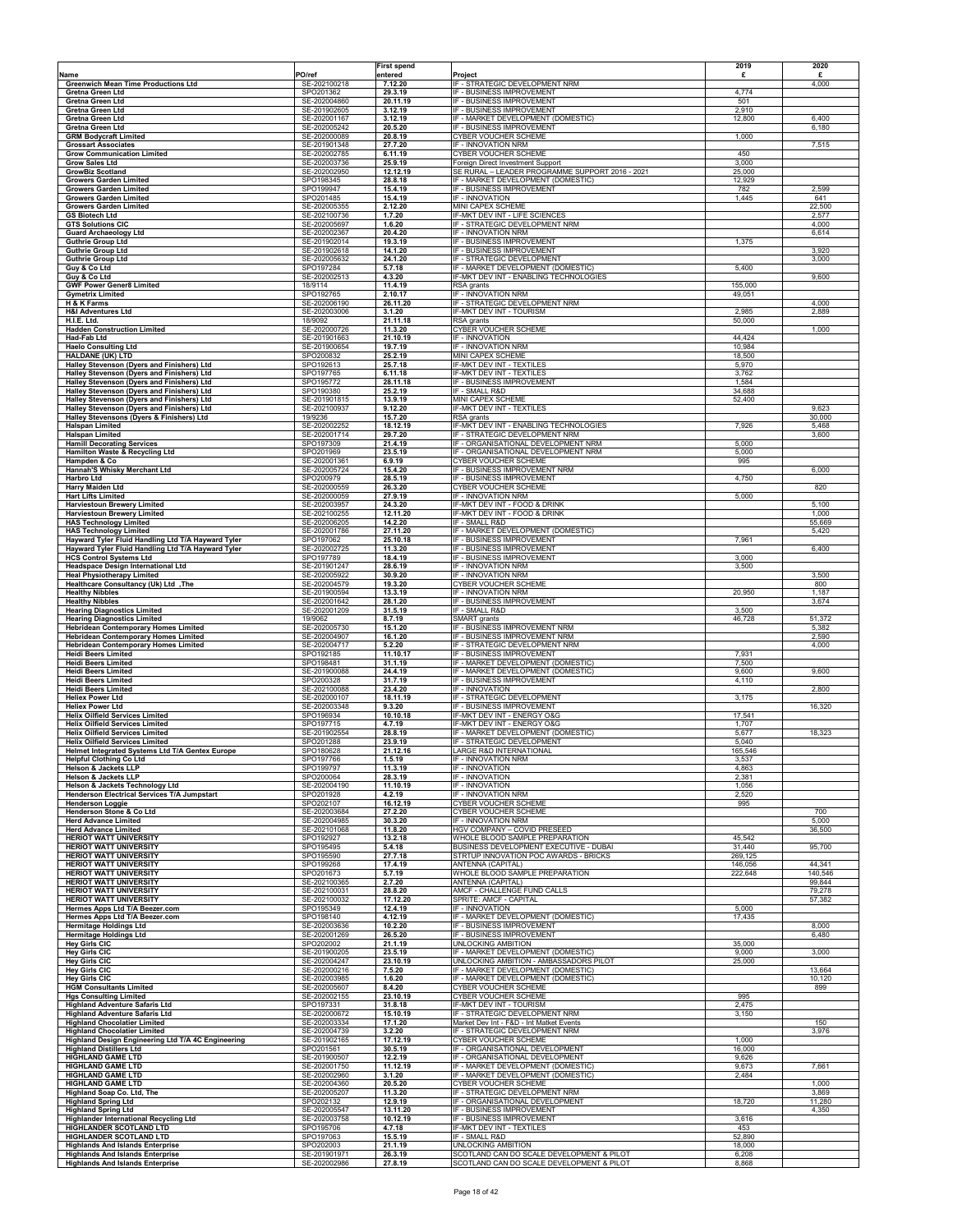|                                                                                                          |                              | <b>First spend</b>  |                                                                                       | 2019              | 2020              |
|----------------------------------------------------------------------------------------------------------|------------------------------|---------------------|---------------------------------------------------------------------------------------|-------------------|-------------------|
| Name                                                                                                     | PO/ref                       | entered             | Project                                                                               | £                 | £                 |
| <b>Greenwich Mean Time Productions Ltd</b>                                                               | SE-202100218                 | 7.12.20             | IF - STRATEGIC DEVELOPMENT NRM                                                        |                   | 4,000             |
| Gretna Green Ltd<br>Gretna Green Ltd                                                                     | SPO201362<br>SE-202004860    | 29.3.19<br>20.11.19 | IF - BUSINESS IMPROVEMENT<br>IF - BUSINESS IMPROVEMENT                                | 4,774<br>501      |                   |
| <b>Gretna Green Ltd</b>                                                                                  | SE-201902605                 | 3.12.19             | IF - BUSINESS IMPROVEMENT                                                             | 2.910             |                   |
| <b>Gretna Green Ltd</b>                                                                                  | SE-202001167                 | 3.12.19             | IF - MARKET DEVELOPMENT (DOMESTIC)                                                    | 12,800            | 6,400             |
| Gretna Green Ltd<br><b>GRM Bodycraft Limited</b>                                                         | SE-202005242<br>SE-202000089 | 20.5.20<br>20.8.19  | IF - BUSINESS IMPROVEMENT<br>CYBER VOUCHER SCHEME                                     | 1,000             | 6,180             |
| <b>Grossart Associates</b>                                                                               | SE-201901348                 | 27.7.20             | IF - INNOVATION NRM                                                                   |                   | 7,515             |
| <b>Grow Communication Limited</b>                                                                        | SE-202002785                 | 6.11.19             | <b>CYBER VOUCHER SCHEME</b>                                                           | 450               |                   |
| <b>Grow Sales Ltd</b>                                                                                    | SE-202003736                 | 25.9.19             | Foreign Direct Investment Support                                                     | 3,000             |                   |
| <b>GrowBiz Scotland</b><br><b>Growers Garden Limited</b>                                                 | SE-202002950<br>SPO198345    | 12.12.19<br>28.8.18 | SE RURAL - LEADER PROGRAMME SUPPORT 2016 - 2021<br>IF - MARKET DEVELOPMENT (DOMESTIC) | 25,000<br>12,929  |                   |
| <b>Growers Garden Limited</b>                                                                            | SPO199947                    | 15.4.19             | IF - BUSINESS IMPROVEMENT                                                             | 782               | 2,599             |
| <b>Growers Garden Limited</b>                                                                            | SPO201485                    | 15.4.19             | IF - INNOVATION                                                                       | 1,445             | 641               |
| <b>Growers Garden Limited</b><br><b>GS Biotech Ltd</b>                                                   | SE-202005355<br>SE-202100736 | 2.12.20<br>1.7.20   | MINI CAPEX SCHEME<br>IF-MKT DEV INT - LIFE SCIENCES                                   |                   | 22,500<br>2,577   |
| <b>GTS Solutions CIC</b>                                                                                 | SE-202005697                 | 1.6.20              | IF - STRATEGIC DEVELOPMENT NRM                                                        |                   | 4,000             |
| <b>Guard Archaeology Ltd</b>                                                                             | SE-202002367                 | 20.4.20             | IF - INNOVATION NRM                                                                   |                   | 6,614             |
| <b>Guthrie Group Ltd</b>                                                                                 | SE-201902014<br>SE-201902618 | 19.3.19             | IF - BUSINESS IMPROVEMENT<br>IF - BUSINESS IMPROVEMENT                                | 1,375             | 3,920             |
| <b>Guthrie Group Ltd</b><br><b>Guthrie Group Ltd</b>                                                     | SE-202005632                 | 14.1.20<br>24.1.20  | IF - STRATEGIC DEVELOPMENT                                                            |                   | 3,000             |
| Guy & Co Ltd                                                                                             | SPO197284                    | 5.7.18              | IF - MARKET DEVELOPMENT (DOMESTIC)                                                    | 5,400             |                   |
| Guy & Co Ltd                                                                                             | SE-202002513                 | 4.3.20              | IF-MKT DEV INT - ENABLING TECHNOLOGIES                                                |                   | 9,600             |
| <b>GWF Power Gener8 Limited</b><br><b>Gymetrix Limited</b>                                               | 18/9114<br>SPO192765         | 11.4.19<br>2.10.17  | RSA grants<br>IF - INNOVATION NRM                                                     | 155,000<br>49,051 |                   |
| H & K Farms                                                                                              | SE-202006190                 | 26.11.20            | IF - STRATEGIC DEVELOPMENT NRM                                                        |                   | 4,000             |
| <b>H&amp;I Adventures Ltd</b>                                                                            | SE-202003006                 | 3.1.20              | IF-MKT DEV INT - TOURISM                                                              | 2,985             | 2,889             |
| H.I.E. Ltd.<br><b>Hadden Construction Limited</b>                                                        | 18/9092<br>SE-202000726      | 21.11.18<br>11.3.20 | RSA grants<br><b>CYBER VOUCHER SCHEME</b>                                             | 50,000            | 1,000             |
| <b>Had-Fab Ltd</b>                                                                                       | SE-201901663                 | 21.10.19            | IF - INNOVATION                                                                       | 44,424            |                   |
| <b>Haelo Consulting Ltd</b>                                                                              | SE-201900654                 | 19.7.19             | IF - INNOVATION NRM                                                                   | 10,984            |                   |
| <b>HALDANE (UK) LTD</b><br>Halley Stevenson (Dyers and Finishers) Ltd                                    | SPO200832<br>SPO192613       | 25.2.19<br>25.7.18  | MINI CAPEX SCHEME<br>IF-MKT DEV INT - TEXTILES                                        | 18,500<br>5,970   |                   |
| Halley Stevenson (Dyers and Finishers) Ltd                                                               | SPO197765                    | 6.11.18             | <b>IF-MKT DEV INT - TEXTILES</b>                                                      | 3,762             |                   |
| Halley Stevenson (Dyers and Finishers) Ltd                                                               | SPO195772                    | 28.11.18            | IF - BUSINESS IMPROVEMENT                                                             | 1,584             |                   |
| Halley Stevenson (Dyers and Finishers) Ltd                                                               | SPO190380                    | 25.2.19             | IF - SMALL R&D<br>MINI CAPEX SCHEME                                                   | 34,688            |                   |
| Halley Stevenson (Dyers and Finishers) Ltd<br>Halley Stevenson (Dyers and Finishers) Ltd                 | SE-201901815<br>SE-202100937 | 13.9.19<br>9.12.20  | IF-MKT DEV INT - TEXTILES                                                             | 52,400            | 9,623             |
| Halley Stevensons (Dyers & Finishers) Ltd                                                                | 19/9236                      | 15.7.20             | RSA grants                                                                            |                   | 30,000            |
| <b>Halspan Limited</b>                                                                                   | SE-202002252                 | 18.12.19            | IF-MKT DEV INT - ENABLING TECHNOLOGIES                                                | 7,926             | 5,468             |
| <b>Halspan Limited</b><br><b>Hamill Decorating Services</b>                                              | SE-202001714<br>SPO197309    | 29.7.20<br>21.4.19  | IF - STRATEGIC DEVELOPMENT NRM<br>IF - ORGANISATIONAL DEVELOPMENT NRM                 | 5,000             | 3,600             |
| Hamilton Waste & Recycling Ltd                                                                           | SPO201969                    | 23.5.19             | IF - ORGANISATIONAL DEVELOPMENT NRM                                                   | 5,000             |                   |
| Hampden & Co                                                                                             | SE-202001361                 | 6.9.19              | CYBER VOUCHER SCHEME                                                                  | 995               |                   |
| Hannah'S Whisky Merchant Ltd<br><b>Harbro Ltd</b>                                                        | SE-202005724<br>SPO200979    | 15.4.20<br>28.5.19  | IF - BUSINESS IMPROVEMENT NRM<br>IF - BUSINESS IMPROVEMENT                            | 4,750             | 6,000             |
| <b>Harry Maiden Ltd</b>                                                                                  | SE-202000559                 | 26.3.20             | <b>CYBER VOUCHER SCHEME</b>                                                           |                   | 820               |
| <b>Hart Lifts Limited</b>                                                                                | SE-202000059                 | 27.9.19             | IF - INNOVATION NRM                                                                   | 5,000             |                   |
| <b>Harviestoun Brewery Limited</b><br><b>Harviestoun Brewery Limited</b>                                 | SE-202003957<br>SE-202100255 | 24.3.20<br>12.11.20 | IF-MKT DEV INT - FOOD & DRINK<br>IF-MKT DEV INT - FOOD & DRINK                        |                   | 5,100<br>1,000    |
| <b>HAS Technology Limited</b>                                                                            | SE-202006205                 | 14.2.20             | IF - SMALL R&D                                                                        |                   | 55,669            |
| <b>HAS Technology Limited</b>                                                                            | SE-202001786                 | 27.11.20            | IF - MARKET DEVELOPMENT (DOMESTIC)                                                    |                   | 5,420             |
| Hayward Tyler Fluid Handling Ltd T/A Hayward Tyler<br>Hayward Tyler Fluid Handling Ltd T/A Hayward Tyler | SPO197062<br>SE-202002725    | 25.10.18<br>11.3.20 | IF - BUSINESS IMPROVEMENT<br>IF - BUSINESS IMPROVEMENT                                | 7,961             | 6,400             |
| <b>HCS Control Systems Ltd</b>                                                                           | SPO197789                    | 18.4.19             | IF - BUSINESS IMPROVEMENT                                                             | 3,000             |                   |
| <b>Headspace Design International Ltd</b>                                                                | SE-201901247                 | 28.6.19             | IF - INNOVATION NRM                                                                   | 3,500             |                   |
| <b>Heal Physiotherapy Limited</b><br>Healthcare Consultancy (Uk) Ltd , The                               | SE-202005922<br>SE-202004579 | 30.9.20<br>19.3.20  | IF - INNOVATION NRM<br>CYBER VOUCHER SCHEME                                           |                   | 3,500<br>800      |
| <b>Healthy Nibbles</b>                                                                                   | SE-201900594                 | 13.3.19             | IF - INNOVATION NRM                                                                   | 20,950            | 1,187             |
| <b>Healthy Nibbles</b>                                                                                   | SE-202001642                 | 28.1.20             | IF - BUSINESS IMPROVEMENT                                                             |                   | 3,674             |
| <b>Hearing Diagnostics Limited</b>                                                                       | SE-202001209                 | 31.5.19             | IF - SMALL R&D                                                                        | 3,500             |                   |
| <b>Hearing Diagnostics Limited</b><br><b>Hebridean Contemporary Homes Limited</b>                        | 19/9062<br>SE-202005730      | 8.7.19<br>15.1.20   | SMART grants<br>IF - BUSINESS IMPROVEMENT NRM                                         | 46,728            | 51,372<br>5,382   |
| <b>Hebridean Contemporary Homes Limited</b>                                                              | SE-202004907                 | 16.1.20             | IF - BUSINESS IMPROVEMENT NRM                                                         |                   | 2,590             |
| <b>Hebridean Contemporary Homes Limited</b>                                                              | SE-202004717                 | 5.2.20              | IF - STRATEGIC DEVELOPMENT NRM                                                        |                   | 4,000             |
| <b>Heidi Beers Limited</b><br><b>Heidi Beers Limited</b>                                                 | SPO192185<br>SPO198481       | 11.10.17<br>31.1.19 | IF - BUSINESS IMPROVEMENT<br>IF - MARKET DEVELOPMENT (DOMESTIC)                       | 7,931<br>7,500    |                   |
| <b>Heidi Beers Limited</b>                                                                               | SE-201900088                 | 24.4.19             | IF - MARKET DEVELOPMENT (DOMESTIC)                                                    | 9,600             | 9,600             |
| <b>Heidi Beers Limited</b>                                                                               | SPO200328                    | 31.7.19             | IF - BUSINESS IMPROVEMENT                                                             | 4,110             |                   |
| <b>Heidi Beers Limited</b>                                                                               | SE-202100088                 | 23.4.20             | IF - INNOVATION                                                                       |                   | 2,800             |
| <b>Heliex Power Ltd</b><br><b>Heliex Power Ltd</b>                                                       | SE-202000107<br>SE-202003348 | 18.11.19<br>9.3.20  | IF - STRATEGIC DEVELOPMENT<br>IF - BUSINESS IMPROVEMENT                               | 3,175             | 16,320            |
| <b>Helix Oilfield Services Limited</b>                                                                   | SPO196934                    | 10.10.18            | IF-MKT DEV INT - ENERGY O&G                                                           | 17,541            |                   |
| <b>Helix Oilfield Services Limited</b>                                                                   | SPO197715                    | 4.7.19              | IF-MKT DEV INT - ENERGY O&G                                                           | 1,707             |                   |
| <b>Helix Oilfield Services Limited</b><br><b>Helix Oilfield Services Limited</b>                         | SE-201902554<br>SPO201288    | 28.8.19<br>23.9.19  | IF - MARKET DEVELOPMENT (DOMESTIC)<br>IF - STRATEGIC DEVELOPMENT                      | 5,677<br>5,040    | 18,323            |
| Helmet Integrated Systems Ltd T/A Gentex Europe                                                          | SPO180628                    | 21.12.16            | LARGE R&D INTERNATIONAL                                                               | 165,546           |                   |
| <b>Helpful Clothing Co Ltd</b>                                                                           | SPO197766                    | 1.5.19              | IF - INNOVATION NRM                                                                   | 3,537             |                   |
| Helson & Jackets LLP<br><b>Helson &amp; Jackets LLP</b>                                                  | SPO199797<br>SPO200064       | 11.3.19<br>28.3.19  | IF - INNOVATION<br>IF - INNOVATION                                                    | 4,863<br>2,381    |                   |
| Helson & Jackets Technology Ltd                                                                          | SE-202004190                 | 11.10.19            | IF - INNOVATION                                                                       | 1,056             |                   |
| Henderson Electrical Services T/A Jumpstart                                                              | SPO201928                    | 4.2.19              | IF - INNOVATION NRM                                                                   | 2,520             |                   |
| <b>Henderson Loggie</b><br>Henderson Stone & Co Ltd                                                      | SPO202107<br>SE-202003684    | 16.12.19<br>27.2.20 | CYBER VOUCHER SCHEME<br><b>CYBER VOUCHER SCHEME</b>                                   | 995               | 700               |
| <b>Herd Advance Limited</b>                                                                              | SE-202004985                 | 30.3.20             | IF - INNOVATION NRM                                                                   |                   | 5,000             |
| <b>Herd Advance Limited</b>                                                                              | SE-202101068                 | 11.8.20             | HGV COMPANY - COVID PRESEED                                                           |                   | 36,500            |
| <b>HERIOT WATT UNIVERSITY</b><br><b>HERIOT WATT UNIVERSITY</b>                                           | SPO192927<br>SPO195495       | 13.2.18<br>5.4.18   | WHOLE BLOOD SAMPLE PREPARATION<br>BUSINESS DEVELOPMENT EXECUTIVE - DUBAI              | 45,542<br>31,440  | 95,700            |
| <b>HERIOT WATT UNIVERSITY</b>                                                                            | SPO195590                    | 27.7.18             | STRTUP INNOVATION POC AWARDS - BRICKS                                                 | 269,125           |                   |
| <b>HERIOT WATT UNIVERSITY</b>                                                                            | SPO199268                    | 17.4.19             | ANTENNA (CAPITAL)                                                                     | 146,056           | 44,341            |
| HERIOT WATT UNIVERSITY<br><b>HERIOT WATT UNIVERSITY</b>                                                  | SPO201673<br>SE-202100365    | 5.7.19<br>2.7.20    | WHOLE BLOOD SAMPLE PREPARATION<br><b>ANTENNA (CAPITAL)</b>                            | 222,648           | 140,546<br>99,844 |
| <b>HERIOT WATT UNIVERSITY</b>                                                                            | SE-202100031                 | 28.8.20             | AMCF - CHALLENGE FUND CALLS                                                           |                   | 79,278            |
| <b>HERIOT WATT UNIVERSITY</b>                                                                            | SE-202100032                 | 17.12.20            | SPRITE: AMCF - CAPITAL                                                                |                   | 57,382            |
| Hermes Apps Ltd T/A Beezer.com<br>Hermes Apps Ltd T/A Beezer.com                                         | SPO195349<br>SPO198140       | 12.4.19<br>4.12.19  | IF - INNOVATION<br>IF - MARKET DEVELOPMENT (DOMESTIC)                                 | 5,000<br>17,435   |                   |
| <b>Hermitage Holdings Ltd</b>                                                                            | SE-202003636                 | 10.2.20             | IF - BUSINESS IMPROVEMENT                                                             |                   | 8,000             |
| <b>Hermitage Holdings Ltd</b>                                                                            | SE-202001269                 | 26.5.20             | IF - BUSINESS IMPROVEMENT                                                             |                   | 6,480             |
| <b>Hey Girls CIC</b><br><b>Hey Girls CIC</b>                                                             | SPO202002<br>SE-201900205    | 21.1.19<br>23.5.19  | <b>UNLOCKING AMBITION</b><br>IF - MARKET DEVELOPMENT (DOMESTIC)                       | 35,000<br>9,000   | 3,000             |
| <b>Hey Girls CIC</b>                                                                                     | SE-202004247                 | 23.10.19            | UNLOCKING AMBITION - AMBASSADORS PILOT                                                | 25,000            |                   |
| <b>Hey Girls CIC</b>                                                                                     | SE-202000216                 | 7.5.20              | IF - MARKET DEVELOPMENT (DOMESTIC)                                                    |                   | 13,664            |
| <b>Hey Girls CIC</b><br><b>HGM Consultants Limited</b>                                                   | SE-202003985<br>SE-202005607 | 1.6.20<br>8.4.20    | IF - MARKET DEVELOPMENT (DOMESTIC)<br><b>CYBER VOUCHER SCHEME</b>                     |                   | 10,120<br>899     |
| <b>Hgs Consulting Limited</b>                                                                            | SE-202002155                 | 23.10.19            | <b>CYBER VOUCHER SCHEME</b>                                                           | 995               |                   |
| <b>Highland Adventure Safaris Ltd</b>                                                                    | SPO197331                    | 31.8.18             | IF-MKT DEV INT - TOURISM                                                              | 2,475             |                   |
| <b>Highland Adventure Safaris Ltd</b><br><b>Highland Chocolatier Limited</b>                             | SE-202000672<br>SE-202003334 | 15.10.19<br>17.1.20 | IF - STRATEGIC DEVELOPMENT NRM<br>Market Dev Int - F&D - Int Matket Events            | 3,150             | 150               |
| <b>Highland Chocolatier Limited</b>                                                                      | SE-202004739                 | 3.2.20              | IF - STRATEGIC DEVELOPMENT NRM                                                        |                   | 3,976             |
| Highland Design Engineering Ltd T/A 4C Engineering                                                       | SE-201902165                 | 17.12.19            | CYBER VOUCHER SCHEME                                                                  | 1,000             |                   |
| <b>Highland Distillers Ltd</b>                                                                           | SPO201561                    | 30.5.19             | IF - ORGANISATIONAL DEVELOPMENT                                                       | 16,000            |                   |
| <b>HIGHLAND GAME LTD</b><br><b>HIGHLAND GAME LTD</b>                                                     | SE-201900507<br>SE-202001750 | 12.2.19<br>11.12.19 | IF - ORGANISATIONAL DEVELOPMENT<br>IF - MARKET DEVELOPMENT (DOMESTIC)                 | 9,626<br>9,673    | 7,661             |
| <b>HIGHLAND GAME LTD</b>                                                                                 | SE-202002960                 | 3.1.20              | IF - MARKET DEVELOPMENT (DOMESTIC)                                                    | 2,484             |                   |
| <b>HIGHLAND GAME LTD</b>                                                                                 | SE-202004360                 | 20.5.20             | CYBER VOUCHER SCHEME                                                                  |                   | 1,000             |
| Highland Soap Co. Ltd, The<br><b>Highland Spring Ltd</b>                                                 | SE-202005207<br>SPO202132    | 11.3.20<br>12.9.19  | IF - STRATEGIC DEVELOPMENT NRM<br>IF - ORGANISATIONAL DEVELOPMENT                     | 18,720            | 3,869<br>11,280   |
| <b>Highland Spring Ltd</b>                                                                               | SE-202005547                 | 13.11.20            | IF - BUSINESS IMPROVEMENT                                                             |                   | 4,350             |
| <b>Highlander International Recycling Ltd</b>                                                            | SE-202003758                 | 10.12.19            | IF - BUSINESS IMPROVEMENT                                                             | 3,616             |                   |
| HIGHLANDER SCOTLAND LTD<br><b>HIGHLANDER SCOTLAND LTD</b>                                                | SPO195706<br>SPO197063       | 4.7.18<br>15.5.19   | IF-MKT DEV INT - TEXTILES<br>IF - SMALL R&D                                           | 453<br>52,890     |                   |
| <b>Highlands And Islands Enterprise</b>                                                                  | SPO202003                    | 21.1.19             | <b>UNLOCKING AMBITION</b>                                                             | 18,000            |                   |
| <b>Highlands And Islands Enterprise</b>                                                                  | SE-201901971                 | 26.3.19             | SCOTLAND CAN DO SCALE DEVELOPMENT & PILOT                                             | 6,208             |                   |
| <b>Highlands And Islands Enterprise</b>                                                                  | SE-202002986                 | 27.8.19             | SCOTLAND CAN DO SCALE DEVELOPMENT & PILOT                                             | 8,868             |                   |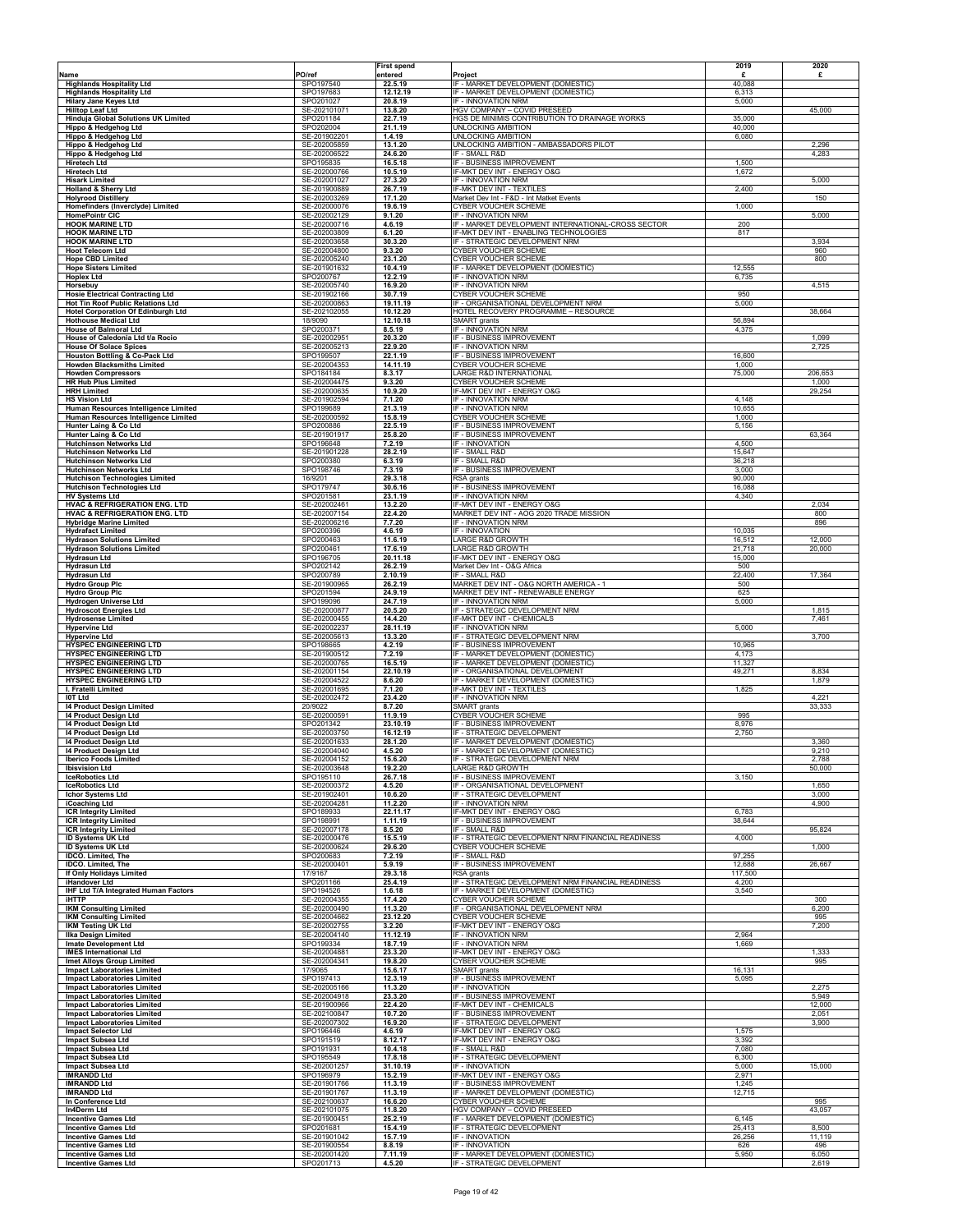|                                                                              |                              | First spend          |                                                                                          | 2019              | 2020            |
|------------------------------------------------------------------------------|------------------------------|----------------------|------------------------------------------------------------------------------------------|-------------------|-----------------|
| Name<br><b>Highlands Hospitality Ltd</b>                                     | PO/ref<br>SPO197540          | entered<br>22.5.19   | Project<br>IF - MARKET DEVELOPMENT (DOMESTIC)                                            | £<br>40,088       | £               |
| <b>Highlands Hospitality Ltd</b>                                             | SPO197683                    | 12.12.19             | IF - MARKET DEVELOPMENT (DOMESTIC)                                                       | 6,313             |                 |
| <b>Hilary Jane Keyes Ltd</b><br><b>Hilltop Leaf Ltd</b>                      | SPO201027<br>SE-202101071    | 20.8.19<br>13.8.20   | IF - INNOVATION NRM<br>HGV COMPANY - COVID PRESEED                                       | 5,000             | 45,000          |
| Hinduja Global Solutions UK Limited                                          | SPO201184                    | 22.7.19              | HGS DE MINIMIS CONTRIBUTION TO DRAINAGE WORKS                                            | 35,000            |                 |
| Hippo & Hedgehog Ltd<br>Hippo & Hedgehog Ltd                                 | SPO202004<br>SE-201902201    | 21.1.19<br>1.4.19    | UNLOCKING AMBITION<br><b>UNLOCKING AMBITION</b>                                          | 40,000<br>6,080   |                 |
| Hippo & Hedgehog Ltd<br>Hippo & Hedgehog Ltd                                 | SE-202005859<br>SE-202006522 | 13.1.20<br>24.6.20   | UNLOCKING AMBITION - AMBASSADORS PILOT<br>IF - SMALL R&D                                 |                   | 2,296<br>4,283  |
| <b>Hiretech Ltd</b>                                                          | SPO195835                    | 16.5.18              | IF - BUSINESS IMPROVEMENT                                                                | 1,500             |                 |
| <b>Hiretech Ltd</b><br><b>Hisark Limited</b>                                 | SE-202000766<br>SE-202001027 | 10.5.19<br>27.3.20   | IF-MKT DEV INT - ENERGY O&G<br>IF - INNOVATION NRM                                       | 1,672             | 5,000           |
| <b>Holland &amp; Sherry Ltd</b>                                              | SE-201900889                 | 26.7.19              | IF-MKT DEV INT - TEXTILES                                                                | 2,400             |                 |
| <b>Holyrood Distillery</b><br>Homefinders (Inverclyde) Limited               | SE-202003269<br>SE-202000076 | 17.1.20<br>19.6.19   | Market Dev Int - F&D - Int Matket Events<br><b>CYBER VOUCHER SCHEME</b>                  | 1,000             | 150             |
| <b>HomePointr CIC</b><br><b>HOOK MARINE LTD</b>                              | SE-202002129<br>SE-202000716 | 9.1.20               | IF - INNOVATION NRM<br>IF - MARKET DEVELOPMENT INTERNATIONAL-CROSS SECTOR                | 200               | 5,000           |
| <b>HOOK MARINE LTD</b>                                                       | SE-202003809                 | 4.6.19<br>6.1.20     | IF-MKT DEV INT - ENABLING TECHNOLOGIES                                                   | 817               |                 |
| <b>HOOK MARINE LTD</b><br><b>Hoot Telecom Ltd</b>                            | SE-202003658<br>SE-202004800 | 30.3.20<br>9.3.20    | IF - STRATEGIC DEVELOPMENT NRM<br>CYBER VOUCHER SCHEME                                   |                   | 3,934<br>960    |
| <b>Hope CBD Limited</b>                                                      | SE-202005240                 | 23.1.20              | <b>CYBER VOUCHER SCHEME</b>                                                              |                   | 800             |
| <b>Hope Sisters Limited</b><br><b>Hoplex Ltd</b>                             | SE-201901632<br>SPO200767    | 10.4.19<br>12.2.19   | IF - MARKET DEVELOPMENT (DOMESTIC)<br>IF - INNOVATION NRM                                | 12,555<br>6,735   |                 |
| Horsebuy<br><b>Hosie Electrical Contracting Ltd</b>                          | SE-202005740<br>SE-201902166 | 16.9.20<br>30.7.19   | IF - INNOVATION NRM<br><b>CYBER VOUCHER SCHEME</b>                                       | 950               | 4,515           |
| Hot Tin Roof Public Relations Ltd                                            | SE-202000863                 | 19.11.19             | IF - ORGANISATIONAL DEVELOPMENT NRM                                                      | 5,000             |                 |
| <b>Hotel Corporation Of Edinburgh Ltd</b><br><b>Hothouse Medical Ltd</b>     | SE-202102055<br>18/9090      | 10.12.20<br>12.10.18 | HOTEL RECOVERY PROGRAMME - RESOURCE<br>SMART grants                                      | 56,894            | 38,664          |
| <b>House of Balmoral Ltd</b>                                                 | SPO200371                    | 8.5.19               | IF - INNOVATION NRM                                                                      | 4,375             |                 |
| House of Caledonia Ltd t/a Rocio<br><b>House Of Solace Spices</b>            | SE-20200295<br>SE-202005213  | 20.3.20<br>22.9.20   | IF - BUSINESS IMPROVEMENT<br>IF - INNOVATION NRM                                         |                   | 1,099<br>2,725  |
| Houston Bottling & Co-Pack Ltd                                               | SPO199507                    | 22.1.19              | IF - BUSINESS IMPROVEMENT<br><b>CYBER VOUCHER SCHEME</b>                                 | 16,600            |                 |
| <b>Howden Blacksmiths Limited</b><br><b>Howden Compressors</b>               | SE-202004353<br>SPO184184    | 14.11.19<br>8.3.17   | LARGE R&D INTERNATIONAL                                                                  | 1,000<br>75,000   | 206,653         |
| <b>HR Hub Plus Limited</b><br><b>HRH Limited</b>                             | SE-202004475<br>SE-202000635 | 9.3.20<br>10.9.20    | CYBER VOUCHER SCHEME<br>IF-MKT DEV INT - ENERGY O&G                                      |                   | 1,000<br>29,254 |
| <b>HS Vision Ltd</b>                                                         | SE-201902594                 | 7.1.20               | IF - INNOVATION NRM                                                                      | 4,148             |                 |
| Human Resources Intelligence Limited<br>Human Resources Intelligence Limited | SPO199689<br>SE-202000592    | 21.3.19<br>15.8.19   | IF - INNOVATION NRM<br>CYBER VOUCHER SCHEME                                              | 10,655<br>1,000   |                 |
| Hunter Laing & Co Ltd<br>Hunter Laing & Co Ltd                               | SPO200886<br>SE-201901917    | 22.5.19<br>25.8.20   | IF - BUSINESS IMPROVEMENT<br>IF - BUSINESS IMPROVEMENT                                   | 5,156             | 63,364          |
| <b>Hutchinson Networks Ltd</b>                                               | SPO196648                    | 7.2.19               | IF - INNOVATION                                                                          | 4,500             |                 |
| <b>Hutchinson Networks Ltd</b><br><b>Hutchinson Networks Ltd</b>             | SE-201901228<br>SPO200380    | 28.2.19<br>6.3.19    | IF - SMALL R&D<br>IF - SMALL R&D                                                         | 15,647<br>36,218  |                 |
| <b>Hutchinson Networks Ltd</b>                                               | SPO198746                    | 7.3.19               | IF - BUSINESS IMPROVEMENT                                                                | 3,000             |                 |
| <b>Hutchison Technologies Limited</b><br><b>Hutchison Technologies Ltd</b>   | 16/9201<br>SPO179747         | 29.3.18<br>30.6.16   | RSA grants<br>IF - BUSINESS IMPROVEMENT                                                  | 90,000<br>16,088  |                 |
| <b>HV Systems Ltd</b><br><b>HVAC &amp; REFRIGERATION ENG. LTD</b>            | SPO201581<br>SE-202002461    | 23.1.19<br>13.2.20   | IF - INNOVATION NRM<br>IF-MKT DEV INT - ENERGY O&G                                       | 4,340             | 2,034           |
| HVAC & REFRIGERATION ENG. LTD                                                | SE-202007154                 | 22.4.20              | MARKET DEV INT - AOG 2020 TRADE MISSION                                                  |                   | 800             |
| <b>Hybridge Marine Limited</b><br><b>Hydrafact Limited</b>                   | SE-202006216<br>SPO200396    | 7.7.20<br>4.6.19     | IF - INNOVATION NRM<br>IF - INNOVATION                                                   | 10,035            | 896             |
| <b>Hydrason Solutions Limited</b>                                            | SPO200463                    | 11.6.19              | <b>LARGE R&amp;D GROWTH</b>                                                              | 16,512            | 12,000          |
| <b>Hydrason Solutions Limited</b><br><b>Hydrasun Ltd</b>                     | SPO200461<br>SPO196705       | 17.6.19<br>20.11.18  | LARGE R&D GROWTH<br>IF-MKT DEV INT - ENERGY O&G                                          | 21,718<br>15,000  | 20,000          |
| <b>Hydrasun Ltd</b><br><b>Hydrasun Ltd</b>                                   | SPO202142<br>SPO200789       | 26.2.19<br>2.10.19   | Market Dev Int - O&G Africa<br>IF - SMALL R&D                                            | 500<br>22,400     | 17,364          |
| <b>Hydro Group Plc</b>                                                       | SE-201900965                 | 26.2.19              | MARKET DEV INT - O&G NORTH AMERICA - 1                                                   | 500               |                 |
| <b>Hydro Group Plc</b><br><b>Hydrogen Universe Ltd</b>                       | SPO201594<br>SPO199096       | 24.9.19<br>24.7.19   | MARKET DEV INT - RENEWABLE ENERGY<br>IF - INNOVATION NRM                                 | 625<br>5,000      |                 |
| <b>Hydroscot Energies Ltd</b>                                                | SE-202000877                 | 20.5.20              | IF - STRATEGIC DEVELOPMENT NRM                                                           |                   | 1,815           |
| <b>Hydrosense Limited</b><br><b>Hypervine Ltd</b>                            | SE-202000455<br>SE-202002237 | 14.4.20<br>28.11.19  | IF-MKT DEV INT - CHEMICALS<br>IF - INNOVATION NRM                                        | 5,000             | 7,461           |
| <b>Hypervine Ltd</b><br><b>HYSPEC ENGINEERING LTD</b>                        | SE-202005613<br>SPO198665    | 13.3.20<br>4.2.19    | IF - STRATEGIC DEVELOPMENT NRM<br>IF - BUSINESS IMPROVEMENT                              | 10,965            | 3,700           |
| <b>HYSPEC ENGINEERING LTD</b>                                                | SE-201900512                 | 7.2.19               | IF - MARKET DEVELOPMENT (DOMESTIC)                                                       | 4,173             |                 |
| <b>HYSPEC ENGINEERING LTD</b><br><b>HYSPEC ENGINEERING LTD</b>               | SE-202000765<br>SE-202001154 | 16.5.19<br>22.10.19  | IF - MARKET DEVELOPMENT (DOMESTIC)<br>IF - ORGANISATIONAL DEVELOPMENT                    | 11,327<br>49,271  | 8,834           |
| <b>HYSPEC ENGINEERING LTD</b><br>I. Fratelli Limited                         | SE-202004522<br>SE-202001695 | 8.6.20<br>7.1.20     | IF - MARKET DEVELOPMENT (DOMESTIC)<br>IF-MKT DEV INT - TEXTILES                          | 1,825             | 1,879           |
| <b>IOT Ltd</b>                                                               | SE-202002472                 | 23.4.20              | IF - INNOVATION NRM                                                                      |                   | 4,221           |
| 14 Product Design Limited<br>14 Product Design Ltd                           | 20/9022<br>SE-202000591      | 8.7.20<br>11.9.19    | SMART grants<br><b>CYBER VOUCHER SCHEME</b>                                              | 995               | 33,333          |
| 14 Product Design Ltd<br>14 Product Design Ltd                               | SPO201342<br>SE-202003750    | 23.10.19<br>16.12.19 | IF - BUSINESS IMPROVEMENT<br>IF - STRATEGIC DEVELOPMENT                                  | 8,976<br>2,750    |                 |
| 14 Product Design Ltd                                                        | SE-202001633                 | 28.1.20              | IF - MARKET DEVELOPMENT (DOMESTIC)                                                       |                   | 3,360           |
| 14 Product Design Ltd<br><b>Iberico Foods Limited</b>                        | SE-202004040<br>SE-202004152 | 4.5.20<br>15.6.20    | IF - MARKET DEVELOPMENT (DOMESTIC)<br>IF - STRATEGIC DEVELOPMENT NRM                     |                   | 9,210<br>2.788  |
| <b>Ibisvision Ltd</b><br><b>IceRobotics Ltd</b>                              | SE-202003648                 | 19.2.20              | LARGE R&D GROWTH<br>IF - BUSINESS IMPROVEMENT                                            | 3,150             | 50,000          |
| <b>IceRobotics Ltd</b>                                                       | SPO195110<br>SE-202000372    | 26.7.18<br>4.5.20    | IF - ORGANISATIONAL DEVELOPMENT                                                          |                   | 1,650           |
| <b>Ichor Systems Ltd</b><br><b>iCoaching Ltd</b>                             | SE-201902401<br>SE-202004281 | 10.6.20<br>11.2.20   | IF - STRATEGIC DEVELOPMENT<br>IF - INNOVATION NRM                                        |                   | 3,000<br>4,900  |
| <b>ICR Integrity Limited</b>                                                 | SPO189933                    | 22.11.17             | IF-MKT DEV INT - ENERGY O&G                                                              | 6,783             |                 |
| <b>ICR Integrity Limited</b><br><b>ICR Integrity Limited</b>                 | SPO198991<br>SE-202007178    | 1.11.19<br>8.5.20    | IF - BUSINESS IMPROVEMENT<br>IF - SMALL R&D                                              | 38,644            | 95,824          |
| <b>ID Systems UK Ltd</b><br><b>ID Systems UK Ltd</b>                         | SE-202000476<br>SE-202000624 | 15.5.19<br>29.6.20   | IF - STRATEGIC DEVELOPMENT NRM FINANCIAL READINESS<br>CYBER VOUCHER SCHEME               | 4,000             | 1,000           |
| IDCO. Limited, The                                                           | SPO200683                    | 7.2.19               | IF - SMALL R&D                                                                           | 97,255            |                 |
| <b>IDCO.</b> Limited, The<br>If Only Holidays Limited                        | SE-202000401<br>17/9167      | 5.9.19<br>29.3.18    | IF - BUSINESS IMPROVEMENT<br>RSA grants                                                  | 12,688<br>117,500 | 26,667          |
| iHandover Ltd<br>IHF Ltd T/A Integrated Human Factors                        | SPO201166<br>SPO194526       | 25.4.19<br>1.6.18    | IF - STRATEGIC DEVELOPMENT NRM FINANCIAL READINESS<br>IF - MARKET DEVELOPMENT (DOMESTIC) | 4,200<br>3,540    |                 |
| <b>IHTTP</b>                                                                 | SE-202004355                 | 17.4.20              | <b>CYBER VOUCHER SCHEME</b>                                                              |                   | 300             |
| <b>IKM Consulting Limited</b><br><b>IKM Consulting Limited</b>               | SE-202000490<br>SE-202004662 | 11.3.20<br>23.12.20  | IF - ORGANISATIONAL DEVELOPMENT NRM<br><b>CYBER VOUCHER SCHEME</b>                       |                   | 6,200<br>995    |
| <b>IKM Testing UK Ltd</b><br><b>Ilka Design Limited</b>                      | SE-202002755<br>SE-202004140 | 3.2.20               | IF-MKT DEV INT - ENERGY O&G<br>IF - INNOVATION NRM                                       | 2,964             | 7,200           |
| Imate Development Ltd                                                        | SPO199334                    | 11.12.19<br>18.7.19  | IF - INNOVATION NRM                                                                      | 1,669             |                 |
| <b>IMES International Ltd</b><br>Imet Alloys Group Limited                   | SE-202004881<br>SE-202004341 | 23.3.20<br>19.8.20   | IF-MKT DEV INT - ENERGY O&G<br><b>CYBER VOUCHER SCHEME</b>                               |                   | 1,333<br>995    |
| <b>Impact Laboratories Limited</b>                                           | 17/9065                      | 15.6.17              | SMART grants<br>IF - BUSINESS IMPROVEMENT                                                | 16,131            |                 |
| <b>Impact Laboratories Limited</b><br><b>Impact Laboratories Limited</b>     | SPO197413<br>SE-202005166    | 12.3.19<br>11.3.20   | IF - INNOVATION                                                                          | 5,095             | 2,275           |
| <b>Impact Laboratories Limited</b><br><b>Impact Laboratories Limited</b>     | SE-202004918<br>SE-201900966 | 23.3.20<br>22.4.20   | IF - BUSINESS IMPROVEMENT<br>IF-MKT DEV INT - CHEMICALS                                  |                   | 5,949<br>12,000 |
| <b>Impact Laboratories Limited</b>                                           | SE-202100847                 | 10.7.20              | IF - BUSINESS IMPROVEMENT                                                                |                   | 2,051           |
| <b>Impact Laboratories Limited</b><br><b>Impact Selector Ltd</b>             | SE-202007302<br>SPO196446    | 16.9.20<br>4.6.19    | IF - STRATEGIC DEVELOPMENT<br>IF-MKT DEV INT - ENERGY O&G                                | 1,575             | 3,900           |
| <b>Impact Subsea Ltd</b><br><b>Impact Subsea Ltd</b>                         | SPO191519<br>SPO191931       | 8.12.17<br>10.4.18   | IF-MKT DEV INT - ENERGY O&G<br>IF - SMALL R&D                                            | 3,392<br>7,080    |                 |
| <b>Impact Subsea Ltd</b>                                                     | SPO195549                    | 17.8.18              | IF - STRATEGIC DEVELOPMENT                                                               | 6,300             |                 |
| <b>Impact Subsea Ltd</b><br><b>IMRANDD Ltd</b>                               | SE-202001257<br>SPO196979    | 31.10.19<br>15.2.19  | IF - INNOVATION<br>IF-MKT DEV INT - ENERGY O&G                                           | 5,000<br>2,971    | 15,000          |
| <b>IMRANDD Ltd</b><br><b>IMRANDD Ltd</b>                                     | SE-201901766<br>SE-201901767 | 11.3.19<br>11.3.19   | IF - BUSINESS IMPROVEMENT<br>IF - MARKET DEVELOPMENT (DOMESTIC)                          | 1,245<br>12,715   |                 |
| In Conference Ltd                                                            | SE-202100637                 | 16.6.20              | CYBER VOUCHER SCHEME                                                                     |                   | 995             |
| In4Derm Ltd<br><b>Incentive Games Ltd</b>                                    | SE-202101075<br>SE-201900451 | 11.8.20<br>25.2.19   | HGV COMPANY - COVID PRESEED<br>IF - MARKET DEVELOPMENT (DOMESTIC)                        | 6,145             | 43,057          |
| <b>Incentive Games Ltd</b><br><b>Incentive Games Ltd</b>                     | SPO201681<br>SE-201901042    | 15.4.19<br>15.7.19   | IF - STRATEGIC DEVELOPMENT<br>IF - INNOVATION                                            | 25,413<br>26,256  | 8,500<br>11,119 |
| <b>Incentive Games Ltd</b>                                                   | SE-201900554                 | 8.8.19               | IF - INNOVATION                                                                          | 626               | 496             |
| <b>Incentive Games Ltd</b><br><b>Incentive Games Ltd</b>                     | SE-202001420<br>SPO201713    | 7.11.19<br>4.5.20    | IF - MARKET DEVELOPMENT (DOMESTIC)<br>IF - STRATEGIC DEVELOPMENT                         | 5,950             | 6,050<br>2,619  |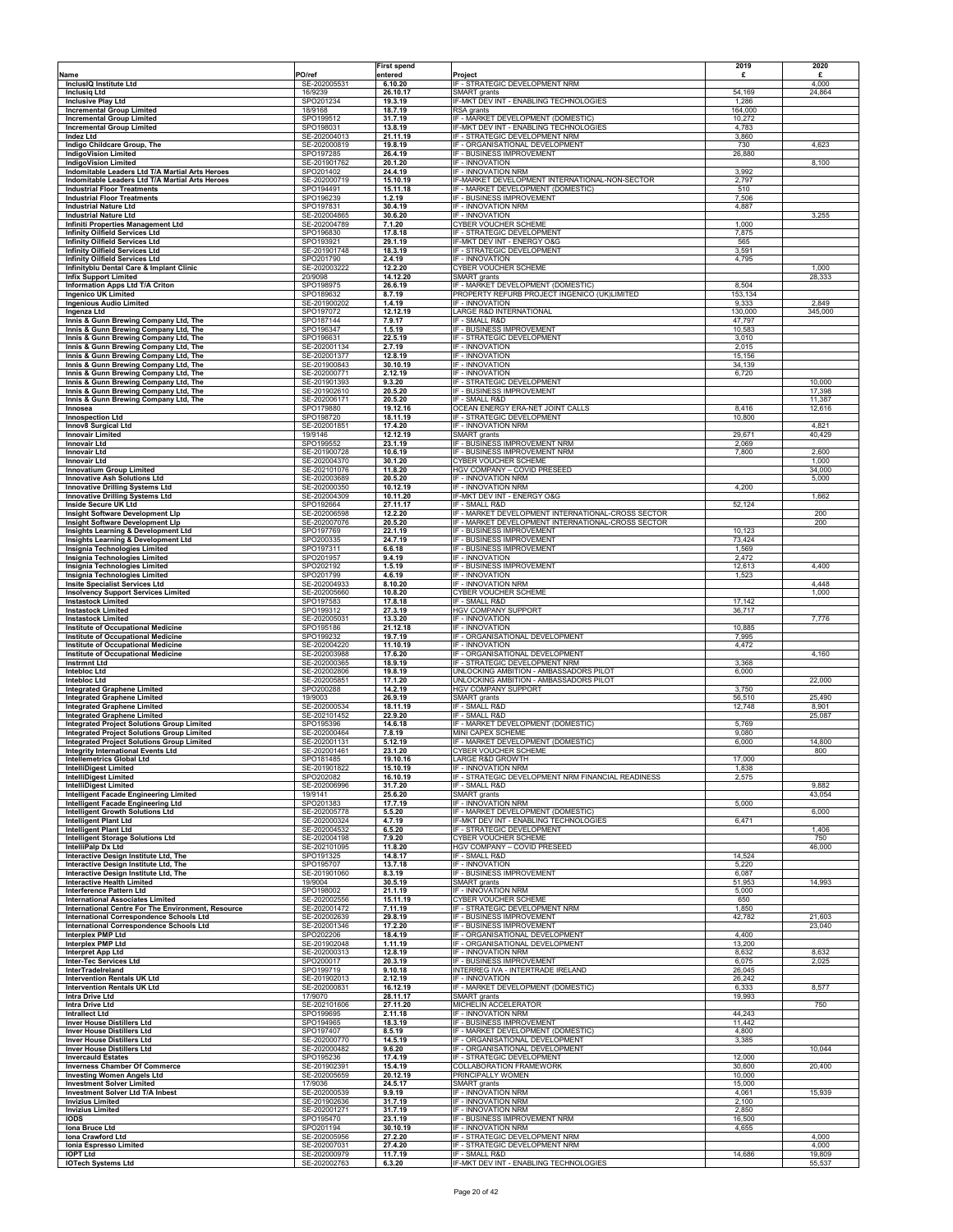|                                                                                                              |                              | <b>First spend</b>   |                                                                          | 2019              | 2020             |
|--------------------------------------------------------------------------------------------------------------|------------------------------|----------------------|--------------------------------------------------------------------------|-------------------|------------------|
| Name                                                                                                         | PO/ref                       | entered              | Project                                                                  | £                 | £                |
| InclusIQ Institute Ltd<br><b>Inclusig Ltd</b>                                                                | SE-202005531<br>16/9239      | 6.10.20<br>26.10.17  | IF - STRATEGIC DEVELOPMENT NRM<br>SMART grants                           | 54,169            | 4,000<br>24,864  |
| <b>Inclusive Play Ltd</b>                                                                                    | SPO201234                    | 19.3.19              | IF-MKT DEV INT - ENABLING TECHNOLOGIES                                   | 1,286             |                  |
| <b>Incremental Group Limited</b><br><b>Incremental Group Limited</b>                                         | 18/9168<br>SPO199512         | 18.7.19<br>31.7.19   | RSA grants<br>IF - MARKET DEVELOPMENT (DOMESTIC)                         | 164,000<br>10,272 |                  |
| <b>Incremental Group Limited</b>                                                                             | SPO198031                    | 13.8.19              | IF-MKT DEV INT - ENABLING TECHNOLOGIES                                   | 4,783             |                  |
| <b>Indez Ltd</b><br>Indigo Childcare Group, The                                                              | SE-202004013<br>SE-202000819 | 21.11.19<br>19.8.19  | IF - STRATEGIC DEVELOPMENT NRM<br>IF - ORGANISATIONAL DEVELOPMENT        | 3,860<br>730      | 4,623            |
| <b>IndigoVision Limited</b>                                                                                  | SPO197285                    | 26.4.19              | IF - BUSINESS IMPROVEMENT                                                | 26,880            |                  |
| <b>IndigoVision Limited</b><br>Indomitable Leaders Ltd T/A Martial Arts Heroes                               | SE-201901762<br>SPO201402    | 20.1.20<br>24.4.19   | IF - INNOVATION<br>IF - INNOVATION NRM                                   | 3,992             | 8,100            |
| Indomitable Leaders Ltd T/A Martial Arts Heroes                                                              | SE-202000719                 | 15.10.19             | IF-MARKET DEVELOPMENT INTERNATIONAL-NON-SECTOR                           | 2,797             |                  |
| <b>Industrial Floor Treatments</b>                                                                           | SPO194491<br>SPO196239       | 15.11.18             | IF - MARKET DEVELOPMENT (DOMESTIC)                                       | 510<br>7,506      |                  |
| <b>Industrial Floor Treatments</b><br><b>Industrial Nature Ltd</b>                                           | SPO197831                    | 1.2.19<br>30.4.19    | IF - BUSINESS IMPROVEMENT<br>IF - INNOVATION NRM                         | 4,887             |                  |
| <b>Industrial Nature Ltd</b>                                                                                 | SE-202004865                 | 30.6.20              | IF - INNOVATION                                                          |                   | 3,255            |
| <b>Infiniti Properties Management Ltd</b><br><b>Infinity Oilfield Services Ltd</b>                           | SE-202004789<br>SPO196830    | 7.1.20<br>17.8.18    | CYBER VOUCHER SCHEME<br>IF - STRATEGIC DEVELOPMENT                       | 1,000<br>7,875    |                  |
| <b>Infinity Oilfield Services Ltd</b>                                                                        | SPO193921                    | 29.1.19              | IF-MKT DEV INT - ENERGY O&G                                              | 565               |                  |
| <b>Infinity Oilfield Services Ltd</b><br><b>Infinity Oilfield Services Ltd</b>                               | SE-201901748<br>SPO201790    | 18.3.19<br>2.4.19    | IF - STRATEGIC DEVELOPMENT<br>IF - INNOVATION                            | 3,591<br>4,795    |                  |
| Infinityblu Dental Care & Implant Clinic                                                                     | SE-202003222                 | 12.2.20              | CYBER VOUCHER SCHEME                                                     |                   | 1,000            |
| <b>Infix Support Limited</b>                                                                                 | 20/9098<br>SPO198975         | 14.12.20<br>26.6.19  | SMART grants<br>IF - MARKET DEVELOPMENT (DOMESTIC)                       | 8,504             | 28,333           |
| Information Apps Ltd T/A Criton<br><b>Ingenico UK Limited</b>                                                | SPO189632                    | 8.7.19               | PROPERTY REFURB PROJECT INGENICO (UK)LIMITED                             | 153,134           |                  |
| <b>Ingenious Audio Limited</b>                                                                               | SE-201900202<br>SPO197072    | 1.4.19               | IF - INNOVATION<br>LARGE R&D INTERNATIONAL                               | 9,333<br>130,000  | 2,849<br>345,000 |
| Ingenza Ltd<br>Innis & Gunn Brewing Company Ltd, The                                                         | SPO187144                    | 12.12.19<br>7.9.17   | IF - SMALL R&D                                                           | 47,797            |                  |
| Innis & Gunn Brewing Company Ltd, The                                                                        | SPO196347                    | 1.5.19               | IF - BUSINESS IMPROVEMENT                                                | 10,583            |                  |
| Innis & Gunn Brewing Company Ltd, The<br>Innis & Gunn Brewing Company Ltd, The                               | SPO196631<br>SE-202001134    | 22.5.19<br>2.7.19    | IF - STRATEGIC DEVELOPMENT<br>IF - INNOVATION                            | 3,010<br>2,015    |                  |
| Innis & Gunn Brewing Company Ltd, The                                                                        | SE-202001377                 | 12.8.19              | IF - INNOVATION                                                          | 15,156            |                  |
| Innis & Gunn Brewing Company Ltd, The<br>Innis & Gunn Brewing Company Ltd, The                               | SE-201900843<br>SE-202000771 | 30.10.19<br>2.12.19  | IF - INNOVATION<br>IF - INNOVATION                                       | 34,139<br>6,720   |                  |
| Innis & Gunn Brewing Company Ltd, The                                                                        | SE-201901393                 | 9.3.20               | IF - STRATEGIC DEVELOPMENT                                               |                   | 10,000           |
| Innis & Gunn Brewing Company Ltd, The<br>Innis & Gunn Brewing Company Ltd, The                               | SE-201902610<br>SE-202006171 | 20.5.20<br>20.5.20   | IF - BUSINESS IMPROVEMENT<br>IF - SMALL R&D                              |                   | 17,398<br>11,387 |
| Innosea                                                                                                      | SPO179880                    | 19.12.16             | OCEAN ENERGY ERA-NET JOINT CALLS                                         | 8,416             | 12,616           |
| <b>Innospection Ltd</b><br>Innov8 Surgical Ltd                                                               | SPO198720<br>SE-202001851    | 18.11.19<br>17.4.20  | IF - STRATEGIC DEVELOPMENT<br>IF - INNOVATION NRM                        | 10,800            | 4,821            |
| <b>Innovair Limited</b>                                                                                      | 19/9146                      | 12.12.19             | SMART grants                                                             | 29,671            | 40,429           |
| <b>Innovair Ltd</b><br><b>Innovair Ltd</b>                                                                   | SPO199552<br>SE-201900728    | 23.1.19<br>10.6.19   | IF - BUSINESS IMPROVEMENT NRM<br>IF - BUSINESS IMPROVEMENT NRM           | 2,069<br>7,800    | 2,600            |
| <b>Innovair Ltd</b>                                                                                          | SE-202004370                 | 30.1.20              | <b>CYBER VOUCHER SCHEME</b>                                              |                   | 1,000            |
| <b>Innovatium Group Limited</b><br><b>Innovative Ash Solutions Ltd</b>                                       | SE-202101076<br>SE-202003689 | 11.8.20              | HGV COMPANY - COVID PRESEED<br>IF - INNOVATION NRM                       |                   | 34,000           |
| <b>Innovative Drilling Systems Ltd</b>                                                                       | SE-202000350                 | 20.5.20<br>10.12.19  | IF - INNOVATION NRM                                                      | 4,200             | 5,000            |
| <b>Innovative Drilling Systems Ltd</b>                                                                       | SE-202004309                 | 10.11.20             | IF-MKT DEV INT - ENERGY O&G                                              |                   | 1,662            |
| <b>Inside Secure UK Ltd</b><br>Insight Software Development LIp                                              | SPO192664<br>SE-202006598    | 27.11.17<br>12.2.20  | IF - SMALL R&D<br>IF - MARKET DEVELOPMENT INTERNATIONAL-CROSS SECTOR     | 52,124            | 200              |
| Insight Software Development Llp                                                                             | SE-202007076                 | 20.5.20              | IF - MARKET DEVELOPMENT INTERNATIONAL-CROSS SECTOR                       |                   | 200              |
| Insights Learning & Development Ltd<br>Insights Learning & Development Ltd                                   | SPO197769<br>SPO200335       | 22.1.19<br>24.7.19   | IF - BUSINESS IMPROVEMENT<br>IF - BUSINESS IMPROVEMENT                   | 10,123<br>73,424  |                  |
| Insignia Technologies Limited                                                                                | SPO197311                    | 6.6.18               | IF - BUSINESS IMPROVEMENT                                                | 1,569             |                  |
| <b>Insignia Technologies Limited</b><br>Insignia Technologies Limited                                        | SPO201957<br>SPO202192       | 9.4.19<br>1.5.19     | IF - INNOVATION<br>IF - BUSINESS IMPROVEMENT                             | 2,472<br>12,613   | 4,400            |
| Insignia Technologies Limited                                                                                | SPO201799                    | 4.6.19               | IF - INNOVATION                                                          | 1,523             |                  |
| <b>Insite Specialist Services Ltd</b><br><b>Insolvency Support Services Limited</b>                          | SE-202004933<br>SE-202005660 | 8.10.20<br>10.8.20   | IF - INNOVATION NRM<br>CYBER VOUCHER SCHEME                              |                   | 4,448<br>1,000   |
| <b>Instastock Limited</b>                                                                                    | SPO197583                    | 17.8.18              | IF - SMALL R&D                                                           | 17,142            |                  |
| <b>Instastock Limited</b><br><b>Instastock Limited</b>                                                       | SPO199312<br>SE-202005031    | 27.3.19<br>13.3.20   | HGV COMPANY SUPPORT<br>IF - INNOVATION                                   | 36,717            | 7,776            |
| <b>Institute of Occupational Medicine</b>                                                                    | SPO195186                    | 21.12.18             | IF - INNOVATION                                                          | 10,885            |                  |
| <b>Institute of Occupational Medicine</b><br>Institute of Occupational Medicine                              | SPO199232<br>SE-202004220    | 19.7.19<br>11.10.19  | IF - ORGANISATIONAL DEVELOPMENT<br>IF - INNOVATION                       | 7,995<br>4,472    |                  |
| Institute of Occupational Medicine                                                                           | SE-202003988                 | 17.6.20              | IF - ORGANISATIONAL DEVELOPMENT                                          |                   | 4,160            |
| <b>Instrmnt Ltd</b>                                                                                          | SE-202000365                 | 18.9.19              | IF - STRATEGIC DEVELOPMENT NRM<br>UNLOCKING AMBITION - AMBASSADORS PILOT | 3,368             |                  |
| <b>Intebloc Ltd</b><br><b>Intebloc Ltd</b>                                                                   | SE-202002806<br>SE-202005851 | 19.8.19<br>17.1.20   | UNLOCKING AMBITION - AMBASSADORS PILOT                                   | 6,000             | 22,000           |
| <b>Integrated Graphene Limited</b>                                                                           | SPO200288                    | 14.2.19              | <b>HGV COMPANY SUPPORT</b>                                               | 3,750             |                  |
| <b>Integrated Graphene Limited</b><br><b>Integrated Graphene Limited</b>                                     | 19/9003<br>SE-202000534      | 26.9.19<br>18.11.19  | SMART grants<br>IF - SMALL R&D                                           | 56,510<br>12,748  | 25,490<br>8,901  |
| <b>Integrated Graphene Limited</b>                                                                           | SE-202101452                 | 22.9.20              | IF - SMALL R&D                                                           |                   | 25,087           |
| <b>Integrated Project Solutions Group Limited</b><br><b>Integrated Project Solutions Group Limited</b>       | SPO195396<br>SE-202000464    | 14.6.18<br>7.8.19    | IF - MARKET DEVELOPMENT (DOMESTIC)<br>MINI CAPEX SCHEME                  | 5,769<br>9,080    |                  |
| <b>Integrated Project Solutions Group Limited</b>                                                            | SE-202001131                 | 5.12.19              | IF - MARKET DEVELOPMENT (DOMESTIC)                                       | 6,000             | 14,800           |
| <b>Integrity International Events Ltd</b><br><b>Intellemetrics Global Ltd</b>                                | SE-202001461<br>SPO181485    | 23.1.20<br>19.10.16  | <b>CYBER VOUCHER SCHEME</b><br>LARGE R&D GROWTH                          | 17,000            | 800              |
| <b>IntelliDigest Limited</b>                                                                                 | SE-201901822                 | 15.10.19             | IF - INNOVATION NRM                                                      | 1,838             |                  |
| <b>IntelliDigest Limited</b><br><b>IntelliDigest Limited</b>                                                 | SPO202082<br>SE-202006996    | 16.10.19<br>31.7.20  | IF - STRATEGIC DEVELOPMENT NRM FINANCIAL READINESS<br>IF - SMALL R&D     | 2,575             | 9,882            |
| <b>Intelligent Facade Engineering Limited</b>                                                                | 19/9141                      | 25.6.20              | <b>SMART</b> grants                                                      |                   | 43,054           |
| Intelligent Facade Engineering Ltd<br><b>Intelligent Growth Solutions Ltd</b>                                | SPO201383<br>SE-202005778    | 17.7.19<br>5.5.20    | IF - INNOVATION NRM<br>IF - MARKET DEVELOPMENT (DOMESTIC)                | 5,000             | 6,000            |
| <b>Intelligent Plant Ltd</b>                                                                                 | SE-202000324                 | 4.7.19               | IF-MKT DEV INT - ENABLING TECHNOLOGIES                                   | 6,471             |                  |
| <b>Intelligent Plant Ltd</b><br><b>Intelligent Storage Solutions Ltd</b>                                     | SE-202004532<br>SE-202004198 | 6.5.20<br>7.9.20     | IF - STRATEGIC DEVELOPMENT<br>CYBER VOUCHER SCHEME                       |                   | 1,406<br>750     |
| <b>IntelliPalp Dx Ltd</b>                                                                                    | SE-202101095                 | 11.8.20              | HGV COMPANY - COVID PRESEED                                              |                   | 46,000           |
| Interactive Design Institute Ltd, The<br>Interactive Design Institute Ltd, The                               | SPO191325<br>SPO195707       | 14.8.17<br>13.7.18   | IF - SMALL R&D<br>IF - INNOVATION                                        | 14,524<br>5,220   |                  |
| Interactive Design Institute Ltd, The                                                                        | SE-201901060                 | 8.3.19               | IF - BUSINESS IMPROVEMENT                                                | 6,087             |                  |
| <b>Interactive Health Limited</b><br>Interference Pattern Ltd                                                | 19/9004<br>SPO198002         | 30.5.19<br>21.1.19   | SMART grants<br>IF - INNOVATION NRM                                      | 51,953<br>5,000   | 14,993           |
| <b>International Associates Limited</b>                                                                      | SE-202002556                 | 15.11.19             | CYBER VOUCHER SCHEME                                                     | 650               |                  |
| <b>International Centre For The Environment, Resource</b><br><b>International Correspondence Schools Ltd</b> | SE-202001472<br>SE-202002639 | 7.11.19<br>29.8.19   | IF - STRATEGIC DEVELOPMENT NRM<br>IF - BUSINESS IMPROVEMENT              | 1,850<br>42,782   | 21,603           |
| <b>International Correspondence Schools Ltd</b>                                                              | SE-202001346                 | 17.2.20              | IF - BUSINESS IMPROVEMENT                                                |                   | 23,040           |
| <b>Interplex PMP Ltd</b><br><b>Interplex PMP Ltd</b>                                                         | SPO202206<br>SE-201902048    | 18.4.19<br>1.11.19   | IF - ORGANISATIONAL DEVELOPMENT<br>IF - ORGANISATIONAL DEVELOPMENT       | 4,400<br>13,200   |                  |
| <b>Interpret App Ltd</b>                                                                                     | SE-202000313                 | 12.8.19              | IF - INNOVATION NRM                                                      | 8,632             | 8,632            |
| <b>Inter-Tec Services Ltd</b><br>InterTradeIreland                                                           | SPO200017<br>SPO199719       | 20.3.19<br>9.10.18   | IF - BUSINESS IMPROVEMENT<br>INTERREG IVA - INTERTRADE IRELAND           | 6,075<br>26,045   | 2,025            |
| <b>Intervention Rentals UK Ltd</b>                                                                           | SE-201902013                 | 2.12.19              | IF - INNOVATION                                                          | 26,242            |                  |
| <b>Intervention Rentals UK Ltd</b><br><b>Intra Drive Ltd</b>                                                 | SE-202000831<br>17/9070      | 16.12.19<br>28.11.17 | IF - MARKET DEVELOPMENT (DOMESTIC)<br>SMART grants                       | 6,333<br>19,993   | 8,577            |
| <b>Intra Drive Ltd</b>                                                                                       | SE-202101606                 | 27.11.20             | MICHELIN ACCELERATOR                                                     |                   | 750              |
| <b>Intrallect Ltd</b><br><b>Inver House Distillers Ltd</b>                                                   | SPO199695<br>SPO194965       | 2.11.18              | IF - INNOVATION NRM<br>IF - BUSINESS IMPROVEMENT                         | 44,243<br>11,442  |                  |
| <b>Inver House Distillers Ltd</b>                                                                            | SPO197407                    | 18.3.19<br>8.5.19    | IF - MARKET DEVELOPMENT (DOMESTIC)                                       | 4,800             |                  |
| <b>Inver House Distillers Ltd</b>                                                                            | SE-202000770                 | 14.5.19              | IF - ORGANISATIONAL DEVELOPMENT                                          | 3,385             |                  |
| <b>Inver House Distillers Ltd</b><br><b>Invercauld Estates</b>                                               | SE-202000482<br>SPO195236    | 9.6.20<br>17.4.19    | IF - ORGANISATIONAL DEVELOPMENT<br>IF - STRATEGIC DEVELOPMENT            | 12,000            | 10,044           |
| <b>Inverness Chamber Of Commerce</b>                                                                         | SE-201902391                 | 15.4.19              | COLLABORATION FRAMEWORK                                                  | 30,600            | 20,400           |
| <b>Investing Women Angels Ltd</b><br><b>Investment Solver Limited</b>                                        | SE-202005659<br>17/9036      | 20.12.19<br>24.5.17  | PRINCIPALLY WOMEN<br>SMART grants                                        | 10,000<br>15,000  |                  |
| Investment Solver Ltd T/A Inbest                                                                             | SE-202000539                 | 9.9.19               | IF - INNOVATION NRM                                                      | 4,061             | 15,939           |
| <b>Invizius Limited</b><br><b>Invizius Limited</b>                                                           | SE-201902636<br>SE-202001271 | 31.7.19<br>31.7.19   | IF - INNOVATION NRM<br>IF - INNOVATION NRM                               | 2,100<br>2,850    |                  |
| <b>IODS</b>                                                                                                  | SPO195470                    | 23.1.19              | IF - BUSINESS IMPROVEMENT NRM                                            | 16,500            |                  |
| Iona Bruce Ltd<br>Iona Crawford Ltd                                                                          | SPO201194<br>SE-202005956    | 30.10.19<br>27.2.20  | IF - INNOVATION NRM<br>IF - STRATEGIC DEVELOPMENT NRM                    | 4,655             | 4,000            |
| Ionia Espresso Limited                                                                                       | SE-202007031                 | 27.4.20              | IF - STRATEGIC DEVELOPMENT NRM                                           |                   | 4,000            |
| <b>IOPT Ltd</b><br><b>IOTech Systems Ltd</b>                                                                 | SE-202000979<br>SE-202002763 | 11.7.19<br>6.3.20    | IF - SMALL R&D<br>IF-MKT DEV INT - ENABLING TECHNOLOGIES                 | 14,686            | 19,809<br>55,537 |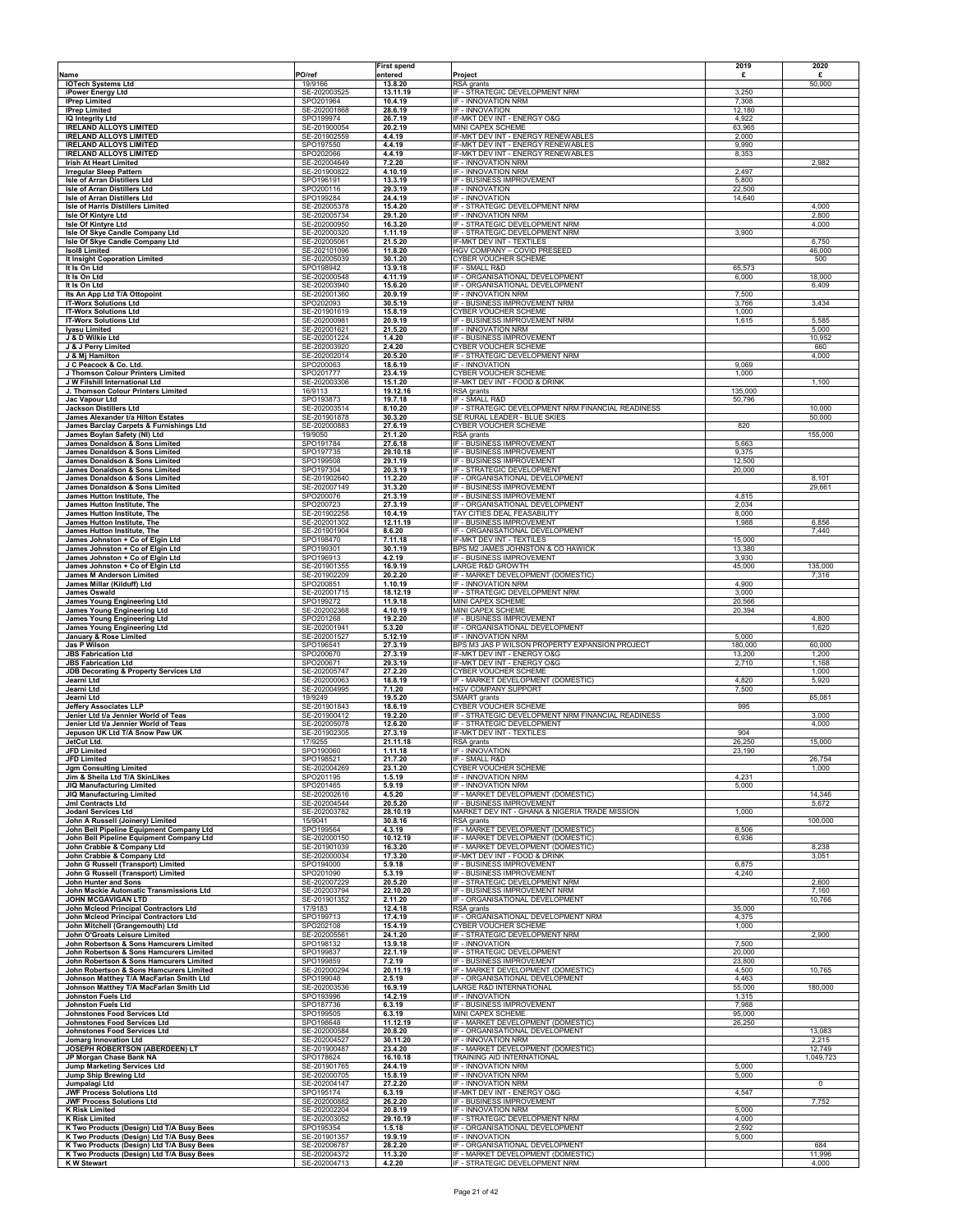|                                                                                        |                              | First spend         |                                                                                    | 2019              | 2020<br>£           |
|----------------------------------------------------------------------------------------|------------------------------|---------------------|------------------------------------------------------------------------------------|-------------------|---------------------|
| Name<br><b>IOTech Systems Ltd</b>                                                      | PO/ref<br>19/9166            | entered<br>13.8.20  | Project<br>RSA grants                                                              | £                 | 50,000              |
| iPower Energy Ltd<br><b>IPrep Limited</b>                                              | SE-202003525<br>SPO201964    | 13.11.19<br>10.4.19 | IF - STRATEGIC DEVELOPMENT NRM<br>IF - INNOVATION NRM                              | 3,250<br>7,308    |                     |
| <b>IPrep Limited</b><br><b>IQ Integrity Ltd</b>                                        | SE-202001868<br>SPO199974    | 28.6.19<br>26.7.19  | IF - INNOVATION<br>IF-MKT DEV INT - ENERGY O&G                                     | 12,180<br>4,922   |                     |
| <b>IRELAND ALLOYS LIMITED</b><br><b>IRELAND ALLOYS LIMITED</b>                         | SE-201900054<br>SE-201902559 | 20.2.19<br>4.4.19   | MINI CAPEX SCHEME<br>IF-MKT DEV INT - ENERGY RENEWABLES                            | 63,965<br>2,000   |                     |
| <b>IRELAND ALLOYS LIMITED</b>                                                          | SPO197550                    | 4.4.19              | IF-MKT DEV INT - ENERGY RENEWABLES                                                 | 9,990             |                     |
| <b>IRELAND ALLOYS LIMITED</b><br><b>Irish At Heart Limited</b>                         | SPO202066<br>SE-202004649    | 4.4.19<br>7.2.20    | IF-MKT DEV INT - ENERGY RENEWABLES<br>IF - INNOVATION NRM                          | 8,353             | 2,982               |
| <b>Irregular Sleep Pattern</b><br>Isle of Arran Distillers Ltd                         | SE-201900822<br>SPO196191    | 4.10.19<br>13.3.19  | IF - INNOVATION NRM<br>IF - BUSINESS IMPROVEMENT                                   | 2,497<br>5,800    |                     |
| Isle of Arran Distillers Ltd<br>Isle of Arran Distillers Ltd                           | SPO200116<br>SPO199284       | 29.3.19<br>24.4.19  | IF - INNOVATION<br>IF - INNOVATION                                                 | 22,500<br>14,640  |                     |
| <b>Isle of Harris Distillers Limited</b>                                               | SE-202005378<br>SE-202005734 | 15.4.20             | IF - STRATEGIC DEVELOPMENT NRM<br>IF - INNOVATION NRM                              |                   | 4,000<br>2,800      |
| <b>Isle Of Kintyre Ltd</b><br><b>Isle Of Kintyre Ltd</b>                               | SE-202000950                 | 29.1.20<br>16.3.20  | IF - STRATEGIC DEVELOPMENT NRM                                                     |                   | 4,000               |
| Isle Of Skye Candle Company Ltd<br>Isle Of Skye Candle Company Ltd                     | SE-202000320<br>SE-202005061 | 1.11.19<br>21.5.20  | IF - STRATEGIC DEVELOPMENT NRM<br>IF-MKT DEV INT - TEXTILES                        | 3,900             | 6,750               |
| <b>Isol8 Limited</b><br>It Insight Coporation Limited                                  | SE-202101096<br>SE-202005039 | 11.8.20<br>30.1.20  | HGV COMPANY - COVID PRESEED<br>CYBER VOUCHER SCHEME                                |                   | 46,000<br>500       |
| It Is On Ltd<br>It Is On Ltd                                                           | SPO198942<br>SE-202000548    | 13.9.18<br>4.11.19  | IF - SMALL R&D<br>IF - ORGANISATIONAL DEVELOPMENT                                  | 65,573<br>6,000   | 18,000              |
| It Is On Ltd                                                                           | SE-202003940<br>SE-202001360 | 15.6.20             | IF - ORGANISATIONAL DEVELOPMENT<br>IF - INNOVATION NRM                             | 7,500             | 6,409               |
| Its An App Ltd T/A Ottopoint<br><b>IT-Worx Solutions Ltd</b>                           | SPO202093                    | 20.9.19<br>30.5.19  | IF - BUSINESS IMPROVEMENT NRM                                                      | 3,766             | 3,434               |
| <b>IT-Worx Solutions Ltd</b><br><b>IT-Worx Solutions Ltd</b>                           | SE-201901619<br>SE-202000981 | 15.8.19<br>20.9.19  | CYBER VOUCHER SCHEME<br>IF - BUSINESS IMPROVEMENT NRM                              | 1,000<br>1,615    | 5,585               |
| <b>Iyasu Limited</b><br>J & D Wilkie Ltd                                               | SE-202001621<br>SE-202001224 | 21.5.20<br>1.4.20   | IF - INNOVATION NRM<br>IF - BUSINESS IMPROVEMENT                                   |                   | 5,000<br>10,952     |
| J & J Perry Limited<br>J & Mj Hamilton                                                 | SE-202003920<br>SE-202002014 | 2.4.20<br>20.5.20   | CYBER VOUCHER SCHEME<br>IF - STRATEGIC DEVELOPMENT NRM                             |                   | 660<br>4,000        |
| J C Peacock & Co. Ltd.                                                                 | SPO200063                    | 18.6.19             | IF - INNOVATION                                                                    | 9,069             |                     |
| J Thomson Colour Printers Limited<br>J W Filshill International Ltd                    | SPO201777<br>SE-202003306    | 23.4.19<br>15.1.20  | CYBER VOUCHER SCHEME<br>IF-MKT DEV INT - FOOD & DRINK                              | 1,000             | 1,100               |
| J. Thomson Colour Printers Limited<br>Jac Vapour Ltd                                   | 16/9113<br>SPO193873         | 19.12.16<br>19.7.18 | RSA grants<br>IF - SMALL R&D                                                       | 135,000<br>50,796 |                     |
| <b>Jackson Distillers Ltd</b><br>James Alexander t/a Hilton Estates                    | SE-202003514<br>SE-201901878 | 8.10.20<br>30.3.20  | IF - STRATEGIC DEVELOPMENT NRM FINANCIAL READINESS<br>SE RURAL LEADER - BLUE SKIES |                   | 10,000<br>50,000    |
| James Barclay Carpets & Furnishings Ltd                                                | SE-202000883<br>19/9050      | 27.6.19<br>21.1.20  | CYBER VOUCHER SCHEME                                                               | 820               |                     |
| James Boylan Safety (NI) Ltd<br>James Donaldson & Sons Limited                         | SPO191784                    | 27.6.18             | RSA grants<br>IF - BUSINESS IMPROVEMENT                                            | 5,663             | 155,000             |
| James Donaldson & Sons Limited<br>James Donaldson & Sons Limited                       | SPO197735<br>SPO199508       | 29.10.18<br>29.1.19 | IF - BUSINESS IMPROVEMENT<br>IF - BUSINESS IMPROVEMENT                             | 9,375<br>12,500   |                     |
| James Donaldson & Sons Limited<br>James Donaldson & Sons Limited                       | SPO197304<br>SE-201902640    | 20.3.19<br>11.2.20  | IF - STRATEGIC DEVELOPMENT<br>IF - ORGANISATIONAL DEVELOPMENT                      | 20,000            | 8,101               |
| James Donaldson & Sons Limited<br>James Hutton Institute, The                          | SE-202007149<br>SPO200076    | 31.3.20<br>21.3.19  | IF - BUSINESS IMPROVEMENT<br>IF - BUSINESS IMPROVEMENT                             | 4,815             | 29,661              |
| James Hutton Institute, The                                                            | SPO200723                    | 27.3.19             | IF - ORGANISATIONAL DEVELOPMENT                                                    | 2,034             |                     |
| James Hutton Institute, The<br>James Hutton Institute, The                             | SE-201902258<br>SE-202001302 | 10.4.19<br>12.11.19 | TAY CITIES DEAL FEASABILITY<br>IF - BUSINESS IMPROVEMENT                           | 8,000<br>1,988    | 6,856               |
| James Hutton Institute, The<br>James Johnston + Co of Elgin Ltd                        | SE-201901904<br>SPO198470    | 8.6.20<br>7.11.18   | IF - ORGANISATIONAL DEVELOPMENT<br>IF-MKT DEV INT - TEXTILES                       | 15,000            | 7,440               |
| James Johnston + Co of Elgin Ltd<br>James Johnston + Co of Elgin Ltd                   | SPO199301<br>SPO196913       | 30.1.19<br>4.2.19   | BPS M2 JAMES JOHNSTON & CO HAWICK<br>IF - BUSINESS IMPROVEMENT                     | 13,380<br>3,930   |                     |
| James Johnston + Co of Elgin Ltd<br>James M Anderson Limited                           | SE-201901355                 | 16.9.19<br>20.2.20  | LARGE R&D GROWTH<br>IF - MARKET DEVELOPMENT (DOMESTIC)                             | 45,000            | 135,000<br>7,316    |
| James Millar (Kilduff) Ltd                                                             | SE-201902209<br>SPO200851    | 1.10.19             | IF - INNOVATION NRM                                                                | 4,900             |                     |
| James Oswald<br>James Young Engineering Ltd                                            | SE-202001715<br>SPO199272    | 18.12.19<br>11.9.18 | IF - STRATEGIC DEVELOPMENT NRM<br>MINI CAPEX SCHEME                                | 3,000<br>20,566   |                     |
| <b>James Young Engineering Ltd</b><br><b>James Young Engineering Ltd</b>               | SE-202002368<br>SPO201268    | 4.10.19<br>19.2.20  | MINI CAPEX SCHEME<br>IF - BUSINESS IMPROVEMENT                                     | 20,394            | 4,800               |
| James Young Engineering Ltd<br>January & Rose Limited                                  | SE-202001941<br>SE-202001527 | 5.3.20<br>5.12.19   | IF - ORGANISATIONAL DEVELOPMENT<br>IF - INNOVATION NRM                             | 5,000             | 1,620               |
| Jas P Wilson                                                                           | SPO196541                    | 27.3.19             | BPS M3 JAS P WILSON PROPERTY EXPANSION PROJECT                                     | 180,000           | 60,000              |
| <b>JBS Fabrication Ltd</b><br><b>JBS Fabrication Ltd</b>                               | SPO200670<br>SPO200671       | 27.3.19<br>29.3.19  | IF-MKT DEV INT - ENERGY O&G<br>IF-MKT DEV INT - ENERGY O&G                         | 13,200<br>2,710   | 1,200<br>1,168      |
| JDB Decorating & Property Services Ltd<br>Jearni Ltd                                   | SE-202005747<br>SE-202000063 | 27.2.20<br>18.8.19  | CYBER VOUCHER SCHEME<br>IF - MARKET DEVELOPMENT (DOMESTIC)                         | 4,820             | 1,000<br>5,920      |
| Jearni Ltd<br>Jearni Ltd                                                               | SE-202004995<br>19/9249      | 7.1.20<br>19.5.20   | HGV COMPANY SUPPORT<br>SMART grants                                                | 7,500             | 65,081              |
| <b>Jeffery Associates LLP</b><br>Jenier Ltd t/a Jennier World of Teas                  | SE-201901843<br>SE-201900412 | 18.6.19<br>19.2.20  | CYBER VOUCHER SCHEME<br>IF - STRATEGIC DEVELOPMENT NRM FINANCIAL READINESS         | 995               | 3,000               |
| Jenier Ltd t/a Jennier World of Teas                                                   | SE-202005078                 | 12.6.20             | IF - STRATEGIC DEVELOPMENT                                                         |                   | 4,000               |
| Jepuson UK Ltd T/A Snow Paw UK<br>JetCut Ltd.                                          | SE-201902305<br>17/9255      | 27.3.19<br>21.11.18 | IF-MKT DEV INT - TEXTILES<br>RSA grants                                            | 904<br>26,250     | 15,000              |
| <b>JFD Limited</b><br><b>JFD Limited</b>                                               | SPO190060<br>SPO198521       | 1.11.18<br>21.7.20  | IF - INNOVATION<br>IF - SMALL R&D                                                  | 23,190            | 26,754              |
| <b>Jgm Consulting Limited</b><br>Jim & Sheila Ltd T/A SkinLikes                        | SE-202004269<br>SPO201195    | 23.1.20<br>1.5.19   | CYBER VOUCHER SCHEME<br>IF - INNOVATION NRM                                        | 4,231             | 1,000               |
| JIQ Manufacturing Limited<br>JIQ Manufacturing Limited                                 | SPO201465<br>SE-202002616    | 5.9.19<br>4.5.20    | IF - INNOVATION NRM<br>IF - MARKET DEVELOPMENT (DOMESTIC)                          | 5,000             | 14,346              |
| <b>Jml Contracts Ltd</b>                                                               | SE-202004544                 | 20.5.20             | IF - BUSINESS IMPROVEMENT                                                          |                   | 5,672               |
| Jodani Services Ltd<br>John A Russell (Joinery) Limited                                | SE-202003782<br>15/9041      | 28.10.19<br>30.8.16 | MARKET DEV INT - GHANA & NIGERIA TRADE MISSION<br>RSA grants                       | 1,000             | 100,000             |
| John Bell Pipeline Equipment Company Ltd<br>John Bell Pipeline Equipment Company Ltd   | SPO199564<br>SE-202000150    | 4.3.19<br>10.12.19  | IF - MARKET DEVELOPMENT (DOMESTIC)<br>IF - MARKET DEVELOPMENT (DOMESTIC)           | 8,506<br>6,936    |                     |
| John Crabbie & Company Ltd<br>John Crabbie & Company Ltd                               | SE-201901039<br>SE-202000034 | 16.3.20<br>17.3.20  | IF - MARKET DEVELOPMENT (DOMESTIC)<br>IF-MKT DEV INT - FOOD & DRINK                |                   | 8,238<br>3,051      |
| John G Russell (Transport) Limited<br>John G Russell (Transport) Limited               | SPO194000<br>SPO201090       | 5.9.18              | IF - BUSINESS IMPROVEMENT<br>IF - BUSINESS IMPROVEMENT                             | 6,875<br>4,240    |                     |
| John Hunter and Sons                                                                   | SE-202007229                 | 5.3.19<br>20.5.20   | IF - STRATEGIC DEVELOPMENT NRM                                                     |                   | 2,600               |
| John Mackie Automatic Transmissions Ltd<br><b>JOHN MCGAVIGAN LTD</b>                   | SE-202003794<br>SE-201901352 | 22.10.20<br>2.11.20 | IF - BUSINESS IMPROVEMENT NRM<br>IF - ORGANISATIONAL DEVELOPMENT                   |                   | 7,160<br>10,766     |
| John Mcleod Principal Contractors Ltd<br>John Mcleod Principal Contractors Ltd         | 17/9183<br>SPO199713         | 12.4.18<br>17.4.19  | RSA grants<br>IF - ORGANISATIONAL DEVELOPMENT NRM                                  | 35,000<br>4,375   |                     |
| John Mitchell (Grangemouth) Ltd<br>John O'Groats Leisure Limited                       | SPO202108<br>SE-202005561    | 15.4.19<br>24.1.20  | CYBER VOUCHER SCHEME<br>IF - STRATEGIC DEVELOPMENT NRM                             | 1,000             | 2,900               |
| John Robertson & Sons Hamcurers Limited<br>John Robertson & Sons Hamcurers Limited     | SPO198132<br>SPO199837       | 13.9.18             | IF - INNOVATION<br>IF - STRATEGIC DEVELOPMENT                                      | 7,500             |                     |
| John Robertson & Sons Hamcurers Limited                                                | SPO199859                    | 22.1.19<br>7.2.19   | IF - BUSINESS IMPROVEMENT                                                          | 20,000<br>23,800  |                     |
| John Robertson & Sons Hamcurers Limited<br>Johnson Matthey T/A MacFarlan Smith Ltd     | SE-202000294<br>SPO199048    | 20.11.19<br>2.5.19  | IF - MARKET DEVELOPMENT (DOMESTIC)<br>IF - ORGANISATIONAL DEVELOPMENT              | 4,500<br>4,463    | 10,765              |
| Johnson Matthey T/A MacFarlan Smith Ltd<br>Johnston Fuels Ltd                          | SE-202003536<br>SPO193996    | 16.9.19<br>14.2.19  | <b>LARGE R&amp;D INTERNATIONAL</b><br>IF - INNOVATION                              | 55,000<br>1,315   | 180,000             |
| <b>Johnston Fuels Ltd</b><br><b>Johnstones Food Services Ltd</b>                       | SPO187736<br>SPO199505       | 6.3.19<br>6.3.19    | IF - BUSINESS IMPROVEMENT<br>MINI CAPEX SCHEME                                     | 7,988<br>95,000   |                     |
| Johnstones Food Services Ltd                                                           | SPO198648                    | 11.12.19            | IF - MARKET DEVELOPMENT (DOMESTIC)                                                 | 26,250            |                     |
| <b>Johnstones Food Services Ltd</b><br>Jomarg Innovation Ltd                           | SE-202000584<br>SE-202004527 | 20.8.20<br>30.11.20 | IF - ORGANISATIONAL DEVELOPMENT<br>IF - INNOVATION NRM                             |                   | 13,083<br>2,215     |
| JOSEPH ROBERTSON (ABERDEEN) LT<br>JP Morgan Chase Bank NA                              | SE-201900487<br>SPO178624    | 23.4.20<br>16.10.18 | IF - MARKET DEVELOPMENT (DOMESTIC)<br>TRAINING AID INTERNATIONAL                   |                   | 12,749<br>1,049,723 |
| Jump Marketing Services Ltd<br>Jump Ship Brewing Ltd                                   | SE-201901765<br>SE-202000705 | 24.4.19<br>15.8.19  | IF - INNOVATION NRM<br>IF - INNOVATION NRM                                         | 5,000<br>5,000    |                     |
| Jumpalagi Ltd<br><b>JWF Process Solutions Ltd</b>                                      | SE-202004147<br>SPO195174    | 27.2.20<br>6.3.19   | IF - INNOVATION NRM<br>IF-MKT DEV INT - ENERGY O&G                                 | 4,547             | 0                   |
| <b>JWF Process Solutions Ltd</b>                                                       | SE-202000882                 | 26.2.20             | IF - BUSINESS IMPROVEMENT<br>IF - INNOVATION NRM                                   | 5,000             | 7,752               |
| <b>K Risk Limited</b><br><b>K Risk Limited</b>                                         |                              |                     |                                                                                    |                   |                     |
|                                                                                        | SE-202002204<br>SE-202003052 | 20.8.19<br>29.10.19 | IF - STRATEGIC DEVELOPMENT NRM                                                     | 4,000             |                     |
| K Two Products (Design) Ltd T/A Busy Bees<br>K Two Products (Design) Ltd T/A Busy Bees | SPO195354<br>SE-201901357    | 1.5.18<br>19.9.19   | IF - ORGANISATIONAL DEVELOPMENT<br>IF - INNOVATION                                 | 2,592<br>5,000    |                     |
| K Two Products (Design) Ltd T/A Busy Bees<br>K Two Products (Design) Ltd T/A Busy Bees | SE-202006787<br>SE-202004372 | 28.2.20<br>11.3.20  | IF - ORGANISATIONAL DEVELOPMENT<br>IF - MARKET DEVELOPMENT (DOMESTIC)              |                   | 684<br>11,996       |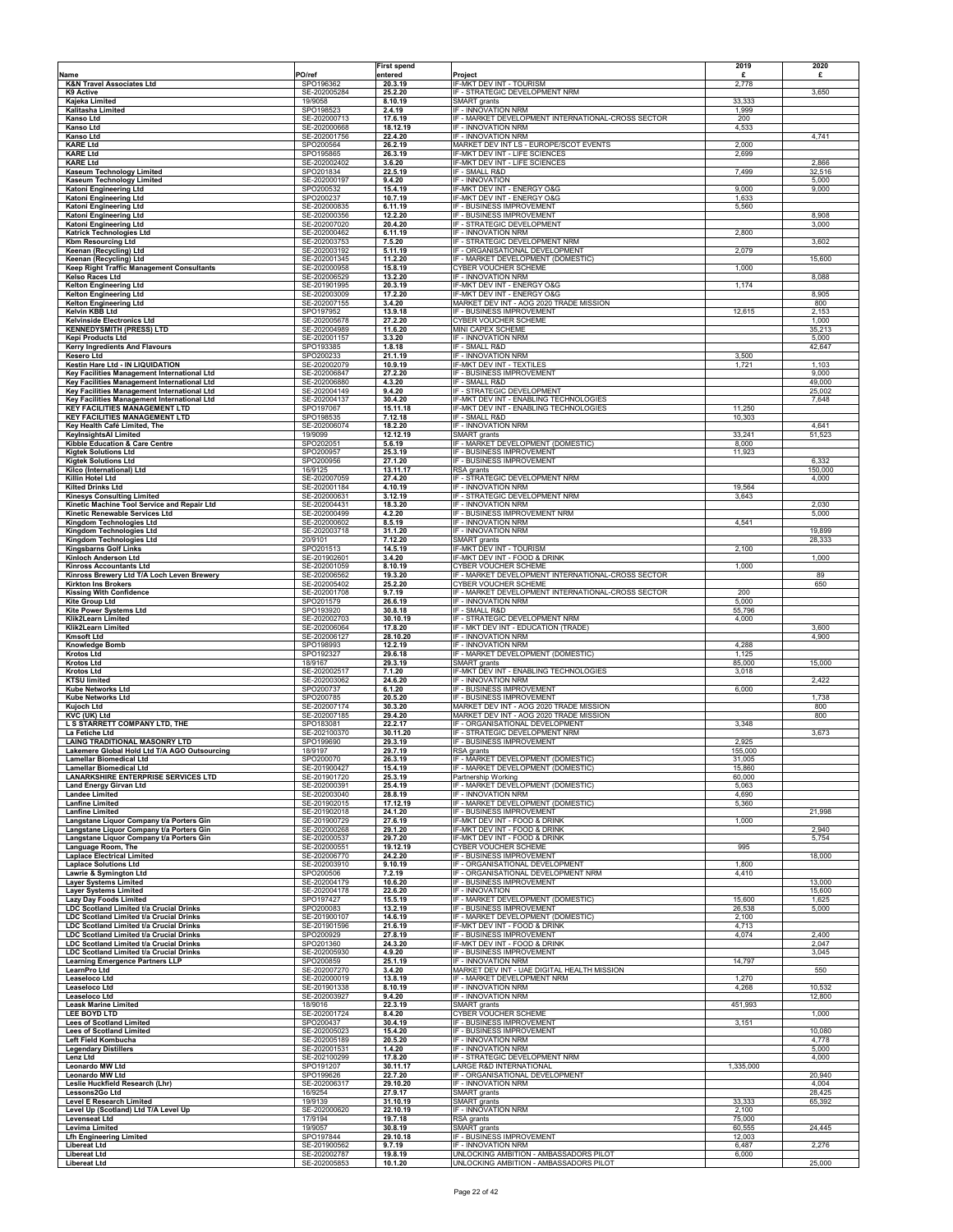|                                                                                            |                              | <b>First spend</b>   |                                                                                  | 2019              | 2020             |
|--------------------------------------------------------------------------------------------|------------------------------|----------------------|----------------------------------------------------------------------------------|-------------------|------------------|
| Name                                                                                       | PO/ref                       | entered              | Project                                                                          | £                 | £                |
| <b>K&amp;N Travel Associates Ltd</b><br>K9 Active                                          | SPO196362<br>SE-202005284    | 20.3.19<br>25.2.20   | IF-MKT DEV INT - TOURISM<br>IF - STRATEGIC DEVELOPMENT NRM                       | 2,778             | 3,650            |
| Kajeka Limited                                                                             | 19/9058                      | 8.10.19              | <b>SMART</b> grants                                                              | 33,333            |                  |
| Kalitasha Limited<br>Kanso Ltd                                                             | SPO198523<br>SE-202000713    | 2.4.19<br>17.6.19    | IF - INNOVATION NRM<br>IF - MARKET DEVELOPMENT INTERNATIONAL-CROSS SECTOR        | 1,999<br>200      |                  |
| <b>Kanso Ltd</b>                                                                           | SE-202000668                 | 18.12.19             | IF - INNOVATION NRM                                                              | 4,533             |                  |
| <b>Kanso Ltd</b><br><b>KARE Ltd</b>                                                        | SE-202001756<br>SPO200564    | 22.4.20<br>26.2.19   | IF - INNOVATION NRM<br>MARKET DEV INT LS - EUROPE/SCOT EVENTS                    | 2,000             | 4,741            |
| <b>KARE Ltd</b>                                                                            | SPO195865                    | 26.3.19              | IF-MKT DEV INT - LIFE SCIENCES                                                   | 2,699             |                  |
| <b>KARE Ltd</b><br><b>Kaseum Technology Limited</b>                                        | SE-202002402<br>SPO201834    | 3.6.20<br>22.5.19    | IF-MKT DEV INT - LIFE SCIENCES<br>IF - SMALL R&D                                 | 7,499             | 2,866<br>32,516  |
| <b>Kaseum Technology Limited</b>                                                           | SE-202000197                 | 9.4.20               | IF - INNOVATION                                                                  |                   | 5,000            |
| Katoni Engineering Ltd                                                                     | SPO200532<br>SPO200237       | 15.4.19<br>10.7.19   | IF-MKT DEV INT - ENERGY O&G<br>IF-MKT DEV INT - ENERGY O&G                       | 9,000<br>1,633    | 9,000            |
| Katoni Engineering Ltd<br>Katoni Engineering Ltd                                           | SE-202000835                 | 6.11.19              | IF - BUSINESS IMPROVEMENT                                                        | 5,560             |                  |
| Katoni Engineering Ltd<br>Katoni Engineering Ltd                                           | SE-202000356<br>SE-202007020 | 12.2.20<br>20.4.20   | IF - BUSINESS IMPROVEMENT<br>IF - STRATEGIC DEVELOPMENT                          |                   | 8,908<br>3,000   |
| <b>Katrick Technologies Ltd</b>                                                            | SE-202000462                 | 6.11.19              | IF - INNOVATION NRM                                                              | 2,800             |                  |
| Kbm Resourcing Ltd                                                                         | SE-202003753<br>SE-202003192 | 7.5.20               | IF - STRATEGIC DEVELOPMENT NRM<br>IF - ORGANISATIONAL DEVELOPMENT                | 2,079             | 3,602            |
| Keenan (Recycling) Ltd<br>Keenan (Recycling) Ltd                                           | SE-202001345                 | 5.11.19<br>11.2.20   | IF - MARKET DEVELOPMENT (DOMESTIC)                                               |                   | 15,600           |
| Keep Right Traffic Management Consultants                                                  | SE-202000958<br>SE-202006529 | 15.8.19              | CYBER VOUCHER SCHEME                                                             | 1,000             |                  |
| Kelso Races Ltd<br><b>Kelton Engineering Ltd</b>                                           | SE-201901995                 | 13.2.20<br>20.3.19   | IF - INNOVATION NRM<br>IF-MKT DEV INT - ENERGY O&G                               | 1,174             | 8,088            |
| <b>Kelton Engineering Ltd</b>                                                              | SE-202003009                 | 17.2.20              | IF-MKT DEV INT - ENERGY O&G                                                      |                   | 8,905            |
| <b>Kelton Engineering Ltd</b><br><b>Kelvin KBB Ltd</b>                                     | SE-202007155<br>SPO197952    | 3.4.20<br>13.9.18    | MARKET DEV INT - AOG 2020 TRADE MISSION<br>IF - BUSINESS IMPROVEMENT             | 12,615            | 800<br>2,153     |
| Kelvinside Electronics Ltd                                                                 | SE-202005678                 | 27.2.20              | CYBER VOUCHER SCHEME                                                             |                   | 1,000            |
| <b>KENNEDYSMITH (PRESS) LTD</b><br><b>Kepi Products Ltd</b>                                | SE-202004989<br>SE-202001157 | 11.6.20<br>3.3.20    | MINI CAPEX SCHEME<br>IF - INNOVATION NRM                                         |                   | 35,213<br>5,000  |
| <b>Kerry Ingredients And Flavours</b>                                                      | SPO193385                    | 1.8.18               | IF - SMALL R&D                                                                   |                   | 42,647           |
| Kesero Ltd<br><b>Kestin Hare Ltd - IN LIQUIDATION</b>                                      | SPO200233<br>SE-202002079    | 21.1.19<br>10.9.19   | IF - INNOVATION NRM<br><b>F-MKT DEV INT - TEXTILES</b>                           | 3,500<br>1,721    | 1,103            |
| Key Facilities Management International Ltd                                                | SE-202006847                 | 27.2.20              | IF - BUSINESS IMPROVEMENT                                                        |                   | 9,000            |
| Key Facilities Management International Ltd<br>Key Facilities Management International Ltd | SE-202006880<br>SE-202004149 | 4.3.20<br>9.4.20     | IF - SMALL R&D<br>IF - STRATEGIC DEVELOPMENT                                     |                   | 49,000<br>25,002 |
| Key Facilities Management International Ltd                                                | SE-202004137                 | 30.4.20              | IF-MKT DEV INT - ENABLING TECHNOLOGIES                                           |                   | 7,648            |
| <b>KEY FACILITIES MANAGEMENT LTD</b><br><b>KEY FACILITIES MANAGEMENT LTD</b>               | SPO197067<br>SPO198535       | 15.11.18<br>7.12.18  | IF-MKT DEV INT - ENABLING TECHNOLOGIES<br>IF - SMALL R&D                         | 11,250<br>10,303  |                  |
| Key Health Café Limited, The                                                               | SE-202006074                 | 18.2.20              | IF - INNOVATION NRM                                                              |                   | 4,641            |
| <b>KeylnsightsAI Limited</b><br>Kibble Education & Care Centre                             | 19/9099<br>SPO202051         | 12.12.19<br>5.6.19   | <b>SMART</b> grants<br>IF - MARKET DEVELOPMENT (DOMESTIC)                        | 33,241<br>8,000   | 51,523           |
| <b>Kigtek Solutions Ltd</b>                                                                | SPO200957                    | 25.3.19              | IF - BUSINESS IMPROVEMENT                                                        | 11,923            |                  |
| <b>Kigtek Solutions Ltd</b><br>Kilco (International) Ltd                                   | SPO200956<br>16/9125         | 27.1.20<br>13.11.17  | IF - BUSINESS IMPROVEMENT<br>RSA grants                                          |                   | 6,332<br>150,000 |
| Killin Hotel Ltd                                                                           | SE-202007059                 | 27.4.20              | IF - STRATEGIC DEVELOPMENT NRM                                                   |                   | 4,000            |
| <b>Kilted Drinks Ltd</b><br><b>Kinesys Consulting Limited</b>                              | SE-202001184<br>SE-202000631 | 4.10.19<br>3.12.19   | IF - INNOVATION NRM<br>IF - STRATEGIC DEVELOPMENT NRM                            | 19,564<br>3,643   |                  |
| Kinetic Machine Tool Service and Repair Ltd                                                | SE-202004431                 | 18.3.20              | IF - INNOVATION NRM                                                              |                   | 2,030            |
| Kinetic Renewable Services Ltd<br>Kingdom Technologies Ltd                                 | SE-202000499<br>SE-202000602 | 4.2.20<br>8.5.19     | IF - BUSINESS IMPROVEMENT NRM<br>IF - INNOVATION NRM                             | 4,541             | 5,000            |
| Kingdom Technologies Ltd                                                                   | SE-202003718                 | 31.1.20              | IF - INNOVATION NRM                                                              |                   | 19,899           |
| Kingdom Technologies Ltd<br><b>Kingsbarns Golf Links</b>                                   | 20/9101<br>SPO201513         | 7.12.20<br>14.5.19   | <b>SMART</b> grants<br>IF-MKT DEV INT - TOURISM                                  | 2,100             | 28,333           |
| Kinloch Anderson Ltd                                                                       | SE-201902601                 | 3.4.20               | IF-MKT DEV INT - FOOD & DRINK                                                    |                   | 1,000            |
| Kinross Accountants Ltd<br>Kinross Brewery Ltd T/A Loch Leven Brewery                      | SE-202001059<br>SE-202006562 | 8.10.19<br>19.3.20   | CYBER VOUCHER SCHEME<br>IF - MARKET DEVELOPMENT INTERNATIONAL-CROSS SECTOR       | 1,000             | 89               |
| <b>Kirkton Ins Brokers</b>                                                                 | SE-202005402                 | 25.2.20              | CYBER VOUCHER SCHEME                                                             |                   | 650              |
| <b>Kissing With Confidence</b><br><b>Kite Group Ltd</b>                                    | SE-202001708<br>SPO201579    | 9.7.19<br>26.6.19    | IF - MARKET DEVELOPMENT INTERNATIONAL-CROSS SECTOR<br>IF - INNOVATION NRM        | 200<br>5,000      |                  |
| Kite Power Systems Ltd                                                                     | SPO193920                    | 30.8.18              | IF - SMALL R&D                                                                   | 55,796            |                  |
| Klik2Learn Limited<br>Klik2Learn Limited                                                   | SE-202002703<br>SE-202006064 | 30.10.19<br>17.8.20  | IF - STRATEGIC DEVELOPMENT NRM<br>IF - MKT DEV INT - EDUCATION (TRADE)           | 4,000             | 3,600            |
| <b>Kmsoft Ltd</b>                                                                          | SE-202006127                 | 28.10.20             | IF - INNOVATION NRM                                                              |                   | 4,900            |
| <b>Knowledge Bomb</b><br><b>Krotos Ltd</b>                                                 | SPO198993<br>SPO192327       | 12.2.19<br>29.6.18   | IF - INNOVATION NRM<br>F - MARKET DEVELOPMENT (DOMESTIC)                         | 4,288<br>1,125    |                  |
| Krotos Ltd                                                                                 | 18/9167                      | 29.3.19              | <b>SMART</b> grants                                                              | 85,000            | 15,000           |
| <b>Krotos Ltd</b><br><b>KTSU limited</b>                                                   | SE-202002517<br>SE-202003062 | 7.1.20<br>24.6.20    | IF-MKT DEV INT - ENABLING TECHNOLOGIES<br>IF - INNOVATION NRM                    | 3,018             | 2,422            |
| Kube Networks Ltd<br><b>Kube Networks Ltd</b>                                              | SPO200737<br>SPO200785       | 6.1.20<br>20.5.20    | IF - BUSINESS IMPROVEMENT<br>IF - BUSINESS IMPROVEMENT                           | 6,000             | 1,738            |
| Kujoch Ltd                                                                                 | SE-202007174                 | 30.3.20              | MARKET DEV INT - AOG 2020 TRADE MISSION                                          |                   | 800              |
| KVC (UK) Ltd<br><b>L S STARRETT COMPANY LTD, THE</b>                                       | SE-202007185                 | 29.4.20              | MARKET DEV INT - AOG 2020 TRADE MISSION                                          |                   | 800              |
| La Fetiche Ltd                                                                             | SPO183081<br>SE-202100370    | 22.2.17<br>30.11.20  | IF - ORGANISATIONAL DEVELOPMENT<br>IF - STRATEGIC DEVELOPMENT NRM                | 3,348             | 3,673            |
| <b>LAING TRADITIONAL MASONRY LTD</b>                                                       | SPO199690                    | 29.3.19              | IF - BUSINESS IMPROVEMENT                                                        | 2,925             |                  |
| Lakemere Global Hold Ltd T/A AGO Outsourcing<br>Lamellar Biomedical Ltd                    | 18/9197<br>SPO200070         | 29.7.19<br>26.3.19   | RSA grants<br>F - MARKET DEVELOPMENT (DOMESTIC)                                  | 155,000<br>31,005 |                  |
| <b>Lamellar Biomedical Ltd</b>                                                             | SE-201900427                 | 15.4.19              | IF - MARKET DEVELOPMENT (DOMESTIC)                                               | 15,860            |                  |
| <b>LANARKSHIRE ENTERPRISE SERVICES LTD</b><br><b>Land Energy Girvan Ltd</b>                | SE-201901720<br>SE-202000391 | 25.3.19<br>25.4.19   | Partnership Working<br>IF - MARKET DEVELOPMENT (DOMESTIC)                        | 60,000<br>5,063   |                  |
| <b>Landee Limited</b><br><b>Lanfine Limited</b>                                            | SE-202003040<br>SE-201902015 | 28.8.19              | <b>IF - INNOVATION NRM</b><br>IF - MARKET DEVELOPMENT (DOMESTIC)                 | 4,690             |                  |
| <b>Lanfine Limited</b>                                                                     | SE-201902018                 | 17.12.19<br>24.1.20  | IF - BUSINESS IMPROVEMENT                                                        | 5,360             | 21,998           |
| Langstane Liquor Company t/a Porters Gin                                                   | SE-201900729<br>SE-202000268 | 27.6.19              | IF-MKT DEV INT - FOOD & DRINK<br>IF-MKT DEV INT - FOOD & DRINK                   | 1,000             | 2,940            |
| Langstane Liquor Company t/a Porters Gin<br>Langstane Liquor Company t/a Porters Gin       | SE-202000537                 | 29.1.20<br>29.7.20   | IF-MKT DEV INT - FOOD & DRINK                                                    |                   | 5,754            |
| Language Room, The<br><b>Laplace Electrical Limited</b>                                    | SE-202000551<br>SE-202006770 | 19.12.19<br>24.2.20  | CYBER VOUCHER SCHEME<br>IF - BUSINESS IMPROVEMENT                                | 995               | 18,000           |
| <b>Laplace Solutions Ltd</b>                                                               | SE-202003910                 | 9.10.19              | IF - ORGANISATIONAL DEVELOPMENT                                                  | 1,800             |                  |
| Lawrie & Symington Ltd<br><b>Laver Systems Limited</b>                                     | SPO200506<br>SE-202004179    | 7.2.19<br>10.6.20    | IF - ORGANISATIONAL DEVELOPMENT NRM<br>IF - BUSINESS IMPROVEMENT                 | 4,410             | 13,000           |
| <b>Layer Systems Limited</b>                                                               | SE-202004178                 | 22.6.20              | IF - INNOVATION                                                                  |                   | 15,600           |
| <b>Lazy Day Foods Limited</b><br>LDC Scotland Limited t/a Crucial Drinks                   | SPO197427<br>SPO200083       | 15.5.19<br>13.2.19   | IF - MARKET DEVELOPMENT (DOMESTIC)<br>IF - BUSINESS IMPROVEMENT                  | 15,600<br>26,538  | 1,625<br>5,000   |
| LDC Scotland Limited t/a Crucial Drinks                                                    | SE-201900107                 | 14.6.19              | IF - MARKET DEVELOPMENT (DOMESTIC)                                               | 2,100             |                  |
| LDC Scotland Limited t/a Crucial Drinks<br>LDC Scotland Limited t/a Crucial Drinks         | SE-201901596<br>SPO200929    | 21.6.19<br>27.8.19   | IF-MKT DEV INT - FOOD & DRINK<br>IF - BUSINESS IMPROVEMENT                       | 4,713<br>4,074    | 2,400            |
| LDC Scotland Limited t/a Crucial Drinks                                                    | SPO201360                    | 24.3.20              | <b>IF-MKT DEV INT - FOOD &amp; DRINK</b>                                         |                   | 2,047            |
| LDC Scotland Limited t/a Crucial Drinks<br><b>Learning Emergence Partners LLP</b>          | SE-202005930<br>SPO200859    | 4.9.20<br>25.1.19    | IF - BUSINESS IMPROVEMENT<br>IF - INNOVATION NRM                                 | 14,797            | 3,045            |
| LearnPro Ltd                                                                               | SE-202007270                 | 3.4.20               | MARKET DEV INT - UAE DIGITAL HEALTH MISSION                                      |                   | 550              |
| Leaseloco Ltd<br>Leaseloco Ltd                                                             | SE-202000019<br>SE-201901338 | 13.8.19<br>8.10.19   | IF - MARKET DEVELOPMENT NRM<br>IF - INNOVATION NRM                               | 1,270<br>4,268    | 10,532           |
| Leaseloco Ltd                                                                              | SE-202003927                 | 9.4.20               | IF - INNOVATION NRM                                                              |                   | 12,800           |
| <b>Leask Marine Limited</b><br>LEE BOYD LTD                                                | 18/9016<br>SE-202001724      | 22.3.19<br>8.4.20    | SMART grants<br>CYBER VOUCHER SCHEME                                             | 451,993           | 1,000            |
| <b>Lees of Scotland Limited</b>                                                            | SPO200437                    | 30.4.19              | IF - BUSINESS IMPROVEMENT                                                        | 3,151             |                  |
| <b>Lees of Scotland Limited</b><br>Left Field Kombucha                                     | SE-202005023<br>SE-202005189 | 15.4.20<br>20.5.20   | IF - BUSINESS IMPROVEMENT<br>IF - INNOVATION NRM                                 |                   | 10,080<br>4,778  |
| <b>Legendary Distillers</b>                                                                | SE-202001531                 | 1.4.20               | IF - INNOVATION NRM<br>IF - STRATEGIC DEVELOPMENT NRM                            |                   | 5,000            |
| Lenz Ltd<br><b>Leonardo MW Ltd</b>                                                         | SE-202100299<br>SPO191207    | 17.8.20<br>30.11.17  | LARGE R&D INTERNATIONAL                                                          | 1,335,000         | 4,000            |
| Leonardo MW Ltd<br>Leslie Huckfield Research (Lhr)                                         | SPO199626<br>SE-202006317    | 22.7.20<br>29.10.20  | IF - ORGANISATIONAL DEVELOPMENT<br>IF - INNOVATION NRM                           |                   | 20,940<br>4,004  |
| Lessons2Go Ltd                                                                             | 16/9254                      | 27.9.17              | <b>SMART</b> grants                                                              |                   | 28,425           |
| <b>Level E Research Limited</b><br>Level Up (Scotland) Ltd T/A Level Up                    | 19/9139<br>SE-202000620      | 31.10.19<br>22.10.19 | SMART grants<br>IF - INNOVATION NRM                                              | 33,333<br>2,100   | 65,392           |
| <b>Levenseat Ltd</b>                                                                       | 17/9194                      | 19.7.18              | RSA grants                                                                       | 75,000            |                  |
| <b>Levima Limited</b><br><b>Lfh Engineering Limited</b>                                    | 19/9057<br>SPO197844         | 30.8.19<br>29.10.18  | <b>SMART</b> grants<br>IF - BUSINESS IMPROVEMENT                                 | 60,555<br>12,003  | 24,445           |
| <b>Libereat Ltd</b>                                                                        | SE-201900562                 | 9.7.19               | IF - INNOVATION NRM                                                              | 6,487             | 2,276            |
| <b>Libereat Ltd</b><br><b>Libereat Ltd</b>                                                 | SE-202002787<br>SE-202005853 | 19.8.19<br>10.1.20   | UNLOCKING AMBITION - AMBASSADORS PILOT<br>UNLOCKING AMBITION - AMBASSADORS PILOT | 6,000             | 25,000           |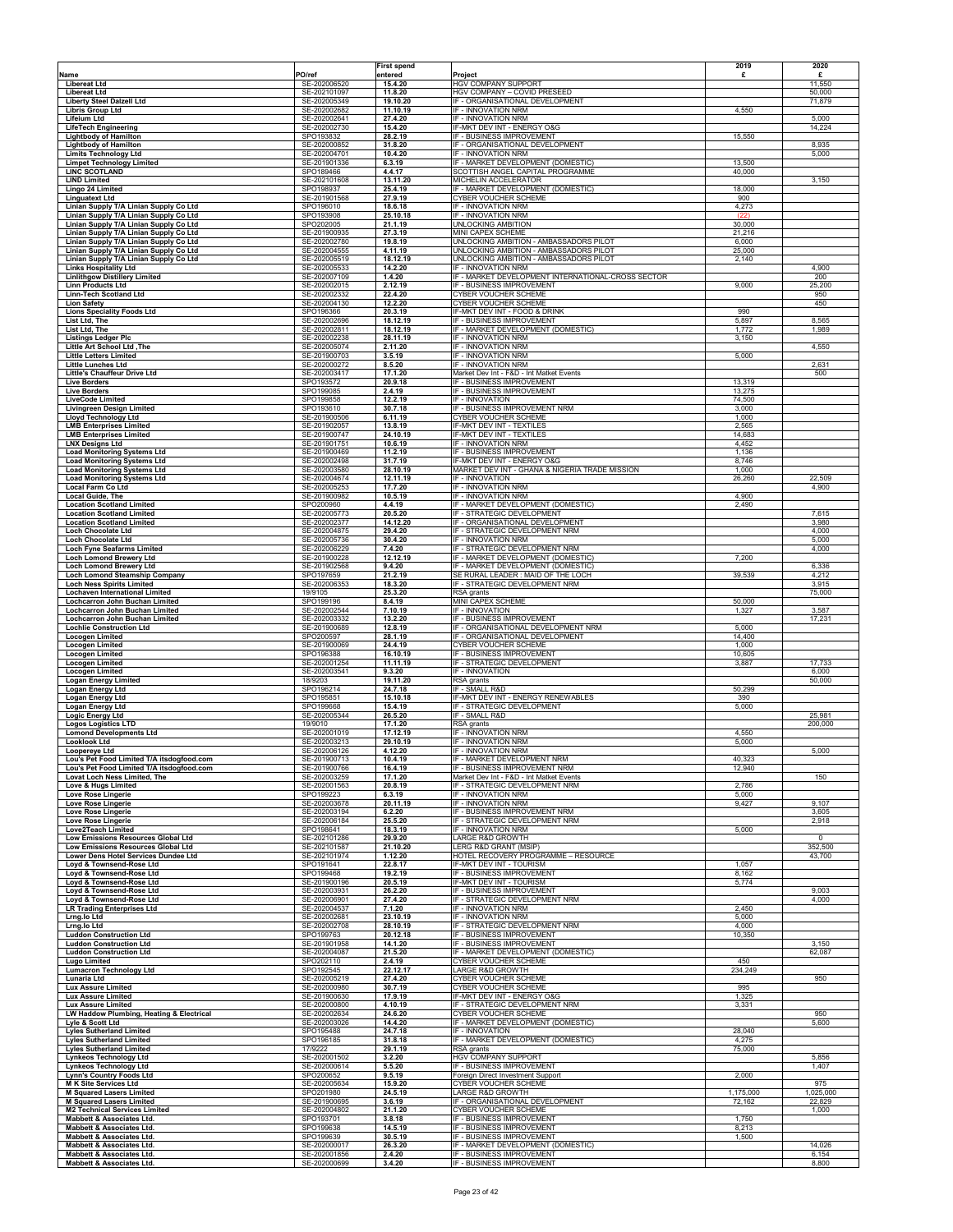|                                                                                        |                              | <b>First spend</b>   |                                                                                 | 2019             | 2020             |
|----------------------------------------------------------------------------------------|------------------------------|----------------------|---------------------------------------------------------------------------------|------------------|------------------|
| Name                                                                                   | PO/ref                       | entered              | Project                                                                         | £                | £                |
| <b>Libereat Ltd</b><br><b>Libereat Ltd</b>                                             | SE-202006520<br>SE-202101097 | 15.4.20<br>11.8.20   | <b>HGV COMPANY SUPPORT</b><br>HGV COMPANY - COVID PRESEED                       |                  | 11,550<br>50,000 |
| <b>Liberty Steel Dalzell Ltd</b>                                                       | SE-202005349                 | 19.10.20             | IF - ORGANISATIONAL DEVELOPMENT                                                 |                  | 71,879           |
| <b>Libris Group Ltd</b>                                                                | SE-202002682                 | 11.10.19             | IF - INNOVATION NRM                                                             | 4,550            |                  |
| <b>Lifeium Ltd</b>                                                                     | SE-202002641                 | 27.4.20              | IF - INNOVATION NRM                                                             |                  | 5,000            |
| <b>LifeTech Engineering</b>                                                            | SE-202002730<br>SPO193832    | 15.4.20<br>28.2.19   | IF-MKT DEV INT - ENERGY O&G<br>IF - BUSINESS IMPROVEMENT                        |                  | 14,224           |
| <b>Lightbody of Hamilton</b><br><b>Lightbody of Hamilton</b>                           | SE-202000852                 | 31.8.20              | IF - ORGANISATIONAL DEVELOPMENT                                                 | 15,550           | 8,935            |
| <b>Limits Technology Ltd</b>                                                           | SE-202004701                 | 10.4.20              | IF - INNOVATION NRM                                                             |                  | 5,000            |
| <b>Limpet Technology Limited</b>                                                       | SE-201901336                 | 6.3.19               | IF - MARKET DEVELOPMENT (DOMESTIC)                                              | 13,500           |                  |
| <b>LINC SCOTLAND</b>                                                                   | SPO189466                    | 4.4.17               | SCOTTISH ANGEL CAPITAL PROGRAMME                                                | 40,000           |                  |
| <b>LIND Limited</b><br>Lingo 24 Limited                                                | SE-202101608<br>SPO198937    | 13.11.20<br>25.4.19  | MICHELIN ACCELERATOR<br>IF - MARKET DEVELOPMENT (DOMESTIC)                      | 18,000           | 3,150            |
| <b>Linguatext Ltd</b>                                                                  | SE-201901568                 | 27.9.19              | CYBER VOUCHER SCHEME                                                            | 900              |                  |
| Linian Supply T/A Linian Supply Co Ltd                                                 | SPO196010                    | 18.6.18              | IF - INNOVATION NRM                                                             | 4,273            |                  |
| Linian Supply T/A Linian Supply Co Ltd                                                 | SPO193908                    | 25.10.18             | IF - INNOVATION NRM                                                             | (22              |                  |
| Linian Supply T/A Linian Supply Co Ltd<br>Linian Supply T/A Linian Supply Co Ltd       | SPO202005<br>SE-201900935    | 21.1.19<br>27.3.19   | UNLOCKING AMBITION<br>MINI CAPEX SCHEME                                         | 30,000<br>21,216 |                  |
| Linian Supply T/A Linian Supply Co Ltd                                                 | SE-202002780                 | 19.8.19              | UNLOCKING AMBITION - AMBASSADORS PILOT                                          | 6,000            |                  |
| Linian Supply T/A Linian Supply Co Ltd                                                 | SE-202004555                 | 4.11.19              | UNLOCKING AMBITION - AMBASSADORS PILOT                                          | 25,000           |                  |
| Linian Supply T/A Linian Supply Co Ltd                                                 | SE-202005519                 | 18.12.19             | UNLOCKING AMBITION - AMBASSADORS PILOT                                          | 2,140            |                  |
| <b>Links Hospitality Ltd</b>                                                           | SE-202005533                 | 14.2.20              | IF - INNOVATION NRM                                                             |                  | 4,900            |
| <b>Linlithgow Distillery Limited</b><br><b>Linn Products Ltd</b>                       | SE-202007109<br>SE-202002015 | 1.4.20<br>2.12.19    | IF - MARKET DEVELOPMENT INTERNATIONAL-CROSS SECTOR<br>IF - BUSINESS IMPROVEMENT | 9,000            | 200<br>25,200    |
| Linn-Tech Scotland Ltd                                                                 | SE-202002332                 | 22.4.20              | CYBER VOUCHER SCHEME                                                            |                  | 950              |
| <b>Lion Safety</b>                                                                     | SE-202004130                 | 12.2.20              | CYBER VOUCHER SCHEME                                                            |                  | 450              |
| <b>Lions Speciality Foods Ltd</b>                                                      | SPO196366                    | 20.3.19              | IF-MKT DEV INT - FOOD & DRINK                                                   | 990              |                  |
| List Ltd, The                                                                          | SE-202002696                 | 18.12.19             | IF - BUSINESS IMPROVEMENT                                                       | 5,897            | 8,565            |
| List Ltd, The<br><b>Listings Ledger Plc</b>                                            | SE-202002811<br>SE-202002238 | 18.12.19<br>28.11.19 | IF - MARKET DEVELOPMENT (DOMESTIC)<br>IF - INNOVATION NRM                       | 1,772<br>3,150   | 1,989            |
| Little Art School Ltd, The                                                             | SE-202005074                 | 2.11.20              | IF - INNOVATION NRM                                                             |                  | 4,550            |
| <b>Little Letters Limited</b>                                                          | SE-201900703                 | 3.5.19               | IF - INNOVATION NRM                                                             | 5,000            |                  |
| <b>Little Lunches Ltd</b>                                                              | SE-202000272                 | 8.5.20               | IF - INNOVATION NRM                                                             |                  | 2,631            |
| Little's Chauffeur Drive Ltd                                                           | SE-202003417                 | 17.1.20              | Market Dev Int - F&D - Int Matket Events                                        |                  | 500              |
| <b>Live Borders</b><br><b>Live Borders</b>                                             | SPO193572<br>SPO199085       | 20.9.18<br>2.4.19    | IF - BUSINESS IMPROVEMENT<br>IF - BUSINESS IMPROVEMENT                          | 13,319<br>13,275 |                  |
| <b>LiveCode Limited</b>                                                                | SPO199858                    | 12.2.19              | IF - INNOVATION                                                                 | 74,500           |                  |
| <b>Livingreen Design Limited</b>                                                       | SPO193610                    | 30.7.18              | IF - BUSINESS IMPROVEMENT NRM                                                   | 3,000            |                  |
| <b>Lloyd Technology Ltd</b>                                                            | SE-201900506                 | 6.11.19              | CYBER VOUCHER SCHEME                                                            | 1,000            |                  |
| <b>LMB</b> Enterprises Limited<br><b>LMB Enterprises Limited</b>                       | SE-201902057<br>SE-201900747 | 13.8.19<br>24.10.19  | IF-MKT DEV INT - TEXTILES<br>IF-MKT DEV INT - TEXTILES                          | 2,565<br>14,683  |                  |
| <b>LNX Designs Ltd</b>                                                                 | SE-201901751                 | 10.6.19              | IF - INNOVATION NRM                                                             | 4,452            |                  |
| <b>Load Monitoring Systems Ltd</b>                                                     | SE-201900469                 | 11.2.19              | IF - BUSINESS IMPROVEMENT                                                       | 1,136            |                  |
| <b>Load Monitoring Systems Ltd</b>                                                     | SE-202002498                 | 31.7.19              | IF-MKT DEV INT - ENERGY O&G                                                     | 8,746            |                  |
| <b>Load Monitoring Systems Ltd</b>                                                     | SE-202003580                 | 28.10.19             | MARKET DEV INT - GHANA & NIGERIA TRADE MISSION                                  | 1,000            |                  |
| <b>Load Monitoring Systems Ltd</b><br>Local Farm Co Ltd                                | SE-202004674<br>SE-202005253 | 12.11.19<br>17.7.20  | IF - INNOVATION<br>IF - INNOVATION NRM                                          | 26,260           | 22,509<br>4,900  |
| <b>Local Guide, The</b>                                                                | SE-201900982                 | 10.5.19              | IF - INNOVATION NRM                                                             | 4,900            |                  |
| <b>Location Scotland Limited</b>                                                       | SPO200960                    | 4.4.19               | IF - MARKET DEVELOPMENT (DOMESTIC)                                              | 2,490            |                  |
| <b>Location Scotland Limited</b>                                                       | SE-202005773                 | 20.5.20              | IF - STRATEGIC DEVELOPMENT                                                      |                  | 7,615            |
| <b>Location Scotland Limited</b><br><b>Loch Chocolate Ltd</b>                          | SE-202002377<br>SE-202004875 | 14.12.20             | IF - ORGANISATIONAL DEVELOPMENT                                                 |                  | 3,980<br>4,000   |
| <b>Loch Chocolate Ltd</b>                                                              | SE-202005736                 | 29.4.20<br>30.4.20   | IF - STRATEGIC DEVELOPMENT NRM<br>IF - INNOVATION NRM                           |                  | 5,000            |
| <b>Loch Fyne Seafarms Limited</b>                                                      | SE-202006229                 | 7.4.20               | IF - STRATEGIC DEVELOPMENT NRM                                                  |                  | 4,000            |
| <b>Loch Lomond Brewery Ltd</b>                                                         | SE-201900228                 | 12.12.19             | IF - MARKET DEVELOPMENT (DOMESTIC)                                              | 7,200            |                  |
| <b>Loch Lomond Brewery Ltd</b>                                                         | SE-201902568<br>SPO197659    | 9.4.20               | IF - MARKET DEVELOPMENT (DOMESTIC)<br>SE RURAL LEADER : MAID OF THE LOCH        | 39,539           | 6,336<br>4,212   |
| <b>Loch Lomond Steamship Company</b><br><b>Loch Ness Spirits Limited</b>               | SE-202006353                 | 21.2.19<br>18.3.20   | IF - STRATEGIC DEVELOPMENT NRM                                                  |                  | 3,915            |
| <b>Lochaven International Limited</b>                                                  | 19/9105                      | 25.3.20              | RSA grants                                                                      |                  | 75,000           |
| Lochcarron John Buchan Limited                                                         | SPO199196                    | 8.4.19               | MINI CAPEX SCHEME                                                               | 50,000           |                  |
| Lochcarron John Buchan Limited                                                         | SE-202002544                 | 7.10.19              | IF - INNOVATION                                                                 | 1,327            | 3,587            |
| Lochcarron John Buchan Limited<br><b>Lochlie Construction Ltd</b>                      | SE-202003332<br>SE-201900689 | 13.2.20<br>12.8.19   | IF - BUSINESS IMPROVEMENT<br>IF - ORGANISATIONAL DEVELOPMENT NRM                | 5,000            | 17,231           |
| <b>Locogen Limited</b>                                                                 | SPO200597                    | 28.1.19              | IF - ORGANISATIONAL DEVELOPMENT                                                 | 14,400           |                  |
| <b>Locogen Limited</b>                                                                 | SE-201900069                 | 24.4.19              | CYBER VOUCHER SCHEME                                                            | 1,000            |                  |
| <b>Locogen Limited</b>                                                                 | SPO196388                    | 16.10.19             | IF - BUSINESS IMPROVEMENT                                                       | 10,605           |                  |
| <b>Locogen Limited</b>                                                                 | SE-202001254                 | 11.11.19             | IF - STRATEGIC DEVELOPMENT                                                      | 3,887            | 17,733           |
| <b>Locogen Limited</b><br><b>Logan Energy Limited</b>                                  | SE-202003541<br>18/9203      | 9.3.20<br>19.11.20   | IF - INNOVATION<br>RSA grants                                                   |                  | 6,000<br>50,000  |
| Logan Energy Ltd                                                                       | SPO196214                    | 24.7.18              | IF - SMALL R&D                                                                  | 50,299           |                  |
| Logan Energy Ltd                                                                       | SPO195851                    | 15.10.18             | IF-MKT DEV INT - ENERGY RENEWABLES                                              | 390              |                  |
| <b>Logan Energy Ltd</b><br><b>Logic Energy Ltd</b>                                     | SPO199668<br>SE-202005344    | 15.4.19<br>26.5.20   | IF - STRATEGIC DEVELOPMENT<br>IF - SMALL R&D                                    | 5,000            | 25,981           |
| <b>Logos Logistics LTD</b>                                                             | 19/9010                      | 17.1.20              | RSA grants                                                                      |                  | 200,000          |
| <b>Lomond Developments Ltd</b>                                                         | SE-202001019                 | 17.12.19             | IF - INNOVATION NRM                                                             | 4,550            |                  |
| <b>Looklook Ltd</b>                                                                    | SE-202003213                 | 29.10.19             | IF - INNOVATION NRM                                                             | 5,000            |                  |
| Loopereye Ltd                                                                          | SE-202006126<br>SE-201900713 | 4.12.20<br>10.4.19   | IF - INNOVATION NRM<br>IF - MARKET DEVELOPMENT NRM                              | 40,323           | 5,000            |
| Lou's Pet Food Limited T/A itsdogfood.com<br>Lou's Pet Food Limited T/A itsdogfood.com | SE-201900766                 | 16.4.19              | IF - BUSINESS IMPROVEMENT NRM                                                   | 12,940           |                  |
| Lovat Loch Ness Limited, The                                                           | SE-202003259                 | 17.1.20              | Market Dev Int - F&D - Int Matket Events                                        |                  | 150              |
| Love & Hugs Limited                                                                    | SE-202001563                 | 20.8.19              | IF - STRATEGIC DEVELOPMENT NRM                                                  | 2,786            |                  |
| <b>Love Rose Lingerie</b><br><b>Love Rose Lingerie</b>                                 | SPO199223<br>SE-202003678    | 6.3.19<br>20.11.19   | IF - INNOVATION NRM<br>IF - INNOVATION NRM                                      | 5,000<br>9,427   | 9,107            |
| <b>Love Rose Lingerie</b>                                                              | SE-202003194                 | 6.2.20               | IF - BUSINESS IMPROVEMENT NRM                                                   |                  | 3,605            |
| <b>Love Rose Lingerie</b>                                                              | SE-202006184                 | 25.5.20              | IF - STRATEGIC DEVELOPMENT NRM                                                  |                  | 2,918            |
| Love2Teach Limited                                                                     | SPO198641                    | 18.3.19              | IF - INNOVATION NRM                                                             | 5,000            |                  |
| Low Emissions Resources Global Ltd<br>Low Emissions Resources Global Ltd               | SE-202101286<br>SE-202101587 | 29.9.20<br>21.10.20  | LARGE R&D GROWTH<br>LERG R&D GRANT (MSIP)                                       |                  | 0<br>352,500     |
| Lower Dens Hotel Services Dundee Ltd                                                   | SE-202101974                 | 1.12.20              | HOTEL RECOVERY PROGRAMME - RESOURCE                                             |                  | 43,700           |
| Loyd & Townsend-Rose Ltd                                                               | SPO191641                    | 22.8.17              | IF-MKT DEV INT - TOURISM                                                        | 1,057            |                  |
| Loyd & Townsend-Rose Ltd                                                               | SPO199468                    | 19.2.19              | IF - BUSINESS IMPROVEMENT                                                       | 8,162            |                  |
| Loyd & Townsend-Rose Ltd<br>Loyd & Townsend-Rose Ltd                                   | SE-201900196<br>SE-202003931 | 20.5.19<br>26.2.20   | IF-MKT DEV INT - TOURISM<br>IF - BUSINESS IMPROVEMENT                           | 5,774            | 9,003            |
| Loyd & Townsend-Rose Ltd                                                               | SE-202006901                 | 27.4.20              | IF - STRATEGIC DEVELOPMENT NRM                                                  |                  | 4,000            |
| <b>LR Trading Enterprises Ltd</b>                                                      | SE-202004537                 | 7.1.20               | IF - INNOVATION NRM                                                             | 2,450            |                  |
| Lrng.lo Ltd                                                                            | SE-202002681                 | 23.10.19             | IF - INNOVATION NRM                                                             | 5,000            |                  |
| Lrng.lo Ltd<br><b>Luddon Construction Ltd</b>                                          | SE-202002708<br>SPO199763    | 28.10.19             | IF - STRATEGIC DEVELOPMENT NRM<br>IF - BUSINESS IMPROVEMENT                     | 4,000            |                  |
| <b>Luddon Construction Ltd</b>                                                         | SE-201901958                 | 20.12.18<br>14.1.20  | IF - BUSINESS IMPROVEMENT                                                       | 10,350           | 3,150            |
| <b>Luddon Construction Ltd</b>                                                         | SE-202004087                 | 21.5.20              | IF - MARKET DEVELOPMENT (DOMESTIC)                                              |                  | 62,087           |
| <b>Lugo Limited</b>                                                                    | SPO202110                    | 2.4.19               | CYBER VOUCHER SCHEME                                                            | 450              |                  |
| <b>Lumacron Technology Ltd</b>                                                         | SPO192545                    | 22.12.17             | LARGE R&D GROWTH                                                                | 234,249          |                  |
| Lunaria Ltd<br><b>Lux Assure Limited</b>                                               | SE-202005219<br>SE-202000980 | 27.4.20<br>30.7.19   | <b>CYBER VOUCHER SCHEME</b><br>CYBER VOUCHER SCHEME                             | 995              | 950              |
| <b>Lux Assure Limited</b>                                                              | SE-201900630                 | 17.9.19              | IF-MKT DEV INT - ENERGY O&G                                                     | 1,325            |                  |
| <b>Lux Assure Limited</b>                                                              | SE-202000800                 | 4.10.19              | IF - STRATEGIC DEVELOPMENT NRM                                                  | 3,331            |                  |
| LW Haddow Plumbing, Heating & Electrical                                               | SE-202002634                 | 24.6.20              | CYBER VOUCHER SCHEME                                                            |                  | 950              |
| Lyle & Scott Ltd                                                                       | SE-202003026                 | 14.4.20<br>24.7.18   | IF - MARKET DEVELOPMENT (DOMESTIC)                                              | 28,040           | 5,600            |
| <b>Lyles Sutherland Limited</b><br><b>Lyles Sutherland Limited</b>                     | SPO195488<br>SPO196185       | 31.8.18              | IF - INNOVATION<br>IF - MARKET DEVELOPMENT (DOMESTIC)                           | 4,275            |                  |
| <b>Lyles Sutherland Limited</b>                                                        | 17/9222                      | 29.1.19              | RSA grants                                                                      | 75,000           |                  |
| <b>Lynkeos Technology Ltd</b>                                                          | SE-202001502                 | 3.2.20               | HGV COMPANY SUPPORT                                                             |                  | 5,856            |
| <b>Lynkeos Technology Ltd</b>                                                          | SE-202000614                 | 5.5.20               | IF - BUSINESS IMPROVEMENT                                                       |                  | 1,407            |
| Lynn's Country Foods Ltd<br>M K Site Services Ltd                                      | SPO200652<br>SE-202005634    | 9.5.19<br>15.9.20    | Foreign Direct Investment Support<br><b>CYBER VOUCHER SCHEME</b>                | 2,000            | 975              |
| <b>M</b> Squared Lasers Limited                                                        | SPO201980                    | 24.5.19              | LARGE R&D GROWTH                                                                | 1,175,000        | 1,025,000        |
| <b>M Squared Lasers Limited</b>                                                        | SE-201900695                 | 3.6.19               | IF - ORGANISATIONAL DEVELOPMENT                                                 | 72,162           | 22,829           |
| <b>M2 Technical Services Limited</b>                                                   | SE-202004802                 | 21.1.20              | CYBER VOUCHER SCHEME                                                            |                  | 1,000            |
| Mabbett & Associates Ltd.<br>Mabbett & Associates Ltd.                                 | SPO193701<br>SPO199638       | 3.8.18<br>14.5.19    | IF - BUSINESS IMPROVEMENT<br>IF - BUSINESS IMPROVEMENT                          | 1,750<br>8,213   |                  |
| Mabbett & Associates Ltd.                                                              | SPO199639                    | 30.5.19              | IF - BUSINESS IMPROVEMENT                                                       | 1,500            |                  |
| Mabbett & Associates Ltd.                                                              | SE-202000017                 | 26.3.20              | IF - MARKET DEVELOPMENT (DOMESTIC)                                              |                  | 14,026           |
| Mabbett & Associates Ltd.                                                              | SE-202001856                 | 2.4.20               | IF - BUSINESS IMPROVEMENT                                                       |                  | 6,154            |
| Mabbett & Associates Ltd.                                                              | SE-202000699                 | 3.4.20               | IF - BUSINESS IMPROVEMENT                                                       |                  | 8,800            |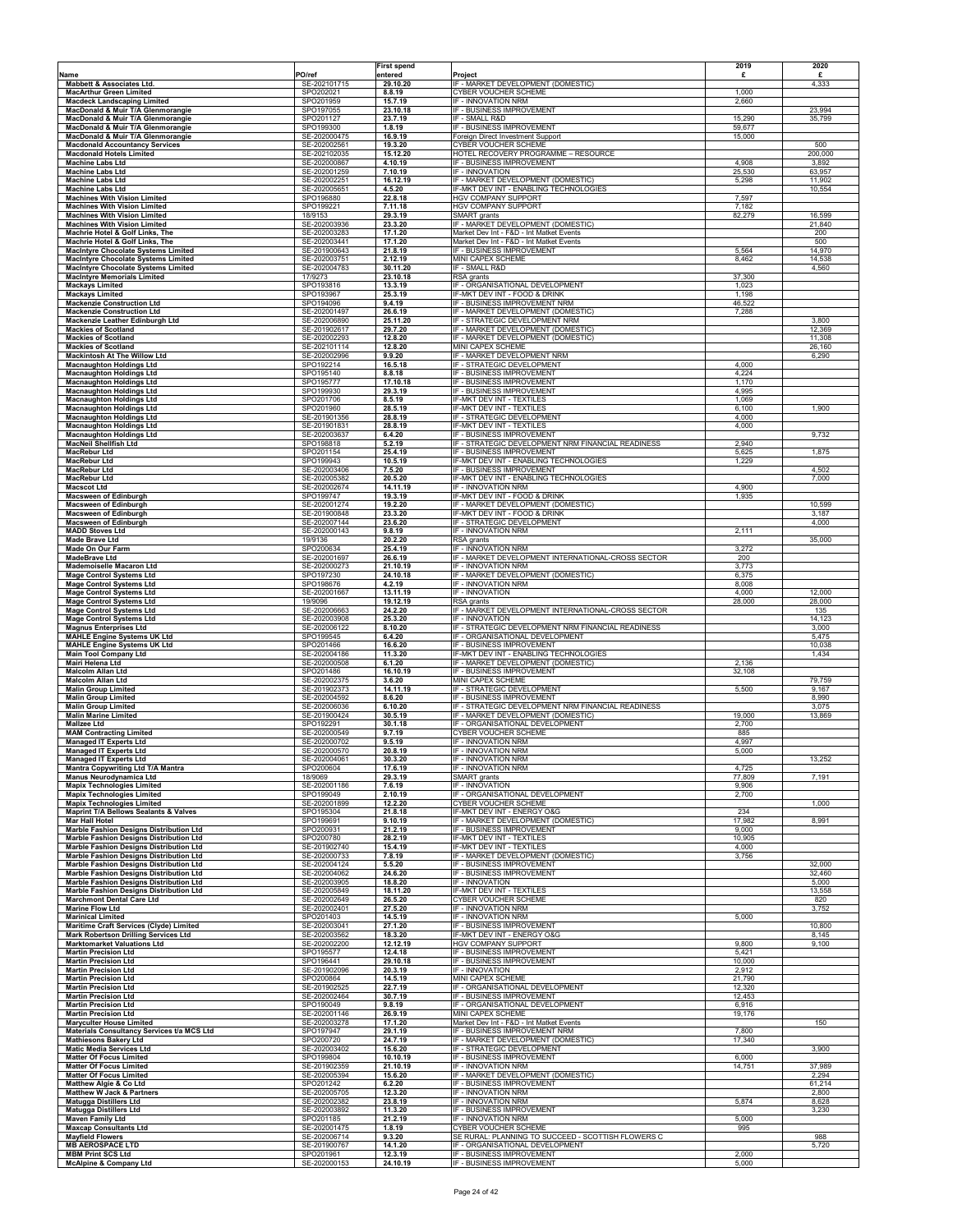|                                                                                           |                              | <b>First spend</b>   |                                                                                          | 2019             | 2020             |
|-------------------------------------------------------------------------------------------|------------------------------|----------------------|------------------------------------------------------------------------------------------|------------------|------------------|
| Name                                                                                      | PO/ref                       | entered              | Project                                                                                  | £                | £                |
| Mabbett & Associates Ltd.<br><b>MacArthur Green Limited</b>                               | SE-202101715<br>SPO202021    | 29.10.20<br>8.8.19   | IF - MARKET DEVELOPMENT (DOMESTIC)<br>CYBER VOUCHER SCHEME                               | 1,000            | 4,333            |
| <b>Macdeck Landscaping Limited</b>                                                        | SPO201959                    | 15.7.19              | IF - INNOVATION NRM                                                                      | 2,660            |                  |
| MacDonald & Muir T/A Glenmorangie<br>MacDonald & Muir T/A Glenmorangie                    | SPO197055<br>SPO201127       | 23.10.18<br>23.7.19  | IF - BUSINESS IMPROVEMENT<br>IF - SMALL R&D                                              | 15,290           | 23,994<br>35,799 |
| MacDonald & Muir T/A Glenmorangie                                                         | SPO199300                    | 1.8.19               | IF - BUSINESS IMPROVEMENT                                                                | 59,677           |                  |
| MacDonald & Muir T/A Glenmorangie<br><b>Macdonald Accountancy Services</b>                | SE-202000475<br>SE-202002561 | 16.9.19<br>19.3.20   | Foreign Direct Investment Support<br>CYBER VOUCHER SCHEME                                | 15,000           | 500              |
| <b>Macdonald Hotels Limited</b>                                                           | SE-202102035                 | 15.12.20             | HOTEL RECOVERY PROGRAMME - RESOURCE                                                      |                  | 200,000          |
| <b>Machine Labs Ltd</b><br><b>Machine Labs Ltd</b>                                        | SE-202000867<br>SE-202001259 | 4.10.19<br>7.10.19   | IF - BUSINESS IMPROVEMENT<br>IF - INNOVATION                                             | 4,908<br>25,530  | 3,892<br>63,957  |
| <b>Machine Labs Ltd</b>                                                                   | SE-202002251                 | 16.12.19             | IF - MARKET DEVELOPMENT (DOMESTIC)                                                       | 5,298            | 11,902           |
| <b>Machine Labs Ltd</b>                                                                   | SE-202005651                 | 4.5.20               | IF-MKT DEV INT - ENABLING TECHNOLOGIES                                                   |                  | 10,554           |
| <b>Machines With Vision Limited</b><br><b>Machines With Vision Limited</b>                | SPO196880<br>SPO199221       | 22.8.18<br>7.11.18   | HGV COMPANY SUPPORT<br>HGV COMPANY SUPPORT                                               | 7,597<br>7,182   |                  |
| <b>Machines With Vision Limited</b>                                                       | 18/9153                      | 29.3.19              | SMART grants                                                                             | 82,279           | 16,599           |
| <b>Machines With Vision Limited</b><br>Machrie Hotel & Golf Links, The                    | SE-202003936<br>SE-202003283 | 23.3.20<br>17.1.20   | IF - MARKET DEVELOPMENT (DOMESTIC)<br>Market Dev Int - F&D - Int Matket Events           |                  | 21,840<br>200    |
| Machrie Hotel & Golf Links, The                                                           | SE-202003441                 | 17.1.20              | Market Dev Int - F&D - Int Matket Events                                                 |                  | 500              |
| MacIntyre Chocolate Systems Limited<br><b>MacIntyre Chocolate Systems Limited</b>         | SE-201900643<br>SE-202003751 | 21.8.19<br>2.12.19   | IF - BUSINESS IMPROVEMENT<br>MINI CAPEX SCHEME                                           | 5,564<br>8,462   | 14,970<br>14,538 |
| <b>MacIntyre Chocolate Systems Limited</b>                                                | SE-202004783                 | 30.11.20             | IF - SMALL R&D                                                                           |                  | 4,560            |
| <b>MacIntyre Memorials Limited</b>                                                        | 17/9273                      | 23.10.18             | RSA grants<br>IF - ORGANISATIONAL DEVELOPMENT                                            | 37,300           |                  |
| <b>Mackays Limited</b><br><b>Mackays Limited</b>                                          | SPO193816<br>SPO193967       | 13.3.19<br>25.3.19   | IF-MKT DEV INT - FOOD & DRINK                                                            | 1,023<br>1,198   |                  |
| <b>Mackenzie Construction Ltd</b>                                                         | SPO194096                    | 9.4.19               | IF - BUSINESS IMPROVEMENT NRM                                                            | 46,522           |                  |
| <b>Mackenzie Construction Ltd</b><br>Mackenzie Leather Edinburgh Ltd                      | SE-202001497<br>SE-202006890 | 26.6.19<br>25.11.20  | IF - MARKET DEVELOPMENT (DOMESTIC)<br>IF - STRATEGIC DEVELOPMENT NRM                     | 7,288            | 3,800            |
| <b>Mackies of Scotland</b>                                                                | SE-201902617                 | 29.7.20              | IF - MARKET DEVELOPMENT (DOMESTIC)                                                       |                  | 12,369           |
| <b>Mackies of Scotland</b><br><b>Mackies of Scotland</b>                                  | SE-202002293<br>SE-202101114 | 12.8.20<br>12.8.20   | IF - MARKET DEVELOPMENT (DOMESTIC)<br>MINI CAPEX SCHEME                                  |                  | 11,308<br>26,160 |
| Mackintosh At The Willow Ltd                                                              | SE-202002996                 | 9.9.20               | IF - MARKET DEVELOPMENT NRM                                                              |                  | 6,290            |
| <b>Macnaughton Holdings Ltd</b><br><b>Macnaughton Holdings Ltd</b>                        | SPO192214<br>SPO195140       | 16.5.18<br>8.8.18    | IF - STRATEGIC DEVELOPMENT<br>IF - BUSINESS IMPROVEMENT                                  | 4,000<br>4,224   |                  |
| <b>Macnaughton Holdings Ltd</b>                                                           | SPO195777                    | 17.10.18             | IF - BUSINESS IMPROVEMENT                                                                | 1,170            |                  |
| <b>Macnaughton Holdings Ltd</b>                                                           | SPO199930                    | 29.3.19              | IF - BUSINESS IMPROVEMENT                                                                | 4,995            |                  |
| <b>Macnaughton Holdings Ltd</b><br><b>Macnaughton Holdings Ltd</b>                        | SPO201706<br>SPO201960       | 8.5.19<br>28.5.19    | IF-MKT DEV INT - TEXTILES<br>IF-MKT DEV INT - TEXTILES                                   | 1,069<br>6,100   | 1,900            |
| <b>Macnaughton Holdings Ltd</b>                                                           | SE-201901356                 | 28.8.19              | IF - STRATEGIC DEVELOPMENT                                                               | 4,000            |                  |
| <b>Macnaughton Holdings Ltd</b><br><b>Macnaughton Holdings Ltd</b>                        | SE-201901831<br>SE-202003637 | 28.8.19<br>6.4.20    | IF-MKT DEV INT - TEXTILES<br>IF - BUSINESS IMPROVEMENT                                   | 4,000            | 9,732            |
| <b>MacNeil Shellfish Ltd</b>                                                              | SPO198818                    | 5.2.19               | IF - STRATEGIC DEVELOPMENT NRM FINANCIAL READINESS                                       | 2,940            |                  |
| <b>MacRebur Ltd</b><br><b>MacRebur Ltd</b>                                                | SPO201154<br>SPO199943       | 25.4.19<br>10.5.19   | IF - BUSINESS IMPROVEMENT<br>IF-MKT DEV INT - ENABLING TECHNOLOGIES                      | 5,625<br>1,229   | 1,875            |
| <b>MacRebur Ltd</b>                                                                       | SE-202003406                 | 7.5.20               | IF - BUSINESS IMPROVEMENT                                                                |                  | 4,502            |
| <b>MacRebur Ltd</b>                                                                       | SE-202005382                 | 20.5.20              | IF-MKT DEV INT - ENABLING TECHNOLOGIES<br>IF - INNOVATION NRM                            | 4,900            | 7,000            |
| <b>Macscot Ltd</b><br><b>Macsween of Edinburgh</b>                                        | SE-202002674<br>SPO199747    | 14.11.19<br>19.3.19  | IF-MKT DEV INT - FOOD & DRINK                                                            | 1,935            |                  |
| Macsween of Edinburgh                                                                     | SE-202001274                 | 19.2.20              | IF - MARKET DEVELOPMENT (DOMESTIC)                                                       |                  | 10,599           |
| <b>Macsween of Edinburgh</b><br><b>Macsween of Edinburgh</b>                              | SE-201900848<br>SE-202007144 | 23.3.20<br>23.6.20   | IF-MKT DEV INT - FOOD & DRINK<br>IF - STRATEGIC DEVELOPMENT                              |                  | 3,187<br>4,000   |
| <b>MADD Stoves Ltd</b>                                                                    | SE-202000143                 | 9.8.19               | IF - INNOVATION NRM                                                                      | 2,111            |                  |
| <b>Made Brave Ltd</b><br>Made On Our Farm                                                 | 19/9136<br>SPO200634         | 20.2.20<br>25.4.19   | RSA grants<br>IF - INNOVATION NRM                                                        | 3,272            | 35,000           |
| <b>MadeBrave Ltd</b>                                                                      | SE-202001697                 | 26.6.19              | IF - MARKET DEVELOPMENT INTERNATIONAL-CROSS SECTOR                                       | 200              |                  |
| <b>Mademoiselle Macaron Ltd</b><br><b>Mage Control Systems Ltd</b>                        | SE-202000273<br>SPO197230    | 21.10.19<br>24.10.18 | IF - INNOVATION NRM<br>IF - MARKET DEVELOPMENT (DOMESTIC)                                | 3,773<br>6,375   |                  |
| <b>Mage Control Systems Ltd</b>                                                           | SPO198676                    | 4.2.19               | IF - INNOVATION NRM                                                                      | 8,008            |                  |
| <b>Mage Control Systems Ltd</b>                                                           | SE-202001667                 | 13.11.19             | IF - INNOVATION<br>RSA grants                                                            | 4,000            | 12,000           |
| <b>Mage Control Systems Ltd</b><br><b>Mage Control Systems Ltd</b>                        | 19/9096<br>SE-202006663      | 19.12.19<br>24.2.20  | IF - MARKET DEVELOPMENT INTERNATIONAL-CROSS SECTOR                                       | 28,000           | 28,000<br>135    |
| <b>Mage Control Systems Ltd</b>                                                           | SE-202003908                 | 25.3.20              | IF - INNOVATION                                                                          |                  | 14,123           |
| <b>Magnus Enterprises Ltd</b><br><b>MAHLE Engine Systems UK Ltd</b>                       | SE-202006122<br>SPO199545    | 8.10.20<br>6.4.20    | IF - STRATEGIC DEVELOPMENT NRM FINANCIAL READINESS<br>IF - ORGANISATIONAL DEVELOPMENT    |                  | 3,000<br>5,475   |
| <b>MAHLE Engine Systems UK Ltd</b>                                                        | SPO201466                    | 16.6.20              | IF - BUSINESS IMPROVEMENT                                                                |                  | 10,038           |
| <b>Main Tool Company Ltd</b><br>Mairi Helena Ltd                                          | SE-202004186<br>SE-202000508 | 11.3.20<br>6.1.20    | IF-MKT DEV INT - ENABLING TECHNOLOGIES<br>IF - MARKET DEVELOPMENT (DOMESTIC)             | 2,136            | 1,434            |
| <b>Malcolm Allan Ltd</b>                                                                  | SPO201486                    | 16.10.19             | IF - BUSINESS IMPROVEMENT                                                                | 32,108           |                  |
| <b>Malcolm Allan Ltd</b><br><b>Malin Group Limited</b>                                    | SE-202002375<br>SE-201902373 | 3.6.20<br>14.11.19   | MINI CAPEX SCHEME<br>IF - STRATEGIC DEVELOPMENT                                          | 5,500            | 79,759<br>9,167  |
| <b>Malin Group Limited</b>                                                                | SE-202004592                 | 8.6.20               | IF - BUSINESS IMPROVEMENT                                                                |                  | 8,990            |
| <b>Malin Group Limited</b>                                                                | SE-202006036<br>SE-201900424 | 6.10.20<br>30.5.19   | IF - STRATEGIC DEVELOPMENT NRM FINANCIAL READINESS<br>IF - MARKET DEVELOPMENT (DOMESTIC) | 19,000           | 3,075<br>13,869  |
| <b>Malin Marine Limited</b><br><b>Mallzee Ltd</b>                                         | SPO192291                    | 30.1.18              | IF - ORGANISATIONAL DEVELOPMENT                                                          | 2,700            |                  |
| <b>MAM Contracting Limited</b>                                                            | SE-202000549                 | 9.7.19               | <b>CYBER VOUCHER SCHEME</b>                                                              | 885              |                  |
| <b>Managed IT Experts Ltd</b><br><b>Managed IT Experts Ltd</b>                            | SE-202000702<br>SE-202000570 | 9.5.19<br>20.8.19    | IF - INNOVATION NRM<br>IF - INNOVATION NRM                                               | 4,997<br>5,000   |                  |
| <b>Managed IT Experts Ltd</b>                                                             | SE-202004061                 | 30.3.20              | IF - INNOVATION NRM                                                                      |                  | 13,252           |
| <b>Mantra Copywriting Ltd T/A Mantra</b><br><b>Manus Neurodynamica Ltd</b>                | SPO200604<br>18/9069         | 17.6.19<br>29.3.19   | IF - INNOVATION NRM<br>SMART grants                                                      | 4,725<br>77,809  | 7,191            |
| <b>Mapix Technologies Limited</b>                                                         | SE-202001186                 | 7.6.19               | IF - INNOVATION                                                                          | 9,906            |                  |
| <b>Mapix Technologies Limited</b><br><b>Mapix Technologies Limited</b>                    | SPO199049<br>SE-202001899    | 2.10.19<br>12.2.20   | IF - ORGANISATIONAL DEVELOPMENT<br>CYBER VOUCHER SCHEME                                  | 2,700            | 1,000            |
| <b>Maprint T/A Bellows Sealants &amp; Valves</b>                                          | SPO195304                    | 21.8.18              | IF-MKT DEV INT - ENERGY O&G                                                              | 234              |                  |
| <b>Mar Hall Hotel</b><br><b>Marble Fashion Designs Distribution Ltd</b>                   | SPO199691<br>SPO200931       | 9.10.19<br>21.2.19   | IF - MARKET DEVELOPMENT (DOMESTIC)<br>IF - BUSINESS IMPROVEMENT                          | 17,982<br>9,000  | 8,991            |
| <b>Marble Fashion Designs Distribution Ltd</b>                                            | SPO200780                    | 28.2.19              | IF-MKT DEV INT - TEXTILES                                                                | 10,905           |                  |
| Marble Fashion Designs Distribution Ltd<br>Marble Fashion Designs Distribution Ltd        | SE-201902740<br>SE-202000733 | 15.4.19<br>7.8.19    | IF-MKT DEV INT - TEXTILES<br>IF - MARKET DEVELOPMENT (DOMESTIC)                          | 4,000<br>3,756   |                  |
| Marble Fashion Designs Distribution Ltd                                                   | SE-202004124                 | 5.5.20               | IF - BUSINESS IMPROVEMENT                                                                |                  | 32,000           |
| <b>Marble Fashion Designs Distribution Ltd</b><br>Marble Fashion Designs Distribution Ltd | SE-202004062<br>SE-202003905 | 24.6.20<br>18.8.20   | IF - BUSINESS IMPROVEMENT<br>IF - INNOVATION                                             |                  | 32,460<br>5,000  |
| Marble Fashion Designs Distribution Ltd                                                   | SE-202005849                 | 18.11.20             | IF-MKT DEV INT - TEXTILES                                                                |                  | 13,558           |
| <b>Marchmont Dental Care Ltd</b><br><b>Marine Flow Ltd</b>                                | SE-202002649<br>SE-202002401 | 26.5.20<br>27.5.20   | CYBER VOUCHER SCHEME<br>IF - INNOVATION NRM                                              |                  | 820<br>3,752     |
| <b>Marinical Limited</b>                                                                  | SPO201403                    | 14.5.19              | IF - INNOVATION NRM                                                                      | 5,000            |                  |
| Maritime Craft Services (Clyde) Limited                                                   | SE-202003041                 | 27.1.20              | IF - BUSINESS IMPROVEMENT                                                                |                  | 10,800           |
| <b>Mark Robertson Drilling Services Ltd</b><br><b>Marktomarket Valuations Ltd</b>         | SE-202003562<br>SE-202002200 | 18.3.20<br>12.12.19  | IF-MKT DEV INT - ENERGY O&G<br>HGV COMPANY SUPPORT                                       | 9.800            | 8,145<br>9,100   |
| <b>Martin Precision Ltd</b>                                                               | SPO195577                    | 12.4.18              | IF - BUSINESS IMPROVEMENT                                                                | 5,421            |                  |
| <b>Martin Precision Ltd</b><br><b>Martin Precision Ltd</b>                                | SPO196441<br>SE-201902096    | 29.10.18<br>20.3.19  | IF - BUSINESS IMPROVEMENT<br>IF - INNOVATION                                             | 10,000<br>2,912  |                  |
| <b>Martin Precision Ltd</b>                                                               | SPO200864                    | 14.5.19              | MINI CAPEX SCHEME                                                                        | 21,790           |                  |
| <b>Martin Precision Ltd</b><br><b>Martin Precision Ltd</b>                                | SE-201902525<br>SE-202002464 | 22.7.19<br>30.7.19   | IF - ORGANISATIONAL DEVELOPMENT<br>IF - BUSINESS IMPROVEMENT                             | 12,320<br>12,453 |                  |
| <b>Martin Precision Ltd</b>                                                               | SPO190049                    | 9.8.19               | IF - ORGANISATIONAL DEVELOPMENT                                                          | 6,916            |                  |
| <b>Martin Precision Ltd</b><br><b>Maryculter House Limited</b>                            | SE-202001146<br>SE-202003278 | 26.9.19<br>17.1.20   | MINI CAPEX SCHEME<br>Market Dev Int - F&D - Int Matket Events                            | 19,176           | 150              |
| Materials Consultancy Services t/a MCS Ltd                                                | SPO197947                    | 29.1.19              | IF - BUSINESS IMPROVEMENT NRM                                                            | 7,800            |                  |
| <b>Mathiesons Bakery Ltd</b><br><b>Matic Media Services Ltd</b>                           | SPO200720<br>SE-202003402    | 24.7.19<br>15.6.20   | IF - MARKET DEVELOPMENT (DOMESTIC)<br>IF - STRATEGIC DEVELOPMENT                         | 17,340           | 3,900            |
| <b>Matter Of Focus Limited</b>                                                            | SPO199804                    | 10.10.19             | IF - BUSINESS IMPROVEMENT                                                                | 6,000            |                  |
| <b>Matter Of Focus Limited</b>                                                            | SE-201902359                 | 21.10.19             | IF - INNOVATION NRM<br>IF - MARKET DEVELOPMENT (DOMESTIC)                                | 14,751           | 37,989           |
| <b>Matter Of Focus Limited</b><br>Matthew Algie & Co Ltd                                  | SE-202005394<br>SPO201242    | 15.6.20<br>6.2.20    | IF - BUSINESS IMPROVEMENT                                                                |                  | 2,294<br>61,214  |
| Matthew W Jack & Partners                                                                 | SE-202005705<br>SE-202002382 | 12.3.20              | IF - INNOVATION NRM<br>IF - INNOVATION NRM                                               | 5,874            | 2,800            |
| <b>Matugga Distillers Ltd</b><br><b>Matugga Distillers Ltd</b>                            | SE-202003892                 | 23.8.19<br>11.3.20   | IF - BUSINESS IMPROVEMENT                                                                |                  | 8,628<br>3,230   |
| <b>Maven Family Ltd</b>                                                                   | SPO201185                    | 21.2.19              | IF - INNOVATION NRM                                                                      | 5,000            |                  |
| <b>Maxcap Consultants Ltd</b><br><b>Mayfield Flowers</b>                                  | SE-202001475<br>SE-202006714 | 1.8.19<br>9.3.20     | CYBER VOUCHER SCHEME<br>SE RURAL: PLANNING TO SUCCEED - SCOTTISH FLOWERS C               | 995              | 988              |
| <b>MB AEROSPACE LTD</b>                                                                   | SE-201900767                 | 14.1.20              | IF - ORGANISATIONAL DEVELOPMENT                                                          |                  | 5,720            |
| <b>MBM Print SCS Ltd</b><br><b>McAlpine &amp; Company Ltd</b>                             | SPO201961<br>SE-202000153    | 12.3.19<br>24.10.19  | IF - BUSINESS IMPROVEMENT<br>IF - BUSINESS IMPROVEMENT                                   | 2,000<br>5,000   |                  |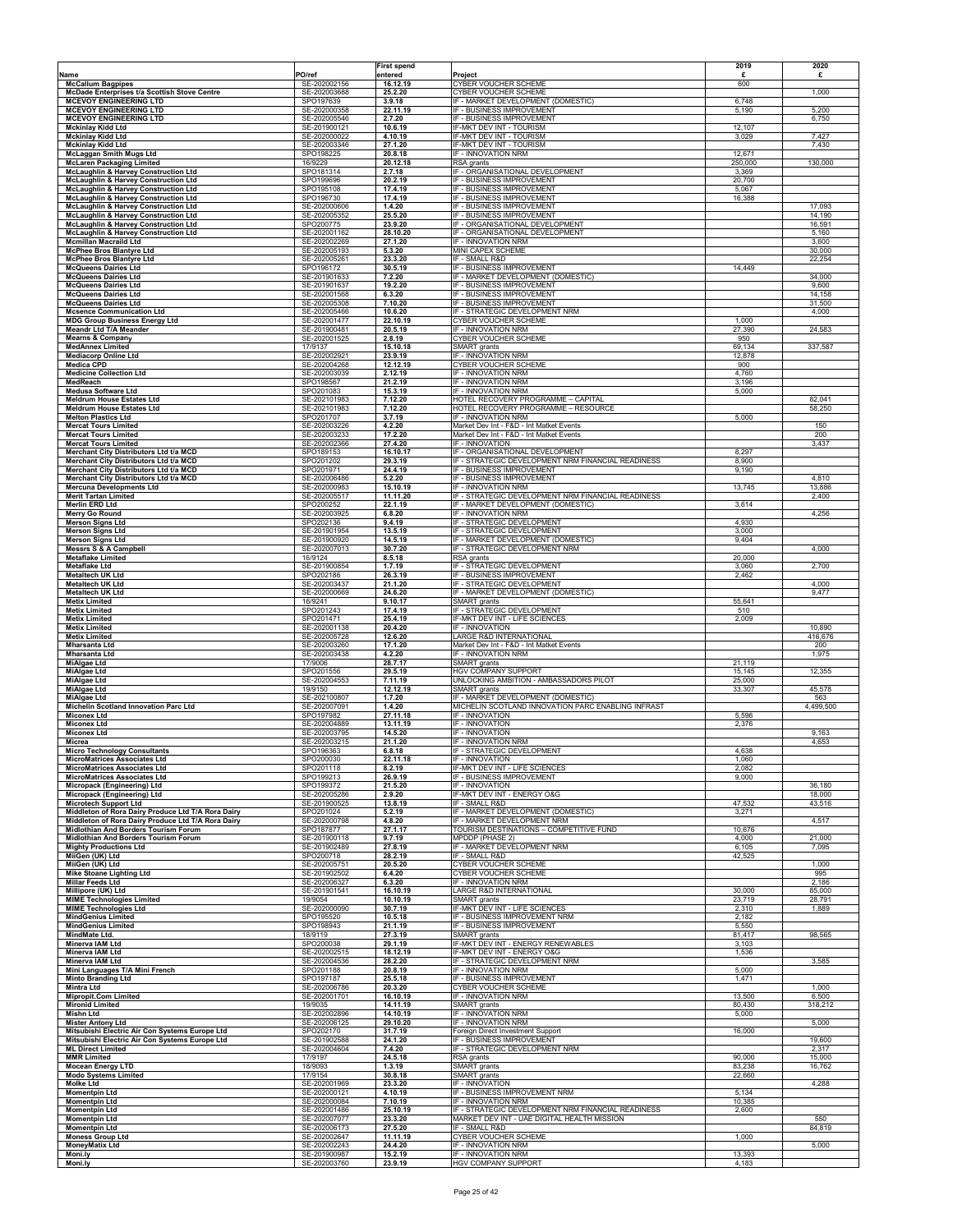|                                                                                                          |                              | First spend          |                                                                                          | 2019             | 2020             |
|----------------------------------------------------------------------------------------------------------|------------------------------|----------------------|------------------------------------------------------------------------------------------|------------------|------------------|
| Name                                                                                                     | PO/ref                       | entered              | Project                                                                                  | £                | £                |
| <b>McCallum Bagpipes</b><br>McDade Enterprises t/a Scottish Stove Centre                                 | SE-202002156<br>SE-202003688 | 16.12.19<br>25.2.20  | <b>CYBER VOUCHER SCHEME</b><br>CYBER VOUCHER SCHEME                                      | 600              | 1,000            |
| <b>MCEVOY ENGINEERING LTD</b>                                                                            | SPO197639                    | 3.9.18               | IF - MARKET DEVELOPMENT (DOMESTIC)                                                       | 6,748            |                  |
| <b>MCEVOY ENGINEERING LTD</b><br><b>MCEVOY ENGINEERING LTD</b>                                           | SE-202000358<br>SE-202005546 | 22.11.19<br>2.7.20   | IF - BUSINESS IMPROVEMENT<br>IF - BUSINESS IMPROVEMENT                                   | 5,190            | 5,200<br>6,750   |
| <b>Mckinlay Kidd Ltd</b>                                                                                 | SE-201900121                 | 10.6.19              | IF-MKT DEV INT - TOURISM                                                                 | 12,107           |                  |
| <b>Mckinlay Kidd Ltd</b>                                                                                 | SE-202000022                 | 4.10.19              | IF-MKT DEV INT - TOURISM<br><b>IF-MKT DEV INT - TOURISM</b>                              | 3,029            | 7,427            |
| <b>Mckinlay Kidd Ltd</b><br><b>McLaggan Smith Mugs Ltd</b>                                               | SE-202003346<br>SPO198225    | 27.1.20<br>20.8.18   | IF - INNOVATION NRM                                                                      | 12,671           | 7,430            |
| <b>McLaren Packaging Limited</b>                                                                         | 16/9229                      | 20.12.18             | RSA grants                                                                               | 250,000          | 130,000          |
| <b>McLaughlin &amp; Harvey Construction Ltd</b><br><b>McLaughlin &amp; Harvey Construction Ltd</b>       | SPO181314<br>SPO199696       | 2.7.18<br>20.2.19    | IF - ORGANISATIONAL DEVELOPMENT<br>IF - BUSINESS IMPROVEMENT                             | 3,369<br>20,700  |                  |
| <b>McLaughlin &amp; Harvey Construction Ltd</b>                                                          | SPO195108                    | 17.4.19              | IF - BUSINESS IMPROVEMENT                                                                | 5,067            |                  |
| <b>McLaughlin &amp; Harvey Construction Ltd</b>                                                          | SPO196730<br>SE-202000606    | 17.4.19<br>1.4.20    | IF - BUSINESS IMPROVEMENT<br>IF - BUSINESS IMPROVEMENT                                   | 16,388           | 17,093           |
| <b>McLaughlin &amp; Harvey Construction Ltd</b><br><b>McLaughlin &amp; Harvey Construction Ltd</b>       | SE-202005352                 | 25.5.20              | IF - BUSINESS IMPROVEMENT                                                                |                  | 14,190           |
| <b>McLaughlin &amp; Harvey Construction Ltd</b>                                                          | SPO200775                    | 23.9.20              | IF - ORGANISATIONAL DEVELOPMENT                                                          |                  | 16,591           |
| <b>McLaughlin &amp; Harvey Construction Ltd</b><br><b>Mcmillan Macraild Ltd</b>                          | SE-202001162<br>SE-202002269 | 28.10.20<br>27.1.20  | IF - ORGANISATIONAL DEVELOPMENT<br>IF - INNOVATION NRM                                   |                  | 5,160<br>3,600   |
| <b>McPhee Bros Blantyre Ltd</b>                                                                          | SE-202005193                 | 5.3.20               | MINI CAPEX SCHEME                                                                        |                  | 30,000           |
| <b>McPhee Bros Blantyre Ltd</b><br><b>McQueens Dairies Ltd</b>                                           | SE-202005261<br>SPO196172    | 23.3.20<br>30.5.19   | IF - SMALL R&D<br>IF - BUSINESS IMPROVEMENT                                              | 14,449           | 22,254           |
| <b>McQueens Dairies Ltd</b>                                                                              | SE-201901633                 | 7.2.20               | IF - MARKET DEVELOPMENT (DOMESTIC)                                                       |                  | 34,000           |
| <b>McQueens Dairies Ltd</b><br><b>McQueens Dairies Ltd</b>                                               | SE-201901637<br>SE-202001568 | 19.2.20<br>6.3.20    | IF - BUSINESS IMPROVEMENT<br>IF - BUSINESS IMPROVEMENT                                   |                  | 9,600<br>14,158  |
| <b>McQueens Dairies Ltd</b>                                                                              | SE-202005308                 | 7.10.20              | IF - BUSINESS IMPROVEMENT                                                                |                  | 31,500           |
| <b>Mcsence Communication Ltd</b>                                                                         | SE-202005466                 | 10.6.20              | IF - STRATEGIC DEVELOPMENT NRM                                                           |                  | 4,000            |
| <b>MDG Group Business Energy Ltd</b><br>Meandr Ltd T/A Meander                                           | SE-202001477<br>SE-201900481 | 22.10.19<br>20.5.19  | <b>CYBER VOUCHER SCHEME</b><br>IF - INNOVATION NRM                                       | 1,000<br>27,390  | 24,583           |
| <b>Mearns &amp; Company</b>                                                                              | SE-202001525                 | 2.8.19               | CYBER VOUCHER SCHEME                                                                     | 950              |                  |
| <b>MedAnnex Limited</b><br><b>Mediacorp Online Ltd</b>                                                   | 17/9137<br>SE-202002921      | 15.10.18<br>23.9.19  | SMART grants<br>IF - INNOVATION NRM                                                      | 69,134<br>12,878 | 337,587          |
| <b>Medica CPD</b>                                                                                        | SE-202004268                 | 12.12.19             | CYBER VOUCHER SCHEME                                                                     | 900              |                  |
| <b>Medicine Collection Ltd</b>                                                                           | SE-202003039                 | 2.12.19              | IF - INNOVATION NRM                                                                      | 4,760            |                  |
| MedReach<br><b>Medusa Software Ltd</b>                                                                   | SPO198567<br>SPO201083       | 21.2.19<br>15.3.19   | IF - INNOVATION NRM<br>IF - INNOVATION NRM                                               | 3,196<br>5,000   |                  |
| <b>Meldrum House Estates Ltd</b>                                                                         | SE-202101983                 | 7.12.20              | HOTEL RECOVERY PROGRAMME - CAPITAL                                                       |                  | 82,041           |
| <b>Meldrum House Estates Ltd</b><br><b>Melton Plastics Ltd</b>                                           | SE-202101983<br>SPO201707    | 7.12.20<br>3.7.19    | HOTEL RECOVERY PROGRAMME - RESOURCE<br>IF - INNOVATION NRM                               | 5,000            | 58,250           |
| <b>Mercat Tours Limited</b>                                                                              | SE-202003226                 | 4.2.20               | Market Dev Int - F&D - Int Matket Events                                                 |                  | 150              |
| <b>Mercat Tours Limited</b><br><b>Mercat Tours Limited</b>                                               | SE-202003233<br>SE-202002366 | 17.2.20<br>27.4.20   | Market Dev Int - F&D - Int Matket Events<br>IF - INNOVATION                              |                  | 200<br>3,437     |
| Merchant City Distributors Ltd t/a MCD                                                                   | SPO189153                    | 16.10.17             | IF - ORGANISATIONAL DEVELOPMENT                                                          | 8,297            |                  |
| Merchant City Distributors Ltd t/a MCD<br>Merchant City Distributors Ltd t/a MCD                         | SPO201202<br>SPO201971       | 29.3.19              | IF - STRATEGIC DEVELOPMENT NRM FINANCIAL READINESS<br>IF - BUSINESS IMPROVEMENT          | 8,900<br>9,190   |                  |
| Merchant City Distributors Ltd t/a MCD                                                                   | SE-202006486                 | 24.4.19<br>5.2.20    | IF - BUSINESS IMPROVEMENT                                                                |                  | 4,810            |
| <b>Mercuna Developments Ltd</b>                                                                          | SE-202000983                 | 15.10.19             | IF - INNOVATION NRM                                                                      | 13,745           | 13,886           |
| <b>Merit Tartan Limited</b><br><b>Merlin ERD Ltd</b>                                                     | SE-202005517<br>SPO200252    | 11.11.20<br>22.1.19  | IF - STRATEGIC DEVELOPMENT NRM FINANCIAL READINESS<br>IF - MARKET DEVELOPMENT (DOMESTIC) | 3,614            | 2,400            |
| <b>Merry Go Round</b>                                                                                    | SE-202003925                 | 6.8.20               | IF - INNOVATION NRM                                                                      |                  | 4,256            |
| <b>Merson Signs Ltd</b><br><b>Merson Signs Ltd</b>                                                       | SPO202136<br>SE-201901954    | 9.4.19<br>13.5.19    | IF - STRATEGIC DEVELOPMENT<br>IF - STRATEGIC DEVELOPMENT                                 | 4,930<br>3,000   |                  |
| <b>Merson Signs Ltd</b>                                                                                  | SE-201900920                 | 14.5.19              | IF - MARKET DEVELOPMENT (DOMESTIC)                                                       | 9,404            |                  |
| <b>Messrs S &amp; A Campbell</b><br><b>Metaflake Limited</b>                                             | SE-202007013<br>16/9124      | 30.7.20<br>8.5.18    | IF - STRATEGIC DEVELOPMENT NRM<br>RSA grants                                             | 20,000           | 4,000            |
| <b>Metaflake Ltd</b>                                                                                     | SE-201900854                 | 1.7.19               | IF - STRATEGIC DEVELOPMENT                                                               | 3,060            | 2,700            |
| <b>Metaltech UK Ltd</b><br><b>Metaltech UK Ltd</b>                                                       | SPO202186<br>SE-202003437    | 26.3.19<br>21.1.20   | IF - BUSINESS IMPROVEMENT<br>IF - STRATEGIC DEVELOPMENT                                  | 2,462            | 4,000            |
| <b>Metaltech UK Ltd</b>                                                                                  | SE-202000669                 | 24.6.20              | IF - MARKET DEVELOPMENT (DOMESTIC)                                                       |                  | 9,477            |
| <b>Metix Limited</b>                                                                                     | 16/9241                      | 9.10.17              | SMART grants                                                                             | 55,641           |                  |
| <b>Metix Limited</b><br><b>Metix Limited</b>                                                             | SPO201243<br>SPO201471       | 17.4.19<br>25.4.19   | IF - STRATEGIC DEVELOPMENT<br>IF-MKT DEV INT - LIFE SCIENCES                             | 510<br>2,009     |                  |
| <b>Metix Limited</b>                                                                                     | SE-202001138                 | 20.4.20              | IF - INNOVATION                                                                          |                  | 10,890           |
| <b>Metix Limited</b><br><b>Mharsanta Ltd</b>                                                             | SE-202005728<br>SE-202003260 | 12.6.20<br>17.1.20   | LARGE R&D INTERNATIONAL<br>Market Dev Int - F&D - Int Matket Events                      |                  | 416,676<br>200   |
| <b>Mharsanta Ltd</b>                                                                                     | SE-202003438                 | 4.2.20               | IF - INNOVATION NRM                                                                      |                  | 1,975            |
| <b>MiAlgae Ltd</b>                                                                                       | 17/9006                      | 28.7.17              | <b>SMART</b> grants<br>HGV COMPANY SUPPORT                                               | 21,119           |                  |
| <b>MiAlgae Ltd</b><br><b>MiAlgae Ltd</b>                                                                 | SPO201556<br>SE-202004553    | 29.5.19<br>7.11.19   | UNLOCKING AMBITION - AMBASSADORS PILOT                                                   | 15,145<br>25,000 | 12,355           |
| <b>MiAlgae Ltd</b>                                                                                       | 19/9150                      | 12.12.19             | SMART grants<br>IF - MARKET DEVELOPMENT (DOMESTIC)                                       | 33,307           | 45,578           |
| <b>MiAlgae Ltd</b><br>Michelin Scotland Innovation Parc Ltd                                              | SE-202100807<br>SE-202007091 | 1.7.20<br>1.4.20     | MICHELIN SCOTLAND INNOVATION PARC ENABLING INFRAST                                       |                  | 563<br>4,499,500 |
| <b>Miconex Ltd</b>                                                                                       | SPO197982                    | 27.11.18             | IF - INNOVATION                                                                          | 5,596            |                  |
| <b>Miconex Ltd</b><br><b>Miconex Ltd</b>                                                                 | SE-202004889<br>SE-202003795 | 13.11.19<br>14.5.20  | IF - INNOVATION<br>IF - INNOVATION                                                       | 2,376            | 9,163            |
| Micrea                                                                                                   | SE-202003215                 | 21.1.20              | IF - INNOVATION NRM                                                                      |                  | 4,653            |
| <b>Micro Technology Consultants</b><br><b>MicroMatrices Associates Ltd</b>                               | SPO196363<br>SPO200030       | 6.8.18<br>22.11.18   | IF - STRATEGIC DEVELOPMENT<br>IF - INNOVATION                                            | 4,638<br>1,060   |                  |
| <b>MicroMatrices Associates Ltd</b>                                                                      | SPO201118                    | 8.2.19               | IF-MKT DEV INT - LIFE SCIENCES                                                           | 2,082            |                  |
| <b>MicroMatrices Associates Ltd</b><br>Micropack (Engineering) Ltd                                       | SPO199213<br>SPO199372       | 26.9.19<br>21.5.20   | IF - BUSINESS IMPROVEMENT<br>IF - INNOVATION                                             | 9,000            | 36,180           |
| Micropack (Engineering) Ltd                                                                              | SE-202005286                 | 2.9.20               | IF-MKT DEV INT - ENERGY O&G                                                              |                  | 18,000           |
| <b>Microtech Support Ltd</b>                                                                             | SE-201900525                 | 13.8.19              | IF - SMALL R&D                                                                           | 47,532           | 43,516           |
| Middleton of Rora Dairy Produce Ltd T/A Rora Dairy<br>Middleton of Rora Dairy Produce Ltd T/A Rora Dairy | SPO201024<br>SE-202000798    | 5.2.19<br>4.8.20     | IF - MARKET DEVELOPMENT (DOMESTIC)<br>IF - MARKET DEVELOPMENT NRM                        | 3,271            | 4,517            |
| Midlothian And Borders Tourism Forum                                                                     | SPO187877                    | 27.1.17              | TOURISM DESTINATIONS - COMPETITIVE FUND                                                  | 10,676           |                  |
| Midlothian And Borders Tourism Forum<br><b>Mighty Productions Ltd</b>                                    | SE-201900118<br>SE-201902489 | 9.7.19<br>27.8.19    | MPDDP (PHASE 2)<br>IF - MARKET DEVELOPMENT NRM                                           | 4,000<br>6,105   | 21,000<br>7,095  |
| MiiGen (UK) Ltd                                                                                          | SPO200718                    | 28.2.19              | IF - SMALL R&D                                                                           | 42,525           |                  |
| MiiGen (UK) Ltd<br><b>Mike Stoane Lighting Ltd</b>                                                       | SE-202005751<br>SE-201902502 | 20.5.20<br>6.4.20    | <b>CYBER VOUCHER SCHEME</b><br>CYBER VOUCHER SCHEME                                      |                  | 1,000<br>995     |
| <b>Millar Feeds Ltd</b>                                                                                  | SE-202006327                 | 6.3.20               | IF - INNOVATION NRM                                                                      |                  | 2,186            |
| Millipore (UK) Ltd<br><b>MIME Technologies Limited</b>                                                   | SE-201901541<br>19/9054      | 16.10.19<br>10.10.19 | <b>LARGE R&amp;D INTERNATIONAL</b><br>SMART grants                                       | 30,000<br>23,719 | 85,000<br>28,791 |
| <b>MIME Technologies Ltd</b>                                                                             | SE-202000090                 | 30.7.19              | IF-MKT DEV INT - LIFE SCIENCES                                                           | 2,310            | 1,889            |
| <b>MindGenius Limited</b>                                                                                | SPO195520<br>SPO198943       | 10.5.18              | IF - BUSINESS IMPROVEMENT NRM                                                            | 2,182            |                  |
| <b>MindGenius Limited</b><br>MindMate Ltd.                                                               | 18/9119                      | 21.1.19<br>27.3.19   | IF - BUSINESS IMPROVEMENT<br>SMART grants                                                | 5,550<br>81,417  | 98,565           |
| <b>Minerva IAM Ltd</b>                                                                                   | SPO200038                    | 29.1.19              | IF-MKT DEV INT - ENERGY RENEWABLES                                                       | 3,103            |                  |
| <b>Minerva IAM Ltd</b><br>Minerva IAM Ltd                                                                | SE-202002515<br>SE-202004536 | 18.12.19<br>28.2.20  | IF-MKT DEV INT - ENERGY O&G<br>IF - STRATEGIC DEVELOPMENT NRM                            | 1,536            | 3,585            |
| Mini Languages T/A Mini French                                                                           | SPO201188                    | 20.8.19              | IF - INNOVATION NRM                                                                      | 5,000            |                  |
| <b>Minto Branding Ltd</b><br><b>Mintra Ltd</b>                                                           | SPO197187<br>SE-202006786    | 25.5.18<br>20.3.20   | IF - BUSINESS IMPROVEMENT<br><b>CYBER VOUCHER SCHEME</b>                                 | 1,471            | 1,000            |
| <b>Mipropit.Com Limited</b>                                                                              | SE-202001701                 | 16.10.19             | IF - INNOVATION NRM                                                                      | 13,500           | 6,500            |
| <b>Mironid Limited</b><br><b>Mishn Ltd</b>                                                               | 19/9035<br>SE-202002896      | 14.11.19<br>14.10.19 | SMART grants<br>IF - INNOVATION NRM                                                      | 80,430<br>5,000  | 318,212          |
| <b>Mister Antony Ltd</b>                                                                                 | SE-202006125                 | 29.10.20             | IF - INNOVATION NRM                                                                      |                  | 5,000            |
| Mitsubishi Electric Air Con Systems Europe Ltd                                                           | SPO202170                    | 31.7.19              | Foreign Direct Investment Support                                                        | 16,000           |                  |
| Mitsubishi Electric Air Con Systems Europe Ltd<br><b>ML Direct Limited</b>                               | SE-201902588<br>SE-202004604 | 24.1.20<br>7.4.20    | IF - BUSINESS IMPROVEMENT<br>IF - STRATEGIC DEVELOPMENT NRM                              |                  | 19,600<br>2,317  |
| <b>MMR Limited</b>                                                                                       | 17/9197                      | 24.5.18              | RSA grants                                                                               | 90,000           | 15,000           |
| <b>Mocean Energy LTD</b><br><b>Modo Systems Limited</b>                                                  | 18/9093<br>17/9154           | 1.3.19<br>30.8.18    | SMART grants<br>SMART grants                                                             | 83,238<br>22,660 | 16,762           |
| <b>Molke Ltd</b>                                                                                         | SE-202001969                 | 23.3.20              | IF - INNOVATION                                                                          |                  | 4,288            |
| <b>Momentpin Ltd</b><br><b>Momentpin Ltd</b>                                                             | SE-202000121<br>SE-202000084 | 4.10.19<br>7.10.19   | IF - BUSINESS IMPROVEMENT NRM<br>IF - INNOVATION NRM                                     | 5,134<br>10,385  |                  |
| <b>Momentpin Ltd</b>                                                                                     | SE-202001486                 | 25.10.19             | IF - STRATEGIC DEVELOPMENT NRM FINANCIAL READINESS                                       | 2,600            |                  |
| <b>Momentpin Ltd</b><br><b>Momentpin Ltd</b>                                                             | SE-202007077<br>SE-202006173 | 23.3.20<br>27.5.20   | MARKET DEV INT - UAE DIGITAL HEALTH MISSION<br>IF - SMALL R&D                            |                  | 550<br>84,819    |
| <b>Moness Group Ltd</b>                                                                                  | SE-202002647                 | 11.11.19             | <b>CYBER VOUCHER SCHEME</b>                                                              | 1,000            |                  |
| <b>MoneyMatix Ltd</b>                                                                                    | SE-202002243                 | 24.4.20              | IF - INNOVATION NRM                                                                      |                  | 5,000            |
| Moni.ly<br><b>Moni.ly</b>                                                                                | SE-201900987<br>SE-202003760 | 15.2.19<br>23.9.19   | IF - INNOVATION NRM<br><b>HGV COMPANY SUPPORT</b>                                        | 13,393<br>4,183  |                  |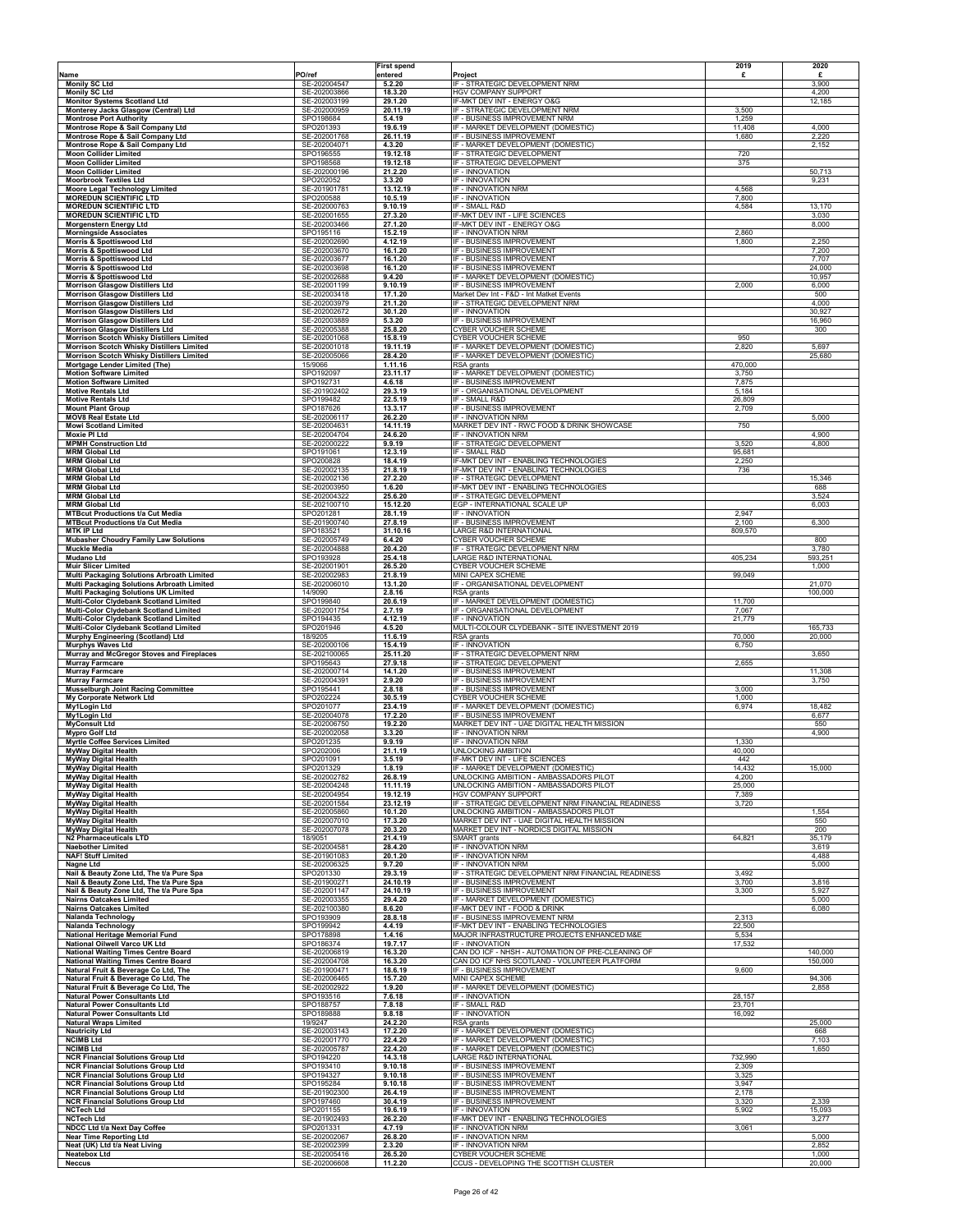|                                                                                        |                              | <b>First spend</b>   |                                                                                         | 2019             | 2020              |
|----------------------------------------------------------------------------------------|------------------------------|----------------------|-----------------------------------------------------------------------------------------|------------------|-------------------|
| Name<br><b>Monily SC Ltd</b>                                                           | PO/ref<br>SE-202004547       | entered<br>5.2.20    | Project<br>IF - STRATEGIC DEVELOPMENT NRM                                               | £                | £<br>3,900        |
| <b>Monily SC Ltd</b><br><b>Monitor Systems Scotland Ltd</b>                            | SE-202003866<br>SE-202003199 | 18.3.20<br>29.1.20   | <b>HGV COMPANY SUPPORT</b><br>IF-MKT DEV INT - ENERGY O&G                               |                  | 4,200<br>12,185   |
| Monterey Jacks Glasgow (Central) Ltd                                                   | SE-202000959                 | 20.11.19             | IF - STRATEGIC DEVELOPMENT NRM                                                          | 3,500            |                   |
| <b>Montrose Port Authority</b><br>Montrose Rope & Sail Company Ltd                     | SPO198684<br>SPO201393       | 5.4.19<br>19.6.19    | IF - BUSINESS IMPROVEMENT NRM<br>IF - MARKET DEVELOPMENT (DOMESTIC)                     | 1,259<br>11,408  | 4,000             |
| Montrose Rope & Sail Company Ltd                                                       | SE-202001768                 | 26.11.19             | IF - BUSINESS IMPROVEMENT                                                               | 1,680            | 2,220             |
| Montrose Rope & Sail Company Ltd<br><b>Moon Collider Limited</b>                       | SE-202004071<br>SPO196555    | 4.3.20<br>19.12.18   | IF - MARKET DEVELOPMENT (DOMESTIC)<br>IF - STRATEGIC DEVELOPMENT                        | 720              | 2,152             |
| <b>Moon Collider Limited</b>                                                           | SPO198568                    | 19.12.18             | IF - STRATEGIC DEVELOPMENT                                                              | 375              |                   |
| <b>Moon Collider Limited</b><br><b>Moorbrook Textiles Ltd</b>                          | SE-202000196<br>SPO202052    | 21.2.20<br>3.3.20    | IF - INNOVATION<br>IF - INNOVATION                                                      |                  | 50,713<br>9,231   |
| Moore Legal Technology Limited                                                         | SE-201901781                 | 13.12.19             | IF - INNOVATION NRM                                                                     | 4,568            |                   |
| <b>MOREDUN SCIENTIFIC LTD</b><br><b>MOREDUN SCIENTIFIC LTD</b>                         | SPO200588<br>SE-202000763    | 10.5.19<br>9.10.19   | IF - INNOVATION<br>IF - SMALL R&D                                                       | 7,800<br>4,584   | 13,170            |
| <b>MOREDUN SCIENTIFIC LTD</b>                                                          | SE-202001655                 | 27.3.20              | IF-MKT DEV INT - LIFE SCIENCES                                                          |                  | 3,030             |
| <b>Morgenstern Energy Ltd</b><br><b>Morningside Associates</b>                         | SE-202003466<br>SPO195116    | 27.1.20<br>15.2.19   | IF-MKT DEV INT - ENERGY O&G<br>IF - INNOVATION NRM                                      | 2,860            | 8,000             |
| Morris & Spottiswood Ltd                                                               | SE-202002690                 | 4.12.19              | IF - BUSINESS IMPROVEMENT<br>IF - BUSINESS IMPROVEMENT                                  | 1,800            | 2,250             |
| Morris & Spottiswood Ltd<br>Morris & Spottiswood Ltd                                   | SE-202003670<br>SE-202003677 | 16.1.20<br>16.1.20   | IF - BUSINESS IMPROVEMENT                                                               |                  | 7,200<br>7,707    |
| Morris & Spottiswood Ltd                                                               | SE-202003698<br>SE-202002688 | 16.1.20<br>9.4.20    | IF - BUSINESS IMPROVEMENT<br>IF - MARKET DEVELOPMENT (DOMESTIC)                         |                  | 24,000<br>10,957  |
| Morris & Spottiswood Ltd<br><b>Morrison Glasgow Distillers Ltd</b>                     | SE-202001199                 | 9.10.19              | IF - BUSINESS IMPROVEMENT                                                               | 2,000            | 6,000             |
| <b>Morrison Glasgow Distillers Ltd</b>                                                 | SE-202003418<br>SE-202003979 | 17.1.20<br>21.1.20   | Market Dev Int - F&D - Int Matket Events<br>IF - STRATEGIC DEVELOPMENT NRM              |                  | 500<br>4,000      |
| <b>Morrison Glasgow Distillers Ltd</b><br><b>Morrison Glasgow Distillers Ltd</b>       | SE-202002672                 | 30.1.20              | IF - INNOVATION                                                                         |                  | 30,927            |
| <b>Morrison Glasgow Distillers Ltd</b><br><b>Morrison Glasgow Distillers Ltd</b>       | SE-202003889<br>SE-202005388 | 5.3.20<br>25.8.20    | IF - BUSINESS IMPROVEMENT<br>CYBER VOUCHER SCHEME                                       |                  | 16,960<br>300     |
| Morrison Scotch Whisky Distillers Limited                                              | SE-202001068                 | 15.8.19              | CYBER VOUCHER SCHEME                                                                    | 950              |                   |
| Morrison Scotch Whisky Distillers Limited<br>Morrison Scotch Whisky Distillers Limited | SE-202001018<br>SE-202005066 | 19.11.19<br>28.4.20  | IF - MARKET DEVELOPMENT (DOMESTIC)<br>IF - MARKET DEVELOPMENT (DOMESTIC)                | 2,820            | 5,697<br>25,680   |
| Mortgage Lender Limited (The)                                                          | 15/9066                      | 1.11.16              | RSA grants                                                                              | 470,000          |                   |
| <b>Motion Software Limited</b><br><b>Motion Software Limited</b>                       | SPO192097<br>SPO192731       | 23.11.17<br>4.6.18   | IF - MARKET DEVELOPMENT (DOMESTIC)<br>IF - BUSINESS IMPROVEMENT                         | 3,750<br>7,875   |                   |
| <b>Motive Rentals Ltd</b>                                                              | SE-201902402                 | 29.3.19              | IF - ORGANISATIONAL DEVELOPMENT                                                         | 5,184            |                   |
| <b>Motive Rentals Ltd</b><br><b>Mount Plant Group</b>                                  | SPO199482<br>SPO187626       | 22.5.19<br>13.3.17   | IF - SMALL R&D<br>IF - BUSINESS IMPROVEMENT                                             | 26,809<br>2,709  |                   |
| <b>MOV8 Real Estate Ltd</b>                                                            | SE-202006117                 | 26.2.20              | IF - INNOVATION NRM                                                                     |                  | 5,000             |
| <b>Mowi Scotland Limited</b><br>Moxie PI Ltd                                           | SE-202004631<br>SE-202004704 | 14.11.19<br>24.6.20  | MARKET DEV INT - RWC FOOD & DRINK SHOWCASE<br>IF - INNOVATION NRM                       | 750              | 4,900             |
| <b>MPMH Construction Ltd</b>                                                           | SE-202000222                 | 9.9.19               | IF - STRATEGIC DEVELOPMENT                                                              | 3,520            | 4,800             |
| <b>MRM Global Ltd</b><br><b>MRM Global Ltd</b>                                         | SPO191061<br>SPO200828       | 12.3.19<br>18.4.19   | IF - SMALL R&D<br>IF-MKT DEV INT - ENABLING TECHNOLOGIES                                | 95,681<br>2,250  |                   |
| <b>MRM Global Ltd</b>                                                                  | SE-202002135                 | 21.8.19              | IF-MKT DEV INT - ENABLING TECHNOLOGIES                                                  | 736              |                   |
| <b>MRM Global Ltd</b><br><b>MRM Global Ltd</b>                                         | SE-202002136<br>SE-202003950 | 27.2.20<br>1.6.20    | IF - STRATEGIC DEVELOPMENT<br>F-MKT DEV INT - ENABLING TECHNOLOGIES                     |                  | 15,346<br>688     |
| <b>MRM Global Ltd</b>                                                                  | SE-202004322                 | 25.6.20              | IF - STRATEGIC DEVELOPMENT                                                              |                  | 3,524             |
| <b>MRM Global Ltd</b><br><b>MTBcut Productions t/a Cut Media</b>                       | SE-202100710<br>SPO201281    | 15.12.20<br>28.1.19  | EGP - INTERNATIONAL SCALE UP<br>IF - INNOVATION                                         | 2,947            | 6,003             |
| <b>MTBcut Productions t/a Cut Media</b>                                                | SE-201900740                 | 27.8.19              | IF - BUSINESS IMPROVEMENT                                                               | 2,100            | 6,300             |
| <b>MTK IP Ltd</b><br>Mubasher Choudry Family Law Solutions                             | SPO183521<br>SE-202005749    | 31.10.16<br>6.4.20   | <b>LARGE R&amp;D INTERNATIONAL</b><br>CYBER VOUCHER SCHEME                              | 809,570          | 800               |
| <b>Muckle Media</b>                                                                    | SE-202004888                 | 20.4.20              | IF - STRATEGIC DEVELOPMENT NRM                                                          |                  | 3,780             |
| <b>Mudano Ltd</b><br><b>Muir Slicer Limited</b>                                        | SPO193928<br>SE-202001901    | 25.4.18<br>26.5.20   | LARGE R&D INTERNATIONAL<br>CYBER VOUCHER SCHEME                                         | 405,234          | 593,251<br>1,000  |
| Multi Packaging Solutions Arbroath Limited                                             | SE-202002983                 | 21.8.19              | MINI CAPEX SCHEME                                                                       | 99,049           |                   |
| Multi Packaging Solutions Arbroath Limited<br>Multi Packaging Solutions UK Limited     | SE-202006010<br>14/9090      | 13.1.20<br>2.8.16    | IF - ORGANISATIONAL DEVELOPMENT<br>RSA grants                                           |                  | 21,070<br>100,000 |
| Multi-Color Clydebank Scotland Limited                                                 | SPO199840                    | 20.6.19              | IF - MARKET DEVELOPMENT (DOMESTIC)                                                      | 11,700           |                   |
| Multi-Color Clydebank Scotland Limited<br>Multi-Color Clydebank Scotland Limited       | SE-202001754<br>SPO194435    | 2.7.19<br>4.12.19    | IF - ORGANISATIONAL DEVELOPMENT<br>IF - INNOVATION                                      | 7,067<br>21,779  |                   |
| Multi-Color Clydebank Scotland Limited                                                 | SPO201946                    | 4.5.20               | MULTI-COLOUR CLYDEBANK - SITE INVESTMENT 2019                                           |                  | 165,733           |
| Murphy Engineering (Scotland) Ltd<br><b>Murphys Waves Ltd</b>                          | 18/9205<br>SE-202000106      | 11.6.19<br>15.4.19   | RSA grants<br>IF - INNOVATION                                                           | 70,000<br>6,750  | 20,000            |
| Murray and McGregor Stoves and Fireplaces                                              | SE-202100065                 | 25.11.20             | IF - STRATEGIC DEVELOPMENT NRM                                                          |                  | 3,650             |
| <b>Murray Farmcare</b><br><b>Murray Farmcare</b>                                       | SPO195643<br>SE-202000714    | 27.9.18<br>14.1.20   | IF - STRATEGIC DEVELOPMENT<br>IF - BUSINESS IMPROVEMENT                                 | 2,655            | 11,308            |
| <b>Murray Farmcare</b>                                                                 | SE-202004391                 | 2.9.20               | IF - BUSINESS IMPROVEMENT                                                               |                  | 3,750             |
| <b>Musselburgh Joint Racing Committee</b><br>My Corporate Network Ltd                  | SPO195441<br>SPO202224       | 2.8.18<br>30.5.19    | IF - BUSINESS IMPROVEMENT<br>CYBER VOUCHER SCHEME                                       | 3,000<br>1,000   |                   |
| My1Login Ltd                                                                           | SPO201077                    | 23.4.19              | IF - MARKET DEVELOPMENT (DOMESTIC)                                                      | 6,974            | 18,482            |
| My1Login Ltd<br><b>MyConsult Ltd</b>                                                   | SE-202004078<br>SE-202006750 | 17.2.20<br>19.2.20   | IF - BUSINESS IMPROVEMENT<br>MARKET DEV INT - UAE DIGITAL HEALTH MISSION                |                  | 6,677<br>550      |
| <b>Mypro Golf Ltd</b>                                                                  | SE-202002058                 | 3.3.20               | IF - INNOVATION NRM                                                                     |                  | 4,900             |
| <b>Myrtle Coffee Services Limited</b><br><b>MyWay Digital Health</b>                   | SPO201235<br>SPO202006       | 9.9.19<br>21.1.19    | IF - INNOVATION NRM<br><b>UNLOCKING AMBITION</b>                                        | 1,330<br>40,000  |                   |
| <b>MyWay Digital Health</b>                                                            | SPO201091                    | 3.5.19               | IF-MKT DEV INT - LIFE SCIENCES                                                          | 442              |                   |
| MyWay Digital Health<br>MyWay Digital Health                                           | SPO201329<br>SE-202002782    | 1.8.19<br>26.8.19    | IF - MARKET DEVELOPMENT (DOMESTIC)<br>UNLOCKING AMBITION - AMBASSADORS PILOT            | 14,432<br>4,200  | 15,000            |
| <b>MyWay Digital Health</b>                                                            | SE-202004248                 | 11.11.19             | UNLOCKING AMBITION - AMBASSADORS PILOT                                                  | 25,000           |                   |
| <b>MyWay Digital Health</b><br><b>MyWay Digital Health</b>                             | SE-202004954<br>SE-202001584 | 19.12.19<br>23.12.19 | <b>HGV COMPANY SUPPORT</b><br>IF - STRATEGIC DEVELOPMENT NRM FINANCIAL READINESS        | 7,389<br>3,720   |                   |
| MyWay Digital Health                                                                   | SE-202005860                 | 10.1.20              | UNLOCKING AMBITION - AMBASSADORS PILOT                                                  |                  | 1,554             |
| MyWay Digital Health<br>MyWay Digital Health                                           | SE-202007010<br>SE-202007078 | 17.3.20<br>20.3.20   | MARKET DEV INT - UAE DIGITAL HEALTH MISSION<br>MARKET DEV INT - NORDICS DIGITAL MISSION |                  | 550<br>200        |
| N2 Pharmaceuticals LTD                                                                 | 18/9051                      | 21.4.19              | SMART grants                                                                            | 64,821           | 35,179            |
| <b>Naebother Limited</b><br><b>NAF! Stuff Limited</b>                                  | SE-202004581<br>SE-201901083 | 28.4.20<br>20.1.20   | IF - INNOVATION NRM<br>IF - INNOVATION NRM                                              |                  | 3,619<br>4,488    |
| <b>Nagne Ltd</b>                                                                       | SE-202006325                 | 9.7.20               | IF - INNOVATION NRM<br>IF - STRATEGIC DEVELOPMENT NRM FINANCIAL READINESS               |                  | 5,000             |
| Nail & Beauty Zone Ltd, The t/a Pure Spa<br>Nail & Beauty Zone Ltd, The t/a Pure Spa   | SPO201330<br>SE-201900271    | 29.3.19<br>24.10.19  | IF - BUSINESS IMPROVEMENT                                                               | 3,492<br>3,700   | 3,816             |
| Nail & Beauty Zone Ltd, The t/a Pure Spa<br><b>Nairns Oatcakes Limited</b>             | SE-202001147                 | 24.10.19<br>29.4.20  | IF - BUSINESS IMPROVEMENT<br>IF - MARKET DEVELOPMENT (DOMESTIC)                         | 3,300            | 5,927             |
| <b>Nairns Oatcakes Limited</b>                                                         | SE-202003355<br>SE-202100380 | 8.6.20               | IF-MKT DEV INT - FOOD & DRINK                                                           |                  | 5,000<br>6,080    |
| <b>Nalanda Technology</b><br>Nalanda Technology                                        | SPO193909<br>SPO199942       | 28.8.18              | IF - BUSINESS IMPROVEMENT NRM                                                           | 2,313<br>22,500  |                   |
| National Heritage Memorial Fund                                                        | SPO178898                    | 4.4.19<br>1.4.16     | F-MKT DEV INT - ENABLING TECHNOLOGIES<br>MAJOR INFRASTRUCTURE PROJECTS ENHANCED M&E     | 5,534            |                   |
| National Oilwell Varco UK Ltd<br><b>National Waiting Times Centre Board</b>            | SPO186374<br>SE-202006819    | 19.7.17<br>16.3.20   | IF - INNOVATION<br>CAN DO ICF - NHSH - AUTOMATION OF PRE-CLEANING OF                    | 17,532           | 140,000           |
| <b>National Waiting Times Centre Board</b>                                             | SE-202004708                 | 16.3.20              | CAN DO ICF NHS SCOTLAND - VOLUNTEER PLATFORM                                            |                  | 150,000           |
| Natural Fruit & Beverage Co Ltd, The<br>Natural Fruit & Beverage Co Ltd, The           | SE-201900471<br>SE-202006465 | 18.6.19<br>15.7.20   | IF - BUSINESS IMPROVEMENT<br>MINI CAPEX SCHEME                                          | 9,600            | 94,306            |
| Natural Fruit & Beverage Co Ltd, The                                                   | SE-202002922                 | 1.9.20               | IF - MARKET DEVELOPMENT (DOMESTIC)                                                      |                  | 2,858             |
| <b>Natural Power Consultants Ltd</b><br><b>Natural Power Consultants Ltd</b>           | SPO193516<br>SPO188757       | 7.6.18<br>7.8.18     | IF - INNOVATION<br>IF - SMALL R&D                                                       | 28,157<br>23,701 |                   |
| <b>Natural Power Consultants Ltd</b>                                                   | SPO189888                    | 9.8.18               | IF - INNOVATION                                                                         | 16,092           |                   |
| <b>Natural Wraps Limited</b><br><b>Nautricity Ltd</b>                                  | 19/9247<br>SE-202003143      | 24.2.20<br>17.2.20   | RSA grants<br>IF - MARKET DEVELOPMENT (DOMESTIC)                                        |                  | 25,000<br>668     |
| <b>NCIMB Ltd</b>                                                                       | SE-202001770                 | 22.4.20              | IF - MARKET DEVELOPMENT (DOMESTIC)                                                      |                  | 7,103             |
| <b>NCIMB Ltd</b><br><b>NCR Financial Solutions Group Ltd</b>                           | SE-202005787<br>SPO194220    | 22.4.20<br>14.3.18   | IF - MARKET DEVELOPMENT (DOMESTIC)<br><b>LARGE R&amp;D INTERNATIONAL</b>                | 732,990          | 1,650             |
| <b>NCR Financial Solutions Group Ltd</b>                                               | SPO193410                    | 9.10.18              | IF - BUSINESS IMPROVEMENT                                                               | 2,309            |                   |
| <b>NCR Financial Solutions Group Ltd</b><br><b>NCR Financial Solutions Group Ltd</b>   | SPO194327<br>SPO195284       | 9.10.18<br>9.10.18   | <b>F - BUSINESS IMPROVEMENT</b><br>IF - BUSINESS IMPROVEMENT                            | 3,325<br>3,947   |                   |
| <b>NCR Financial Solutions Group Ltd</b>                                               | SE-201902300                 | 26.4.19              | IF - BUSINESS IMPROVEMENT                                                               | 2,178            |                   |
| <b>NCR Financial Solutions Group Ltd</b><br><b>NCTech Ltd</b>                          | SPO197460<br>SPO201155       | 30.4.19<br>19.6.19   | IF - BUSINESS IMPROVEMENT<br>IF - INNOVATION                                            | 3,320<br>5,902   | 2,339<br>15,093   |
| <b>NCTech Ltd</b>                                                                      | SE-201902493                 | 26.2.20              | IF-MKT DEV INT - ENABLING TECHNOLOGIES                                                  |                  | 3,277             |
| NDCC Ltd t/a Next Day Coffee                                                           | SPO201331<br>SE-202002067    | 4.7.19<br>26.8.20    | IF - INNOVATION NRM<br>IF - INNOVATION NRM                                              | 3,061            | 5,000             |
| <b>Near Time Reporting Ltd</b><br>Neat (UK) Ltd t/a Neat Living                        | SE-202002399                 | 2.3.20               | IF - INNOVATION NRM                                                                     |                  | 2,852             |
| <b>Neatebox Ltd</b><br><b>Neccus</b>                                                   | SE-202005416<br>SE-202006608 | 26.5.20<br>11.2.20   | CYBER VOUCHER SCHEME<br>CCUS - DEVELOPING THE SCOTTISH CLUSTER                          |                  | 1,000<br>20,000   |
|                                                                                        |                              |                      |                                                                                         |                  |                   |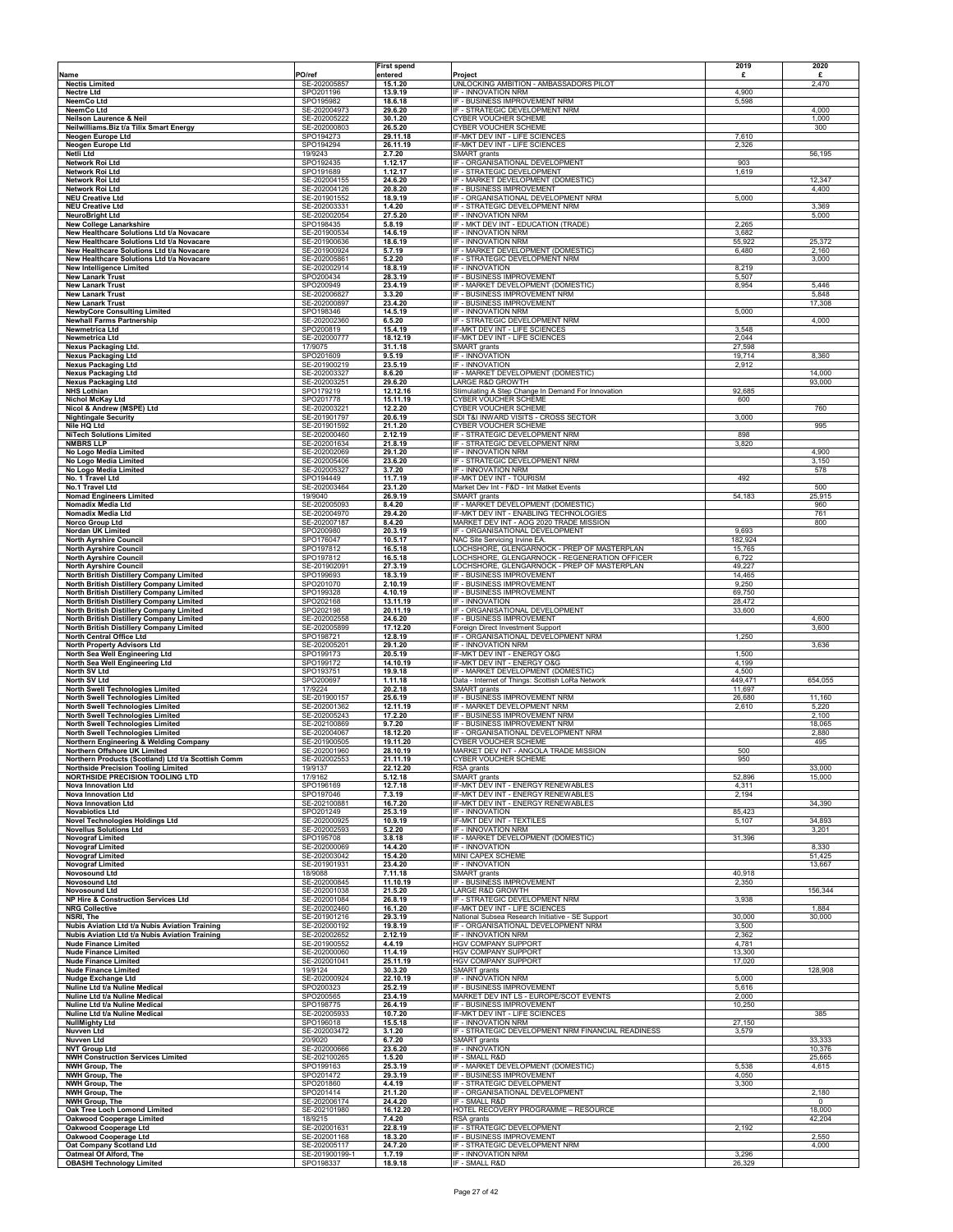|                                                                                                  |                              | <b>First spend</b>   |                                                                                         | 2019              | 2020                 |
|--------------------------------------------------------------------------------------------------|------------------------------|----------------------|-----------------------------------------------------------------------------------------|-------------------|----------------------|
| Name<br><b>Nectis Limited</b>                                                                    | PO/ref<br>SE-202005857       | entered<br>15.1.20   | Project<br>UNLOCKING AMBITION - AMBASSADORS PILOT                                       | £                 | £<br>2,470           |
| <b>Nectre Ltd</b><br><b>NeemCo Ltd</b>                                                           | SPO201196<br>SPO195982       | 13.9.19<br>18.6.18   | IF - INNOVATION NRM<br>IF - BUSINESS IMPROVEMENT NRM                                    | 4,900<br>5,598    |                      |
| <b>NeemCo Ltd</b>                                                                                | SE-202004973                 | 29.6.20              | IF - STRATEGIC DEVELOPMENT NRM                                                          |                   | 4,000                |
| Neilson Laurence & Neil<br>Neilwilliams. Biz t/a Tilix Smart Energy                              | SE-202005222<br>SE-202000803 | 30.1.20<br>26.5.20   | <b>CYBER VOUCHER SCHEME</b><br>CYBER VOUCHER SCHEME                                     |                   | 1,000<br>300         |
| Neogen Europe Ltd                                                                                | SPO194273<br>SPO194294       | 29.11.18             | IF-MKT DEV INT - LIFE SCIENCES                                                          | 7,610             |                      |
| <b>Neogen Europe Ltd</b><br>Netli Ltd                                                            | 19/9243                      | 26.11.19<br>2.7.20   | IF-MKT DEV INT - LIFE SCIENCES<br>SMART grants                                          | 2,326             | 56,195               |
| Network Roi Ltd<br>Network Roi Ltd                                                               | SPO192435<br>SPO191689       | 1.12.17<br>1.12.17   | IF - ORGANISATIONAL DEVELOPMENT<br>IF - STRATEGIC DEVELOPMENT                           | 903<br>1,619      |                      |
| Network Roi Ltd                                                                                  | SE-202004155                 | 24.6.20              | IF - MARKET DEVELOPMENT (DOMESTIC)                                                      |                   | 12,347               |
| Network Roi Ltd<br><b>NEU Creative Ltd</b>                                                       | SE-202004126<br>SE-201901552 | 20.8.20<br>18.9.19   | IF - BUSINESS IMPROVEMENT<br>IF - ORGANISATIONAL DEVELOPMENT NRM                        | 5,000             | 4,400                |
| <b>NEU Creative Ltd</b>                                                                          | SE-202003331                 | 1.4.20               | IF - STRATEGIC DEVELOPMENT NRM                                                          |                   | 3,369                |
| <b>NeuroBright Ltd</b><br><b>New College Lanarkshire</b>                                         | SE-202002054<br>SPO198435    | 27.5.20<br>5.8.19    | IF - INNOVATION NRM<br>IF - MKT DEV INT - EDUCATION (TRADE)                             | 2,265             | 5,000                |
| New Healthcare Solutions Ltd t/a Novacare<br>New Healthcare Solutions Ltd t/a Novacare           | SE-201900534<br>SE-201900636 | 14.6.19<br>18.6.19   | IF - INNOVATION NRM<br>IF - INNOVATION NRM                                              | 3,682<br>55,922   | 25,372               |
| New Healthcare Solutions Ltd t/a Novacare                                                        | SE-201900924                 | 5.7.19               | IF - MARKET DEVELOPMENT (DOMESTIC)                                                      | 6,480             | 2,160                |
| New Healthcare Solutions Ltd t/a Novacare<br><b>New Intelligence Limited</b>                     | SE-202005861<br>SE-202002914 | 5.2.20<br>18.8.19    | IF - STRATEGIC DEVELOPMENT NRM<br>IF - INNOVATION                                       | 8,219             | 3,000                |
| <b>New Lanark Trust</b>                                                                          | SPO200434                    | 28.3.19              | IF - BUSINESS IMPROVEMENT                                                               | 5,507             |                      |
| <b>New Lanark Trust</b><br><b>New Lanark Trust</b>                                               | SPO200949<br>SE-202006827    | 23.4.19<br>3.3.20    | IF - MARKET DEVELOPMENT (DOMESTIC)<br>IF - BUSINESS IMPROVEMENT NRM                     | 8,954             | 5,446<br>5,848       |
| <b>New Lanark Trust</b><br><b>NewbyCore Consulting Limited</b>                                   | SE-202000897<br>SPO198346    | 23.4.20<br>14.5.19   | IF - BUSINESS IMPROVEMENT<br>IF - INNOVATION NRM                                        | 5,000             | 17,308               |
| <b>Newhall Farms Partnership</b>                                                                 | SE-202002360                 | 6.5.20               | IF - STRATEGIC DEVELOPMENT NRM                                                          |                   | 4,000                |
| Newmetrica Ltd<br>Newmetrica Ltd                                                                 | SPO200819<br>SE-202000777    | 15.4.19<br>18.12.19  | IF-MKT DEV INT - LIFE SCIENCES<br>IF-MKT DEV INT - LIFE SCIENCES                        | 3,548<br>2,044    |                      |
| Nexus Packaging Ltd.                                                                             | 17/9075                      | 31.1.18              | SMART grants                                                                            | 27,598            |                      |
| <b>Nexus Packaging Ltd</b><br><b>Nexus Packaging Ltd</b>                                         | SPO201609<br>SE-201900219    | 9.5.19<br>23.5.19    | IF - INNOVATION<br>IF - INNOVATION                                                      | 19,714<br>2,912   | 8,360                |
| <b>Nexus Packaging Ltd</b>                                                                       | SE-202003327                 | 8.6.20               | IF - MARKET DEVELOPMENT (DOMESTIC)                                                      |                   | 14,000               |
| <b>Nexus Packaging Ltd</b><br><b>NHS Lothian</b>                                                 | SE-202003251<br>SPO179219    | 29.6.20<br>12.12.16  | LARGE R&D GROWTH<br>Stimulating A Step Change In Demand For Innovation                  | 92,685            | 93,000               |
| <b>Nichol McKay Ltd</b><br>Nicol & Andrew (MSPE) Ltd                                             | SPO201778<br>SE-202003221    | 15.11.19<br>12.2.20  | CYBER VOUCHER SCHEME<br>CYBER VOUCHER SCHEME                                            | 600               | 760                  |
| <b>Nightingale Security</b>                                                                      | SE-201901797                 | 20.6.19              | SDI T&I INWARD VISITS - CROSS SECTOR                                                    | 3,000             |                      |
| Nile HQ Ltd<br><b>NiTech Solutions Limited</b>                                                   | SE-201901592<br>SE-202000460 | 21.1.20<br>2.12.19   | CYBER VOUCHER SCHEME<br>IF - STRATEGIC DEVELOPMENT NRM                                  | 898               | 995                  |
| <b>NMBRS LLP</b>                                                                                 | SE-202001634                 | 21.8.19              | IF - STRATEGIC DEVELOPMENT NRM                                                          | 3,820             |                      |
| No Logo Media Limited<br>No Logo Media Limited                                                   | SE-202002069<br>SE-202005406 | 29.1.20<br>23.6.20   | IF - INNOVATION NRM<br>IF - STRATEGIC DEVELOPMENT NRM                                   |                   | 4,900<br>3,150       |
| No Logo Media Limited<br>No. 1 Travel Ltd                                                        | SE-202005327<br>SPO194449    | 3.7.20<br>11.7.19    | IF - INNOVATION NRM<br>IF-MKT DEV INT - TOURISM                                         | 492               | 578                  |
| No.1 Travel Ltd                                                                                  | SE-202003464                 | 23.1.20              | Market Dev Int - F&D - Int Matket Events                                                |                   | 500                  |
| <b>Nomad Engineers Limited</b><br>Nomadix Media Ltd                                              | 19/9040<br>SE-202005093      | 26.9.19<br>8.4.20    | SMART grants<br>IF - MARKET DEVELOPMENT (DOMESTIC)                                      | 54,183            | 25,915<br>960        |
| Nomadix Media Ltd                                                                                | SE-202004970                 | 29.4.20              | IF-MKT DEV INT - ENABLING TECHNOLOGIES                                                  |                   | 761                  |
| Norco Group Ltd<br>Nordan UK Limited                                                             | SE-202007187<br>SPO200980    | 8.4.20<br>20.3.19    | MARKET DEV INT - AOG 2020 TRADE MISSION<br>IF - ORGANISATIONAL DEVELOPMENT              | 9,693             | 800                  |
| <b>North Ayrshire Council</b><br><b>North Ayrshire Council</b>                                   | SPO176047<br>SPO197812       | 10.5.17<br>16.5.18   | NAC Site Servicing Irvine EA.<br>LOCHSHORE, GLENGARNOCK - PREP OF MASTERPLAN            | 182,924<br>15,765 |                      |
| <b>North Ayrshire Council</b>                                                                    | SPO197812                    | 16.5.18              | LOCHSHORE, GLENGARNOCK - REGENERATION OFFICER                                           | 6,722             |                      |
| <b>North Ayrshire Council</b><br>North British Distillery Company Limited                        | SE-201902091<br>SPO199693    | 27.3.19<br>18.3.19   | LOCHSHORE, GLENGARNOCK - PREP OF MASTERPLAN<br>IF - BUSINESS IMPROVEMENT                | 49,227<br>14,465  |                      |
| North British Distillery Company Limited                                                         | SPO201070                    | 2.10.19              | IF - BUSINESS IMPROVEMENT                                                               | 9,250             |                      |
| North British Distillery Company Limited<br>North British Distillery Company Limited             | SPO199328<br>SPO202168       | 4.10.19<br>13.11.19  | IF - BUSINESS IMPROVEMENT<br>IF - INNOVATION                                            | 69,750<br>28,472  |                      |
| North British Distillery Company Limited<br>North British Distillery Company Limited             | SPO202198<br>SE-202002558    | 20.11.19<br>24.6.20  | IF - ORGANISATIONAL DEVELOPMENT<br>IF - BUSINESS IMPROVEMENT                            | 33,600            | 4,600                |
| North British Distillery Company Limited                                                         | SE-202005899                 | 17.12.20             | Foreign Direct Investment Support                                                       |                   | 3,600                |
| North Central Office Ltd<br><b>North Property Advisors Ltd</b>                                   | SPO198721<br>SE-202005201    | 12.8.19<br>29.1.20   | IF - ORGANISATIONAL DEVELOPMENT NRM<br>IF - INNOVATION NRM                              | 1,250             | 3,636                |
| North Sea Well Engineering Ltd                                                                   | SPO199173                    | 20.5.19              | IF-MKT DEV INT - ENERGY O&G                                                             | 1,500             |                      |
| North Sea Well Engineering Ltd<br>North SV Ltd                                                   | SPO199172<br>SPO193751       | 14.10.19<br>19.9.18  | IF-MKT DEV INT - ENERGY O&G<br>IF - MARKET DEVELOPMENT (DOMESTIC)                       | 4,199<br>4,500    |                      |
| North SV Ltd                                                                                     | SPO200697                    | 1.11.18              | Data - Internet of Things: Scottish LoRa Network                                        | 449,471           | 654,055              |
| North Swell Technologies Limited<br><b>North Swell Technologies Limited</b>                      | 17/9224<br>SE-201900157      | 20.2.18<br>25.6.19   | SMART grants<br>IF - BUSINESS IMPROVEMENT NRM                                           | 11,697<br>26,680  | 11,160               |
| North Swell Technologies Limited<br>North Swell Technologies Limited                             | SE-202001362<br>SE-202005243 | 12.11.19<br>17.2.20  | IF - MARKET DEVELOPMENT NRM<br>IF - BUSINESS IMPROVEMENT NRM                            | 2,610             | 5,220<br>2,100       |
| North Swell Technologies Limited                                                                 | SE-202100869                 | 9.7.20               | IF - BUSINESS IMPROVEMENT NRM                                                           |                   | 18,065               |
| North Swell Technologies Limited<br>Northern Engineering & Welding Company                       | SE-202004067<br>SE-201900505 | 18.12.20<br>19.11.20 | IF - ORGANISATIONAL DEVELOPMENT NRM<br>CYBER VOUCHER SCHEME                             |                   | 2,880<br>495         |
| Northern Offshore UK Limited                                                                     | SE-202001960                 | 28.10.19             | MARKET DEV INT - ANGOLA TRADE MISSION                                                   | 500               |                      |
| Northern Products (Scotland) Ltd t/a Scottish Comm<br><b>Northside Precision Tooling Limited</b> | SE-202002553<br>19/9137      | 21.11.19<br>22.12.20 | CYBER VOUCHER SCHEME<br>RSA grants                                                      | 950               | 33,000               |
| NORTHSIDE PRECISION TOOLING LTD<br><b>Nova Innovation Ltd</b>                                    | 17/9162<br>SPO196169         | 5.12.18<br>12.7.18   | SMART grants<br>IF-MKT DEV INT - ENERGY RENEWABLES                                      | 52,896<br>4,311   | 15,000               |
| <b>Nova Innovation Ltd</b>                                                                       | SPO197046                    | 7.3.19               | IF-MKT DEV INT - ENERGY RENEWABLES                                                      | 2,194             |                      |
| <b>Nova Innovation Ltd</b><br><b>Novabiotics Ltd</b>                                             | SE-202100881<br>SPO201249    | 16.7.20<br>25.3.19   | IF-MKT DEV INT - ENERGY RENEWABLES<br>IF - INNOVATION                                   | 85,423            | 34,390               |
| <b>Novel Technologies Holdings Ltd</b>                                                           | SE-202000925                 | 10.9.19              | IF-MKT DEV INT - TEXTILES<br>IF - INNOVATION NRM                                        | 5,107             | 34,893               |
| <b>Novellus Solutions Ltd</b><br><b>Novograf Limited</b>                                         | SE-202002593<br>SPO195708    | 5.2.20<br>3.8.18     | IF - MARKET DEVELOPMENT (DOMESTIC)                                                      | 31,396            | 3,201                |
| <b>Novograf Limited</b><br><b>Novograf Limited</b>                                               | SE-202000069<br>SE-202003042 | 14.4.20<br>15.4.20   | IF - INNOVATION<br>MINI CAPEX SCHEME                                                    |                   | 8,330<br>51,425      |
| Novograf Limited                                                                                 | SE-201901931                 | 23.4.20              | IF - INNOVATION                                                                         |                   | 13,667               |
| <b>Novosound Ltd</b><br><b>Novosound Ltd</b>                                                     | 18/9088<br>SE-202000845      | 7.11.18<br>11.10.19  | SMART grants<br>IF - BUSINESS IMPROVEMENT                                               | 40,918<br>2,350   |                      |
| <b>Novosound Ltd</b><br>NP Hire & Construction Services Ltd                                      | SE-202001038<br>SE-202001084 | 21.5.20              | LARGE R&D GROWTH<br>IF - STRATEGIC DEVELOPMENT NRM                                      | 3,938             | 156,344              |
| <b>NRG Collective</b>                                                                            | SE-202002460                 | 26.8.19<br>16.1.20   | IF-MKT DEV INT - LIFE SCIENCES                                                          |                   | 1,884                |
| NSRI. The<br>Nubis Aviation Ltd t/a Nubis Aviation Training                                      | SE-201901216<br>SE-202000192 | 29.3.19<br>19.8.19   | National Subsea Research Initiative - SE Support<br>IF - ORGANISATIONAL DEVELOPMENT NRM | 30,000<br>3,500   | 30,000               |
| Nubis Aviation Ltd t/a Nubis Aviation Training                                                   | SE-202002652                 | 2.12.19              | IF - INNOVATION NRM                                                                     | 2.362             |                      |
| <b>Nude Finance Limited</b><br><b>Nude Finance Limited</b>                                       | SE-201900552<br>SE-202000060 | 4.4.19<br>11.4.19    | <b>HGV COMPANY SUPPORT</b><br><b>HGV COMPANY SUPPORT</b>                                | 4,781<br>13,300   |                      |
| <b>Nude Finance Limited</b><br><b>Nude Finance Limited</b>                                       | SE-202001041<br>19/9124      | 25.11.19<br>30.3.20  | HGV COMPANY SUPPORT<br>SMART grants                                                     | 17,020            | 128,908              |
| <b>Nudge Exchange Ltd</b>                                                                        | SE-202000924                 | 22.10.19             | IF - INNOVATION NRM                                                                     | 5,000             |                      |
| Nuline Ltd t/a Nuline Medical<br>Nuline Ltd t/a Nuline Medical                                   | SPO200323<br>SPO200565       | 25.2.19<br>23.4.19   | IF - BUSINESS IMPROVEMENT<br>MARKET DEV INT LS - EUROPE/SCOT EVENTS                     | 5,616<br>2,000    |                      |
| Nuline Ltd t/a Nuline Medical                                                                    | SPO198775                    | 26.4.19              | IF - BUSINESS IMPROVEMENT                                                               | 10,250            |                      |
| Nuline Ltd t/a Nuline Medical<br><b>NullMighty Ltd</b>                                           | SE-202005933<br>SPO196018    | 10.7.20<br>15.5.18   | IF-MKT DEV INT - LIFE SCIENCES<br>IF - INNOVATION NRM                                   | 27,150            | 385                  |
| <b>Nuvven Ltd</b><br><b>Nuvven Ltd</b>                                                           | SE-202003472<br>20/9020      | 3.1.20<br>6.7.20     | IF - STRATEGIC DEVELOPMENT NRM FINANCIAL READINESS<br>SMART grants                      | 3,579             | 33,333               |
| <b>NVT Group Ltd</b>                                                                             | SE-202000666                 | 23.6.20              | IF - INNOVATION                                                                         |                   | 10,376               |
| <b>NWH Construction Services Limited</b><br><b>NWH Group, The</b>                                | SE-202100265<br>SPO199163    | 1.5.20<br>25.3.19    | IF - SMALL R&D<br>IF - MARKET DEVELOPMENT (DOMESTIC)                                    | 5,538             | 25,665<br>4,615      |
| <b>NWH Group, The</b>                                                                            | SPO201472                    | 29.3.19              | IF - BUSINESS IMPROVEMENT                                                               | 4,050             |                      |
| <b>NWH Group, The</b><br><b>NWH Group, The</b>                                                   | SPO201860<br>SPO201414       | 4.4.19<br>21.1.20    | IF - STRATEGIC DEVELOPMENT<br>IF - ORGANISATIONAL DEVELOPMENT                           | 3,300             | 2,180                |
| <b>NWH Group, The</b><br>Oak Tree Loch Lomond Limited                                            | SE-202006174<br>SE-202101980 | 24.4.20<br>16.12.20  | IF - SMALL R&D<br>HOTEL RECOVERY PROGRAMME - RESOURCE                                   |                   | $^{\circ}$<br>18,000 |
| Oakwood Cooperage Limited                                                                        | 18/9215                      | 7.4.20               | RSA grants                                                                              |                   | 42,204               |
| Oakwood Cooperage Ltd<br>Oakwood Cooperage Ltd                                                   | SE-202001631<br>SE-202001168 | 22.8.19<br>18.3.20   | IF - STRATEGIC DEVELOPMENT<br>IF - BUSINESS IMPROVEMENT                                 | 2,192             | 2,550                |
| Oat Company Scotland Ltd                                                                         | SE-202005117                 | 24.7.20              | IF - STRATEGIC DEVELOPMENT NRM                                                          |                   | 4,000                |
| Oatmeal Of Alford, The<br><b>OBASHI Technology Limited</b>                                       | SE-201900199-1<br>SPO198337  | 1.7.19<br>18.9.18    | IF - INNOVATION NRM<br>IF - SMALL R&D                                                   | 3,296<br>26,329   |                      |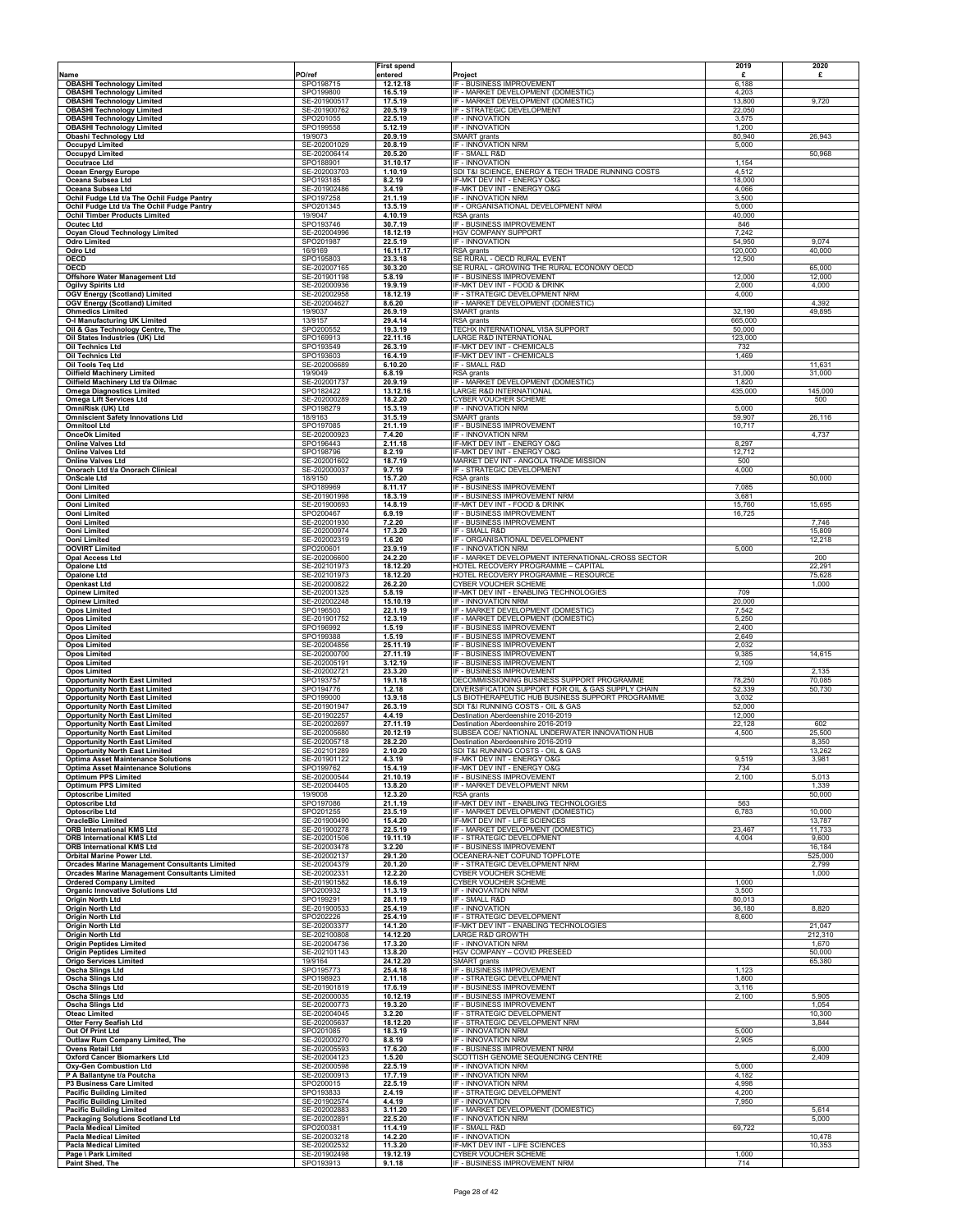|                                                                                        |                              | <b>First spend</b>  |                                                                                                  | 2019              | 2020              |
|----------------------------------------------------------------------------------------|------------------------------|---------------------|--------------------------------------------------------------------------------------------------|-------------------|-------------------|
| Name                                                                                   | PO/ref<br>SPO198715          | entered             | Project                                                                                          | £                 | £                 |
| <b>OBASHI Technology Limited</b><br><b>OBASHI Technology Limited</b>                   | SPO199800                    | 12.12.18<br>16.5.19 | IF - BUSINESS IMPROVEMENT<br>IF - MARKET DEVELOPMENT (DOMESTIC)                                  | 6,188<br>4,203    |                   |
| <b>OBASHI Technology Limited</b>                                                       | SE-201900517                 | 17.5.19             | IF - MARKET DEVELOPMENT (DOMESTIC)                                                               | 13,800            | 9,720             |
| <b>OBASHI Technology Limited</b><br><b>OBASHI Technology Limited</b>                   | SE-201900762<br>SPO201055    | 20.5.19<br>22.5.19  | IF - STRATEGIC DEVELOPMENT<br>IF - INNOVATION                                                    | 22,050<br>3,575   |                   |
| <b>OBASHI Technology Limited</b>                                                       | SPO199558                    | 5.12.19             | IF - INNOVATION                                                                                  | 1,200             |                   |
| Obashi Technology Ltd<br><b>Occupyd Limited</b>                                        | 19/9073<br>SE-202001029      | 20.9.19<br>20.8.19  | SMART grants<br>IF - INNOVATION NRM                                                              | 80,940<br>5,000   | 26,943            |
| <b>Occupyd Limited</b>                                                                 | SE-202006414                 | 20.5.20             | IF - SMALL R&D                                                                                   |                   | 50,968            |
| Occutrace Ltd<br><b>Ocean Energy Europe</b>                                            | SPO188901<br>SE-202003703    | 31.10.17<br>1.10.19 | IF - INNOVATION<br>SDI T&I SCIENCE, ENERGY & TECH TRADE RUNNING COSTS                            | 1,154<br>4,512    |                   |
| Oceana Subsea Ltd                                                                      | SPO193185                    | 8.2.19              | IF-MKT DEV INT - ENERGY O&G                                                                      | 18,000            |                   |
| Oceana Subsea Ltd<br>Ochil Fudge Ltd t/a The Ochil Fudge Pantry                        | SE-201902486<br>SPO197258    | 3.4.19<br>21.1.19   | IF-MKT DEV INT - ENERGY O&G<br>IF - INNOVATION NRM                                               | 4,066<br>3,500    |                   |
| Ochil Fudge Ltd t/a The Ochil Fudge Pantry                                             | SPO201345                    | 13.5.19             | IF - ORGANISATIONAL DEVELOPMENT NRM                                                              | 5,000             |                   |
| <b>Ochil Timber Products Limited</b><br>Ocutec Ltd                                     | 19/9047<br>SPO193746         | 4.10.19<br>30.7.19  | RSA grants<br>IF - BUSINESS IMPROVEMENT                                                          | 40,000<br>846     |                   |
| <b>Ocyan Cloud Technology Limited</b>                                                  | SE-202004996                 | 18.12.19            | HGV COMPANY SUPPORT                                                                              | 7,242             |                   |
| <b>Odro Limited</b><br>Odro Ltd                                                        | SPO201987<br>16/9169         | 22.5.19<br>16.11.17 | IF - INNOVATION<br>RSA grants                                                                    | 54,950<br>120,000 | 9,074<br>40,000   |
| OECD                                                                                   | SPO195803                    | 23.3.18             | SE RURAL - OECD RURAL EVENT                                                                      | 12,500            |                   |
| <b>OECD</b><br>Offshore Water Management Ltd                                           | SE-202007165<br>SE-201901198 | 30.3.20<br>5.8.19   | SE RURAL - GROWING THE RURAL ECONOMY OECD<br>IF - BUSINESS IMPROVEMENT                           | 12,000            | 65,000<br>12,000  |
| <b>Ogilvy Spirits Ltd</b>                                                              | SE-202000936                 | 19.9.19             | IF-MKT DEV INT - FOOD & DRINK                                                                    | 2,000             | 4,000             |
| OGV Energy (Scotland) Limited<br>OGV Energy (Scotland) Limited                         | SE-202002958<br>SE-202004627 | 18.12.19<br>8.6.20  | IF - STRATEGIC DEVELOPMENT NRM<br>IF - MARKET DEVELOPMENT (DOMESTIC)                             | 4,000             | 4,392             |
| <b>Ohmedics Limited</b>                                                                | 19/9037                      | 26.9.19             | SMART grants                                                                                     | 32,190            | 49,895            |
| O-I Manufacturing UK Limited<br>Oil & Gas Technology Centre, The                       | 13/9157<br>SPO200552         | 29.4.14<br>19.3.19  | RSA grants<br>TECHX INTERNATIONAL VISA SUPPORT                                                   | 665,000<br>50,000 |                   |
| Oil States Industries (UK) Ltd                                                         | SPO169913                    | 22.11.16            | LARGE R&D INTERNATIONAL                                                                          | 123,000           |                   |
| <b>Oil Technics Ltd</b><br><b>Oil Technics Ltd</b>                                     | SPO193549<br>SPO193603       | 26.3.19<br>16.4.19  | IF-MKT DEV INT - CHEMICALS<br>IF-MKT DEV INT - CHEMICALS                                         | 732<br>1,469      |                   |
| Oil Tools Teq Ltd                                                                      | SE-202006689                 | 6.10.20             | IF - SMALL R&D                                                                                   |                   | 11,631            |
| <b>Oilfield Machinery Limited</b>                                                      | 19/9049<br>SE-202001737      | 6.8.19              | RSA grants<br>IF - MARKET DEVELOPMENT (DOMESTIC)                                                 | 31,000<br>1,820   | 31,000            |
| Oilfield Machinery Ltd t/a Oilmac<br><b>Omega Diagnostics Limited</b>                  | SPO182422                    | 20.9.19<br>13.12.16 | LARGE R&D INTERNATIONAL                                                                          | 435,000           | 145,000           |
| <b>Omega Lift Services Ltd</b><br>OmniRisk (UK) Ltd                                    | SE-202000289<br>SPO198279    | 18.2.20<br>15.3.19  | CYBER VOUCHER SCHEME<br>IF - INNOVATION NRM                                                      | 5,000             | 500               |
| <b>Omniscient Safety Innovations Ltd</b>                                               | 18/9163                      | 31.5.19             | SMART grants                                                                                     | 59,907            | 26,116            |
| <b>Omnitool Ltd</b><br><b>OnceOk Limited</b>                                           | SPO197085<br>SE-202000923    | 21.1.19<br>7.4.20   | IF - BUSINESS IMPROVEMENT<br>IF - INNOVATION NRM                                                 | 10,717            | 4,737             |
| <b>Online Valves Ltd</b>                                                               | SPO196443                    | 2.11.18             | IF-MKT DEV INT - ENERGY O&G                                                                      | 8,297             |                   |
| <b>Online Valves Ltd</b><br><b>Online Valves Ltd</b>                                   | SPO198796<br>SE-202001602    | 8.2.19<br>18.7.19   | IF-MKT DEV INT - ENERGY O&G<br>MARKET DEV INT - ANGOLA TRADE MISSION                             | 12,712<br>500     |                   |
| Onorach Ltd t/a Onorach Clinical                                                       | SE-202000037                 | 9.7.19              | IF - STRATEGIC DEVELOPMENT                                                                       | 4,000             |                   |
| <b>OnScale Ltd</b><br>Ooni Limited                                                     | 18/9150<br>SPO189969         | 15.7.20<br>8.11.17  | RSA grants<br>IF - BUSINESS IMPROVEMENT                                                          | 7,085             | 50,000            |
| Ooni Limited<br><b>Ooni Limited</b>                                                    | SE-201901998                 | 18.3.19             | IF - BUSINESS IMPROVEMENT NRM                                                                    | 3,681             |                   |
| Ooni Limited                                                                           | SE-201900693<br>SPO200467    | 14.8.19<br>6.9.19   | IF-MKT DEV INT - FOOD & DRINK<br>IF - BUSINESS IMPROVEMENT                                       | 15,760<br>16,725  | 15,695            |
| Ooni Limited<br>Ooni Limited                                                           | SE-202001930<br>SE-202000974 | 7.2.20<br>17.3.20   | IF - BUSINESS IMPROVEMENT<br>IF - SMALL R&D                                                      |                   | 7,746<br>15,809   |
| Ooni Limited                                                                           | SE-202002319                 | 1.6.20              | IF - ORGANISATIONAL DEVELOPMENT                                                                  |                   | 12,218            |
| <b>OOVIRT Limited</b><br><b>Opal Access Ltd</b>                                        | SPO200601<br>SE-202006600    | 23.9.19<br>24.2.20  | IF - INNOVATION NRM<br>IF - MARKET DEVELOPMENT INTERNATIONAL-CROSS SECTOR                        | 5,000             | 200               |
| <b>Opalone Ltd</b>                                                                     | SE-202101973                 | 18.12.20            | HOTEL RECOVERY PROGRAMME - CAPITAL                                                               |                   | 22,291            |
| <b>Opalone Ltd</b><br><b>Openkast Ltd</b>                                              | SE-202101973<br>SE-202000822 | 18.12.20<br>26.2.20 | HOTEL RECOVERY PROGRAMME - RESOURCE<br>CYBER VOUCHER SCHEME                                      |                   | 75,628<br>1,000   |
| <b>Opinew Limited</b>                                                                  | SE-202001325                 | 5.8.19              | IF-MKT DEV INT - ENABLING TECHNOLOGIES                                                           | 709               |                   |
| <b>Opinew Limited</b><br><b>Opos Limited</b>                                           | SE-202002248<br>SPO196503    | 15.10.19<br>22.1.19 | IF - INNOVATION NRM<br>IF - MARKET DEVELOPMENT (DOMESTIC)                                        | 20,000<br>7,542   |                   |
| <b>Opos Limited</b>                                                                    | SE-201901752                 | 12.3.19             | IF - MARKET DEVELOPMENT (DOMESTIC)                                                               | 5,250             |                   |
| <b>Opos Limited</b><br><b>Opos Limited</b>                                             | SPO196992<br>SPO199388       | 1.5.19<br>1.5.19    | IF - BUSINESS IMPROVEMENT<br>IF - BUSINESS IMPROVEMENT                                           | 2,400<br>2,649    |                   |
| <b>Opos Limited</b>                                                                    | SE-202004856                 | 25.11.19            | IF - BUSINESS IMPROVEMENT                                                                        | 2,032             |                   |
| <b>Opos Limited</b><br><b>Opos Limited</b>                                             | SE-202000700<br>SE-202005191 | 27.11.19<br>3.12.19 | IF - BUSINESS IMPROVEMENT<br>IF - BUSINESS IMPROVEMENT                                           | 9,385<br>2,109    | 14,615            |
| <b>Opos Limited</b>                                                                    | SE-202002721                 | 23.3.20             | IF - BUSINESS IMPROVEMENT                                                                        |                   | 2,135             |
| <b>Opportunity North East Limited</b><br><b>Opportunity North East Limited</b>         | SPO193757<br>SPO194776       | 19.1.18<br>1.2.18   | DECOMMISSIONING BUSINESS SUPPORT PROGRAMME<br>DIVERSIFICATION SUPPORT FOR OIL & GAS SUPPLY CHAIN | 78,250<br>52,339  | 70,085<br>50,730  |
| <b>Opportunity North East Limited</b>                                                  | SPO199000                    | 13.9.18             | LS BIOTHERAPEUTIC HUB BUSINESS SUPPORT PROGRAMME                                                 | 3,032             |                   |
| <b>Opportunity North East Limited</b><br><b>Opportunity North East Limited</b>         | SE-201901947<br>SE-201902257 | 26.3.19<br>4.4.19   | SDI T&I RUNNING COSTS - OIL & GAS<br>Destination Aberdeenshire 2016-2019                         | 52,000<br>12,000  |                   |
| <b>Opportunity North East Limited</b>                                                  | SE-202002697                 | 27.11.19            | Destination Aberdeenshire 2016-2019                                                              | 22,128            | 602               |
| <b>Opportunity North East Limited</b><br><b>Opportunity North East Limited</b>         | SE-202005680<br>SE-202005718 | 20.12.19<br>28.2.20 | SUBSEA COE/ NATIONAL UNDERWATER INNOVATION HUB<br>Destination Aberdeenshire 2016-2019            | 4,500             | 25,500<br>8,350   |
| <b>Opportunity North East Limited</b>                                                  | SE-202101289<br>SE-201901122 | 2.10.20<br>4.3.19   | SDI T&I RUNNING COSTS - OIL & GAS<br>IF-MKT DEV INT - ENERGY O&G                                 | 9,519             | 13,262<br>3,981   |
| <b>Optima Asset Maintenance Solutions</b><br><b>Optima Asset Maintenance Solutions</b> | SPO199762                    | 15.4.19             | IF-MKT DEV INT - ENERGY O&G                                                                      | 734               |                   |
| <b>Optimum PPS Limited</b><br><b>Optimum PPS Limited</b>                               | SE-202000544<br>SE-202004405 | 21.10.19<br>13.8.20 | IF - BUSINESS IMPROVEMENT<br>IF - MARKET DEVELOPMENT NRM                                         | 2,100             | 5,013             |
| <b>Optoscribe Limited</b>                                                              | 19/9008                      | 12.3.20             | RSA grants                                                                                       |                   | 1,339<br>50,000   |
| <b>Optoscribe Ltd</b><br><b>Optoscribe Ltd</b>                                         | SPO197086<br>SPO201255       | 21.1.19<br>23.5.19  | IF-MKT DEV INT - ENABLING TECHNOLOGIES<br>IF - MARKET DEVELOPMENT (DOMESTIC)                     | 563<br>6,783      | 10,000            |
| <b>OracleBio Limited</b>                                                               | SE-201900490                 | 15.4.20             | IF-MKT DEV INT - LIFE SCIENCES                                                                   |                   | 13,787            |
| <b>ORB International KMS Ltd</b><br><b>ORB International KMS Ltd</b>                   | SE-201900278<br>SE-202001506 | 22.5.19<br>19.11.19 | IF - MARKET DEVELOPMENT (DOMESTIC)<br>IF - STRATEGIC DEVELOPMENT                                 | 23,467<br>4,004   | 11,733<br>9,600   |
| <b>ORB International KMS Ltd</b>                                                       | SE-202003478                 | 3.2.20              | IF - BUSINESS IMPROVEMENT                                                                        |                   | 16,184            |
| Orbital Marine Power Ltd.<br><b>Orcades Marine Management Consultants Limited</b>      | SE-202002137<br>SE-202004379 | 29.1.20<br>20.1.20  | OCEANERA-NET COFUND TOPFLOTE<br>IF - STRATEGIC DEVELOPMENT NRM                                   |                   | 525,000<br>2,799  |
| <b>Orcades Marine Management Consultants Limited</b>                                   | SE-202002331                 | 12.2.20             | CYBER VOUCHER SCHEME                                                                             |                   | 1,000             |
| <b>Ordered Company Limited</b><br><b>Organic Innovative Solutions Ltd</b>              | SE-201901582<br>SPO200932    | 18.6.19<br>11.3.19  | CYBER VOUCHER SCHEME<br>IF - INNOVATION NRM                                                      | 1,000<br>3,500    |                   |
| <b>Origin North Ltd</b><br><b>Origin North Ltd</b>                                     | SPO199291<br>SE-201900533    | 28.1.19<br>25.4.19  | IF - SMALL R&D<br>IF - INNOVATION                                                                | 80,013<br>36,180  | 8,820             |
| Origin North Ltd                                                                       | SPO202226                    | 25.4.19             | IF - STRATEGIC DEVELOPMENT                                                                       | 8,600             |                   |
| <b>Origin North Ltd</b><br><b>Origin North Ltd</b>                                     | SE-202003377<br>SE-202100808 | 14.1.20<br>14.12.20 | IF-MKT DEV INT - ENABLING TECHNOLOGIES<br>LARGE R&D GROWTH                                       |                   | 21,047<br>212,310 |
| <b>Origin Peptides Limited</b>                                                         | SE-202004736                 | 17.3.20             | IF - INNOVATION NRM                                                                              |                   | 1,670             |
| <b>Origin Peptides Limited</b><br><b>Origo Services Limited</b>                        | SE-202101143<br>19/9164      | 13.8.20<br>24.12.20 | HGV COMPANY - COVID PRESEED<br>SMART grants                                                      |                   | 50,000<br>65,380  |
| <b>Oscha Slings Ltd</b>                                                                | SPO195773                    | 25.4.18             | IF - BUSINESS IMPROVEMENT                                                                        | 1,123             |                   |
| <b>Oscha Slings Ltd</b><br><b>Oscha Slings Ltd</b>                                     | SPO198923<br>SE-201901819    | 2.11.18<br>17.6.19  | IF - STRATEGIC DEVELOPMENT<br>IF - BUSINESS IMPROVEMENT                                          | 1,800<br>3,116    |                   |
| <b>Oscha Slings Ltd</b>                                                                | SE-202000035                 | 10.12.19            | IF - BUSINESS IMPROVEMENT                                                                        | 2,100             | 5,905             |
| <b>Oscha Slings Ltd</b><br><b>Oteac Limited</b>                                        | SE-202000773<br>SE-202004045 | 19.3.20<br>3.2.20   | IF - BUSINESS IMPROVEMENT<br>IF - STRATEGIC DEVELOPMENT                                          |                   | 1,054<br>10,300   |
| Otter Ferry Seafish Ltd                                                                | SE-202005637                 | 18.12.20            | IF - STRATEGIC DEVELOPMENT NRM<br>IF - INNOVATION NRM                                            | 5,000             | 3,844             |
| Out Of Print Ltd<br>Outlaw Rum Company Limited, The                                    | SPO201085<br>SE-202000270    | 18.3.19<br>8.8.19   | IF - INNOVATION NRM                                                                              | 2,905             |                   |
| Ovens Retail Ltd<br><b>Oxford Cancer Biomarkers Ltd</b>                                | SE-202005593                 | 17.6.20             | IF - BUSINESS IMPROVEMENT NRM<br>SCOTTISH GENOME SEQUENCING CENTRE                               |                   | 6,000<br>2,409    |
| <b>Oxy-Gen Combustion Ltd</b>                                                          | SE-202004123<br>SE-202000598 | 1.5.20<br>22.5.19   | IF - INNOVATION NRM                                                                              | 5,000             |                   |
| P A Ballantyne t/a Poutcha<br>P3 Business Care Limited                                 | SE-202000913<br>SPO200015    | 17.7.19<br>22.5.19  | IF - INNOVATION NRM<br>IF - INNOVATION NRM                                                       | 4,182<br>4,998    |                   |
| <b>Pacific Building Limited</b>                                                        | SPO193833                    | 2.4.19              | IF - STRATEGIC DEVELOPMENT                                                                       | 4,200             |                   |
| <b>Pacific Building Limited</b><br><b>Pacific Building Limited</b>                     | SE-201902574<br>SE-202002883 | 4.4.19<br>3.11.20   | IF - INNOVATION<br>IF - MARKET DEVELOPMENT (DOMESTIC)                                            | 7,950             | 5,614             |
| <b>Packaging Solutions Scotland Ltd</b>                                                | SE-202002891                 | 22.5.20             | IF - INNOVATION NRM                                                                              |                   | 5,000             |
| <b>Pacla Medical Limited</b><br><b>Pacla Medical Limited</b>                           | SPO200381<br>SE-202003218    | 11.4.19<br>14.2.20  | IF - SMALL R&D<br>IF - INNOVATION                                                                | 69,722            | 10,478            |
| <b>Pacla Medical Limited</b>                                                           | SE-202002532                 | 11.3.20             | IF-MKT DEV INT - LIFE SCIENCES                                                                   |                   | 10,353            |
| Page \ Park Limited<br>Paint Shed, The                                                 | SE-201902498<br>SPO193913    | 19.12.19<br>9.1.18  | CYBER VOUCHER SCHEME<br>IF - BUSINESS IMPROVEMENT NRM                                            | 1,000<br>714      |                   |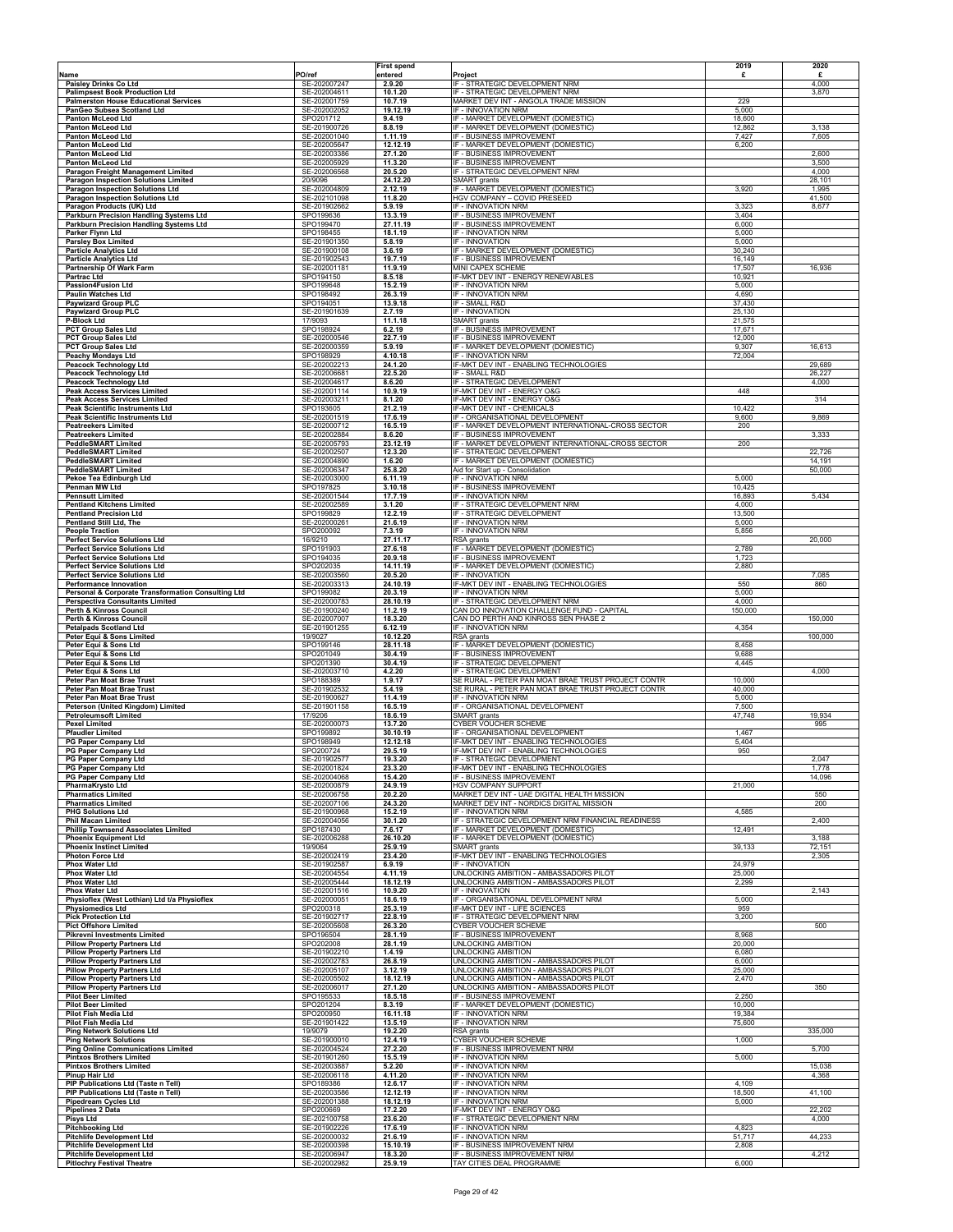|                                                                              |                              | First spend          |                                                                                       | 2019             | 2020             |
|------------------------------------------------------------------------------|------------------------------|----------------------|---------------------------------------------------------------------------------------|------------------|------------------|
| Name                                                                         | PO/ref                       | entered              | Project                                                                               | £                | £                |
| Paisley Drinks Co Ltd<br><b>Palimpsest Book Production Ltd</b>               | SE-202007247<br>SE-202004611 | 2.9.20<br>10.1.20    | IF - STRATEGIC DEVELOPMENT NRM<br>IF - STRATEGIC DEVELOPMENT NRM                      |                  | 4,000<br>3,870   |
| <b>Palmerston House Educational Services</b>                                 | SE-202001759                 | 10.7.19              | MARKET DEV INT - ANGOLA TRADE MISSION                                                 | 229              |                  |
| PanGeo Subsea Scotland Ltd                                                   | SE-202002052                 | 19.12.19             | IF - INNOVATION NRM                                                                   | 5,000            |                  |
| <b>Panton McLeod Ltd</b>                                                     | SPO201712                    | 9.4.19               | IF - MARKET DEVELOPMENT (DOMESTIC)                                                    | 18,600           |                  |
| Panton McLeod Ltd<br><b>Panton McLeod Ltd</b>                                | SE-201900726<br>SE-202001040 | 8.8.19<br>1.11.19    | IF - MARKET DEVELOPMENT (DOMESTIC)<br>IF - BUSINESS IMPROVEMENT                       | 12,862<br>7,427  | 3,138<br>7,605   |
| <b>Panton McLeod Ltd</b>                                                     | SE-202005647                 | 12.12.19             | IF - MARKET DEVELOPMENT (DOMESTIC)                                                    | 6,200            |                  |
| <b>Panton McLeod Ltd</b>                                                     | SE-202003386                 | 27.1.20              | IF - BUSINESS IMPROVEMENT                                                             |                  | 2,600            |
| Panton McLeod Ltd<br><b>Paragon Freight Management Limited</b>               | SE-202005929<br>SE-202006568 | 11.3.20<br>20.5.20   | IF - BUSINESS IMPROVEMENT<br>IF - STRATEGIC DEVELOPMENT NRM                           |                  | 3,500<br>4,000   |
| <b>Paragon Inspection Solutions Limited</b>                                  | 20/9096                      | 24.12.20             | SMART grants                                                                          |                  | 28,101           |
| <b>Paragon Inspection Solutions Ltd</b>                                      | SE-202004809                 | 2.12.19              | IF - MARKET DEVELOPMENT (DOMESTIC)                                                    | 3,920            | 1,995            |
| <b>Paragon Inspection Solutions Ltd</b><br>Paragon Products (UK) Ltd         | SE-202101098<br>SE-201902662 | 11.8.20<br>5.9.19    | HGV COMPANY - COVID PRESEED<br>IF - INNOVATION NRM                                    | 3,323            | 41,500<br>8,677  |
| Parkburn Precision Handling Systems Ltd                                      | SPO199636                    | 13.3.19              | <b>IF - BUSINESS IMPROVEMENT</b>                                                      | 3,404            |                  |
| Parkburn Precision Handling Systems Ltd                                      | SPO199470                    | 27.11.19             | IF - BUSINESS IMPROVEMENT                                                             | 6,000            |                  |
| Parker Flynn Ltd                                                             | SPO198455<br>SE-201901350    | 18.1.19              | IF - INNOVATION NRM<br>IF - INNOVATION                                                | 5,000<br>5,000   |                  |
| <b>Parsley Box Limited</b><br><b>Particle Analytics Ltd</b>                  | SE-201900108                 | 5.8.19<br>3.6.19     | IF - MARKET DEVELOPMENT (DOMESTIC)                                                    | 30,240           |                  |
| <b>Particle Analytics Ltd</b>                                                | SE-201902543                 | 19.7.19              | IF - BUSINESS IMPROVEMENT                                                             | 16,149           |                  |
| <b>Partnership Of Wark Farm</b><br>Partrac Ltd                               | SE-202001181                 | 11.9.19              | MINI CAPEX SCHEME<br>IF-MKT DEV INT - ENERGY RENEWABLES                               | 17,507           | 16,936           |
| <b>Passion4Fusion Ltd</b>                                                    | SPO194150<br>SPO199648       | 8.5.18<br>15.2.19    | IF - INNOVATION NRM                                                                   | 10,921<br>5,000  |                  |
| <b>Paulin Watches Ltd</b>                                                    | SPO198492                    | 26.3.19              | IF - INNOVATION NRM                                                                   | 4,690            |                  |
| <b>Paywizard Group PLC</b><br><b>Paywizard Group PLC</b>                     | SPO194051<br>SE-201901639    | 13.9.18<br>2.7.19    | IF - SMALL R&D<br>IF - INNOVATION                                                     | 37,430<br>25,130 |                  |
| <b>P-Block Ltd</b>                                                           | 17/9093                      | 11.1.18              | SMART grants                                                                          | 21,575           |                  |
| <b>PCT Group Sales Ltd</b>                                                   | SPO198924                    | 6.2.19               | IF - BUSINESS IMPROVEMENT                                                             | 17,671           |                  |
| <b>PCT Group Sales Ltd</b>                                                   | SE-202000546                 | 22.7.19              | IF - BUSINESS IMPROVEMENT<br>IF - MARKET DEVELOPMENT (DOMESTIC)                       | 12,000<br>9,307  | 16,613           |
| PCT Group Sales Ltd<br><b>Peachy Mondays Ltd</b>                             | SE-202000359<br>SPO198929    | 5.9.19<br>4.10.18    | IF - INNOVATION NRM                                                                   | 72,004           |                  |
| Peacock Technology Ltd                                                       | SE-202002213                 | 24.1.20              | IF-MKT DEV INT - ENABLING TECHNOLOGIES                                                |                  | 29,689           |
| <b>Peacock Technology Ltd</b>                                                | SE-202006681                 | 22.5.20              | IF - SMALL R&D                                                                        |                  | 26,227           |
| <b>Peacock Technology Ltd</b><br><b>Peak Access Services Limited</b>         | SE-202004617<br>SE-202001114 | 8.6.20<br>10.9.19    | IF - STRATEGIC DEVELOPMENT<br>IF-MKT DEV INT - ENERGY O&G                             | 448              | 4,000            |
| <b>Peak Access Services Limited</b>                                          | SE-202003211                 | 8.1.20               | IF-MKT DEV INT - ENERGY O&G                                                           |                  | 314              |
| <b>Peak Scientific Instruments Ltd</b>                                       | SPO193605                    | 21.2.19              | IF-MKT DEV INT - CHEMICALS                                                            | 10,422           |                  |
| Peak Scientific Instruments Ltd<br><b>Peatreekers Limited</b>                | SE-202001519<br>SE-202000712 | 17.6.19<br>16.5.19   | IF - ORGANISATIONAL DEVELOPMENT<br>IF - MARKET DEVELOPMENT INTERNATIONAL-CROSS SECTOR | 9,600<br>200     | 9,869            |
| <b>Peatreekers Limited</b>                                                   | SE-202002884                 | 8.6.20               | IF - BUSINESS IMPROVEMENT                                                             |                  | 3,333            |
| <b>PeddleSMART Limited</b>                                                   | SE-202005793                 | 23.12.19             | IF - MARKET DEVELOPMENT INTERNATIONAL-CROSS SECTOR                                    | 200              |                  |
| <b>PeddleSMART Limited</b><br><b>PeddleSMART Limited</b>                     | SE-202002507<br>SE-202004890 | 12.3.20<br>1.6.20    | IF - STRATEGIC DEVELOPMENT<br>IF - MARKET DEVELOPMENT (DOMESTIC)                      |                  | 22,726<br>14,191 |
| <b>PeddleSMART Limited</b>                                                   | SE-202006347                 | 25.8.20              | Aid for Start up - Consolidation                                                      |                  | 50,000           |
| Pekoe Tea Edinburgh Ltd                                                      | SE-202003000                 | 6.11.19              | IF - INNOVATION NRM                                                                   | 5,000            |                  |
| Penman MW Ltd<br><b>Pennsutt Limited</b>                                     | SPO197825<br>SE-202001544    | 3.10.18<br>17.7.19   | IF - BUSINESS IMPROVEMENT<br>IF - INNOVATION NRM                                      | 10,425<br>16,893 | 5,434            |
| <b>Pentland Kitchens Limited</b>                                             | SE-202002589                 | 3.1.20               | IF - STRATEGIC DEVELOPMENT NRM                                                        | 4,000            |                  |
| <b>Pentland Precision Ltd</b>                                                | SPO199829                    | 12.2.19              | IF - STRATEGIC DEVELOPMENT                                                            | 13,500           |                  |
| Pentland Still Ltd, The<br><b>People Traction</b>                            | SE-202000261<br>SPO200092    | 21.6.19<br>7.3.19    | IF - INNOVATION NRM<br>IF - INNOVATION NRM                                            | 5,000<br>5,856   |                  |
| <b>Perfect Service Solutions Ltd</b>                                         | 16/9210                      | 27.11.17             | RSA grants                                                                            |                  | 20,000           |
| <b>Perfect Service Solutions Ltd</b>                                         | SPO191903                    | 27.6.18              | IF - MARKET DEVELOPMENT (DOMESTIC)                                                    | 2,789            |                  |
| <b>Perfect Service Solutions Ltd</b>                                         | SPO194035                    | 20.9.18              | IF - BUSINESS IMPROVEMENT<br>IF - MARKET DEVELOPMENT (DOMESTIC)                       | 1,723            |                  |
| <b>Perfect Service Solutions Ltd</b><br><b>Perfect Service Solutions Ltd</b> | SPO202035<br>SE-202003560    | 14.11.19<br>20.5.20  | IF - INNOVATION                                                                       | 2,880            | 7,085            |
| <b>Performance Innovation</b>                                                | SE-202003313                 | 24.10.19             | IF-MKT DEV INT - ENABLING TECHNOLOGIES                                                | 550              | 860              |
| <b>Personal &amp; Corporate Transformation Consulting Ltd</b>                | SPO199082                    | 20.3.19              | IF - INNOVATION NRM                                                                   | 5,000            |                  |
| <b>Perspectiva Consultants Limited</b><br>Perth & Kinross Council            | SE-202000783<br>SE-201900240 | 28.10.19<br>11.2.19  | IF - STRATEGIC DEVELOPMENT NRM<br>CAN DO INNOVATION CHALLENGE FUND - CAPITAL          | 4,000<br>150,000 |                  |
| Perth & Kinross Council                                                      | SE-202007007                 | 18.3.20              | CAN DO PERTH AND KINROSS SEN PHASE 2                                                  |                  | 150,000          |
| <b>Petalpads Scotland Ltd</b>                                                | SE-201901255                 | 6.12.19              | IF - INNOVATION NRM                                                                   | 4,354            |                  |
| Peter Equi & Sons Limited<br>Peter Equi & Sons Ltd                           | 19/9027<br>SPO199146         | 10.12.20<br>28.11.18 | RSA grants<br>IF - MARKET DEVELOPMENT (DOMESTIC)                                      | 8,458            | 100,000          |
| Peter Equi & Sons Ltd                                                        | SPO201049                    | 30.4.19              | IF - BUSINESS IMPROVEMENT                                                             | 9,688            |                  |
| Peter Equi & Sons Ltd                                                        | SPO201390                    | 30.4.19              | IF - STRATEGIC DEVELOPMENT                                                            | 4,445            |                  |
| Peter Equi & Sons Ltd<br>Peter Pan Moat Brae Trust                           | SE-202003710<br>SPO188389    | 4.2.20<br>1.9.17     | IF - STRATEGIC DEVELOPMENT<br>SE RURAL - PETER PAN MOAT BRAE TRUST PROJECT CONTR      | 10,000           | 4,000            |
| Peter Pan Moat Brae Trust                                                    | SE-201902532                 | 5.4.19               | SE RURAL - PETER PAN MOAT BRAE TRUST PROJECT CONTR                                    | 40,000           |                  |
| Peter Pan Moat Brae Trust                                                    | SE-201900627                 | 11.4.19              | IF - INNOVATION NRM                                                                   | 5,000            |                  |
| Peterson (United Kingdom) Limited<br><b>Petroleumsoft Limited</b>            | SE-201901158<br>17/9206      | 16.5.19<br>18.6.19   | IF - ORGANISATIONAL DEVELOPMENT<br>SMART grants                                       | 7,500<br>47,748  | 19,934           |
| <b>Pexel Limited</b>                                                         | SE-202000073                 | 13.7.20              | CYBER VOUCHER SCHEME                                                                  |                  | 995              |
| <b>Pfaudler Limited</b>                                                      | SPO199892                    | 30.10.19             | IF - ORGANISATIONAL DEVELOPMENT                                                       | 1,467            |                  |
| PG Paper Company Ltd<br><b>PG Paper Company Ltd</b>                          | SPO198949<br>SPO200724       | 12.12.18<br>29.5.19  | IF-MKT DEV INT - ENABLING TECHNOLOGIES<br>IF-MKT DEV INT - ENABLING TECHNOLOGIES      | 5,404<br>950     |                  |
| PG Paper Company Ltd                                                         | SE-201902577                 | 19.3.20              | <b>F - STRATEGIC DEVELOPMENT</b>                                                      |                  | 2,047            |
| PG Paper Company Ltd                                                         | SE-202001824                 | 23.3.20              | IF-MKT DEV INT - ENABLING TECHNOLOGIES                                                |                  | 1,778            |
| PG Paper Company Ltd<br>PharmaKrysto Ltd                                     | SE-202004068<br>SE-202000879 | 15.4.20<br>24.9.19   | IF - BUSINESS IMPROVEMENT<br>HGV COMPANY SUPPORT                                      | 21,000           | 14,096           |
| <b>Pharmatics Limited</b>                                                    | SE-202006758                 | 20.2.20              | MARKET DEV INT - UAE DIGITAL HEALTH MISSION                                           |                  | 550              |
| <b>Pharmatics Limited</b>                                                    | SE-202007106                 | 24.3.20              | MARKET DEV INT - NORDICS DIGITAL MISSION                                              |                  | 200              |
| <b>PHG Solutions Ltd</b><br><b>Phil Macan Limited</b>                        | SE-201900968<br>SE-202004056 | 15.2.19<br>30.1.20   | IF - INNOVATION NRM<br>IF - STRATEGIC DEVELOPMENT NRM FINANCIAL READINESS             | 4,585            | 2,400            |
| <b>Phillip Townsend Associates Limited</b>                                   | SPO187430                    | 7.6.17               | IF - MARKET DEVELOPMENT (DOMESTIC)                                                    | 12,491           |                  |
| <b>Phoenix Equipment Ltd</b>                                                 | SE-202006288                 | 26.10.20             | IF - MARKET DEVELOPMENT (DOMESTIC)                                                    |                  | 3,188            |
| <b>Phoenix Instinct Limited</b><br><b>Photon Force Ltd</b>                   | 19/9064<br>SE-202002419      | 25.9.19<br>23.4.20   | SMART grants<br>IF-MKT DEV INT - ENABLING TECHNOLOGIES                                | 39,133           | 72,151<br>2,305  |
| <b>Phox Water Ltd</b>                                                        | SE-201902587                 | 6.9.19               | IF - INNOVATION                                                                       | 24,979           |                  |
| <b>Phox Water Ltd</b>                                                        | SE-202004554                 | 4.11.19              | UNLOCKING AMBITION - AMBASSADORS PILOT                                                | 25,000           |                  |
| <b>Phox Water Ltd</b><br><b>Phox Water Ltd</b>                               | SE-202005444<br>SE-202001516 | 18.12.19<br>10.9.20  | UNLOCKING AMBITION - AMBASSADORS PILOT<br>IF - INNOVATION                             | 2,299            | 2,143            |
| Physioflex (West Lothian) Ltd t/a Physioflex                                 | SE-202000051                 | 18.6.19              | IF - ORGANISATIONAL DEVELOPMENT NRM                                                   | 5,000            |                  |
| <b>Physiomedics Ltd</b><br><b>Pick Protection Ltd</b>                        | SPO200318<br>SE-201902717    | 25.3.19<br>22.8.19   | IF-MKT DEV INT - LIFE SCIENCES<br>IF - STRATEGIC DEVELOPMENT NRM                      | 959<br>3,200     |                  |
| <b>Pict Offshore Limited</b>                                                 | SE-202005608                 | 26.3.20              | CYBER VOUCHER SCHEME                                                                  |                  | 500              |
| Pikrevni Investments Limited                                                 | SPO196504                    | 28.1.19              | IF - BUSINESS IMPROVEMENT                                                             | 8,968            |                  |
| <b>Pillow Property Partners Ltd</b><br><b>Pillow Property Partners Ltd</b>   | SPO202008<br>SE-201902210    | 28.1.19<br>1.4.19    | <b>UNLOCKING AMBITION</b><br>UNLOCKING AMBITION                                       | 20,000<br>6,080  |                  |
| <b>Pillow Property Partners Ltd</b>                                          | SE-202002783                 | 26.8.19              | UNLOCKING AMBITION - AMBASSADORS PILOT                                                | 6,000            |                  |
| <b>Pillow Property Partners Ltd</b>                                          | SE-202005107                 | 3.12.19              | UNLOCKING AMBITION - AMBASSADORS PILOT                                                | 25,000           |                  |
| <b>Pillow Property Partners Ltd</b><br><b>Pillow Property Partners Ltd</b>   | SE-202005502<br>SE-202006017 | 18.12.19<br>27.1.20  | UNLOCKING AMBITION - AMBASSADORS PILOT<br>UNLOCKING AMBITION - AMBASSADORS PILOT      | 2,470            | 350              |
| <b>Pilot Beer Limited</b>                                                    | SPO195533                    | 18.5.18              | IF - BUSINESS IMPROVEMENT                                                             | 2,250            |                  |
| <b>Pilot Beer Limited</b>                                                    | SPO201204                    | $8.\overline{3.19}$  | IF - MARKET DEVELOPMENT (DOMESTIC)                                                    | 10,000           |                  |
| Pilot Fish Media Ltd<br>Pilot Fish Media Ltd                                 | SPO200950<br>SE-201901422    | 16.11.18<br>13.5.19  | IF - INNOVATION NRM<br>IF - INNOVATION NRM                                            | 19,384<br>75,600 |                  |
| <b>Ping Network Solutions Ltd</b>                                            | 19/9079                      | 19.2.20              | RSA grants                                                                            |                  | 335,000          |
| <b>Ping Network Solutions</b>                                                | SE-201900010                 | 12.4.19              | CYBER VOUCHER SCHEME                                                                  | 1,000            |                  |
| <b>Ping Online Communications Limited</b>                                    | SE-202004524<br>SE-201901260 | 27.2.20<br>15.5.19   | IF - BUSINESS IMPROVEMENT NRM<br>IF - INNOVATION NRM                                  | 5,000            | 5,700            |
| <b>Pintxos Brothers Limited</b><br><b>Pintxos Brothers Limited</b>           | SE-202003887                 | 5.2.20               | IF - INNOVATION NRM                                                                   |                  | 15,038           |
| Pinup Hair Ltd                                                               | SE-202006118                 | 4.11.20              | IF - INNOVATION NRM                                                                   |                  | 4,368            |
| PIP Publications Ltd (Taste n Tell)<br>PIP Publications Ltd (Taste n Tell)   | SPO189386<br>SE-202003586    | 12.6.17<br>12.12.19  | IF - INNOVATION NRM<br>IF - INNOVATION NRM                                            | 4,109<br>18,500  | 41,100           |
| <b>Pipedream Cycles Ltd</b>                                                  | SE-202001388                 | 18.12.19             | IF - INNOVATION NRM                                                                   | 5,000            |                  |
| <b>Pipelines 2 Data</b>                                                      | SPO200669                    | 17.2.20              | IF-MKT DEV INT - ENERGY O&G                                                           |                  | 22,202           |
| <b>Pisys Ltd</b><br><b>Pitchbooking Ltd</b>                                  | SE-202100758<br>SE-201902226 | 23.6.20<br>17.6.19   | IF - STRATEGIC DEVELOPMENT NRM<br>IF - INNOVATION NRM                                 | 4,823            | 4,000            |
| <b>Pitchlife Development Ltd</b>                                             | SE-202000032                 | 21.6.19              | IF - INNOVATION NRM                                                                   | 51,717           | 44,233           |
| <b>Pitchlife Development Ltd</b>                                             | SE-202000398                 | 15.10.19             | IF - BUSINESS IMPROVEMENT NRM                                                         | 2,808            |                  |
| <b>Pitchlife Development Ltd</b><br><b>Pitlochry Festival Theatre</b>        | SE-202006947<br>SE-202002982 | 18.3.20<br>25.9.19   | IF - BUSINESS IMPROVEMENT NRM<br>TAY CITIES DEAL PROGRAMME                            | 6,000            | 4,212            |
|                                                                              |                              |                      |                                                                                       |                  |                  |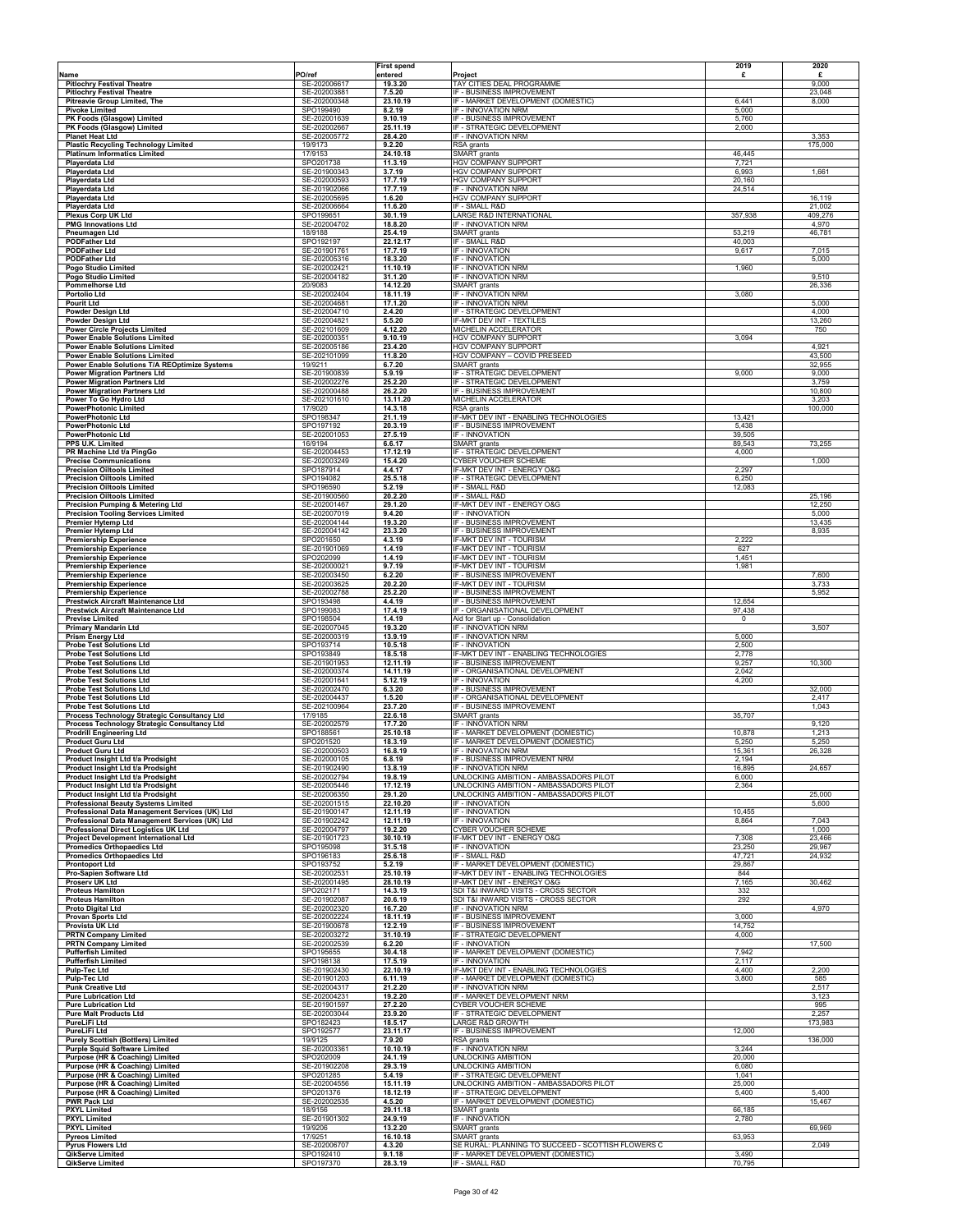|                                                                                               |                              | <b>First spend</b>   |                                                                                  | 2019             | 2020            |
|-----------------------------------------------------------------------------------------------|------------------------------|----------------------|----------------------------------------------------------------------------------|------------------|-----------------|
| Name                                                                                          | PO/ref                       | entered              | Project                                                                          | £                | £               |
| <b>Pitlochry Festival Theatre</b><br><b>Pitlochry Festival Theatre</b>                        | SE-202006617<br>SE-202003881 | 19.3.20<br>7.5.20    | TAY CITIES DEAL PROGRAMME<br>IF - BUSINESS IMPROVEMENT                           |                  | 9,000<br>23,048 |
| Pitreavie Group Limited, The                                                                  | SE-202000348                 | 23.10.19             | IF - MARKET DEVELOPMENT (DOMESTIC)                                               | 6,441            | 8,000           |
| <b>Pivoke Limited</b><br>PK Foods (Glasgow) Limited                                           | SPO199490<br>SE-202001639    | 8.2.19<br>9.10.19    | IF - INNOVATION NRM<br>IF - BUSINESS IMPROVEMENT                                 | 5,000<br>5,760   |                 |
| PK Foods (Glasgow) Limited                                                                    | SE-202002667                 | 25.11.19             | IF - STRATEGIC DEVELOPMENT                                                       | 2,000            |                 |
| <b>Planet Heat Ltd</b>                                                                        | SE-202005772                 | 28.4.20              | IF - INNOVATION NRM                                                              |                  | 3,353           |
| <b>Plastic Recycling Technology Limited</b><br><b>Platinum Informatics Limited</b>            | 19/9173<br>17/9153           | 9.2.20<br>24.10.18   | RSA grants<br>SMART grants                                                       | 46,445           | 175,000         |
| Playerdata Ltd                                                                                | SPO201738                    | 11.3.19              | HGV COMPANY SUPPORT                                                              | 7,721            |                 |
| Playerdata Ltd                                                                                | SE-201900343                 | 3.7.19               | HGV COMPANY SUPPORT                                                              | 6,993            | 1,661           |
| Playerdata Ltd                                                                                | SE-202000593                 | 17.7.19<br>17.7.19   | HGV COMPANY SUPPORT<br>IF - INNOVATION NRM                                       | 20,160           |                 |
| Playerdata Ltd<br>Playerdata Ltd                                                              | SE-201902066<br>SE-202005695 | 1.6.20               | HGV COMPANY SUPPORT                                                              | 24,514           | 16,119          |
| Playerdata Ltd                                                                                | SE-202006664                 | 11.6.20              | IF - SMALL R&D                                                                   |                  | 21,002          |
| <b>Plexus Corp UK Ltd</b>                                                                     | SPO199651                    | 30.1.19              | LARGE R&D INTERNATIONAL                                                          | 357,938          | 409,276         |
| <b>PMG Innovations Ltd</b><br><b>Pneumagen Ltd</b>                                            | SE-202004702<br>18/9188      | 18.8.20<br>25.4.19   | IF - INNOVATION NRM<br>SMART grants                                              | 53,219           | 4,970<br>46,781 |
| <b>PODFather Ltd</b>                                                                          | SPO192197                    | 22.12.17             | IF - SMALL R&D                                                                   | 40,003           |                 |
| <b>PODFather Ltd</b>                                                                          | SE-201901761                 | 17.7.19              | IF - INNOVATION                                                                  | 9,617            | 7,015           |
| <b>PODFather Ltd</b><br>Pogo Studio Limited                                                   | SE-202005316<br>SE-202002421 | 18.3.20<br>11.10.19  | IF - INNOVATION<br>IF - INNOVATION NRM                                           | 1,960            | 5,000           |
| Pogo Studio Limited                                                                           | SE-202004182                 | 31.1.20              | IF - INNOVATION NRM                                                              |                  | 9,510           |
| <b>Pommelhorse Ltd</b>                                                                        | 20/9083                      | 14.12.20             | SMART grants                                                                     |                  | 26,336          |
| <b>Portolio Ltd</b><br><b>Pourit Ltd</b>                                                      | SE-202002404<br>SE-202004681 | 18.11.19<br>17.1.20  | IF - INNOVATION NRM<br>IF - INNOVATION NRM                                       | 3,080            | 5,000           |
| Powder Design Ltd                                                                             | SE-202004710                 | 2.4.20               | IF - STRATEGIC DEVELOPMENT                                                       |                  | 4,000           |
| <b>Powder Design Ltd</b>                                                                      | SE-202004821                 | 5.5.20               | IF-MKT DEV INT - TEXTILES                                                        |                  | 13,260          |
| <b>Power Circle Projects Limited</b><br><b>Power Enable Solutions Limited</b>                 | SE-202101609<br>SE-202000351 | 4.12.20<br>9.10.19   | MICHELIN ACCELERATOR<br>HGV COMPANY SUPPORT                                      | 3,094            | 750             |
| <b>Power Enable Solutions Limited</b>                                                         | SE-202005186                 | 23.4.20              | HGV COMPANY SUPPORT                                                              |                  | 4,921           |
| <b>Power Enable Solutions Limited</b>                                                         | SE-202101099                 | 11.8.20              | HGV COMPANY - COVID PRESEED                                                      |                  | 43,500          |
| Power Enable Solutions T/A REOptimize Systems                                                 | 19/9211                      | 6.7.20<br>5.9.19     | SMART grants                                                                     | 9,000            | 32,955          |
| <b>Power Migration Partners Ltd</b><br><b>Power Migration Partners Ltd</b>                    | SE-201900839<br>SE-202002276 | 25.2.20              | IF - STRATEGIC DEVELOPMENT<br>IF - STRATEGIC DEVELOPMENT                         |                  | 9,000<br>3,759  |
| <b>Power Migration Partners Ltd</b>                                                           | SE-202000488                 | 26.2.20              | IF - BUSINESS IMPROVEMENT                                                        |                  | 10,800          |
| Power To Go Hydro Ltd                                                                         | SE-202101610                 | 13.11.20             | MICHELIN ACCELERATOR                                                             |                  | 3,203           |
| <b>PowerPhotonic Limited</b><br><b>PowerPhotonic Ltd</b>                                      | 17/9020<br>SPO198347         | 14.3.18<br>21.1.19   | RSA grants<br>IF-MKT DEV INT - ENABLING TECHNOLOGIES                             | 13,421           | 100,000         |
| <b>PowerPhotonic Ltd</b>                                                                      | SPO197192                    | 20.3.19              | IF - BUSINESS IMPROVEMENT                                                        | 5,438            |                 |
| <b>PowerPhotonic Ltd</b>                                                                      | SE-202001053                 | 27.5.19              | IF - INNOVATION                                                                  | 39,505           |                 |
| PPS U.K. Limited<br>PR Machine Ltd t/a PingGo                                                 | 16/9194<br>SE-202004453      | 6.6.17<br>17.12.19   | SMART grants<br>IF - STRATEGIC DEVELOPMENT                                       | 89,543<br>4,000  | 73,255          |
| <b>Precise Communications</b>                                                                 | SE-202003249                 | 15.4.20              | CYBER VOUCHER SCHEME                                                             |                  | 1,000           |
| <b>Precision Oiltools Limited</b>                                                             | SPO187914                    | 4.4.17               | IF-MKT DEV INT - ENERGY O&G                                                      | 2,297            |                 |
| <b>Precision Oiltools Limited</b><br><b>Precision Oiltools Limited</b>                        | SPO194082<br>SPO196590       | 25.5.18<br>5.2.19    | IF - STRATEGIC DEVELOPMENT<br>IF - SMALL R&D                                     | 6,250<br>12,083  |                 |
| <b>Precision Oiltools Limited</b>                                                             | SE-201900560                 | 20.2.20              | IF - SMALL R&D                                                                   |                  | 25,196          |
| <b>Precision Pumping &amp; Metering Ltd</b>                                                   | SE-202001467                 | 29.1.20              | IF-MKT DEV INT - ENERGY O&G                                                      |                  | 12,250          |
| <b>Precision Tooling Services Limited</b>                                                     | SE-202007019                 | 9.4.20               | IF - INNOVATION                                                                  |                  | 5,000           |
| Premier Hytemp Ltd<br><b>Premier Hytemp Ltd</b>                                               | SE-202004144<br>SE-202004142 | 19.3.20<br>23.3.20   | IF - BUSINESS IMPROVEMENT<br>IF - BUSINESS IMPROVEMENT                           |                  | 13,435<br>8,935 |
| <b>Premiership Experience</b>                                                                 | SPO201650                    | 4.3.19               | IF-MKT DEV INT - TOURISM                                                         | 2,222            |                 |
| <b>Premiership Experience</b>                                                                 | SE-201901069                 | 1.4.19               | IF-MKT DEV INT - TOURISM                                                         | 627              |                 |
| <b>Premiership Experience</b><br><b>Premiership Experience</b>                                | SPO202099<br>SE-202000021    | 1.4.19<br>9.7.19     | IF-MKT DEV INT - TOURISM<br>IF-MKT DEV INT - TOURISM                             | 1,451<br>1,981   |                 |
| <b>Premiership Experience</b>                                                                 | SE-202003450                 | 6.2.20               | IF - BUSINESS IMPROVEMENT                                                        |                  | 7,600           |
| <b>Premiership Experience</b>                                                                 | SE-202003625                 | 20.2.20              | IF-MKT DEV INT - TOURISM                                                         |                  | 3,733           |
| <b>Premiership Experience</b>                                                                 | SE-202002788                 | 25.2.20              | IF - BUSINESS IMPROVEMENT                                                        |                  | 5,952           |
| Prestwick Aircraft Maintenance Ltd<br>Prestwick Aircraft Maintenance Ltd                      | SPO193498<br>SPO199083       | 4.4.19<br>17.4.19    | IF - BUSINESS IMPROVEMENT<br>IF - ORGANISATIONAL DEVELOPMENT                     | 12,654<br>97,438 |                 |
| <b>Previse Limited</b>                                                                        | SPO198504                    | 1.4.19               | Aid for Start up - Consolidation                                                 | 0                |                 |
| <b>Primary Mandarin Ltd</b>                                                                   | SE-202007045                 | 19.3.20              | IF - INNOVATION NRM                                                              |                  | 3,507           |
| <b>Prism Energy Ltd</b><br><b>Probe Test Solutions Ltd</b>                                    | SE-202000319<br>SPO193714    | 13.9.19<br>10.5.18   | IF - INNOVATION NRM<br>IF - INNOVATION                                           | 5,000<br>2,500   |                 |
| <b>Probe Test Solutions Ltd</b>                                                               | SPO193849                    | 18.5.18              | IF-MKT DEV INT - ENABLING TECHNOLOGIES                                           | 2,778            |                 |
| <b>Probe Test Solutions Ltd</b>                                                               | SE-201901953                 | 12.11.19             | IF - BUSINESS IMPROVEMENT                                                        | 9,257            | 10,300          |
| <b>Probe Test Solutions Ltd</b><br><b>Probe Test Solutions Ltd</b>                            | SE-202000374<br>SE-202001641 | 14.11.19<br>5.12.19  | IF - ORGANISATIONAL DEVELOPMENT<br>IF - INNOVATION                               | 2,042<br>4,200   |                 |
| <b>Probe Test Solutions Ltd</b>                                                               | SE-202002470                 | 6.3.20               | IF - BUSINESS IMPROVEMENT                                                        |                  | 32,000          |
| <b>Probe Test Solutions Ltd</b>                                                               | SE-202004437                 | 1.5.20               | IF - ORGANISATIONAL DEVELOPMENT                                                  |                  | 2,417           |
| <b>Probe Test Solutions Ltd</b>                                                               | SE-202100964                 | 23.7.20              | IF - BUSINESS IMPROVEMENT                                                        |                  | 1,043           |
| Process Technology Strategic Consultancy Ltd<br>Process Technology Strategic Consultancy Ltd  | 17/9185<br>SE-202002579      | 22.6.18<br>17.7.20   | SMART grants<br>IF - INNOVATION NRM                                              | 35,707           | 9,120           |
| <b>Prodrill Engineering Ltd</b>                                                               | SPO188561                    | 25.10.18             | IF - MARKET DEVELOPMENT (DOMESTIC)                                               | 10,878           | 1,213           |
| <b>Product Guru Ltd</b>                                                                       | SPO201520                    | 18.3.19              | IF - MARKET DEVELOPMENT (DOMESTIC)                                               | 5,250            | 5,250           |
| <b>Product Guru Ltd</b><br>Product Insight Ltd t/a Prodsight                                  | SE-202000503<br>SE-202000105 | 16.8.19<br>6.8.19    | IF - INNOVATION NRM<br>IF - BUSINESS IMPROVEMENT NRM                             | 15,361<br>2,194  | 26,328          |
| Product Insight Ltd t/a Prodsight                                                             | SE-201902490                 | 13.8.19              | IF - INNOVATION NRM                                                              | 16,895           | 24,657          |
| Product Insight Ltd t/a Prodsight                                                             | SE-202002794                 | 19.8.19              | UNLOCKING AMBITION - AMBASSADORS PILOT                                           | 6,000            |                 |
| Product Insight Ltd t/a Prodsight<br>Product Insight Ltd t/a Prodsight                        | SE-202005446<br>SE-202006350 | 17.12.19<br>29.1.20  | UNLOCKING AMBITION - AMBASSADORS PILOT<br>UNLOCKING AMBITION - AMBASSADORS PILOT | 2,364            | 25,000          |
| <b>Professional Beauty Systems Limited</b>                                                    | SE-202001515                 | 22.10.20             | IF - INNOVATION                                                                  |                  | 5,600           |
| Professional Data Management Services (UK) Ltd                                                | SE-201900147                 | 12.11.19             | IF - INNOVATION                                                                  | 10,455           |                 |
| Professional Data Management Services (UK) Ltd<br><b>Professional Direct Logistics UK Ltd</b> | SE-201902242<br>SE-202004797 | 12.11.19<br>19.2.20  | IF - INNOVATION<br>CYBER VOUCHER SCHEME                                          | 8,864            | 7,043<br>1,000  |
| Project Development International Ltd                                                         | SE-201901723                 | 30.10.19             | IF-MKT DEV INT - ENERGY O&G                                                      | 7,308            | 23,466          |
| <b>Promedics Orthopaedics Ltd</b>                                                             | SPO195098                    | 31.5.18              | IF - INNOVATION                                                                  | 23,250           | 29,967          |
| <b>Promedics Orthopaedics Ltd</b><br><b>Prontoport Ltd</b>                                    | SPO196183<br>SPO193752       | 25.6.18<br>5.2.19    | IF - SMALL R&D<br>IF - MARKET DEVELOPMENT (DOMESTIC)                             | 47,721<br>29,867 | 24,932          |
| Pro-Sapien Software Ltd                                                                       | SE-202002531                 | 25.10.19             | IF-MKT DEV INT - ENABLING TECHNOLOGIES                                           | 844              |                 |
| <b>Proserv UK Ltd</b>                                                                         | SE-202001495                 | 28.10.19             | IF-MKT DEV INT - ENERGY O&G                                                      | 7,165            | 30,462          |
| <b>Proteus Hamilton</b><br><b>Proteus Hamilton</b>                                            | SPO202171<br>SE-201902087    | 14.3.19<br>20.6.19   | SDI T&I INWARD VISITS - CROSS SECTOR<br>SDI T&I INWARD VISITS - CROSS SECTOR     | 332<br>292       |                 |
| <b>Proto Digital Ltd</b>                                                                      | SE-202002320                 | 16.7.20              | IF - INNOVATION NRM                                                              |                  | 4,970           |
| <b>Provan Sports Ltd</b>                                                                      | SE-202002224                 | 18.11.19             | IF - BUSINESS IMPROVEMENT                                                        | 3,000            |                 |
| Provista UK Ltd                                                                               | SE-201900678<br>SE-202003272 | 12.2.19              | IF - BUSINESS IMPROVEMENT<br>IF - STRATEGIC DEVELOPMENT                          | 14,752           |                 |
| <b>PRTN Company Limited</b><br><b>PRTN Company Limited</b>                                    | SE-202002539                 | 31.10.19<br>6.2.20   | IF - INNOVATION                                                                  | 4,000            | 17,500          |
| <b>Pufferfish Limited</b>                                                                     | SPO195655                    | 30.4.18              | IF - MARKET DEVELOPMENT (DOMESTIC)                                               | 7,942            |                 |
| <b>Pufferfish Limited</b>                                                                     | SPO198138                    | 17.5.19              | IF - INNOVATION                                                                  | 2,117            |                 |
| <b>Pulp-Tec Ltd</b><br><b>Pulp-Tec Ltd</b>                                                    | SE-201902430<br>SE-201901203 | 22.10.19<br>6.11.19  | IF-MKT DEV INT - ENABLING TECHNOLOGIES<br>IF - MARKET DEVELOPMENT (DOMESTIC)     | 4,400<br>3,800   | 2,200<br>585    |
| <b>Punk Creative Ltd</b>                                                                      | SE-202004317                 | 21.2.20              | IF - INNOVATION NRM                                                              |                  | 2,517           |
| <b>Pure Lubrication Ltd</b>                                                                   | SE-202004231                 | 19.2.20              | IF - MARKET DEVELOPMENT NRM                                                      |                  | 3,123           |
| <b>Pure Lubrication Ltd</b><br><b>Pure Malt Products Ltd</b>                                  | SE-201901597<br>SE-202003044 | 27.2.20<br>23.9.20   | CYBER VOUCHER SCHEME<br>IF - STRATEGIC DEVELOPMENT                               |                  | 995<br>2,257    |
| PureLiFi Ltd                                                                                  | SPO182423                    | 18.5.17              | LARGE R&D GROWTH                                                                 |                  | 173,983         |
| PureLiFi Ltd                                                                                  | SPO192577                    | 23.11.17             | IF - BUSINESS IMPROVEMENT                                                        | 12,000           |                 |
| <b>Purely Scottish (Bottlers) Limited</b>                                                     | 19/9125<br>SE-202003361      | 7.9.20               | RSA grants<br>IF - INNOVATION NRM                                                |                  | 136,000         |
| <b>Purple Squid Software Limited</b><br>Purpose (HR & Coaching) Limited                       | SPO202009                    | 10.10.19<br>24.1.19  | <b>UNLOCKING AMBITION</b>                                                        | 3,244<br>20,000  |                 |
| Purpose (HR & Coaching) Limited                                                               | SE-201902208                 | 29.3.19              | UNLOCKING AMBITION                                                               | 6,080            |                 |
| Purpose (HR & Coaching) Limited                                                               | SPO201285                    | 5.4.19               | IF - STRATEGIC DEVELOPMENT<br>UNLOCKING AMBITION - AMBASSADORS PILOT             | 1,041            |                 |
| Purpose (HR & Coaching) Limited<br>Purpose (HR & Coaching) Limited                            | SE-202004556<br>SPO201376    | 15.11.19<br>18.12.19 | IF - STRATEGIC DEVELOPMENT                                                       | 25,000<br>5,400  | 5,400           |
| <b>PWR Pack Ltd</b>                                                                           | SE-202002535                 | 4.5.20               | IF - MARKET DEVELOPMENT (DOMESTIC)                                               |                  | 15,467          |
| <b>PXYL Limited</b>                                                                           | 18/9156                      | 29.11.18             | SMART grants                                                                     | 66,185           |                 |
| <b>PXYL Limited</b><br><b>PXYL Limited</b>                                                    | SE-201901302<br>19/9206      | 24.9.19<br>13.2.20   | IF - INNOVATION<br>SMART grants                                                  | 2,780            | 69,969          |
| <b>Pyreos Limited</b>                                                                         | 17/9251                      | 16.10.18             | SMART grants                                                                     | 63,953           |                 |
| <b>Pyrus Flowers Ltd</b>                                                                      | SE-202006707                 | 4.3.20               | SE RURAL: PLANNING TO SUCCEED - SCOTTISH FLOWERS C                               |                  | 2,049           |
| QikServe Limited                                                                              | SPO192410                    | 9.1.18               | IF - MARKET DEVELOPMENT (DOMESTIC)                                               | 3,490            |                 |
| <b>QikServe Limited</b>                                                                       | SPO197370                    | 28.3.19              | IF - SMALL R&D                                                                   | 70,795           |                 |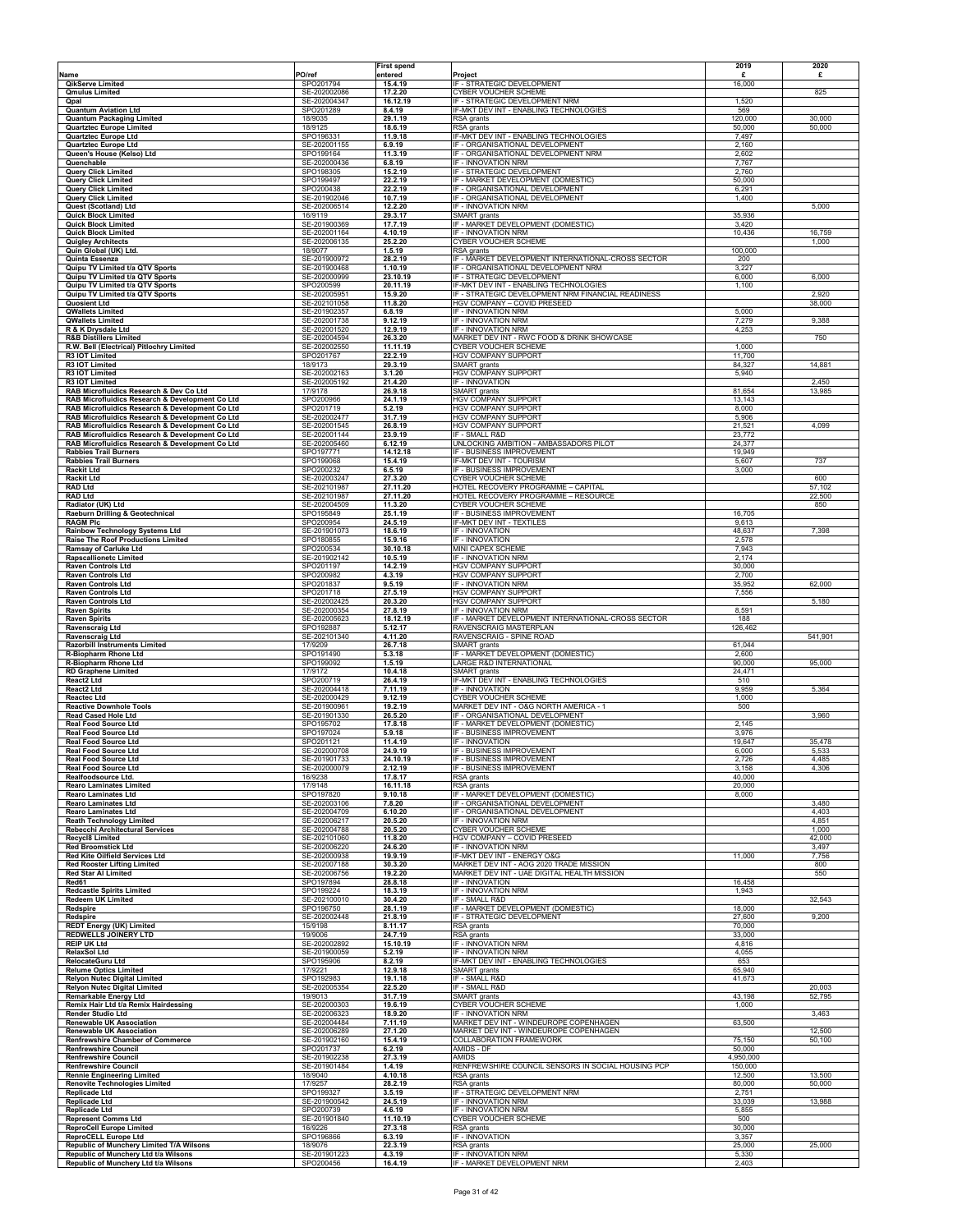|                                                                                                                          |                                      | <b>First spend</b>           |                                                                                   | 2019                     | 2020             |
|--------------------------------------------------------------------------------------------------------------------------|--------------------------------------|------------------------------|-----------------------------------------------------------------------------------|--------------------------|------------------|
| Name<br>QikServe Limited                                                                                                 | PO/ref<br>SPO201794                  | entered<br>15.4.19           | Project<br>IF - STRATEGIC DEVELOPMENT                                             | £<br>16,000              | £                |
| <b>Qmulus Limited</b>                                                                                                    | SE-202002086                         | 17.2.20                      | <b>CYBER VOUCHER SCHEME</b>                                                       |                          | 825              |
| Qpal<br><b>Quantum Aviation Ltd</b>                                                                                      | SE-202004347<br>SPO201289            | 16.12.19<br>8.4.19           | IF - STRATEGIC DEVELOPMENT NRM<br>IF-MKT DEV INT - ENABLING TECHNOLOGIES          | 1,520<br>569             |                  |
| Quantum Packaging Limited                                                                                                | 18/9035                              | 29.1.19                      | RSA grants                                                                        | 120,000                  | 30,000           |
| Quartztec Europe Limited<br>Quartztec Europe Ltd                                                                         | 18/9125<br>SPO196331                 | 18.6.19<br>11.9.18           | RSA grants<br>IF-MKT DEV INT - ENABLING TECHNOLOGIES                              | 50,000<br>7,497          | 50,000           |
| Quartztec Europe Ltd                                                                                                     | SE-202001155                         | 6.9.19                       | IF - ORGANISATIONAL DEVELOPMENT                                                   | 2,160                    |                  |
| Queen's House (Kelso) Ltd<br>Quenchable                                                                                  | SPO199164<br>SE-202000436            | 11.3.19<br>6.8.19            | IF - ORGANISATIONAL DEVELOPMENT NRM<br>IF - INNOVATION NRM                        | 2,602<br>7,767           |                  |
| <b>Query Click Limited</b>                                                                                               | SPO198305                            | 15.2.19                      | IF - STRATEGIC DEVELOPMENT                                                        | 2,760                    |                  |
| <b>Query Click Limited</b><br><b>Query Click Limited</b>                                                                 | SPO199497<br>SPO200438               | 22.2.19<br>22.2.19           | IF - MARKET DEVELOPMENT (DOMESTIC)<br>IF - ORGANISATIONAL DEVELOPMENT             | 50,000<br>6,291          |                  |
| <b>Query Click Limited</b>                                                                                               | SE-201902046                         | 10.7.19                      | IF - ORGANISATIONAL DEVELOPMENT                                                   | 1,400                    |                  |
| Quest (Scotland) Ltd<br><b>Quick Block Limited</b>                                                                       | SE-202006514<br>16/9119              | 12.2.20<br>29.3.17           | IF - INNOVATION NRM<br><b>SMART</b> grants                                        | 35,936                   | 5,000            |
| <b>Quick Block Limited</b>                                                                                               | SE-201900369                         | 17.7.19                      | IF - MARKET DEVELOPMENT (DOMESTIC)                                                | 3,420                    |                  |
| <b>Quick Block Limited</b>                                                                                               | SE-202001164                         | 4.10.19                      | IF - INNOVATION NRM<br>CYBER VOUCHER SCHEME                                       | 10,436                   | 16,759<br>1,000  |
| <b>Quigley Architects</b><br>Quin Global (UK) Ltd.                                                                       | SE-202006135<br>18/9077              | 25.2.20<br>1.5.19            | RSA grants                                                                        | 100,000                  |                  |
| Quinta Essenza                                                                                                           | SE-201900972                         | 28.2.19                      | IF - MARKET DEVELOPMENT INTERNATIONAL-CROSS SECTOR                                | 200                      |                  |
| Quipu TV Limited t/a QTV Sports<br>Quipu TV Limited t/a QTV Sports                                                       | SE-201900468<br>SE-202000999         | 1.10.19<br>23.10.19          | IF - ORGANISATIONAL DEVELOPMENT NRM<br>IF - STRATEGIC DEVELOPMENT                 | 3,227<br>6,000           | 6,000            |
| Quipu TV Limited t/a QTV Sports                                                                                          | SPO200599                            | 20.11.19                     | IF-MKT DEV INT - ENABLING TECHNOLOGIES                                            | 1,100                    |                  |
| Quipu TV Limited t/a QTV Sports<br>Quosient Ltd                                                                          | SE-202005951<br>SE-202101058         | 15.9.20<br>11.8.20           | IF - STRATEGIC DEVELOPMENT NRM FINANCIAL READINESS<br>HGV COMPANY - COVID PRESEED |                          | 2,920<br>38,000  |
| <b>QWallets Limited</b>                                                                                                  | SE-201902357                         | 6.8.19                       | IF - INNOVATION NRM                                                               | 5,000                    |                  |
| <b>QWallets Limited</b><br>R & K Drysdale Ltd                                                                            | SE-202001738<br>SE-202001520         | 9.12.19<br>12.9.19           | IF - INNOVATION NRM<br>IF - INNOVATION NRM                                        | 7,279<br>4,253           | 9,388            |
| <b>R&amp;B Distillers Limited</b>                                                                                        | SE-202004594                         | 26.3.20                      | MARKET DEV INT - RWC FOOD & DRINK SHOWCASE                                        |                          | 750              |
| R.W. Bell (Electrical) Pitlochry Limited<br>R3 IOT Limited                                                               | SE-202002550<br>SPO201767            | 11.11.19<br>22.2.19          | CYBER VOUCHER SCHEME<br><b>HGV COMPANY SUPPORT</b>                                | 1,000<br>11,700          |                  |
| R3 IOT Limited                                                                                                           | 18/9173                              | 29.3.19                      | SMART grants                                                                      | 84,327                   | 14,881           |
| R3 IOT Limited<br>R3 IOT Limited                                                                                         | SE-202002163<br>SE-202005192         | 3.1.20<br>21.4.20            | HGV COMPANY SUPPORT<br>IF - INNOVATION                                            | 5,940                    | 2,450            |
| RAB Microfluidics Research & Dev Co Ltd                                                                                  | 17/9178                              | 26.9.18                      | SMART grants                                                                      | 81,654                   | 13,985           |
| RAB Microfluidics Research & Development Co Ltd<br>RAB Microfluidics Research & Development Co Ltd                       | SPO200966<br>SPO201719               | 24.1.19<br>5.2.19            | HGV COMPANY SUPPORT<br>HGV COMPANY SUPPORT                                        | 13,143<br>8,000          |                  |
| RAB Microfluidics Research & Development Co Ltd                                                                          | SE-202002477                         | 31.7.19                      | HGV COMPANY SUPPORT                                                               | 5,906                    |                  |
| RAB Microfluidics Research & Development Co Ltd<br>RAB Microfluidics Research & Development Co Ltd                       | SE-202001545<br>SE-202001144         | 26.8.19<br>23.9.19           | HGV COMPANY SUPPORT<br>IF - SMALL R&D                                             | 21,521<br>23,772         | 4,099            |
| RAB Microfluidics Research & Development Co Ltd                                                                          | SE-202005460                         | 6.12.19                      | UNLOCKING AMBITION - AMBASSADORS PILOT                                            | 24,377                   |                  |
| <b>Rabbies Trail Burners</b><br><b>Rabbies Trail Burners</b>                                                             | SPO197771<br>SPO199068               | 14.12.18<br>15.4.19          | IF - BUSINESS IMPROVEMENT<br>IF-MKT DEV INT - TOURISM                             | 19,949<br>5,607          | 737              |
| <b>Rackit Ltd</b>                                                                                                        | SPO200232                            | 6.5.19                       | IF - BUSINESS IMPROVEMENT                                                         | 3,000                    |                  |
| <b>Rackit Ltd</b><br><b>RAD Ltd</b>                                                                                      | SE-202003247<br>SE-202101987         | 27.3.20<br>27.11.20          | <b>CYBER VOUCHER SCHEME</b><br>HOTEL RECOVERY PROGRAMME - CAPITAL                 |                          | 600<br>57,102    |
| <b>RAD Ltd</b>                                                                                                           | SE-202101987                         | 27.11.20                     | HOTEL RECOVERY PROGRAMME - RESOURCE                                               |                          | 22,500           |
| Radiator (UK) Ltd<br>Raeburn Drilling & Geotechnical                                                                     | SE-202004509<br>SPO195849            | 11.3.20<br>25.1.19           | <b>CYBER VOUCHER SCHEME</b><br>IF - BUSINESS IMPROVEMENT                          | 16,705                   | 850              |
| <b>RAGM PIC</b>                                                                                                          | SPO200954                            | 24.5.19                      | IF-MKT DEV INT - TEXTILES                                                         | 9,613                    |                  |
| <b>Rainbow Technology Systems Ltd</b><br>Raise The Roof Productions Limited                                              | SE-201901073<br>SPO180855            | 18.6.19<br>15.9.16           | IF - INNOVATION<br>IF - INNOVATION                                                | 48,637<br>2,578          | 7,398            |
| Ramsay of Carluke Ltd                                                                                                    | SPO200534                            | 30.10.18                     | MINI CAPEX SCHEME                                                                 | 7,943                    |                  |
| <b>Rapscallionetc Limited</b><br><b>Raven Controls Ltd</b>                                                               | SE-201902142<br>SPO201197            | 10.5.19<br>14.2.19           | IF - INNOVATION NRM<br><b>HGV COMPANY SUPPORT</b>                                 | 2,174<br>30,000          |                  |
| <b>Raven Controls Ltd</b>                                                                                                | SPO200982                            | 4.3.19                       | <b>HGV COMPANY SUPPORT</b>                                                        | 2,700                    |                  |
| Raven Controls Ltd<br><b>Raven Controls Ltd</b>                                                                          | SPO201837<br>SPO201718               | 9.5.19<br>27.5.19            | IF - INNOVATION NRM<br>HGV COMPANY SUPPORT                                        | 35,952<br>7,556          | 62,000           |
| Raven Controls Ltd                                                                                                       | SE-202002425                         | 20.3.20                      | HGV COMPANY SUPPORT                                                               |                          | 5,180            |
| <b>Raven Spirits</b>                                                                                                     | SE-202000354                         | 27.8.19                      | IF - INNOVATION NRM                                                               | 8,591                    |                  |
|                                                                                                                          |                                      |                              |                                                                                   |                          |                  |
| <b>Raven Spirits</b><br><b>Ravenscraig Ltd</b>                                                                           | SE-202005623<br>SPO192887            | 18.12.19<br>5.12.17          | IF - MARKET DEVELOPMENT INTERNATIONAL-CROSS SECTOR<br>RAVENSCRAIG MASTERPLAN      | 188<br>126,462           |                  |
| Ravenscraig Ltd                                                                                                          | SE-202101340                         | 4.11.20                      | RAVENSCRAIG - SPINE ROAD                                                          |                          | 541,901          |
| <b>Razorbill Instruments Limited</b><br><b>R-Biopharm Rhone Ltd</b>                                                      | 17/9209<br>SPO191490                 | 26.7.18<br>5.3.18            | <b>SMART</b> grants<br>IF - MARKET DEVELOPMENT (DOMESTIC)                         | 61.044<br>2,600          |                  |
| R-Biopharm Rhone Ltd                                                                                                     | SPO199092                            | 1.5.19                       | LARGE R&D INTERNATIONAL                                                           | 90,000                   | 95,000           |
| <b>RD Graphene Limited</b><br>React2 Ltd                                                                                 | 17/9172<br>SPO200719                 | 10.4.18<br>26.4.19           | SMART grants<br>IF-MKT DEV INT - ENABLING TECHNOLOGIES                            | 24,471<br>510            |                  |
| React2 Ltd                                                                                                               | SE-202004418                         | 7.11.19                      | IF - INNOVATION                                                                   | 9,959                    | 5,364            |
| <b>Reactec Ltd</b><br><b>Reactive Downhole Tools</b>                                                                     | SE-202000429<br>SE-201900961         | 9.12.19<br>19.2.19           | CYBER VOUCHER SCHEME<br>MARKET DEV INT - O&G NORTH AMERICA - 1                    | 1,000<br>500             |                  |
| Read Cased Hole Ltd                                                                                                      | SE-201901330                         | 26.5.20                      | IF - ORGANISATIONAL DEVELOPMENT                                                   |                          | 3,960            |
| Real Food Source Ltd<br>Real Food Source Ltd                                                                             | SPO195702<br>SPO197024               | 17.8.18<br>5.9.18            | IF - MARKET DEVELOPMENT (DOMESTIC)<br>IF - BUSINESS IMPROVEMENT                   | 2,145<br>3,976           |                  |
| <b>Real Food Source Ltd</b>                                                                                              | SPO201121                            | 11.4.19                      | IF - INNOVATION                                                                   | 19,647                   | 35,478           |
| Real Food Source Ltd<br>Real Food Source Ltd                                                                             | SE-202000708<br>SE-201901733         | 24.9.19<br>24.10.19          | IF - BUSINESS IMPROVEMENT<br>IF - BUSINESS IMPROVEMENT                            | 6,000<br>2,726           | 5,533<br>4,485   |
| Real Food Source Ltd                                                                                                     | SE-202000079                         | 2.12.19                      | IF - BUSINESS IMPROVEMENT                                                         | 3,158                    | 4,306            |
| Realfoodsource Ltd.<br><b>Rearo Laminates Limited</b>                                                                    | 16/9238<br>17/9148                   | 17.8.17<br>16.11.18          | RSA grants<br>RSA grants                                                          | 40,000<br>20,000         |                  |
| <b>Rearo Laminates Ltd</b>                                                                                               | SPO197820                            | 9.10.18                      | IF - MARKET DEVELOPMENT (DOMESTIC)                                                | 8,000                    |                  |
| Rearo Laminates Ltd<br><b>Rearo Laminates Ltd</b>                                                                        | SE-202003106<br>SE-202004709         | 7.8.20<br>6.10.20            | IF - ORGANISATIONAL DEVELOPMENT<br>IF - ORGANISATIONAL DEVELOPMENT                |                          | 3,480<br>4,403   |
| <b>Reath Technology Limited</b>                                                                                          | SE-202006217                         | 20.5.20                      | IF - INNOVATION NRM                                                               |                          | 4,851            |
| Rebecchi Architectural Services<br><b>Recycl8 Limited</b>                                                                | SE-202004788<br>SE-202101060         | 20.5.20<br>11.8.20           | CYBER VOUCHER SCHEME<br>HGV COMPANY - COVID PRESEED                               |                          | 1,000<br>42,000  |
| <b>Red Broomstick Ltd</b>                                                                                                | SE-202006220                         | 24.6.20                      | IF - INNOVATION NRM                                                               |                          | 3,497            |
| Red Kite Oilfield Services Ltd<br><b>Red Rooster Lifting Limited</b>                                                     | SE-202000938<br>SE-202007188         | 19.9.19<br>30.3.20           | IF-MKT DEV INT - ENERGY O&G<br>MARKET DEV INT - AOG 2020 TRADE MISSION            | 11,000                   | 7,756<br>800     |
| <b>Red Star Al Limited</b>                                                                                               | SE-202006756                         | 19.2.20                      | MARKET DEV INT - UAE DIGITAL HEALTH MISSION                                       |                          | 550              |
| Red61<br><b>Redcastle Spirits Limited</b>                                                                                | SPO197894<br>SPO199224               | 28.8.18<br>18.3.19           | IF - INNOVATION<br>IF - INNOVATION NRM                                            | 16,458<br>1,943          |                  |
| <b>Redeem UK Limited</b>                                                                                                 | SE-202100010                         | 30.4.20                      | IF - SMALL R&D                                                                    |                          | 32,543           |
| Redspire<br>Redspire                                                                                                     | SPO196750<br>SE-202002448            | 28.1.19<br>21.8.19           | IF - MARKET DEVELOPMENT (DOMESTIC)<br>IF - STRATEGIC DEVELOPMENT                  | 18,000<br>27,600         | 9,200            |
|                                                                                                                          | 15/9198                              | 8.11.17                      | RSA grants                                                                        | 70,000                   |                  |
| REDT Energy (UK) Limited<br>REDWELLS JOINERY LTD<br><b>REIP UK Ltd</b>                                                   | 19/9006<br>SE-202002892              | 24.7.19<br>15.10.19          | RSA grants<br>IF - INNOVATION NRM                                                 | 33,000<br>4,816          |                  |
| <b>RelaxSol Ltd</b>                                                                                                      | SE-201900059                         | 5.2.19                       | IF - INNOVATION NRM                                                               | 4,055                    |                  |
| <b>RelocateGuru Ltd</b><br><b>Relume Optics Limited</b>                                                                  | SPO195906<br>17/9221                 | 8.2.19<br>12.9.18            | IF-MKT DEV INT - ENABLING TECHNOLOGIES<br>SMART grants                            | 653<br>65,940            |                  |
| <b>Relyon Nutec Digital Limited</b>                                                                                      | SPO192983                            | 19.1.18                      | IF - SMALL R&D                                                                    | 41,673                   |                  |
| <b>Relyon Nutec Digital Limited</b><br>Remarkable Energy Ltd                                                             | SE-202005354<br>19/9013              | 22.5.20<br>31.7.19           | IF - SMALL R&D<br>SMART grants                                                    | 43,198                   | 20,003<br>52,795 |
| Remix Hair Ltd t/a Remix Hairdessing                                                                                     | SE-202000303                         | 19.6.19                      | <b>CYBER VOUCHER SCHEME</b>                                                       | 1,000                    |                  |
| <b>Render Studio Ltd</b><br><b>Renewable UK Association</b>                                                              | SE-202006323<br>SE-202004484         | 18.9.20<br>7.11.19           | IF - INNOVATION NRM<br>MARKET DEV INT - WINDEUROPE COPENHAGEN                     | 63,500                   | 3,463            |
| <b>Renewable UK Association</b>                                                                                          | SE-202006289                         | 27.1.20                      | MARKET DEV INT - WINDEUROPE COPENHAGEN                                            |                          | 12,500           |
| <b>Renfrewshire Chamber of Commerce</b><br><b>Renfrewshire Council</b>                                                   | SE-201902160<br>SPO201737            | 15.4.19<br>6.2.19            | COLLABORATION FRAMEWORK<br>AMIDS - DF                                             | 75,150<br>50,000         | 50,100           |
| <b>Renfrewshire Council</b>                                                                                              | SE-201902238                         | 27.3.19                      | AMIDS                                                                             | 4,950,000                |                  |
| <b>Renfrewshire Council</b><br><b>Rennie Engineering Limited</b>                                                         | SE-201901484<br>18/9040              | 1.4.19<br>4.10.18            | RENFREWSHIRE COUNCIL SENSORS IN SOCIAL HOUSING PCP<br>RSA grants                  | 150,000<br>12,500        | 13,500           |
| <b>Renovite Technologies Limited</b>                                                                                     | 17/9257                              | 28.2.19                      | RSA grants                                                                        | 80,000                   | 50,000           |
| <b>Replicade Ltd</b><br><b>Replicade Ltd</b>                                                                             | SPO199327<br>SE-201900542            | 3.5.19<br>24.5.19            | IF - STRATEGIC DEVELOPMENT NRM<br>IF - INNOVATION NRM                             | 2,751<br>33,039          | 13,988           |
| <b>Replicade Ltd</b>                                                                                                     | SPO200739                            | 4.6.19                       | IF - INNOVATION NRM                                                               | 5,855                    |                  |
| <b>Represent Comms Ltd</b><br><b>ReproCell Europe Limited</b>                                                            | SE-201901840<br>16/9226              | 11.10.19<br>27.3.18          | CYBER VOUCHER SCHEME<br>RSA grants                                                | 500<br>30,000            |                  |
| <b>ReproCELL Europe Ltd</b>                                                                                              | SPO196866                            | 6.3.19                       | IF - INNOVATION                                                                   | 3,357                    |                  |
| Republic of Munchery Limited T/A Wilsons<br>Republic of Munchery Ltd t/a Wilsons<br>Republic of Munchery Ltd t/a Wilsons | 18/9076<br>SE-201901223<br>SPO200456 | 22.3.19<br>4.3.19<br>16.4.19 | RSA grants<br>IF - INNOVATION NRM<br>IF - MARKET DEVELOPMENT NRM                  | 25,000<br>5,330<br>2,403 | 25,000           |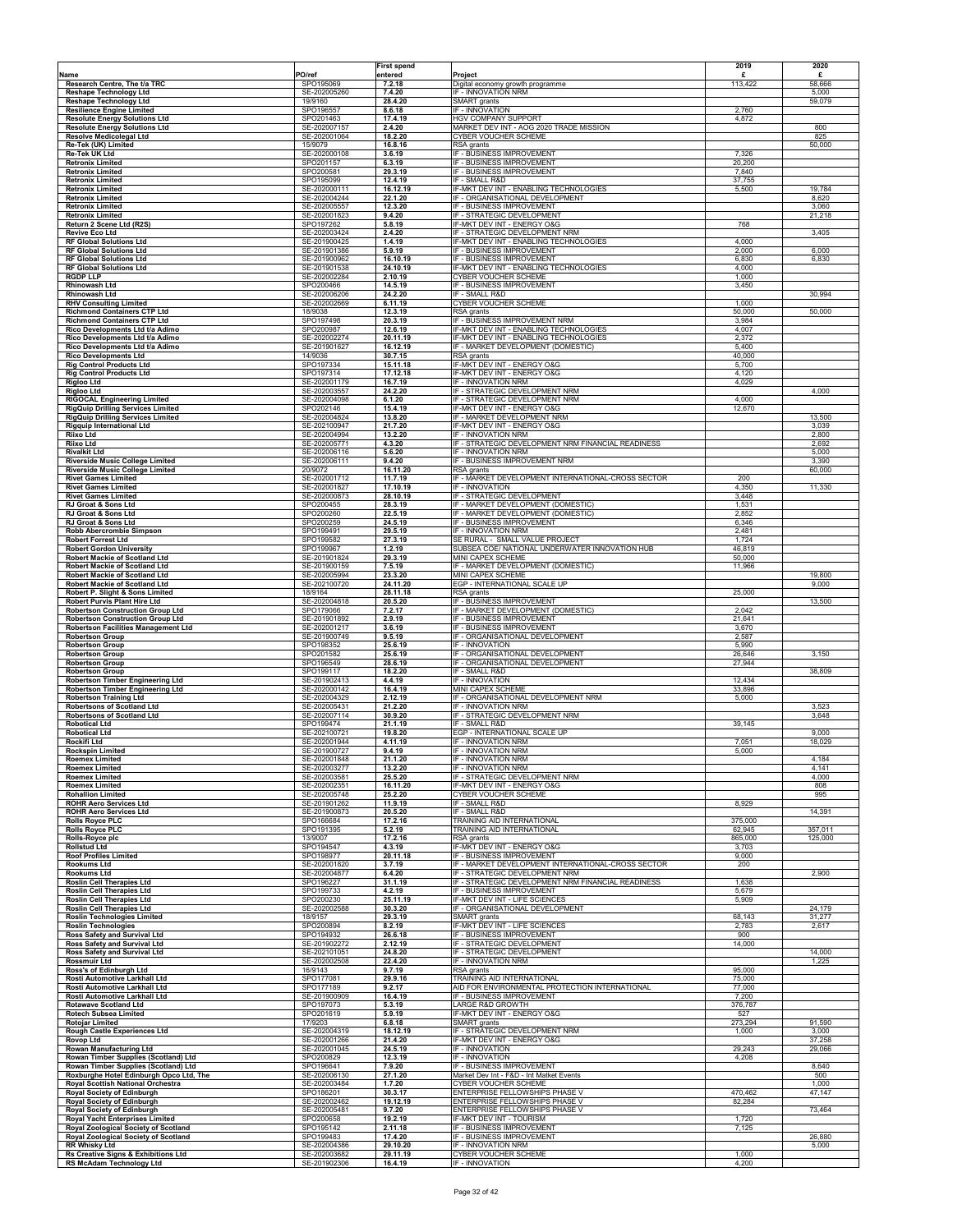|                                                                                |                              | <b>First spend</b>   |                                                                                  | 2019              | 2020             |
|--------------------------------------------------------------------------------|------------------------------|----------------------|----------------------------------------------------------------------------------|-------------------|------------------|
| Name<br>Research Centre, The t/a TRC                                           | PO/ref<br>SPO195069          | entered<br>7.2.18    | Project<br>Digital economy growth programme                                      | £<br>113,422      | £<br>58,666      |
| <b>Reshape Technology Ltd</b>                                                  | SE-202005260                 | 7.4.20               | IF - INNOVATION NRM                                                              |                   | 5,000            |
| <b>Reshape Technology Ltd</b>                                                  | 19/9160                      | 28.4.20              | SMART grants                                                                     |                   | 59,079           |
| <b>Resilience Engine Limited</b><br><b>Resolute Energy Solutions Ltd</b>       | SPO196557<br>SPO201463       | 8.6.18<br>17.4.19    | IF - INNOVATION<br><b>HGV COMPANY SUPPORT</b>                                    | 2,760<br>4,872    |                  |
| <b>Resolute Energy Solutions Ltd</b>                                           | SE-202007157                 | 2.4.20               | MARKET DEV INT - AOG 2020 TRADE MISSION                                          |                   | 800              |
| Resolve Medicolegal Ltd<br>Re-Tek (UK) Limited                                 | SE-202001064<br>15/9079      | 18.2.20<br>16.8.16   | CYBER VOUCHER SCHEME<br>RSA grants                                               |                   | 825<br>50,000    |
| <b>Re-Tek UK Ltd</b>                                                           | SE-202000108                 | 3.6.19               | IF - BUSINESS IMPROVEMENT                                                        | 7,326             |                  |
| <b>Retronix Limited</b><br><b>Retronix Limited</b>                             | SPO201157<br>SPO200581       | 6.3.19<br>29.3.19    | IF - BUSINESS IMPROVEMENT<br>IF - BUSINESS IMPROVEMENT                           | 20,200<br>7,840   |                  |
| <b>Retronix Limited</b>                                                        | SPO195099                    | 12.4.19              | IF - SMALL R&D                                                                   | 37,755            |                  |
| <b>Retronix Limited</b>                                                        | SE-202000111                 | 16.12.19             | IF-MKT DEV INT - ENABLING TECHNOLOGIES                                           | 5,500             | 19,784           |
| <b>Retronix Limited</b><br><b>Retronix Limited</b>                             | SE-202004244<br>SE-202005557 | 22.1.20<br>12.3.20   | IF - ORGANISATIONAL DEVELOPMENT<br>IF - BUSINESS IMPROVEMENT                     |                   | 8,620<br>3,060   |
| <b>Retronix Limited</b>                                                        | SE-202001823                 | 9.4.20               | IF - STRATEGIC DEVELOPMENT                                                       |                   | 21,218           |
| Return 2 Scene Ltd (R2S)<br><b>Revive Eco Ltd</b>                              | SPO197262<br>SE-202003424    | 5.8.19<br>2.4.20     | IF-MKT DEV INT - ENERGY O&G<br>IF - STRATEGIC DEVELOPMENT NRM                    | 768               | 3,405            |
| <b>RF Global Solutions Ltd</b>                                                 | SE-201900425                 | 1.4.19               | IF-MKT DEV INT - ENABLING TECHNOLOGIES                                           | 4,000             |                  |
| <b>RF Global Solutions Ltd</b><br><b>RF Global Solutions Ltd</b>               | SE-201901386<br>SE-201900962 | 5.9.19<br>16.10.19   | IF - BUSINESS IMPROVEMENT<br>IF - BUSINESS IMPROVEMENT                           | 2,000<br>6,830    | 6,000<br>6,830   |
| <b>RF Global Solutions Ltd</b>                                                 | SE-201901538                 | 24.10.19             | IF-MKT DEV INT - ENABLING TECHNOLOGIES                                           | 4,000             |                  |
| <b>RGDP LLP</b>                                                                | SE-202002284                 | 2.10.19              | CYBER VOUCHER SCHEME                                                             | 1,000             |                  |
| <b>Rhinowash Ltd</b><br><b>Rhinowash Ltd</b>                                   | SPO200466<br>SE-202006206    | 14.5.19<br>24.2.20   | IF - BUSINESS IMPROVEMENT<br>IF - SMALL R&D                                      | 3,450             | 30,994           |
| <b>RHV Consulting Limited</b>                                                  | SE-202002669                 | 6.11.19              | <b>CYBER VOUCHER SCHEME</b>                                                      | 1,000             |                  |
| <b>Richmond Containers CTP Ltd</b><br><b>Richmond Containers CTP Ltd</b>       | 18/9038<br>SPO197498         | 12.3.19<br>20.3.19   | RSA grants<br>IF - BUSINESS IMPROVEMENT NRM                                      | 50,000<br>3,984   | 50,000           |
| Rico Developments Ltd t/a Adimo                                                | SPO200987                    | 12.6.19              | IF-MKT DEV INT - ENABLING TECHNOLOGIES                                           | 4,007             |                  |
| Rico Developments Ltd t/a Adimo<br>Rico Developments Ltd t/a Adimo             | SE-202002274<br>SE-201901627 | 20.11.19<br>16.12.19 | IF-MKT DEV INT - ENABLING TECHNOLOGIES<br>IF - MARKET DEVELOPMENT (DOMESTIC)     | 2,372<br>5,400    |                  |
| <b>Rico Developments Ltd</b>                                                   | 14/9036                      | 30.7.15              | RSA grants                                                                       | 40,000            |                  |
| <b>Rig Control Products Ltd</b>                                                | SPO197334                    | 15.11.18             | IF-MKT DEV INT - ENERGY O&G<br>IF-MKT DEV INT - ENERGY O&G                       | 5,700             |                  |
| <b>Rig Control Products Ltd</b><br><b>Rigloo Ltd</b>                           | SPO197314<br>SE-202001179    | 17.12.18<br>16.7.19  | IF - INNOVATION NRM                                                              | 4,120<br>4,029    |                  |
| <b>Rigloo Ltd</b>                                                              | SE-202003557                 | 24.2.20              | IF - STRATEGIC DEVELOPMENT NRM                                                   |                   | 4,000            |
| <b>RIGOCAL Engineering Limited</b><br><b>RigQuip Drilling Services Limited</b> | SE-202004098<br>SPO202146    | 6.1.20<br>15.4.19    | IF - STRATEGIC DEVELOPMENT NRM<br>IF-MKT DEV INT - ENERGY O&G                    | 4,000<br>12,670   |                  |
| <b>RigQuip Drilling Services Limited</b>                                       | SE-202004824                 | 13.8.20              | IF - MARKET DEVELOPMENT NRM                                                      |                   | 13,500           |
| <b>Rigquip International Ltd</b><br><b>Riixo Ltd</b>                           | SE-202100947<br>SE-202004994 | 21.7.20<br>13.2.20   | IF-MKT DEV INT - ENERGY O&G<br>IF - INNOVATION NRM                               |                   | 3,039<br>2,800   |
| <b>Riixo Ltd</b>                                                               | SE-202005771                 | 4.3.20               | IF - STRATEGIC DEVELOPMENT NRM FINANCIAL READINESS                               |                   | 2,692            |
| <b>Rivalkit Ltd</b><br>Riverside Music College Limited                         | SE-202006116<br>SE-202006111 | 5.6.20<br>9.4.20     | IF - INNOVATION NRM<br>IF - BUSINESS IMPROVEMENT NRM                             |                   | 5,000<br>3,390   |
| <b>Riverside Music College Limited</b>                                         | 20/9072                      | 16.11.20             | RSA grants                                                                       |                   | 60,000           |
| <b>Rivet Games Limited</b>                                                     | SE-202001712<br>SE-202001827 | 11.7.19<br>17.10.19  | IF - MARKET DEVELOPMENT INTERNATIONAL-CROSS SECTOR<br>IF - INNOVATION            | 200               | 11,330           |
| <b>Rivet Games Limited</b><br><b>Rivet Games Limited</b>                       | SE-202000873                 | 28.10.19             | IF - STRATEGIC DEVELOPMENT                                                       | 4,350<br>3,448    |                  |
| RJ Groat & Sons Ltd                                                            | SPO200455                    | 28.3.19              | IF - MARKET DEVELOPMENT (DOMESTIC)                                               | 1,531             |                  |
| RJ Groat & Sons Ltd<br>RJ Groat & Sons Ltd                                     | SPO200260<br>SPO200259       | 22.5.19<br>24.5.19   | IF - MARKET DEVELOPMENT (DOMESTIC)<br>IF - BUSINESS IMPROVEMENT                  | 2,852<br>6,346    |                  |
| Robb Abercrombie Simpson                                                       | SPO199491                    | 29.5.19              | IF - INNOVATION NRM                                                              | 2,481             |                  |
| <b>Robert Forrest Ltd</b><br><b>Robert Gordon University</b>                   | SPO199582<br>SPO199967       | 27.3.19<br>1.2.19    | SE RURAL - SMALL VALUE PROJECT<br>SUBSEA COE/ NATIONAL UNDERWATER INNOVATION HUB | 1,724<br>46,819   |                  |
| <b>Robert Mackie of Scotland Ltd</b>                                           | SE-201901824                 | 29.3.19              | MINI CAPEX SCHEME                                                                | 50,000            |                  |
| Robert Mackie of Scotland Ltd<br>Robert Mackie of Scotland Ltd                 | SE-201900159<br>SE-202005994 | 7.5.19<br>23.3.20    | IF - MARKET DEVELOPMENT (DOMESTIC)<br>MINI CAPEX SCHEME                          | 11,966            | 19,800           |
| Robert Mackie of Scotland Ltd                                                  | SE-202100720                 | 24.11.20             | EGP - INTERNATIONAL SCALE UP                                                     |                   | 9,000            |
| Robert P. Slight & Sons Limited                                                | 18/9164                      | 28.11.18             | RSA grants                                                                       | 25,000            |                  |
| Robert Purvis Plant Hire Ltd<br><b>Robertson Construction Group Ltd</b>        | SE-202004818<br>SPO179066    | 20.5.20<br>7.2.17    | IF - BUSINESS IMPROVEMENT<br>IF - MARKET DEVELOPMENT (DOMESTIC)                  | 2,042             | 13,500           |
| <b>Robertson Construction Group Ltd</b>                                        | SE-201901892                 | 2.9.19               | IF - BUSINESS IMPROVEMENT                                                        | 21,641            |                  |
| <b>Robertson Facilities Management Ltd</b><br><b>Robertson Group</b>           | SE-202001217<br>SE-201900749 | 3.6.19<br>9.5.19     | IF - BUSINESS IMPROVEMENT<br>IF - ORGANISATIONAL DEVELOPMENT                     | 3,670<br>2,587    |                  |
| <b>Robertson Group</b>                                                         | SPO198352                    | 25.6.19              | IF - INNOVATION                                                                  | 5,990             |                  |
| <b>Robertson Group</b>                                                         | SPO201582                    | 25.6.19              | IF - ORGANISATIONAL DEVELOPMENT                                                  | 26,646            | 3,150            |
| <b>Robertson Group</b><br><b>Robertson Group</b>                               | SPO196549<br>SPO199117       | 28.6.19<br>18.2.20   | IF - ORGANISATIONAL DEVELOPMENT<br>IF - SMALL R&D                                | 27,944            | 38,809           |
| Robertson Timber Engineering Ltd                                               | SE-201902413                 | 4.4.19               | IF - INNOVATION                                                                  | 12,434            |                  |
| <b>Robertson Timber Engineering Ltd</b><br><b>Robertson Training Ltd</b>       | SE-202000142<br>SE-202004329 | 16.4.19<br>2.12.19   | MINI CAPEX SCHEME<br>IF - ORGANISATIONAL DEVELOPMENT NRM                         | 33,896<br>5,000   |                  |
| <b>Robertsons of Scotland Ltd</b>                                              | SE-202005431                 | 21.2.20              | IF - INNOVATION NRM                                                              |                   | 3,523            |
| Robertsons of Scotland Ltd<br><b>Robotical Ltd</b>                             | SE-202007114<br>SPO199474    | 30.9.20<br>21.1.19   | IF - STRATEGIC DEVELOPMENT NRM<br>IF - SMALL R&D                                 | 39,145            | 3,648            |
| <b>Robotical Ltd</b>                                                           | SE-202100721                 | 19.8.20              | EGP - INTERNATIONAL SCALE UP                                                     |                   | 9,000            |
| Rockifi Ltd<br><b>Rockspin Limited</b>                                         | SE-202001944<br>SE-201900727 | 4.11.19<br>9.4.19    | IF - INNOVATION NRM<br>IF - INNOVATION NRM                                       | 7,051<br>5,000    | 18,029           |
| <b>Roemex Limited</b>                                                          | SE-202001848                 | 21.1.20              | IF - INNOVATION NRM                                                              |                   | 4,184            |
| <b>Roemex Limited</b><br><b>Roemex Limited</b>                                 | SE-202003277<br>SE-202003581 | 13.2.20<br>25.5.20   | IF - INNOVATION NRM<br>IF - STRATEGIC DEVELOPMENT NRM                            |                   | 4,141<br>4,000   |
| <b>Roemex Limited</b>                                                          | SE-202002351                 | 16.11.20             | IF-MKT DEV INT - ENERGY O&G                                                      |                   | 808              |
| <b>Rohallion Limited</b>                                                       | SE-202005748<br>SE-201901262 | 25.2.20              | <b>CYBER VOUCHER SCHEME</b>                                                      |                   | 995              |
| <b>ROHR Aero Services Ltd</b><br><b>ROHR Aero Services Ltd</b>                 | SE-201900873                 | 11.9.19<br>20.5.20   | IF - SMALL R&D<br>IF - SMALL R&D                                                 | 8,929             | 14,391           |
| <b>Rolls Royce PLC</b>                                                         | SPO166684<br>SPO191395       | 17.2.16<br>5.2.19    | TRAINING AID INTERNATIONAL<br>TRAINING AID INTERNATIONAL                         | 375,000<br>62,945 | 357,011          |
| <b>Rolls Royce PLC</b><br>Rolls-Royce plc                                      | 13/9007                      | 17.2.16              | RSA grants                                                                       | 865,000           | 125,000          |
| <b>Rollstud Ltd</b>                                                            | SPO194547<br>SPO198977       | 4.3.19               | IF-MKT DEV INT - ENERGY O&G                                                      | 3,703             |                  |
| <b>Roof Profiles Limited</b><br><b>Rookums Ltd</b>                             | SE-202001820                 | 20.11.18<br>3.7.19   | IF - BUSINESS IMPROVEMENT<br>IF - MARKET DEVELOPMENT INTERNATIONAL-CROSS SECTOR  | 9,000<br>200      |                  |
| <b>Rookums Ltd</b>                                                             | SE-202004877                 | 6.4.20               | IF - STRATEGIC DEVELOPMENT NRM                                                   |                   | 2,900            |
| Roslin Cell Therapies Ltd<br>Roslin Cell Therapies Ltd                         | SPO196227<br>SPO199733       | 31.1.19<br>4.2.19    | IF - STRATEGIC DEVELOPMENT NRM FINANCIAL READINESS<br>IF - BUSINESS IMPROVEMENT  | 1,638<br>5,679    |                  |
| <b>Roslin Cell Therapies Ltd</b>                                               | SPO200230                    | 25.11.19             | IF-MKT DEV INT - LIFE SCIENCES                                                   | 5,909             |                  |
| <b>Roslin Cell Therapies Ltd</b><br><b>Roslin Technologies Limited</b>         | SE-202002588<br>18/9157      | 30.3.20<br>29.3.19   | IF - ORGANISATIONAL DEVELOPMENT<br>SMART grants                                  | 68,143            | 24,179<br>31,277 |
| <b>Roslin Technologies</b>                                                     | SPO200894                    | 8.2.19               | IF-MKT DEV INT - LIFE SCIENCES                                                   | 2,783             | 2,617            |
| Ross Safety and Survival Ltd<br><b>Ross Safety and Survival Ltd</b>            | SPO194932<br>SE-201902272    | 26.6.18<br>2.12.19   | IF - BUSINESS IMPROVEMENT<br>IF - STRATEGIC DEVELOPMENT                          | 900<br>14,000     |                  |
| Ross Safety and Survival Ltd                                                   | SE-202101051                 | 24.8.20              | IF - STRATEGIC DEVELOPMENT                                                       |                   | 14,000           |
| Rossmuir Ltd<br>Ross's of Edinburgh Ltd                                        | SE-202002508<br>16/9143      | 22.4.20<br>9.7.19    | IF - INNOVATION NRM<br>RSA grants                                                | 95,000            | 1,225            |
| Rosti Automotive Larkhall Ltd                                                  | SPO177081                    | 29.9.16              | TRAINING AID INTERNATIONAL                                                       | 75,000            |                  |
| Rosti Automotive Larkhall Ltd                                                  | SPO177189<br>SE-201900909    | 9.2.17               | AID FOR ENVIRONMENTAL PROTECTION INTERNATIONAL<br>IF - BUSINESS IMPROVEMENT      | 77,000            |                  |
| Rosti Automotive Larkhall Ltd<br><b>Rotawave Scotland Ltd</b>                  | SPO197073                    | 16.4.19<br>5.3.19    | LARGE R&D GROWTH                                                                 | 7,200<br>376,787  |                  |
| <b>Rotech Subsea Limited</b>                                                   | SPO201619                    | 5.9.19               | IF-MKT DEV INT - ENERGY O&G                                                      | 527               |                  |
| <b>Rotojar Limited</b><br>Rough Castle Experiences Ltd                         | 17/9203<br>SE-202004319      | 6.8.18<br>18.12.19   | SMART grants<br>IF - STRATEGIC DEVELOPMENT NRM                                   | 273,294<br>1,000  | 91,590<br>3,000  |
| <b>Rovop Ltd</b>                                                               | SE-202001266                 | 21.4.20              | IF-MKT DEV INT - ENERGY O&G                                                      |                   | 37,258           |
| Rowan Manufacturing Ltd<br>Rowan Timber Supplies (Scotland) Ltd                | SE-202001045<br>SPO200829    | 24.5.19<br>12.3.19   | IF - INNOVATION<br>IF - INNOVATION                                               | 29,243<br>4,208   | 29,066           |
| Rowan Timber Supplies (Scotland) Ltd                                           | SPO196641                    | 7.9.20               | IF - BUSINESS IMPROVEMENT                                                        |                   | 8,640            |
| Roxburghe Hotel Edinburgh Opco Ltd, The<br>Royal Scottish National Orchestra   | SE-202006130<br>SE-202003484 | 27.1.20<br>1.7.20    | Market Dev Int - F&D - Int Matket Events<br>CYBER VOUCHER SCHEME                 |                   | 500<br>1,000     |
| Royal Society of Edinburgh                                                     | SPO186201                    | 30.3.17              | ENTERPRISE FELLOWSHIPS PHASE V                                                   | 470,462           | 47,147           |
| Royal Society of Edinburgh                                                     | SE-202002462<br>SE-202005481 | 19.12.19<br>9.7.20   | ENTERPRISE FELLOWSHIPS PHASE V<br>ENTERPRISE FELLOWSHIPS PHASE V                 | 82,284            | 73,464           |
| Royal Society of Edinburgh<br><b>Royal Yacht Enterprises Limited</b>           | SPO200658                    | 19.2.19              | IF-MKT DEV INT - TOURISM                                                         | 1,720             |                  |
| Royal Zoological Society of Scotland                                           | SPO195142                    | 2.11.18              | IF - BUSINESS IMPROVEMENT                                                        | 7,125             |                  |
| Royal Zoological Society of Scotland<br><b>RR Whisky Ltd</b>                   | SPO199483<br>SE-202004386    | 17.4.20<br>29.10.20  | IF - BUSINESS IMPROVEMENT<br>IF - INNOVATION NRM                                 |                   | 26,880<br>5,000  |
| Rs Creative Signs & Exhibitions Ltd                                            | SE-202003682                 | 29.11.19             | CYBER VOUCHER SCHEME                                                             | 1,000             |                  |
| RS McAdam Technology Ltd                                                       | SE-201902306                 | 16.4.19              | IF - INNOVATION                                                                  | 4,200             |                  |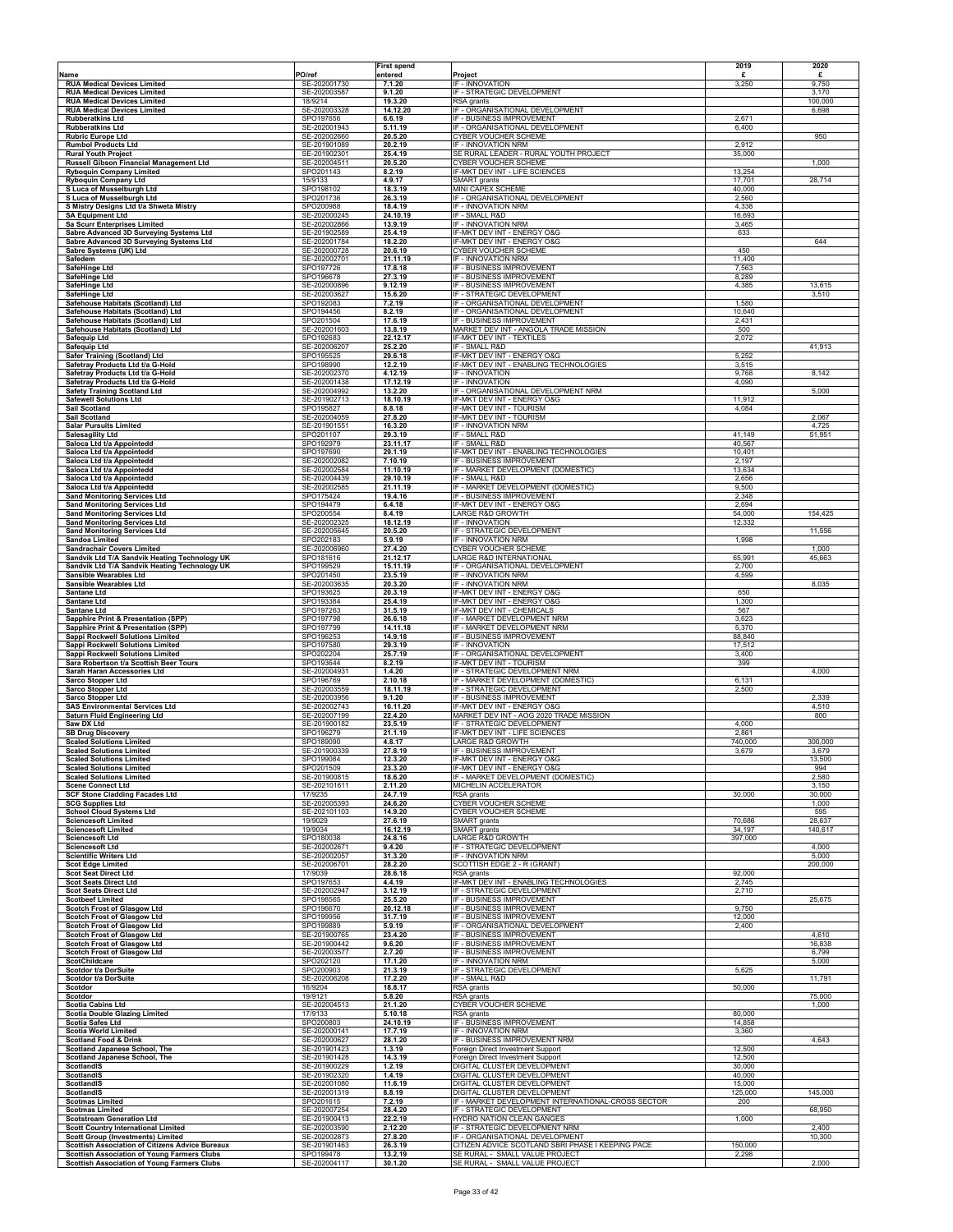|                                                                                                              |                              | <b>First spend</b>   |                                                                                     | 2019              | 2020             |
|--------------------------------------------------------------------------------------------------------------|------------------------------|----------------------|-------------------------------------------------------------------------------------|-------------------|------------------|
| Name<br><b>RUA Medical Devices Limited</b>                                                                   | PO/ref<br>SE-202001730       | entered<br>7.1.20    | Project<br>IF - INNOVATION                                                          | £<br>3,250        | £<br>9,750       |
| <b>RUA Medical Devices Limited</b>                                                                           | SE-202003587                 | 9.1.20               | IF - STRATEGIC DEVELOPMENT                                                          |                   | 3,170            |
| <b>RUA Medical Devices Limited</b>                                                                           | 18/9214                      | 19.3.20              | RSA grants                                                                          |                   | 100,000          |
| <b>RUA Medical Devices Limited</b><br><b>Rubberatkins Ltd</b>                                                | SE-202003328<br>SPO197656    | 14.12.20<br>6.6.19   | IF - ORGANISATIONAL DEVELOPMENT<br>IF - BUSINESS IMPROVEMENT                        | 2,671             | 6,698            |
| <b>Rubberatkins Ltd</b>                                                                                      | SE-202001943                 | 5.11.19              | IF - ORGANISATIONAL DEVELOPMENT                                                     | 6,400             |                  |
| <b>Rubric Europe Ltd</b><br><b>Rumbol Products Ltd</b>                                                       | SE-202002660<br>SE-201901089 | 20.5.20<br>20.2.19   | <b>CYBER VOUCHER SCHEME</b><br>IF - INNOVATION NRM                                  | 2,912             | 950              |
| <b>Rural Youth Project</b>                                                                                   | SE-201902301                 | 25.4.19              | SE RURAL LEADER - RURAL YOUTH PROJECT                                               | 35,000            |                  |
| Russell Gibson Financial Management Ltd<br><b>Ryboquin Company Limited</b>                                   | SE-202004511<br>SPO201143    | 20.5.20<br>8.2.19    | CYBER VOUCHER SCHEME<br>IF-MKT DEV INT - LIFE SCIENCES                              | 13,254            | 1,000            |
| <b>Ryboquin Company Ltd</b>                                                                                  | 15/9133                      | 4.9.17               | SMART grants                                                                        | 17,701            | 28,714           |
| S Luca of Musselburgh Ltd<br>S Luca of Musselburgh Ltd                                                       | SPO198102<br>SPO201736       | 18.3.19<br>26.3.19   | MINI CAPEX SCHEME<br>IF - ORGANISATIONAL DEVELOPMENT                                | 40,000<br>2,560   |                  |
| S Mistry Designs Ltd t/a Shweta Mistry                                                                       | SPO200988                    | 18.4.19              | IF - INNOVATION NRM                                                                 | 4,338             |                  |
| <b>SA Equipment Ltd</b><br>Sa Scurr Enterprises Limited                                                      | SE-202000245<br>SE-202002866 | 24.10.19<br>13.9.19  | IF - SMALL R&D<br>IF - INNOVATION NRM                                               | 16,693<br>3,465   |                  |
| Sabre Advanced 3D Surveying Systems Ltd                                                                      | SE-201902589                 | 25.4.19              | IF-MKT DEV INT - ENERGY O&G                                                         | 633               | 644              |
| Sabre Advanced 3D Surveying Systems Ltd<br>Sabre Systems (UK) Ltd                                            | SE-202001784<br>SE-202000728 | 18.2.20<br>20.6.19   | IF-MKT DEV INT - ENERGY O&G<br><b>CYBER VOUCHER SCHEME</b>                          | 450               |                  |
| Safedem                                                                                                      | SE-202002701                 | 21.11.19             | IF - INNOVATION NRM                                                                 | 11,400            |                  |
| SafeHinge Ltd<br>SafeHinge Ltd                                                                               | SPO197726<br>SPO196678       | 17.8.18<br>27.3.19   | IF - BUSINESS IMPROVEMENT<br>IF - BUSINESS IMPROVEMENT                              | 7,563<br>8,289    |                  |
| SafeHinge Ltd                                                                                                | SE-202000896                 | 9.12.19              | IF - BUSINESS IMPROVEMENT                                                           | 4,385             | 13,615           |
| SafeHinge Ltd<br>Safehouse Habitats (Scotland) Ltd                                                           | SE-202003627<br>SPO192083    | 15.6.20<br>7.2.19    | IF - STRATEGIC DEVELOPMENT<br>IF - ORGANISATIONAL DEVELOPMENT                       | 1,580             | 3,510            |
| Safehouse Habitats (Scotland) Ltd                                                                            | SPO194456                    | 8.2.19               | IF - ORGANISATIONAL DEVELOPMENT                                                     | 10,640            |                  |
| Safehouse Habitats (Scotland) Ltd<br>Safehouse Habitats (Scotland) Ltd                                       | SPO201504<br>SE-202001603    | 17.6.19<br>13.8.19   | IF - BUSINESS IMPROVEMENT<br>MARKET DEV INT - ANGOLA TRADE MISSION                  | 2,431<br>500      |                  |
| Safequip Ltd                                                                                                 | SPO192683                    | 22.12.17             | IF-MKT DEV INT - TEXTILES                                                           | 2,072             |                  |
| Safequip Ltd<br>Safer Training (Scotland) Ltd                                                                | SE-202006207<br>SPO195525    | 25.2.20<br>29.6.18   | IF - SMALL R&D<br>IF-MKT DEV INT - ENERGY O&G                                       | 5,252             | 41,913           |
| Safetray Products Ltd t/a G-Hold                                                                             | SPO198990                    | 12.2.19              | IF-MKT DEV INT - ENABLING TECHNOLOGIES                                              | 3,515             |                  |
| Safetray Products Ltd t/a G-Hold<br>Safetray Products Ltd t/a G-Hold                                         | SE-202002370<br>SE-202001438 | 4.12.19<br>17.12.19  | IF - INNOVATION<br>IF - INNOVATION                                                  | 9,768<br>4,090    | 8,142            |
| <b>Safety Training Scotland Ltd</b>                                                                          | SE-202004992                 | 13.2.20              | IF - ORGANISATIONAL DEVELOPMENT NRM                                                 |                   | 5,000            |
| <b>Safewell Solutions Ltd</b><br><b>Sail Scotland</b>                                                        | SE-201902713<br>SPO195827    | 18.10.19<br>8.8.18   | IF-MKT DEV INT - ENERGY O&G<br>IF-MKT DEV INT - TOURISM                             | 11,912<br>4,084   |                  |
| <b>Sail Scotland</b>                                                                                         | SE-202004059                 | 27.8.20              | IF-MKT DEV INT - TOURISM                                                            |                   | 2,067            |
| <b>Salar Pursuits Limited</b><br><b>Salesagility Ltd</b>                                                     | SE-201901551<br>SPO201107    | 16.3.20<br>29.3.19   | IF - INNOVATION NRM<br>IF - SMALL R&D                                               | 41,149            | 4,725<br>51,951  |
| Saloca Ltd t/a Appointedd                                                                                    | SPO192979                    | 23.11.17             | IF - SMALL R&D                                                                      | 40,567            |                  |
| Saloca Ltd t/a Appointedd<br>Saloca Ltd t/a Appointedd                                                       | SPO197690<br>SE-202002082    | 29.1.19<br>7.10.19   | IF-MKT DEV INT - ENABLING TECHNOLOGIES<br>IF - BUSINESS IMPROVEMENT                 | 10,401<br>2,197   |                  |
| Saloca Ltd t/a Appointedd                                                                                    | SE-202002584                 | 11.10.19             | IF - MARKET DEVELOPMENT (DOMESTIC)                                                  | 13,634            |                  |
| Saloca Ltd t/a Appointedd<br>Saloca Ltd t/a Appointedd                                                       | SE-202004439<br>SE-202002585 | 29.10.19<br>21.11.19 | IF - SMALL R&D<br>IF - MARKET DEVELOPMENT (DOMESTIC)                                | 2,656<br>9,500    |                  |
| <b>Sand Monitoring Services Ltd</b>                                                                          | SPO175424                    | 19.4.16              | IF - BUSINESS IMPROVEMENT                                                           | 2,348             |                  |
| <b>Sand Monitoring Services Ltd</b><br><b>Sand Monitoring Services Ltd</b>                                   | SPO194479<br>SPO200554       | 6.4.18<br>8.4.19     | IF-MKT DEV INT - ENERGY O&G<br>LARGE R&D GROWTH                                     | 2,694<br>54,000   | 154,425          |
| <b>Sand Monitoring Services Ltd</b>                                                                          | SE-202002325                 | 18.12.19             | IF - INNOVATION                                                                     | 12,332            |                  |
| <b>Sand Monitoring Services Ltd</b><br><b>Sandoa Limited</b>                                                 | SE-202005645<br>SPO202183    | 20.5.20<br>5.9.19    | IF - STRATEGIC DEVELOPMENT<br>IF - INNOVATION NRM                                   | 1,998             | 11,556           |
| Sandrachair Covers Limited                                                                                   | SE-202006960                 | 27.4.20              | <b>CYBER VOUCHER SCHEME</b>                                                         |                   | 1,000            |
| Sandvik Ltd T/A Sandvik Heating Technology UK<br>Sandvik Ltd T/A Sandvik Heating Technology UK               | SPO181616<br>SPO199529       | 21.12.17<br>15.11.19 | <b>LARGE R&amp;D INTERNATIONAL</b><br>IF - ORGANISATIONAL DEVELOPMENT               | 65,991<br>2,700   | 45,663           |
| Sansible Wearables Ltd                                                                                       | SPO201450                    | 23.5.19              | IF - INNOVATION NRM                                                                 | 4,599             |                  |
| Sansible Wearables Ltd<br>Santane Ltd                                                                        | SE-202003635<br>SPO193625    | 20.3.20<br>20.3.19   | IF - INNOVATION NRM<br>IF-MKT DEV INT - ENERGY O&G                                  | 650               | 8,035            |
| Santane Ltd                                                                                                  | SPO193384                    | 25.4.19              | IF-MKT DEV INT - ENERGY O&G                                                         | 1,300             |                  |
|                                                                                                              |                              |                      |                                                                                     |                   |                  |
| Santane Ltd                                                                                                  | SPO197263                    | 31.5.19              | IF-MKT DEV INT - CHEMICALS                                                          | 567               |                  |
| Sapphire Print & Presentation (SPP)<br>Sapphire Print & Presentation (SPP)                                   | SPO197798<br>SPO197799       | 26.6.18<br>14.11.18  | IF - MARKET DEVELOPMENT NRM<br>IF - MARKET DEVELOPMENT NRM                          | 3,623<br>5,370    |                  |
| Sappi Rockwell Solutions Limited                                                                             | SPO196253                    | 14.9.18              | IF - BUSINESS IMPROVEMENT                                                           | 88,840            |                  |
| Sappi Rockwell Solutions Limited<br><b>Sappi Rockwell Solutions Limited</b>                                  | SPO197580<br>SPO202204       | 29.3.19<br>25.7.19   | IF - INNOVATION<br>IF - ORGANISATIONAL DEVELOPMENT                                  | 17,512<br>3,400   |                  |
| Sara Robertson t/a Scottish Beer Tours                                                                       | SPO193644                    | 8.2.19               | IF-MKT DEV INT - TOURISM                                                            | 399               |                  |
| Sarah Haran Accessories Ltd                                                                                  | SE-202004931<br>SPO196769    | 1.4.20<br>2.10.18    | IF - STRATEGIC DEVELOPMENT NRM                                                      | 6,131             | 4,000            |
| <b>Sarco Stopper Ltd</b><br><b>Sarco Stopper Ltd</b>                                                         | SE-202003559                 | 18.11.19             | IF - MARKET DEVELOPMENT (DOMESTIC)<br>IF - STRATEGIC DEVELOPMENT                    | 2,500             |                  |
| <b>Sarco Stopper Ltd</b>                                                                                     | SE-202003956<br>SE-202002743 | 9.1.20<br>16.11.20   | IF - BUSINESS IMPROVEMENT<br>IF-MKT DEV INT - ENERGY O&G                            |                   | 2,339<br>4,510   |
| <b>SAS Environmental Services Ltd</b><br>Saturn Fluid Engineering Ltd                                        | SE-202007199                 | 22.4.20              | MARKET DEV INT - AOG 2020 TRADE MISSION                                             |                   | 800              |
| Saw DX Ltd                                                                                                   | SE-201900182                 | 23.5.19              | IF - STRATEGIC DEVELOPMENT                                                          | 4,000             |                  |
| <b>SB Drug Discovery</b><br><b>Scaled Solutions Limited</b>                                                  | SPO196279<br>SPO189090       | 21.1.19<br>4.8.17    | IF-MKT DEV INT - LIFE SCIENCES<br><b>LARGE R&amp;D GROWTH</b>                       | 2,861<br>740,000  | 300,000          |
| <b>Scaled Solutions Limited</b><br><b>Scaled Solutions Limited</b>                                           | SE-201900339<br>SPO199084    | 27.8.19<br>12.3.20   | IF - BUSINESS IMPROVEMENT<br>IF-MKT DEV INT - ENERGY O&G                            | 3,679             | 3,679<br>13,500  |
| <b>Scaled Solutions Limited</b>                                                                              | SPO201509                    | 23.3.20              | IF-MKT DEV INT - ENERGY O&G                                                         |                   | 994              |
| <b>Scaled Solutions Limited</b><br><b>Scene Connect Ltd</b>                                                  | SE-201900815<br>SE-202101611 | 18.6.20<br>2.11.20   | IF - MARKET DEVELOPMENT (DOMESTIC)<br>MICHELIN ACCELERATOR                          |                   | 2,580<br>3,150   |
| <b>SCF Stone Cladding Facades Ltd</b>                                                                        | 17/9235                      | 24.7.19              | RSA grants                                                                          | 30,000            | 30,000           |
| <b>SCG Supplies Ltd</b><br><b>School Cloud Systems Ltd</b>                                                   | SE-202005393<br>SE-202101103 | 24.6.20<br>14.9.20   | CYBER VOUCHER SCHEME<br>CYBER VOUCHER SCHEME                                        |                   | 1,000<br>595     |
| <b>Sciencesoft Limited</b>                                                                                   | 19/9029                      | 27.6.19              | SMART grants                                                                        | 70,686            | 28,637           |
| <b>Sciencesoft Limited</b><br><b>Sciencesoft Ltd</b>                                                         | 19/9034<br>SPO180038         | 16.12.19<br>24.8.16  | SMART grants<br><b>LARGE R&amp;D GROWTH</b>                                         | 34,197<br>397,000 | 140,617          |
| <b>Sciencesoft Ltd</b>                                                                                       | SE-202002671                 | 9.4.20               | IF - STRATEGIC DEVELOPMENT                                                          |                   | 4,000            |
| <b>Scientific Writers Ltd</b>                                                                                | SE-202002057<br>SE-202006701 | 31.3.20<br>28.2.20   | IF - INNOVATION NRM<br>SCOTTISH EDGE 2 - R (GRANT)                                  |                   | 5,000<br>200,000 |
| <b>Scot Edge Limited</b><br><b>Scot Seat Direct Ltd</b>                                                      | 17/9039                      | 28.6.18              | RSA grants                                                                          | 92,000            |                  |
| <b>Scot Seats Direct Ltd</b><br><b>Scot Seats Direct Ltd</b>                                                 | SPO197653<br>SE-202002947    | 4.4.19<br>3.12.19    | IF-MKT DEV INT - ENABLING TECHNOLOGIES<br>IF - STRATEGIC DEVELOPMENT                | 2,745<br>2,710    |                  |
| <b>Scotbeef Limited</b>                                                                                      | SPO198565                    | 25.5.20              | IF - BUSINESS IMPROVEMENT                                                           |                   | 25,675           |
| <b>Scotch Frost of Glasgow Ltd</b><br><b>Scotch Frost of Glasgow Ltd</b>                                     | SPO196670<br>SPO199956       | 20.12.18<br>31.7.19  | IF - BUSINESS IMPROVEMENT<br>IF - BUSINESS IMPROVEMENT                              | 9,750<br>12,000   |                  |
| <b>Scotch Frost of Glasgow Ltd</b>                                                                           | SPO199889                    | 5.9.19               | IF - ORGANISATIONAL DEVELOPMENT                                                     | 2,400             |                  |
| Scotch Frost of Glasgow Ltd<br>Scotch Frost of Glasgow Ltd                                                   | SE-201900765<br>SE-201900442 | 23.4.20<br>9.6.20    | IF - BUSINESS IMPROVEMENT<br>IF - BUSINESS IMPROVEMENT                              |                   | 4,610<br>16,838  |
| <b>Scotch Frost of Glasgow Ltd</b>                                                                           | SE-202003577                 | 2.7.20               | IF - BUSINESS IMPROVEMENT                                                           |                   | 6,799            |
| ScotChildcare<br>Scotdor t/a DorSuite                                                                        | SPO202120<br>SPO200903       | 17.1.20<br>21.3.19   | IF - INNOVATION NRM<br>IF - STRATEGIC DEVELOPMENT                                   | 5,625             | 5,000            |
| Scotdor t/a DorSuite                                                                                         | SE-202006208                 | 17.2.20              | IF - SMALL R&D                                                                      |                   | 11,791           |
| Scotdor<br>Scotdor                                                                                           | 16/9204<br>19/9121           | 18.8.17<br>5.8.20    | RSA grants<br>RSA grants                                                            | 50,000            | 75,000           |
| <b>Scotia Cabins Ltd</b>                                                                                     | SE-202004513                 | 21.1.20              | <b>CYBER VOUCHER SCHEME</b>                                                         |                   | 1,000            |
| <b>Scotia Double Glazing Limited</b><br><b>Scotia Safes Ltd</b>                                              | 17/9133<br>SPO200803         | 5.10.18<br>24.10.19  | RSA grants<br>IF - BUSINESS IMPROVEMENT                                             | 80,000<br>14,858  |                  |
| <b>Scotia World Limited</b>                                                                                  | SE-202000141                 | 17.7.19              | IF - INNOVATION NRM                                                                 | 3,360             |                  |
| <b>Scotland Food &amp; Drink</b>                                                                             | SE-202000627                 | 28.1.20<br>1.3.19    | IF - BUSINESS IMPROVEMENT NRM                                                       |                   | 4,643            |
| Scotland Japanese School, The<br>Scotland Japanese School, The                                               | SE-201901423<br>SE-201901428 | 14.3.19              | Foreign Direct Investment Support<br>Foreign Direct Investment Support              | 12,500<br>12,500  |                  |
| <b>ScotlandIS</b>                                                                                            | SE-201900229                 | 1.2.19               | DIGITAL CLUSTER DEVELOPMENT                                                         | 30,000<br>40,000  |                  |
| <b>ScotlandIS</b><br><b>ScotlandIS</b>                                                                       | SE-201902320<br>SE-202001080 | 1.4.19<br>11.6.19    | DIGITAL CLUSTER DEVELOPMENT<br>DIGITAL CLUSTER DEVELOPMENT                          | 15,000            |                  |
| <b>ScotlandIS</b>                                                                                            | SE-202001319                 | 8.8.19               | DIGITAL CLUSTER DEVELOPMENT                                                         | 125,000           | 145,000          |
| <b>Scotmas Limited</b><br><b>Scotmas Limited</b>                                                             | SPO201615<br>SE-202007254    | 7.2.19<br>28.4.20    | IF - MARKET DEVELOPMENT INTERNATIONAL-CROSS SECTOR<br>IF - STRATEGIC DEVELOPMENT    | 200               | 68,950           |
| <b>Scotstream Generation Ltd</b>                                                                             | SE-201900413                 | 22.2.19              | HYDRO NATION CLEAN GANGES                                                           | 1,000             |                  |
| <b>Scott Country International Limited</b><br><b>Scott Group (Investments) Limited</b>                       | SE-202003590<br>SE-202002873 | 2.12.20<br>27.8.20   | IF - STRATEGIC DEVELOPMENT NRM<br>IF - ORGANISATIONAL DEVELOPMENT                   |                   | 2,400<br>10,300  |
| <b>Scottish Association of Citizens Advice Bureaux</b><br><b>Scottish Association of Young Farmers Clubs</b> | SE-201901463<br>SPO199478    | 26.3.19<br>13.2.19   | CITIZEN ADVICE SCOTLAND SBRI PHASE I KEEPING PACE<br>SE RURAL - SMALL VALUE PROJECT | 150,000<br>2,298  |                  |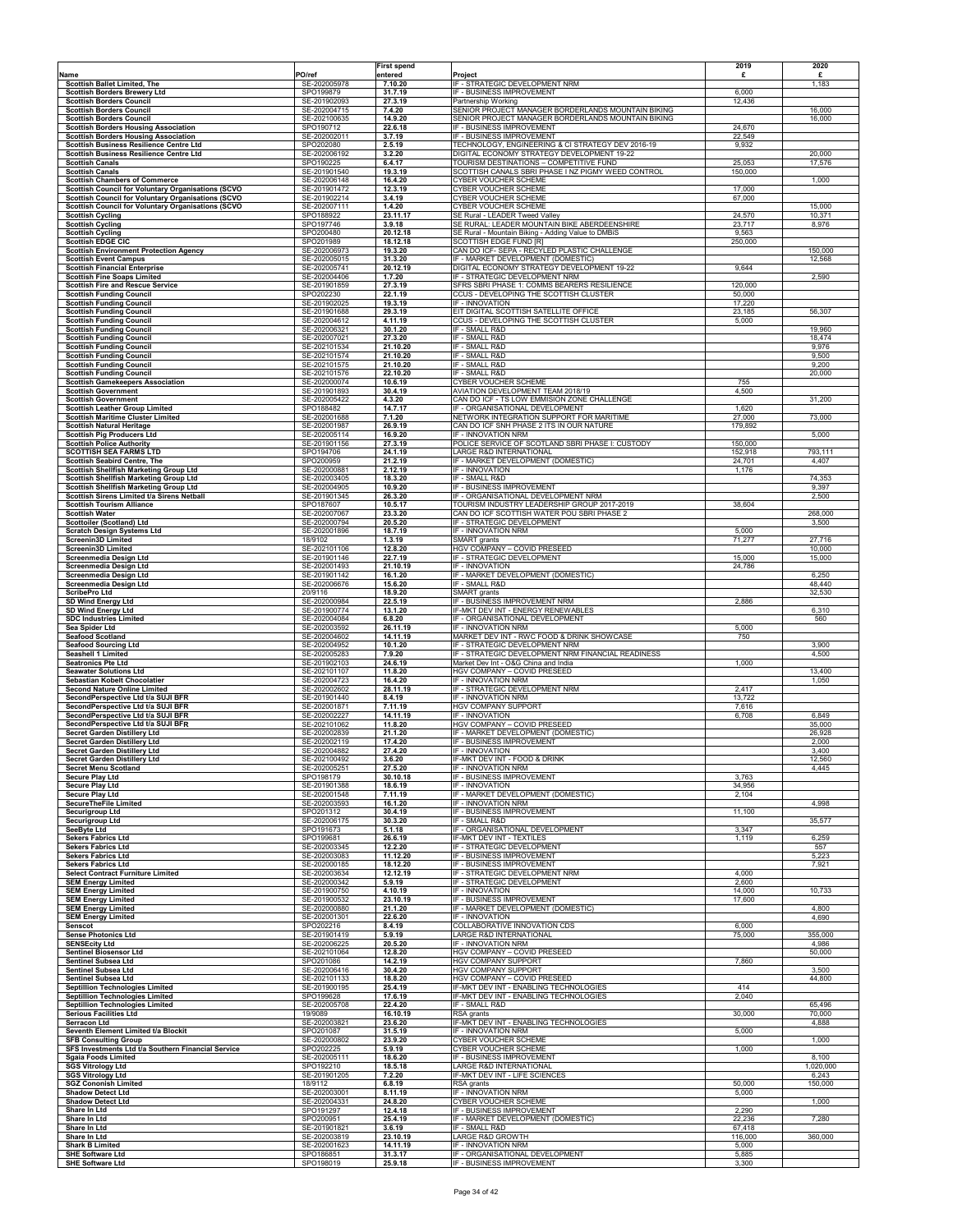|                                                                                                          |                              | <b>First spend</b>   |                                                                                                    | 2019              | 2020               |
|----------------------------------------------------------------------------------------------------------|------------------------------|----------------------|----------------------------------------------------------------------------------------------------|-------------------|--------------------|
| Name<br>Scottish Ballet Limited, The                                                                     | PO/ref<br>SE-202005978       | entered<br>7.10.20   | Project<br>IF - STRATEGIC DEVELOPMENT NRM                                                          | £                 | £<br>1,183         |
| <b>Scottish Borders Brewery Ltd</b>                                                                      | SPO199879                    | 31.7.19              | IF - BUSINESS IMPROVEMENT                                                                          | 6,000             |                    |
| <b>Scottish Borders Council</b><br><b>Scottish Borders Council</b>                                       | SE-201902093<br>SE-202004715 | 27.3.19<br>7.4.20    | Partnership Working<br>SENIOR PROJECT MANAGER BORDERLANDS MOUNTAIN BIKING                          | 12,436            | 16,000             |
| <b>Scottish Borders Council</b>                                                                          | SE-202100635                 | 14.9.20              | SENIOR PROJECT MANAGER BORDERLANDS MOUNTAIN BIKING                                                 |                   | 16,000             |
| <b>Scottish Borders Housing Association</b><br><b>Scottish Borders Housing Association</b>               | SPO190712<br>SE-202002011    | 22.6.18<br>3.7.19    | IF - BUSINESS IMPROVEMENT<br>IF - BUSINESS IMPROVEMENT                                             | 24,670<br>22,549  |                    |
| <b>Scottish Business Resilience Centre Ltd</b>                                                           | SPO202080                    | 2.5.19               | TECHNOLOGY, ENGINEERING & CI STRATEGY DEV 2016-19                                                  | 9,932             |                    |
| <b>Scottish Business Resilience Centre Ltd</b><br><b>Scottish Canals</b>                                 | SE-202006192<br>SPO190225    | 3.2.20<br>6.4.17     | DIGITAL ECONOMY STRATEGY DEVELOPMENT 19-22<br>TOURISM DESTINATIONS - COMPETITIVE FUND              | 25,053            | 20,000<br>17,576   |
| <b>Scottish Canals</b>                                                                                   | SE-201901540                 | 19.3.19              | SCOTTISH CANALS SBRI PHASE I NZ PIGMY WEED CONTROL                                                 | 150,000           |                    |
| <b>Scottish Chambers of Commerce</b><br>Scottish Council for Voluntary Organisations (SCVO               | SE-202006148<br>SE-201901472 | 16.4.20<br>12.3.19   | CYBER VOUCHER SCHEME<br>CYBER VOUCHER SCHEME                                                       | 17,000            | 1,000              |
| Scottish Council for Voluntary Organisations (SCVO<br>Scottish Council for Voluntary Organisations (SCVO | SE-201902214<br>SE-202007111 | 3.4.19<br>1.4.20     | CYBER VOUCHER SCHEME<br>CYBER VOUCHER SCHEME                                                       | 67,000            | 15,000             |
| <b>Scottish Cycling</b>                                                                                  | SPO188922                    | 23.11.17             | SE Rural - LEADER Tweed Valley                                                                     | 24,570            | 10,371             |
| <b>Scottish Cycling</b><br><b>Scottish Cycling</b>                                                       | SPO197746<br>SPO200480       | 3.9.18<br>20.12.18   | SE RURAL: LEADER MOUNTAIN BIKE ABERDEENSHIRE<br>SE Rural - Mountain Biking - Adding Value to DMBiS | 23,717<br>9,563   | 8,976              |
| <b>Scottish EDGE CIC</b>                                                                                 | SPO201989                    | 18.12.18             | SCOTTISH EDGE FUND [R]                                                                             | 250,000           |                    |
| <b>Scottish Environment Protection Agency</b><br><b>Scottish Event Campus</b>                            | SE-202006973<br>SE-202005015 | 19.3.20<br>31.3.20   | CAN DO ICF- SEPA - RECYLED PLASTIC CHALLENGE<br>IF - MARKET DEVELOPMENT (DOMESTIC)                 |                   | 150,000<br>12,568  |
| <b>Scottish Financial Enterprise</b>                                                                     | SE-202005741                 | 20.12.19             | DIGITAL ECONOMY STRATEGY DEVELOPMENT 19-22                                                         | 9,644             |                    |
| <b>Scottish Fine Soaps Limited</b><br><b>Scottish Fire and Rescue Service</b>                            | SE-202004406<br>SE-201901859 | 1.7.20<br>27.3.19    | IF - STRATEGIC DEVELOPMENT NRM<br>SFRS SBRI PHASE 1: COMMS BEARERS RESILIENCE                      | 120,000           | 2,590              |
| <b>Scottish Funding Council</b>                                                                          | SPO202230                    | 22.1.19              | CCUS - DEVELOPING THE SCOTTISH CLUSTER                                                             | 50,000            |                    |
| <b>Scottish Funding Council</b><br><b>Scottish Funding Council</b>                                       | SE-201902025<br>SE-201901688 | 19.3.19<br>29.3.19   | IF - INNOVATION<br>EIT DIGITAL SCOTTISH SATELLITE OFFICE                                           | 17,220<br>23,185  | 56,307             |
| <b>Scottish Funding Council</b><br><b>Scottish Funding Council</b>                                       | SE-202004612<br>SE-202006321 | 4.11.19<br>30.1.20   | CCUS - DEVELOPING THE SCOTTISH CLUSTER<br>IF - SMALL R&D                                           | 5,000             | 19,960             |
| <b>Scottish Funding Council</b>                                                                          | SE-202007021                 | 27.3.20              | IF - SMALL R&D                                                                                     |                   | 18,474             |
| <b>Scottish Funding Council</b><br><b>Scottish Funding Council</b>                                       | SE-202101534<br>SE-202101574 | 21.10.20<br>21.10.20 | IF - SMALL R&D<br>IF - SMALL R&D                                                                   |                   | 9,976<br>9,500     |
| <b>Scottish Funding Council</b>                                                                          | SE-202101575                 | 21.10.20             | IF - SMALL R&D                                                                                     |                   | 9,200              |
| <b>Scottish Funding Council</b><br><b>Scottish Gamekeepers Association</b>                               | SE-202101576<br>SE-202000074 | 22.10.20<br>10.6.19  | IF - SMALL R&D<br>CYBER VOUCHER SCHEME                                                             | 755               | 20,000             |
| <b>Scottish Government</b>                                                                               | SE-201901893                 | 30.4.19              | AVIATION DEVELOPMENT TEAM 2018/19                                                                  | 4,500             |                    |
| <b>Scottish Government</b><br><b>Scottish Leather Group Limited</b>                                      | SE-202005422<br>SPO188482    | 4.3.20<br>14.7.17    | CAN DO ICF - TS LOW EMMISION ZONE CHALLENGE<br>IF - ORGANISATIONAL DEVELOPMENT                     | 1,620             | 31,200             |
| <b>Scottish Maritime Cluster Limited</b>                                                                 | SE-202001688                 | 7.1.20               | NETWORK INTEGRATION SUPPORT FOR MARITIME                                                           | 27,000            | 73,000             |
| <b>Scottish Natural Heritage</b><br><b>Scottish Pig Producers Ltd</b>                                    | SE-202001987<br>SE-202005114 | 26.9.19<br>16.9.20   | CAN DO ICF SNH PHASE 2 ITS IN OUR NATURE<br><b>IF - INNOVATION NRM</b>                             | 179,892           | 5,000              |
| <b>Scottish Police Authority</b><br><b>SCOTTISH SEA FARMS LTD</b>                                        | SE-201901156                 | 27.3.19              | POLICE SERVICE OF SCOTLAND SBRI PHASE I: CUSTODY                                                   | 150,000           |                    |
| <b>Scottish Seabird Centre, The</b>                                                                      | SPO194706<br>SPO200959       | 24.1.19<br>21.2.19   | LARGE R&D INTERNATIONAL<br>IF - MARKET DEVELOPMENT (DOMESTIC)                                      | 152,918<br>24,701 | 793,111<br>4,407   |
| Scottish Shellfish Marketing Group Ltd<br>Scottish Shellfish Marketing Group Ltd                         | SE-202000881<br>SE-202003405 | 2.12.19<br>18.3.20   | IF - INNOVATION<br>IF - SMALL R&D                                                                  | 1,176             | 74,353             |
| <b>Scottish Shellfish Marketing Group Ltd</b>                                                            | SE-202004905                 | 10.9.20              | IF - BUSINESS IMPROVEMENT                                                                          |                   | 9,397              |
| Scottish Sirens Limited t/a Sirens Netball<br><b>Scottish Tourism Alliance</b>                           | SE-201901345<br>SPO187607    | 26.3.20<br>10.5.17   | IF - ORGANISATIONAL DEVELOPMENT NRM<br>FOURISM INDUSTRY LEADERSHIP GROUP 2017-2019                 | 38,604            | 2,500              |
| <b>Scottish Water</b>                                                                                    | SE-202007067                 | 23.3.20              | CAN DO ICF SCOTTISH WATER POU SBRI PHASE 2                                                         |                   | 268,000            |
| Scottoiler (Scotland) Ltd<br><b>Scratch Design Systems Ltd</b>                                           | SE-202000794<br>SE-202001896 | 20.5.20<br>18.7.19   | IF - STRATEGIC DEVELOPMENT<br>IF - INNOVATION NRM                                                  | 5,000             | 3,500              |
| <b>Screenin3D Limited</b>                                                                                | 18/9102                      | 1.3.19               | SMART grants                                                                                       | 71,277            | 27,716             |
| <b>Screenin3D Limited</b><br><b>Screenmedia Design Ltd</b>                                               | SE-202101106<br>SE-201901146 | 12.8.20<br>22.7.19   | HGV COMPANY - COVID PRESEED<br>IF - STRATEGIC DEVELOPMENT                                          | 15,000            | 10,000<br>15,000   |
| Screenmedia Design Ltd                                                                                   | SE-202001493                 | 21.10.19             | IF - INNOVATION                                                                                    | 24,786            |                    |
| Screenmedia Design Ltd<br>Screenmedia Design Ltd                                                         | SE-201901142<br>SE-202006676 | 16.1.20<br>15.6.20   | IF - MARKET DEVELOPMENT (DOMESTIC)<br>IF - SMALL R&D                                               |                   | 6,250<br>48,440    |
| <b>ScribePro Ltd</b>                                                                                     | 20/9116                      | 18.9.20              | SMART grants                                                                                       |                   | 32,530             |
| <b>SD Wind Energy Ltd</b><br><b>SD Wind Energy Ltd</b>                                                   | SE-202000984<br>SE-201900774 | 22.5.19<br>13.1.20   | IF - BUSINESS IMPROVEMENT NRM<br>IF-MKT DEV INT - ENERGY RENEWABLES                                | 2,886             | 6,310              |
| <b>SDC Industries Limited</b><br>Sea Spider Ltd                                                          | SE-202004084<br>SE-202003592 | 6.8.20<br>26.11.19   | IF - ORGANISATIONAL DEVELOPMENT<br>IF - INNOVATION NRM                                             | 5,000             | 560                |
| <b>Seafood Scotland</b>                                                                                  | SE-202004602                 | 14.11.19             | MARKET DEV INT - RWC FOOD & DRINK SHOWCASE                                                         | 750               |                    |
| <b>Seafood Sourcing Ltd</b><br>Seashell 1 Limited                                                        | SE-202004952<br>SE-202005283 | 10.1.20<br>7.9.20    | IF - STRATEGIC DEVELOPMENT NRM<br>IF - STRATEGIC DEVELOPMENT NRM FINANCIAL READINESS               |                   | 3,900<br>4,500     |
| <b>Seatronics Pte Ltd</b>                                                                                | SE-201902103                 | 24.6.19              | Market Dev Int - O&G China and India                                                               | 1,000             |                    |
| <b>Seawater Solutions Ltd</b><br>Sebastian Kobelt Chocolatier                                            | SE-202101107<br>SE-202004723 | 11.8.20<br>16.4.20   | HGV COMPANY - COVID PRESEED<br>IF - INNOVATION NRM                                                 |                   | 13,400<br>1,050    |
| <b>Second Nature Online Limited</b>                                                                      | SE-202002602                 | 28.11.19             | IF - STRATEGIC DEVELOPMENT NRM                                                                     | 2,417             |                    |
| SecondPerspective Ltd t/a SUJI BFR<br>SecondPerspective Ltd t/a SUJI BFR                                 | SE-201901440<br>SE-202001871 | 8.4.19<br>7.11.19    | IF - INNOVATION NRM<br>HGV COMPANY SUPPORT                                                         | 13,722<br>7,616   |                    |
| SecondPerspective Ltd t/a SUJI BFR<br>SecondPerspective Ltd t/a SUJI BFR                                 | SE-202002227<br>SE-202101062 | 14.11.19<br>11.8.20  | IF - INNOVATION<br><b>HGV COMPANY - COVID PRESEED</b>                                              | 6,708             | 6,849<br>35,000    |
| <b>Secret Garden Distillery Ltd</b>                                                                      | SE-202002839                 | 21.1.20              | IF - MARKET DEVELOPMENT (DOMESTIC)                                                                 |                   | 26,928             |
| Secret Garden Distillery Ltd<br>Secret Garden Distillery Ltd                                             | SE-202002119<br>SE-202004882 | 17.4.20<br>27.4.20   | IF - BUSINESS IMPROVEMENT<br>IF - INNOVATION                                                       |                   | 2,000<br>3,400     |
| Secret Garden Distillery Ltd                                                                             | SE-202100492                 | 3.6.20               | F-MKT DEV INT - FOOD & DRINK                                                                       |                   | 12,560             |
| <b>Secret Menu Scotland</b><br><b>Secure Play Ltd</b>                                                    | SE-202005251<br>SPO198179    | 27.5.20<br>30.10.18  | IF - INNOVATION NRM<br>IF - BUSINESS IMPROVEMENT                                                   | 3,763             | 4,445              |
| <b>Secure Play Ltd</b>                                                                                   | SE-201901388                 | 18.6.19              | IF - INNOVATION<br>IF - MARKET DEVELOPMENT (DOMESTIC)                                              | 34,956            |                    |
| <b>Secure Play Ltd</b><br><b>SecureTheFile Limited</b>                                                   | SE-202001548<br>SE-202003593 | 7.11.19<br>16.1.20   | IF - INNOVATION NRM                                                                                | 2,104             | 4,998              |
| Securigroup Ltd<br>Securigroup Ltd                                                                       | SPO201312<br>SE-202006175    | 30.4.19<br>30.3.20   | IF - BUSINESS IMPROVEMENT<br>IF - SMALL R&D                                                        | 11,100            | 35,577             |
| SeeByte Ltd                                                                                              | SPO191673                    | 5.1.18               | IF - ORGANISATIONAL DEVELOPMENT                                                                    | 3,347             |                    |
| <b>Sekers Fabrics Ltd</b><br><b>Sekers Fabrics Ltd</b>                                                   | SPO199681<br>SE-202003345    | 26.6.19<br>12.2.20   | IF-MKT DEV INT - TEXTILES<br>IF - STRATEGIC DEVELOPMENT                                            | 1,119             | 6,259<br>557       |
| <b>Sekers Fabrics Ltd</b>                                                                                | SE-202003083                 | 11.12.20             | IF - BUSINESS IMPROVEMENT                                                                          |                   | 5,223              |
| <b>Sekers Fabrics Ltd</b><br><b>Select Contract Furniture Limited</b>                                    | SE-202000185<br>SE-202003634 | 18.12.20<br>12.12.19 | IF - BUSINESS IMPROVEMENT<br>IF - STRATEGIC DEVELOPMENT NRM                                        | 4,000             | 7,921              |
| <b>SEM Energy Limited</b>                                                                                | SE-202000342                 | 5.9.19               | <b>IF - STRATEGIC DEVELOPMENT</b>                                                                  | 2,600             |                    |
| <b>SEM Energy Limited</b><br><b>SEM Energy Limited</b>                                                   | SE-201900750<br>SE-201900532 | 4.10.19<br>23.10.19  | IF - INNOVATION<br>IF - BUSINESS IMPROVEMENT                                                       | 14,000<br>17,600  | 10,733             |
| <b>SEM Energy Limited</b><br><b>SEM Energy Limited</b>                                                   | SE-202000880<br>SE-202001301 | 21.1.20<br>22.6.20   | IF - MARKET DEVELOPMENT (DOMESTIC)<br>IF - INNOVATION                                              |                   | 4,800<br>4,690     |
| Senscot                                                                                                  | SPO202216                    | 8.4.19               | COLLABORATIVE INNOVATION CDS                                                                       | 6,000             |                    |
| <b>Sense Photonics Ltd</b><br><b>SENSEcity Ltd</b>                                                       | SE-201901419<br>SE-202006225 | 5.9.19<br>20.5.20    | LARGE R&D INTERNATIONAL<br>IF - INNOVATION NRM                                                     | 75,000            | 355,000<br>4,986   |
| <b>Sentinel Biosensor Ltd</b>                                                                            | SE-202101064                 | 12.8.20              | HGV COMPANY - COVID PRESEED                                                                        |                   | 50,000             |
| Sentinel Subsea Ltd<br>Sentinel Subsea Ltd                                                               | SPO201086<br>SE-202006416    | 14.2.19<br>30.4.20   | HGV COMPANY SUPPORT<br>HGV COMPANY SUPPORT                                                         | 7,860             | 3,500              |
| Sentinel Subsea Ltd                                                                                      | SE-202101133                 | 18.8.20              | HGV COMPANY - COVID PRESEED                                                                        |                   | 44,800             |
| <b>Septillion Technologies Limited</b><br><b>Septillion Technologies Limited</b>                         | SE-201900195<br>SPO199628    | 25.4.19<br>17.6.19   | IF-MKT DEV INT - ENABLING TECHNOLOGIES<br>IF-MKT DEV INT - ENABLING TECHNOLOGIES                   | 414<br>2,040      |                    |
| <b>Septillion Technologies Limited</b><br>Serious Facilities Ltd                                         | SE-202005708<br>19/9089      | 22.4.20<br>16.10.19  | IF - SMALL R&D                                                                                     | 30,000            | 65,496<br>70,000   |
| <b>Serracon Ltd</b>                                                                                      | SE-202003821                 | 23.6.20              | RSA grants<br>IF-MKT DEV INT - ENABLING TECHNOLOGIES                                               |                   | 4,888              |
| Seventh Element Limited t/a Blockit<br><b>SFB Consulting Group</b>                                       | SPO201087<br>SE-202000802    | 31.5.19<br>23.9.20   | IF - INNOVATION NRM<br>CYBER VOUCHER SCHEME                                                        | 5,000             | 1,000              |
| SFS Investments Ltd t/a Southern Financial Service                                                       | SPO202225                    | 5.9.19               | CYBER VOUCHER SCHEME                                                                               | 1,000             |                    |
| <b>Sgaia Foods Limited</b><br><b>SGS Vitrology Ltd</b>                                                   | SE-202005111<br>SPO192210    | 18.6.20<br>18.5.18   | IF - BUSINESS IMPROVEMENT<br>LARGE R&D INTERNATIONAL                                               |                   | 8,100<br>1,020,000 |
| <b>SGS Vitrology Ltd</b>                                                                                 | SE-201901205                 | 7.2.20               | IF-MKT DEV INT - LIFE SCIENCES                                                                     |                   | 6,243              |
| <b>SGZ Cononish Limited</b><br><b>Shadow Detect Ltd</b>                                                  | 18/9112<br>SE-202003001      | 6.8.19<br>8.11.19    | RSA grants<br><b>IF - INNOVATION NRM</b>                                                           | 50,000<br>5,000   | 150,000            |
| <b>Shadow Detect Ltd</b>                                                                                 | SE-202004331                 | 24.8.20              | CYBER VOUCHER SCHEME                                                                               |                   | 1,000              |
| Share In Ltd<br>Share In Ltd                                                                             | SPO191297<br>SPO200951       | 12.4.18<br>25.4.19   | IF - BUSINESS IMPROVEMENT<br>IF - MARKET DEVELOPMENT (DOMESTIC)                                    | 2,290<br>22,236   | 7,280              |
| Share In Ltd                                                                                             | SE-201901821<br>SE-202003819 | 3.6.19<br>23.10.19   | IF - SMALL R&D<br>LARGE R&D GROWTH                                                                 | 67,418<br>116,000 | 360,000            |
| Share In Ltd<br><b>Shark B Limited</b>                                                                   | SE-202001623                 | 14.11.19             | IF - INNOVATION NRM                                                                                | 5,000             |                    |
| <b>SHE Software Ltd</b><br><b>SHE Software Ltd</b>                                                       | SPO186851<br>SPO198019       | 31.3.17<br>25.9.18   | IF - ORGANISATIONAL DEVELOPMENT<br>IF - BUSINESS IMPROVEMENT                                       | 5,885<br>3,300    |                    |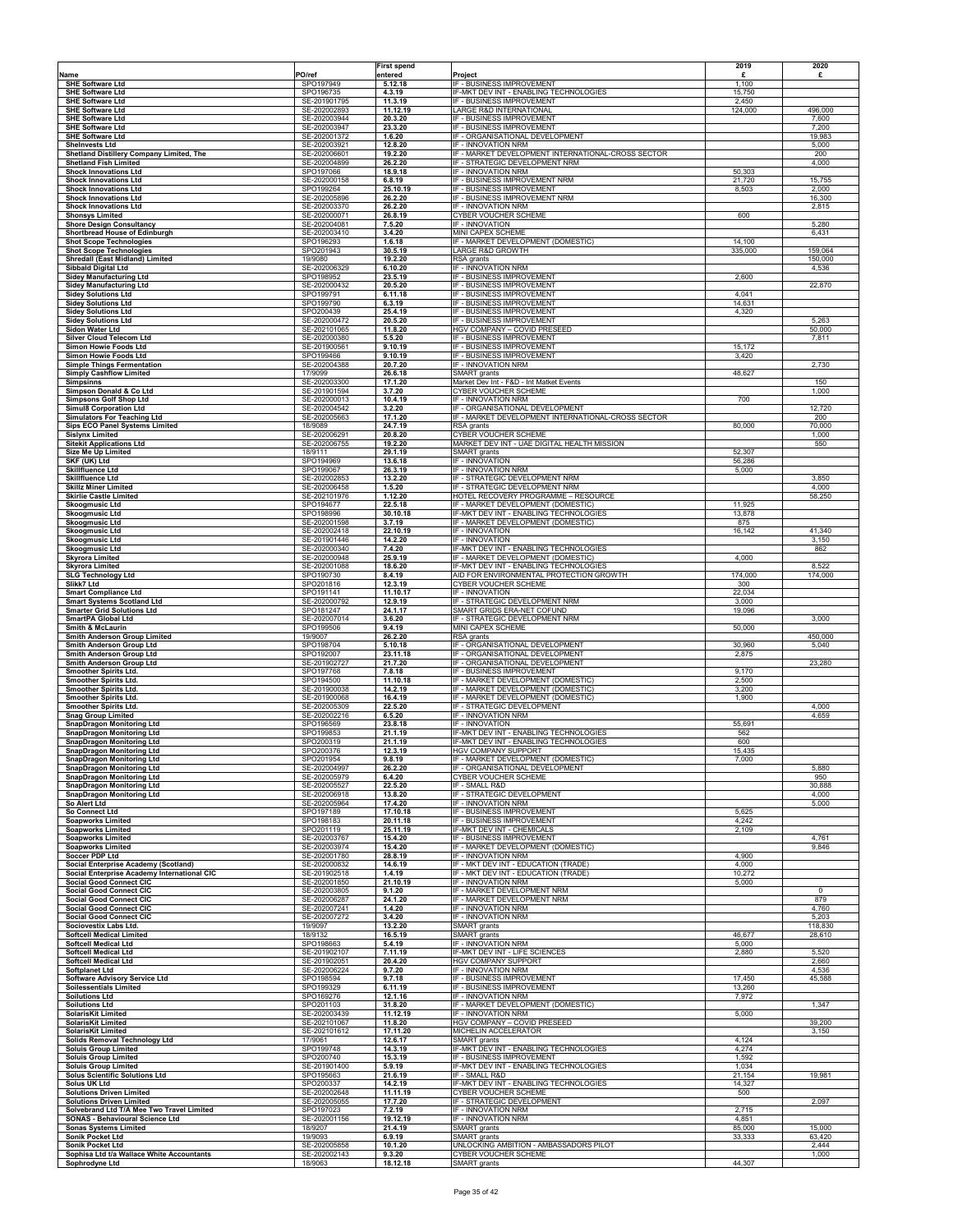|                                                                                     |                              | <b>First spend</b>   |                                                                                      | 2019             | 2020               |
|-------------------------------------------------------------------------------------|------------------------------|----------------------|--------------------------------------------------------------------------------------|------------------|--------------------|
| Name                                                                                | PO/ref                       | entered              | Project                                                                              | £                | £                  |
| <b>SHE Software Ltd</b><br><b>SHE Software Ltd</b>                                  | SPO197949<br>SPO196735       | 5.12.18<br>4.3.19    | <b>F - BUSINESS IMPROVEMENT</b><br>IF-MKT DEV INT - ENABLING TECHNOLOGIES            | 1,100<br>15,750  |                    |
| <b>SHE Software Ltd</b>                                                             | SE-201901795                 | 11.3.19              | IF - BUSINESS IMPROVEMENT                                                            | 2,450            |                    |
| <b>SHE Software Ltd</b>                                                             | SE-202002893                 | 11.12.19             | LARGE R&D INTERNATIONAL                                                              | 124,000          | 496,000            |
| <b>SHE Software Ltd</b><br><b>SHE Software Ltd</b>                                  | SE-202003944<br>SE-202003947 | 20.3.20<br>23.3.20   | IF - BUSINESS IMPROVEMENT<br>IF - BUSINESS IMPROVEMENT                               |                  | 7,600<br>7,200     |
| <b>SHE Software Ltd</b>                                                             | SE-202001372                 | 1.6.20               | IF - ORGANISATIONAL DEVELOPMENT                                                      |                  | 19,983             |
| <b>Shelnvests Ltd</b>                                                               | SE-202003921                 | 12.8.20              | IF - INNOVATION NRM                                                                  |                  | 5,000              |
| Shetland Distillery Company Limited, The<br><b>Shetland Fish Limited</b>            | SE-202006601<br>SE-202004899 | 19.2.20<br>26.2.20   | IF - MARKET DEVELOPMENT INTERNATIONAL-CROSS SECTOR<br>IF - STRATEGIC DEVELOPMENT NRM |                  | 200<br>4,000       |
| <b>Shock Innovations Ltd</b>                                                        | SPO197066                    | 18.9.18              | IF - INNOVATION NRM                                                                  | 50,303           |                    |
| <b>Shock Innovations Ltd</b>                                                        | SE-202000158                 | 6.8.19               | IF - BUSINESS IMPROVEMENT NRM                                                        | 21,720           | 15,755             |
| <b>Shock Innovations Ltd</b><br><b>Shock Innovations Ltd</b>                        | SPO199264<br>SE-202005896    | 25.10.19<br>26.2.20  | IF - BUSINESS IMPROVEMENT<br>IF - BUSINESS IMPROVEMENT NRM                           | 8,503            | 2,000<br>16,300    |
| <b>Shock Innovations Ltd</b>                                                        | SE-202003370                 | 26.2.20              | IF - INNOVATION NRM                                                                  |                  | 2,815              |
| <b>Shonsys Limited</b>                                                              | SE-202000071                 | 26.8.19              | CYBER VOUCHER SCHEME                                                                 | 600              |                    |
| <b>Shore Design Consultancy</b><br>Shortbread House of Edinburgh                    | SE-202004081<br>SE-202003410 | 7.5.20<br>3.4.20     | IF - INNOVATION<br><b>MINI CAPEX SCHEME</b>                                          |                  | 5,280<br>6,431     |
| <b>Shot Scope Technologies</b>                                                      | SPO196293                    | 1.6.18               | IF - MARKET DEVELOPMENT (DOMESTIC)                                                   | 14,100           |                    |
| <b>Shot Scope Technologies</b><br>Shredall (East Midland) Limited                   | SPO201943<br>19/9080         | 30.5.19<br>19.2.20   | LARGE R&D GROWTH                                                                     | 335,000          | 159,064<br>150,000 |
| <b>Sibbald Digital Ltd</b>                                                          | SE-202006329                 | 6.10.20              | RSA grants<br><b>IF - INNOVATION NRM</b>                                             |                  | 4,536              |
| <b>Sidey Manufacturing Ltd</b>                                                      | SPO198952                    | 23.5.19              | IF - BUSINESS IMPROVEMENT                                                            | 2,600            |                    |
| <b>Sidey Manufacturing Ltd</b><br><b>Sidey Solutions Ltd</b>                        | SE-202000432<br>SPO199791    | 20.5.20              | IF - BUSINESS IMPROVEMENT                                                            | 4,041            | 22,870             |
| <b>Sidey Solutions Ltd</b>                                                          | SPO199790                    | 6.11.18<br>6.3.19    | IF - BUSINESS IMPROVEMENT<br>IF - BUSINESS IMPROVEMENT                               | 14,631           |                    |
| <b>Sidey Solutions Ltd</b>                                                          | SPO200439                    | 25.4.19              | IF - BUSINESS IMPROVEMENT                                                            | 4,320            |                    |
| <b>Sidey Solutions Ltd</b>                                                          | SE-202000472                 | 20.5.20              | IF - BUSINESS IMPROVEMENT<br>HGV COMPANY - COVID PRESEED                             |                  | 5,263<br>50,000    |
| Sidon Water Ltd<br><b>Silver Cloud Telecom Ltd</b>                                  | SE-202101065<br>SE-202000380 | 11.8.20<br>5.5.20    | IF - BUSINESS IMPROVEMENT                                                            |                  | 7,811              |
| Simon Howie Foods Ltd                                                               | SE-201900561                 | 9.10.19              | IF - BUSINESS IMPROVEMENT                                                            | 15,172           |                    |
| Simon Howie Foods Ltd                                                               | SPO199466                    | 9.10.19              | IF - BUSINESS IMPROVEMENT                                                            | 3,420            |                    |
| <b>Simple Things Fermentation</b><br><b>Simply Cashflow Limited</b>                 | SE-202004388<br>17/9099      | 20.7.20<br>26.6.18   | IF - INNOVATION NRM<br>SMART grants                                                  | 48,627           | 2,730              |
| <b>Simpsinns</b>                                                                    | SE-202003300                 | 17.1.20              | Market Dev Int - F&D - Int Matket Events                                             |                  | 150                |
| Simpson Donald & Co Ltd                                                             | SE-201901594                 | 3.7.20               | CYBER VOUCHER SCHEME                                                                 |                  | 1,000              |
| <b>Simpsons Golf Shop Ltd</b><br><b>Simul8 Corporation Ltd</b>                      | SE-202000013<br>SE-202004542 | 10.4.19<br>3.2.20    | IF - INNOVATION NRM<br>IF - ORGANISATIONAL DEVELOPMENT                               | 700              | 12,720             |
| <b>Simulators For Teaching Ltd</b>                                                  | SE-202005663                 | 17.1.20              | IF - MARKET DEVELOPMENT INTERNATIONAL-CROSS SECTOR                                   |                  | 200                |
| Sips ECO Panel Systems Limited                                                      | 18/9089                      | 24.7.19              | RSA grants                                                                           | 80,000           | 70,000             |
| <b>Sislynx Limited</b>                                                              | SE-202006291                 | 20.8.20<br>19.2.20   | CYBER VOUCHER SCHEME<br>MARKET DEV INT - UAE DIGITAL HEALTH MISSION                  |                  | 1,000              |
| <b>Sitekit Applications Ltd</b><br><b>Size Me Up Limited</b>                        | SE-202006755<br>18/9111      | 29.1.19              | SMART grants                                                                         | 52,307           | 550                |
| SKF (UK) Ltd                                                                        | SPO194969                    | 13.6.18              | IF - INNOVATION                                                                      | 56,286           |                    |
| <b>Skillfluence Ltd</b>                                                             | SPO199067                    | 26.3.19              | IF - INNOVATION NRM                                                                  | 5,000            |                    |
| <b>Skillfluence Ltd</b><br><b>Skillz Miner Limited</b>                              | SE-202002853<br>SE-202006458 | 13.2.20<br>1.5.20    | IF - STRATEGIC DEVELOPMENT NRM<br>IF - STRATEGIC DEVELOPMENT NRM                     |                  | 3,850<br>4,000     |
| <b>Skirlie Castle Limited</b>                                                       | SE-202101976                 | 1.12.20              | HOTEL RECOVERY PROGRAMME - RESOURCE                                                  |                  | 58,250             |
| <b>Skoogmusic Ltd</b>                                                               | SPO194677                    | 22.5.18              | IF - MARKET DEVELOPMENT (DOMESTIC)                                                   | 11,925           |                    |
| <b>Skoogmusic Ltd</b><br><b>Skoogmusic Ltd</b>                                      | SPO198996<br>SE-202001598    | 30.10.18<br>3.7.19   | IF-MKT DEV INT - ENABLING TECHNOLOGIES<br>IF - MARKET DEVELOPMENT (DOMESTIC)         | 13,878<br>875    |                    |
| <b>Skoogmusic Ltd</b>                                                               | SE-202002418                 | 22.10.19             | IF - INNOVATION                                                                      | 16,142           | 41,340             |
| <b>Skoogmusic Ltd</b>                                                               | SE-201901446                 | 14.2.20              | IF - INNOVATION                                                                      |                  | 3,150              |
| <b>Skoogmusic Ltd</b><br><b>Skyrora Limited</b>                                     | SE-202000340<br>SE-202000948 | 7.4.20<br>25.9.19    | IF-MKT DEV INT - ENABLING TECHNOLOGIES<br>IF - MARKET DEVELOPMENT (DOMESTIC)         | 4,000            | 862                |
| <b>Skyrora Limited</b>                                                              | SE-202001088                 | 18.6.20              | IF-MKT DEV INT - ENABLING TECHNOLOGIES                                               |                  | 8,522              |
| <b>SLG Technology Ltd</b>                                                           | SPO190730                    | 8.4.19               | AID FOR ENVIRONMENTAL PROTECTION GROWTH                                              | 174,000          | 174,000            |
| Slikk7 Ltd                                                                          | SPO201816<br>SPO191141       | 12.3.19<br>11.10.17  | CYBER VOUCHER SCHEME<br>IF - INNOVATION                                              | 300<br>22,034    |                    |
| <b>Smart Compliance Ltd</b><br><b>Smart Systems Scotland Ltd</b>                    | SE-202000792                 | 12.9.19              | IF - STRATEGIC DEVELOPMENT NRM                                                       | 3,000            |                    |
| <b>Smarter Grid Solutions Ltd</b>                                                   | SPO181247                    |                      |                                                                                      |                  |                    |
|                                                                                     |                              | 24.1.17              | SMART GRIDS ERA-NET COFUND                                                           | 19,096           |                    |
| SmartPA Global Ltd                                                                  | SE-202007014                 | 3.6.20               | IF - STRATEGIC DEVELOPMENT NRM                                                       |                  | 3,000              |
| Smith & McLaurin                                                                    | SPO199506                    | 9.4.19               | MINI CAPEX SCHEME                                                                    | 50,000           |                    |
| <b>Smith Anderson Group Limited</b><br>Smith Anderson Group Ltd                     | 19/9007<br>SPO198704         | 26.2.20<br>5.10.18   | RSA grants<br>IF - ORGANISATIONAL DEVELOPMENT                                        | 30,960           | 450,000<br>5,040   |
| Smith Anderson Group Ltd                                                            | SPO192007                    | 23.11.18             | IF - ORGANISATIONAL DEVELOPMENT                                                      | 2,875            |                    |
| Smith Anderson Group Ltd                                                            | SE-201902727                 | 21.7.20              | IF - ORGANISATIONAL DEVELOPMENT                                                      |                  | 23,280             |
| Smoother Spirits Ltd.<br>Smoother Spirits Ltd.                                      | SPO197768<br>SPO194500       | 7.8.18<br>11.10.18   | IF - BUSINESS IMPROVEMENT<br>IF - MARKET DEVELOPMENT (DOMESTIC)                      | 9,170<br>2,500   |                    |
| Smoother Spirits Ltd.                                                               | SE-201900038                 | 14.2.19              | IF - MARKET DEVELOPMENT (DOMESTIC)                                                   | 3,200            |                    |
| Smoother Spirits Ltd.                                                               | SE-201900068                 | 16.4.19              | IF - MARKET DEVELOPMENT (DOMESTIC)                                                   | 1,900            |                    |
| Smoother Spirits Ltd.<br><b>Snag Group Limited</b>                                  | SE-202005309<br>SE-202002216 | 22.5.20<br>6.5.20    | IF - STRATEGIC DEVELOPMENT<br>IF - INNOVATION NRM                                    |                  | 4,000<br>4,659     |
| <b>SnapDragon Monitoring Ltd</b>                                                    | SPO196569                    | 23.8.18              | IF - INNOVATION                                                                      | 55,691           |                    |
| <b>SnapDragon Monitoring Ltd</b>                                                    | SPO199853                    | 21.1.19              | IF-MKT DEV INT - ENABLING TECHNOLOGIES                                               | 562              |                    |
| <b>SnapDragon Monitoring Ltd</b><br><b>SnapDragon Monitoring Ltd</b>                | SPO200319<br>SPO200376       | 21.1.19<br>12.3.19   | IF-MKT DEV INT - ENABLING TECHNOLOGIES<br>HGV COMPANY SUPPORT                        | 600<br>15,435    |                    |
| <b>SnapDragon Monitoring Ltd</b>                                                    | SPO201954                    | 9.8.19               | IF - MARKET DEVELOPMENT (DOMESTIC)                                                   | 7,000            |                    |
| <b>SnapDragon Monitoring Ltd</b>                                                    | SE-202004997                 | 26.2.20              | IF - ORGANISATIONAL DEVELOPMENT                                                      |                  | 5,880              |
| <b>SnapDragon Monitoring Ltd</b><br><b>SnapDragon Monitoring Ltd</b>                | SE-202005979<br>SE-202005527 | 6.4.20<br>22.5.20    | <b>CYBER VOUCHER SCHEME</b><br>IF - SMALL R&D                                        |                  | 950<br>30,888      |
| <b>SnapDragon Monitoring Ltd</b>                                                    | SE-202006918                 | 13.8.20              | IF - STRATEGIC DEVELOPMENT                                                           |                  | 4,000              |
| So Alert Ltd                                                                        | SE-202005964                 | 17.4.20              | IF - INNOVATION NRM                                                                  |                  | 5,000              |
| So Connect Ltd<br><b>Soapworks Limited</b>                                          | SPO197189<br>SPO198183       | 17.10.18<br>20.11.18 | IF - BUSINESS IMPROVEMENT<br>IF - BUSINESS IMPROVEMENT                               | 5,625<br>4,242   |                    |
| <b>Soapworks Limited</b>                                                            | SPO201119                    | 25.11.19             | IF-MKT DEV INT - CHEMICALS                                                           | 2,109            |                    |
| <b>Soapworks Limited</b>                                                            | SE-202003767                 | 15.4.20              | IF - BUSINESS IMPROVEMENT                                                            |                  | 4,761              |
| <b>Soapworks Limited</b><br>Soccer PDP Ltd                                          | SE-202003974<br>SE-202001780 | 15.4.20<br>28.8.19   | IF - MARKET DEVELOPMENT (DOMESTIC)<br>IF - INNOVATION NRM                            | 4,900            | 9,846              |
| Social Enterprise Academy (Scotland)                                                | SE-202000832                 | 14.6.19              | IF - MKT DEV INT - EDUCATION (TRADE)                                                 | 4,000            |                    |
| Social Enterprise Academy International CIC                                         | SE-201902518                 | 1.4.19               | IF - MKT DEV INT - EDUCATION (TRADE)                                                 | 10,272           |                    |
| <b>Social Good Connect CIC</b><br><b>Social Good Connect CIC</b>                    | SE-202001850<br>SE-202003805 | 21.10.19<br>9.1.20   | IF - INNOVATION NRM<br>IF - MARKET DEVELOPMENT NRM                                   | 5,000            | $\mathbf 0$        |
| <b>Social Good Connect CIC</b>                                                      | SE-202006287                 | 24.1.20              | IF - MARKET DEVELOPMENT NRM                                                          |                  | 879                |
| <b>Social Good Connect CIC</b>                                                      | SE-202007241                 | 1.4.20               | IF - INNOVATION NRM                                                                  |                  | 4,760              |
| <b>Social Good Connect CIC</b><br>Sociovestix Labs Ltd.                             | SE-202007272                 | 3.4.20               | IF - INNOVATION NRM                                                                  |                  | 5,203              |
| <b>Softcell Medical Limited</b>                                                     | 19/9097<br>18/9132           | 13.2.20<br>16.5.19   | SMART grants<br>SMART grants                                                         | 46,677           | 118,830<br>28,610  |
| <b>Softcell Medical Ltd</b>                                                         | SPO198663                    | 5.4.19               | IF - INNOVATION NRM                                                                  | 5,000            |                    |
| <b>Softcell Medical Ltd</b>                                                         | SE-201902107                 | 7.11.19              | IF-MKT DEV INT - LIFE SCIENCES                                                       | 2,880            | 5,520              |
| <b>Softcell Medical Ltd</b><br><b>Softplanet Ltd</b>                                | SE-201902051<br>SE-202006224 | 20.4.20<br>9.7.20    | HGV COMPANY SUPPORT<br>IF - INNOVATION NRM                                           |                  | 2,660<br>4,536     |
| <b>Software Advisory Service Ltd</b>                                                | SPO198594                    | 9.7.18               | IF - BUSINESS IMPROVEMENT                                                            | 17,450           | 45,588             |
| <b>Soilessentials Limited</b>                                                       | SPO199329                    | 6.11.19              | IF - BUSINESS IMPROVEMENT                                                            | 13,260           |                    |
| <b>Soilutions Ltd</b><br><b>Soilutions Ltd</b>                                      | SPO169276<br>SPO201103       | 12.1.16<br>31.8.20   | IF - INNOVATION NRM<br>IF - MARKET DEVELOPMENT (DOMESTIC)                            | 7,972            | 1,347              |
| SolarisKit Limited                                                                  | SE-202003439                 | 11.12.19             | IF - INNOVATION NRM                                                                  | 5,000            |                    |
| SolarisKit Limited                                                                  | SE-202101067                 | 11.8.20              | HGV COMPANY - COVID PRESEED                                                          |                  | 39,200             |
| <b>SolarisKit Limited</b>                                                           | SE-202101612                 | 17.11.20             | MICHELIN ACCELERATOR                                                                 |                  | 3,150              |
| <b>Solids Removal Technology Ltd</b><br><b>Soluis Group Limited</b>                 | 17/9061<br>SPO199748         | 12.6.17<br>14.3.19   | SMART grants<br>IF-MKT DEV INT - ENABLING TECHNOLOGIES                               | 4,124<br>4,274   |                    |
| <b>Soluis Group Limited</b>                                                         | SPO200740                    | 15.3.19              | IF - BUSINESS IMPROVEMENT                                                            | 1,592            |                    |
| <b>Soluis Group Limited</b>                                                         | SE-201901400                 | 5.9.19               | IF-MKT DEV INT - ENABLING TECHNOLOGIES                                               | 1,034            |                    |
| <b>Solus Scientific Solutions Ltd</b><br><b>Solus UK Ltd</b>                        | SPO195663<br>SPO200337       | 21.6.19<br>14.2.19   | IF - SMALL R&D<br>IF-MKT DEV INT - ENABLING TECHNOLOGIES                             | 21,154<br>14,327 | 19,981             |
| <b>Solutions Driven Limited</b>                                                     | SE-202002648                 | 11.11.19             | CYBER VOUCHER SCHEME                                                                 | 500              |                    |
| <b>Solutions Driven Limited</b>                                                     | SE-202005055                 | 17.7.20              | IF - STRATEGIC DEVELOPMENT                                                           |                  | 2,097              |
| Solvebrand Ltd T/A Mee Two Travel Limited<br><b>SONAS - Behavioural Science Ltd</b> | SPO197023<br>SE-202001156    | 7.2.19<br>19.12.19   | IF - INNOVATION NRM<br>IF - INNOVATION NRM                                           | 2,715<br>4,851   |                    |
| <b>Sonas Systems Limited</b>                                                        | 18/9207                      | 21.4.19              | SMART grants                                                                         | 85,000           | 15,000             |
| <b>Sonik Pocket Ltd</b>                                                             | 19/9093                      | 6.9.19               | SMART grants                                                                         | 33,333           | 63,420             |
| Sonik Pocket Ltd<br>Sophisa Ltd t/a Wallace White Accountants                       | SE-202005858<br>SE-202002143 | 10.1.20<br>9.3.20    | UNLOCKING AMBITION - AMBASSADORS PILOT<br>CYBER VOUCHER SCHEME                       |                  | 2,444<br>1,000     |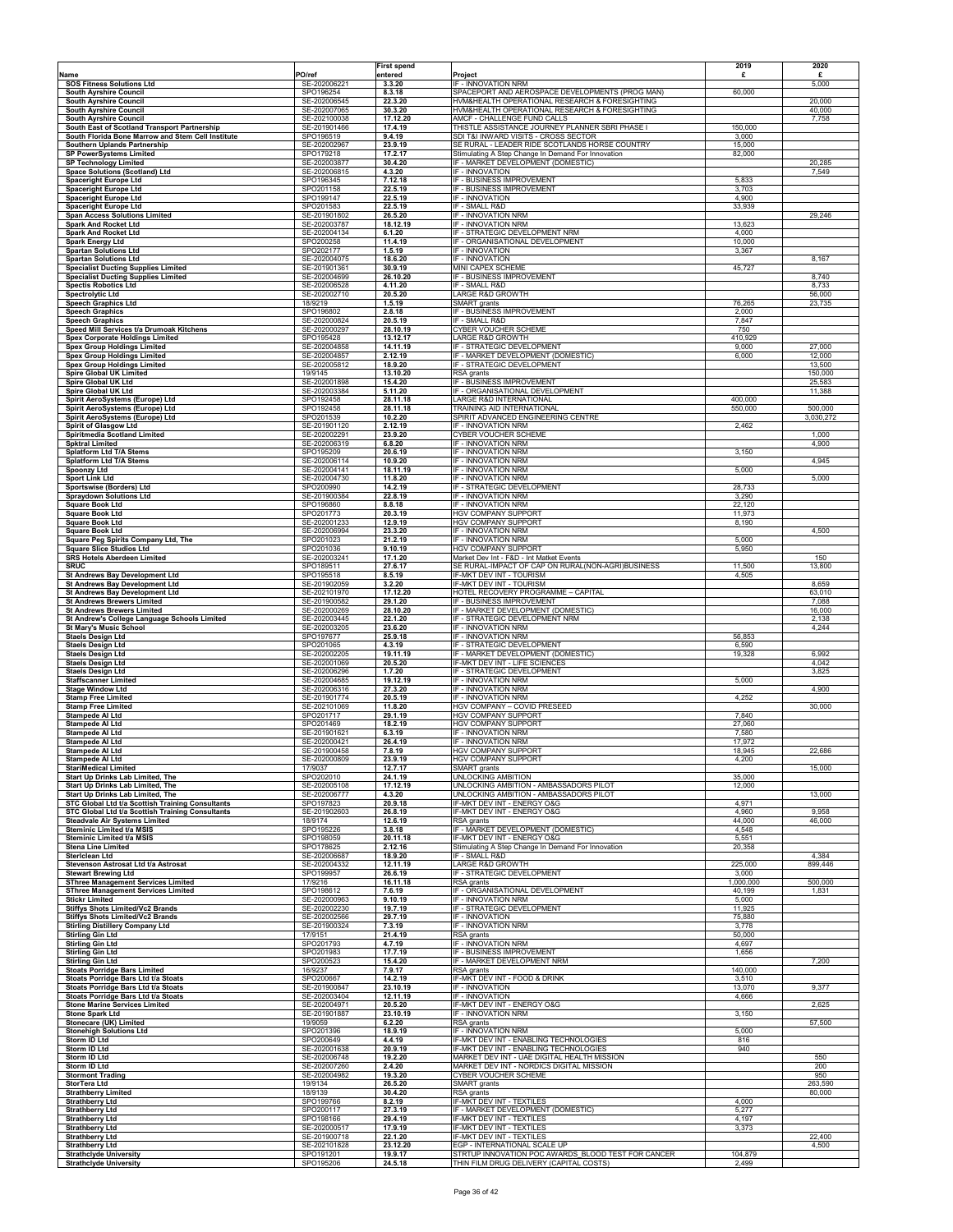|                                                                                   |                              | <b>First spend</b>   |                                                                                               | 2019             | 2020             |
|-----------------------------------------------------------------------------------|------------------------------|----------------------|-----------------------------------------------------------------------------------------------|------------------|------------------|
| Name<br><b>SOS Fitness Solutions Ltd</b>                                          | PO/ref<br>SE-202006221       | entered<br>3.3.20    | Project<br>IF - INNOVATION NRM                                                                | £                | £<br>5,000       |
| South Ayrshire Council                                                            | SPO196254                    | 8.3.18               | SPACEPORT AND AEROSPACE DEVELOPMENTS (PROG MAN)                                               | 60,000           |                  |
| South Ayrshire Council                                                            | SE-202006545                 | 22.3.20              | HVM&HEALTH OPERATIONAL RESEARCH & FORESIGHTING                                                |                  | 20,000           |
| South Ayrshire Council<br><b>South Ayrshire Council</b>                           | SE-202007065<br>SE-202100038 | 30.3.20<br>17.12.20  | HVM&HEALTH OPERATIONAL RESEARCH & FORESIGHTING<br>AMCF - CHALLENGE FUND CALLS                 |                  | 40,000<br>7,758  |
| South East of Scotland Transport Partnership                                      | SE-201901466                 | 17.4.19              | THISTLE ASSISTANCE JOURNEY PLANNER SBRI PHASE I                                               | 150,000          |                  |
| South Florida Bone Marrow and Stem Cell Institute<br>Southern Uplands Partnership | SPO196519                    | 9.4.19<br>23.9.19    | SDI T&I INWARD VISITS - CROSS SECTOR<br>SE RURAL - LEADER RIDE SCOTLANDS HORSE COUNTRY        | 3,000<br>15,000  |                  |
| <b>SP PowerSystems Limited</b>                                                    | SE-202002967<br>SPO179218    | 17.2.17              | Stimulating A Step Change In Demand For Innovation                                            | 82,000           |                  |
| <b>SP Technology Limited</b>                                                      | SE-202003877                 | 30.4.20              | IF - MARKET DEVELOPMENT (DOMESTIC)                                                            |                  | 20,285           |
| Space Solutions (Scotland) Ltd                                                    | SE-202006815                 | 4.3.20<br>7.12.18    | IF - INNOVATION<br>IF - BUSINESS IMPROVEMENT                                                  | 5,833            | 7,549            |
| <b>Spaceright Europe Ltd</b><br><b>Spaceright Europe Ltd</b>                      | SPO196345<br>SPO201158       | 22.5.19              | IF - BUSINESS IMPROVEMENT                                                                     | 3,703            |                  |
| <b>Spaceright Europe Ltd</b>                                                      | SPO199147                    | 22.5.19              | IF - INNOVATION                                                                               | 4,900            |                  |
| <b>Spaceright Europe Ltd</b><br><b>Span Access Solutions Limited</b>              | SPO201583<br>SE-201901802    | 22.5.19<br>26.5.20   | IF - SMALL R&D<br>IF - INNOVATION NRM                                                         | 33,939           | 29,246           |
| <b>Spark And Rocket Ltd</b>                                                       | SE-202003787                 | 18.12.19             | IF - INNOVATION NRM                                                                           | 13,623           |                  |
| <b>Spark And Rocket Ltd</b>                                                       | SE-202004134                 | 6.1.20               | IF - STRATEGIC DEVELOPMENT NRM                                                                | 4,000            |                  |
| <b>Spark Energy Ltd</b><br><b>Spartan Solutions Ltd</b>                           | SPO200258<br>SPO202177       | 11.4.19<br>1.5.19    | IF - ORGANISATIONAL DEVELOPMENT<br>IF - INNOVATION                                            | 10,000<br>3,367  |                  |
| <b>Spartan Solutions Ltd</b>                                                      | SE-202004075                 | 18.6.20              | IF - INNOVATION                                                                               |                  | 8,167            |
| <b>Specialist Ducting Supplies Limited</b>                                        | SE-201901361                 | 30.9.19              | MINI CAPEX SCHEME                                                                             | 45,727           |                  |
| <b>Specialist Ducting Supplies Limited</b><br><b>Spectis Robotics Ltd</b>         | SE-202004699<br>SE-202006528 | 26.10.20<br>4.11.20  | IF - BUSINESS IMPROVEMENT<br>IF - SMALL R&D                                                   |                  | 8,740<br>8,733   |
| <b>Spectrolytic Ltd</b>                                                           | SE-202002710                 | 20.5.20              | <b>LARGE R&amp;D GROWTH</b>                                                                   |                  | 56,000           |
| <b>Speech Graphics Ltd</b>                                                        | 18/9219                      | 1.5.19               | SMART grants                                                                                  | 76,265           | 23,735           |
| <b>Speech Graphics</b><br><b>Speech Graphics</b>                                  | SPO196802<br>SE-202000824    | 2.8.18<br>20.5.19    | IF - BUSINESS IMPROVEMENT<br>IF - SMALL R&D                                                   | 2,000<br>7,847   |                  |
| Speed Mill Services t/a Drumoak Kitchens                                          | SE-202000297                 | 28.10.19             | CYBER VOUCHER SCHEME                                                                          | 750              |                  |
| <b>Spex Corporate Holdings Limited</b>                                            | SPO195428                    | 13.12.17             | LARGE R&D GROWTH                                                                              | 410,929          |                  |
| <b>Spex Group Holdings Limited</b><br><b>Spex Group Holdings Limited</b>          | SE-202004858<br>SE-202004857 | 14.11.19<br>2.12.19  | IF - STRATEGIC DEVELOPMENT<br>IF - MARKET DEVELOPMENT (DOMESTIC)                              | 9,000<br>6,000   | 27,000<br>12,000 |
| <b>Spex Group Holdings Limited</b>                                                | SE-202005812                 | 18.9.20              | IF - STRATEGIC DEVELOPMENT                                                                    |                  | 13,500           |
| <b>Spire Global UK Limited</b>                                                    | 19/9145                      | 13.10.20             | RSA grants                                                                                    |                  | 150,000          |
| Spire Global UK Ltd<br>Spire Global UK Ltd                                        | SE-202001898<br>SE-202003384 | 15.4.20<br>5.11.20   | IF - BUSINESS IMPROVEMENT<br>IF - ORGANISATIONAL DEVELOPMENT                                  |                  | 25,583<br>11,388 |
| Spirit AeroSystems (Europe) Ltd                                                   | SPO192458                    | 28.11.18             | LARGE R&D INTERNATIONAL                                                                       | 400,000          |                  |
| Spirit AeroSystems (Europe) Ltd                                                   | SPO192458                    | 28.11.18             | TRAINING AID INTERNATIONAL                                                                    | 550,000          | 500,000          |
| Spirit AeroSystems (Europe) Ltd<br><b>Spirit of Glasgow Ltd</b>                   | SPO201539<br>SE-201901120    | 10.2.20<br>2.12.19   | SPIRIT ADVANCED ENGINEERING CENTRE<br>IF - INNOVATION NRM                                     | 2,462            | 3,030,272        |
| <b>Spiritmedia Scotland Limited</b>                                               | SE-202002291                 | 23.9.20              | CYBER VOUCHER SCHEME                                                                          |                  | 1,000            |
| <b>Spktral Limited</b>                                                            | SE-202006319                 | 6.8.20               | IF - INNOVATION NRM                                                                           |                  | 4,900            |
| <b>Splatform Ltd T/A Stems</b><br><b>Splatform Ltd T/A Stems</b>                  | SPO195209<br>SE-202006114    | 20.6.19<br>10.9.20   | IF - INNOVATION NRM<br>IF - INNOVATION NRM                                                    | 3,150            | 4,945            |
| <b>Spoonzy Ltd</b>                                                                | SE-202004141                 | 18.11.19             | IF - INNOVATION NRM                                                                           | 5,000            |                  |
| <b>Sport Link Ltd</b>                                                             | SE-202004730                 | 11.8.20              | IF - INNOVATION NRM                                                                           |                  | 5,000            |
| Sportswise (Borders) Ltd<br><b>Spraydown Solutions Ltd</b>                        | SPO200990<br>SE-201900384    | 14.2.19<br>22.8.19   | IF - STRATEGIC DEVELOPMENT<br>IF - INNOVATION NRM                                             | 28,733<br>3,290  |                  |
| <b>Square Book Ltd</b>                                                            | SPO196860                    | 8.8.18               | IF - INNOVATION NRM                                                                           | 22,120           |                  |
| <b>Square Book Ltd</b>                                                            | SPO201773                    | 20.3.19              | <b>HGV COMPANY SUPPORT</b>                                                                    | 11,973           |                  |
| <b>Square Book Ltd</b><br><b>Square Book Ltd</b>                                  | SE-202001233<br>SE-202006994 | 12.9.19<br>23.3.20   | <b>HGV COMPANY SUPPORT</b><br>IF - INNOVATION NRM                                             | 8,190            | 4,500            |
| Square Peg Spirits Company Ltd, The                                               | SPO201023                    | 21.2.19              | IF - INNOVATION NRM                                                                           | 5,000            |                  |
| <b>Square Slice Studios Ltd</b>                                                   | SPO201036                    | 9.10.19              | <b>HGV COMPANY SUPPORT</b>                                                                    | 5,950            |                  |
| <b>SRS Hotels Aberdeen Limited</b><br><b>SRUC</b>                                 | SE-202003241<br>SPO189511    | 17.1.20<br>27.6.17   | Market Dev Int - F&D - Int Matket Events<br>SE RURAL-IMPACT OF CAP ON RURAL(NON-AGRI)BUSINESS | 11,500           | 150<br>13,800    |
| St Andrews Bay Development Ltd                                                    | SPO195518                    | 8.5.19               | IF-MKT DEV INT - TOURISM                                                                      | 4,505            |                  |
| St Andrews Bay Development Ltd                                                    | SE-201902059                 | 3.2.20               | IF-MKT DEV INT - TOURISM                                                                      |                  | 8,659            |
| St Andrews Bay Development Ltd<br><b>St Andrews Brewers Limited</b>               | SE-202101970<br>SE-201900582 | 17.12.20<br>29.1.20  | HOTEL RECOVERY PROGRAMME - CAPITAL<br>IF - BUSINESS IMPROVEMENT                               |                  | 63,010<br>7,088  |
| <b>St Andrews Brewers Limited</b>                                                 | SE-202000269                 | 28.10.20             | IF - MARKET DEVELOPMENT (DOMESTIC)                                                            |                  | 16,000           |
| St Andrew's College Language Schools Limited                                      | SE-202003445                 | 22.1.20              | IF - STRATEGIC DEVELOPMENT NRM                                                                |                  | 2,138            |
| <b>St Mary's Music School</b><br><b>Staels Design Ltd</b>                         | SE-202003205<br>SPO197677    | 23.6.20<br>25.9.18   | IF - INNOVATION NRM<br>IF - INNOVATION NRM                                                    | 56,853           | 4,244            |
| <b>Staels Design Ltd</b>                                                          | SPO201065                    | 4.3.19               | IF - STRATEGIC DEVELOPMENT                                                                    | 6,590            |                  |
| <b>Staels Design Ltd</b><br><b>Staels Design Ltd</b>                              | SE-202002205<br>SE-202001069 | 19.11.19<br>20.5.20  | IF - MARKET DEVELOPMENT (DOMESTIC)<br>IF-MKT DEV INT - LIFE SCIENCES                          | 19,328           | 6,992<br>4,042   |
| <b>Staels Design Ltd</b>                                                          | SE-202006296                 | 1.7.20               | IF - STRATEGIC DEVELOPMENT                                                                    |                  | 3,825            |
| <b>Staffscanner Limited</b>                                                       | SE-202004685                 | 19.12.19             | IF - INNOVATION NRM                                                                           | 5,000            |                  |
| <b>Stage Window Ltd</b><br><b>Stamp Free Limited</b>                              | SE-202006316<br>SE-201901774 | 27.3.20<br>20.5.19   | IF - INNOVATION NRM<br>IF - INNOVATION NRM                                                    | 4,252            | 4,900            |
| <b>Stamp Free Limited</b>                                                         | SE-202101069                 | 11.8.20              | HGV COMPANY - COVID PRESEED                                                                   |                  | 30,000           |
| <b>Stampede Al Ltd</b>                                                            | SPO201717<br>SPO201469       | 29.1.19              | HGV COMPANY SUPPORT                                                                           | 7,840            |                  |
| <b>Stampede AI Ltd</b><br><b>Stampede Al Ltd</b>                                  | SE-201901621                 | 18.2.19<br>6.3.19    | <b>HGV COMPANY SUPPORT</b><br>IF - INNOVATION NRM                                             | 27,060<br>7,580  |                  |
| <b>Stampede Al Ltd</b>                                                            | SE-202000421                 | 26.4.19              | IF - INNOVATION NRM                                                                           | 17,972           |                  |
| <b>Stampede Al Ltd</b>                                                            | SE-201900458<br>SE-202000809 | 7.8.19               | HGV COMPANY SUPPORT                                                                           | 18,945<br>4,200  | 22,686           |
| <b>Stampede Al Ltd</b><br><b>StariMedical Limited</b>                             | 17/9037                      | 23.9.19<br>12.7.17   | <b>HGV COMPANY SUPPORT</b><br>SMART grants                                                    |                  | 15,000           |
| Start Up Drinks Lab Limited, The                                                  | SPO202010                    | 24.1.19              | <b>UNLOCKING AMBITION</b>                                                                     | 35,000           |                  |
| Start Up Drinks Lab Limited, The<br>Start Up Drinks Lab Limited, The              | SE-202005108<br>SE-202006777 | 17.12.19<br>4.3.20   | UNLOCKING AMBITION - AMBASSADORS PILOT<br>UNLOCKING AMBITION - AMBASSADORS PILOT              | 12,000           | 13,000           |
| STC Global Ltd t/a Scottish Training Consultants                                  | SPO197823                    | 20.9.18              | IF-MKT DEV INT - ENERGY O&G                                                                   | 4,971            |                  |
| STC Global Ltd t/a Scottish Training Consultants                                  | SE-201902603                 | 26.8.19              | <b>IF-MKT DEV INT - ENERGY O&amp;G</b>                                                        | 4,960            | 9,958            |
| <b>Steadvale Air Systems Limited</b><br>Steminic Limited t/a MSIS                 | 18/9174<br>SPO195226         | 12.6.19<br>3.8.18    | RSA grants<br>IF - MARKET DEVELOPMENT (DOMESTIC)                                              | 44,000<br>4,548  | 46,000           |
| Steminic Limited t/a MSIS                                                         | SPO198059                    | 20.11.18             | IF-MKT DEV INT - ENERGY O&G                                                                   | 5,551            |                  |
| <b>Stena Line Limited</b><br><b>Stericlean Ltd</b>                                | SPO178625<br>SE-202006687    | 2.12.16              | Stimulating A Step Change In Demand For Innovation<br>IF - SMALL R&D                          | 20,358           | 4,384            |
| Stevenson Astrosat Ltd t/a Astrosat                                               | SE-202004332                 | 18.9.20<br>12.11.19  | LARGE R&D GROWTH                                                                              | 225,000          | 899,446          |
| <b>Stewart Brewing Ltd</b>                                                        | SPO199957                    | 26.6.19              | IF - STRATEGIC DEVELOPMENT                                                                    | 3,000            |                  |
| <b>SThree Management Services Limited</b>                                         | 17/9216                      | 16.11.18             | RSA grants<br>IF - ORGANISATIONAL DEVELOPMENT                                                 | 1,000,000        | 500,000          |
| <b>SThree Management Services Limited</b><br><b>Stickr Limited</b>                | SPO198612<br>SE-202000963    | 7.6.19<br>9.10.19    | IF - INNOVATION NRM                                                                           | 40,199<br>5,000  | 1,831            |
| <b>Stiffys Shots Limited/Vc2 Brands</b>                                           | SE-202002230                 | 19.7.19              | IF - STRATEGIC DEVELOPMENT                                                                    | 11,925           |                  |
| <b>Stiffys Shots Limited/Vc2 Brands</b><br><b>Stirling Distillery Company Ltd</b> | SE-202002566<br>SE-201900324 | 29.7.19<br>7.3.19    | IF - INNOVATION<br>IF - INNOVATION NRM                                                        | 75,880<br>3,778  |                  |
| <b>Stirling Gin Ltd</b>                                                           | 17/9151                      | 21.4.19              | RSA grants                                                                                    | 50,000           |                  |
| <b>Stirling Gin Ltd</b>                                                           | SPO201793                    | 4.7.19               | IF - INNOVATION NRM                                                                           | 4,697            |                  |
| <b>Stirling Gin Ltd</b><br><b>Stirling Gin Ltd</b>                                | SPO201983<br>SPO200523       | 17.7.19<br>15.4.20   | IF - BUSINESS IMPROVEMENT<br>IF - MARKET DEVELOPMENT NRM                                      | 1,656            | 7,200            |
| <b>Stoats Porridge Bars Limited</b>                                               | 16/9237                      | 7.9.17               | RSA grants                                                                                    | 140,000          |                  |
| Stoats Porridge Bars Ltd t/a Stoats                                               | SPO200667<br>SE-201900847    | 14.2.19              | IF-MKT DEV INT - FOOD & DRINK<br>IF - INNOVATION                                              | 3,510            | 9,377            |
| Stoats Porridge Bars Ltd t/a Stoats<br>Stoats Porridge Bars Ltd t/a Stoats        | SE-202003404                 | 23.10.19<br>12.11.19 | IF - INNOVATION                                                                               | 13,070<br>4,666  |                  |
| <b>Stone Marine Services Limited</b>                                              | SE-202004971                 | 20.5.20              | IF-MKT DEV INT - ENERGY O&G                                                                   |                  | 2,625            |
| <b>Stone Spark Ltd</b>                                                            | SE-201901887<br>19/9059      | 23.10.19<br>6.2.20   | IF - INNOVATION NRM                                                                           | 3,150            |                  |
| Stonecare (UK) Limited<br><b>Stonehigh Solutions Ltd</b>                          | SPO201396                    | 18.9.19              | RSA grants<br>IF - INNOVATION NRM                                                             | 5,000            | 57,500           |
| Storm ID Ltd                                                                      | SPO200649                    | 4.4.19               | IF-MKT DEV INT - ENABLING TECHNOLOGIES                                                        | 816              |                  |
| Storm ID Ltd                                                                      | SE-202001638                 | 20.9.19              | IF-MKT DEV INT - ENABLING TECHNOLOGIES                                                        | 940              | 550              |
| Storm ID Ltd<br>Storm ID Ltd                                                      | SE-202006748<br>SE-202007260 | 19.2.20<br>2.4.20    | MARKET DEV INT - UAE DIGITAL HEALTH MISSION<br>MARKET DEV INT - NORDICS DIGITAL MISSION       |                  | 200              |
| <b>Stormont Trading</b>                                                           | SE-202004982                 | 19.3.20              | CYBER VOUCHER SCHEME                                                                          |                  | 950              |
| StorTera Ltd                                                                      | 19/9134<br>18/9139           | 26.5.20              | SMART grants                                                                                  |                  | 263,590          |
| <b>Strathberry Limited</b><br><b>Strathberry Ltd</b>                              | SPO199766                    | 30.4.20<br>8.2.19    | RSA grants<br>F-MKT DEV INT - TEXTILES                                                        | 4.000            | 80,000           |
| <b>Strathberry Ltd</b>                                                            | SPO200117                    | 27.3.19              | IF - MARKET DEVELOPMENT (DOMESTIC)                                                            | 5,277            |                  |
| <b>Strathberry Ltd</b><br><b>Strathberry Ltd</b>                                  | SPO198166<br>SE-202000517    | 29.4.19<br>17.9.19   | <b>IF-MKT DEV INT - TEXTILES</b><br>IF-MKT DEV INT - TEXTILES                                 | 4,197<br>3,373   |                  |
| <b>Strathberry Ltd</b>                                                            | SE-201900718                 | 22.1.20              | IF-MKT DEV INT - TEXTILES                                                                     |                  | 22,400           |
| <b>Strathberry Ltd</b>                                                            | SE-202101828                 | 23.12.20             | EGP - INTERNATIONAL SCALE UP                                                                  |                  | 4,500            |
| <b>Strathclyde University</b><br><b>Strathclyde University</b>                    | SPO191201<br>SPO195206       | 19.9.17<br>24.5.18   | STRTUP INNOVATION POC AWARDS BLOOD TEST FOR CANCER<br>THIN FILM DRUG DELIVERY (CAPITAL COSTS) | 104,879<br>2,499 |                  |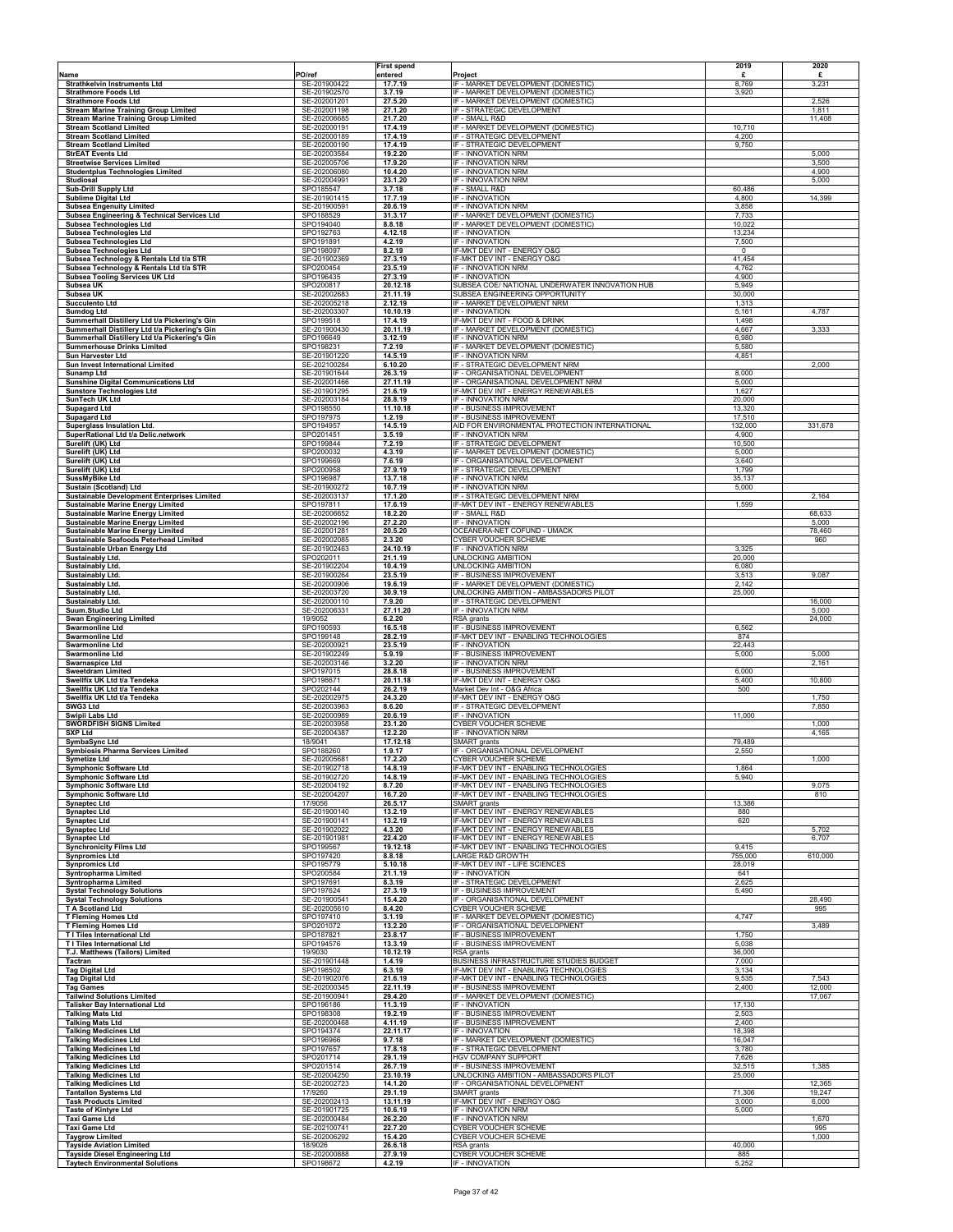|                                                                                                                    |                                      | <b>First spend</b>           |                                                                                  | 2019                   | 2020            |
|--------------------------------------------------------------------------------------------------------------------|--------------------------------------|------------------------------|----------------------------------------------------------------------------------|------------------------|-----------------|
| Name                                                                                                               | PO/ref                               | entered                      | Project                                                                          | £                      | £               |
| Strathkelvin Instruments Ltd<br><b>Strathmore Foods Ltd</b>                                                        | SE-201900422<br>SE-201902570         | 17.7.19<br>3.7.19            | IF - MARKET DEVELOPMENT (DOMESTIC)<br>IF - MARKET DEVELOPMENT (DOMESTIC)         | 8,769<br>3,920         | 3,231           |
| <b>Strathmore Foods Ltd</b>                                                                                        | SE-202001201                         | 27.5.20                      | IF - MARKET DEVELOPMENT (DOMESTIC)                                               |                        | 2,526           |
| <b>Stream Marine Training Group Limited</b>                                                                        | SE-202001198                         | 27.1.20                      | IF - STRATEGIC DEVELOPMENT                                                       |                        | 1,811           |
| <b>Stream Marine Training Group Limited</b><br><b>Stream Scotland Limited</b>                                      | SE-202006685<br>SE-202000191         | 21.7.20<br>17.4.19           | IF - SMALL R&D<br>IF - MARKET DEVELOPMENT (DOMESTIC)                             | 10,710                 | 11,408          |
| <b>Stream Scotland Limited</b>                                                                                     | SE-202000189                         | 17.4.19                      | IF - STRATEGIC DEVELOPMENT                                                       | 4,200                  |                 |
| <b>Stream Scotland Limited</b><br><b>StrEAT Events Ltd</b>                                                         | SE-202000190<br>SE-202003584         | 17.4.19<br>19.2.20           | IF - STRATEGIC DEVELOPMENT<br>IF - INNOVATION NRM                                | 9,750                  | 5,000           |
| <b>Streetwise Services Limited</b>                                                                                 | SE-202005706                         | 17.9.20                      | IF - INNOVATION NRM                                                              |                        | 3,500           |
| <b>Studentplus Technologies Limited</b>                                                                            | SE-202006080                         | 10.4.20                      | IF - INNOVATION NRM                                                              |                        | 4,900           |
| Studiosal<br><b>Sub-Drill Supply Ltd</b>                                                                           | SE-202004991<br>SPO185547            | 23.1.20<br>3.7.18            | IF - INNOVATION NRM<br>IF - SMALL R&D                                            | 60,486                 | 5,000           |
| <b>Sublime Digital Ltd</b>                                                                                         | SE-201901415                         | 17.7.19                      | IF - INNOVATION                                                                  | 4,800                  | 14,399          |
| <b>Subsea Engenuity Limited</b>                                                                                    | SE-201900591                         | 20.6.19                      | IF - INNOVATION NRM<br>IF - MARKET DEVELOPMENT (DOMESTIC)                        | 3,858                  |                 |
| Subsea Engineering & Technical Services Ltd<br>Subsea Technologies Ltd                                             | SPO188529<br>SPO194040               | 31.3.17<br>8.8.18            | IF - MARKET DEVELOPMENT (DOMESTIC)                                               | 7,733<br>10,022        |                 |
| Subsea Technologies Ltd                                                                                            | SPO192763                            | 4.12.18                      | IF - INNOVATION                                                                  | 13,234                 |                 |
| Subsea Technologies Ltd<br>Subsea Technologies Ltd                                                                 | SPO191891<br>SPO198097               | 4.2.19<br>8.2.19             | IF - INNOVATION<br>IF-MKT DEV INT - ENERGY O&G                                   | 7,500<br>$\Omega$      |                 |
| Subsea Technology & Rentals Ltd t/a STR                                                                            | SE-201902369                         | 27.3.19                      | IF-MKT DEV INT - ENERGY O&G                                                      | 41,454                 |                 |
| Subsea Technology & Rentals Ltd t/a STR                                                                            | SPO200454                            | 23.5.19                      | IF - INNOVATION NRM                                                              | 4,762                  |                 |
| <b>Subsea Tooling Services UK Ltd</b><br>Subsea UK                                                                 | SPO196435<br>SPO200817               | 27.3.19<br>20.12.18          | IF - INNOVATION<br>SUBSEA COE/ NATIONAL UNDERWATER INNOVATION HUB                | 4,900<br>5,949         |                 |
| Subsea UK                                                                                                          | SE-202002683                         | 21.11.19                     | SUBSEA ENGINEERING OPPORTUNITY                                                   | 30,000                 |                 |
| <b>Succulento Ltd</b>                                                                                              | SE-202005218                         | 2.12.19                      | IF - MARKET DEVELOPMENT NRM                                                      | 1,313                  |                 |
| <b>Sumdog Ltd</b><br>Summerhall Distillery Ltd t/a Pickering's Gin                                                 | SE-202003307<br>SPO199518            | 10.10.19<br>17.4.19          | IF - INNOVATION<br>IF-MKT DEV INT - FOOD & DRINK                                 | 5,161<br>1,498         | 4,787           |
| Summerhall Distillery Ltd t/a Pickering's Gin                                                                      | SE-201900430                         | 20.11.19                     | IF - MARKET DEVELOPMENT (DOMESTIC)                                               | 4,667                  | 3,333           |
| Summerhall Distillery Ltd t/a Pickering's Gin                                                                      | SPO196649                            | 3.12.19                      | IF - INNOVATION NRM                                                              | 6,980                  |                 |
| <b>Summerhouse Drinks Limited</b><br>Sun Harvester Ltd                                                             | SPO198231<br>SE-201901220            | 7.2.19<br>14.5.19            | IF - MARKET DEVELOPMENT (DOMESTIC)<br>IF - INNOVATION NRM                        | 5,580<br>4,851         |                 |
| Sun Invest International Limited                                                                                   | SE-202100284                         | 6.10.20                      | IF - STRATEGIC DEVELOPMENT NRM                                                   |                        | 2,000           |
| <b>Sunamp Ltd</b>                                                                                                  | SE-201901644                         | 26.3.19                      | IF - ORGANISATIONAL DEVELOPMENT                                                  | 8,000                  |                 |
| <b>Sunshine Digital Communications Ltd</b><br><b>Sunstore Technologies Ltd</b>                                     | SE-202001466<br>SE-201901295         | 27.11.19<br>21.6.19          | IF - ORGANISATIONAL DEVELOPMENT NRM<br>IF-MKT DEV INT - ENERGY RENEWABLES        | 5,000<br>1,627         |                 |
| SunTech UK Ltd                                                                                                     | SE-202003184                         | 28.8.19                      | IF - INNOVATION NRM                                                              | 20,000                 |                 |
| <b>Supagard Ltd</b>                                                                                                | SPO198550                            | 11.10.18                     | IF - BUSINESS IMPROVEMENT                                                        | 13,320                 |                 |
| <b>Supagard Ltd</b><br>Superglass Insulation Ltd.                                                                  | SPO197975<br>SPO194957               | 1.2.19<br>14.5.19            | IF - BUSINESS IMPROVEMENT<br>AID FOR ENVIRONMENTAL PROTECTION INTERNATIONAL      | 17,510<br>132,000      | 331,678         |
| SuperRational Ltd t/a Delic.network                                                                                | SPO201451                            | 3.5.19                       | IF - INNOVATION NRM                                                              | 4,900                  |                 |
| Surelift (UK) Ltd                                                                                                  | SPO199844                            | 7.2.19                       | IF - STRATEGIC DEVELOPMENT<br>IF - MARKET DEVELOPMENT (DOMESTIC)                 | 10,500                 |                 |
| Surelift (UK) Ltd<br>Surelift (UK) Ltd                                                                             | SPO200032<br>SPO199669               | 4.3.19<br>7.6.19             | IF - ORGANISATIONAL DEVELOPMENT                                                  | 5,000<br>3,640         |                 |
| Surelift (UK) Ltd                                                                                                  | SPO200958                            | 27.9.19                      | IF - STRATEGIC DEVELOPMENT                                                       | 1,799                  |                 |
| <b>SussMyBike Ltd</b><br>Sustain (Scotland) Ltd                                                                    | SPO196987<br>SE-201900272            | 13.7.18<br>10.7.19           | IF - INNOVATION NRM<br>IF - INNOVATION NRM                                       | 35,137<br>5,000        |                 |
| Sustainable Development Enterprises Limited                                                                        | SE-202003137                         | 17.1.20                      | IF - STRATEGIC DEVELOPMENT NRM                                                   |                        | 2,164           |
| <b>Sustainable Marine Energy Limited</b>                                                                           | SPO197811                            | 17.6.19                      | IF-MKT DEV INT - ENERGY RENEWABLES                                               | 1,599                  |                 |
| Sustainable Marine Energy Limited                                                                                  | SE-202006652                         | 18.2.20                      | IF - SMALL R&D                                                                   |                        | 68,633          |
| <b>Sustainable Marine Energy Limited</b><br><b>Sustainable Marine Energy Limited</b>                               | SE-202002196<br>SE-202001281         | 27.2.20<br>20.5.20           | IF - INNOVATION<br>OCEANERA-NET COFUND - UMACK                                   |                        | 5,000<br>78,460 |
| Sustainable Seafoods Peterhead Limited                                                                             | SE-202002085                         | 2.3.20                       | CYBER VOUCHER SCHEME                                                             |                        | 960             |
| Sustainable Urban Energy Ltd                                                                                       | SE-201902463                         | 24.10.19                     | IF - INNOVATION NRM                                                              | 3,325                  |                 |
| Sustainably Ltd.<br>Sustainably Ltd.                                                                               | SPO202011<br>SE-201902204            | 21.1.19<br>10.4.19           | UNLOCKING AMBITION<br><b>UNLOCKING AMBITION</b>                                  | 20,000<br>6,080        |                 |
| Sustainably Ltd.                                                                                                   | SE-201900264                         | 23.5.19                      | IF - BUSINESS IMPROVEMENT                                                        | 3,513                  | 9,087           |
| Sustainably Ltd.                                                                                                   | SE-202000906                         | 19.6.19                      | IF - MARKET DEVELOPMENT (DOMESTIC)                                               | 2,142                  |                 |
| Sustainably Ltd.<br>Sustainably Ltd.                                                                               | SE-202003720<br>SE-202000110         | 30.9.19<br>7.9.20            | UNLOCKING AMBITION - AMBASSADORS PILOT<br>IF - STRATEGIC DEVELOPMENT             | 25,000                 | 16,000          |
|                                                                                                                    |                                      |                              |                                                                                  |                        |                 |
|                                                                                                                    |                                      |                              |                                                                                  |                        |                 |
| Suum.Studio Ltd<br><b>Swan Engineering Limited</b>                                                                 | SE-202006331<br>19/9052              | 27.11.20<br>6.2.20           | IF - INNOVATION NRM<br>RSA grants                                                |                        | 5,000<br>24,000 |
| <b>Swarmonline Ltd</b>                                                                                             | SPO190593                            | 16.5.18                      | IF - BUSINESS IMPROVEMENT                                                        | 6,562                  |                 |
| <b>Swarmonline Ltd</b><br><b>Swarmonline Ltd</b>                                                                   | SPO199148<br>SE-202000921            | 28.2.19<br>23.5.19           | IF-MKT DEV INT - ENABLING TECHNOLOGIES<br>IF - INNOVATION                        | 874<br>22,443          |                 |
| <b>Swarmonline Ltd</b>                                                                                             | SE-201902249                         | 5.9.19                       | IF - BUSINESS IMPROVEMENT                                                        | 5,000                  | 5,000           |
| <b>Swarnaspice Ltd</b>                                                                                             | SE-202003146                         | 3.2.20                       | IF - INNOVATION NRM                                                              |                        | 2,161           |
| <b>Sweetdram Limited</b><br>Swellfix UK Ltd t/a Tendeka                                                            | SPO197015<br>SPO198671               | 28.8.18<br>20.11.18          | IF - BUSINESS IMPROVEMENT<br>IF-MKT DEV INT - ENERGY O&G                         | 6,000<br>5,400         | 10,800          |
| Swellfix UK Ltd t/a Tendeka                                                                                        | SPO202144                            | 26.2.19                      | Market Dev Int - O&G Africa                                                      | 500                    |                 |
| Swellfix UK Ltd t/a Tendeka                                                                                        | SE-202002975                         | 24.3.20                      | IF-MKT DEV INT - ENERGY O&G                                                      |                        | 1,750           |
| SWG3 Ltd<br>Swipii Labs Ltd                                                                                        | SE-202003963<br>SE-202000989         | 8.6.20<br>20.6.19            | IF - STRATEGIC DEVELOPMENT<br>IF - INNOVATION                                    | 11,000                 | 7,850           |
| <b>SWORDFISH SIGNS Limited</b>                                                                                     | SE-202003958                         | 23.1.20                      | CYBER VOUCHER SCHEME                                                             |                        | 1,000           |
| <b>SXP Ltd</b>                                                                                                     | SE-202004387                         | 12.2.20                      | IF - INNOVATION NRM                                                              |                        | 4,165           |
| SymbaSync Ltd<br>Symbiosis Pharma Services Limited                                                                 | 18/9041<br>SPO188260                 | 17.12.18<br>1.9.17           | SMART grants<br>IF - ORGANISATIONAL DEVELOPMENT                                  | 79,489<br>2,550        |                 |
| <b>Symetize Ltd</b>                                                                                                | SE-202005681                         | 17.2.20                      | <b>CYBER VOUCHER SCHEME</b>                                                      |                        | 1,000           |
| Symphonic Software Ltd<br>Symphonic Software Ltd                                                                   | SE-201902718<br>SE-201902720         | 14.8.19<br>14.8.19           | IF-MKT DEV INT - ENABLING TECHNOLOGIES<br>IF-MKT DEV INT - ENABLING TECHNOLOGIES | 1,864<br>5,940         |                 |
| Symphonic Software Ltd                                                                                             | SE-202004192                         | 8.7.20                       | IF-MKT DEV INT - ENABLING TECHNOLOGIES                                           |                        | 9,075           |
| Symphonic Software Ltd                                                                                             | SE-202004207                         | 16.7.20                      | IF-MKT DEV INT - ENABLING TECHNOLOGIES                                           |                        | 810             |
| <b>Synaptec Ltd</b><br><b>Synaptec Ltd</b>                                                                         | 17/9056<br>SE-201900140              | 26.5.17<br>13.2.19           | <b>SMART</b> grants<br>IF-MKT DEV INT - ENERGY RENEWABLES                        | 13,386<br>880          |                 |
| <b>Synaptec Ltd</b>                                                                                                | SE-201900141                         | 13.2.19                      | IF-MKT DEV INT - ENERGY RENEWABLES                                               | 620                    |                 |
| <b>Synaptec Ltd</b>                                                                                                | SE-201902022                         | 4.3.20                       | IF-MKT DEV INT - ENERGY RENEWABLES                                               |                        | 5,702           |
| <b>Synaptec Ltd</b><br><b>Synchronicity Films Ltd</b>                                                              | SE-201901981<br>SPO199567            | 22.4.20<br>19.12.18          | IF-MKT DEV INT - ENERGY RENEWABLES<br>IF-MKT DEV INT - ENABLING TECHNOLOGIES     | 9,415                  | 6.707           |
| <b>Synpromics Ltd</b>                                                                                              | SPO197420                            | 8.8.18                       | LARGE R&D GROWTH                                                                 | 755,000                | 610,000         |
| <b>Synpromics Ltd</b>                                                                                              | SPO195779                            | 5.10.18                      | IF-MKT DEV INT - LIFE SCIENCES                                                   | 28,019                 |                 |
| Syntropharma Limited<br>Syntropharma Limited                                                                       | SPO200584<br>SPO197691               | 21.1.19<br>8.3.19            | IF - INNOVATION<br>IF - STRATEGIC DEVELOPMENT                                    | 641<br>2,625           |                 |
| <b>Systal Technology Solutions</b>                                                                                 | SPO197624                            | 27.3.19                      | IF - BUSINESS IMPROVEMENT                                                        | 5,490                  |                 |
| <b>Systal Technology Solutions</b>                                                                                 | SE-201900541                         | 15.4.20                      | IF - ORGANISATIONAL DEVELOPMENT                                                  |                        | 28,490          |
| T A Scotland Ltd<br><b>T Fleming Homes Ltd</b>                                                                     | SE-202005610<br>SPO197410            | 8.4.20<br>3.1.19             | <b>CYBER VOUCHER SCHEME</b><br>IF - MARKET DEVELOPMENT (DOMESTIC)                | 4,747                  | 995             |
| <b>T Fleming Homes Ltd</b>                                                                                         | SPO201072                            | 13.2.20                      | IF - ORGANISATIONAL DEVELOPMENT                                                  |                        | 3,489           |
| T I Tiles International Ltd<br>T I Tiles International Ltd                                                         | SPO187821                            | 23.8.17                      | IF - BUSINESS IMPROVEMENT                                                        | 1,750<br>5,038         |                 |
| T.J. Matthews (Tailors) Limited                                                                                    | SPO194576<br>19/9030                 | 13.3.19<br>10.12.19          | IF - BUSINESS IMPROVEMENT<br>RSA grants                                          | 36,000                 |                 |
| Tactran                                                                                                            | SE-201901448                         | 1.4.19                       | BUSINESS INFRASTRUCTURE STUDIES BUDGET                                           | 7,000                  |                 |
| <b>Tag Digital Ltd</b>                                                                                             | SPO198502<br>SE-201902076            | 6.3.19<br>21.6.19            | IF-MKT DEV INT - ENABLING TECHNOLOGIES<br>IF-MKT DEV INT - ENABLING TECHNOLOGIES | 3,134<br>9,535         | 7,543           |
| <b>Tag Digital Ltd</b><br><b>Tag Games</b>                                                                         | SE-202000345                         | 22.11.19                     | IF - BUSINESS IMPROVEMENT                                                        | 2,400                  | 12,000          |
| <b>Tailwind Solutions Limited</b>                                                                                  | SE-201900941                         | 29.4.20                      | IF - MARKET DEVELOPMENT (DOMESTIC)                                               |                        | 17,067          |
| <b>Talisker Bay International Ltd</b><br><b>Talking Mats Ltd</b>                                                   | SPO196186<br>SPO198308               | 11.3.19<br>19.2.19           | IF - INNOVATION<br>IF - BUSINESS IMPROVEMENT                                     | 17,130<br>2,503        |                 |
| <b>Talking Mats Ltd</b>                                                                                            | SE-202000468                         | 4.11.19                      | IF - BUSINESS IMPROVEMENT                                                        | 2,400                  |                 |
| <b>Talking Medicines Ltd</b>                                                                                       | SPO194374                            | 22.11.17                     | IF - INNOVATION                                                                  | 18,398                 |                 |
| <b>Talking Medicines Ltd</b><br><b>Talking Medicines Ltd</b>                                                       | SPO196966<br>SPO197657               | 9.7.18<br>17.8.18            | IF - MARKET DEVELOPMENT (DOMESTIC)<br>IF - STRATEGIC DEVELOPMENT                 | 16,047<br>3,780        |                 |
| <b>Talking Medicines Ltd</b>                                                                                       | SPO201714                            | 29.1.19                      | <b>HGV COMPANY SUPPORT</b>                                                       | 7,626                  |                 |
| <b>Talking Medicines Ltd</b>                                                                                       | SPO201514                            | 26.7.19                      | IF - BUSINESS IMPROVEMENT                                                        | 32,515                 | 1,385           |
| <b>Talking Medicines Ltd</b><br><b>Talking Medicines Ltd</b>                                                       | SE-202004250<br>SE-202002723         | 23.10.19<br>14.1.20          | UNLOCKING AMBITION - AMBASSADORS PILOT<br>IF - ORGANISATIONAL DEVELOPMENT        | 25,000                 | 12,365          |
| <b>Tantallon Systems Ltd</b>                                                                                       | 17/9260                              | 29.1.19                      | SMART grants                                                                     | 71,306                 | 19,247          |
| <b>Task Products Limited</b>                                                                                       | SE-202002413                         | 13.11.19                     | IF-MKT DEV INT - ENERGY O&G                                                      | 3,000                  | 6,000           |
| <b>Taste of Kintyre Ltd</b><br><b>Taxi Game Ltd</b>                                                                | SE-201901725<br>SE-202000484         | 10.6.19<br>26.2.20           | IF - INNOVATION NRM<br>IF - INNOVATION NRM                                       | 5,000                  | 1,670           |
| <b>Taxi Game Ltd</b>                                                                                               | SE-202100741                         | 22.7.20                      | <b>CYBER VOUCHER SCHEME</b>                                                      |                        | 995             |
| <b>Taygrow Limited</b>                                                                                             | SE-202006292                         | 15.4.20                      | <b>CYBER VOUCHER SCHEME</b>                                                      |                        | 1,000           |
| <b>Tayside Aviation Limited</b><br><b>Tayside Diesel Engineering Ltd</b><br><b>Taytech Environmental Solutions</b> | 18/9026<br>SE-202000888<br>SPO198672 | 26.6.18<br>27.9.19<br>4.2.19 | RSA grants<br><b>CYBER VOUCHER SCHEME</b><br>IF - INNOVATION                     | 40,000<br>885<br>5,252 |                 |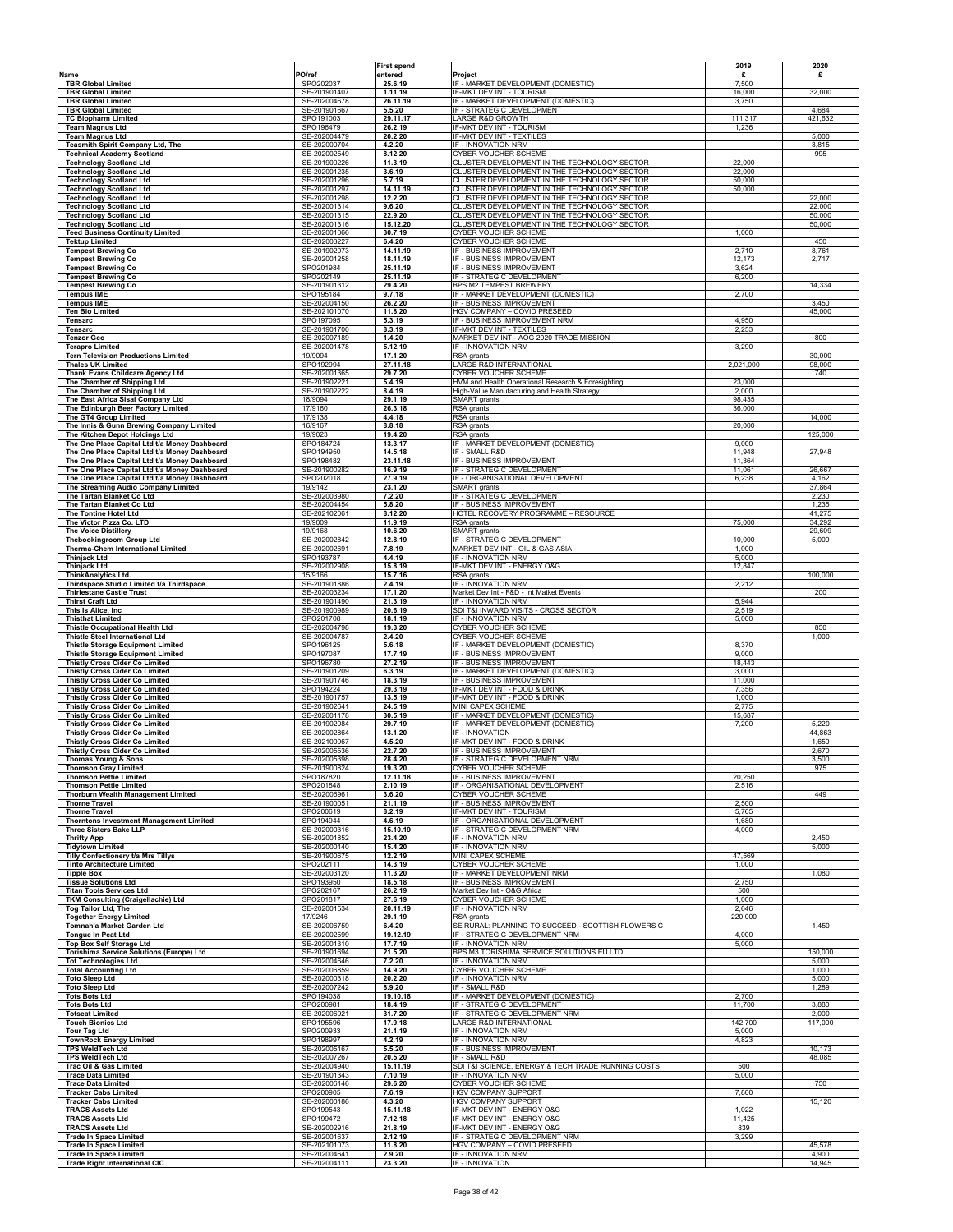|                                                                                                |                              | First spend          |                                                                                                    | 2019             | 2020             |
|------------------------------------------------------------------------------------------------|------------------------------|----------------------|----------------------------------------------------------------------------------------------------|------------------|------------------|
| Name<br><b>TBR Global Limited</b>                                                              | PO/ref<br>SPO202037          | entered<br>25.6.19   | Project<br>IF - MARKET DEVELOPMENT (DOMESTIC)                                                      | £<br>7,500       | £                |
| <b>TBR Global Limited</b><br><b>TBR Global Limited</b>                                         | SE-201901407<br>SE-202004678 | 1.11.19<br>26.11.19  | IF-MKT DEV INT - TOURISM<br>IF - MARKET DEVELOPMENT (DOMESTIC)                                     | 16,000<br>3,750  | 32,000           |
| <b>TBR Global Limited</b>                                                                      | SE-201901667                 | 5.5.20               | IF - STRATEGIC DEVELOPMENT                                                                         |                  | 4,684            |
| <b>TC Biopharm Limited</b><br><b>Team Magnus Ltd</b>                                           | SPO191003<br>SPO196479       | 29.11.17<br>26.2.19  | LARGE R&D GROWTH<br>IF-MKT DEV INT - TOURISM                                                       | 111,317<br>1,236 | 421,632          |
| <b>Team Magnus Ltd</b><br>Teasmith Spirit Company Ltd, The                                     | SE-202004479<br>SE-202000704 | 20.2.20<br>4.2.20    | IF-MKT DEV INT - TEXTILES<br>IF - INNOVATION NRM                                                   |                  | 5,000<br>3,815   |
| <b>Technical Academy Scotland</b>                                                              | SE-202002549                 | 8.12.20              | <b>CYBER VOUCHER SCHEME</b>                                                                        |                  | 995              |
| <b>Technology Scotland Ltd</b><br><b>Technology Scotland Ltd</b>                               | SE-201900226<br>SE-202001235 | 11.3.19<br>3.6.19    | CLUSTER DEVELOPMENT IN THE TECHNOLOGY SECTOR<br>CLUSTER DEVELOPMENT IN THE TECHNOLOGY SECTOR       | 22,000<br>22,000 |                  |
| <b>Technology Scotland Ltd</b><br><b>Technology Scotland Ltd</b>                               | SE-202001296<br>SE-202001297 | 5.7.19<br>14.11.19   | CLUSTER DEVELOPMENT IN THE TECHNOLOGY SECTOR<br>CLUSTER DEVELOPMENT IN THE TECHNOLOGY SECTOR       | 50,000<br>50,000 |                  |
| <b>Technology Scotland Ltd</b>                                                                 | SE-202001298                 | 12.2.20              | CLUSTER DEVELOPMENT IN THE TECHNOLOGY SECTOR                                                       |                  | 22,000           |
| <b>Technology Scotland Ltd</b><br><b>Technology Scotland Ltd</b>                               | SE-202001314<br>SE-202001315 | 9.6.20<br>22.9.20    | CLUSTER DEVELOPMENT IN THE TECHNOLOGY SECTOR<br>CLUSTER DEVELOPMENT IN THE TECHNOLOGY SECTOR       |                  | 22,000<br>50,000 |
| <b>Technology Scotland Ltd</b><br><b>Teed Business Continuity Limited</b>                      | SE-202001316<br>SE-202001066 | 15.12.20<br>30.7.19  | CLUSTER DEVELOPMENT IN THE TECHNOLOGY SECTOR<br><b>CYBER VOUCHER SCHEME</b>                        | 1,000            | 50,000           |
| <b>Tektup Limited</b>                                                                          | SE-202003227                 | 6.4.20               | CYBER VOUCHER SCHEME                                                                               |                  | 450              |
| <b>Tempest Brewing Co</b><br><b>Tempest Brewing Co</b>                                         | SE-201902073<br>SE-202001258 | 14.11.19<br>18.11.19 | IF - BUSINESS IMPROVEMENT<br>IF - BUSINESS IMPROVEMENT                                             | 2,710<br>12,173  | 8,761<br>2,717   |
| <b>Tempest Brewing Co</b><br><b>Tempest Brewing Co</b>                                         | SPO201984<br>SPO202149       | 25.11.19<br>25.11.19 | IF - BUSINESS IMPROVEMENT<br>IF - STRATEGIC DEVELOPMENT                                            | 3,624<br>6,200   |                  |
| <b>Tempest Brewing Co</b>                                                                      | SE-201901312                 | 29.4.20              | BPS M2 TEMPEST BREWERY                                                                             |                  | 14,334           |
| <b>Tempus IME</b><br><b>Tempus IME</b>                                                         | SPO195184<br>SE-202004150    | 9.7.18<br>26.2.20    | IF - MARKET DEVELOPMENT (DOMESTIC)<br>IF - BUSINESS IMPROVEMENT                                    | 2,700            | 3,450            |
| <b>Ten Bio Limited</b><br>Tensarc                                                              | SE-202101070<br>SPO197095    | 11.8.20<br>5.3.19    | HGV COMPANY - COVID PRESEED<br>IF - BUSINESS IMPROVEMENT NRM                                       | 4,950            | 45,000           |
| Tensarc                                                                                        | SE-201901700                 | 8.3.19               | IF-MKT DEV INT - TEXTILES                                                                          | 2,253            |                  |
| <b>Tenzor Geo</b><br><b>Terapro Limited</b>                                                    | SE-202007189<br>SE-202001478 | 1.4.20<br>5.12.19    | MARKET DEV INT - AOG 2020 TRADE MISSION<br>IF - INNOVATION NRM                                     | 3,290            | 800              |
| <b>Tern Television Productions Limited</b><br><b>Thales UK Limited</b>                         | 19/9094<br>SPO192994         | 17.1.20<br>27.11.18  | RSA grants<br>LARGE R&D INTERNATIONAL                                                              | 2,021,000        | 30,000<br>98,000 |
| Thank Evans Childcare Agency Ltd                                                               | SE-202001365                 | 29.7.20              | <b>CYBER VOUCHER SCHEME</b>                                                                        |                  | 740              |
| The Chamber of Shipping Ltd<br>The Chamber of Shipping Ltd                                     | SE-201902221<br>SE-201902222 | 5.4.19<br>8.4.19     | HVM and Health Operational Research & Foresighting<br>High-Value Manufacturing and Health Strategy | 23,000<br>2,000  |                  |
| The East Africa Sisal Company Ltd<br>The Edinburgh Beer Factory Limited                        | 18/9094<br>17/9160           | 29.1.19<br>26.3.18   | SMART grants<br>RSA grants                                                                         | 98,435<br>36,000 |                  |
| The GT4 Group Limited                                                                          | 17/9138                      | 4.4.18               | RSA grants                                                                                         |                  | 14,000           |
| The Innis & Gunn Brewing Company Limited<br>The Kitchen Depot Holdings Ltd                     | 16/9167<br>19/9023           | 8.8.18<br>19.4.20    | RSA grants<br>RSA grants                                                                           | 20,000           | 125,000          |
| The One Place Capital Ltd t/a Money Dashboard<br>The One Place Capital Ltd t/a Money Dashboard | SPO184724<br>SPO194950       | 13.3.17<br>14.5.18   | IF - MARKET DEVELOPMENT (DOMESTIC)<br>IF - SMALL R&D                                               | 9,000<br>11,948  | 27,948           |
| The One Place Capital Ltd t/a Money Dashboard                                                  | SPO198482                    | 23.11.18             | IF - BUSINESS IMPROVEMENT                                                                          | 11,364           |                  |
| The One Place Capital Ltd t/a Money Dashboard<br>The One Place Capital Ltd t/a Money Dashboard | SE-201900282<br>SPO202018    | 16.9.19<br>27.9.19   | IF - STRATEGIC DEVELOPMENT<br>IF - ORGANISATIONAL DEVELOPMENT                                      | 11,061<br>6,238  | 26,667<br>4,162  |
| The Streaming Audio Company Limited<br>The Tartan Blanket Co Ltd                               | 19/9142<br>SE-202003980      | 23.1.20<br>7.2.20    | <b>SMART</b> grants<br>IF - STRATEGIC DEVELOPMENT                                                  |                  | 37,864<br>2,230  |
| The Tartan Blanket Co Ltd                                                                      | SE-202004454                 | 5.8.20               | IF - BUSINESS IMPROVEMENT                                                                          |                  | 1,235            |
| The Tontine Hotel Ltd<br>The Victor Pizza Co. LTD                                              | SE-202102061<br>19/9009      | 8.12.20<br>11.9.19   | HOTEL RECOVERY PROGRAMME - RESOURCE<br>RSA grants                                                  | 75,000           | 41,275<br>34,292 |
| <b>The Voice Distillery</b><br><b>Thebookingroom Group Ltd</b>                                 | 19/9168<br>SE-202002842      | 10.6.20<br>12.8.19   | SMART grants<br>IF - STRATEGIC DEVELOPMENT                                                         | 10,000           | 29,609<br>5,000  |
| Therma-Chem International Limited                                                              | SE-202002691                 | 7.8.19               | MARKET DEV INT - OIL & GAS ASIA                                                                    | 1,000            |                  |
| <b>Thinjack Ltd</b><br><b>Thinjack Ltd</b>                                                     | SPO193787<br>SE-202002908    | 4.4.19<br>15.8.19    | IF - INNOVATION NRM<br>IF-MKT DEV INT - ENERGY O&G                                                 | 5,000<br>12,847  |                  |
| <b>ThinkAnalytics Ltd.</b><br>Thirdspace Studio Limited t/a Thirdspace                         | 15/9166<br>SE-201901886      | 15.7.16<br>2.4.19    | RSA grants<br>IF - INNOVATION NRM                                                                  | 2,212            | 100,000          |
| <b>Thirlestane Castle Trust</b>                                                                | SE-202003234                 | 17.1.20              | Market Dev Int - F&D - Int Matket Events                                                           |                  | 200              |
| <b>Thirst Craft Ltd</b><br>This Is Alice, Inc.                                                 | SE-201901490<br>SE-201900989 | 21.3.19<br>20.6.19   | IF - INNOVATION NRM<br>SDI T&I INWARD VISITS - CROSS SECTOR                                        | 5,944<br>2,519   |                  |
| <b>Thisthat Limited</b><br><b>Thistle Occupational Health Ltd</b>                              | SPO201708<br>SE-202004798    | 18.1.19<br>19.3.20   | IF - INNOVATION NRM<br>CYBER VOUCHER SCHEME                                                        | 5,000            | 850              |
| <b>Thistle Steel International Ltd</b>                                                         | SE-202004787                 | 2.4.20               | CYBER VOUCHER SCHEME                                                                               |                  | 1,000            |
| <b>Thistle Storage Equipment Limited</b><br><b>Thistle Storage Equipment Limited</b>           | SPO196125<br>SPO197087       | 5.6.18<br>17.7.19    | IF - MARKET DEVELOPMENT (DOMESTIC)<br>IF - BUSINESS IMPROVEMENT                                    | 8,370<br>9,000   |                  |
| Thistly Cross Cider Co Limited<br><b>Thistly Cross Cider Co Limited</b>                        | SPO196780<br>SE-201901209    | 27.2.19<br>6.3.19    | IF - BUSINESS IMPROVEMENT<br>IF - MARKET DEVELOPMENT (DOMESTIC)                                    | 18,443<br>3,000  |                  |
| <b>Thistly Cross Cider Co Limited</b>                                                          | SE-201901746                 | 18.3.19              | IF - BUSINESS IMPROVEMENT                                                                          | 11,000           |                  |
| <b>Thistly Cross Cider Co Limited</b><br><b>Thistly Cross Cider Co Limited</b>                 | SPO194224<br>SE-201901757    | 29.3.19<br>13.5.19   | IF-MKT DEV INT - FOOD & DRINK<br>IF-MKT DEV INT - FOOD & DRINK                                     | 7,356<br>1,000   |                  |
| Thistly Cross Cider Co Limited<br>Thistly Cross Cider Co Limited                               | SE-201902641<br>SE-202001178 | 24.5.19<br>30.5.19   | MINI CAPEX SCHEME<br>IF - MARKET DEVELOPMENT (DOMESTIC)                                            | 2,775<br>15,687  |                  |
| <b>Thistly Cross Cider Co Limited</b>                                                          | SE-201902084                 | 29.7.19              | IF - MARKET DEVELOPMENT (DOMESTIC)                                                                 | 7,200            | 5,220            |
| <b>Thistly Cross Cider Co Limited</b><br><b>Thistly Cross Cider Co Limited</b>                 | SE-202002864<br>SE-202100067 | 13.1.20<br>4.5.20    | IF - INNOVATION<br>IF-MKT DEV INT - FOOD & DRINK                                                   |                  | 44,863<br>1,650  |
| Thistly Cross Cider Co Limited<br>Thomas Young & Sons                                          | SE-202005536<br>SE-202005398 | 22.7.20<br>28.4.20   | IF - BUSINESS IMPROVEMENT<br>IF - STRATEGIC DEVELOPMENT NRM                                        |                  | 2,670<br>3,500   |
| <b>Thomson Gray Limited</b>                                                                    | SE-201900824                 | 19.3.20              | CYBER VOUCHER SCHEME                                                                               |                  | 975              |
| <b>Thomson Pettie Limited</b><br><b>Thomson Pettie Limited</b>                                 | SPO187820<br>SPO201848       | 12.11.18<br>2.10.19  | IF - BUSINESS IMPROVEMENT<br>IF - ORGANISATIONAL DEVELOPMENT                                       | 20,250<br>2,516  |                  |
| <b>Thorburn Wealth Management Limited</b><br><b>Thorne Travel</b>                              | SE-202006961<br>SE-201900051 | 3.6.20<br>21.1.19    | CYBER VOUCHER SCHEME<br>IF - BUSINESS IMPROVEMENT                                                  | 2,500            | 449              |
| <b>Thorne Travel</b>                                                                           | SPO200619                    | 8.2.19               | IF-MKT DEV INT - TOURISM                                                                           | 5,765            |                  |
| <b>Thorntons Investment Management Limited</b><br>Three Sisters Bake LLP                       | SPO194944<br>SE-202000316    | 4.6.19<br>15.10.19   | IF - ORGANISATIONAL DEVELOPMENT<br>IF - STRATEGIC DEVELOPMENT NRM                                  | 1,680<br>4,000   |                  |
| <b>Thrifty App</b><br><b>Tidytown Limited</b>                                                  | SE-202001852<br>SE-202000140 | 23.4.20<br>15.4.20   | IF - INNOVATION NRM<br>IF - INNOVATION NRM                                                         |                  | 2,450<br>5,000   |
| Tilly Confectionery t/a Mrs Tillys                                                             | SE-201900675                 | 12.2.19              | MINI CAPEX SCHEME                                                                                  | 47,569           |                  |
| <b>Tinto Architecture Limited</b><br><b>Tipple Box</b>                                         | SPO202111<br>SE-202003120    | 14.3.19<br>11.3.20   | CYBER VOUCHER SCHEME<br>IF - MARKET DEVELOPMENT NRM                                                | 1,000            | 1,080            |
| <b>Tissue Solutions Ltd</b><br><b>Titan Tools Services Ltd</b>                                 | SPO193950<br>SPO202167       | 18.5.18<br>26.2.19   | IF - BUSINESS IMPROVEMENT<br>Market Dev Int - O&G Africa                                           | 2,750<br>500     |                  |
| TKM Consulting (Craigellachie) Ltd                                                             | SPO201817                    | 27.6.19              | CYBER VOUCHER SCHEME                                                                               | 1,000            |                  |
| <b>Tog Tailor Ltd, The</b><br><b>Together Energy Limited</b>                                   | SE-202001534<br>17/9246      | 20.11.19<br>29.1.19  | IF - INNOVATION NRM<br><b>RSA</b> grants                                                           | 2.646<br>220,000 |                  |
| Tomnah'a Market Garden Ltd<br>Tongue In Peat Ltd                                               | SE-202006759<br>SE-202002599 | 6.4.20<br>19.12.19   | SE RURAL: PLANNING TO SUCCEED - SCOTTISH FLOWERS C<br>IF - STRATEGIC DEVELOPMENT NRM               | 4,000            | 1,450            |
| <b>Top Box Self Storage Ltd</b>                                                                | SE-202001310<br>SE-201901694 | 17.7.19<br>21.5.20   | IF - INNOVATION NRM<br>BPS M3 TORISHIMA SERVICE SOLUTIONS EU LTD                                   | 5,000            | 150,000          |
| Torishima Service Solutions (Europe) Ltd<br><b>Tot Technologies Ltd</b>                        | SE-202004646                 | 7.2.20               | IF - INNOVATION NRM                                                                                |                  | 5,000            |
| <b>Total Accounting Ltd</b><br><b>Toto Sleep Ltd</b>                                           | SE-202006859<br>SE-202000318 | 14.9.20<br>20.2.20   | CYBER VOUCHER SCHEME<br>IF - INNOVATION NRM                                                        |                  | 1,000<br>5,000   |
| <b>Toto Sleep Ltd</b><br><b>Tots Bots Ltd</b>                                                  | SE-202007242<br>SPO194038    | 8.9.20<br>19.10.18   | IF - SMALL R&D<br>IF - MARKET DEVELOPMENT (DOMESTIC)                                               | 2,700            | 1,289            |
| <b>Tots Bots Ltd</b>                                                                           | SPO200981                    | 18.4.19              | IF - STRATEGIC DEVELOPMENT                                                                         | 11,700           | 3,880            |
| <b>Totseat Limited</b><br><b>Touch Bionics Ltd</b>                                             | SE-202006921<br>SPO195596    | 31.7.20<br>17.9.18   | IF - STRATEGIC DEVELOPMENT NRM<br>LARGE R&D INTERNATIONAL                                          | 142,700          | 2,000<br>117,000 |
| <b>Tour Tag Ltd</b>                                                                            | SPO200933                    | 21.1.19              | IF - INNOVATION NRM                                                                                | 5,000            |                  |
| <b>TownRock Energy Limited</b><br><b>TPS WeldTech Ltd</b>                                      | SPO198997<br>SE-202005167    | 4.2.19<br>5.5.20     | IF - INNOVATION NRM<br>IF - BUSINESS IMPROVEMENT                                                   | 4,823            | 10,173           |
| <b>TPS WeldTech Ltd</b><br>Trac Oil & Gas Limited                                              | SE-202007267<br>SE-202004940 | 20.5.20<br>15.11.19  | IF - SMALL R&D<br>SDI T&I SCIENCE, ENERGY & TECH TRADE RUNNING COSTS                               | 500              | 48,085           |
| <b>Trace Data Limited</b>                                                                      | SE-201901343                 | 7.10.19              | IF - INNOVATION NRM                                                                                | 5,000            |                  |
| <b>Trace Data Limited</b><br><b>Tracker Cabs Limited</b>                                       | SE-202006146<br>SPO200905    | 29.6.20<br>7.6.19    | CYBER VOUCHER SCHEME<br>HGV COMPANY SUPPORT                                                        | 7,800            | 750              |
| <b>Tracker Cabs Limited</b><br><b>TRACS Assets Ltd</b>                                         | SE-202000186<br>SPO199543    | 4.3.20<br>15.11.18   | <b>HGV COMPANY SUPPORT</b><br>IF-MKT DEV INT - ENERGY O&G                                          | 1,022            | 15,120           |
| <b>TRACS Assets Ltd</b>                                                                        | SPO199472<br>SE-202002916    | 7.12.18              | IF-MKT DEV INT - ENERGY O&G<br>IF-MKT DEV INT - ENERGY O&G                                         | 11,425           |                  |
| <b>TRACS Assets Ltd</b><br><b>Trade In Space Limited</b>                                       | SE-202001637                 | 21.8.19<br>2.12.19   | IF - STRATEGIC DEVELOPMENT NRM                                                                     | 839<br>3,299     |                  |
| <b>Trade In Space Limited</b><br><b>Trade In Space Limited</b>                                 | SE-202101073<br>SE-202004641 | 11.8.20<br>2.9.20    | HGV COMPANY - COVID PRESEED<br>IF - INNOVATION NRM                                                 |                  | 45,578<br>4,900  |
| <b>Trade Right International CIC</b>                                                           | SE-202004111                 | 23.3.20              | IF - INNOVATION                                                                                    |                  | 14,945           |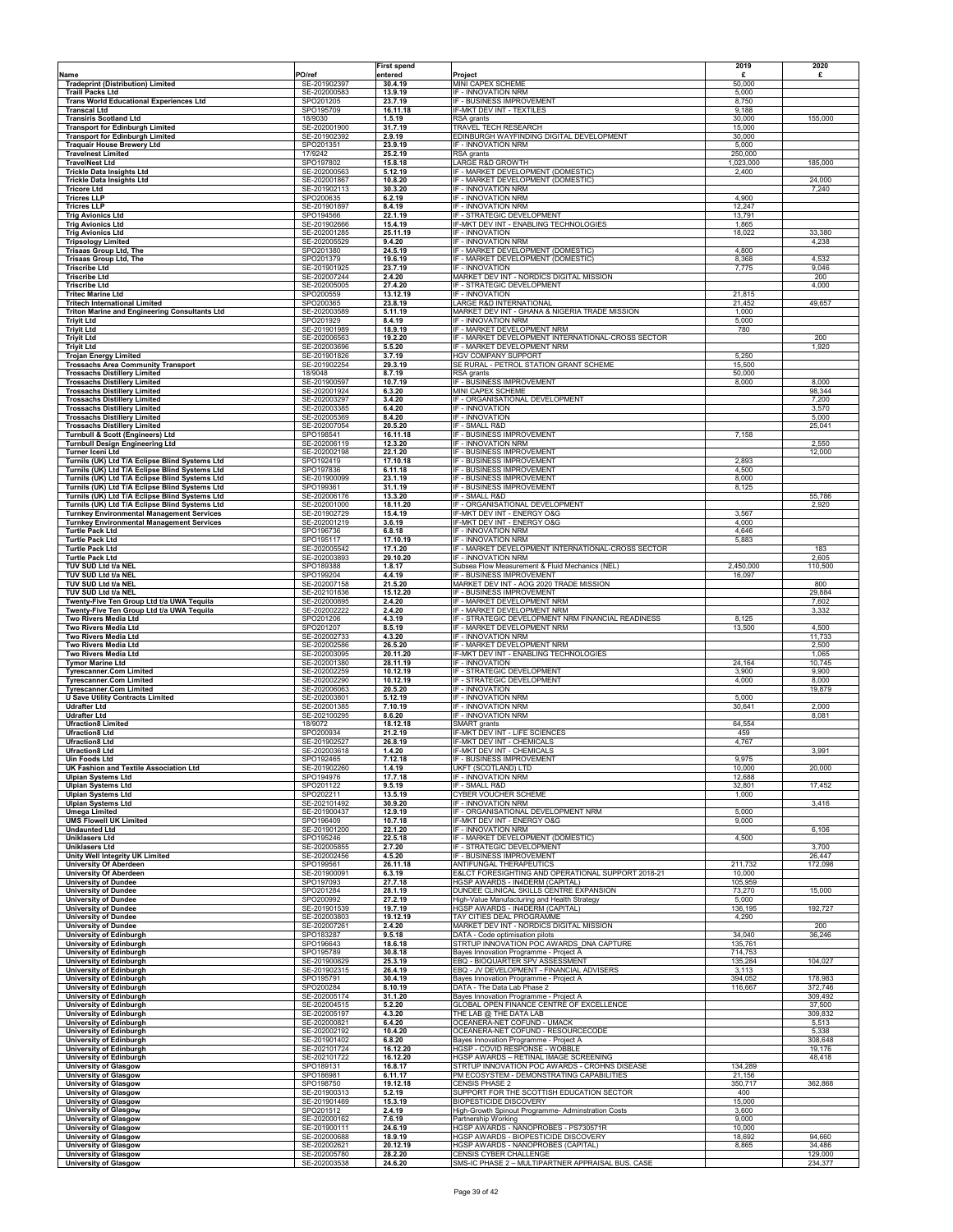|                                                                                                      |                              | <b>First spend</b>   |                                                                                            | 2019                 | 2020               |
|------------------------------------------------------------------------------------------------------|------------------------------|----------------------|--------------------------------------------------------------------------------------------|----------------------|--------------------|
| Name<br><b>Tradeprint (Distribution) Limited</b>                                                     | PO/ref<br>SE-201902397       | entered<br>30.4.19   | Project<br>MINI CAPEX SCHEME                                                               | £<br>50,000          | £                  |
| <b>Traill Packs Ltd</b>                                                                              | SE-202000583                 | 13.9.19              | IF - INNOVATION NRM                                                                        | 5,000                |                    |
| <b>Trans World Educational Experiences Ltd</b><br><b>Transcal Ltd</b>                                | SPO201205<br>SPO195709       | 23.7.19<br>16.11.18  | IF - BUSINESS IMPROVEMENT<br>IF-MKT DEV INT - TEXTILES                                     | 8,750<br>9,188       |                    |
| <b>Transiris Scotland Ltd</b>                                                                        | 18/9030                      | 1.5.19               | RSA grants                                                                                 | 30,000               | 155,000            |
| <b>Transport for Edinburgh Limited</b><br><b>Transport for Edinburgh Limited</b>                     | SE-202001900<br>SE-201902392 | 31.7.19<br>2.9.19    | TRAVEL TECH RESEARCH<br>EDINBURGH WAYFINDING DIGITAL DEVELOPMENT                           | 15,000<br>30,000     |                    |
| <b>Traquair House Brewery Ltd</b>                                                                    | SPO201351                    | 23.9.19              | IF - INNOVATION NRM                                                                        | 5,000                |                    |
| <b>Travelnest Limited</b><br><b>TravelNest Ltd</b>                                                   | 17/9242<br>SPO197802         | 25.2.19<br>15.8.18   | RSA grants<br>LARGE R&D GROWTH                                                             | 250,000<br>1,023,000 | 185,000            |
| <b>Trickle Data Insights Ltd</b>                                                                     | SE-202000563                 | 5.12.19              | <b>IF - MARKET DEVELOPMENT (DOMESTIC)</b>                                                  | 2,400                |                    |
| <b>Trickle Data Insights Ltd</b>                                                                     | SE-202001867                 | 10.8.20              | IF - MARKET DEVELOPMENT (DOMESTIC)                                                         |                      | 24,000             |
| <b>Tricore Ltd</b><br><b>Tricres LLP</b>                                                             | SE-201902113<br>SPO200635    | 30.3.20<br>6.2.19    | IF - INNOVATION NRM<br>IF - INNOVATION NRM                                                 | 4,900                | 7,240              |
| <b>Tricres LLP</b>                                                                                   | SE-201901897                 | 8.4.19               | IF - INNOVATION NRM                                                                        | 12,247               |                    |
| <b>Trig Avionics Ltd</b><br><b>Trig Avionics Ltd</b>                                                 | SPO194566<br>SE-201902666    | 22.1.19<br>15.4.19   | IF - STRATEGIC DEVELOPMENT<br>IF-MKT DEV INT - ENABLING TECHNOLOGIES                       | 13,791<br>1,865      |                    |
| <b>Trig Avionics Ltd</b>                                                                             | SE-202001285                 | 25.11.19             | IF - INNOVATION                                                                            | 18,022               | 33,380             |
| <b>Tripsology Limited</b><br><b>Trisaas Group Ltd, The</b>                                           | SE-202005529<br>SPO201380    | 9.4.20<br>24.5.19    | IF - INNOVATION NRM<br>IF - MARKET DEVELOPMENT (DOMESTIC)                                  | 4,800                | 4,238              |
| <b>Trisaas Group Ltd, The</b>                                                                        | SPO201379                    | 19.6.19              | IF - MARKET DEVELOPMENT (DOMESTIC)                                                         | 8,368                | 4,532              |
| <b>Triscribe Ltd</b>                                                                                 | SE-201901925                 | 23.7.19              | <b>IF - INNOVATION</b>                                                                     | 7,775                | 9,046              |
| <b>Triscribe Ltd</b><br><b>Triscribe Ltd</b>                                                         | SE-202007244<br>SE-202005005 | 2.4.20<br>27.4.20    | MARKET DEV INT - NORDICS DIGITAL MISSION<br>IF - STRATEGIC DEVELOPMENT                     |                      | 200<br>4,000       |
| <b>Tritec Marine Ltd</b>                                                                             | SPO200559                    | 13.12.19             | IF - INNOVATION                                                                            | 21,815               |                    |
| <b>Tritech International Limited</b><br><b>Triton Marine and Engineering Consultants Ltd</b>         | SPO200365<br>SE-202003589    | 23.8.19<br>5.11.19   | <b>LARGE R&amp;D INTERNATIONAL</b><br>MARKET DEV INT - GHANA & NIGERIA TRADE MISSION       | 21,452<br>1,000      | 49,657             |
| <b>Triyit Ltd</b>                                                                                    | SPO201929                    | 8.4.19               | IF - INNOVATION NRM                                                                        | 5,000                |                    |
| <b>Triyit Ltd</b>                                                                                    | SE-201901989                 | 18.9.19              | IF - MARKET DEVELOPMENT NRM                                                                | 780                  | 200                |
| <b>Triyit Ltd</b><br><b>Triyit Ltd</b>                                                               | SE-202006563<br>SE-202003696 | 19.2.20<br>5.5.20    | IF - MARKET DEVELOPMENT INTERNATIONAL-CROSS SECTOR<br>IF - MARKET DEVELOPMENT NRM          |                      | 1,920              |
| <b>Trojan Energy Limited</b>                                                                         | SE-201901826                 | 3.7.19               | HGV COMPANY SUPPORT                                                                        | 5,250                |                    |
| <b>Trossachs Area Community Transport</b><br><b>Trossachs Distillery Limited</b>                     | SE-201902254<br>18/9048      | 29.3.19<br>8.7.19    | SE RURAL - PETROL STATION GRANT SCHEME<br>RSA grants                                       | 15,500<br>50,000     |                    |
| <b>Trossachs Distillery Limited</b>                                                                  | SE-201900597                 | 10.7.19              | IF - BUSINESS IMPROVEMENT                                                                  | 8,000                | 8,000              |
| <b>Trossachs Distillery Limited</b><br><b>Trossachs Distillery Limited</b>                           | SE-202001924<br>SE-202003297 | 6.3.20<br>3.4.20     | MINI CAPEX SCHEME<br>IF - ORGANISATIONAL DEVELOPMENT                                       |                      | 98,344<br>7,200    |
| <b>Trossachs Distillery Limited</b>                                                                  | SE-202003385                 | 6.4.20               | IF - INNOVATION                                                                            |                      | 3,570              |
| <b>Trossachs Distillery Limited</b>                                                                  | SE-202005369<br>SE-202007054 | 8.4.20               | IF - INNOVATION<br>IF - SMALL R&D                                                          |                      | 5,000<br>25,041    |
| <b>Trossachs Distillery Limited</b><br><b>Turnbull &amp; Scott (Engineers) Ltd</b>                   | SPO198541                    | 20.5.20<br>16.11.18  | IF - BUSINESS IMPROVEMENT                                                                  | 7,158                |                    |
| <b>Turnbull Design Engineering Ltd</b>                                                               | SE-202006119                 | 12.3.20              | IF - INNOVATION NRM                                                                        |                      | 2,550              |
| <b>Turner Iceni Ltd</b><br>Turnils (UK) Ltd T/A Eclipse Blind Systems Ltd                            | SE-202002198<br>SPO192419    | 22.1.20<br>17.10.18  | IF - BUSINESS IMPROVEMENT<br>IF - BUSINESS IMPROVEMENT                                     | 2,893                | 12,000             |
| Turnils (UK) Ltd T/A Eclipse Blind Systems Ltd                                                       | SPO197836                    | 6.11.18              | IF - BUSINESS IMPROVEMENT                                                                  | 4,500                |                    |
| Turnils (UK) Ltd T/A Eclipse Blind Systems Ltd<br>Turnils (UK) Ltd T/A Eclipse Blind Systems Ltd     | SE-201900099<br>SPO199361    | 23.1.19<br>31.1.19   | IF - BUSINESS IMPROVEMENT<br>IF - BUSINESS IMPROVEMENT                                     | 8,000<br>8,125       |                    |
| Turnils (UK) Ltd T/A Eclipse Blind Systems Ltd                                                       | SE-202006176                 | 13.3.20              | IF - SMALL R&D                                                                             |                      | 55,786             |
| Turnils (UK) Ltd T/A Eclipse Blind Systems Ltd                                                       | SE-202001000                 | 18.11.20             | IF - ORGANISATIONAL DEVELOPMENT                                                            |                      | 2,920              |
| <b>Turnkey Environmental Management Services</b><br><b>Turnkey Environmental Management Services</b> | SE-201902729<br>SE-202001219 | 15.4.19<br>3.6.19    | IF-MKT DEV INT - ENERGY O&G<br>IF-MKT DEV INT - ENERGY O&G                                 | 3,567<br>4,000       |                    |
| <b>Turtle Pack Ltd</b>                                                                               | SPO196736                    | 6.8.18               | IF - INNOVATION NRM                                                                        | 4,646                |                    |
| <b>Turtle Pack Ltd</b><br><b>Turtle Pack Ltd</b>                                                     | SPO195117<br>SE-202005542    | 17.10.19<br>17.1.20  | IF - INNOVATION NRM<br>IF - MARKET DEVELOPMENT INTERNATIONAL-CROSS SECTOR                  | 5,883                | 183                |
| <b>Turtle Pack Ltd</b>                                                                               | SE-202003893                 | 29.10.20             | IF - INNOVATION NRM                                                                        |                      | 2,605              |
| TUV SUD Ltd t/a NEL<br>TUV SUD Ltd t/a NEL                                                           | SPO189388<br>SPO199204       | 1.8.17<br>4.4.19     | Subsea Flow Measurement & Fluid Mechanics (NEL)<br>IF - BUSINESS IMPROVEMENT               | 2,450,000<br>16,097  | 110,500            |
| TUV SUD Ltd t/a NEL                                                                                  | SE-202007158                 | 21.5.20              | MARKET DEV INT - AOG 2020 TRADE MISSION                                                    |                      | 800                |
| TUV SUD Ltd t/a NEL                                                                                  | SE-202101836                 | 15.12.20             | IF - BUSINESS IMPROVEMENT                                                                  |                      | 29,884             |
| Twenty-Five Ten Group Ltd t/a UWA Tequila<br>Twenty-Five Ten Group Ltd t/a UWA Tequila               | SE-202000895<br>SE-202002222 | 2.4.20<br>2.4.20     | IF - MARKET DEVELOPMENT NRM<br>IF - MARKET DEVELOPMENT NRM                                 |                      | 7,602<br>3,332     |
| Two Rivers Media Ltd                                                                                 | SPO201206                    | 4.3.19               | IF - STRATEGIC DEVELOPMENT NRM FINANCIAL READINESS                                         | 8,125                |                    |
| Two Rivers Media Ltd<br>Two Rivers Media Ltd                                                         | SPO201207<br>SE-202002733    | 8.5.19<br>4.3.20     | IF - MARKET DEVELOPMENT NRM<br>IF - INNOVATION NRM                                         | 13,500               | 4,500<br>11,733    |
| Two Rivers Media Ltd                                                                                 | SE-202002586                 | 26.5.20              | IF - MARKET DEVELOPMENT NRM                                                                |                      | 2,500              |
| Two Rivers Media Ltd                                                                                 | SE-202003095                 | 20.11.20             | IF-MKT DEV INT - ENABLING TECHNOLOGIES                                                     |                      | 1,065              |
| <b>Tymor Marine Ltd</b><br><b>Tyrescanner.Com Limited</b>                                            | SE-202001380<br>SE-202002259 | 28.11.19<br>10.12.19 | IF - INNOVATION<br>IF - STRATEGIC DEVELOPMENT                                              | 24,164<br>3,900      | 10,745<br>9,900    |
| <b>Tyrescanner.Com Limited</b>                                                                       | SE-202002290                 | 10.12.19             | IF - STRATEGIC DEVELOPMENT                                                                 | 4,000                | 8,000              |
| <b>Tyrescanner.Com Limited</b><br><b>U Save Utility Contracts Limited</b>                            | SE-202006063<br>SE-202003801 | 20.5.20<br>5.12.19   | IF - INNOVATION<br>IF - INNOVATION NRM                                                     | 5,000                | 19,879             |
| <b>Udrafter Ltd</b>                                                                                  | SE-202001385                 | 7.10.19              | IF - INNOVATION NRM                                                                        | 30,641               | 2,000              |
| <b>Udrafter Ltd</b><br><b>Ufraction8 Limited</b>                                                     | SE-202100295<br>18/9072      | 8.6.20<br>18.12.18   | IF - INNOVATION NRM<br>SMART grants                                                        | 64,554               | 8,081              |
| <b>Ufraction8 Ltd</b>                                                                                | SPO200934                    | 21.2.19              | IF-MKT DEV INT - LIFE SCIENCES                                                             | 459                  |                    |
| <b>Ufraction8 Ltd</b>                                                                                | SE-201902527                 | 26.8.19              | IF-MKT DEV INT - CHEMICALS<br>IF-MKT DEV INT - CHEMICALS                                   | 4,767                | 3,991              |
| <b>Ufraction8 Ltd</b><br>Uin Foods Ltd                                                               | SE-202003618<br>SPO192465    | 1.4.20<br>7.12.18    | IF - BUSINESS IMPROVEMENT                                                                  | 9.975                |                    |
| UK Fashion and Textile Association Ltd                                                               | SE-201902260                 | 1.4.19               | UKFT (SCOTLAND) LTD                                                                        | 10,000               | 20,000             |
| <b>Ulpian Systems Ltd</b><br><b>Ulpian Systems Ltd</b>                                               | SPO194976<br>SPO201122       | 17.7.18<br>9.5.19    | IF - INNOVATION NRM<br>IF - SMALL R&D                                                      | 12,688<br>32,801     | 17,452             |
| <b>Ulpian Systems Ltd</b>                                                                            | SPO202211                    | 13.5.19              | CYBER VOUCHER SCHEME                                                                       | 1,000                |                    |
| <b>Ulpian Systems Ltd</b><br><b>Umega Limited</b>                                                    | SE-202101492<br>SE-201900437 | 30.9.20<br>12.9.19   | IF - INNOVATION NRM<br>IF - ORGANISATIONAL DEVELOPMENT NRM                                 | 5,000                | 3,416              |
| <b>UMS Flowell UK Limited</b>                                                                        | SPO196409                    | 10.7.18              | IF-MKT DEV INT - ENERGY O&G                                                                | 9,000                |                    |
| <b>Undaunted Ltd</b><br><b>Uniklasers Ltd</b>                                                        | SE-201901200<br>SPO195246    | 22.1.20<br>22.5.18   | IF - INNOVATION NRM<br>IF - MARKET DEVELOPMENT (DOMESTIC)                                  | 4,500                | 6,106              |
| <b>Uniklasers Ltd</b>                                                                                | SE-202005855                 | 2.7.20               | IF - STRATEGIC DEVELOPMENT                                                                 |                      | 3,700              |
| Unity Well Integrity UK Limited<br><b>University Of Aberdeen</b>                                     | SE-202002456<br>SPO199561    | 4.5.20<br>26.11.18   | IF - BUSINESS IMPROVEMENT<br>ANTIFUNGAL THERAPEUTICS                                       | 211,732              | 26,447<br>172,098  |
| <b>University Of Aberdeen</b>                                                                        | SE-201900091                 | 6.3.19               | E&LCT FORESIGHTING AND OPERATIONAL SUPPORT 2018-21                                         | 10,000               |                    |
| <b>University of Dundee</b>                                                                          | SPO197093<br>SPO201284       | 27.7.18              | HGSP AWARDS - IN4DERM (CAPITAL)                                                            | 105,959              |                    |
| <b>University of Dundee</b><br><b>University of Dundee</b>                                           | SPO200992                    | 28.1.19<br>27.2.19   | DUNDEE CLINICAL SKILLS CENTRE EXPANSION<br>High-Value Manufacturing and Health Strategy    | 73,270<br>5,000      | 15,000             |
| <b>University of Dundee</b>                                                                          | SE-201901539                 | 19.7.19              | HGSP AWARDS - IN4DERM (CAPITAL)                                                            | 136,195              | 192,727            |
| <b>University of Dundee</b><br><b>University of Dundee</b>                                           | SE-202003803<br>SE-202007261 | 19.12.19<br>2.4.20   | TAY CITIES DEAL PROGRAMME<br>MARKET DEV INT - NORDICS DIGITAL MISSION                      | 4,290                | 200                |
| <b>University of Edinburgh</b>                                                                       | SPO183287                    | 9.5.18               | DATA - Code optimisation pilots                                                            | 34,040               | 36,246             |
| <b>University of Edinburgh</b><br><b>University of Edinburgh</b>                                     | SPO196643<br>SPO195789       | 18.6.18<br>30.8.18   | STRTUP INNOVATION POC AWARDS_DNA CAPTURE<br>Bayes Innovation Programme - Project A         | 135,761<br>714,753   |                    |
| <b>University of Edinburgh</b>                                                                       | SE-201900829                 | 25.3.19              | EBQ - BIOQUARTER SPV ASSESSMENT                                                            | 135,284              | 104,027            |
| <b>University of Edinburgh</b>                                                                       | SE-201902315                 | 26.4.19              | EBQ - JV DEVELOPMENT - FINANCIAL ADVISERS                                                  | 3,113                |                    |
| <b>University of Edinburgh</b><br><b>University of Edinburgh</b>                                     | SPO195791<br>SPO200284       | 30.4.19<br>8.10.19   | Bayes Innovation Programme - Project A<br>DATA - The Data Lab Phase 2                      | 394,052<br>116,667   | 178,983<br>372,746 |
| <b>University of Edinburgh</b>                                                                       | SE-202005174                 | 31.1.20              | Bayes Innovation Programme - Project A                                                     |                      | 309,492            |
| <b>University of Edinburgh</b><br><b>University of Edinburgh</b>                                     | SE-202004515<br>SE-202005197 | 5.2.20<br>4.3.20     | GLOBAL OPEN FINANCE CENTRE OF EXCELLENCE<br>THE LAB @ THE DATA LAB                         |                      | 37,500<br>309,832  |
| <b>University of Edinburgh</b>                                                                       | SE-202000821                 | 6.4.20               | OCEANERA-NET COFUND - UMACK                                                                |                      | 5,513              |
| <b>University of Edinburgh</b><br><b>University of Edinburgh</b>                                     | SE-202002192<br>SE-201901402 | 10.4.20<br>6.8.20    | OCEANERA-NET COFUND - RESOURCECODE<br>Bayes Innovation Programme - Project A               |                      | 5,338<br>308,648   |
| <b>University of Edinburgh</b>                                                                       | SE-202101724                 | 16.12.20             | HGSP - COVID RESPONSE - WOBBLE                                                             |                      | 19,176             |
| <b>University of Edinburgh</b>                                                                       | SE-202101722                 | 16.12.20             | HGSP AWARDS - RETINAL IMAGE SCREENING                                                      |                      | 48,418             |
| <b>University of Glasgow</b><br><b>University of Glasgow</b>                                         | SPO189131<br>SPO186981       | 16.8.17<br>6.11.17   | STRTUP INNOVATION POC AWARDS - CROHNS DISEASE<br>PM ECOSYSTEM - DEMONSTRATING CAPABILITIES | 134,289<br>21,156    |                    |
| <b>University of Glasgow</b>                                                                         | SPO198750                    | 19.12.18             | <b>CENSIS PHASE 2</b>                                                                      | 350,717              | 362,868            |
| <b>University of Glasgow</b><br><b>University of Glasgow</b>                                         | SE-201900313<br>SE-201901469 | 5.2.19<br>15.3.19    | SUPPORT FOR THE SCOTTISH EDUCATION SECTOR<br><b>BIOPESTICIDE DISCOVERY</b>                 | 400<br>15,000        |                    |
| <b>University of Glasgow</b>                                                                         | SPO201512                    | 2.4.19               | High-Growth Spinout Programme- Adminstration Costs                                         | 3,600                |                    |
| <b>University of Glasgow</b><br><b>University of Glasgow</b>                                         | SE-202000162<br>SE-201900111 | 7.6.19<br>24.6.19    | Partnership Working<br>HGSP AWARDS - NANOPROBES - PS730571R                                | 9,000<br>10,000      |                    |
| <b>University of Glasgow</b>                                                                         | SE-202000688                 | 18.9.19              | HGSP AWARDS - BIOPESTICIDE DISCOVERY                                                       | 18,692               | 94,660             |
| <b>University of Glasgow</b>                                                                         | SE-202002621                 | 20.12.19             | HGSP AWARDS - NANOPROBES (CAPITAL)                                                         | 8,865                | 34,486             |
| <b>University of Glasgow</b><br><b>University of Glasgow</b>                                         | SE-202005780<br>SE-202003538 | 28.2.20<br>24.6.20   | CENSIS CYBER CHALLENGE<br>SMS-IC PHASE 2 - MULTIPARTNER APPRAISAL BUS. CASE                |                      | 129,000<br>234,377 |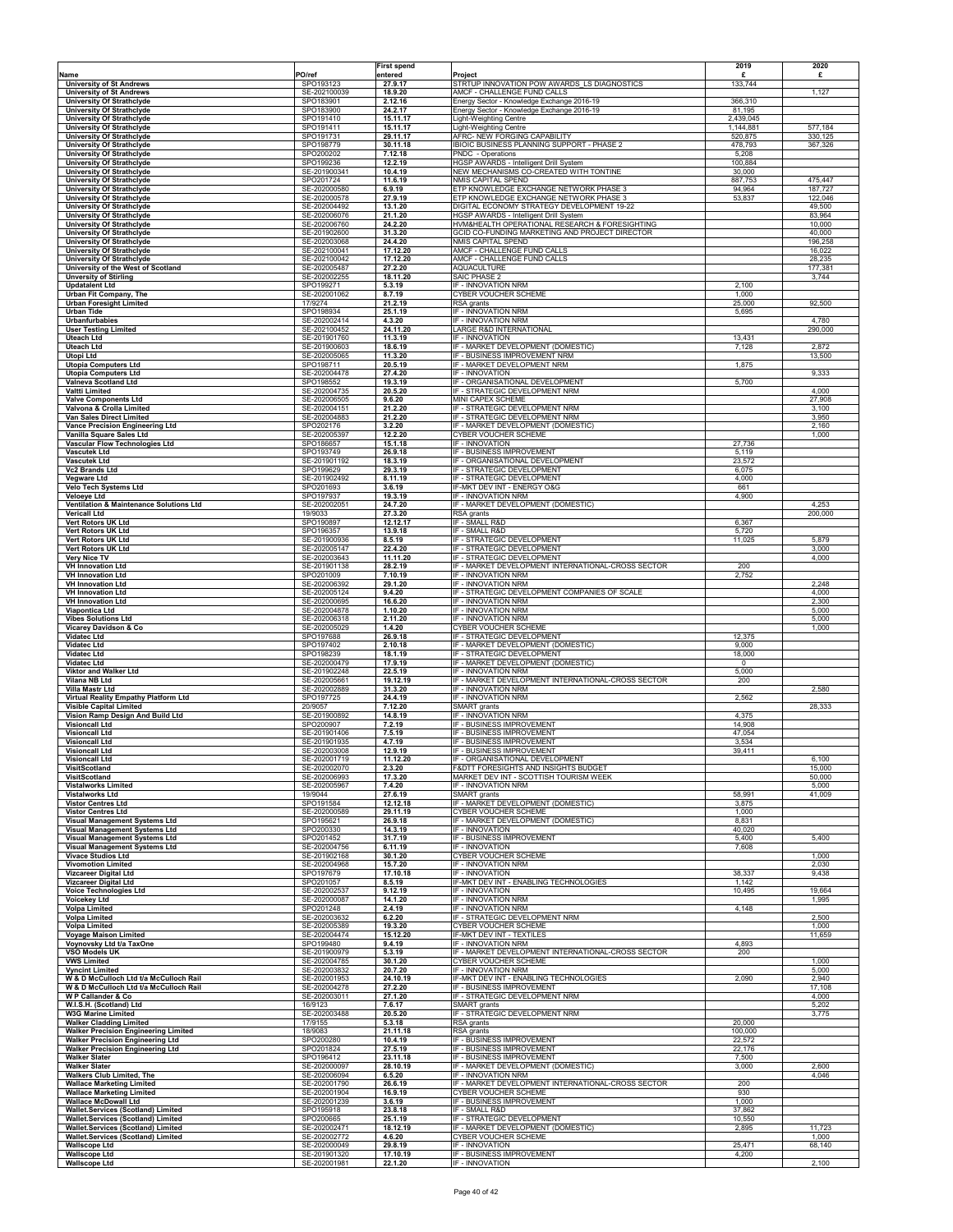|                                                                                  |                                              | <b>First spend</b>             |                                                                                                  | 2019                 | 2020               |
|----------------------------------------------------------------------------------|----------------------------------------------|--------------------------------|--------------------------------------------------------------------------------------------------|----------------------|--------------------|
| Name<br><b>University of St Andrews</b>                                          | PO/ref<br>SPO193123                          | entered<br>27.9.17             | Project<br>STRTUP INNOVATION POW AWARDS LS DIAGNOSTICS                                           | £<br>133,744         | £                  |
| <b>University of St Andrews</b>                                                  | SE-202100039                                 | 18.9.20                        | AMCF - CHALLENGE FUND CALLS                                                                      |                      | 1,127              |
| <b>University Of Strathclyde</b><br><b>University Of Strathclyde</b>             | SPO183901<br>SPO183900                       | 2.12.16<br>24.2.17             | Energy Sector - Knowledge Exchange 2016-19<br>Energy Sector - Knowledge Exchange 2016-19         | 366,310<br>81,195    |                    |
| <b>University Of Strathclyde</b>                                                 | SPO191410                                    | 15.11.17                       | Light-Weighting Centre                                                                           | 2,439,045            |                    |
| <b>University Of Strathclyde</b><br><b>University Of Strathclyde</b>             | SPO191411<br>SPO191731                       | 15.11.17<br>29.11.17           | <b>Light-Weighting Centre</b><br>AFRC- NEW FORGING CAPABILITY                                    | 1,144,881<br>520,875 | 577,184<br>330,125 |
| <b>University Of Strathclyde</b><br><b>University Of Strathclyde</b>             | SPO198779<br>SPO200202                       | 30.11.18<br>7.12.18            | IBIOIC BUSINESS PLANNING SUPPORT - PHASE 2<br>PNDC - Operations                                  | 478,793<br>5,208     | 367,326            |
| <b>University Of Strathclyde</b>                                                 | SPO199236                                    | 12.2.19                        | HGSP AWARDS - Intelligent Drill System                                                           | 100,884              |                    |
| <b>University Of Strathclyde</b><br><b>University Of Strathclyde</b>             | SE-201900341<br>SPO201724                    | 10.4.19<br>11.6.19             | NEW MECHANISMS CO-CREATED WITH TONTINE<br>NMIS CAPITAL SPEND                                     | 30,000<br>887,753    | 475,447            |
| <b>University Of Strathclyde</b>                                                 | SE-202000580                                 | 6.9.19                         | ETP KNOWLEDGE EXCHANGE NETWORK PHASE 3                                                           | 94,964               | 187,727            |
| <b>University Of Strathclyde</b><br><b>University Of Strathclyde</b>             | SE-202000578<br>SE-202004492                 | 27.9.19<br>13.1.20             | ETP KNOWLEDGE EXCHANGE NETWORK PHASE 3<br>DIGITAL ECONOMY STRATEGY DEVELOPMENT 19-22             | 53,837               | 122,046<br>49,500  |
| <b>University Of Strathclyde</b>                                                 | SE-202006076                                 | 21.1.20                        | HGSP AWARDS - Intelligent Drill System                                                           |                      | 83,964             |
| <b>University Of Strathclyde</b><br><b>University Of Strathclyde</b>             | SE-202006760<br>SE-201902600                 | 24.2.20<br>31.3.20             | HVM&HEALTH OPERATIONAL RESEARCH & FORESIGHTING<br>GCID CO-FUNDING MARKETING AND PROJECT DIRECTOR |                      | 10,000<br>40,000   |
| <b>University Of Strathclyde</b><br><b>University Of Strathclyde</b>             | SE-202003068<br>SE-202100041                 | 24.4.20<br>17.12.20            | NMIS CAPITAL SPEND<br>AMCF - CHALLENGE FUND CALLS                                                |                      | 196,258<br>16,022  |
| <b>University Of Strathclyde</b>                                                 | SE-202100042                                 | 17.12.20                       | AMCF - CHALLENGE FUND CALLS                                                                      |                      | 28,235             |
| University of the West of Scotland<br><b>Unversity of Stirling</b>               | SE-202005487<br>SE-202002255                 | 27.2.20<br>18.11.20            | <b>AQUACULTURE</b><br>SAIC PHASE 2                                                               |                      | 177,381<br>3,744   |
| <b>Updatalent Ltd</b>                                                            | SPO199271                                    | 5.3.19                         | IF - INNOVATION NRM                                                                              | 2,100                |                    |
| Urban Fit Company, The<br><b>Urban Foresight Limited</b>                         | SE-202001062<br>17/9274                      | 8.7.19<br>21.2.19              | <b>CYBER VOUCHER SCHEME</b><br>RSA grants                                                        | 1,000<br>25,000      | 92,500             |
| <b>Urban Tide</b>                                                                | SPO198934                                    | 25.1.19                        | IF - INNOVATION NRM                                                                              | 5,695                |                    |
| Urbanfurbabies<br><b>User Testing Limited</b>                                    | SE-202002414<br>SE-202100452                 | 4.3.20<br>24.11.20             | IF - INNOVATION NRM<br>LARGE R&D INTERNATIONAL                                                   |                      | 4,780<br>290,000   |
| <b>Uteach Ltd</b>                                                                | SE-201901760                                 | 11.3.19                        | IF - INNOVATION                                                                                  | 13,431               |                    |
| Uteach Ltd<br>Utopi Ltd                                                          | SE-201900603<br>SE-202005065                 | 18.6.19<br>11.3.20             | IF - MARKET DEVELOPMENT (DOMESTIC)<br>IF - BUSINESS IMPROVEMENT NRM                              | 7,128                | 2,872<br>13,500    |
| <b>Utopia Computers Ltd</b><br><b>Utopia Computers Ltd</b>                       | SPO198711<br>SE-202004478                    | 20.5.19<br>27.4.20             | IF - MARKET DEVELOPMENT NRM<br>IF - INNOVATION                                                   | 1,875                | 9,333              |
| <b>Valneva Scotland Ltd</b>                                                      | SPO198552                                    | 19.3.19                        | IF - ORGANISATIONAL DEVELOPMENT                                                                  | 5,700                |                    |
| <b>Valtti Limited</b><br><b>Valve Components Ltd</b>                             | SE-202004735<br>SE-202006505                 | 20.5.20<br>9.6.20              | IF - STRATEGIC DEVELOPMENT NRM<br>MINI CAPEX SCHEME                                              |                      | 4,000<br>27,908    |
| Valvona & Crolla Limited                                                         | SE-202004151                                 | 21.2.20                        | IF - STRATEGIC DEVELOPMENT NRM                                                                   |                      | 3,100              |
| Van Sales Direct Limited<br><b>Vance Precision Engineering Ltd</b>               | SE-202004883<br>SPO202176                    | 21.2.20<br>3.2.20              | IF - STRATEGIC DEVELOPMENT NRM<br>IF - MARKET DEVELOPMENT (DOMESTIC)                             |                      | 3,950<br>2,160     |
| Vanilla Square Sales Ltd                                                         | SE-202005397                                 | 12.2.20                        | <b>CYBER VOUCHER SCHEME</b>                                                                      |                      | 1,000              |
| Vascular Flow Technologies Ltd<br><b>Vascutek Ltd</b>                            | SPO186657<br>SPO193749                       | 15.1.18<br>26.9.18             | IF - INNOVATION<br>IF - BUSINESS IMPROVEMENT                                                     | 27,736<br>5,119      |                    |
| <b>Vascutek Ltd</b>                                                              | SE-201901192                                 | 18.3.19                        | IF - ORGANISATIONAL DEVELOPMENT                                                                  | 23,572               |                    |
| <b>Vc2 Brands Ltd</b><br><b>Vegware Ltd</b>                                      | SPO199629<br>SE-201902492                    | 29.3.19<br>8.11.19             | IF - STRATEGIC DEVELOPMENT<br>IF - STRATEGIC DEVELOPMENT                                         | 6,075<br>4,000       |                    |
| Velo Tech Systems Ltd<br><b>Veloeye Ltd</b>                                      | SPO201693<br>SPO197937                       | 3.6.19<br>19.3.19              | IF-MKT DEV INT - ENERGY O&G<br>IF - INNOVATION NRM                                               | 661<br>4,900         |                    |
| Ventilation & Maintenance Solutions Ltd                                          | SE-202002051                                 | 24.7.20                        | IF - MARKET DEVELOPMENT (DOMESTIC)                                                               |                      | 4,253              |
| <b>Vericall Ltd</b><br>Vert Rotors UK Ltd                                        | 19/9033<br>SPO190897                         | 27.3.20<br>12.12.17            | RSA grants<br>IF - SMALL R&D                                                                     | 6,367                | 200,000            |
| Vert Rotors UK Ltd                                                               | SPO196357                                    | 13.9.18                        | IF - SMALL R&D                                                                                   | 5,720                |                    |
| Vert Rotors UK Ltd<br>Vert Rotors UK Ltd                                         | SE-201900936<br>SE-202005147                 | 8.5.19<br>22.4.20              | IF - STRATEGIC DEVELOPMENT<br>IF - STRATEGIC DEVELOPMENT                                         | 11,025               | 5,879<br>3,000     |
| Very Nice TV                                                                     | SE-202003643                                 | 11.11.20                       | IF - STRATEGIC DEVELOPMENT                                                                       |                      | 4,000              |
| <b>VH Innovation Ltd</b><br><b>VH Innovation Ltd</b>                             | SE-201901138<br>SPO201009                    | 28.2.19<br>7.10.19             | IF - MARKET DEVELOPMENT INTERNATIONAL-CROSS SECTOR<br>IF - INNOVATION NRM                        | 200<br>2,752         |                    |
| <b>VH Innovation Ltd</b>                                                         | SE-202006392                                 | 29.1.20                        | IF - INNOVATION NRM<br>IF - STRATEGIC DEVELOPMENT COMPANIES OF SCALE                             |                      | 2,248<br>4,000     |
| <b>VH Innovation Ltd</b><br><b>VH Innovation Ltd</b>                             | SE-202005124<br>SE-202000695                 | 9.4.20<br>16.6.20              | IF - INNOVATION NRM                                                                              |                      | 2,300              |
| Viapontica Ltd<br><b>Vibes Solutions Ltd</b>                                     | SE-202004878<br>SE-202006318                 | 1.10.20<br>2.11.20             | IF - INNOVATION NRM<br>IF - INNOVATION NRM                                                       |                      | 5,000<br>5,000     |
| Vicarey Davidson & Co                                                            | SE-202005029                                 | 1.4.20                         | CYBER VOUCHER SCHEME                                                                             |                      | 1,000              |
| <b>Vidatec Ltd</b><br><b>Vidatec Ltd</b>                                         | SPO197688<br>SPO197402                       | 26.9.18<br>2.10.18             | IF - STRATEGIC DEVELOPMENT<br>IF - MARKET DEVELOPMENT (DOMESTIC)                                 | 12,375<br>9,000      |                    |
|                                                                                  |                                              |                                |                                                                                                  |                      |                    |
| <b>Vidatec Ltd</b>                                                               | SPO198239                                    | 18.1.19                        | IF - STRATEGIC DEVELOPMENT                                                                       | 18,000               |                    |
| <b>Vidatec Ltd</b>                                                               | SE-202000479                                 | 17.9.19                        | IF - MARKET DEVELOPMENT (DOMESTIC)                                                               | $\Omega$             |                    |
| Viktor and Walker Ltd<br>Vilana NB Ltd                                           | SE-201902248<br>SE-202005661                 | 22.5.19<br>19.12.19            | IF - INNOVATION NRM<br>IF - MARKET DEVELOPMENT INTERNATIONAL-CROSS SECTOR                        | 5,000<br>200         |                    |
| Villa Mastr Ltd<br>Virtual Reality Empathy Platform Ltd                          | SE-202002889<br>SPO197725                    | 31.3.20<br>24.4.19             | IF - INNOVATION NRM<br>IF - INNOVATION NRM                                                       | 2,562                | 2,580              |
| <b>Visible Capital Limited</b>                                                   | 20/9057                                      | 7.12.20                        | SMART grants                                                                                     |                      | 28,333             |
| Vision Ramp Design And Build Ltd<br><b>Visioncall Ltd</b>                        | SE-201900892<br>SPO200907                    | 14.8.19<br>7.2.19              | IF - INNOVATION NRM<br>IF - BUSINESS IMPROVEMENT                                                 | 4,375<br>14,908      |                    |
| <b>Visioncall Ltd</b>                                                            | SE-201901406                                 | 7.5.19                         | IF - BUSINESS IMPROVEMENT                                                                        | 47,054               |                    |
| <b>Visioncall Ltd</b><br><b>Visioncall Ltd</b>                                   | SE-201901935<br>SE-202003008                 | 4.7.19<br>12.9.19              | IF - BUSINESS IMPROVEMENT<br>IF - BUSINESS IMPROVEMENT                                           | 3,534<br>39,411      |                    |
| <b>Visioncall Ltd</b>                                                            | SE-202001719                                 | 11.12.20                       | IF - ORGANISATIONAL DEVELOPMENT                                                                  |                      | 6,100              |
| <b>VisitScotland</b><br><b>VisitScotland</b>                                     | SE-202002070<br>SE-202006993                 | $2.\overline{3}.20$<br>17.3.20 | F&DTT FORESIGHTS AND INSIGHTS BUDGET<br>MARKET DEV INT - SCOTTISH TOURISM WEEK                   |                      | 15,000<br>50,000   |
| <b>Vistalworks Limited</b><br><b>Vistalworks Ltd</b>                             | SE-202005967<br>19/9044                      | 7.4.20<br>27.6.19              | IF - INNOVATION NRM<br>SMART grants                                                              | 58,991               | 5,000<br>41,009    |
| <b>Vistor Centres Ltd</b>                                                        | SPO191584                                    | 12.12.18                       | IF - MARKET DEVELOPMENT (DOMESTIC)                                                               | 3,875                |                    |
| <b>Vistor Centres Ltd</b><br><b>Visual Management Systems Ltd</b>                | SE-202000589<br>SPO195621                    | 29.11.19<br>26.9.18            | <b>CYBER VOUCHER SCHEME</b><br>IF - MARKET DEVELOPMENT (DOMESTIC)                                | 1,000<br>8,831       |                    |
| Visual Management Systems Ltd                                                    | SPO200330<br>SPO201452                       | 14.3.19<br>31.7.19             | IF - INNOVATION<br>IF - BUSINESS IMPROVEMENT                                                     | 40,020<br>5,400      | 5,400              |
| Visual Management Systems Ltd<br><b>Visual Management Systems Ltd</b>            | SE-202004756                                 | 6.11.19                        | IF - INNOVATION                                                                                  | 7,608                |                    |
| <b>Vivace Studios Ltd</b><br><b>Vivomotion Limited</b>                           | SE-201902168<br>SE-202004968                 | 30.1.20<br>15.7.20             | CYBER VOUCHER SCHEME<br>IF - INNOVATION NRM                                                      |                      | 1,000<br>2,030     |
| <b>Vizcareer Digital Ltd</b>                                                     | SPO197679                                    | 17.10.18                       | IF - INNOVATION                                                                                  | 38,337               | 9,438              |
| <b>Vizcareer Digital Ltd</b><br><b>Voice Technologies Ltd</b>                    | SPO201057<br>SE-202002537                    | 8.5.19<br>9.12.19              | IF-MKT DEV INT - ENABLING TECHNOLOGIES<br>IF - INNOVATION                                        | 1,142<br>10,495      | 19,664             |
| <b>Voicekey Ltd</b>                                                              | SE-202000087<br>SPO201248                    | 14.1.20                        | IF - INNOVATION NRM<br>IF - INNOVATION NRM                                                       |                      | 1,995              |
| <b>Volpa Limited</b><br><b>Volpa Limited</b>                                     | SE-202003632                                 | 2.4.19<br>6.2.20               | IF - STRATEGIC DEVELOPMENT NRM                                                                   | 4,148                | 2,500              |
| <b>Volpa Limited</b>                                                             | SE-202005389<br>SE-202004474                 | 19.3.20                        | CYBER VOUCHER SCHEME<br>IF-MKT DEV INT - TEXTILES                                                |                      | 1,000              |
| <b>Voyage Maison Limited</b><br>Voynovsky Ltd t/a TaxOne                         | SPO199480                                    | 15.12.20<br>9.4.19             | IF - INNOVATION NRM                                                                              | 4,893                | 11,659             |
| <b>VSO Models UK</b><br><b>VWS Limited</b>                                       | SE-201900979<br>SE-202004785                 | 5.3.19<br>30.1.20              | IF - MARKET DEVELOPMENT INTERNATIONAL-CROSS SECTOR<br><b>CYBER VOUCHER SCHEME</b>                | 200                  | 1,000              |
| <b>Vyncint Limited</b>                                                           | SE-202003832                                 | 20.7.20                        | IF - INNOVATION NRM                                                                              |                      | 5,000              |
| W & D McCulloch Ltd t/a McCulloch Rail<br>W & D McCulloch Ltd t/a McCulloch Rail | SE-202001953<br>SE-202004278                 | 24.10.19<br>27.2.20            | IF-MKT DEV INT - ENABLING TECHNOLOGIES<br>IF - BUSINESS IMPROVEMENT                              | 2,090                | 2,940<br>17,108    |
| W P Callander & Co<br>W.I.S.H. (Scotland) Ltd                                    | SE-202003011<br>16/9123                      | 27.1.20<br>7.6.17              | IF - STRATEGIC DEVELOPMENT NRM<br>SMART grants                                                   |                      | 4,000<br>5,202     |
| <b>W3G Marine Limited</b>                                                        | SE-202003488                                 | 20.5.20                        | IF - STRATEGIC DEVELOPMENT NRM                                                                   |                      | 3,775              |
| <b>Walker Cladding Limited</b><br><b>Walker Precision Engineering Limited</b>    | 17/9155<br>18/9083                           | 5.3.18<br>21.11.18             | RSA grants<br>RSA grants                                                                         | 20,000<br>100,000    |                    |
| <b>Walker Precision Engineering Ltd</b>                                          | SPO200280                                    | 10.4.19                        | IF - BUSINESS IMPROVEMENT                                                                        | 22,572               |                    |
| <b>Walker Precision Engineering Ltd</b><br><b>Walker Slater</b>                  | SPO201824<br>SPO196412                       | 27.5.19<br>23.11.18            | IF - BUSINESS IMPROVEMENT<br>IF - BUSINESS IMPROVEMENT                                           | 22,176<br>7,500      |                    |
| <b>Walker Slater</b>                                                             | SE-202000097                                 | 28.10.19                       | IF - MARKET DEVELOPMENT (DOMESTIC)                                                               | 3,000                | 2,600              |
| <b>Walkers Club Limited, The</b><br><b>Wallace Marketing Limited</b>             | SE-202006094<br>SE-202001790                 | 6.5.20<br>26.6.19              | IF - INNOVATION NRM<br>IF - MARKET DEVELOPMENT INTERNATIONAL-CROSS SECTOR                        | 200                  | 4,046              |
| <b>Wallace Marketing Limited</b><br><b>Wallace McDowall Ltd</b>                  | SE-202001904<br>SE-202001239                 | 16.9.19<br>3.6.19              | CYBER VOUCHER SCHEME<br>IF - BUSINESS IMPROVEMENT                                                | 930<br>1,000         |                    |
| Wallet.Services (Scotland) Limited                                               | SPO195918                                    | 23.8.18                        | IF - SMALL R&D                                                                                   | 37,862               |                    |
| Wallet.Services (Scotland) Limited<br>Wallet.Services (Scotland) Limited         | SPO200665<br>SE-202002471                    | 25.1.19<br>18.12.19            | IF - STRATEGIC DEVELOPMENT<br>IF - MARKET DEVELOPMENT (DOMESTIC)                                 | 10,550<br>2,895      | 11,723             |
| Wallet.Services (Scotland) Limited                                               | SE-202002772                                 | 4.6.20                         | CYBER VOUCHER SCHEME                                                                             |                      | 1,000              |
| <b>Wallscope Ltd</b><br><b>Wallscope Ltd</b><br><b>Wallscope Ltd</b>             | SE-202000049<br>SE-201901320<br>SE-202001981 | 29.8.19<br>17.10.19<br>22.1.20 | IF - INNOVATION<br>IF - BUSINESS IMPROVEMENT<br>IF - INNOVATION                                  | 25,471<br>4,200      | 68,140<br>2,100    |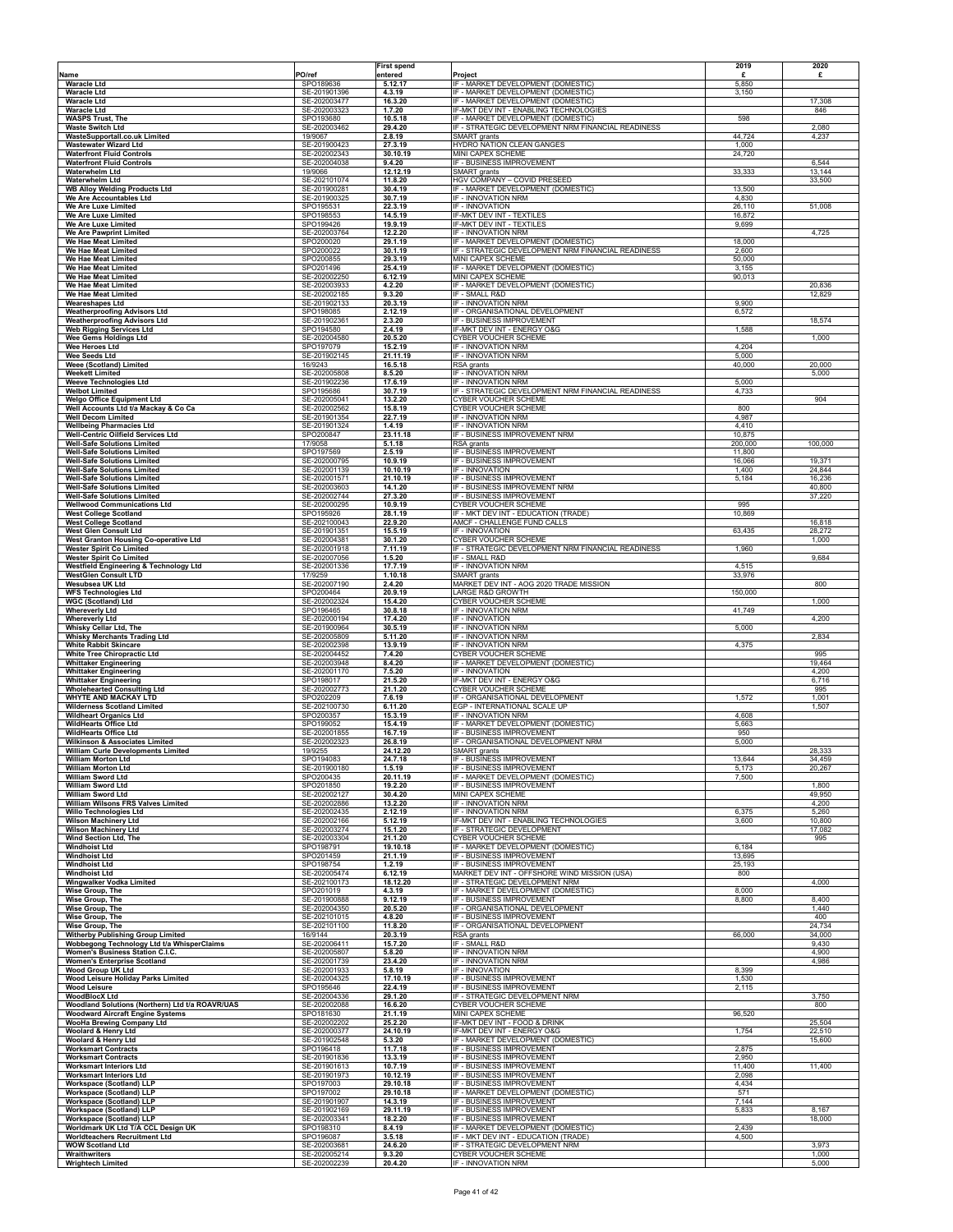|                                                                                        |                              | <b>First spend</b>   |                                                                                | 2019              | 2020             |
|----------------------------------------------------------------------------------------|------------------------------|----------------------|--------------------------------------------------------------------------------|-------------------|------------------|
| Name<br><b>Waracle Ltd</b>                                                             | PO/ref<br>SPO189636          | entered<br>5.12.17   | Project<br>IF - MARKET DEVELOPMENT (DOMESTIC)                                  | £<br>5,850        | £                |
| <b>Waracle Ltd</b>                                                                     | SE-201901396                 | 4.3.19               | IF - MARKET DEVELOPMENT (DOMESTIC)                                             | 3,150             |                  |
| <b>Waracle Ltd</b>                                                                     | SE-202003477                 | 16.3.20              | IF - MARKET DEVELOPMENT (DOMESTIC)                                             |                   | 17,308           |
| <b>Waracle Ltd</b><br><b>WASPS Trust, The</b>                                          | SE-202003323<br>SPO193680    | 1.7.20<br>10.5.18    | IF-MKT DEV INT - ENABLING TECHNOLOGIES<br>IF - MARKET DEVELOPMENT (DOMESTIC)   | 598               | 846              |
| <b>Waste Switch Ltd</b>                                                                | SE-202003462                 | 29.4.20              | IF - STRATEGIC DEVELOPMENT NRM FINANCIAL READINESS                             |                   | 2,080            |
| WasteSupportall.co.uk Limited<br><b>Wastewater Wizard Ltd</b>                          | 19/9067<br>SE-201900423      | 2.8.19<br>27.3.19    | SMART grants<br><b>HYDRO NATION CLEAN GANGES</b>                               | 44,724<br>1,000   | 4,237            |
| <b>Waterfront Fluid Controls</b>                                                       | SE-202002343                 | 30.10.19             | MINI CAPEX SCHEME                                                              | 24,720            |                  |
| <b>Waterfront Fluid Controls</b>                                                       | SE-202004038                 | 9.4.20               | IF - BUSINESS IMPROVEMENT                                                      |                   | 6,544            |
| Waterwhelm Ltd<br>Waterwhelm Ltd                                                       | 19/9066<br>SE-202101074      | 12.12.19<br>11.8.20  | SMART grants<br>HGV COMPANY - COVID PRESEED                                    | 33,333            | 13,144<br>33,500 |
| <b>WB Alloy Welding Products Ltd</b>                                                   | SE-201900281                 | 30.4.19              | IF - MARKET DEVELOPMENT (DOMESTIC)                                             | 13,500            |                  |
| We Are Accountables Ltd<br>We Are Luxe Limited                                         | SE-201900325<br>SPO195531    | 30.7.19<br>22.3.19   | IF - INNOVATION NRM<br>IF - INNOVATION                                         | 4,830<br>26,110   | 51,008           |
| We Are Luxe Limited                                                                    | SPO198553                    | 14.5.19              | IF-MKT DEV INT - TEXTILES                                                      | 16,872            |                  |
| We Are Luxe Limited<br>We Are Pawprint Limited                                         | SPO199426<br>SE-202003764    | 19.9.19<br>12.2.20   | IF-MKT DEV INT - TEXTILES<br>IF - INNOVATION NRM                               | 9,699             | 4,725            |
| We Hae Meat Limited                                                                    | SPO200020                    | 29.1.19              | IF - MARKET DEVELOPMENT (DOMESTIC)                                             | 18,000            |                  |
| We Hae Meat Limited                                                                    | SPO200022                    | 30.1.19              | IF - STRATEGIC DEVELOPMENT NRM FINANCIAL READINESS                             | 2,600             |                  |
| We Hae Meat Limited<br>We Hae Meat Limited                                             | SPO200855<br>SPO201496       | 29.3.19<br>25.4.19   | MINI CAPEX SCHEME<br>IF - MARKET DEVELOPMENT (DOMESTIC)                        | 50,000<br>3,155   |                  |
| We Hae Meat Limited                                                                    | SE-202002250                 | 6.12.19              | MINI CAPEX SCHEME                                                              | 90,013            |                  |
| We Hae Meat Limited<br>We Hae Meat Limited                                             | SE-202003933<br>SE-202002185 | 4.2.20<br>9.3.20     | IF - MARKET DEVELOPMENT (DOMESTIC)<br>IF - SMALL R&D                           |                   | 20,836<br>12,829 |
| <b>Weareshapes Ltd</b>                                                                 | SE-201902133                 | 20.3.19              | IF - INNOVATION NRM                                                            | 9,900             |                  |
| <b>Weatherproofing Advisors Ltd</b>                                                    | SPO198085                    | 2.12.19              | IF - ORGANISATIONAL DEVELOPMENT                                                | 6,572             |                  |
| <b>Weatherproofing Advisors Ltd</b><br><b>Web Rigging Services Ltd</b>                 | SE-201902361<br>SPO194580    | 2.3.20<br>2.4.19     | IF - BUSINESS IMPROVEMENT<br>IF-MKT DEV INT - ENERGY O&G                       | 1,588             | 18,574           |
| Wee Gems Holdings Ltd                                                                  | SE-202004580                 | 20.5.20              | CYBER VOUCHER SCHEME                                                           |                   | 1,000            |
| Wee Heroes Ltd<br>Wee Seeds Ltd                                                        | SPO197079<br>SE-201902145    | 15.2.19<br>21.11.19  | IF - INNOVATION NRM<br>IF - INNOVATION NRM                                     | 4,204<br>5,000    |                  |
| Weee (Scotland) Limited                                                                | 16/9243                      | 16.5.18              | RSA grants                                                                     | 40,000            | 20,000           |
| <b>Weekett Limited</b><br>Weeve Technologies Ltd                                       | SE-202005808<br>SE-201902236 | 8.5.20<br>17.6.19    | IF - INNOVATION NRM<br>IF - INNOVATION NRM                                     | 5,000             | 5,000            |
| <b>Welbot Limited</b>                                                                  | SPO195686                    | 30.7.19              | IF - STRATEGIC DEVELOPMENT NRM FINANCIAL READINESS                             | 4,733             |                  |
| <b>Welgo Office Equipment Ltd</b>                                                      | SE-202005041                 | 13.2.20              | CYBER VOUCHER SCHEME                                                           |                   | 904              |
| Well Accounts Ltd t/a Mackay & Co Ca<br><b>Well Decom Limited</b>                      | SE-202002562<br>SE-201901354 | 15.8.19<br>22.7.19   | CYBER VOUCHER SCHEME<br>IF - INNOVATION NRM                                    | 800<br>4,987      |                  |
| <b>Wellbeing Pharmacies Ltd</b>                                                        | SE-201901324                 | 1.4.19               | <b>IF - INNOVATION NRM</b>                                                     | 4,410             |                  |
| <b>Well-Centric Oilfield Services Ltd</b><br><b>Well-Safe Solutions Limited</b>        | SPO200847<br>17/9058         | 23.11.18<br>5.1.18   | IF - BUSINESS IMPROVEMENT NRM<br>RSA grants                                    | 10,875<br>200,000 | 100,000          |
| <b>Well-Safe Solutions Limited</b>                                                     | SPO197569                    | 2.5.19               | IF - BUSINESS IMPROVEMENT                                                      | 11,800            |                  |
| <b>Well-Safe Solutions Limited</b>                                                     | SE-202000795                 | 10.9.19              | IF - BUSINESS IMPROVEMENT                                                      | 16,066            | 19,371           |
| <b>Well-Safe Solutions Limited</b><br><b>Well-Safe Solutions Limited</b>               | SE-202001139<br>SE-202001571 | 10.10.19<br>21.10.19 | IF - INNOVATION<br>IF - BUSINESS IMPROVEMENT                                   | 1,400<br>5,184    | 24,844<br>16,236 |
| <b>Well-Safe Solutions Limited</b>                                                     | SE-202003603                 | 14.1.20              | IF - BUSINESS IMPROVEMENT NRM                                                  |                   | 40,800           |
| <b>Well-Safe Solutions Limited</b><br><b>Wellwood Communications Ltd</b>               | SE-202002744<br>SE-202000295 | 27.3.20<br>10.9.19   | IF - BUSINESS IMPROVEMENT<br><b>CYBER VOUCHER SCHEME</b>                       | 995               | 37,220           |
| <b>West College Scotland</b>                                                           | SPO195926                    | 28.1.19              | IF - MKT DEV INT - EDUCATION (TRADE)                                           | 10,869            |                  |
| <b>West College Scotland</b><br>West Glen Consult Ltd                                  | SE-202100043<br>SE-201901351 | 22.9.20<br>15.5.19   | AMCF - CHALLENGE FUND CALLS<br>IF - INNOVATION                                 | 63,435            | 16,818<br>28,272 |
| West Granton Housing Co-operative Ltd                                                  | SE-202004381                 | 30.1.20              | <b>CYBER VOUCHER SCHEME</b>                                                    |                   | 1,000            |
| <b>Wester Spirit Co Limited</b>                                                        | SE-202001918                 | 7.11.19              | IF - STRATEGIC DEVELOPMENT NRM FINANCIAL READINESS                             | 1,960             |                  |
| <b>Wester Spirit Co Limited</b><br>Westfield Engineering & Technology Ltd              | SE-202007056<br>SE-202001336 | 1.5.20<br>17.7.19    | IF - SMALL R&D<br>IF - INNOVATION NRM                                          | 4,515             | 9,684            |
| <b>WestGlen Consult LTD</b>                                                            | 17/9259                      | 1.10.18              | SMART grants                                                                   | 33,976            |                  |
| Wesubsea UK Ltd<br><b>WFS Technologies Ltd</b>                                         | SE-202007190<br>SPO200464    | 2.4.20<br>20.9.19    | MARKET DEV INT - AOG 2020 TRADE MISSION<br>LARGE R&D GROWTH                    | 150,000           | 800              |
| <b>WGC (Scotland) Ltd</b>                                                              | SE-202002324                 | 15.4.20              | CYBER VOUCHER SCHEME                                                           |                   | 1,000            |
| <b>Whereverly Ltd</b><br><b>Whereverly Ltd</b>                                         | SPO196465<br>SE-202000194    | 30.8.18<br>17.4.20   | IF - INNOVATION NRM<br>IF - INNOVATION                                         | 41,749            | 4,200            |
| Whisky Cellar Ltd, The                                                                 | SE-201900964                 | 30.5.19              | IF - INNOVATION NRM                                                            | 5,000             |                  |
| <b>Whisky Merchants Trading Ltd</b>                                                    | SE-202005809                 | 5.11.20              | IF - INNOVATION NRM                                                            |                   | 2,834            |
| <b>White Rabbit Skincare</b><br>White Tree Chiropractic Ltd                            | SE-202002398<br>SE-202004452 | 13.9.19<br>7.4.20    | IF - INNOVATION NRM<br>CYBER VOUCHER SCHEME                                    | 4,375             | 995              |
| <b>Whittaker Engineering</b>                                                           | SE-202003948                 | 8.4.20               | IF - MARKET DEVELOPMENT (DOMESTIC)                                             |                   | 19,464           |
| <b>Whittaker Engineering</b><br><b>Whittaker Engineering</b>                           | SE-202001170<br>SPO198017    | 7.5.20<br>21.5.20    | IF - INNOVATION<br>IF-MKT DEV INT - ENERGY O&G                                 |                   | 4,200<br>6,716   |
| <b>Wholehearted Consulting Ltd</b>                                                     | SE-202002773                 | 21.1.20              | <b>CYBER VOUCHER SCHEME</b>                                                    |                   | 995              |
| WHYTE AND MACKAY LTD                                                                   | SPO202209                    | 7.6.19<br>6.11.20    | IF - ORGANISATIONAL DEVELOPMENT                                                | 1,572             | 1,001<br>1,507   |
| <b>Wilderness Scotland Limited</b><br><b>Wildheart Organics Ltd</b>                    | SE-202100730<br>SPO200357    | 15.3.19              | EGP - INTERNATIONAL SCALE UP<br>IF - INNOVATION NRM                            | 4,608             |                  |
| WildHearts Office Ltd                                                                  | SPO199052                    | 15.4.19              | IF - MARKET DEVELOPMENT (DOMESTIC)                                             | 5,663             |                  |
| <b>WildHearts Office Ltd</b><br>Wilkinson & Associates Limited                         | SE-202001855<br>SE-202002323 | 16.7.19<br>26.8.19   | IF - BUSINESS IMPROVEMENT<br>IF - ORGANISATIONAL DEVELOPMENT NRM               | 950<br>5,000      |                  |
| William Curle Developments Limited                                                     | 19/9255                      | 24.12.20             | SMART grants                                                                   |                   | 28,333           |
| William Morton Ltd<br><b>William Morton Ltd</b>                                        | SPO194083<br>SE-201900180    | 24.7.18<br>1.5.19    | IF - BUSINESS IMPROVEMENT<br>IF - BUSINESS IMPROVEMENT                         | 13,644<br>5,173   | 34,459<br>20,267 |
| William Sword Ltd                                                                      | SPO200435                    | 20.11.19             | IF - MARKET DEVELOPMENT (DOMESTIC)                                             | 7,500             |                  |
| William Sword Ltd<br>William Sword Ltd                                                 | SPO201850<br>SE-202002127    | 19.2.20<br>30.4.20   | IF - BUSINESS IMPROVEMENT<br>MINI CAPEX SCHEME                                 |                   | 1,800<br>49,950  |
| William Wilsons FRS Valves Limited                                                     | SE-202002886                 | 13.2.20              | IF - INNOVATION NRM                                                            |                   | 4,200            |
| Willo Technologies Ltd                                                                 | SE-202002435                 | 2.12.19              | IF - INNOVATION NRM                                                            | 6,375             | 5,260            |
| <b>Wilson Machinery Ltd</b><br><b>Wilson Machinery Ltd</b>                             | SE-202002166<br>SE-202003274 | 5.12.19<br>15.1.20   | IF-MKT DEV INT - ENABLING TECHNOLOGIES<br>IF - STRATEGIC DEVELOPMENT           | 3,600             | 10,800<br>17,082 |
| Wind Section Ltd, The                                                                  | SE-202003304                 | 21.1.20              | CYBER VOUCHER SCHEME                                                           |                   | 995              |
| <b>Windhoist Ltd</b><br><b>Windhoist Ltd</b>                                           | SPO198791<br>SPO201459       | 19.10.18<br>21.1.19  | IF - MARKET DEVELOPMENT (DOMESTIC)<br>IF - BUSINESS IMPROVEMENT                | 6,184<br>13,695   |                  |
| <b>Windhoist Ltd</b>                                                                   | SPO198754                    | 1.2.19               | IF - BUSINESS IMPROVEMENT                                                      | 25,193            |                  |
| <b>Windhoist Ltd</b><br>Wingwalker Vodka Limited                                       | SE-202005474<br>SE-202100173 | 6.12.19<br>18.12.20  | MARKET DEV INT - OFFSHORE WIND MISSION (USA)<br>IF - STRATEGIC DEVELOPMENT NRM | 800               | 4,000            |
| Wise Group, The                                                                        | SPO201019                    | 4.3.19               | IF - MARKET DEVELOPMENT (DOMESTIC)                                             | 8,000             |                  |
| Wise Group, The                                                                        | SE-201900888                 | 9.12.19              | IF - BUSINESS IMPROVEMENT                                                      | 8,800             | 8,400            |
| Wise Group, The<br><b>Wise Group, The</b>                                              | SE-202004350<br>SE-202101015 | 20.5.20<br>4.8.20    | IF - ORGANISATIONAL DEVELOPMENT<br>IF - BUSINESS IMPROVEMENT                   |                   | 1,440<br>400     |
| Wise Group, The                                                                        | SE-202101100                 | 11.8.20              | IF - ORGANISATIONAL DEVELOPMENT                                                |                   | 24,734           |
| <b>Witherby Publishing Group Limited</b><br>Wobbegong Technology Ltd t/a WhisperClaims | 16/9144<br>SE-202006411      | 20.3.19<br>15.7.20   | RSA grants<br>IF - SMALL R&D                                                   | 66,000            | 34,000<br>9,430  |
| Women's Business Station C.I.C.                                                        | SE-202005807                 | 5.8.20               | IF - INNOVATION NRM                                                            |                   | 4,900            |
| <b>Women's Enterprise Scotland</b><br><b>Wood Group UK Ltd</b>                         | SE-202001739<br>SE-202001933 | 23.4.20<br>5.8.19    | IF - INNOVATION NRM<br>IF - INNOVATION                                         | 8,399             | 4,986            |
| Wood Leisure Holiday Parks Limited                                                     | SE-202004325                 | 17.10.19             | IF - BUSINESS IMPROVEMENT                                                      | 1,530             |                  |
| <b>Wood Leisure</b>                                                                    | SPO195646                    | 22.4.19              | IF - BUSINESS IMPROVEMENT                                                      | 2,115             |                  |
| <b>WoodBlocX Ltd</b><br>Woodland Solutions (Northern) Ltd t/a ROAVR/UAS                | SE-202004336<br>SE-202002088 | 29.1.20<br>16.6.20   | IF - STRATEGIC DEVELOPMENT NRM<br><b>CYBER VOUCHER SCHEME</b>                  |                   | 3,750<br>800     |
| <b>Woodward Aircraft Engine Systems</b>                                                | SPO181630                    | 21.1.19              | MINI CAPEX SCHEME                                                              | 96,520            |                  |
| <b>WooHa Brewing Company Ltd</b><br>Woolard & Henry Ltd                                | SE-202002202<br>SE-202000377 | 25.2.20<br>24.10.19  | IF-MKT DEV INT - FOOD & DRINK<br>IF-MKT DEV INT - ENERGY O&G                   | 1,754             | 25,504<br>22,510 |
| Woolard & Henry Ltd                                                                    | SE-201902548                 | 5.3.20               | IF - MARKET DEVELOPMENT (DOMESTIC)                                             |                   | 15,600           |
| <b>Worksmart Contracts</b>                                                             | SPO196418                    | 11.7.18              | IF - BUSINESS IMPROVEMENT                                                      | 2,875             |                  |
| <b>Worksmart Contracts</b><br><b>Worksmart Interiors Ltd</b>                           | SE-201901836<br>SE-201901613 | 13.3.19<br>10.7.19   | IF - BUSINESS IMPROVEMENT<br>IF - BUSINESS IMPROVEMENT                         | 2,950<br>11,400   | 11,400           |
| <b>Worksmart Interiors Ltd</b>                                                         | SE-201901973                 | 10.12.19             | IF - BUSINESS IMPROVEMENT                                                      | 2,098             |                  |
| <b>Workspace (Scotland) LLP</b><br><b>Workspace (Scotland) LLP</b>                     | SPO197003<br>SPO197002       | 29.10.18<br>29.10.18 | IF - BUSINESS IMPROVEMENT<br>IF - MARKET DEVELOPMENT (DOMESTIC)                | 4,434<br>571      |                  |
| <b>Workspace (Scotland) LLP</b>                                                        | SE-201901907                 | 14.3.19              | IF - BUSINESS IMPROVEMENT                                                      | 7,144             |                  |
| <b>Workspace (Scotland) LLP</b><br><b>Workspace (Scotland) LLP</b>                     | SE-201902169<br>SE-202003341 | 29.11.19<br>18.2.20  | IF - BUSINESS IMPROVEMENT<br>IF - BUSINESS IMPROVEMENT                         | 5,833             | 8,167<br>18,000  |
| Worldmark UK Ltd T/A CCL Design UK                                                     | SPO198310                    | 8.4.19               | IF - MARKET DEVELOPMENT (DOMESTIC)                                             | 2,439             |                  |
| <b>Worldteachers Recruitment Ltd</b>                                                   | SPO196087                    | 3.5.18               | IF - MKT DEV INT - EDUCATION (TRADE)                                           | 4,500             |                  |
| <b>WOW Scotland Ltd</b><br>Wraithwriters                                               | SE-202003681<br>SE-202005214 | 24.6.20<br>9.3.20    | IF - STRATEGIC DEVELOPMENT NRM<br><b>CYBER VOUCHER SCHEME</b>                  |                   | 3,973<br>1,000   |
| <b>Wrightech Limited</b>                                                               | SE-202002239                 | 20.4.20              | IF - INNOVATION NRM                                                            |                   | 5,000            |